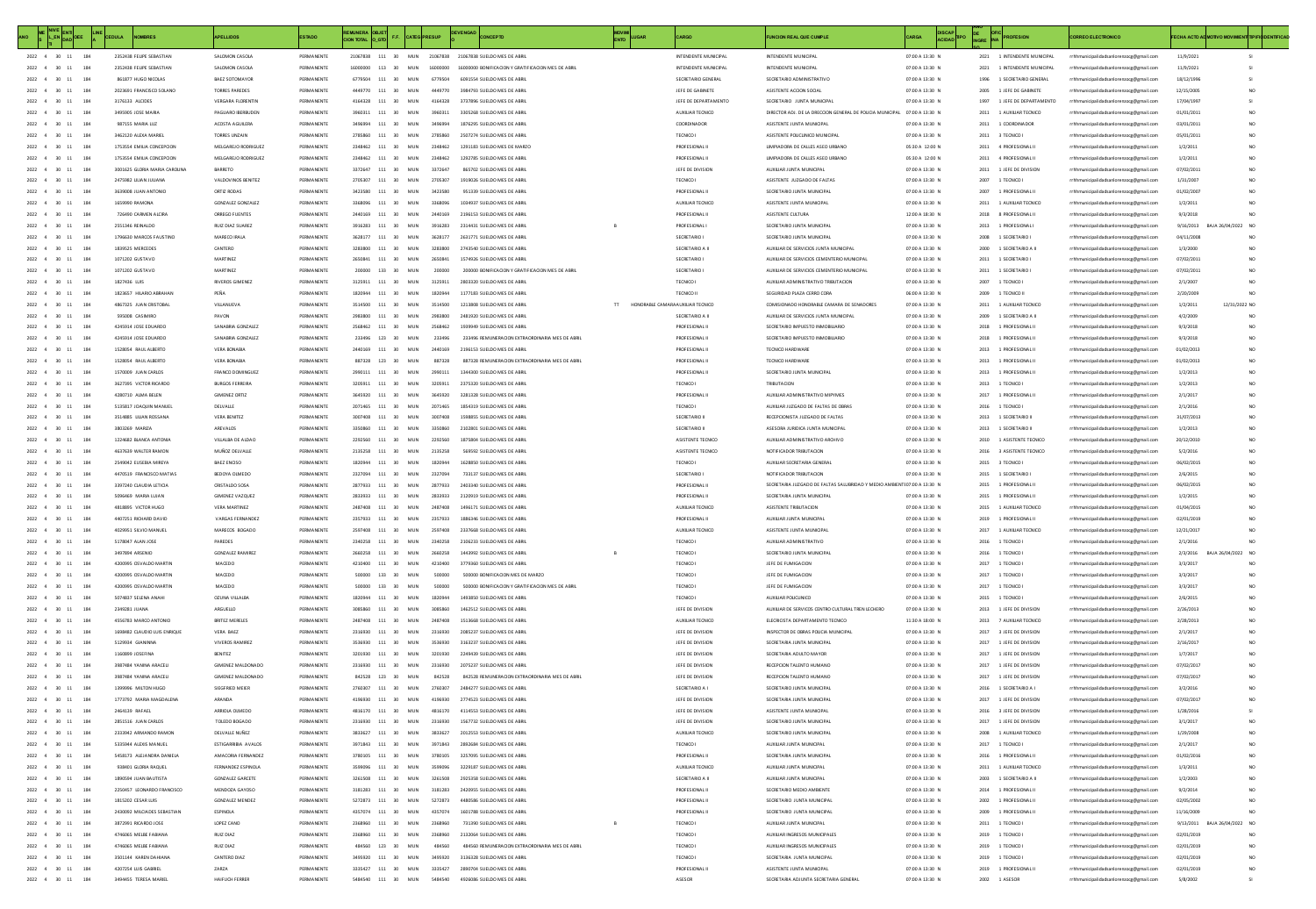| ME NIVE ENT                                                                                      |            |                                                            | PELLIDOS                                   | <b>ESTADO</b>            |         |                                          |                                  |                                                            | MOVIM<br>ENTO                        |                                      | <b>CION REAL QUE CUMPLE</b>                                                |                                    | DISCAP DE OFIC PROFESION |                   |                                                    | <b>IREO ELECTRONICO</b>                                                            | CHA ACTO AD MOTIVO MOVIME |                                    |  |
|--------------------------------------------------------------------------------------------------|------------|------------------------------------------------------------|--------------------------------------------|--------------------------|---------|------------------------------------------|----------------------------------|------------------------------------------------------------|--------------------------------------|--------------------------------------|----------------------------------------------------------------------------|------------------------------------|--------------------------|-------------------|----------------------------------------------------|------------------------------------------------------------------------------------|---------------------------|------------------------------------|--|
| ${\bf 2022\quad \  \  \, 4\quad \  \  \, {\bf 30\quad \  \  \, {\bf 11}}\qquad \  \, {\bf 184}}$ |            | 2352438 FEUPE SEBASTIAN                                    | SALOMON CASOLA                             | PERMANENT                |         | 21067838 111 30                          | MUN                              | 21067838 21067838 SUELDO MES DE ABR                        |                                      | INTENDENTE MUNICIPA                  | INTENDENTE MUNICIPAL                                                       | 07:00 A 13:30 N                    |                          |                   | 2021 1 INTENDENTE MUNICIPAL                        | rrhhmunicipalidadsanlorenzoog@gmail.com                                            | 11/9/2023                 |                                    |  |
| $2022$ 4 30 11 184                                                                               |            | 2352438 FEUPE SEBASTIAN                                    | SALOMON CASOLA                             | PERMANENT                |         | 16000000 113 30                          | MUN                              | 16000000 16000000 BONIFICACION Y GRATIFICACION MES DE ABRI |                                      | INTENDENTE MUNICIPA                  | INTENDENTE MUNICIPAL                                                       | 07:00 A 13:30 N                    |                          |                   | 2021 1 INTENDENTE MUNICIPAL                        | rrhhmunicipalidadsanlorenzocg@gmail.com                                            | 11/9/202                  |                                    |  |
| 2022 4 30 11 184                                                                                 |            | 861877 HUGO NICOLAS                                        | BAEZ SOTOMAYOR                             | PERMANENT                |         | 6779504 111 30 MUN                       |                                  | 6779504 6091554 SUELDO MES DE ABRIL                        |                                      | SECRETARIO GENERAL                   | SECRETARIO ADMINISTRATIVO                                                  | 07:00 A 13:30 N                    |                          |                   | 1996 1 SECRETARIO GENERAL                          | rrhhmunicipalidadsanlorenzocg@gmail.com                                            | 18/12/199                 |                                    |  |
| 2022 4 30 11 184                                                                                 |            | 2023691 FRANCISCO SOLANO                                   | TORRES PAREDES                             | PERMANENTS               |         | 4449720 111 30 MIN                       |                                  | 4449720 3984793 SUFLDO MES DE ARRU                         |                                      | JEFE DE GABINETE                     | ASISTENTE ACCON SOCIAL                                                     | 07:00 A 13:30 N                    |                          |                   | 2005 1 JEFE DE GABINETE                            | rrhhmunicipalidadsanlorenzoog@gmail.com                                            | 12/15/2005                | NO <sub>1</sub>                    |  |
| 2022 4 30 11                                                                                     | 184        | 3176133 ALCIDES                                            | VERGARA FLORENTIN                          | PERMANENTE               |         | 4164328 111 30 MUN                       | 4164328                          | 3737896 SUELDO MES DE ABRIL                                |                                      | JEFE DE DEPARTAMENTO                 | SECRETARIO JUNTA MUNICIPAL                                                 | 07:00 A 13:30 N                    |                          |                   | 1997 1 JEFE DE DEPARTAMENTO                        | rrhhmunicipalidadsanlorenzocg@gmail.com                                            | 17/04/1997                |                                    |  |
| 2022 4 30 11                                                                                     | 184        | 3495905 IOSE MARIA                                         | PAGUARD IRERSUDEN                          | PERMANENTS               |         | 3960311 111 30                           | MIN<br>3960311                   | 3305268 SUELDO MES DE ABRIL                                |                                      | ALIXUM R TECNICO                     | DIRECTOR ADJ. DE LA DRECCIÓN GENERAL DE POLICIA MUNICIPAL 07:00 A 13:30 N. |                                    |                          |                   | 2011 1 AUXUJAR TECNICO                             | rrhhmunicipalidadsanlorenzocg@gmail.com                                            | 01/01/2011                | NO.                                |  |
| 2022 4 30 11                                                                                     | 184        | 987155 MARIA LUZ                                           | ACOSTA AGUILERA                            | PERMANENTE               |         | 3496994 111 30 MUN                       | 3496994                          | 1876295 SUELDO MES DE ABRIL                                |                                      | COORDINADOR                          | ASISTENTE JUNTA MUNICIPAL                                                  | 07:00 A 13:30 N                    |                          |                   | 2011 1 COORDINADOR                                 | rrhhmunicipalidadsanlorenzoce@email.com                                            | 03/01/2011                | NO.                                |  |
| 2022 4 30 11                                                                                     | 184        | 3462120 ALEXA MARIEL                                       | TORRES UNZAIN                              | PERMANENTE               |         | 2785860 111 30 MUN                       | 2785860                          | 2507274 SUELDO MES DE ABRIL                                |                                      | TECNICO I                            | ASISTENTE POLICUNICO MUNICIPAL                                             | 07:00 A 13:30 N                    |                          | 2011 3 TECNICO I  |                                                    | rrhhmunicipalidadsanlorenzocg@gmail.com                                            | 05/01/2011                | NO.                                |  |
| 2022 4 30 11<br>2022 4 30 11                                                                     | 184        | 1753554 EMILIA CONCEPCION                                  | MELGAREJO RODRIGUEZ<br>MELGAREJO RODRIGUEZ | PERMANENTE               |         | 2348462 111 30 MUN<br>2348462 111 30 MUN | 2348462                          | 1291183 SUELDO MES DE MARZO                                |                                      | PROFESIONAL II                       | UMPIADORA DE CALLES ASEO URBANO                                            | 05:30 A 12:00 N                    |                          |                   | 2011 4 PROFESIONAL II                              | rrhhmunicipalidadsanlorenzoce@email.com                                            | 1/2/2011                  | NO.                                |  |
| $2022\quad \  4\quad \  \  30\quad \  11$                                                        | 184<br>184 | 1753554 EMILIA CONCEPCION<br>3001625 GLORIA MARIA CAROLINA | BARRETO                                    | PERMANENT<br>PERMANENT   |         | $111\,$<br>30                            | 2348462<br>MUN<br>3372647        | 1292785 SUELDO MES DE ABRIL<br>865702 SUELDO MES DE ABRIL  |                                      | PROFESIONAL II<br>JEFE DE DIVISION   | <b>UMPIADORA DE CALLES ASEO URBANO</b><br>AUXILIAR JUNTA MUNICIPA          | 05:30 A 12:00 N<br>07:00 A 13:30 N |                          |                   | 2011 4 PROFESIONAL II<br>2011 1 JEFE DE DIVISION   | rrhhmunicipalidadsanlorenzocg@gmail.com<br>rrhhmunicipalidadsanlorenzocg@gmail.com | 1/2/2011<br>07/02/2011    | NO.                                |  |
| $4\quad 30\quad 11$                                                                              |            | 2475982 LILIAN JULIAN                                      | VALDOVINOS BENITE                          | PERMANENT                |         | 111<br>30                                | 2705307                          |                                                            |                                      |                                      | ASISTENTE JUZGADO DE FALTA                                                 | 07:00 A 13:30 N                    |                          |                   | 1 TECNICO                                          | rrhhmunicipalidadsanlorenzocg@gmail.com                                            | 1/31/200                  |                                    |  |
| $4 - 30$<br>2022                                                                                 |            | 3639008 JUAN ANTONIC                                       | ORTIZ RODA:                                | PERMANENT                |         | $111\,$<br>30                            | MUN                              | 951339 SUELDO MES DE ABRIL                                 |                                      | PROFESIONAL I                        | SECRETARIO JUNTA MUNICIPA                                                  | 07:00 A 13:30 N                    |                          | 2007              | 1 PROFESIONAL I                                    | rrhhmunicipalidadsanlorenzoog@gmail.com                                            | 01/02/200                 |                                    |  |
| 2022 4 30 11                                                                                     | 184        | 1659990 RAMONA                                             | GONZALEZ GONZALEZ                          | PERMANENT                |         | 111 30                                   | MUN<br>3368096                   | 1034937 SUELDO MES DE ARRI                                 |                                      | AUXILIAR TECNICO                     | ASISTENTE JUNTA MUNICIPA                                                   | 07:00 A 13:30 N                    |                          | 2011              | 1 AUXILIAR TECNICI                                 | rrhhmunicipalidadsanlorenzocg@gmail.com                                            | 1/2/201                   |                                    |  |
| 2022 4 30 11                                                                                     | 184        | 726490 CARMEN ALCIRA                                       | OBBEGO FUENTES                             | PERMANENTS               |         | 2440169 111 30 MUN                       | 2440169                          | 2196153-SUELDO MES DE ABRIL                                |                                      | PROFESIONAL I                        | ASISTENTE CULTURA                                                          | 12:00 A 18:30 N                    |                          |                   | 2018 8 PROFESIONAL II                              | rrhhmunicipalidadsanlorenzocg@gmail                                                | 9/3/2018                  |                                    |  |
| $2022\quad \  4\quad \  \  30\quad \  11$                                                        | 184        | 2551346 REINALDO                                           | RUIZ DIAZ SUAREZ                           | PERMANENTE               | 2916283 | 111 30                                   | MUN<br>3916283                   | 2314431 SUELDO MES DE ABRIL                                |                                      | PROFESIONAL                          | SECRETARIO JUNTA MUNICIPA                                                  | 07:00 A 13:30 N                    |                          |                   | 2013 1 PROFESIONAL                                 | rrhhmunicipalidadsanlorenzocg@gmai                                                 | 9/16/2013                 | BAJA 26/04/2023<br>NO.             |  |
| 2022 4 30 11                                                                                     | 184        | 1795630 MARCOS FAUSTINO                                    | MARECO IRAIA                               | PERMANENTE               |         | 3628177 111 30 MIN                       | 3628177                          | 2631771 SUELDO MES DE ABRIL                                |                                      | SECRETARIO                           | SECRETARIO ILINTA MUNICIPA                                                 | 07:00 A 13:30 N                    |                          |                   | 2008 1 SECRETARIO                                  | rrhhmunicipalidadsanlorenzocg@gmail.com                                            | 04/11/2008                |                                    |  |
| 2022 4 30 11                                                                                     | 184        | 1839525 MERCEDES                                           | CANTERO                                    | PERMANENTE               |         | 3283800 111 30 MUN                       | 3283800                          | 2743540 SUELDO MES DE ABRIL                                |                                      | SECRETARIO A II                      | AUXIUAR DE SERVICIOS JUNTA MUNICIPAL                                       | 07:00 A 13:30 N                    |                          |                   | 2000 1 SECRETARIO A II                             | rrhhmunicipalidadsanlorenzoce@email.com                                            | 1/3/2000                  |                                    |  |
| 2022 4 30 11                                                                                     | 184        | 1071202 GUSTAVO                                            | <b>MARTINEZ</b>                            | PERMANENTE               |         | 2650841 111 30 MUN                       | 2650841                          | 1574926 SUELDO MES DE ABRIL                                |                                      | SECRETARIO I                         | AUXIUAR DE SERVICIOS CEMENTERIO MUNICIPA                                   | 07:00 A 13:30 N                    |                          |                   | 2011 1 SECRETARIO I                                | rrhhmunicipalidadsanlorenzoce@email.com                                            | 07/02/2011                |                                    |  |
| 2022 4 30 11                                                                                     | 184        | 1071202 GUSTAVO                                            | <b>MARTINEZ</b>                            | PERMANENTE               |         | 200000 133 30 MUN                        | 200000                           | 200000 BONIFICACION Y GRATIFICACION MES DE ABRI            |                                      | SECRETARIO I                         | AUXIUAR DE SERVICIOS CEMENTERIO MUNICIPAL                                  | 07:00 A 13:30 N                    |                          |                   | 2011 1 SECRETARIO I                                | rrhhmunicipalidadsanlorenzoce@email.com                                            | 07/02/2011                | NO.                                |  |
| 2022 4 30 11                                                                                     | 184        | 1827436 LUIS                                               | RIVEROS GIMENEZ                            | PERMANENTE               |         | 3125911 111 30 MUN                       | 3125911                          | 2803320 SUELDO MES DE ABRIL                                |                                      | TECNICO I                            | AUXIUAR ADMINISTRATIVO TRIBUTACION                                         | 07:00 A 13:30 N                    |                          | 2007 1 TECNICO I  |                                                    | rrhhmunicipalidadsanlorenzocg@gmail.com                                            | 2/1/2007                  |                                    |  |
| 2022 4 30 11                                                                                     | 184        | 1823657 HILARIO ABRAHAI                                    | PEÑA                                       | PERMANENTE               |         | 111 30                                   | 1820944<br>MUN                   | 1177183 SUELDO MES DE ABRIL                                |                                      | TECNICO I                            | SEGURIDAD PLAZA CERRO CORA                                                 | 06:00 A 13:30 N                    |                          | 2009 1 TECNICO II |                                                    | rrhhmunicipalidadsanlorenzocg@gmail.com                                            | 2/20/2009                 |                                    |  |
| 2022 4 30                                                                                        | 184        | 4867325 JUAN CRISTOBAL                                     | VILLANUEVA                                 | PERMANENTE               |         | 3514500 111 30                           | MUN<br>3514500                   | 1213808 SUELDO MES DE ABRIL                                | TT HONORABLE CAMARA AUXILIAR TECNICO |                                      | COMISIONADO HONORABLE CAMARA DE SENADORES                                  | 07:00 A 13:30 N                    |                          |                   | 2011 1 AUXILIAR TECNICO                            | rrhhmunicipalidadsanlorenzocg@gmail.com                                            | 1/2/2011                  | 12/31/2022 NO                      |  |
| $2022 - 4$<br>30                                                                                 |            | 595008 CASIMIRO                                            | PAVON                                      | PERMANENT                |         | 111<br>30                                | MUN<br>2983800                   | 2481920 SUELDO MES DE ABRI                                 |                                      | SECRETARIO A I                       | AUXILIAR DE SERVICIOS JUNTA MUNICIPA                                       | 07:00 A 13:30 N                    |                          |                   | 2009 1 SECRETARIO A II                             | rrhhmunicipalidadsanlorenzocg@gmail.com                                            | 4/2/2009                  |                                    |  |
| 2022                                                                                             |            | 4245914 JOSE EDUARDO                                       | SANABRIA GONZALEZ                          | PERMANENT                |         | 2568462 111 30                           | MUN<br>2568462                   | 1939949 SUELDO MES DE ABRIL                                |                                      | PROFESIONAL I                        | SECRETARIO IMPUESTO INMOBILIARIO                                           | 07:00 A 13:30 N                    |                          |                   | 2018 1 PROFESIONAL I                               | rrhhmunicipalidadsanlorenzocg@gmail.com                                            | 9/3/2018                  |                                    |  |
| 2022 4 30                                                                                        | 184        | 4245914 JOSE EDUARDO                                       | SANABRIA GONZALEZ                          | PERMANENTE               |         | 233496 123 30                            | MUN<br>233496                    | 233496 REMUNERACION EXTRAORDINARIA MES DE ABRI             |                                      | PROFESIONAL I                        | SECRETARIO IMPUESTO INMOBILIARIO                                           | 07:00 A 13:30 N                    |                          |                   | 2018 1 PROFESIONAL II                              | rrhhmunicipalidadsanlorenzocg@gmail.com                                            | 9/3/2018                  | NO <sub>1</sub>                    |  |
| 2022<br>$4 - 30$                                                                                 |            | 1528054 RAUL ALBERTO                                       | VERA BONABIA                               | PERMANENTS               |         | 2440169 111 30                           | MUN<br>2440169                   | 2196153 SUELDO MES DE ABRIL                                |                                      | PROFESIONAL I                        | TECNICO HARDWARI                                                           | 07:00 A 13:30 N                    |                          |                   | 2013 1 PROFESIONAL I                               | rrhhmunicipalidadsanlorenzocg@gmail.com                                            | 01/02/201                 | NO <sub>1</sub>                    |  |
| 2022 4 30                                                                                        | 184        | 1528054 RAUL ALBERTO                                       | VERA RONARIA                               | PERMANENTE               |         | 887328 123 30 MIN                        | 887328                           | 887328 REMUNERACION EXTRAORDINARIA MES DE ABRIL            |                                      | PROFESIONAL I                        | TECNICO HARDWARE                                                           | 07:00 A 13:30 N                    |                          |                   | 2013 1 PROFESIONAL II                              | rrhhmunicipalidadsanlorenzoog@gmail.com                                            | 01/02/2013                | NO <sub>1</sub>                    |  |
| 2022 4 30 11                                                                                     | 184        | 1570009 JUAN CARLOS                                        | FRANCO DOMINGUEZ                           | PERMANENTE               |         | 2990111 111 30 MUN                       | 2990111                          | 1344300 SUELDO MES DE ABRIL                                |                                      | PROFESIONAL I                        | SECRETARIO JUNTA MUNICIPAL                                                 | 07:00 A 13:30 N                    |                          |                   | 2013 1 PROFESIONAL II                              | rrhhmunicipalidadsanlorenzocg@gmail.com                                            | 1/2/2013                  | NO.                                |  |
| 2022 4 30 11                                                                                     | 184        | 3627395 VICTOR RICARDO                                     | <b>RURGOS FERREIRA</b>                     | PERMANENTE               |         | 3205911 111 30 MIN                       | 3205911                          | 2325320 SUELDO MES DE ABRIL                                |                                      | TECNICO I                            | TRIBI ITACION                                                              | 07:00 A 13:30 N                    |                          | 2013 1 TECNICO L  |                                                    | rrhhmunicipalidadsanlorenzocg@gmail.com                                            | 1/2/2013                  | NO.                                |  |
| 2022 4 30 11                                                                                     | 184        | 4280710 ALMA BELEN                                         | <b>GIMENEZ ORTIZ</b>                       | PERMANENTE               |         | 3645920 111 30 MUN                       | 3645920                          | 3281328 SUELDO MES DE ABRIL                                |                                      | PROFESIONAL I                        | AUXIUAR ADMINISTRATIVO MIPYMES                                             | 07:00 A 13:30 N                    |                          |                   | 2017 1 PROFESIONAL II                              | rrhhmunicipalidadsanlorenzocg@gmail.com                                            | 2/1/2017                  | NO.                                |  |
| 2022 4 30 11<br>2022 4 30 11                                                                     | 184        | 5135817 JOAQUIN MANUEL<br>3514885 ULIAN ROSSANA            | DEIVAILE<br>VERA BENITEZ                   | PERMANENTE<br>PERMANENTE |         | 2071465 111 30 MUN<br>111 30 MUN         | 2071465<br>3007408               | 1854319 SUELDO MES DE ABBIL<br>1598855 SUELDO MES DE ABRIL |                                      | TECNICO I<br>SECRETARIO III          | AUXILIAR JUZGADO DE FALTAS DE OBRAS<br>RECEPCIONISTA JUZGADO DE FALTAS     | 07:00 A 13:30 N<br>07:00 A 13:30 N |                          | 2016 1 TECNICO I  | 2013 1 SECRETARIO II                               | rrhhmunicipalidadsanlorenzocg@gmail.com<br>rrhhmunicipalidadsanlorenzocg@gmail.com | 2/1/2016<br>31/07/2013    | NO<br>NO.                          |  |
| 2022 4 30 11                                                                                     | 184        | 3803269 MARIZA                                             | AREVALOS                                   | PERMANENTE               |         | 111 30 MUN                               | 3350860                          | 2102801 SUELDO MES DE ABRIL                                |                                      | SECRETARIO III                       | ASESORA JURIDICA JUNTA MUNICIPAL                                           | 07:00 A 13:30 N                    |                          |                   | 2013 1 SECRETARIO II                               | rrhhmunicipalidadsanlorenzocg@gmail.com                                            | 1/2/2013                  | NO.                                |  |
| 2022 4<br>30 11                                                                                  |            | 1224682 BLANCA ANTONIA                                     | VILLALBA DE ALDAC                          | PERMANENTE               |         | 111 30 MUN                               | 2292560                          | 1875804 SUELDO MES DE ABRIL                                |                                      | ASISTENTE TECNICO                    | AUXIUAR ADMINISTRATIVO ARCHIVO                                             | 07:00 A 13:30 N                    |                          |                   | 2010 1 ASISTENTE TECNICO                           | rrhhmunicipalidadsanlorenzocg@gmail.com                                            | 20/12/2010                | NO.                                |  |
| 30                                                                                               |            | 4637639 WALTER RAMOI                                       | MUÑOZ DELVALLI                             |                          |         | 111 30                                   | 2135258                          |                                                            |                                      | ASISTENTE TECH                       | NOTIFICADOR TRIBUTACH                                                      | 07:00 A 13:30 N                    |                          |                   | 3 ASISTENTE TECNICO                                | rrhhmunicipalidadsanlorenzocg@gmail.com                                            | 5/2/201                   | NO                                 |  |
| 2022<br>30                                                                                       |            | 2549042 EUSEBIA MIREYA                                     | BAEZ ENCISO                                | PERMANENT                |         | $111\,$<br>30                            | MUN<br>1820944                   | 1628850 SUELDO MES DE ABRIL                                |                                      | TECNICO                              | AUXILIAR SECRETARIA GENERAL                                                | 07:00 A 13:30 N                    |                          | 2015              | 3 TECNICO I                                        | rrhhmunicipalidadsanlorenzoog@gmail.com                                            | 06/02/2019                | NO                                 |  |
| 2022<br>$4 - 30 - 11$                                                                            | 184        | 4470519 FRANCISCO MATIAS                                   | BEDOYA OLMEDO                              | PERMANENT                |         | 111 30                                   | MUN<br>2327094                   | 733137 SUELDO MES DE ABRI                                  |                                      | SECRETARIO                           | NOTIFICADOR TRIBUTACIÓN                                                    | 07:00 A 13:30 N                    |                          |                   | 1 SECRETARIO I                                     | rrhhmunicipalidadsanlorenzocg@gmail.com                                            | 2/6/201                   | NO                                 |  |
| $2022\quad \  4\quad \  \  30\quad \  11$                                                        | 184        | 3397240 CLAUDIA LETICIA                                    | CRISTAIRO SOSA                             | PERMANENTS               |         | 2877933 111 30 MUN                       | 2877933                          | 2403340 SUELDO MES DE ARRI                                 |                                      | PROFESIONAL I                        | SECRETARIA JUZGADO DE FALTAS SALUBRIDAD Y MEDIO A                          | NTEO200 A 13:30 N                  |                          |                   | 2015 1 PROFESIONAL I                               | rrhhmunicipalidadsanlorenzocg@gmail.com                                            | 06/02/2015                | NO                                 |  |
| 2022 4 30 11                                                                                     | 184        | SOBS469 MARIA ILIIAN                                       | GIMENEZ VAZOLIEZ                           | PERMANENTE               |         | 2833933 111 30 MIN                       | 2833933                          | 2120919 SUELDO MES DE ABBIL                                |                                      | PROFESIONAL II                       | SECRETARIA ILINTA MUNICIPAL                                                | 07:00 A 13:30 N                    |                          |                   | 2015 1 PROFESIONAL II                              | rrhhmunicipalidadsanlorenzocg@gmail.com                                            | 1/2/2015                  | NO.                                |  |
| 2022 4 30 11                                                                                     | 184        | 4818895 VICTOR HUGO                                        | VERA MARTINEZ                              | PERMANENTE               |         | 2487408 111 30 MIIN                      | 2487408                          | 1496171 SUFLDO MES DE ARRI                                 |                                      | ALIXU JAR TECNICO                    | ASISTENTE TRIBUTACIÓN                                                      | 07:00 A 13:30 N                    |                          |                   | 2015 1 AUXILIAR TECNICO                            | rrhhmunicipalidadsanlorenzocg@gmail.com                                            | 01/04/2015                | NO.                                |  |
| 2022 4 30 11                                                                                     | 184        | 4407251 RICHARD DAVID                                      | VARGAS FERNANDEZ                           | PERMANENTE               |         | 2357933 111 30 MUN                       | 2357933                          | 1886346 SUELDO MES DE ABRIL                                |                                      | PROFESIONAL II                       | AUXIUAR JUNTA MUNICIPAL                                                    | 07:00 A 13:30 N                    |                          |                   | 2019 1 PROFESIONAL II                              | rrhhmunicipalidadsanlorenzoce@email.com                                            | 02/01/2019                | NO.                                |  |
| 2022 4 30 11                                                                                     | 184        | 4029951 SILVIO MANUEL                                      | MARECOS BOGADO                             | PERMANENTE               |         | 2597408 111 30 MUN                       | 2597408                          | 2337668 SUELDO MES DE ABRIL                                |                                      | AUXILIAR TECNICO                     | ASISTENTE JUNTA MUNICIPAL                                                  | 07:00 A 13:30 N                    |                          |                   | 2017 1 AUXILIAR TECNICO                            | rrhhmunicipalidadsanlorenzoce@email.com                                            | 12/21/2017                | NO <sub>1</sub>                    |  |
| 2022 4 30 11                                                                                     | 184        | 5178047 ALAN JOSE                                          | PAREDES                                    | PERMANENTE               |         | 2340258 111 30 MUN                       | 2340258                          | 2106233 SUELDO MES DE ABRIL                                |                                      | TECNICO I                            | AUXIUAR ADMINISTRATIVO                                                     | 07:00 A 13:30 N                    |                          | 2016 1 TECNICO    |                                                    | rrhhmunicipalidadsanlorenzoce@email.com                                            | 2/1/2016                  |                                    |  |
| $2022\quad \  \, 4\quad \  \  30\quad \  11$                                                     | 184        | 3497894 ARSENIO                                            | <b>GONZALEZ RAMIREZ</b>                    | PERMANENTE               |         | 2660258 111 30 MUN                       | 2660258                          | 1443992 SUELDO MES DE ABRIL                                |                                      | TECNICO I                            | SECRETARIO JUNTA MUNICIPA                                                  | 07:00 A 13:30 N                    |                          | 2016 1 TECNICO I  |                                                    | rrhhmunicipalidadsanlorenzocg@gmail.com                                            | 2/3/2016                  | BAJA 26/04/2022<br>NO.             |  |
| 2022 4 30 11                                                                                     | 184        | 4200995 OSVALDO MARTIN                                     | MACEDO                                     | PERMANENT                |         | 4210400 111 30 MUN                       | 4210400                          | 3779360 SUELDO MES DE ABRIL                                |                                      | TECNICO I                            | JEFE DE FUMIGACIÓN                                                         | 07:00 A 13:30 N                    |                          | 2017 1 TECNICO    |                                                    | rrhhmunicipalidadsanlorenzocg@gmail.com                                            | 3/3/2017                  |                                    |  |
| 30                                                                                               |            | 4200995 OSVALDO MARTIN                                     | MACEDO                                     | PERMANENT                |         | 500000 133 30                            | MUN<br>500000                    | 500000 BONIFICACION MES DE MARZO                           |                                      | TECNICO                              | JEFE DE FUMIGACION                                                         | 07:00 A 13:30 N                    |                          | 2017 1 TECNICO    |                                                    | rrhhmunicipalidadsanlorenzocg@gmail.com                                            | 3/3/2017                  |                                    |  |
| $2022 - 4$<br>30                                                                                 | 184        | 4200995 OSVALDO MARTIN                                     | MACEDO                                     | PERMANENT                |         | 133<br>30                                | 500000                           | 500000 BONIFICACION Y GRATIFICACION MES DE ABR             |                                      | TECNICO                              | JEFE DE FUMIGACIÓN                                                         | 07:00 A 13:30 N                    |                          | 2017 1 TECNICO    |                                                    | rrhhmunicipalidadsanlorenzocg@gmail.com                                            | 3/3/2017                  |                                    |  |
| 2022 4 30                                                                                        |            | 5074837 SELENA ANAHI                                       | <b>OZUNA VILLALB</b>                       | PERMANENT                |         | 111<br>30                                |                                  | 1493850 SUELDO MES DE ABRI                                 |                                      | TECNICO                              | AUXILIAR POLICUNICO                                                        | 07:00 A 13:30 N                    |                          | 2015 1 TECNICO    |                                                    | rrhhmunicipalidadsanlorenzocg@gmail.com                                            | 2/6/2015                  |                                    |  |
| 2022 4 30 11                                                                                     | 184        | 2349281 JUANA                                              | ARGUELLO                                   | PERMANENT                |         | 3085860 111 30                           | MUN<br>3085860                   | 1462512 SUELDO MES DE ABRI                                 |                                      | JEFE DE DIVISION                     | AUXILIAR DE SERVICOS CENTRO CULTURAL TREN LECHERO                          | 07:00 A 13:30 N                    |                          |                   | 2013 1 JEFE DE DIVISION                            | rrhhmunicipalidadsanlorenzocg@gmail.com                                            | 2/26/2013                 |                                    |  |
| 2022 4 30                                                                                        | 184        | 4556783 MARCO ANTONIO<br>1698482 CLAUDIO LUIS ENRIQUE      | <b>BRITEZ MERELES</b><br>VERA BAEZ         | PERMANENT<br>PERMANENT   |         | 2487408 111 30                           | MUN<br>2487408<br>MIN<br>2316930 | 1513668 SUELDO MES DE ABRI<br>2085237 SUELDO MES DE ABRIL  |                                      | AUXILIAR TECNICO<br>JEFE DE DIVISION | ELECRICISTA DEPARTAMENTO TECNICO                                           | 11:30 A 18:00 N<br>07:00 A 13:30 N |                          |                   | 2013 7 AUXILIAR TECNICO                            | rrhhmunicipalidadsanlorenzocg@gmail.com                                            | 2/28/2013                 | NO <sub>1</sub>                    |  |
| 2022 4 30 11<br>2022 4 30 11                                                                     | 184        | 5129934 GIANINNA                                           | VIVEROS RAMIREZ                            | PERMANENTS               |         | 2316930 111 30<br>3536930 111 30 MIN     | 3536930                          | 3163237 SUELDO MES DE ARRIL                                |                                      | <b>IFFF DE DIVISION</b>              | INSPECTOR DE CBRAS POLICIA MUNICIPA<br>SECRETARIA ILINTA MUNICIPAL         | 07:00 A 13:30 N                    |                          |                   | 2017 3 JEFE DE DIVISION<br>2017 1 LEFF DE DIVISIÓN | rrhhmunicipalidadsanlorenzocg@gmail.com                                            | 2/1/2017<br>2/16/2017     | NO.                                |  |
| 2022 4 30 11                                                                                     | 184        | 1160899 JOSEFINA                                           | BENITEZ                                    | PERMANENTE               |         | 3201930 111 30 MUN                       | 3201930                          | 2249439 SUELDO MES DE ABRIL                                |                                      | JEFE DE DIVISION                     | SECRETARIA ADULTO MAYOR                                                    | 07:00 A 13:30 N                    |                          |                   | 2017 1 JEFE DE DIVISION                            | rrhhmunicipalidadsanlorenzocg@gmail.com<br>rrhhmunicipalidadsanlorenzoce@email.com | 1/7/2017                  | NO.                                |  |
| 2022 4 30 11                                                                                     | 184        | 3987484 YANINA ARACEU                                      | GIMENEZ MALDONADO                          | PERMANENTE               |         | 2316930 111 30                           | MUN<br>2316930                   | 2075237 SUELDO MES DE ABRIL                                |                                      | JEFE DE DIVISION                     | RECEPCION TALENTO HUMANO                                                   | 07:00 A 13:30 N                    |                          |                   | 2017 1 JEFE DE DIVISION                            | rrhhmunicipalidadsanlorenzocg@gmail.com                                            | 07/02/2017                | NO.                                |  |
| 2022 4 30 11                                                                                     | 184        | 3987484 YANINA ARACEU                                      | <b>GIMENEZ MALDONADO</b>                   | PERMANENTE               |         | 842528 123 30 MUN                        | 842528                           | 842528 REMUNERACION EXTRAORDINARIA MES DE ABRIL            |                                      | JEFE DE DIVISION                     | RECEPCION TALENTO HUMANO                                                   | 07:00 A 13:30 N                    |                          |                   | 2017 1 JEFE DE DIVISION                            | rrhhmunicipalidadsanlorenzoce@email.com                                            | 07/02/2017                | NO.                                |  |
| 2022 4 30 11                                                                                     | 184        | 1399996 MILTON HUGO                                        | SIEGFRIED MEIER                            | PERMANENTE               | 2760307 | 111 30                                   | MUN<br>2760307                   | 2484277 SUELDO MES DE ABRIL                                |                                      | SECRETARIO A I                       | SECRETARIO JUNTA MUNICIPAL                                                 | 07:00 A 13:30 N                    |                          |                   | 2016 1 SECRETARIO A I                              | rrhhmunicipalidadsanlorenzocg@gmail.com                                            | 3/2/2016                  | NO.                                |  |
| 2022 4 30 11                                                                                     | 184        | 1773792 MARIA MAGDALENA                                    | ARANDA                                     | PERMANENTE               |         | 4196930 111 30 MUN                       | 4196930                          | 2774523 SUELDO MES DE ABRIL                                |                                      | JEFE DE DIVISION                     | SECRETARIA JUNTA MUNICIPAL                                                 | 07:00 A 13:30 N                    |                          |                   | 2017 1 JEFE DE DIVISION                            | rrhhmunicipalidadsanlorenzocg@gmail.com                                            | 07/02/2017                | NO.                                |  |
| 2022 4 30 11                                                                                     |            |                                                            | ARRIOLA OLMEDO                             | PERMANENT                |         |                                          |                                  | 4114553 SUELDO MES DE ABRIL                                |                                      | JEFE DE DIVISION                     | ASISTENTE JUNTA MUNICIPAL                                                  | 07:00 A 13:30 N                    |                          |                   | 2016 3 JEFE DE DIVISION                            | rrhhmunicipalidadsanlorenzocg@gmail.com                                            | 1/28/2016                 |                                    |  |
|                                                                                                  | 184        | 2464139 RAFAEL                                             |                                            |                          |         | 4816170 111 30                           | 4816170<br>MUN                   |                                                            |                                      |                                      |                                                                            |                                    |                          |                   |                                                    |                                                                                    |                           |                                    |  |
| $4\quad 30\quad 11$                                                                              |            | 2851516 JUAN CARLO!                                        | TOLEDO BOGADO                              | PERMANENT                |         | $111\,$                                  |                                  |                                                            |                                      | JEFE DE DIVISION                     | SECRETARIO JUNTA MUNICIF                                                   | 07:00 A 13:30 N                    |                          |                   | 1 JEFE DE DIVISIO                                  | rrhhmunicipalidadsanlorenzocg@gmail.com                                            | 3/1/2017                  |                                    |  |
| 2022 4 30 11                                                                                     | 184        | 2333942 ARMANDO RAMON                                      | DELVALLE NUÑEZ                             | PERMANENT                |         | 3833627 111 30 MUN                       | 3833627                          | 2012553 SUELDO MES DE ABRIL                                |                                      | AUXILIAR TECNICO                     | SECRETARIO JUNTA MUNICIPA                                                  | 07:00 A 13:30 N                    |                          |                   | 2008 1 AUXILIAR TECNICO                            | rrhhmunicipalidadsanlorenzocg@gmail                                                | 1/29/2008                 |                                    |  |
| $2022\quad \  \, 4\quad \  \  30\quad \  11$                                                     |            | 5335944 ALEXIS MANUE                                       | ESTIGARRIBIA AVALO                         | PERMANENT                |         | 111 30                                   | 3971843                          |                                                            |                                      | TECNICO                              | AUXILIAR JUNTA MUNICIPI                                                    | 07:00 A 13:30 N                    |                          | 2017 1 TECNICO    |                                                    | rrhhmunicipalidadsanlorenzocg@gmail.com                                            | 2/1/201                   |                                    |  |
| $2022\quad \  \, 4\quad \  \  30\quad \  11$                                                     | 184        | 5458173 ALEJANDRA DANIELA                                  | AMACORIA FERNANDEZ                         | PERMANENTE               |         | 3780105 111 30 MUN                       | 3780105                          | 3257095 SUELDO MES DE ABRIL                                |                                      | PROFESIONAL I                        | SECRETARIA JUNTA MUNICIPA                                                  | 07:00 A 13:30 N                    |                          |                   | 2016 1 PROFESIONAL I                               | rrhhmunicipalidadsanlorenzocg@gmail                                                | 01/02/201                 | NO                                 |  |
| 2022 4 30 11                                                                                     | 184        | 938401 GLOBIA BAOLIFI                                      | FERNANDEZ ESPINDIA                         | PERMANENTE               |         | 3599096 111 30 MIN                       | 3599096                          | 3229187 SUELDO MES DE ABRIL                                |                                      | ALIXU HAR TECNICO                    | AUXILIAR JUNTA MUNICIPAL                                                   | 07:00 A 13:30 N                    |                          |                   | 2011 1 AUXUJAR TECNICO                             | rrhhmunicipalidadsanlorenzocg@gmail.com                                            | 1/3/2011                  | NO.                                |  |
| 2022 4 30 11                                                                                     | 184        | 1890594 ILIAN RALITISTA                                    | GONZALEZ GARCETE                           | PERMANENTE               |         | 3261508 111 30 MUN                       | 3261508                          | 2925358 SUELDO MES DE ABRIL                                |                                      | SECRETARIO A I                       | AUXILIAR JUNTA MUNICIPAL                                                   | 07:00 A 13:30 N                    |                          |                   | 2003 1 SECRETARIO A II                             | rrhhmunicipalidadsanlorenzocg@gmail                                                | 1/2/2003                  | NO.                                |  |
| 2022 4 30 11                                                                                     | 184        | 2250457 LEONARDO FRANCISCO                                 | MENDOZA GAYOSO                             | PERMANENTE               |         | 3181283 111 30 MUN                       | 3181283                          | 2420955 SUELDO MES DE ABRIL                                |                                      | PROFESIONAL II                       | SECRETARIO MEDIO AMBIENTE                                                  | 07:00 A 13:30 N                    |                          |                   | 2014 1 PROFESIONAL II                              | rrhhmunicipalidadsanlorenzoce@email.com                                            | 9/2/2014                  | NO.                                |  |
| 2022 4 30 11                                                                                     | 184        | 1815202 CESAR LUIS                                         | GONZALEZ MENDEZ                            | PERMANENTE               |         | 5272873 111 30 MUN                       | 5272873                          | 4480586 SUELDO MES DE ABRIL                                |                                      | PROFESIONAL II                       | SECRETARIO JUNTA MUNICIPAL                                                 | 07:00 A 13:30 N                    |                          |                   | 2002 1 PROFESIONAL II                              | rrhhmunicipalidadsanlorenzoce@email.com                                            | 02/05/2002                |                                    |  |
| 2022 4 30 11                                                                                     | 184        | 2430092 MILCIADES SEBASTIAN                                | ESPINOLA                                   | PERMANENTE               |         | 4357074 111 30 MUN                       | 4357074                          | 1601788 SUELDO MES DE ABRIL                                |                                      | PROFESIONAL I                        | SECRETARIO JUNTA MUNICIPAL                                                 | 07:00 A 13:30 N                    |                          |                   | 2009 1 PROFESIONAL II                              | rrhhmunicipalidadsanlorenzocg@gmail.com                                            | 11/16/2005                |                                    |  |
| 2022 4 30 11                                                                                     | 184        | 3872991 RICARDO JOSE                                       | LOPEZ CANO                                 | PERMANENTE               |         | 2368960 111 30 MUN                       | 2368960                          | 731390 SUELDO MES DE ABRIL                                 |                                      | TECNICO I                            | AUXILIAR JUNTA MUNICIPAL                                                   | 07:00 A 13:30 N                    |                          | 2011 1 TECNICO    |                                                    | rrhhmunicipalidadsanlorenzocg@gmail.com                                            | 9/13/2011                 | BAIA 26/04/2022<br>NO <sub>1</sub> |  |
| 2022 4 30 11                                                                                     | 184        | 4746065 MELBE FABIANA                                      | RUIZ DIAZ                                  | PERMANENTE               |         | 2368960 111 30                           | MUN<br>2368960                   | 2132064 SUELDO MES DE ABRIL                                |                                      | TECNICO I                            | AUXIUAR INGRESOS MUNICIPALES                                               | 07:00 A 13:30 N                    |                          | 2019 1 TECNICO    |                                                    | rrhhmunicipalidadsanlorenzocg@gmail.com                                            | 02/01/2019                |                                    |  |
| $2022\quad \  4\quad \  \  30\quad \  11$                                                        |            | 4746065 MELBE FABIAN                                       | RUIZ DIAZ                                  | PERMANENT                |         | 123 30                                   | 484560<br>MUN                    | 484560 REMUNERACION EXTRAORDINARIA MES DE ABRI             |                                      | TECNICO                              | AUXILIAR INGRESOS MUNICIPALES                                              | 07:00 A 13:30 N                    |                          | 2019 1 TECNICO    |                                                    | rrhhmunicipalidadsanlorenzocg@gmail.com                                            | 02/01/2019                |                                    |  |
| 2022 4 30 11                                                                                     |            | 3501144 KAREN DAHIAN                                       | CANTERO DIAZ                               | PERMANENT                |         | 3495920 111 30 MUN                       | 3495920                          | 3136328 SUELDO MES DE ABRIL                                |                                      | <b>TECNICO</b>                       | SECRETARIA JUNTA MUNICIPA                                                  | 07:00 A 13:30 N                    |                          | 2019 1 TECNICO    |                                                    | rrhhmunicipalidadsanlorenzocg@gmail.com                                            | 02/01/2019                |                                    |  |
| $2022\quad \  \, 4\quad \  \  30\quad \  11$                                                     |            | 4207254 LUIS GABRIEL                                       | ZARZA                                      | PERMANENTE               |         | 3335427 111 30 MUN                       | 3335427                          | 2890704 SUELDO MES DE ABRIL                                |                                      | PROFESIONAL                          | ASISTENTE JUNTA MUNICIPAL                                                  | 07:00 A 13:30 N                    |                          |                   | 2019 1 PROFESIONAL I                               | rrhhmunicipalidadsanlorenzocg@gmail.com                                            | 02/01/2019                |                                    |  |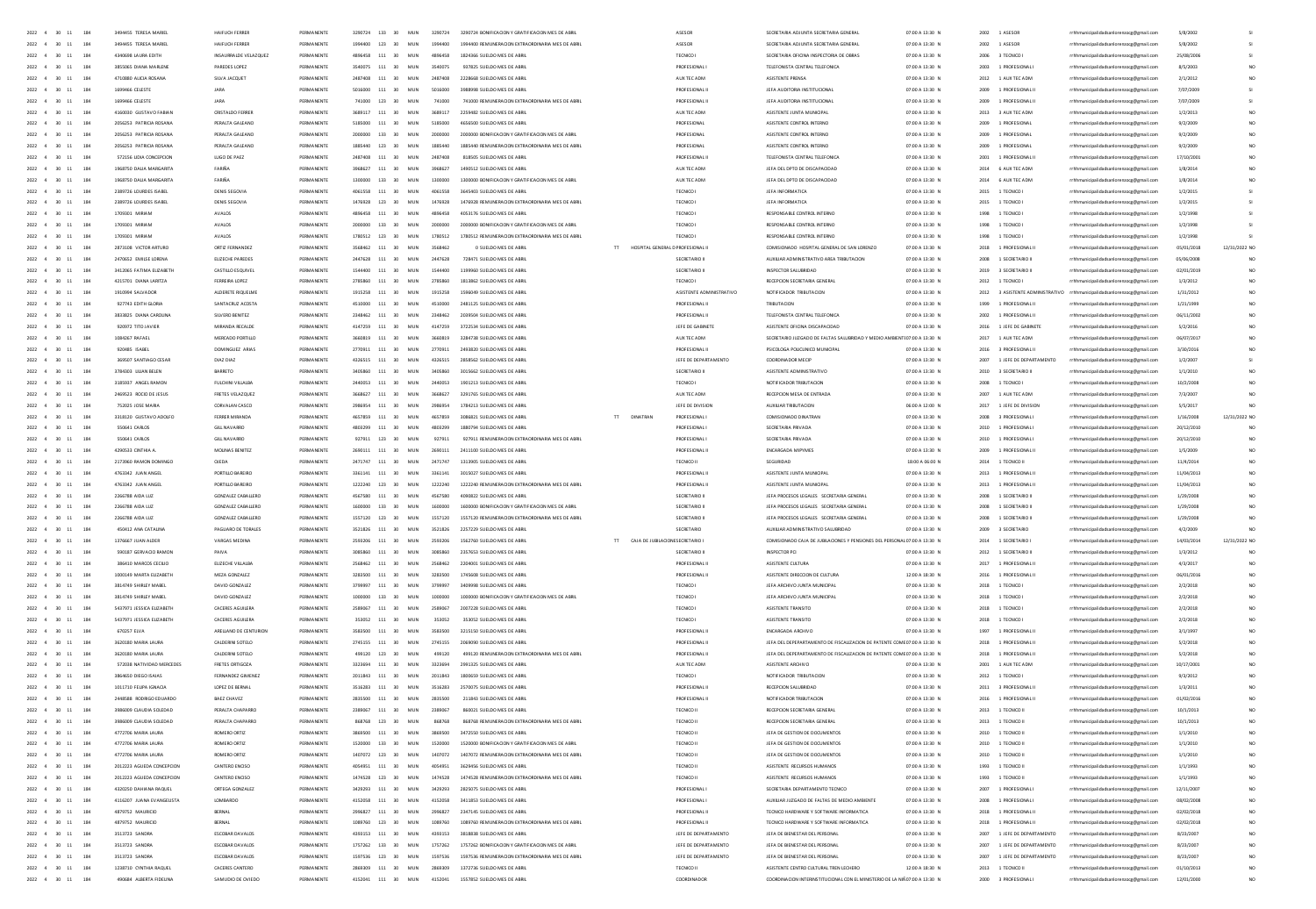| 2022 4 30 11 184                                                                                         | 3494455 TERESA MARIE                             | HAIFUCH FERRER                       | PERMANENTE               |                | 3290724 133 30                   | MUN                           | 3290724            | 3290724 BONIFICACION Y GRATIFICACION MES DE ABR                                                           | ASESOR                    | SECRETARIA ADJUNTA SECRETARIA GENERA                                                                                 | 07:00 A 13:30 N                    | 2002         | 1 ASESOR                           | rrhhmunicipalidadsanlorenzocg@gmail.com                                            | 5/8/2002               |                 |
|----------------------------------------------------------------------------------------------------------|--------------------------------------------------|--------------------------------------|--------------------------|----------------|----------------------------------|-------------------------------|--------------------|-----------------------------------------------------------------------------------------------------------|---------------------------|----------------------------------------------------------------------------------------------------------------------|------------------------------------|--------------|------------------------------------|------------------------------------------------------------------------------------|------------------------|-----------------|
| 2022 4 30 11<br>184                                                                                      | 3494455 TERESA MARIEL                            | HAIFUCH FERRER                       | PERMANENTE               |                | 1994400 123 30                   | MUN                           | 1994400            | 1994400 REMUNERACION EXTRAORDINARIA MES DE ABRIL                                                          | ASESOR                    | SECRETARIA ADJUNTA SECRETARIA GENERAL                                                                                | 07:00 A 13:30 N                    | 2002         | 1 ASESOR                           | rrhhmunicipalidadsanlorenzoce@email.com                                            | 5/8/2002               |                 |
| 2022 4<br>30 11<br>184                                                                                   | 4340698 LAURA EDITH                              | INSAURRALDE VELAZQUEZ                | PERMANENTE               | 4896458        | 111                              | 30<br>MUN                     | 4896458            | 1824366 SUELDO MES DE ABR                                                                                 | TECNICO I                 | SECRETARIA OFICINA INSPECTORIA DE OBRAS                                                                              | 07:00 A 13:30 N                    |              | 2006 3 TECNICO I                   | rrhhmunicipalidadsanlorenzocg@gmail.com                                            | 25/08/2006             |                 |
| 184<br>2022 4 30 11                                                                                      | 3855065 DIANA MARLEN                             | PAREDES LOPEZ                        | PERMANENTE               |                | 3540075 111 30                   | MUN                           | 3540075            | 937825 SUELDO MES DE ABRIL                                                                                | <b>PROFESIONALI</b>       | TELEFONISTA CENTRAL TELEFONICA                                                                                       | 07:00 A 13:30 N                    | 2003         | 1 PROFESIONAL I                    | rrhhmunicipalidadsanlorenzocg@gmail.com                                            | 8/5/2003               |                 |
| 184<br>2022 4<br>30<br>11                                                                                | 4710880 AUGA ROSANA                              | SILVA JACQUET                        | PERMANENTE               | 2487408        | 111                              | MUN<br>30                     | 2487408            | 2228668 SUELDO MES DE ABRI                                                                                | AUX TEC ADM               | ASISTENTE PRENSA                                                                                                     | 07:00 A 13:30 N                    | 2012         | 1 AUX TEC ADM                      | rrhhmunicipalidadsanlorenzocg@gmail.com                                            | 2/1/2012               |                 |
| 2022<br>184                                                                                              | 1699466 CELEST                                   | JARA                                 | PERMANENTE               |                | 111                              | MUN                           |                    |                                                                                                           | <b>PROFESIONALI</b>       | JEFA AUDITORIA INSTITUCION                                                                                           | 07:00 A 13:30 N                    | 2009         | 1 PROFESIONAL                      | rrhhmunicipalidadsanlorenzocg@gmail.com                                            | 7/07/200               |                 |
| 2022<br>$\overline{a}$<br>184                                                                            | 1699466 CELESTI                                  | JARA                                 | PERMANENTE               |                | 123                              | MUN                           |                    | 741000 REMUNERACION EXTRAORDINARIA MES DE ABRI                                                            | PROFESIONAL               | JEFA AUDITORIA INSTITUCIONA                                                                                          | 07:00 A 13:30 N                    | 2009         | 1 PROFESIONAL                      | rrhhmunicipalidadsanlorenzocg@gmail.com                                            | 7/07/20                |                 |
| 184                                                                                                      | 4160030 GUSTAVO FA                               | <b>CRISTALDO FERR</b>                | PERMANENT                |                | 111                              |                               |                    |                                                                                                           | AUX TEC ADM               | ASISTENTE JUNTA MUNI                                                                                                 | 07:00 A 13:30 f                    | 2013         | 3 AUX TEC ADM                      | rrhhmunicipalidadsanlorenzocg@gmail.com                                            | 1/2/2013               |                 |
| 2022 4<br>$\infty$<br>184                                                                                | 2056253 PATRICIA ROSANA                          | PERALTA GALEANO                      | PERMANENTS               | <b>C195000</b> | 111                              | 30<br>MIN                     | 5185000            | ARSASOD SUELDO MES DE AR                                                                                  | PROFESIONA                | ASISTENTE CONTROL INTERNO                                                                                            | 07:00 A 13:30 N                    | 2009         | 1 PROFESIONAL                      | rrhhmunicipalidadsanlorenzocg@gmail.co                                             | 9/2/2005               |                 |
| 2022 4 30<br>11<br>184                                                                                   | 2056253 PATRICIA ROSANA                          | PERAITA GALEANO                      | PERMANENTE               |                | 2000000 133                      | 30 <sub>2</sub><br>MIN        | zonoon             | 2000000 BONIFICACION Y GRATIFICACION MES DE ABRI                                                          | PROFESIONAL               | ASISTENTE CONTROL INTERNO                                                                                            | 07:00 A 13:30 N                    | 2009         | 1 PROFESIONAL                      | rrhhmunicipalidadsanlorenzocg@gmail                                                | 9/2/2009               |                 |
| 2022 4 30<br>11<br>184                                                                                   | 2056253 PATRICIA ROSANA                          | PERALTA GALEANO                      | PERMANENTE               |                | 1885440 123                      | 30 <sub>2</sub><br>MIN        | 1885440            | 1885440 REMUNERACION EXTRAORDINARIA MES DE ABR                                                            | PROFESIONA                | ASISTENTE CONTROL INTERNO                                                                                            | 07:00 A 13:30 N                    | 2009         | 1 PROFESIONAL                      | rhhmunicipalidadsanlorenzocg@gmail.e                                               | 9/2/2005               |                 |
| 184<br>2022 4 30 11                                                                                      | 572156 UDIA CONCEPTION                           | <b>HIGO DE PAEZ</b>                  | PERMANENTE               |                | 2487408 111 30                   | MIN                           | 2487408            | <b>RISSOS SUELDO MES DE ARR</b>                                                                           | PROFESIONAL I             | TELEFONISTA CENTRAL TELEFONICA                                                                                       | 07:00 A 13:30 N                    | 2001         | 1 PROFESIONAL II                   | rrhhmunicipalidadsanlorenzocg@gmail.cc                                             | 17/10/2001             |                 |
| 2022 4 30 11<br>184                                                                                      | 1968750 DAUA MARGARITA                           | FARIÑA                               | PERMANENTE               |                | 3968627 111 30                   | MUN                           | 3968627            | 1490512 SUELDO MES DE ABRIL                                                                               | AUX TEC ADM               | JEFA DEL DPTO DE DISCAPACIDAD                                                                                        | 07:00 A 13:30 N                    |              | 2014 6 AUX TEC ADM                 | rrhhmunicipalidadsanlorenzoce@email.com                                            | 1/8/2014               |                 |
| 2022 4 30 11<br>184                                                                                      | 1968750 DAUA MARGARITA                           | FARIÑA                               | PERMANENTE               |                | 1300000 133 30                   | MUN                           | 1300000            | 1300000 BONIFICACION Y GRATIFICACION MES DE ABRIL                                                         | AUX TEC ADM               | JEFA DEL DPTO DE DISCAPACIDAD                                                                                        | 07:00 A 13:30 N                    |              | 2014 6 AUX TEC ADM                 | rrhhmunicipalidadsanlorenzoce@email.com                                            | 1/8/2014               |                 |
| 2022 4 30 11<br>184                                                                                      | 2389726 LOURDES ISABEL                           | DENIS SEGOVIA                        | PERMANENTE               |                | 4061558 111 30                   | MUN                           | 4061558            | 3645403 SUELDO MES DE ABRI                                                                                | TECNICO I                 | JEFA INFORMATICA                                                                                                     | 07:00 A 13:30 N                    |              | 2015 1 TECNICO I                   | rrhhmunicipalidadsanlorenzoce@email.com                                            | 1/2/2019               |                 |
| 184<br>2022 4 30<br>11<br>184                                                                            | 2389726 LOURDES ISABEL                           | DENIS SEGOVU                         | PERMANENTE               |                | 1476928 123 30<br>4896458 111 30 | MUN                           | 1476928            | 1476928 REMUNERACION EXTRAORDINARIA MES DE ABRIL                                                          | TECNICO I                 | JEFA INFORMATICA                                                                                                     | 07:00 A 13:30 N                    |              | 2015 1 TECNICO I                   | rrhhmunicipalidadsanlorenzocg@gmail.com                                            | 1/2/2015               |                 |
| 2022 4 30<br>11                                                                                          | 1709301 MIRIAN                                   | AVALOS                               | PERMANENTE               |                |                                  | MUN                           | 4896458            | 4053176 SUELDO MES DE ABRI                                                                                | <b>TECNICO</b>            | RESPONSABLE CONTROL INTERNO                                                                                          | 07:00 A 13:30 N                    | 1998         | 1 TECNICO I                        | rrhhmunicipalidadsanlorenzocg@gmail.com                                            | 1/2/1998               |                 |
| 184<br>2022 4 30<br>$11$                                                                                 | 1709301 MIRIAN                                   | AVALOS                               | PERMANENTE               |                | 2000000 133 30                   | MUN                           | 2000000            | 2000000 BONIFICACION Y GRATIFICACION MES DE ABRI                                                          | <b>TECNICO</b>            | RESPONSABLE CONTROL INTERNO                                                                                          | 07:00 A 13:30 N<br>07:00 A 13:30 N |              | 1998 1 TECNICO I                   | rrhhmunicipalidadsanlorenzocg@gmail.com                                            | 1/2/1998               |                 |
| 2022 4<br>184<br>30<br>11<br>2022<br>184                                                                 | 1709301 MIRIAN<br>2873108 VICTOR ARTURI          | AVALOS<br>ORTIZ FERNANDE             | PERMANENTE<br>PERMANENTE |                | 1780512 123 30<br>111            | MUN<br>30                     | 1780512            | 1780512 REMUNERACION EXTRAORDINARIA MES DE ABRIL<br>0 SUELDO MES DE ABR<br>HOSPITAL GENERAL D PROFESIONAL | TECNICO                   | RESPONSABLE CONTROL INTERNO<br>COMISIONADO HOSPITAL GENERAL DE SAN LORENZO                                           | 07:00 A 13:30 N                    | 1998<br>2018 | 1 TECNICO I<br>1 PROFESIONAL       | rrhhmunicipalidadsanlorenzocg@gmail.com<br>rrhhmunicipalidadsanlorenzocg@gmail.com | 1/2/1998<br>05/01/2018 | 12/31/2022 NO   |
| 2022 4<br>184                                                                                            | 2470652 EMILSE LORENA                            | EUZECHE PAREDES                      | PERMANENTE               |                | 2447628 111                      | MUN<br>30<br>MUN              | 2447628            | 728471 SUELDO MES DE ABRI                                                                                 | SECRETARIO II             | AUXILIAR ADMINISTRATIVO AREA TRIBUTACION                                                                             | 07:00 A 13:30 N                    | 2008         | 1 SECRETARIO II                    | rrhhmunicipalidadsanlorenzocg@gmail.com                                            | 05/06/2008             |                 |
| 2022<br>184                                                                                              | 3412065 FATIMA EUZABETH                          | CASTILLO ESQUIVE                     | PERMANENTE               |                | 111                              | 30<br>MUN                     | 1544400            | 1199960 SUELDO MES DE ABRI                                                                                | SECRETARIO II             | INSPECTOR SALUBRIDAL                                                                                                 | 07:00 A 13:30 N                    | 2019         | 3 SECRETARIO                       | rrhhmunicipalidadsanlorenzocg@gmail.com                                            | 02/01/201              |                 |
| 2022 4<br>184                                                                                            | 4215701 DIANA LARITZA                            | FERREIRA LOPEZ                       | PERMANENTE               |                | 2785860 111                      | 30<br>MUN                     | 2785860            | 1813862 SUELDO MES DE ABRI                                                                                | TECNICO I                 | RECEPCION SECRETARIA GENERA                                                                                          | 07:00 A 13:30 N                    | 2012         | 1 TECNICO I                        | rrhhmunicipalidadsanlorenzocg@gmail.com                                            | 1/3/2012               |                 |
| 2022 4<br>30 <sub>1</sub><br>11<br>184                                                                   | 1910994 SALVADOR                                 | ALDERETE BIOLIFIME                   | PERMANENTE               |                | 1915258 111 30                   | MIN                           | 1915258            | 1596049 SUELDO MES DE ABRI                                                                                | ASISTENTE ADMINISTRATIVO  | NOTIFICADOR TRIBUTACION                                                                                              | 07:00 A 13:30 N                    | 2012         |                                    | 3 ASISTENTE ADMINISTRATIVO rrhhmunicipalidadianlorenzocg@gmail.com                 | 1/31/2012              |                 |
| 2022 4<br>$\infty$<br>184                                                                                | 927743 EDITH GLORIA                              | SANTACRUZ ACOSTA                     | PERMANENTE               |                | 4510000 111 30                   | MUN                           | 4510000            | 2481125 SUELDO MES DE ABRI                                                                                | PROFESIONAL I             | TRIBUTACION                                                                                                          | 07:00 A 13:30 N                    | 1999         | 1 PROFESIONAL                      | rrhhmunicipalidadsanlorenzocg@gmail.com                                            | 1/21/1995              |                 |
| 184<br>2022 4<br>30 <sub>1</sub><br>11                                                                   | 3833825 DIANA CAROLINA                           | SILVERO RENITEZ                      | PERMANENTE               |                | 2348462 111 30                   | MIN                           | 2348462            | 2039504 SUFLDO MES DE ARRI                                                                                | PROFESIONAL II            | TELEFONISTA CENTRAL TELEFONICA                                                                                       | 07:00 A 13:30 N                    | 2002         | 1 PROFESIONAL II                   | rrhhmunicipalidadsanlorenzocg@gmail.com                                            | 06/11/2002             |                 |
| 2022 4<br>184<br>30 <sub>1</sub><br>11                                                                   | 920972 TITO JAVIER                               | MIRANDA RECALDE                      | PERMANENTE               |                | 4147259 111 30                   | MUN                           | 4147259            | 3722534 SUELDO MES DE ABRIL                                                                               | JEFE DE GABINETE          | ASISTENTE OFICINA DISCAPACIDAD                                                                                       | 07:00 A 13:30 N                    | 2016         | 1 JEFE DE GABINETE                 | rrhhmunicipalidadsanlorenzoog@gmail.com                                            | 5/2/2016               | NO <sub>1</sub> |
| 184<br>2022 4<br>$-30$<br>11                                                                             | 1084267 RAFAEL                                   | MERCADO PORTILLO                     | PERMANENTE               | 9180845        | 111 30                           | MUN                           | 3550819            | 3284738 SUELDO MES DE ABRIL                                                                               | AUX TEC ADM               | SECRETARIO JUZGADO DE FALTAS SALUBRIDAD Y MEDIO AMBIENTEO7:00 A 13:30 N                                              |                                    | 2017         | 1 AUX TEC ADM                      | rrhhmunicipalidadsanlorenzocg@gmail.com                                            | 06/07/2013             |                 |
| 2022 4<br>184<br>$-30$<br>11                                                                             | 920485 ISABEL                                    | DOMINGUEZ ARIAS                      | PERMANENTE               |                | 2770911 111 30                   | MUN                           | 2770911            | 2493820 SUELDO MES DE ABRIL                                                                               | PROFESIONAL II            | PSICOLOGA POLICUNICO MUNICIPAL                                                                                       | 07:00 A 13:30 N                    |              | 2016 3 PROFESIONAL II              | rrhhmunicipalidadsanlorenzoce@email.com                                            | 3/30/2016              |                 |
| 184<br>2022 4<br>30<br>11                                                                                | 369507 SANTIAGO CESAR                            | DIAZ DIAZ                            | PERMANENTE               |                | 4326515 111 30                   | MUN                           | 4326515            | 2858562 SUELDO MES DE ABRIL                                                                               | JEFE DE DEPARTAMENTO      | COORDINADOR MECIP                                                                                                    | 07:00 A 13:30 N                    | 2007         | 1 JEFE DE DEPARTAMENTO             | rrhhmunicipalidadsanlorenzocg@gmail.com                                            | 1/2/2007               |                 |
| 184<br>2022 4<br>30                                                                                      | 3784303 LILIAN BELEN                             | BARRETO                              | PERMANENTE               |                | 111 30                           | MUN                           |                    | 3015662 SUELDO MES DE ABR                                                                                 | SECRETARIO III            | ASISTENTE ADMINISTRATIVO                                                                                             | 07:00 A 13:30 N                    | 2010         | 3 SECRETARIO II                    | rrhhmunicipalidadsanlorenzocg@gmail.com                                            | 1/1/2010               |                 |
| 184<br>2022 4<br>30<br>11                                                                                | 3185937 ANGEL RAMON                              | FULCHINI VILLALBA                    | PERMANENTE               | 2440053        | 111 30                           | MUN                           | 2440053            | 1901213 SUELDO MES DE ABRIL                                                                               | TECNICO I                 | NOTIFICADOR TRIBUTACION                                                                                              | 07:00 A 13:30 N                    | 2008         | 1 TECNICO I                        | rrhhmunicipalidadsanlorenzocg@gmail.com                                            | 10/2/2008              |                 |
| 184<br>$2022 - 4$<br>30                                                                                  | 2469523 ROCIO DE JESUS                           | FRETES VELAZQUEZ                     | PERMANENTE               |                | 111                              | MUN<br>30                     |                    | 3291765 SUELDO MES DE ABR                                                                                 | AUX TEC ADM               | RECEPCION MESA DE ENTRADA                                                                                            | 07:00 A 13:30 N                    | 2007         | 1 AUX TEC ADM                      | rrhhmunicipalidadsanlorenzocg@gmail.com                                            | 7/3/2007               |                 |
| 184                                                                                                      |                                                  | CORVALAN CASCO                       |                          |                | 111                              | MUN                           |                    | 1784213 SUELDO MES DE ABR                                                                                 | JEFE DE DIVIS             | AUXIUAR TRIBUTACION                                                                                                  | 06:00 A 12:00 N                    | 2017         | 1 JEFE DE DIVISION                 | rrhhmunicipalidadsanlorenzoog@gmail.com                                            | 5/5/201                |                 |
| 2022 4<br>30<br>184                                                                                      | 3318120 GUSTAVO ADOLFO                           | CCOOCD MIDANING                      | PERMANENTE               | <b>ACCTOCO</b> | 111                              | 30<br>MUN                     | ACCTOCC            | DINATRAN<br>3086821 SUELDO MES DE ABRI<br>$\mathbf{H}$                                                    | PROFESIONAL               | COMICIONADO DINATRAS                                                                                                 | 07:00 A 13:30 N                    | 2008         | 3 PROFESIONAL                      | municipalidadsanlorenzocg@gmail.co                                                 | 1/16/200               | 12/31/2022 NO   |
| 2022<br>184                                                                                              | 550641 CARLOS                                    | <b>GILL NAVARRO</b>                  | PERMANENTE               |                | 111                              | 30 <sup>2</sup><br>MUN        |                    | 1794 SUELDO MES DE ABR                                                                                    |                           | SECRETARIA PRIVAD                                                                                                    | 07:00 A 13:30 N                    | 2010         |                                    | nicipalidadsanlorenzocg@gmail.com                                                  | 20/12/20               |                 |
| 2022 4 30<br>11<br>184                                                                                   | 550641 CARLOS                                    | <b>GILL NAVARRO</b>                  | PERMANENTE               | 927911         | 123 30                           | MUN                           | 927911             | 927911 REMUNERACION EXTRAORDINARIA MES DE ABRI                                                            | PROFESIONAL               | SECRETARIA PRIVADA                                                                                                   | 07:00 A 13:30 N                    | 2010         | 1 PROFESIONAL                      | rhhmunicipalidadsanlorenzocg@gmail.                                                | 20/12/2010             |                 |
| 184<br>2022 4 30 11                                                                                      | 4290533 CINTHIA A                                | MOUNAS RENITEZ                       | PERMANENTE               | 2690111        | 111 30                           | MIN                           | 2690111            | 2411100 SUFLDO MES DE ABRIL                                                                               | PROFESIONAL I             | <b>ENCARGADA MIPYMES</b>                                                                                             | 07:00 A 13:30 N                    | 2009         | 1 PROFESIONAL II                   | rrhhmunicipalidadsanlorenzocg@gmail.co                                             | 1/5/2005               |                 |
| 2022 4 30 11<br>184                                                                                      | 2173960 RAMON DOMINGO                            | OIFDA                                | PERMANENTE               | 2471747        | 111 30                           | MIN                           | 2471747            | 1313905 SUELDO MES DE 488                                                                                 | TECNICO II                | SEGURIDAD                                                                                                            | 18:00 A 06:00 N                    | 2014         | 1 TECNICO II                       | rhhmunicipalidadsanlorenzocg@gmail.cc                                              | 11/4/2014              |                 |
| 2022 4 30 11<br>184                                                                                      | 4763342 JUAN ANGEL                               | PORTILLO BAREIRO                     | PERMANENTE               |                | 3361141 111 30                   | MUN                           | 3361141            | 3015027 SUELDO MES DE ABRIL                                                                               | PROFESIONAL I             | ASISTENTE JUNTA MUNICIPAL                                                                                            | 07:00 A 13:30 N                    | 2013         | 1 PROFESIONAL II                   | rrhhmunicipalidadsanlorenzocg@gmail.com                                            | 11/04/2013             |                 |
| 2022 4 30 11<br>184                                                                                      | 4763342 JUAN ANGEL                               | PORTILLO BAREIRO                     | PERMANENTE               |                | 1222240 123 30                   | MUN                           | 1222240            | 1222240 REMUNERACION EXTRAORDINARIA MES DE ABRIL                                                          | PROFESIONAL I             | ASISTENTE JUNTA MUNICIPAL                                                                                            | 07:00 A 13:30 N                    | 2013         | 1 PROFESIONAL II                   | rrhhmunicipalidadsanlorenzoce@email.com                                            | 11/04/2013             |                 |
| $2022\quad \  4\quad \  \  30\quad \  11$<br>184                                                         | 2266788 AIDA LUZ                                 | GONZALEZ CABALLERO                   | PERMANENTE               |                | 4567580 111 30                   | MUN                           | 4567580            | 4090822 SUELDO MES DE ABRIL                                                                               | SECRETARIO III            | JEFA PROCESOS LEGALES SECRETARIA GENERA                                                                              | 07:00 A 13:30 N                    |              | 2008 1 SECRETARIO III              | rrhhmunicipalidadsanlorenzocg@gmail.com                                            | 1/29/2008              |                 |
| 2022 4 30 11<br>184                                                                                      | 2266788 AIDA LUZ                                 | <b>GONZALEZ CABALLERO</b>            | PERMANENTE               |                | 1600000 133 30                   | MUN                           | 1600000            | 1600000 BONIFICACION Y GRATIFICACION MES DE ABRIL                                                         | SECRETARIO III            | JEFA PROCESOS LEGALES SECRETARIA GENERA                                                                              | 07:00 A 13:30 N                    |              | 2008 1 SECRETARIO III              | rrhhmunicipalidadsanlorenzoce@email.com                                            | 1/29/2008              |                 |
| 2022 4 30 11<br>184                                                                                      | 2266788 AIDA LUZ                                 | GONZALEZ CABALLERO                   | PERMANENTE               |                | 1557120 123 30                   | MUN                           | 1557120            | 1557120 REMUNERACION EXTRAORDINARIA MES DE ABRIL                                                          | SECRETARIO III            | JEFA PROCESOS LEGALES SECRETARIA GENERA                                                                              | 07:00 A 13:30 N                    |              | 2008 1 SECRETARIO III              | rrhhmunicipalidadsanlorenzocg@gmail.com                                            | 1/29/200               |                 |
| 2022 4<br>30<br>184<br>$11$                                                                              | 450412 ANA CATALINA                              | PAGUARD DE TORALES                   | PERMANENTE               | 3521826        | 111 30                           | MUN                           | 3521826            | 2257229 SUELDO MES DE ABRI                                                                                | SECRETARIO                | AUXIUAR ADMINISTRATIVO SALUBRIDAD                                                                                    | 07:00 A 13:30 N                    | 2009         | 3 SECRETARIO                       | rrhhmunicipalidadsanlorenzocg@gmail.com                                            | 4/2/2005               |                 |
| 2022 4<br>184<br>30<br>$11$                                                                              | 1376667 JUAN ALDER                               | VARGAS MEDINA                        | PERMANENTE               |                | 111 30                           | MUN                           | 2593206            | 1562760 SUELDO MES DE ABRI<br>CAJA DE JUBLACIONE SECRETARIO                                               |                           | COMISIONADO CAJA DE JUBILACIONES Y PENSIONES DEL PERSONAL 07:00 A 13:30 N                                            |                                    | 2014         | 1 SECRETARIO                       | rrhhmunicipalidadsanlorenzocg@gmail.com                                            | 14/03/2014             | 12/31/2022 NO   |
| $2022 - 4$<br>184<br>30<br>$11\,$                                                                        | 590187 GERVACIO RAMON                            |                                      | PERMANENTE               |                | 111                              | 30<br>MUN                     | 3085860            | 2357653 SUELDO MES DE ABR                                                                                 | SECRETARIO II             | INSPECTOR PO                                                                                                         | 07:00 A 13:30 N                    | 2012         | 1 SECRETARIO II                    | rrhhmunicipalidadsanlorenzocg@gmail.com                                            | 1/3/2012               |                 |
| 2022 4<br>184                                                                                            | 386410 MARCOS CECIUO                             | EUZECHE VILLALB                      | PERMANENT                |                | 111                              | 30<br>MUN                     |                    | 2204001 SUELDO MES DE ABRI                                                                                | PROFESIONAL               | ASISTENTE CULTURA                                                                                                    | 07:00 A 13:30 N                    | 2017         | 1 PROFESIONAL                      | rrhhmunicipalidadsanlorenzocg@gmail.com                                            | 4/3/2017               |                 |
| 2022 4<br>$11\,$<br>184                                                                                  | 1000149 MARTA ELIZABETH                          | MEZA GONZALEZ                        | PERMANENTE               |                | 3283500 111                      | 30<br>MUN                     | 3283500            | 1745608 SUELDO MES DE ABRI                                                                                | PROFESIONAL               | ASISTENTE DIRECCION DE CULTURI                                                                                       | 12:00 A 18:30 N                    | 2016         | 1 PROFESIONAL                      | rrhhmunicipalidadsanlorenzocg@gmail.com                                            | 06/01/2016             |                 |
| 2022 4<br>184                                                                                            | 3814749 SHIRLEY MABEL                            | DAVID GONZALEZ                       | PERMANENTI               |                | 111                              | 30<br>MUN                     |                    | 3409998 SUELDO MES DE ABR                                                                                 | TECNICO                   | JEFA ARCHIVO JUNTA MUNICIPA                                                                                          |                                    |              | 1 TECNICO                          | rrhhmunicipalidadsanlorenzoog@gmail.co                                             | 2/2/2018               |                 |
| 2022 4<br>30 <sub>1</sub><br>11<br>184                                                                   | 3814749 SHIRLEY MABEL                            | DAVID GONZALEZ                       | PERMANENTE               |                | 1000000 133 30                   |                               | sonono             |                                                                                                           |                           |                                                                                                                      | 07:00 A 13:30 N                    | 2018         |                                    |                                                                                    | 2/2/2018               |                 |
| $2022 - 4 = 30$<br>184<br>11                                                                             | 5437971 IFSSICA FIIZARETH                        | CACERES AGUILERA                     |                          |                |                                  | MUN                           |                    | 1000000 BONIFICACION Y GRATIFICACION MES DE ABR                                                           | TECNICO I                 | JEFA ARCHIVO JUNTA MUNICIPA                                                                                          | 07:00 A 13:30 N                    | 2018         | 1 TECNICO I                        | rrhhmunicipalidadsanlorenzocg@gmail.com                                            |                        |                 |
| $2022 - 4 = 30$<br>11<br>184                                                                             | 5437971 IFSSICA FIIZARETH                        |                                      | PERMANENTE               | 2589067        | 111 30                           | MIN                           | 2589067            | 2007228 SUELDO MES DE ABR                                                                                 | TECNICO I                 | ASISTENTE TRANSITO                                                                                                   | 07:00 A 13:30 N                    |              | 2018 1 TECNICO I                   | rrhhmunicipalidadsanlorenzocg@gmail.com                                            | 2/2/2018               |                 |
| 2022 4 30<br>184<br>11                                                                                   |                                                  | CACERES AGUILERA                     | PERMANENTE               |                | 353052 111 30                    | MIN                           | 353057             | 353052 SUFLDO MES DE ARR                                                                                  | TECNICOL                  | ASISTENTE TRANSITO                                                                                                   | 07:00 A 13:30 N                    | 2018         | 1 TECNICO                          | rrhhmunicipalidadsanlorenzocg@gmail.com                                            | 2/2/2018               |                 |
| 2022 4 30 11<br>184                                                                                      | 670257 ELVA                                      | ARELLANO DE CENTURION                | PERMANENTE               |                | 3583500 111 30                   | MUN                           | 3583500            | 3215150 SUELDO MES DE ABRIL                                                                               | PROFESIONAL               | ENCARGADA ARCHIVO                                                                                                    | 07:00 A 13:30 N                    | 1997         | 1 PROFESIONAL II                   | rrhhmunicipalidadsanlorenzoog@gmail.com                                            | 3/1/1997               |                 |
|                                                                                                          | 3620180 MARIA LAURA                              | CALDERINI SOTELO                     | PERMANENTE               |                | 2745155 111 30                   | MUN                           | 2745155            | 2069090 SUELDO MES DE ABRIL                                                                               | PROFESIONALI              | JEFA DEL DEPEPARTAMENTO DE FISCAUZACION DE PATENTE COME07:00 A 13:30 N                                               |                                    |              | 2018 1 PROFESIONAL II              | rrhhmunicipalidadsanlorenzoce@email.com                                            | 5/2/2018               |                 |
| 184<br>2022 4<br>30<br>11                                                                                | 3620180 MARIA LAURA                              | CALDERINI SOTELO                     | PERMANENTE               |                | 499120 123                       | 30<br>MUN                     | 499120             | 499120 REMUNERACION EXTRAORDINARIA MES DE ABRIL                                                           | PROFESIONAL I             | JEFA DEL DEPEPARTAMENTO DE FISCAUZACIÓN DE PATENTE COME07:00 A 13:30 N                                               |                                    |              | 2018 1 PROFESIONAL II              | rrhhmunicipalidadsanlorenzocg@gmail.com                                            | 5/2/2018               |                 |
| 2022 4<br>184<br>$-30$<br>11                                                                             | 572038 NATIVIDAD MERCEDES                        | FRETES ORTIGOZA                      | PERMANENTE               | 3323694        | 111                              | MIN<br>30 <sub>2</sub>        | 3323694            | 2991325 SUELDO MES DE ARRI                                                                                | AUX TEC ADM               | ASISTENTE ARCHIVO                                                                                                    | 07:00 A 13:30 N                    | 2001         | 1 AUX TEC ADM                      | rrhhmunicipalidadsanlorenzocg@gmail.com                                            | 10/17/2001             |                 |
| 184<br>2022 4<br>30<br>11                                                                                | 3864650 DIEGO ISAIAS                             | FERNANDEZ GIMENEZ                    | PERMANENTE               | 2011843        | 111                              | MUN<br>30                     | 2011843            | 1800659 SUELDO MES DE ABR                                                                                 | TECNICO I                 | NOTIFICADOR TRIBUTACION                                                                                              | 07:00 A 13:30 N                    | 2012         | 1 TECNICO I                        | rrhhmunicipalidadsanlorenzocg@gmail.com                                            | 9/3/2012               |                 |
| 184<br>$2022 - 4$                                                                                        | 1011710 FEUPA IGNACIA                            | LOPEZ DE BERNA                       | PERMANENTE               |                | 111                              | MUN                           | 3516283            |                                                                                                           | <b>PROFESIONALI</b>       | RECEPCION SALUBRIDA                                                                                                  | 07:00 A 13:30 N                    | 2011         | 3 PROFESIONAL                      | rrhhmunicipalidadsanlorenzocg@gmail.com                                            | 1/3/2011               |                 |
| 2022 4<br>184<br>30                                                                                      | 2448588 RODRIGO EDUARDO                          | BAEZ CHAVEZ                          | PERMANENTE               |                | 111                              | MUN                           | 2835500            | 211843 SUELDO MES DE ABRI                                                                                 | <b>PROFESIONAL</b>        | NOTIFICADOR TRIBUTACION                                                                                              | 07:00 A 13:30 N                    | 2016         | 1 PROFESIONAL II                   | rrhhmunicipalidadsanlorenzocg@gmail.com                                            | 01/02/2016             |                 |
| $2022 - 4$<br>184                                                                                        | 3986009 CLAUDIA SOLEDA                           | PERALTA CHAPAR                       |                          |                | 111                              |                               |                    |                                                                                                           | TECNICO I                 | RECEPCION SECRETARIA GENER                                                                                           | 07:00 A 13:30 N                    | 2013         | 1 TECNICO II                       | rrhhmunicipalidadsanlorenzocg@gmail.com                                            | 10/1/201               |                 |
| 2022 4<br>$\infty$<br>184                                                                                | 3986009 CLAUDIA SOLEDAD                          | PERALTA CHAPARRO                     | PERMANENTS               | 000700         | 123                              | MIN                           |                    | 868768 REMUNERACION EXTRAORDINARIA MES DE ABR                                                             | TECNICO I                 | RECEPCION SECRETARIA GENERA                                                                                          | 07:00 A 13:30 N                    | 2013         | 1 TECNICO I                        | rrhhmunicipalidadsanlorenzocg@gmail.co                                             | 10/1/201               |                 |
| 2022 4 30<br>11<br>184                                                                                   | 4772706 MARIA (AURA                              | BOMERO ORTIZ                         | PERMANENTE               |                | 3869500 111                      | 30 <sub>2</sub><br>MIN        |                    | 3472550 SUFLOOMES OF AR                                                                                   | TECNICO II                | JEFA DE GESTION DE DOCUMENTO                                                                                         | 07:00 A 13:30 N                    | 2010         | 1 TECNICO II                       | rrhhmunicipalidadsanlorenzocg@gmail.e                                              | 1/1/2010               |                 |
| 2022 4<br>30<br>184                                                                                      | 4772706 MARIA LAURA                              | ROMERO ORTIZ                         | <b>DCDMAN CMTC</b>       |                | 1520000 133                      | 20 <sup>o</sup><br><b>MUM</b> | 1530               | 1520000 BONIFICACION Y GRATIFICACION MES DE ABR                                                           | TECNICO I                 | JEFA DE GESTION DE DOCUMENTO                                                                                         | 07:00 A 13:30 N                    | 2010         | 1 TECNICO                          | rrhhmunicipalidadsanlorenzocg@gmai                                                 | 1/1/2010               |                 |
| 2022 4 30 11<br>184                                                                                      | 4772706 MARIA (AURA                              | BOMERO ORTIZ                         | PERMANENTE               |                | 1407072 123 30                   | MIN                           | 1407072            | 1407072 REMUNERACION EXTRAORDINARIA MES DE ARRI                                                           | TECNICO II                | JEEA DE GESTION DE DOCUMENTOS                                                                                        | 07:00 A 13:30 N                    |              | 2010 1 TECNICO II                  | rrhhmunicipalidadsanlorenzoog@gmail.cc                                             | 1/1/2010               |                 |
| 2022 4 30 11<br>184                                                                                      | 2012223 AGUEDA CONCEPCION                        | CANTERO ENCISO                       | PERMANENTE               |                | 4054951 111 30                   | MUN                           | 4054951            | 3629456 SUELDO MES DE ABR                                                                                 | TECNICO II                | ASISTENTE RECURSOS HUMANOS                                                                                           | 07:00 A 13:30 N                    |              | 1993 1 TECNICO II                  | rrhhmunicipalidadsanlorenzoce@email.com                                            | 1/1/1993               |                 |
| 2022 4 30 11<br>184                                                                                      | 2012223 AGUEDA CONCEPCION                        | CANTERO ENCISC                       | PERMANENTE               |                | 1474528 123 30                   | MIN                           | 1474528            | 1474528 BEMUNERACIÓN EXTRAORDINARIA MES DE ARRI                                                           | TECNICO II                | ASISTENTE RECURSOS HUMANOS                                                                                           | 07:00 A 13:30 N                    | 1993         | 1 TECNICO II                       | rrhhmunicipalidadsanlorenzoce@email.co                                             | 1/1/199                |                 |
| 2022 4 30 11<br>184                                                                                      | 4320250 DAHIANA RAQUEL                           | ORTEGA GONZALEZ                      | PERMANENTE               |                | 3429293 111 30                   | MUN                           | 3429293            | 2825075 SUELDO MES DE ABRI                                                                                | PROFESIONAL               | SECRETARIA DEPARTAMENTO TECNICO                                                                                      | 07:00 A 13:30 N                    |              | 2007 1 PROFESIONAL                 | rrhhmunicipalidadsanlorenzoce@email.com                                            | 12/11/2007             |                 |
| 2022 4 30 11<br>184                                                                                      | 4116207 JUANA EVANGELISTA                        | LOMBARDO                             | PERMANENTE               |                | 4152058 111 30                   | MIN                           | 4152058            | 3411853 SUELDO MES DE ABRI                                                                                | <b>PROFESIONALI</b>       | AUXIUAR JUZGADO DE FALTAS DE MEDIO AMBIENTE                                                                          | 07:00 A 13:30 N                    |              | 2008 1 PROFESIONAL                 | rrhhmunicipalidadsanlorenzocg@gmail.com                                            | 08/02/2008             |                 |
| 184<br>2022 4<br>30<br>$11$                                                                              | 4879752 MAURICIO                                 | BERNAL                               | PERMANENTE               |                | 2996827 111 30                   | MUN                           | 2996827            | 2347145 SUELDO MES DE ABRIL                                                                               | PROFESIONAL               | TECNICO HARDWARE Y SOFTWARE INFORMATICA                                                                              | 07:00 A 13:30 N                    | 2018         | 1 PROFESIONAL II                   | rrhhmunicipalidadsanlorenzocg@gmail.com                                            | 02/02/2018             |                 |
| 184<br>2022 4<br>30<br>$11$                                                                              | 4879752 MAURICIO                                 | BERNAL                               | PERMANENTE               |                | 1089760 123 30                   | MUN                           | 1089760            | 1089760 REMUNERACION EXTRAORDINARIA MES DE ABRI                                                           | PROFESIONAL I             | TECNICO HARDWARE Y SOFTWARE INFORMATICA                                                                              | 07:00 A 13:30 N                    |              | 2018 1 PROFESIONAL II              | rrhhmunicipalidadsanlorenzocg@gmail.com                                            | 02/02/2018             |                 |
| 2022 4<br>184<br>30<br>11                                                                                | 3513723 SANDRA                                   | ESCOBAR DAVALOS                      | PERMANENTE               |                | 111 30                           | MUN                           | 4393153            | 3818838 SUELDO MES DE ABRIL                                                                               | JEFE DE DEPARTAMENTO      | JEFA DE BIENESTAR DEL PERSONAL                                                                                       | 07:00 A 13:30 N                    | 2007         | 1 JEFE DE DEPARTAMENTO             | rrhhmunicipalidadsanlorenzocg@gmail.com                                            | 8/23/2007              |                 |
| $2022 - 4$<br>184                                                                                        | 3513723 SANDRA                                   | ESCOBAR DAVALOR                      | PERMANENTE               |                | 133                              | MUN                           | 1757262            | 1757262 BONIFICACION Y GRATIFICACION MES DE ABRI                                                          | JEFE DE DEPARTAMENTO      | JEFA DE BIENESTAR DEL PERSONA                                                                                        | 07:00 A 13:30 N                    | 2007         | 1 JEFE DE DEPARTAMENTO             | rrhhmunicipalidadsanlorenzocg@gmail.com                                            | 8/23/200               |                 |
| 2022 4<br>184                                                                                            | 3513723 SANDRA                                   | ESCOBAR DAVALOR                      | PERMANENTE               |                | 123                              | MUN                           | 1597536            | 1597536 REMUNERACION EXTRAORDINARIA MES DE ABRIL                                                          | JEFE DE DEPARTAMENTO      | JEFA DE BIENESTAR DEL PERSONAL                                                                                       | 07:00 A 13:30 N                    | 2007         | 1 JEFE DE DEPARTAMENTO             | rrhhmunicipalidadsanlorenzoce@email.com                                            | 8/23/200               |                 |
| $2022 \qquad 4 \qquad 30$<br>$\mathbf{11}$<br>184<br>$2022\quad \  \, 4\quad \  \  30\quad \  11$<br>184 | 1238710 CYNTHIA RAQUEL<br>490684 ALBERTA FIDEUNA | CACERES CANTERO<br>SAMUDIO DE OVIEDO | PERMANENTE<br>PERMANENTE | 2869309        | 111 30<br>4152041 111 30         | MUN<br>MUN                    | 2869309<br>4152041 | 1372736 SUELDO MES DE ABRIL<br>1557852 SUELDO MES DE ABRI                                                 | TECNICO II<br>COORDINADOR | ASISTENTE CENTRO CULTURAL TREN LECHERO<br>COORDINACION INTERINSTITUCIONAL CON EL MINISTERIO DE LA NIÑO7:00 A 13:30 N | 12:00 A 18:30 N                    | 2013         | 1 TECNICO II<br>2000 3 PROFESIONAL | rrhhmunicipalidadsanlorenzocg@gmail.com<br>rrhhmunicipalidadsanlorenzocg@gmail.com | 01/10/201<br>12/01/200 |                 |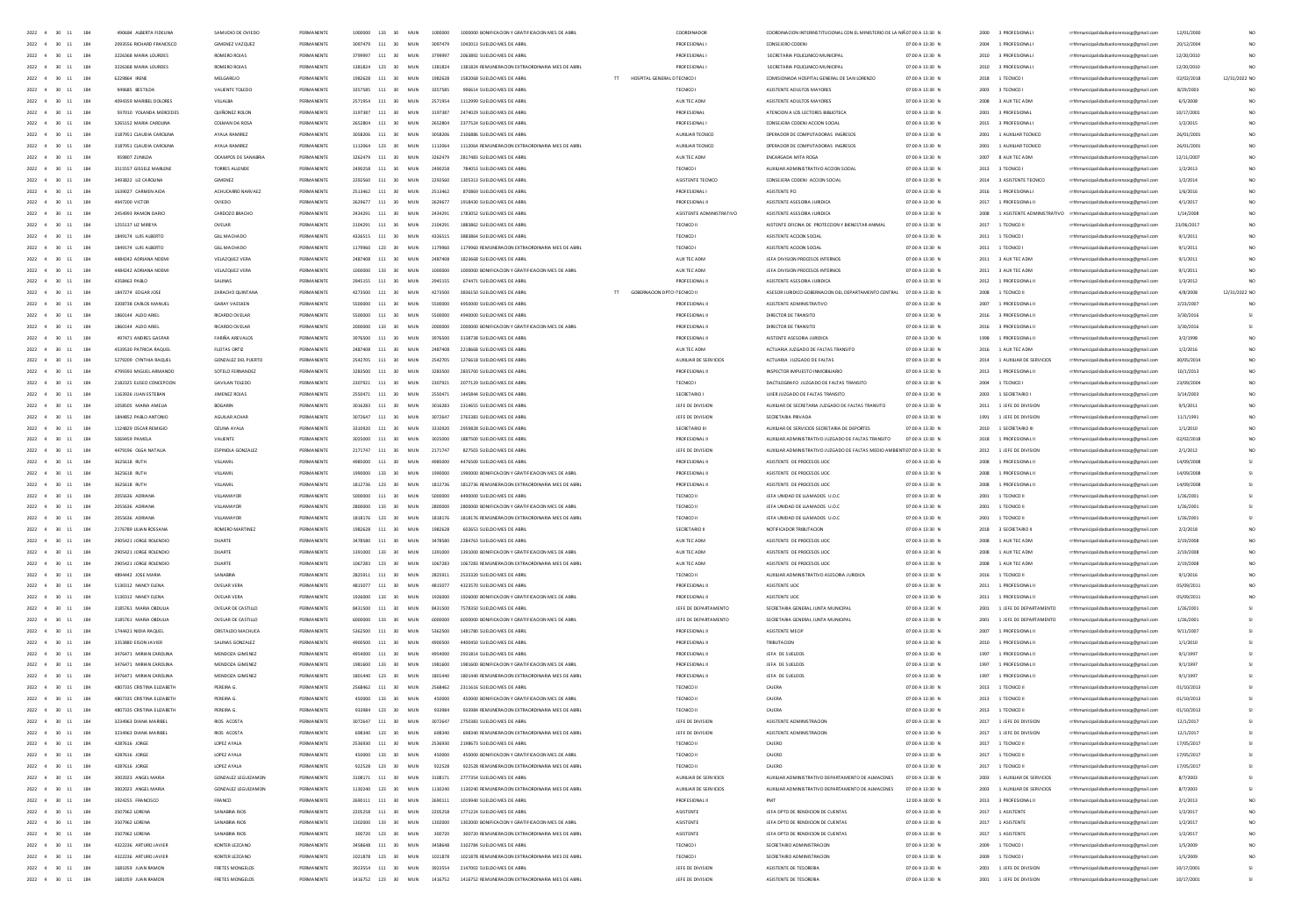| 2022 4 30 11<br>184                                    | 490684 ALBERTA FIDEUNA     | SAMUDIO DE OVIEDI          | PERMANENTI | 1000000 | 133            | 30 <sub>2</sub><br>MIN | soppone | 1000000 BONIFICACION Y GRATIFICACION MES DE ABR                      | COORDINADOR                 | COORDINACION INTERINSTITUCIONAL CON EL MINISTERIO DE LA NIÑOZO0 A 13/30. |                 | 2000 | 3 PROFESIONAL               |                                                                         | 12/01/2000 |               |
|--------------------------------------------------------|----------------------------|----------------------------|------------|---------|----------------|------------------------|---------|----------------------------------------------------------------------|-----------------------------|--------------------------------------------------------------------------|-----------------|------|-----------------------------|-------------------------------------------------------------------------|------------|---------------|
| 2022 4 30 11<br>184                                    | 2093556 RICHARD FRANCISCO  | <b>GIMENEZ VAZQUEZ</b>     | PERMANENTE |         | 3097479 111 30 | MUN                    | 3097479 | 1042013 SUELDO MES DE ABRI                                           | PROFESIONAL                 | CONSELERO CODEN                                                          | 07:00 A 13:30 N | 2004 | 1 PROFESIONAL               | rrhhmunicipalidadsanlorenzoce@email.com                                 | 20/12/2004 |               |
| 2022 4 30 11<br>184                                    | 3226368 MARIA LOURDES      | ROMERO ROJAS               | PERMANENTE |         | 3799997 111 30 | MUN                    | 3709997 | 2063892 SUELDO MES DE ABRIL                                          | PROFESIONAL                 | SECRETARIA POLICLINICO MUNICIPAL                                         | 07:00 A 13:30 N |      | 2010 3 PROFESIONAL I        | rrhhmunicipalidadsanlorenzoce@email.com                                 | 12/20/2010 |               |
| 2022 4 30 11 184                                       | 3226368 MARIA LOURDES      | ROMERO ROJAS               | PERMANENTE |         | 1381824 123 30 | MUN                    | 1381824 | 1381824 REMUNERACION EXTRAORDINARIA MES DE ABRIL                     | PROFESIONAL                 | SECRETARIA POUCLINICO MUNICIPAL                                          | 07:00 A 13:30 N |      | 2010 3 PROFESIONAL I        | rrhhmunicipalidadsanlorenzoce@email.com                                 | 12/20/2010 |               |
| 2022 4 30 11<br>184                                    | 6229864 IRENE              | MELGAREJO                  | PERMANENTE |         | 1982628 111 30 | MIN                    | 1982628 | 1582068 SUELDO MES DE ABRIL<br>TT HOSPITAL GENERAL D TECNICO I       |                             | COMISIONADA HOSPITAL GENERAL DE SAN LORENZO                              | 07:00 A 13:30 N |      | 2018 1 TECNICO              | rrhhmunicipalidadsanlorenzoce@email.com                                 | 02/02/2018 | 12/31/2022 NO |
| 2022 4 30 11<br>184                                    | 949685 BESTILDA            | VALIENTE TOLEDO            | PERMANENTE |         | 3357585 111 30 | MUN                    | 3357585 | 996614 SUELDO MES DE ABRIL                                           | TECNICO                     | ASISTENTE ADULTOS MAYORES                                                | 07:00 A 13:30 N |      | 2003 3 TECNICO I            | rrhhmunicipalidadsanlorenzocg@gmail.com                                 | 8/29/2003  |               |
| 184<br>$2022 - 4$<br>30<br>$11\,$                      | 4094359 MARIBEL DOLORES    | VILLALBA                   | PERMANENTE |         | 2571954 111 30 | MUN                    | 2571954 | 1112999 SUELDO MES DE ABRI                                           | AUX TEC ADM                 | ASISTENTE ADULTOS MAYORES                                                | 07:00 A 13:30 N |      | 2008 3 AUX TEC ADM          |                                                                         | 6/5/2008   |               |
|                                                        |                            |                            |            |         |                |                        |         |                                                                      |                             |                                                                          |                 |      |                             | rrhhmunicipalidadsanlorenzocg@gmail.com                                 |            |               |
| 2022 4 30<br>184<br>11                                 | 597010 YOLANDA MERCEDES    | OUI NONEZ ROLON            | PERMANENTE |         | 3197387 111 30 | MUN                    | 3197387 | 2474029 SUELDO MES DE ABRIL                                          | PROFESIONAL                 | ATENCION A LOS LECTORES BIBLIOTECA                                       | 07:00 A 13:30 N |      | 2001 3 PROFESIONAL          | rrhhmunicipalidadsanlorenzocg@gmail.com                                 | 10/17/2001 |               |
| 184<br>$2022 - 4$<br>30                                | 5265152 MARIA CAROLINA     | COLMAN DA ROSA             | PERMANENTI |         | 111 30         | MUN                    | 2652804 | 2377524 SUELDO MES DE ABRI                                           | PROFESIONAL                 | CONSEJERA CODENI ACCION SOCIAL                                           | 07:00 A 13:30 N | 2015 | 3 PROFESIONAL               | rrhhmunicipalidadsanlorenzocg@gmail.com                                 | 1/2/2015   |               |
| $2022 - 4$<br>184                                      | 3187951 CLAUDIA CAROUNA    | AYALA RAMIREZ              | PERMANENT  |         | 3058206 111 30 | MUN                    | 3058206 | 2106886 SUELDO MES DE ABRI                                           | AUXILIAR TECNICO            | OPERADOR DE COMPUTADORAS INGRESOS                                        | 07:00 A 13:30 N | 2001 | 1 AUXILIAR TECNICO          | rrhhmunicipalidadsanlorenzocg@gmail.com                                 | 26/01/200  |               |
| $2022 - 4$<br>184                                      | 3187951 CLAUDIA CAROUNA    | AYALA RAMIREZ              | PERMANENTI |         | 123 30         | MUN                    | 1112064 | 1112064 REMUNERACION EXTRAORDINARIA MES DE ABRI                      | AUXILIAR TECNICO            | OPERADOR DE COMPUTADORAS INGRESOS                                        | 07:00 A 13:30 N | 2001 | 1 AUXILIAR TECNICO          | rrhhmunicipalidadsanlorenzocg@gmail.com                                 | 26/01/200  |               |
| $2022 - 4$<br>184                                      | 959807 ZUNILDA             | OCAMPOS DE SANABRIA        | PERMANENT  |         | 3262479 111    | 30<br>MUN              | 3262479 | 2817483 SUELDO MES DE ABRI                                           | AUX TEC ADM                 | ENCARGADA MITA ROGA                                                      | 07:00 A 13:30 N | 2007 | 8 AUX TEC ADM               | rrhhmunicipalidadsanlorenzocg@gmail.com                                 | 12/11/2007 |               |
| $2022 - 4$<br>$\infty$<br>11<br>184                    | 3515557 GISSELE MARLENE    | <b>TORRES ALLENDE</b>      | PERMANENTE |         | 2490258 111 30 | MUN                    | 2490258 | 784053 SUELDO MES DE ABRI                                            | TECNICO I                   | AUXILIAR ADMINISTRATIVO ACCION SOCIAL                                    | 07:00 A 13:30 N |      | 2013 3 TECNICO              | rrhhmunicipalidadsanlorenzocg@gmail.com                                 | 1/2/2013   |               |
| 184<br>2022 4 30<br>11                                 | 3493822 UZ CAROLINA        | GIMENEZ                    | PERMANENTE |         | 2292560 111 30 | MUN                    | 2292560 | 1305313 SUELDO MES DE ABRI                                           | ASISTENTE TECNICO           | CONSEJERA CODENI ACCION SOCIA                                            | 07:00 A 13:30 N | 2014 | 3 ASISTENTE TECNICO         | rrhhmunicipalidadsanlorenzocg@gmail.com                                 | 1/2/2014   |               |
|                                                        |                            |                            |            |         |                |                        |         |                                                                      |                             |                                                                          |                 |      |                             |                                                                         |            |               |
| $2022 - 4$<br>30<br>184                                | 1639027 CARMEN AIDA        | ACHUCARRO NARVAEZ          | PERMANENTE |         | 2513462 111 30 | MUN                    | 2513462 | 870869 SUELDO MES DE ABRI                                            | PROFESIONAL                 | ASISTENTE PCI                                                            | 07:00 A 13:30 N | 2016 | 1 PROFESIONAL               | rrhhmunicipalidadsanlorenzocg@gmail.com                                 | 1/6/2016   |               |
| 184<br>2022 4<br>$\infty$<br>11                        | 4947200 VICTOR             | OVIEDO                     | PERMANENTE |         | 2629677 111 30 | MIN                    | 2629677 | 1918430 SUELDO MES DE ABRI                                           | PROFESIONAL I               | ASISTENTE ASESORIA JURIDICA                                              | 07:00 A 13:30 N |      | 2017 1 PROFESIONAL II       | rrhhmunicipalidadsanlorenzocg@gmail.com                                 | 4/1/2017   |               |
| 2022 4 30<br>184<br>11                                 | 2454993 RAMON DARIO        | CARDOZO BRACHO             | PERMANENTE |         | 2434291 111 30 | MUN                    | 2434291 | 1783052 SUELDO MES DE ABRI                                           | ASISTENTE ADMINISTRATIVO    | ASISTENTE ASESORIA JURIDICA                                              | 07:00 A 13:30 N |      |                             | 2008 1 ASISTENTE ADMINISTRATIVO rrhhmunicipalidadsanlorenzocg@gmail.com | 1/14/2008  |               |
| 184<br>2022 4 30<br>11                                 | 1255137 UZ MIREYA          | OVEIAR                     | PERMANENTE |         | 2104291 111 30 | MIN                    | 2104291 | 1883862 SUELDO MES DE ARRI                                           | TECNICO II                  | AISTENTE OFICINA DE PROTECCION Y BIENESTAR ANIMAL                        | 02:00 A 13:30 N |      | 2017 1 TECNICO II           | rrhhmunicipalidadsanlorenzocg@gmail.com                                 | 23/06/2011 |               |
| 2022 4 30<br>184<br>11                                 | 1849174 LUIS ALBERTO       | <b>GILL MACHADO</b>        | PERMANENTE |         | 4326515 111 30 | MUN                    | 4326515 | 3883864 SUELDO MES DE ABRIL                                          | TECNICO I                   | ASISTENTE ACCION SOCIAL                                                  | 07:00 A 13:30 N | 2011 | 1 TECNICO I                 | rrhhmunicipalidadsanlorenzocg@gmail.com                                 | 9/1/2011   |               |
| 2022 4 30<br>184<br>11                                 | 1849174 LUIS ALBERTO       | <b>GILL MACHADO</b>        | PERMANENTE |         | 1179960 123 30 | MUN                    | 1179960 | 1179960 REMUNERACION EXTRAORDINARIA MES DE ABRIL                     | TECNICO I                   | ASISTENTE ACCION SOCIAL                                                  | 07:00 A 13:30 N | 2011 | 1 TECNICO I                 | rrhhmunicipalidadsanlorenzoce@email.com                                 | 9/1/2011   |               |
| 184<br>2022 4<br>30<br>11                              | 4484242 ADRIANA NOEMI      | VELAZQUEZ VERA             | PERMANENTE |         | 2487408 111 30 | MUN                    | 2487408 | 1823668 SUELDO MES DE ABRIL                                          | AUX TEC ADM                 | JEFA DIVISION PROCESOS INTERNOS                                          | 07:00 A 13:30 N |      | 2011 3 AUX TEC ADM          | rrhhmunicipalidadsanlorenzocg@gmail.com                                 | 9/1/2011   |               |
| 184<br>2022 4 30<br>11                                 | 4484242 ADRIANA NOEMI      | VELAZQUEZ VERA             | PERMANENTE |         | 1000000 133 30 | MUN                    | 1000000 | 1000000 BONIFICACION Y GRATIFICACION MES DE ABRIL                    | AUX TEC ADM                 | JEFA DIVISION PROCESOS INTERNOS                                          | 07:00 A 13:30 N |      | 2011 3 AUX TEC ADM          | rrhhmunicipalidadsanlorenzoce@email.com                                 | 9/1/2011   |               |
| 184                                                    |                            |                            |            |         |                |                        |         |                                                                      |                             |                                                                          |                 |      |                             |                                                                         |            |               |
| 2022 4<br>30<br>11                                     | 4358463 PABLO              | SALINAS                    | PERMANENTE |         | 2945155 111 30 | MUN                    | 2945155 | 674471 SUELDO MES DE ABRI                                            | <b>PROFESIONALI</b>         | ASISTENTE ASESORIA JURIDICA                                              | 07:00 A 13:30 N | 2012 | 1 PROFESIONAL I             | rrhhmunicipalidadsanlorenzocg@gmail.com                                 | 1/3/2012   |               |
| 184<br>$2022 - 4$<br>30<br>11                          | 1847274 EDGARJOSE          | ZARACHO QUINTAN            | PERMANENTE |         | 111 30         | MUN                    | 4273500 | $\pi^-$<br>GOBERNACION DPTO TECNICO II<br>3836150 SUELDO MES DE ABRI |                             | ASESOR JURIDICO GOBERNACION DEL DEPARTAMENTO CENTRA                      | 07:00 A 13:30 N | 2008 | 1 TECNICO II                | rrhhmunicipalidadsanlorenzocg@gmail.com                                 | 4/8/2008   | 12/31/2022 NO |
| 184<br>2022 4<br>30<br>11                              | 3208738 CARLOS MANUEL      | <b>GARAY VAESKEN</b>       | PERMANENTE |         | 5500000 111 30 | MUN                    | 5500000 | 4950000 SUELDO MES DE ABRI                                           | PROFESIONAL II              | ASISTENTE ADMINISTRATIVO                                                 | 07:00 A 13:30 N | 2007 | 1 PROFESIONAL II            | rrhhmunicipalidadsanlorenzocg@gmail.com                                 | 2/23/2007  |               |
| 184<br>2022 4<br>30                                    | 1860144 ALDO ARIEL         | <b>RICARDO OVELAR</b>      | PERMANENTE |         | 111 30         | MUN                    |         | 4940000 SUELDO MES DE ABRIL                                          | PROFESIONAL I               | DIRECTOR DE TRANSITO                                                     | 07:00 A 13:30 N | 2016 | 3 PROFESIONAL I             | rrhhmunicipalidadsanlorenzocg@gmail.com                                 | 3/30/2016  |               |
| 184<br>$2022 - 4$                                      |                            | RICARDO OVELA              |            |         | 133 30         | MUN                    |         | 2000000 BONIFICACION Y GRATIFICACION MES DE ABRI                     | PROFESIONAL I               | DIRECTOR DE TRANSITO                                                     | 07:00 A 13:30 M | 2016 | 3 PROFESIONAL I             | rrhhmunicipalidadsanlorenzocg@gmail.com                                 | 3/30/201   |               |
| 30<br>184                                              |                            | FARIÑA AREVALOS            |            |         | 111            | 30<br>MUN              |         | 3138738 SUELDO MES DE ABR                                            | PROFESIONAL                 | AISTENTE ASESORIA JURIDIO                                                | 07:00 A 13:30 N |      | 1 PROFESIONAL I             | rrhhmunicipalidadsanlorenzocg@gmail.com                                 | 3/2/199    |               |
| 184<br>$2022 - 4$<br>30                                |                            | FLEITAS ORTIZ              |            |         | 111            | 30<br>MUN              |         |                                                                      | AUX TEC ADM                 | ACTUARIA JUZGADO DE FALTAS TRANSIT                                       | 07:00 A 13:30 N | 2016 | 1 AUX TEC ADM               | rrhhmunicipalidadsanlorenzocg@gmail.com                                 | 1/2/2016   |               |
| $2022 - 4$<br>30<br>184                                | 5279209 CYNTHIA RAQUE      | <b>GONZALEZ DEL PUERTO</b> |            |         | 111 30         | MUN                    | 2542705 | 1276618 SUFLDO MES DE ARRI                                           | AUXILIAR DE SERVICIOS       | ACTUARIA JUZGADO DE FALTAS                                               | 07:00 A 13:30 N | 2014 | 1 AUXILIAR DE SERVICIOS     | rrhhmunicipalidadsanlorenzocg@gmail.com                                 | 30/05/20   |               |
| 2022 4 30<br>11<br>184                                 | 4799393 MIGUEL ARMANDO     | SOTELD FERNANDEZ           | PERMANENTE | 3283500 | $111 - 30$     | MUN                    | 3283500 | 2835700 SUELDO MES DE ABRI                                           | PROFESIONAL                 | INSPECTOR IMPUESTO INMOBILIARIO                                          | 07:00 A 13:30 N | 2013 | 1 PROFESIONAL I             | rhhmunicipalidadsanlorenzocg@gmail.co                                   | 10/1/2013  |               |
|                                                        |                            |                            |            |         |                |                        |         |                                                                      |                             |                                                                          |                 |      |                             |                                                                         |            |               |
| $2022 - 4$<br>30<br>11<br>184                          | 2182325 EUSED CONCEPCION   | <b>GAVILAN TOLEDO</b>      |            |         | 111 30         | MUN                    | 2307921 | 2077129 SUELDO MES DE ABRI                                           | TECNICO                     | DACTILOGRAFO JUZGADO DE FALTAS TRANSITO                                  | 07:00 A 13:30 N | 2004 | 1 TECNICO                   | rhhmunicipalidadsanlorenzocg@gmail.com                                  |            |               |
| 2022 4 30<br>$11\,$<br>184                             | 1163926 JUAN ESTEBAN       | JIMENEZ ROJAS              | PERMANENTE | 2550471 | $111 - 30$     | MUN                    | 2550471 | 1445844 SUELDO MES DE ABRI                                           | SECRETARIO                  | UJIER JUZGADO DE FALTAS TRANSITO                                         | 07:00 A 13:30 N | 2003 | 1 SECRETARIO                | rhhmunicipalidadsanlorenzocg@gmail.cc                                   | 3/14/200   |               |
| 2022 4 30 11<br>184                                    | 1058505 MARIA AMELIA       | <b>BOGARIN</b>             | PERMANENTE |         | 3016283 111 30 | MIN                    | 3016283 | 2314655 SUELDO MES DE ARRIL                                          | <b>IFFF DE DIVISION</b>     | AUXILIAR DE SECRETARIA JUZGADO DE FAITAS TRANSITO                        | 07:00 A 13:30 N | 2011 | 1 JFFF DE DIVISION          | rrhhmunicipalidadsanlorenzocg@gmail.co                                  | 9/5/2011   |               |
| 2022 4 30 11<br>184                                    | 1844852 PABLO ANTONIO      | AGUILAR ACHAR              | PERMANENTE |         | 3072647 111 30 | MUN                    | 3072647 | 2765383 SUELDO MES DE ABRIL                                          | JEFE DE DIVISION            | SECRETARIA PRIVADA                                                       | 07:00 A 13:30 N |      | 1991 1 JEFE DE DIVISION     | rrhhmunicipalidadsanlorenzoce@email.com                                 | 11/1/1992  |               |
| 2022 4 30 11<br>184                                    | 1124829 OSCAR REMIGIC      | CZUNA AYALA                | PERMANENTE |         | 3310920 111 30 | MIN                    | 3310920 | 2959828 SUELDO MES DE ARRIL                                          | SECRETARIO III              | AUXILIAR DE SERVICIOS SECRETARIA DE DEPORTES                             | 07:00 A 13:30 N |      | 2010 1 SECRETARIO III       | rrhhmunicipalidadsanlorenzocg@gmail.co                                  | 1/1/2010   |               |
| 2022 4 30 11<br>184                                    | 5069459 PAMELA             | VALIENTE                   | PERMANENTE |         | 3025000 111 30 | MUN                    | 3025000 | 1887500 SUELDO MES DE ABRIL                                          | PROFESIONAL II              | AUXIUAR ADMINISTRATIVO JUZGADO DE FALTAS TRANSITO                        | 07:00 A 13:30 N |      | 2018 1 PROFESIONAL II       | rrhhmunicipalidadsanlorenzoce@email.com                                 | 02/02/2018 |               |
| 2022 4 30 11<br>184                                    | 4479196 OLGA NATALIA       | ESPINOLA GONZALEZ          | PERMANENTE |         | 2171747 111 30 | MUN                    | 2171747 | 827503 SUELDO MES DE ABRIL                                           | JEFE DE DIVISION            | AUXIUAR ADMINISTRATIVO JUZGADO DE FALTAS MEDIO AMBIENTIO7:00 A 13:30 N   |                 |      | 2012 1 JEFE DE DIVISION     | rrhhmunicipalidadsanlorenzoce@email.com                                 | 2/1/2012   |               |
| 2022 4 30 11<br>184                                    | 3625618 RUTH               | VILLAMIL                   | PERMANENTE |         | 4985000 111 30 | MUN                    | 4985000 | 4476500 SUELDO MES DE ABRIL                                          | PROFESIONAL II              | ASISTENTE DE PROCESOS UDC                                                | 07:00 A 13:30 N |      | 2008 1 PROFESIONAL I        | rrhhmunicipalidadsanlorenzoce@email.com                                 | 14/09/2008 |               |
|                                                        |                            |                            |            |         |                |                        |         |                                                                      |                             |                                                                          |                 |      |                             |                                                                         |            |               |
| 2022 4 30 11<br>184                                    | 3625618 RUTH               | VILLAMIL                   | PERMANENTE |         | 1990000 133 30 | MUN                    | 1990000 | 1990000 BONIFICACION Y GRATIFICACION MES DE ABRIL                    | PROFESIONAL II              | ASISTENTE DE PROCESOS UDC                                                | 07:00 A 13:30 N |      | 2008 1 PROFESIONAL I        | rrhhmunicipalidadsanlorenzoce@email.com                                 | 14/09/2008 |               |
| 2022 4 30 11<br>184                                    | 3625618 RUTH               | VILLAMIL                   | PERMANENTE |         | 1812736 123 30 | MUN                    | 1812736 | 1812736 REMUNERACION EXTRAORDINARIA MES DE ABRIL                     | PROFESIONAL I               | ASISTENTE DE PROCESOS UOC                                                | 07:00 A 13:30 N |      | 2008 1 PROFESIONAL I        | rrhhmunicipalidadsanlorenzocg@gmail.com                                 | 14/09/2008 |               |
| 2022 4 30<br>184<br>11                                 | 2055636 ADRIANA            | VILLAMAYOR                 | PERMANENTI |         | 111 30         | MUN                    | 5000000 | 4490000 SUELDO MES DE ABRIL                                          | TECNICO II                  | JEFA UNIDAD DE LLAMADOS U.O.O                                            | 07:00 A 13:30 N | 2001 | 1 TECNICO II                | rrhhmunicipalidadsanlorenzocg@gmail.com                                 | 1/26/2000  |               |
| 2022 4 30<br>184<br>11                                 | 2055636 ADRIANA            | VILLAMAYOR                 | PERMANENTE |         | 2800000 133 30 | MUN                    | 2800000 | 2800000 BONIFICACION Y GRATIFICACION MES DE ABRIL                    | TECNICO II                  | JEFA UNIDAD DE LLAMADOS U.O.O                                            | 07:00 A 13:30 N | 2001 | 1 TECNICO II                | rrhhmunicipalidadsanlorenzoog@gmail.com                                 | 1/26/200   |               |
| 2022 4 30<br>184<br>11                                 | 2055636 ADRIANA            | VILLAMAYOR                 | PERMANENTI |         | 123 30         | MUN                    | 1818176 | 1818176 REMUNERACION EXTRAORDINARIA MES DE ABRIL                     | TECNICO II                  | JEFA UNIDAD DE LLAMADOS U.O.O                                            | 07:00 A 13:30 N | 2001 | 1 TECNICO II                | rrhhmunicipalidadsanlorenzocg@gmail.com                                 | 1/26/2003  |               |
| $2022 - 4$                                             | 2176789 LILIAN ROSSAN      | ROMERO MARTINE             | PERMANENT  |         | 111            | 30<br>MUN              | 1982628 | 602653 SUELDO MES DE ABRI                                            | SECRETARIO III              | NOTIFICADOR TRIBUTACION                                                  | 07:00 A 13:30 N |      | 2018 3 SECRETARIO           | rrhhmunicipalidadsanlorenzocg@gmail.com                                 | 2/2/2018   |               |
| $2022 - 4$<br>30<br>184<br>$11\,$                      | 2905421 JORGE ROLENDIC     | DUARTE                     | PERMANENTI |         | 111            | 30<br>MUN              | 3478580 | 2284763 SUELDO MES DE ABRI                                           | AUX TEC ADM                 | ASISTENTE DE PROCESOS UOC                                                | 07:00 A 13:30 N |      | 2008 1 AUX TEC ADM          | rrhhmunicipalidadsanlorenzocg@gmail.com                                 | 2/19/200   |               |
| $2022 - 4$<br>184                                      | 2905421 JORGE ROLENDIC     | DUARTE                     | PERMANENT  |         | 133            | 30<br>MUN              |         | 1391000 BONIFICACION Y GRATIFICACION MES DE ABR                      | AUX TEC ADM                 | ASISTENTE DE PROCESOS UOC                                                | 07:00 A 13:30 N | 2008 | 1 AUX TEC ADM               | rrhhmunicipalidadsanlorenzocg@gmail.com                                 | 2/19/200   |               |
|                                                        |                            |                            |            |         |                |                        |         |                                                                      |                             |                                                                          |                 |      |                             |                                                                         |            |               |
| 2022 4 30<br>$11\,$<br>184                             | 2905421 JORGE ROLENDIC     | DUARTE                     | PERMANENTI |         | 1067283 123 30 | MUN                    | 1067283 | 1057283 REMUNERACION EXTRAORDINARIA MES DE ABR                       | AUX TEC ADM                 | ASISTENTE DE PROCESOS UOC                                                | 07:00 A 13:30 N |      | 2008 1 AUX TEC ADM          | rrhhmunicipalidadsanlorenzocg@gmail.com                                 | 2/19/2008  |               |
| 2022 4 30<br>11<br>184                                 | 4894442 JOSE MARIA         | SANARRIA                   | PERMANENTE |         | 2825911 111 30 | MIN                    | 2825911 | 2533320 SUELDO MES DE ABRI                                           | TECNICO II                  | AUXIUAR ADMINISTRATIVO ASESORIA JURIDICA                                 | 07:00 A 13:30 N |      | 2016 1 TECNICO II           | rrhhmunicipalidadsanlorenzocg@gmail.com                                 | 9/1/2016   |               |
| $2022 - 4$<br>$\infty$<br>184                          | 5130312 NANCY ELENA        | <b>OVELAR VERA</b>         | PERMANENTI |         | 4815077 111    | 30<br>MUN              | 4815077 | 4323570 SUELDO MES DE ABRI                                           | PROFESIONAL I               | ASISTENTE UO                                                             | 07:00 A 13:30 N | 2011 | 1 PROFESIONAL               | rrhhmunicipalidadsanlorenzocg@gmail.com                                 | 05/09/201  |               |
| 2022 4 30<br>11<br>184                                 | 5130312 NANCY ELENA        | OVEIAR VERA                | PERMANENTE |         | 1926000 133 30 | MIN                    | 1926000 | 1926000 BONIFICACION Y GRATIFICACION MES DE ABR                      | PROFESIONAL II              | ASISTENTE UOC                                                            | 07:00 A 13:30 N |      | 2011 1 PROFESIONAL II       | rrhhmunicipalidadsanlorenzocg@gmail.com                                 | 05/09/2013 |               |
| 2022 4 30<br>184<br>11                                 | 3185761 MARIA ORDULIA      | OVEIAR DE CASTILIO         | PERMANENTE |         | 8431500 111 30 | MIN                    | 8431500 | 7578350 SUFLDO MES DE ABRIL                                          | IFFF DE DEPARTAMENTO        | SECRETARIA GENERAL JUNTA MUNICIPAL                                       | 07:00 A 13:30 N |      | 2001 1 JEFE DE DEPARTAMENTO | rrhhmunicipalidadsanlorenzocg@gmail.com                                 | 1/26/2001  |               |
| 2022 4 30<br>11<br>184                                 | 3185761 MARIA ORDHIA       | <b>OVELAR DE CASTILLO</b>  | PERMANENTE |         | 6000000 133 30 | MIN                    | sonono  | 6000000 BONIFICACION Y GRATIFICACION MES DE ARR                      | <b>IFFE DE DEPARTAMENTO</b> | SECRETARIA GENERAL JUNTA MUNICIPA                                        | 07:00 A 13:30 N |      | 2001 1 JEFE DE DEPARTAMENTO | rrhhmunicipalidadsanlorenzocg@gmail.com                                 | 1/26/2003  |               |
| 2022 4 30<br>184<br>11                                 | 1744421 NIDIA RAOLIFI      | CRSTAIDO MACHICA           | PERMANENTE |         | 5362500 111 30 | MIN                    | 5362500 | 1481780 SUELDO MES DE ABRI                                           | PROFESIONAL II              | ASISTENTE MECH                                                           | 07:00 A 13:30 N |      | 2007 1 PROFESIONAL I        | rrhhmunicipalidadsanlorenzocg@gmail.com                                 | 9/11/200   |               |
| 2022 4 30<br>184<br>11                                 | 3353880 EISON JAVIER       | SALINAS GONZALEZ           | PERMANENTE |         | 4900500 111 30 | MUN                    | 4900500 | 4400450 SUELDO MES DE ABRI                                           | PROFESIONAL II              | TRIBUTACION                                                              | 07:00 A 13:30 N |      | 2010 1 PROFESIONAL I        | rrhhmunicipalidadsanlorenzoce@email.com                                 | 1/1/2010   |               |
| 2022 4 30 11<br>184                                    | 3476471 MIRIAN CAROLINA    | MENDOZA GIMENEZ            | PERMANENTE |         | 4954000 111 30 | MIN                    | 4954000 | 2931814 SUFLDO MES DE ABRIL                                          | PROFESIONAL I               | JEFA DE SUELDOS                                                          | 07:00 A 13:30 N |      | 1997 1 PROFESIONAL I        | rrhhmunicipalidadsanlorenzocg@gmail.com                                 | 9/1/1997   |               |
|                                                        |                            |                            |            |         |                |                        |         |                                                                      |                             |                                                                          |                 |      |                             |                                                                         |            |               |
| 2022 4 30<br>184<br>11                                 | 3476471 MIRIAN CAROLINA    | MENDOZA GIMENEZ            | PERMANENTE |         | 1981600 133 30 | MUN                    | 1981600 | 1981600 BONIFICACION Y GRATIFICACION MES DE ABRIL                    | PROFESIONAL I               | JEFA DE SUELDOS                                                          | 07:00 A 13:30 N |      | 1997 1 PROFESIONAL I        | rrhhmunicipalidadsanlorenzoce@email.com                                 | 9/1/1997   |               |
| 184<br>2022 4 30<br>11                                 | 3476471 MIRIAN CAROLINA    | MENDOZA GIMENEZ            | PERMANENTE |         | 1801440 123 30 | MUN                    | 1801440 | 1801440 REMUNERACION EXTRAORDINARIA MES DE ABRI                      | PROFESIONAL I               | JEFA DE SUELDOS                                                          | 07:00 A 13:30 N | 1997 | 1 PROFESIONAL I             | rrhhmunicipalidadsanlorenzocg@gmail.com                                 | 9/1/1997   |               |
| 184<br>2022 4<br>30<br>11                              | 4807335 CRISTINA ELIZABETH | PEREIRA G.                 | PERMANENTE |         | 111            | 30<br>MUN              | 2568462 | 2311616 SUELDO MES DE ABRI                                           | TECNICO II                  | CAJERA                                                                   | 07:00 A 13:30 N | 2013 | 1 TECNICO II                | rrhhmunicipalidadsanlorenzocg@gmail.com                                 | 01/10/2013 |               |
| 184<br>2022 4<br>30<br>11                              | 4807335 CRISTINA ELIZABETH | PEREIRA G.                 | PERMANENTE |         | 450000 133 30  | MUN                    | 450000  | 450000 BONIFICACION Y GRATIFICACION MES DE ABRIL                     | TECNICO II                  | CAJERA                                                                   | 07:00 A 13:30 N | 2013 | 1 TECNICO II                | rrhhmunicipalidadsanlorenzocg@gmail.com                                 | 01/10/2013 |               |
| 184<br>2022 4<br>30<br>11                              | 4807335 CRISTINA ELIZABETI | PEREIRA G.                 | PERMANENTE |         | 123 30         | MUN                    | 933984  | 933984 REMUNERACION EXTRAORDINARIA MES DE ABRIL                      | TECNICO II                  | CAJERA                                                                   | 07:00 A 13:30 N | 2013 | 1 TECNICO II                | rrhhmunicipalidadsanlorenzocg@gmail.com                                 | 01/10/2013 |               |
| 184<br>2022 4<br>30                                    | 3234963 DIANA MARIBE       | RIOS ACOSTA                | PERMANENTI |         | 111            | MUN                    |         |                                                                      | JEFE DE DIVISION            | ASISTENTE ADMINISTRACIO                                                  | 07:00 A 13:30 N | 2017 | 1 JEFE DE DIVISION          | rrhhmunicipalidadsanlorenzocg@gmail.com                                 | 12/1/201   |               |
| 184                                                    | 3234963 DIANA MARIBE       | RIOS ACOST.                |            |         | 123            | MU                     |         |                                                                      | JEFE DE DIVI:               |                                                                          | 07:00 A 13:30 N | 2017 | 1 JEFE DE DIVISIO           | rrhhmunicipalidadsanlorenzocg@gmail.com                                 | 12/1/201   |               |
|                                                        |                            |                            |            |         |                |                        |         |                                                                      |                             |                                                                          |                 |      |                             |                                                                         |            |               |
| 184<br>$2022 - 4$<br>30                                | 4287616 JORGE              | LOPEZ AYALA                | PERMANENTI |         | 111            | MUN                    |         |                                                                      | TECNICO II                  | CAJERO                                                                   | 07:00 A 13:30 N | 2017 | 1 TECNICO I                 | rrhhmunicipalidadsanlorenzocg@gmail.com                                 | 17/05/201  |               |
| $2022 - 4$<br>30<br>184                                | 4287616 JORGE              | LOPEZ AYALA                |            |         | 133            | 30<br>MUN              |         | 450000 BONIFICACION Y GRATIFICACION MES DE ABR                       | TECNICO II                  |                                                                          | 07:00 A 13:30 N | 2017 | 1 TECNICO                   | rrhhmunicipalidadsanlorenzocg@gmail.com                                 |            |               |
| 2022 4 30<br>$11\,$<br>184                             | 4287616 JORGE              | LOPEZ AYALA                | PERMANENTE |         | 922528 123     | 20<br>MUN              | 933535  | 477578 REMUNERACIÓN EXTRAORDINARIA MES DE AB                         | TECNICO II                  |                                                                          | 07:00 A 13:30 N | 2017 | 1 TECNICO I                 | rhhmunicipalidadsanlorenzocg@gmail.co                                   | 17/05/2017 |               |
| $2022 - 4$<br>30<br>$11\,$<br>184                      | 3002023 ANGEL MARI         | GONZALEZ LEGUIZAMI         |            | 3108171 | 111            | 30<br>MU               |         |                                                                      | AUXILIAR DE SERVICIO        | AUXIUAR ADMINISTRATIVO DEPARTAMENTO DE ALMACENES                         | 07:00 A 13:30 N | 2003 | 1 AUXILIAR DE SERVICIOS     | rrhhmunicipalidadsanlorenzocg@gmail.com                                 | 8/7/200    |               |
| 2022 4 30<br>$11\,$<br>184                             | 3002023 ANGEL MARI         | GONZALEZ LEGUIZAMO         | PERMANENTE |         | 1130240 123 30 | MUN                    |         | 1130240 REMUNERACION EXTRAORDINARIA MES DE ABR                       | AUXILIAR DE SERVICIOS       | AUXIUAR ADMINISTRATIVO DEPARTAMENTO DE ALMACENES                         | 07:00 A 13:30 N | 2003 | 1 AUXILIAR DE SERVICIOS     | rrhhmunicipalidadsanlorenzocg@gmail.                                    | 8/7/2003   |               |
| 2022 4 30 11<br>184                                    | 1924255 FRANCISCO          | FRANCO                     | PERMANENTE |         | 2690111 111 30 | MIN                    | 2690111 | 1019940 SUFLDO MES DE ARR                                            | PROFESIONAL                 |                                                                          | 12:00 A 18:00 N |      | 2013 3 PROFESIONAL I        | rhhmunicipalidadsanlorenzocg@gmail.co                                   | 2/1/2013   |               |
| 2022 4 30 11<br>184                                    | 3507962 LORENA             | SANABRIA RIOS              | PERMANENTE |         | 2205258 111 30 | MUN                    | 2205258 | 1771224 SUELDO MES DE ABRI                                           | ASISTENTE                   | JEFA DPTO DE RENDICION DE CUENTAS                                        | 07:00 A 13:30 N |      | 2017 1 ASISTENTE            | rrhhmunicipalidadsanlorenzocg@gmail.com                                 | 1/2/2017   |               |
| $2022\quad \  \, 4\quad \  \  \, 30\quad \  11$<br>184 | 3507962 IORENA             | SANARRIA RIOS              | PERMANENTE |         | 1302000 133 30 | MIN                    | 1302000 | 1302000 BONIFICACION Y GRATIFICACION MES DE ARRIL                    | ASISTENTE                   | IFFA DPTO DE RENDICIÓN DE CUENTAS                                        | 02:00 A 13:30 N | 2017 | 1 ASISTENTE                 | rrhhmunicipalidadsanlorenzocg@gmail.cc                                  | 1/2/2017   |               |
|                                                        |                            |                            |            |         |                |                        |         |                                                                      |                             |                                                                          |                 |      |                             |                                                                         |            |               |
| 2022 4 30 11<br>184                                    | 3507962 LORENA             | SANABRIA RIOS              | PERMANENTE |         | 300720 123 30  | MUN                    | 300720  | 300720 REMUNERACION EXTRAORDINARIA MES DE ABRIL                      | ASISTENTE                   | JEFA DPTO DE RENDICION DE CUENTAS                                        | 07:00 A 13:30 N |      | 2017 1 ASISTENTE            | rrhhmunicipalidadsanlorenzoce@email.com                                 | 1/2/2017   |               |
| 2022 4 30 11<br>184                                    | 4322236 ARTURO JAVIER      | KONTER LEZCANO             | PERMANENTE |         | 3458648 111 30 | MUN                    | 3458648 | 3102784 SUELDO MES DE ABRIL                                          | TECNICO I                   | SECRETARIO ADMINISTRACION                                                | 07:00 A 13:30 N |      | 2009 1 TECNICO I            | rrhhmunicipalidadsanlorenzoce@email.com                                 | 1/5/2009   |               |
| 2022 4 30 11<br>184                                    | 4322236 ARTURO JAVIER      | KONTER LEZCANO             | PERMANENTE |         |                | 1021878  123  30  MUN  | 1021878 | 1021878 REMUNERACION EXTRAORDINARIA MES DE ABRIL                     | TECNICO I                   | SECRETARIO ADMINISTRACION                                                | 07:00 A 13:30 N |      | 2009 1 TECNICO I            | rrhhmunicipalidadsanlorenzoce@email.com                                 | 1/5/2009   |               |
| 2022 4 30 11 184                                       | 1681059 JUAN RAMON         | <b>FRETES MONGELOS</b>     | PERMANENTE |         |                | 3923554 111 30 MUN     | 3923554 | 2147002 SUELDO MES DE ABRIL                                          | JEFE DE DIVISION            | ASISTENTE DE TESORERIA                                                   | 07:00 A 13:30 N |      | 2001 1 JEFE DE DIVISION     | rrhhmunicipalidadsanlorenzoce@email.com                                 | 10/17/2001 |               |
| $2022 \quad 4 \quad 30 \quad 11$<br>184                | 1681059 JUAN RAMON         | <b>FRETES MONGELOS</b>     | PERMANENTE |         |                | 1416752 123 30 MUN     | 1416752 | 1416752 REMUNERACION EXTRAORDINARIA MES DE ABRIL                     | JEFE DE DIVISION            | ASISTENTE DE TESORERIA                                                   | 07:00 A 13:30 N |      | 2001 1 JEFE DE DIVISION     | rrhhmunicipalidadsanlorenzocg@gmail.com                                 | 10/17/2001 |               |
|                                                        |                            |                            |            |         |                |                        |         |                                                                      |                             |                                                                          |                 |      |                             |                                                                         |            |               |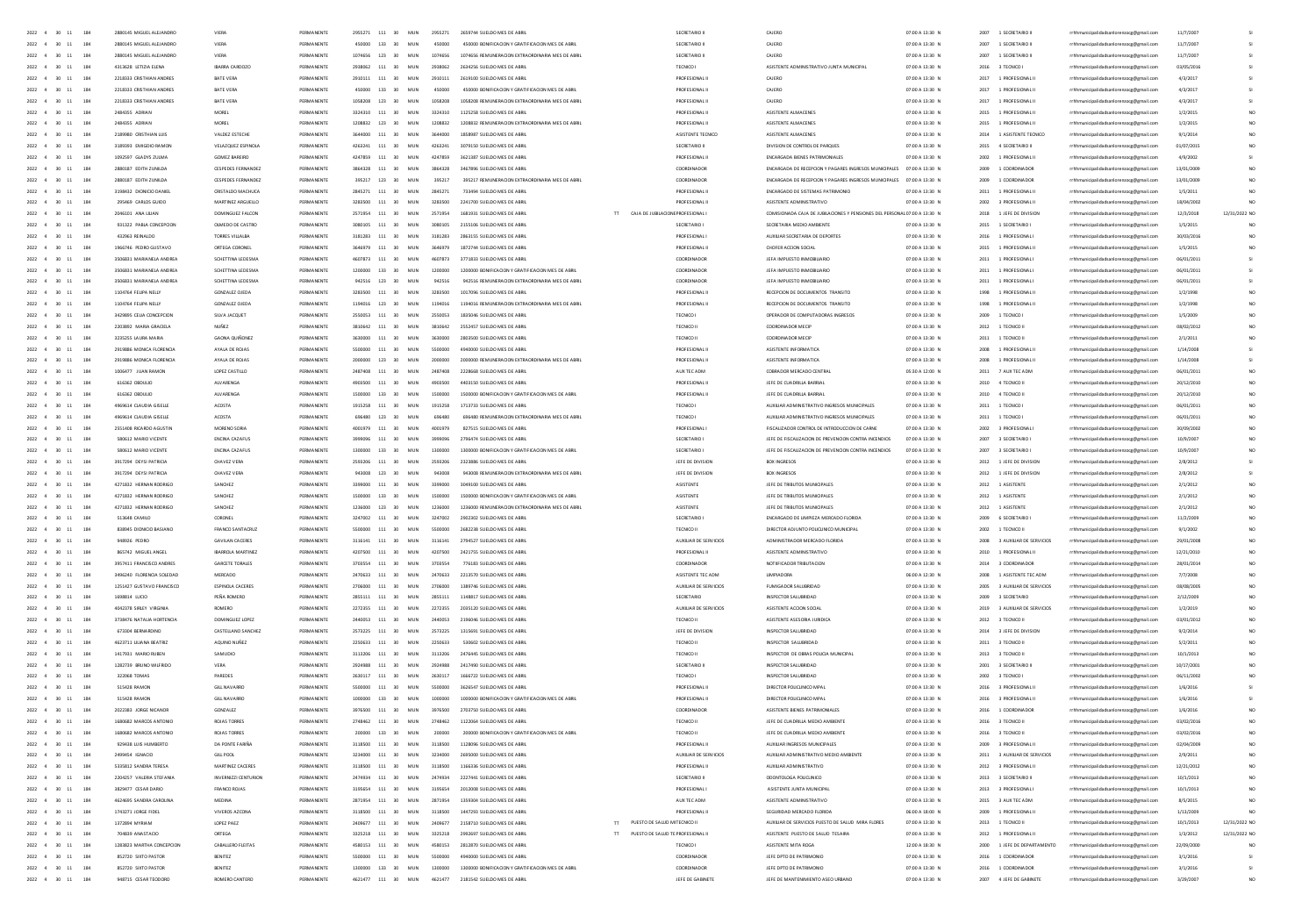| 2022 4<br>$30 - 11$<br>184                                   | 2880145 MIGUEL ALEJANDRO                     | VIERA                    | PERMANENT              | 2955271     | 111                       | MUN | 2955271 |                                                  |                                   | SECRETARIO II                  | CAJERO                                                                   | 07:00 A 13:30 N | 2007 | 1 SECRETARIO II              | rrhhmunicipalidadsanlorenzocg@gmail.com | 11/7/200   |                 |
|--------------------------------------------------------------|----------------------------------------------|--------------------------|------------------------|-------------|---------------------------|-----|---------|--------------------------------------------------|-----------------------------------|--------------------------------|--------------------------------------------------------------------------|-----------------|------|------------------------------|-----------------------------------------|------------|-----------------|
| $2022$ 4 30 11<br>184                                        |                                              | VIERA                    |                        |             | 133                       | MU  |         | 450000 BONIFICACION Y GRATIFICACION MES DE AE    |                                   |                                | CAJERO                                                                   | 07:00 A 13:30 f | 2007 | 1 SECRETARIO                 | nzocg@gmail.com                         | 11/7/200   |                 |
| $2022 \qquad 4 \qquad 30 \qquad 11$<br>184                   | 2880145 MIGUELALE LANDRO                     | VIERA                    | PERMANENTS             | 107ACCC     | 123<br>30 <sup>2</sup>    | MIN | 1074656 | 1074656 REMUNERACION EXTRAORDINARIA MES DE ABRI  |                                   | SECRETARIO II                  | CAJERO                                                                   | 07:00 A 13:30 N | 2007 | 1 SECRETARIO II              | rhhmunicipalidadsanlore                 | 11/7/200   |                 |
| 2022 4 30 11<br>184                                          | 4313628 LETIZIA ELENA                        | IBARRA CARDOZO           | PERMANENT              |             | 111<br>30 <sup>2</sup>    | MID | 2938062 |                                                  |                                   |                                | ASISTENTE ADMINISTRATIVO JUNTA MUNICIPA                                  | 07:00 A 13:30 N | 2016 | 3 TECNICO                    | municipalidadsanlorenzocg@gmail.com     | 03/05/20   |                 |
| 2022 4 30 11<br>184                                          | 2218333 CRISTHIAN ANDRES                     | BATE VERA                | PERMANENTE             | 2910111 111 | 30 <sub>2</sub>           | MIN | 2910111 | 2619100 SUELDO MES DE ABR                        |                                   | PROFESIONALL                   | CAJERO                                                                   | 07:00 A 13:30 N |      | 2017 1 PROFESIONAL           | rrhhmunicipalidadsanlorenzocg@gmail.co  | 4/3/2017   |                 |
| 2022 4 30 11<br>184                                          | 2218333 CRISTHIAN ANDRES                     | <b>RATE VERA</b>         | PERMANENTE             |             | 450000 133 30             | MIN | 450000  | 450000 BONIFICACION Y GRATIFICACION MES DE ARRI  |                                   | PROFESIONALL                   | CAIFRO                                                                   | 07:00 A 13:30 N |      | 2017 1 PROFESIONAL II        | rrhhmunicipalidadsanlorenzocg@gmail.com | 4/3/2017   |                 |
| 2022 4 30 11<br>184                                          | 2218333 CRISTHIAN ANDRES                     | BATE VERA                | PERMANENTE             |             | 1058208 123 30            | MUN | 1058208 | 1058208 REMUNERACION EXTRAORDINARIA MES DE ABRIL |                                   | PROFESIONAL I                  | CAJERO                                                                   | 07:00 A 13:30 N |      | 2017 1 PROFESIONAL II        | rrhhmunicipalidadsanlorenzoce@email.com | 4/3/2017   |                 |
| 2022 4 30 11<br>184                                          | 2484355 ADRIAN                               | MOREL                    | PERMANENTE             | 3324310 111 | 30                        | MUN | 3324310 | 1125258 SUELDO MES DE ABRIL                      |                                   | PROFESIONAL I                  | ASISTENTE ALMACENES                                                      | 07:00 A 13:30 N |      | 2015 1 PROFESIONAL II        | rrhhmunicipalidadsanlorenzocg@gmail.com | 1/2/2015   |                 |
| 2022 4 30 11<br>184                                          | 2484355 ADRIAN                               | MOREL                    | PERMANENTE             |             | 1208832 123 30            | MUN | 1208832 | 1208832 REMUNERACION EXTRAORDINARIA MES DE ABRIL |                                   | PROFESIONAL II                 | ASISTENTE ALMACENES                                                      | 07:00 A 13:30 N |      | 2015 1 PROFESIONAL II        | rrhhmunicipalidadsanlorenzoce@email.com | 1/2/2015   |                 |
| 184<br>2022 4 30 11                                          | 2189980 CRISTHIAN LUIS                       | VALDEZ ESTECHE           | PERMANENTE             | 3644000 111 | 30                        | MUN | 3644000 | 1858987 SUELDO MES DE ABRIL                      |                                   | ASISTENTE TECNICO              | ASISTENTE ALMACENES                                                      | 07:00 A 13:30 N |      | 2014 1 ASISTENTE TECNICO     | rrhhmunicipalidadsanlorenzocg@gmail.com | 9/1/2014   |                 |
| 184<br>2022 4 30 11                                          | 3189393 EMIGDIO RAMON                        | VELAZQUEZ ESPINOLA       | PERMANENTE             |             | 4263241 111 30            | MUN | 4263241 | 3079150 SUFLDO MES DE ABBI                       |                                   | SECRETARIO III                 | DIVISION DE CONTROL DE PARQUES                                           | 07:00 A 13:30 N |      | 2015 4 SECRETARIO II         | rrhhmunicipalidadsanlorenzoce@email.com | 01/07/2019 |                 |
| 184<br>2022 4 30 11                                          | 1092597 GLADYS ZULMA                         | GOMEZ BAREIRO            | PERMANENTE             |             | 4247859 111 30            | MUN | 4247859 | 3621387 SUELDO MES DE ABRIL                      |                                   | PROFESIONAL I                  | ENCARGADA BIENES PATRIMONIALES                                           | 07:00 A 13:30 N |      | 2002 1 PROFESIONAL II        | rrhhmunicipalidadsanlorenzocg@gmail.com | 4/9/2002   |                 |
| 184<br>$2022 - 4$<br>30                                      | 2880187 EDITH ZUNILDA                        | CESPEDES FERNANDEZ       | PERMANENTE             |             | 111<br>30                 | MUN | 3864328 | 3467896 SUELDO MES DE ABRIL                      |                                   | COORDINADOR                    | ENCARGADA DE RECEPCION Y PAGARES INGRESOS MUNICIPALES 07:00 A 13:30 N    |                 | 2009 | 1 COORDINADOR                | rrhhmunicipalidadsanlorenzocg@gmail.com | 13/01/200  |                 |
| 2022<br>184                                                  | 2880187 EDITH ZUNILDA                        | CESPEDES FERNANDE        | PERMANENTE             | 395217 123  | 30                        | MU  |         | 395217 REMUNERACION EXTRAORDINARIA MES DE ABR    |                                   | COORDINADOR                    | ENCARGADA DE RECEPCION Y PAGARES INGRESOS MUNICIPALES 07:00 A 13:30 N    |                 | 2009 | 1 COORDINADOR                | rrhhmunicipalidadsanlorenzocg@gmail.com | 13/01/200  |                 |
|                                                              |                                              |                          |                        |             |                           |     |         |                                                  |                                   |                                |                                                                          |                 |      |                              |                                         |            |                 |
| $2022 - 4$<br>184<br>30                                      | 3198432 DIONICIO DANIE                       | CRISTALDO MACHUCA        | PERMANENTE             |             | 111<br>30                 | MUN | 2845271 | 733494 SUELDO MES DE ABRI                        |                                   | PROFESIONAL                    | ENCARGADO DE SISTEMAS PATRIMONIO                                         | 07:00 A 13:30 N |      | 2011 1 PROFESIONAL II        | rrhhmunicipalidadsanlorenzocg@gmail.com | 1/5/2011   |                 |
| 2022<br>184                                                  | 295469 CARLOS GUIDO                          | MARTINEZ ARGUELLO        | PERMANENTE             | 3283500 111 | 30                        | MU  | 3283500 | 2241700 SUELDO MES DE ABRI                       |                                   | PROFESIONAL I                  | ASISTENTE ADMINISTRATIVO                                                 | 07:00 A 13:30 N | 2002 | 3 PROFESIONAL II             | rrhhmunicipalidadsanlorenzocg@gmail.com | 18/04/200  |                 |
| 2022 4<br>30<br>11<br>184                                    | 2046101 ANA LIUAN                            | DOMINGUEZ FALCON         | PERMANENTE             | 2571954 111 | 30                        | MUN | 2571954 | 1681931 SUELDO MES DE ABRI                       | TT CAJA DE JUBLACIONE PROFESIONAL |                                | COMISIONADA CAJA DE JUBILACIONES Y PENSIONES DEL PERSONALO7:00 A 13:30 N |                 |      | 2018 1 JEFE DE DIVISION      | rrhhmunicipalidadsanlorenzocg@gmail.com | 12/3/2018  | 12/31/2022 NO   |
| 2022 4<br>30<br>184                                          | 931322 PABLA CONCEPCION                      | OUMEDO DE CASTRO         | PERMANENTE             |             | 111<br>30                 | MU  | 3080105 | 2155106 SUELDO MES DE ABRI                       |                                   | SECRETARIO                     | SECRETARIA MEDIO AMBIENTE                                                | 07:00 A 13:30 N |      | 2015 1 SECRETARIO I          | rrhhmunicipalidadsanlorenzocg@gmail.com | 1/5/2015   |                 |
| $2022 - 4$<br>30 <sub>1</sub><br>$\ddot{\phantom{a}}$<br>184 | 432963 REINALDO                              | TORRES VILLALBA          | PERMANENTE             |             | 3181283 111 30            | MUN | 3181283 | 2863155 SUELDO MES DE ABRI                       |                                   | <b>PROFESIONAL</b>             | AUXIUAR SECRETARIA DE DEPORTES                                           | 07:00 A 13:30 N |      | 2016 1 PROFESIONAL           | rrhhmunicipalidadsanlorenzocg@gmail.com | 30/03/201  |                 |
| 2022 4 30 11<br>184                                          | 1966746 PEDRO GUSTAVO                        | ORTEGA CORONEL           | PERMANENTE             |             | 3646979 111 30            | MIN | 3646979 | 1872744 SUELDO MES DE ARRI                       |                                   | PROFESIONAL I                  | CHOEFR ACCION SOCIAL                                                     | 07:00 A 13:30 N |      | 2015 1 PROFESIONAL II        | rrhhmunicipalidadsanlorenzocg@gmail.com | 1/5/2015   | NO <sub>1</sub> |
| 2022 4 30<br>184<br>11                                       | 3506831 MARIANELA ANDREA                     | SCHETTINA LEDESMA        | PERMANENTE             |             | 4607873 111 30            | MUN | 4607873 | 3771833 SUELDO MES DE ABRI                       |                                   | COORDINADOR                    | JEFA IMPUESTO INMOBILIARIO                                               | 07:00 A 13:30 N |      | 2011 1 PROFESIONAL           | rrhhmunicipalidadsanlorenzocg@gmail.com | 06/01/201  |                 |
| 2022 4 30<br>184<br>11                                       | 3506831 MARIANELA ANDREA                     | SCHETTINA LEDESMA        | PERMANENTE             |             | 1200000 133 30            | MUN | 1200000 | 1200000 BONIFICACION Y GRATIFICACION MES DE ABRI |                                   | COORDINADOR                    | JEFA IMPUESTO INMOBILIARIO                                               | 07:00 A 13:30 N |      | 2011 1 PROFESIONAL           | rrhhmunicipalidadsanlorenzocg@gmail.com | 06/01/201  |                 |
| 2022 4 30<br>184<br>11                                       | 3506831 MARIANELA ANDREA                     | SCHETTINA LEDESMA        | PERMANENTE             |             | 942516 123 30             | MUN | 942516  | 942516 REMUNERACION EXTRAORDINARIA MES DE ABRIL  |                                   | COORDINADOR                    | JEFA IMPUESTO INMOBILIARIO                                               | 07:00 A 13:30 N |      | 2011 1 PROFESIONAL I         | rrhhmunicipalidadsanlorenzoce@email.com | 06/01/2011 |                 |
| 184<br>2022 4<br>30<br>11                                    | 1104764 FEUPA NELLY                          | GONZALEZ QJEDA           | PERMANENTE             |             | 111<br>30                 | MUN | 3283500 | 1017096 SUELDO MES DE ABRIL                      |                                   | PROFESIONAL I                  | RECEPCION DE DOCUMENTOS TRANSITO                                         | 07:00 A 13:30 N |      | 1998 1 PROFESIONAL II        | rrhhmunicipalidadsanlorenzocg@gmail.com | 1/2/1998   | NO <sub>1</sub> |
| 184<br>2022 4 30 11                                          | 1104764 FEUPA NELLY                          | GONZALEZ QJEDA           | PERMANENTE             | 1194016     | 123 30                    | MUN | 1194016 | 1194016 REMUNERACION EXTRAORDINARIA MES DE ABRIL |                                   | PROFESIONALI                   | RECEPCION DE DOCUMENTOS TRANSITO                                         | 07:00 A 13:30 N |      | 1998 1 PROFESIONAL II        | rrhhmunicipalidadsanlorenzoce@email.com | 1/2/1998   | NO <sub>1</sub> |
| 184<br>2022 4<br>$30 - 11$                                   | 3429895 CELIA CONCEPCION                     | SILVA JACQUET            | PERMANENTE             |             | 111<br>30                 | MUN | 2550053 | 1835046 SUELDO MES DE ABRI                       |                                   | TECNICO I                      | OPERADOR DE COMPUTADORAS INGRESO                                         | 07:00 A 13:30 N | 2009 | 1 TECNICO I                  | rrhhmunicipalidadsanlorenzocg@gmail.com | 1/5/2009   | NO <sub>1</sub> |
| 184<br>2022<br>30                                            | 2203892 MARIA GRACIELA                       |                          | PERMANENTE             |             | 111<br>30                 | MU) | 3810642 |                                                  |                                   | TECNICO II                     | COORDINADOR MECH                                                         | 07:00 A 13:30 N | 2012 | 1 TECNICO II                 | rrhhmunicipalidadsanlorenzocg@gmail.com | 08/02/201  |                 |
| 2022<br>184                                                  | 3235255 LAURA MARL                           | <b>GAONA QUIÑONE</b>     |                        |             | 111                       | MU  |         |                                                  |                                   |                                |                                                                          | 07:00 A 13:30 N | 2011 | 1 TECNICO I                  | rrhhmunicipalidadsanlorenzoog@gmail.com | 2/1/2011   |                 |
| 184<br>2022<br>30                                            | 2919886 MONICA FLORENCIA                     | AYALA DE ROJAS           |                        |             | 111                       | MU  |         | 4940000 SUELDO MES DE ABRIL                      |                                   | PROFESIONAL I                  | ASISTENTE INFORMATICA                                                    | 07:00 A 13:30 N | 2008 | 1 PROFESIONAL II             | rrhhmunicipalidadsanlorenzocg@gmail.com | 1/14/2008  |                 |
| 2022 4<br>$30 - 11$<br>184                                   | 2919886 MONICA FLORENCIA                     | AYALA DE ROJAS           | PERMANENTE             |             | 123<br>30                 | MU  |         | 000 REMUNERACION EXTRAORDINARIA MES DE ABR       |                                   |                                | ASISTENTE INFORMATICA                                                    | 07:00 A 13:30 N | 2008 | 1 PROFESIONAL II             | rrhhmunicipalidadsanlorenzocg@gmail.com | 1/14/200   |                 |
| 2022 4 30 11<br>184                                          | 1005477 JUAN RAMON                           | LOPEZ CASTILLO           | PERMANENTE             | 2487408     | 111 30                    | MUN | 2487408 | 2228668 SUELDO MES DE ABRIL                      |                                   | AUX TEC ADM                    | CORRADOR MERCADO CENTRA                                                  | 05:30 A 12:00 N | 2011 | 7 AUX TEC ADM                | rrhhmunicipalidadsanlorenzocg@gmail.com | 105/01/201 |                 |
| 2022 4<br>$30 - 11$<br>184                                   | 616362 OBDUU                                 | <b>AIVARENGA</b>         | PERMANENTS             |             | 111<br>30                 | MU  |         | 4403150 SUELDO MES DE ABR                        |                                   | <b>PROFESIONAL</b>             | JEFE DE CUADRILLA BARRIAI                                                | 07:00 A 13:30 N | 2010 | 4 TECNICO I                  | rrhhmunicipalidadsanlorenzocg@gmail.com | 20/12/20   |                 |
| 2022 4 30 11<br>184                                          | 616362 ORDUUD                                | <b>AIVARENGA</b>         | PERMANENTE             | 1500000     | $133 - 30$                | MIN | 1500000 | 1500000 BONIFICACION Y GRATIFICACION MES DE ABRI |                                   | PROFESIONALL                   | IFFF DE CHADRILLA BARRIAL                                                | 07:00 A 13:30 N |      | 2010 4 TECNICO II            | rrhhmunicipalidadsanlorenzocg@gmail.com | 20/12/201  |                 |
| 2022 4 30 11<br>184                                          | 4969614 CLAUDIA GISELIA                      | ACOSTA                   | PERMANENTE             |             | 1915258 111 30            | MIN | 1915258 | 1713733 SUELDO MES DE ARRIL                      |                                   | TECNICO I                      | AUXILIAR ADMINISTRATIVO INGRESOS MUNICIPALES                             | 07:00 A 13:30 N |      | 2011 1 TECNICO I             | rrhhmunicipalidadsanlorenzocg@gmail.com | 06/01/201  | NO <sub>1</sub> |
| 2022 4 30 11<br>184                                          | 4969614 CLAUDIA GISELLE                      | ACOSTA                   | PERMANENTE             |             | 696480 123 30             | MUN | 696480  | 696480 REMUNERACION EXTRAORDINARIA MES DE ABRIL  |                                   | TECNICO I                      | AUXIUAR ADMINISTRATIVO INGRESOS MUNICIPALES                              | 07:00 A 13:30 N |      | 2011 1 TECNICO               | rrhhmunicipalidadsanlorenzoce@email.com | 06/01/2011 |                 |
| 2022 4 30 11<br>184                                          | 2551408 RICARDO AGUSTIN                      | MORENO SORIA             | PERMANENTE             | 4001979     | 111 30                    | MUN | 4001979 | 827515 SUELDO MES DE ABRIL                       |                                   | PROFESIONAL                    | FISCAUZADOR CONTROL DE INTRODUCCION DE CARNE                             | 07:00 A 13:30 N |      | 2002 3 PROFESIONAL           | rrhhmunicipalidadsanlorenzoce@email.com | 30/09/2002 |                 |
|                                                              |                                              |                          | PERMANENTE             |             |                           |     |         |                                                  |                                   |                                |                                                                          |                 |      |                              | rrhhmunicipalidadsanlorenzoce@email.com |            |                 |
| 2022 4 30 11<br>184<br>2022 4 30 11<br>184                   | 580612 MARIO VICENTE<br>580612 MARIO VICENTE | ENCINA CAZAFUS           |                        | 2009096     | 111 30<br>1300000 133 30  | MUN | 3999096 | 2796474 SUELDO MES DE ABRIL                      |                                   | SECRETARIO                     | JEFE DE FISCAUZACION DE PREVENCION CONTRA INCENDIOS                      | 07:00 A 13:30 N |      | 2007 3 SECRETARIO I          |                                         | 10/9/2007  |                 |
|                                                              |                                              | <b>ENCINA CAZAFUS</b>    | PERMANENTE             |             |                           | MUN | 1300000 | 1300000 BONIFICACION Y GRATIFICACION MES DE ABRI |                                   | SECRETARIO                     | JEFE DE FISCAUZACION DE PREVENCION CONTRA INCENDIOS                      | 07:00 A 13:30 N |      | 2007 3 SECRETARIO I          | rrhhmunicipalidadsanlorenzocg@gmail.com | 10/9/2007  |                 |
| 184<br>2022 4 30 11                                          | 3917294 DEYSI PATRICIA                       | CHAVEZ VERA              | PERMANENTE             | 2593206     | 111 30                    | MUN | 2593206 | 2323886 SUELDO MES DE ABRIL                      |                                   | JEFE DE DIVISION               | BOX INGRESOS                                                             | 07:00 A 13:30 N |      | 2012 1 JEFE DE DIVISION      | rrhhmunicipalidadsanlorenzoce@email.com | 2/8/2012   |                 |
| 2022 4 30 11<br>184                                          | 3917294 DEYSI PATRICIA                       | CHAVEZ VERA              | PERMANENTE             |             | 123 30                    | MUN | 943008  | 943008 REMUNERACION EXTRAORDINARIA MES DE ABRIL  |                                   | JEFE DE DIVISION               | BOX INGRESOS                                                             | 07:00 A 13:30 N |      | 2012 1 JEFE DE DIVISION      | rrhhmunicipalidadsanlorenzocg@gmail.com | 2/8/2012   |                 |
| 2022 4<br>184<br>$30 - 11$<br>184                            | 4271832 HERNAN RODRIGO                       | SANCHEZ                  | PERMANENT<br>PERMANENT |             | 111<br>30<br>133<br>30    | MUN | 3399000 | 3049100 SUELDO MES DE ABRIL                      |                                   | ASISTENTE                      | JEFE DE TRIBUTOS MUNICIPALES                                             | 07:00 A 13:30 N |      | 2012 1 ASISTENTE             | rrhhmunicipalidadsanlorenzocg@gmail.com | 2/1/2012   |                 |
| $2022 - 4$<br>30                                             | 4271832 HERNAN RODRIGO                       | SANCHEZ                  |                        |             |                           | MU  |         | 1500000 BONIFICACION Y GRATIFICACION MES DE ABRI |                                   | ASISTENTE                      | JEFE DE TRIBUTOS MUNICIPALES                                             | 07:00 A 13:30 N | 2012 | 1 ASISTENTI                  | rrhhmunicipalidadsanlorenzocg@gmail.com | 2/1/2012   |                 |
| $2022 - 4$<br>184<br>30<br>$11\,$                            | 4271832 HERNAN RODRIGO                       | SANCHEZ                  | PERMANENT              |             | 123<br>30                 | MUN | 1236000 | 1236000 REMUNERACION EXTRAORDINARIA MES DE ABR   |                                   | ASISTENTE                      | JEFE DE TRIBUTOS MUNICIPALES                                             | 07:00 A 13:30 N |      | 2012 1 ASISTENTE             | rrhhmunicipalidadsanlorenzoog@gmail.com | 2/1/2012   |                 |
| 2022 4<br>30<br>184                                          | 513648 CAMILO                                | CORONEL                  | PERMANENT              |             | - 111<br>30               | MUN | 3247002 | 2902302 SUELDO MES DE ABRI                       |                                   | SECRETARIO                     | ENCARGADO DE LIMPIEZA MERCADO FLORIDA                                    | 07:00 A 13:30 N |      | 2009 6 SECRETARIO            | rrhhmunicipalidadsanlorenzocg@gmail.com | 11/2/2005  |                 |
| 2022 4 30 11<br>184                                          | 838945 DIONICIO BASIANO                      | FRANCO SANTACRUZ         | PERMANENT              | ssonnon     | 111<br>30                 | MUN | ssonno  | 2682238 SUELDO MES DE ABRI                       |                                   | TECNICO II                     | DIRECTOR ADJUNTO POLICLINICO MUNICIPAL                                   | 07:00 A 13:30 N |      | 2002 1 TECNICO II            | rrhhmunicipalidadsanlorenzocg@gmail.com | 9/1/2002   |                 |
| 2022 4<br>30<br>11<br>184                                    | 948926 PEDRO                                 | <b>GAVILAN CACERES</b>   | PERMANENT              | 3116141     | 111<br>30                 | MUN | 3116141 | 2794527 SUELDO MES DE ABRI                       |                                   | AUXILIAR DE SERVICIOS          | ADMINISTRADOR MERCADO FLORID                                             | 07:00 A 13:30 N |      | 2008 3 AUXILIAR DE SERVICIOS | rrhhmunicipalidadsanlorenzocg@gmail.com | 29/01/200  |                 |
| 2022 4 30 11<br>184                                          | 865742 MIGUEL ANGEL                          | <b>IBARROLA MARTINEZ</b> | PERMANENTE             | 4207500 111 | 30                        | MUN | 4207500 | 2421255 SUELDO MES DE ARRI                       |                                   | PROFESIONALI                   | ASISTENTE ADMINISTRATIVO                                                 | 07:00 A 13:30 N |      | 2010 1 PROFESIONAL II        | rrhhmunicipalidadsanlorenzocg@gmail.com | 12/21/2010 |                 |
| 2022 4 30 11<br>184                                          | 3957411 FRANCISCO ANDRES                     | GARCETE TORALES          | PERMANENTS             | 3702CCA     | $-111$<br>30 <sub>2</sub> | MIN | 3703554 | 776183 SUELDO MES DE ABRI                        |                                   | COORDINADOR                    | NOTIFICADOR TRIBITACIÓN                                                  | 07:00 A 13:30 N |      | 2014 3 COORDINADOR           | rrhhmunicipalidadsanlorenzocg@gmail.com | 28/01/2014 |                 |
| 2022 4 30 11<br>184                                          | 3496240 FLORENCIA SOLEDAD                    | MERCADO                  | PERMANENTE             | 2470633     | 111 30                    | MUN | 2470633 | 2213570 SUELDO MES DE ABRIL                      |                                   | ASISTENTE TEC ADM              | <b>UMPIADORA</b>                                                         | 06:00 A 12:30 N |      | 2008 1 ASISTENTE TEC ADM     | rrhhmunicipalidadsanlorenzoog@gmail.com | 7/7/2008   |                 |
| 2022 4 30 11<br>184                                          | 1251427 GUSTAVO FRANCISCO                    | ESPINOLA CACERES         | PERMANENTE             | 2706000     | 111<br>30                 | MUN | 2706000 | 1389746 SUELDO MES DE ABRIL                      |                                   | AUXILIAR DE SERVICIOS          | <b>FUMIGADOR SALUBRIDAD</b>                                              | 07:00 A 13:30 N |      | 2005 3 AUXILIAR DE SERVICIOS | rrhhmunicipalidadsanlorenzoog@gmail.com | 08/08/2005 |                 |
| 2022 4 30 11<br>184                                          | 1698814 LUCIO                                | PEÑA ROMERO              | PERMANENTE             | 2855111     | 111<br>30                 | MUN | 2855111 | 1148817 SUELDO MES DE ABRIL                      |                                   | SECRETARIO                     | INSPECTOR SALUBRIDAD                                                     | 07:00 A 13:30 N |      | 2009 3 SECRETARIO            | rrhhmunicipalidadsanlorenzoce@email.com | 2/12/2005  |                 |
| 184<br>2022 4 30 11                                          | 4042378 SIRLEY VIRGINIA                      | ROMERO                   | PERMANENTE             | 2272355     | 111<br>30                 | MUN | 2272355 | 2035120 SUELDO MES DE ABRIL                      |                                   | AUXILIAR DE SERVICIOS          | ASISTENTE ACCION SOCIAL                                                  | 07:00 A 13:30 N |      | 2019 3 AUXILIAR DE SERVICIOS | rrhhmunicipalidadsanlorenzocg@gmail.com | 1/2/2019   |                 |
| 2022 4 30 11<br>184                                          | 3738476 NATALIA HORTENGA                     | DOMINGUEZ LOPEZ          | PERMANENTE             | 2440053     | 111<br>30 <sub>1</sub>    | MIN | 2440053 | 2196046 SUELDO MES DE ABRIL                      |                                   | TECNICO II                     | ASISTENTE ASESORIA JURIDICA                                              | 07:00 A 13:30 N |      | 2012 3 TECNICO II            | rrhhmunicipalidadsanlorenzoce@email.com | 03/01/2012 |                 |
| 184<br>2022 4<br>30 11                                       | 673304 BERNARDING                            | CASTELLANO SANCHEZ       | PERMANENTE             | 2573225     | 111<br>30                 | MUN | 2573225 | 1315691 SUELDO MES DE ABRIL                      |                                   | JEFE DE DIVISION               | INSPECTOR SALUBRIDAD                                                     | 07:00 A 13:30 N | 2014 | 3 JEFE DE DIVISION           | rrhhmunicipalidadsanlorenzocg@gmail.com | 9/2/2014   |                 |
| 184<br>$2022 - 4$<br>30<br>11                                | 4623711 ULIANA BEATRI                        | AQUINO NUÑEZ             | PERMANENT              |             | 111                       | MU) |         | 530602 SUELDO MES DE ABRI                        |                                   | TECNICO I                      | INSPECTOR SALUBRIDAL                                                     | 07:00 A 13:30 N | 2011 | 3 TECNICO II                 | rrhhmunicipalidadsanlorenzocg@gmail.com | 5/2/2011   |                 |
| 2022<br>184                                                  | 1417931 MARIO RL                             | SAMUDIO                  | PERMANENT              |             | 111                       | MU  |         |                                                  |                                   |                                | INSPECTOR DE OBRAS POLICIA MUNICI                                        | 07:00 A 13:30 N | 2013 | 3 TECNICO I                  | rrhhmunicipalidadsanlorenzocg@gmail.com | 10/1/2013  |                 |
| 184<br>2022                                                  | 1282739 BRUNO WILF                           | VERA                     | PERMANENT              |             | 111                       | MU) |         | 2417490 SUELDO MES DE ABRI                       |                                   | SECRETARIO II                  | INSPECTOR SALUBRIDAL                                                     | 07:00 A 13:30 N | 2001 | 3 SECRETARIO II              | rrhhmunicipalidadsanlorenzocg@gmail.com | 10/17/200  |                 |
| 2022 4<br>184                                                | 322068 TOMA                                  | PAREDE                   | PERMANENT              |             | 111                       | MU  | 263011  |                                                  |                                   |                                | INSPECTOR SALUBRIDAL                                                     | 07:00 A 13:30 N | 2002 | 3 TECNICO                    | rrhhmunicipalidadsanlorenzocg@gmail.com |            |                 |
| $2022 \qquad 4 \qquad 30 \qquad 11$<br>184                   | <b>515428 RAMON</b>                          | <b>GILL NAVARRO</b>      | PERMANENTS             |             | 111<br>30 <sup>2</sup>    | MID | ssonno  | 3626547 SUELDO MES DE ABR                        |                                   | PROFESIONAL                    | DIRECTOR POLICUNICO MPA                                                  | 07:00 A 13:30 N |      | 2016 3 PROFESIONAL           | rrhhmunicipalidadsanlorenzocg@gmail.com | 1/6/2016   |                 |
| 2022 4<br>$30 - 11$<br>184                                   | <b>515428 RAMON</b>                          | <b>GILL NAVARR</b>       | PERMANENT              |             | 133<br>30 <sup>2</sup>    | MID |         | 1000000 BONIFICACION Y GRATIFICACION MES DE ABR  |                                   | PROFESIONAL                    | DIRECTOR POLICUNICO MPA                                                  | 07:00 A 13:30 N | 2016 | 3 PROFESIONAL                | rrhhmunicipalidadsanlorenzocg@gmail.com | 1/6/2016   |                 |
| 2022 4 30 11<br>184                                          | 2022383 JORGE NICANOR                        | GONZAIEZ                 | PERMANENTE             | 3976500 111 | 30 <sub>2</sub>           | MIN | 3976500 | 2703250 SUFLDO MES DE AB                         |                                   | COORDINADOR                    | ASISTENTE RIENES PATRIMONIALES                                           | 07:00 A 13:30 N |      | 2016 1 COORDINADOR           | rrhhmunicipalidadsanlorenzocg@gmail.com | 1/6/2016   |                 |
| 2022 4 30 11<br>184                                          | 1680682 MARCOS ANTONIO                       | ROIAS TORRES             | PERMANENTE             | 2748462 111 | 30 <sub>1</sub>           | MIN | 2748462 | 1122064 SUFLDO MES DE ARRI                       |                                   | TECNICO III                    | JEFF DE CHADRULA MEDIO AMBIENTE                                          | 07:00 A 13:30 N |      | 2016 3 TECNICO II            | rrhhmunicipalidadsanlorenzocg@gmail.com | 03/02/2016 |                 |
| 2022 4 30 11<br>184                                          | 1680682 MARCOS ANTONIO                       | ROJAS TORRES             | PERMANENTE             |             | 200000 133 30             | MUN | 200000  | 200000 BONIFICACION Y GRATIFICACION MES DE ABRI  |                                   | TECNICO II                     | JEFE DE CUADRILLA MEDIO AMBIENTE                                         | 07:00 A 13:30 N |      | 2016 3 TECNICO II            | rrhhmunicipalidadsanlorenzoce@email.com | 03/02/2016 |                 |
| 2022 4 30 11<br>184                                          | 929438 LUIS HUMBERTO                         | DA PONTE FARIÑA          | PERMANENTE             |             | 3118500 111 30            | MUN | 3118500 | 1128096 SUELDO MES DE ABRI                       |                                   | PROFESIONAL I                  | AUXIUAR INGRESOS MUNICIPALES                                             | 07:00 A 13:30 N |      | 2009 3 PROFESIONAL II        | rrhhmunicipalidadsanlorenzoce@email.com | 02/04/2005 |                 |
| 2022 4 30 11<br>184                                          | 2499454 IGNACIO                              | <b>GILL POOL</b>         | PERMANENTE             |             | 3234000 111 30            | MUN | 3234000 | 2695000 SUFLDO MES DE ABRIL                      |                                   | AUXILIAR DE SERVICIOS          | AUXIUAR ADMINISTRATIVO MEDIO AMBIENTE                                    | 07:00 A 13:30 N |      | 2011 3 AUXILIAR DE SERVICIOS | rrhhmunicipalidadsanlorenzoce@email.com | 2/9/2011   |                 |
| 184<br>2022 4 30 11                                          | 5335812 SANDRA TERESA                        | MARTINEZ CACERES         | PERMANENTE             |             | 3118500 111 30            | MUN | 3118500 | 1166336 SUELDO MES DE ABRIL                      |                                   | PROFESIONAL I                  | AUXILIAR ADMINISTRATIVO                                                  | 07:00 A 13:30 N |      | 2012 3 PROFESIONAL II        | rrhhmunicipalidadsanlorenzocg@gmail.com | 12/21/2013 |                 |
| 184<br>2022 4 30 11                                          | 2204257 VALERIA STEFANIA                     | INVERNIZZI CENTURION     | PERMANENTE             |             | 2474934 111 30            | MUN | 2474934 | 2227441 SUFLDO MES DE ABRIL                      |                                   | SECRETARIO III                 | COONTOLOGA POUCUNICO                                                     | 07:00 A 13:30 N |      | 2013 3 SECRETARIO II         | rrhhmunicipalidadsanlorenzoce@email.com | 10/1/2013  |                 |
| 184<br>2022 4 30 11                                          | 3829477 CESAR DARIO                          | FRANCO ROJAS             | PERMANENTE             |             | 111<br>30                 |     |         | 2012008 SUELDO MES DE ABRIL                      |                                   |                                |                                                                          | 07:00 A 13:30 N |      |                              |                                         |            |                 |
|                                                              |                                              |                          |                        |             |                           | MUN | 3195654 |                                                  |                                   | <b>PROFESIONALI</b>            | ASISTENTE JUNTA MUNICIPAL                                                |                 |      | 2013 3 PROFESIONAL           | rrhhmunicipalidadsanlorenzocg@gmail.com | 10/1/2013  |                 |
| 184<br>2022 4<br>30<br>$11\,$                                | 4624695 SANDRA CAROLINA                      | <b>MEDINA</b>            | PERMANENTE             |             | 111<br>30                 | MUN | 2871954 | 1359304 SUELDO MES DE ABRIL                      |                                   | AUX TEC ADM                    | ASISTENTE ADMINISTRATIVO                                                 | 07:00 A 13:30 N |      | 2015 3 AUX TEC ADM           | rrhhmunicipalidadsanlorenzocg@gmail.com | 8/5/2015   |                 |
| 2022<br>184                                                  | 1743271 JORGE FIDE                           | VIVEROS AZCON            | PERMANENT              |             | 111<br>30                 | MU  | 3118500 | 1447293 SUELDO MES DE ABRI                       |                                   | PROFESIONAL                    | SEGURIDAD MERCADO FLORIDA                                                | 06:00 A 18:00 N | 2009 | 1 PROFESIONAL                | rrhhmunicipalidadsanlorenzocg@gmail.com | 1/13/2005  |                 |
| $2022 - 4$<br>184<br>30                                      | 1372894 MYRIAM                               | LOPEZ PAEZ               | PERMANENTE             |             | 111<br>30                 | MUN | 2409677 | 2158710 SUELDO MES DE ABRI                       |                                   | PUESTO DE SALUD M TECNICO I    | AUXILIAR DE SERVICIOS PUESTO DE SALUD MIRA FLORES                        | 07:00 A 13:30 N |      | 2013 1 TECNICO II            | rrhhmunicipalidadsanlorenzocg@gmail.com | 10/1/2013  | 12/31/2022 NO   |
| 2022<br>184                                                  | 704839 ANASTACIO                             | ORTEGA                   | PERMANENTE             | 3325218     | 111<br>30                 | MUN | 3325218 | 2992697 SUELDO MES DE ABRI                       |                                   | PUESTO DE SALUD TE PROFESIONAL | ASISTENTE PUESTO DE SALUD TESAIR                                         | 07:00 A 13:30 N |      | 2012 1 PROFESIONAL           | rrhhmunicipalidadsanlorenzocg@gmail.com | 1/3/2012   | 12/31/2022 NO   |
| 2022 4<br>30<br>184                                          | 1283823 MARTHA CONCEPCION                    | CABALLERO FLEITAS        | PERMANENTE             | 4580153 111 | 30                        | MUN | 4580153 | 2812870 SUELDO MES DE ABRI                       |                                   | TECNICO I                      | ASISTENTE MITA ROGA                                                      | 12:00 A 18:30 N |      | 2000 1 JEFE DE DEPARTAMENTO  | rrhhmunicipalidadsanlorenzocg@gmail.com | 22/09/2000 |                 |
| 2022 4<br>184                                                | 852720 SIXTO PASTO                           | BENITEZ                  | PERMANENTS             |             | 111<br>30                 | MU  | 5500000 | 4940000 SUELDO MES DE ABR                        |                                   | COORDINADOR                    | JEFE DPTO DE PATRIMONIO                                                  | 07:00 A 13:30 N | 2016 | 1 COORDINADO                 | rrhhmunicipalidadsanlorenzocg@gmail.com | 3/1/2016   |                 |
| 2022 4 30 11<br>184                                          | 852720 SIXTO PASTOR                          | <b>BENITEZ</b>           | PERMANENTE             |             | 1300000 133 30            | MUN | 1300000 | 1300000 BONIFICACION Y GRATIFICACION MES DE ABRI |                                   | COORDINADOR                    | JEFE DPTO DE PATRIMONIO                                                  | 07:00 A 13:30 N |      | 2016 1 COORDINADOR           | rrhhmunicipalidadsanlorenzocg@gmail.com | 3/1/2016   |                 |
| 2022 4 30 11<br>184                                          | 948715 CESAR TECOORD                         | ROMERO CANTERO           | PERMANENTE             |             | 4621477 111 30 MUN        |     | 4621477 | 2181542 SUELDO MES DE ARRI                       |                                   | <b>IFFF DE GARINETE</b>        | JEFE DE MANTENIMIENTO ASEO URBANO                                        | 07:00 A 13:30 N |      | 2007 4 JFFF DE GARINETE      | rrhhmunicipalidadsanlorenzocg@gmail.com | 3/29/2007  | NO <sub>1</sub> |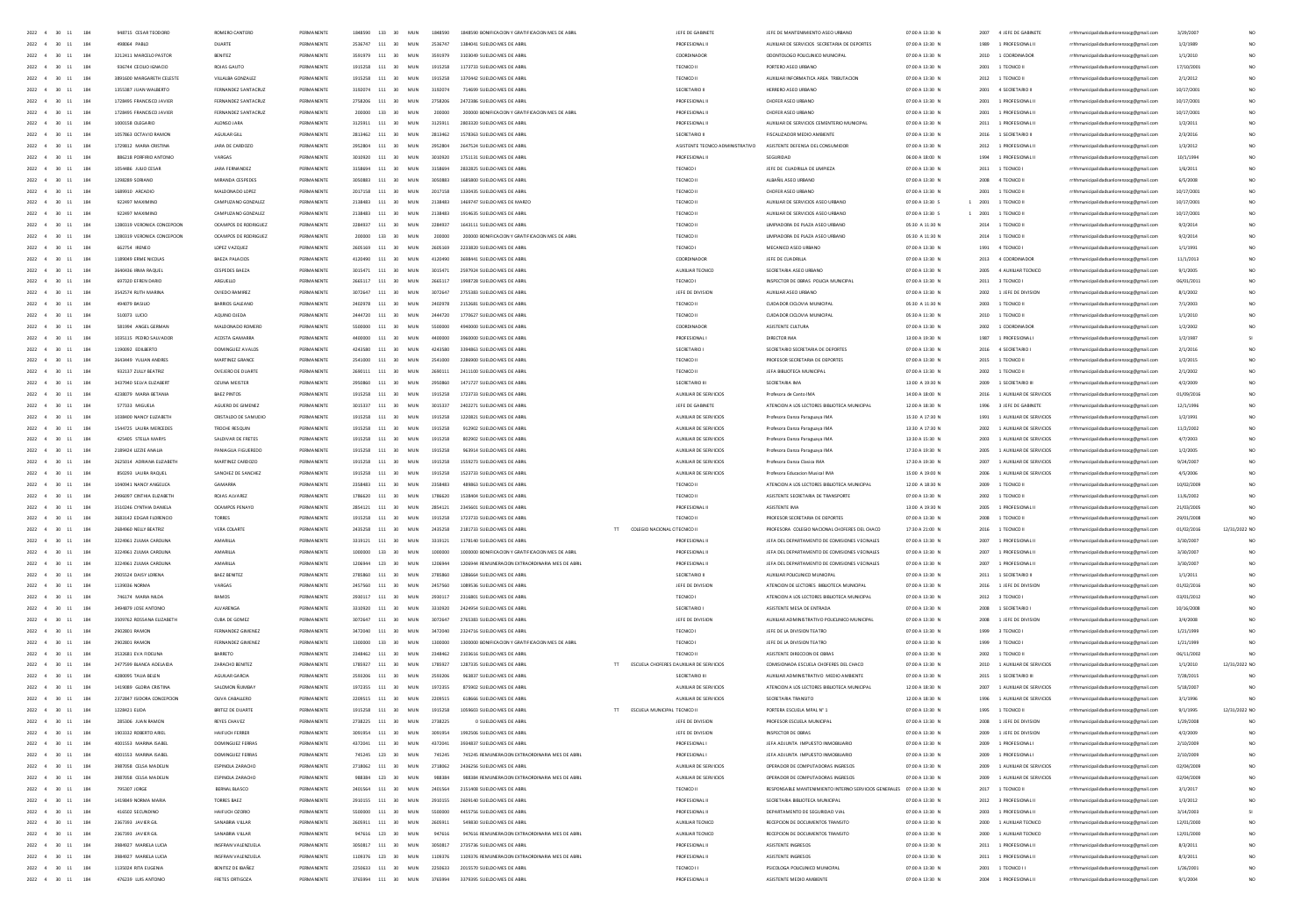| 2022 4<br>$30 - 11$<br>184               | 948715 CESAR TEODORO        | ROMERO CANTERO          | PERMANENT         | 1848590        | 133                    | MUN<br>1848590 | 1848590 BONIFICACION Y GRATIFICACION MES DE ABRI |                                               | JEFE DE GABINETI                         | JEFE DE MANTENIMIENTO ASEO URBA                                        | 07:00 A 13:30 M | 2007 | 4 JEFE DE GABINETI           | rrhhmunicipalidadsanlorenzocg@gmail.com | 3/29/200   |                 |
|------------------------------------------|-----------------------------|-------------------------|-------------------|----------------|------------------------|----------------|--------------------------------------------------|-----------------------------------------------|------------------------------------------|------------------------------------------------------------------------|-----------------|------|------------------------------|-----------------------------------------|------------|-----------------|
| 2022<br>$4\quad 30\quad 11$<br>184       |                             | DUART                   |                   |                | 111                    | MU<br>253674   |                                                  |                                               |                                          | AUXIUAR DE SERVICIOS SECRETARIA DE DEPORTE                             | 07:00 A 13:30 M |      | 1 PROFESIONAL II             | lidadsanlorenzocg@gmail.com             | 1/2/1989   |                 |
| $2022 \quad 4 \quad 30 \quad 11$<br>184  | 3212411 MARCELO PASTO       | BENITEZ                 | PERMANENTI        | 2501070        | 111<br>20 <sup>o</sup> | MUN<br>2501070 | 3103049 SUELDO MES DE AB                         |                                               | COORDINADOR                              | COONTOLOGO POLICLINICO MUNI                                            | 07:00 A 13:30 N | 2010 | 1 COORDINADO                 | cocg@gmail.co                           | 1/1/2010   |                 |
| 2022<br>$4 -$<br>30<br>184               | 936744 CECIUO IGNACIO       | ROJAS GAUTO             | PERMANENT         |                | 111                    | MU<br>1915258  |                                                  |                                               | TECNICO II                               | PORTERO ASEO URE                                                       | 07:00 A 13:30 N | 2001 | 1 TECNICO                    | rrhhmunicipalidadsanlorenzocg@gmail.com | 17/10/200  |                 |
| 2022 4 30 11<br>184                      | 3891600 MARGARETH CELESTI   | VILLALBA GONZALEZ       | <b>DCDMANCNT</b>  | 1015350        | 111<br>20 <sup>o</sup> | MUN<br>1915258 | 1370442 SUELDO MES DE ABR                        |                                               | TECNICO II                               | AUXILIAR INFORMATICA AREA TRIBUTACION                                  | 07:00 A 13:30 N | 2012 | 1 TECNICO II                 | rrhhmunicipalidadsanlorenzocg@gmail.co  | 2/1/2012   |                 |
| 184<br>2022 4 30 11                      | 1355387 JUAN WALBERTO       | FFRNANDFZ SANTACRUZ     | PERMANENTE        | 3192074 111    | 30 <sup>2</sup>        | MIN<br>3192074 | 714699 SUELDO MES DE ABRI                        |                                               | SECRETARIO                               | HERRERO ASEO URRANO                                                    | 07:00 A 13:30 N |      | 2001 4 SECRETARIO II         |                                         | 10/17/2001 |                 |
|                                          |                             |                         |                   |                |                        |                |                                                  |                                               |                                          |                                                                        |                 |      |                              | rrhhmunicipalidadsanlorenzocg@gmail.com |            |                 |
| 2022 4 30 11<br>184                      | 1728495 FRANCISCO JAVIER    | FERNANDEZ SANTACRUZ     | PERMANENTE        |                | 2758206 111 30         | MUN<br>2758206 | 2472386 SUELDO MES DE ABRI                       |                                               | PROFESIONAL                              | CHOFER ASEO URBANO                                                     | 07:00 A 13:30 N |      | 2001 1 PROFESIONAL II        | rrhhmunicipalidadsanlorenzocg@gmail.com | 10/17/200  |                 |
| 184<br>2022 4 30 11                      | 1728495 FRANCISCO JAVIER    | FFRNANDFZ SANTACRUZ     | PERMANENTE        | $200000 - 133$ | 30 <sub>2</sub>        | MIN<br>200000  | 200000 BONIFICACION Y GRATIFICACION MES DE ARRI  |                                               | PROFESIONAL I                            | CHOFFR ASEO LIBRANO                                                    | 07:00 A 13:30 N |      | 2001 1 PROFESIONAL II        | rrhhmunicipalidadsanlorenzocg@gmail.com | 10/17/200  |                 |
| 2022 4 30 11<br>184                      | 1000158 OLEGARIO            | ALONSO JARA             | PERMANENTE        |                | 3125911 111 30         | MUN<br>3125911 | 2803320 SUELDO MES DE ABRI                       |                                               | <b>PROFESIONAL II</b>                    | AUXIUAR DE SERVICIOS CEMENTERIO MUNICIPAL                              | 07:00 A 13:30 N |      | 2011 1 PROFESIONAL II        | rrhhmunicipalidadsanlorenzoce@email.com | 1/2/2011   |                 |
| 2022 4 30 11<br>184                      | 1057863 OCTAVIO RAMON       | AGUILAR GILL            | PERMANENTE        |                | 2813462 111 30         | MUN<br>2813462 | 1578363 SUELDO MES DE ABRI                       |                                               | SECRETARIO III                           | FISCAUZADOR MEDIO AMBIENTE                                             | 07:00 A 13:30 N |      | 2016 1 SECRETARIO II         | rrhhmunicipalidadsanlorenzoce@email.com | 2/3/2016   |                 |
| 2022 4 30 11<br>184                      | 1729812 MARIA CRISTINA      | JARA DE CARDOZO         | PERMANENTE        |                | 2952804 111 30         | MUN<br>2952804 | 2647524 SUELDO MES DE ABRI                       |                                               | ASISTENTE TECNICO ADMINISTRATIVO         | ASISTENTE DEFENSA DEL CONSUMIDOR                                       | 07:00 A 13:30 N |      | 2012 1 PROFESIONAL II        | rrhhmunicipalidadsanlorenzoce@email.com | 1/3/2012   |                 |
| 2022 4 30 11<br>184                      | 886218 PORFIRIO ANTONIO     | VARGAS                  | PERMANENTE        |                | 3010920 111 30         | MUN<br>3010920 | 1751131 SUELDO MES DE ABRIL                      |                                               | PROFESIONAL II                           | SEGURIDAD                                                              | 06:00 A 18:00 N |      | 1994 1 PROFESIONAL II        | rrhhmunicipalidadsanlorenzoce@email.com | 10/1/1994  |                 |
|                                          |                             |                         |                   |                |                        |                |                                                  |                                               |                                          |                                                                        |                 |      |                              |                                         |            |                 |
| 2022 4 30<br>184<br>11                   | 1054486 JUUO CESAR          | JARA FERNANDEZ          | PERMANENTE        | 3158694        | 111 30                 | MUN<br>3158694 | 2832825 SUELDO MES DE ABRIL                      |                                               | TECNICO I                                | JEFE DE CUADRILLA DE LIMPIEZA                                          | 07:00 A 13:30 N |      | 2011 1 TECNICO I             | rrhhmunicipalidadsanlorenzocg@gmail.com | 1/6/2011   |                 |
| 2022 4 30<br>184                         | 1298289 SORIANO             | MIRANDA CESPEDES        | PERMANENTE        | 3050883        | 111 30                 | MUN<br>3050883 | 1685800 SUELDO MES DE ABRI                       |                                               | TECNICO II                               | ALBAÑIL ASEO URBANO                                                    | 07:00 A 13:30 N | 2008 | 4 TECNICO II                 | rrhhmunicipalidadsanlorenzocg@gmail.com | 6/5/2008   |                 |
| 184<br>2022 4 30<br>11                   | 1689910 ARCADIO             | MALDONADO LOPEZ         | PERMANENTE        |                | 2017158 111 30         | MUN<br>2017158 | 1330435 SUELDO MES DE ABRI                       |                                               | TECNICO II                               | CHOFER ASEO URBANO                                                     | 07:00 A 13:30 N | 2001 | 1 TECNICO II                 | rrhhmunicipalidadsanlorenzocg@gmail.com | 10/17/200  |                 |
| 2022 4<br>184<br>30                      | 922497 MAXIMINO             | CAMPUZANO GONZALEZ      | PERMANENTE        | 2138483        | 111 30                 | MUN<br>2138483 | 1469747 SUELDO MES DE MARZO                      |                                               | TECNICO I                                | AUXILIAR DE SERVICIOS ASEO URBANO                                      | 07:00 A 13:30 S | 2001 | 1 TECNICO II                 | rrhhmunicipalidadsanlorenzocg@gmail.com | 10/17/200  |                 |
| 2022<br>184<br>30                        | 922497 MAXIMINO             | CAMPUZANO GONZALEZ      | PERMANENT         |                | 111<br>30              | MUN<br>2138483 | 1914635 SUELDO MES DE ABRI                       |                                               | TECNICO I                                | AUXILIAR DE SERVICIOS ASEO URBAN                                       | 07:00 A 13:30 S | 2001 | 1 TECNICO                    | rrhhmunicipalidadsanlorenzocg@gmail.com | 10/17/200  |                 |
| 184<br>2022 4<br>30                      | 1280319 VERONICA CONCEPCION | OCAMPOS DE RODRIGUEZ    | PERMANENTE        |                | 111 30                 | MUN<br>2284937 | 1643111 SUELDO MES DE ABRI                       |                                               | TECNICO I                                | UMPIADORA DE PLAZA ASEO URBANO                                         | 05:30 A 11:30 N | 2014 | 1 TECNICO II                 | rrhhmunicipalidadsanlorenzocg@gmail.com | 9/2/2014   |                 |
| 2022<br>184<br>30                        | 1280319 VERONICA CONCEPCION | OCAMPOS DE RODRIGUEZ    | PERMANENT         |                | 133<br>30              | MUN<br>200000  | 200000 BONIFICACION Y GRATIFICACION MES DE ABRI  |                                               | TECNICO I                                | <b>UMPIADORA DE PLAZA ASEO URBANO</b>                                  | 05:30 A 11:30 N | 2014 | 1 TECNICO                    |                                         | 9/2/2014   |                 |
|                                          |                             |                         |                   |                |                        |                |                                                  |                                               |                                          |                                                                        |                 |      |                              | rrhhmunicipalidadsanlorenzocg@gmail.com |            |                 |
| 2022<br>30<br>184                        | 662754 IRENEO               | LOPEZ VAZQUEZ           | PERMANENTI        | 2605169        | 111<br>30              | MUN<br>2605169 | 2233820 SUELDO MES DE ABR                        |                                               | TECNICO I                                | MECANICO ASEO URBANO                                                   | 07:00 A 13:30 N | 1991 | 4 TECNICO I                  | rrhhmunicipalidadsanlorenzoog@gmail.com | 1/1/1991   |                 |
| 2022<br>$\mathbf{A}$<br>30<br>184        | 1189049 ERME NICOLAS        | BAEZA PALACIOS          | PERMANENTE        | 4120490 111    | 30                     | MUN<br>4120490 | 3698441 SUELDO MES DE ABRI                       |                                               | COORDINADOR                              | JEFE DE CUADRILLA                                                      | 07:00 A 13:30 N |      | 2013 4 COORDINADOR           | rrhhmunicipalidadsanlorenzocg@gmail.com | 11/1/2013  |                 |
| 2022<br>30<br>184                        | 3640436 IRMA RAQUEL         | <b>CESPEDES BAEZA</b>   | PERMANENTI        | 3015471        | 111<br>30              | MUN<br>3015471 | 2597924 SUELDO MES DE ABR                        |                                               | AUXILIAR TECNICI                         | SECRETARIA ASEO URBANO                                                 | 07:00 A 13:30 N | 2005 | 4 AUXILIAR TECNICO           | rrhhmunicipalidadsanlorenzoog@gmail.com | 9/1/2005   |                 |
| 2022<br>$\mathbf{A}$<br>30<br>184        | 697320 EFREN DARIO          | ARGUELLO                | PERMANENTE        | 3665117        | 111<br>30              | MUN<br>2665117 | 1998728 SUELDO MES DE ABRI                       |                                               | TECNICO I                                | INSPECTOR DE CBRAS POLICIA MUNICIPA                                    | 07:00 A 13:30 N |      | 2011 3 TECNICO I             | rrhhmunicipalidadsanlorenzocg@gmail.com | 06/01/201  | NO <sub>1</sub> |
| 184<br>2022 4 30<br>$\ddot{\phantom{a}}$ | 3542574 BUTH MARINA         | OVIEDO RAMIREZ          | PERMANENTE        | 3072647        | 111 30                 | MUN<br>3072647 | 2755383 SUFLDO MES DE ABRI                       |                                               | <b>IFFE DE DIVISION</b>                  | AUXILIAR ASED URRANO                                                   | 07:00 A 13:30 N |      | 2002 1 JEFE DE DIVISION      | rrhhmunicipalidadsanlorenzocg@gmail.com | 8/1/2002   | NO <sub>1</sub> |
| 2022<br>$\sim$<br>30<br>184              | 494079 BASILIO              | BARRIOS GALEANO         | PERMANENTE        | 2402978 111    | 30                     | MUN<br>2402978 | 2152681 SUELDO MES DE ABRI                       |                                               | TECNICO II                               | CUIDADOR CICLOVIA MUNICIPA                                             | 05:30 A 11:30 N | 2003 | 1 TECNICO II                 | rrhhmunicipalidadsanlorenzocg@gmail.com | 7/1/2003   | NO <sub>1</sub> |
|                                          |                             |                         |                   |                |                        |                |                                                  |                                               |                                          |                                                                        |                 |      |                              |                                         |            |                 |
| 184<br>2022 4<br>$\infty$                | 510073 LUCIO                | ACUINO OIFDA            | PERMANENTE        |                | 2444720 111 30         | MIN<br>2444720 | 1770627 SUELDO MES DE ABRI                       |                                               | TECNICO II                               | CUDADOR CICLOVIA MUNICIPAL                                             | 05:30 A 11:30 N |      | 2010 1 TECNICO II            | rrhhmunicipalidadsanlorenzocg@gmail.com | 1/1/2010   | NO <sub>1</sub> |
| 2022 4 30<br>184                         | 581994 ANGEL GERMAN         | MALDONADO ROMERO        | PERMANENTE        | 5500000        | 111 30                 | MUN<br>5500000 | 4940000 SUELDO MES DE ABRI                       |                                               | COORDINADOR                              | ASISTENTE CULTURA                                                      | 07:00 A 13:30 N |      | 2002 1 COORDINADOR           | rrhhmunicipalidadsanlorenzocg@gmail.com | 1/2/2002   | NO <sub>1</sub> |
| 184<br>2022 4 30                         | 1035115 PEDRO SALVADOR      | ACOSTA GAMARRA          | PERMANENTE        | 0000004        | 111 30                 | MUN<br>4400000 | 3960000 SUELDO MES DE ABRI                       |                                               | PROFESIONAL                              | DIRECTOR IMA                                                           | 13:00 A 19:30 N |      | 1987 1 PROFESIONAL           | rrhhmunicipalidadsanlorenzoce@email.com | 1/2/1987   | $\leq$          |
| 2022 4 30<br>184<br>11                   | 1190092 EDILBERTO           | DOMINGUEZ AVALOS        | PERMANENTE        | 4243580        | 111 30                 | MUN<br>4243580 | 3394863 SUELDO MES DE ABRI                       |                                               | SECRETARIO                               | SECRETARIO SECRETARIA DE DEPORTES                                      | 07:00 A 13:30 N |      | 2016 4 SECRETARIO I          | rrhhmunicipalidadsanlorenzocg@gmail.com | 2/1/2016   | NO <sub>1</sub> |
| 184<br>2022 4 30                         | 3643449 YULIAN ANDRES       | MARTINEZ GRANCE         | PERMANENTE        | 2541000        | 111 30                 | MUN<br>2541000 | 2286900 SUELDO MES DE ABRI                       |                                               | TECNICO II                               | PROFESOR SECRETARIA DE DEPORTES                                        | 07:00 A 13:30 N |      | 2015 1 TECNICO II            | rrhhmunicipalidadsanlorenzoce@email.com | 1/2/2015   | NO <sub>1</sub> |
| 184<br>2022 4 30                         | 932137 ZULLY BEATRIZ        | OVEJERO DE DUARTE       | PERMANENTE        | 2690111        | 111 30                 | MUN<br>2690111 | 2411100 SUELDO MES DE ABRI                       |                                               | TECNICO II                               | JEFA BIBLIOTECA MUNICIPAL                                              | 07:00 A 13:30 N | 2002 | 1 TECNICO II                 | rrhhmunicipalidadsanlorenzocg@gmail.com | 2/1/2002   | NO <sub>1</sub> |
| 184                                      |                             |                         |                   |                |                        |                |                                                  |                                               |                                          |                                                                        |                 |      |                              |                                         |            | $1$             |
| 2022 4 30                                | 3437940 SELVA ELIZABERT     | <b>OZUNA MEISTER</b>    | PERMANENTE        |                | 111 30                 | MUN<br>2950860 | 1471727 SUELDO MES DE ABBI                       |                                               | SECRETARIO III                           | SECRETARIA IMA                                                         | 13:00 A 19:30 N | 2009 | 1 SECRETARIO III             | rrhhmunicipalidadsanlorenzocg@gmail.com | 4/2/2009   |                 |
| 184<br>2022 4 30                         | 4238079 MARIA BETANIA       | <b>BAEZ PINTOS</b>      | PERMANENTE        |                | 111<br>30              | MUN<br>1915258 | 1723733 SUELDO MES DE ABRI                       |                                               | AUXILIAR DE SERVICIOS                    | Profesora de Canto IMA                                                 | 14:00 A 18:00 N | 2016 | 1 AUXILIAR DE SERVICIOS      | rrhhmunicipalidadsanlorenzocg@gmail.com | 01/09/2016 | NO <sub>1</sub> |
| 184<br>2022<br>30                        | 577333 MIGUELA              | AGUERO DE GIMENEZ       |                   |                | 111<br>30              | MUN<br>3015337 | 2402271 SUELDO MES DE ABR                        |                                               | JEFE DE GABINETE                         | ATENCION A LOS LECTORES BIBLIOTECA MUNICIPAL                           | 12:00 A 18:30 N | 1996 | 3 JEFE DE GABINETE           | rrhhmunicipalidadsanlorenzocg@gmail.com | 12/1/1996  |                 |
| 184<br>30                                | 1038400 NANCY ELIZABETH     | CRISTALDO DE SAMUDIO    |                   |                | 111                    | MU             | 1220821 SUELDO MES DE ABR                        |                                               | AUXILIAR DE SERVICIOS                    | Profesora Danza Paraguaya IMA                                          | 15:30 A 17:30 N | 1991 | 1 AUXILIAR DE SERVICIOS      | rrhhmunicipalidadsanlorenzoog@gmail.com | 1/2/1991   |                 |
| 184<br>2022<br>30                        | 1544725 LAURA MERCEDES      | TROCHE RESQUIN          |                   |                | $111\,$<br>30          | MUN<br>1915258 | 912902 SUELDO MES DE ABR                         |                                               | AUXILIAR DE SERVICIOS                    | Profesora Danza Paraguaya IMA                                          | 13:30 A 17:30 N | 2002 | 1 AUXILIAR DE SERVICIOS      | rrhhmunicipalidadsanlorenzocg@gmail.com | 11/2/2002  |                 |
| 2022<br>30<br>184                        | 425405 STELLA MARYS         | SALDIVAR DE FRETES      |                   |                | 111<br>30              | MU             | 802902 SUELDO MES DE ABR                         |                                               | AUXILIAR DE SERVICIOS                    | Profesora Danza Paraguaya IMA                                          | 13:30 A 15:30 N | 2003 | 1 AUXILIAR DE SERVICIOS      | rrhhmunicipalidadsanlorenzoog@gmail.com | 4/7/2003   |                 |
| 2022<br>4 30<br>184                      | 2189424 UZZIE ANALIA        | PANJAGUA FIGUEREDO      | <b>DCDMANCNTC</b> | 1015759        | 111<br>30              | MUN<br>1915258 | 963914 SUELDO MES DE ABRI                        |                                               | AUXILIAR DE SERVICIOS                    | Profesora Danza Paraguaya IM/                                          | 17:30 A 19:30 N | 2005 | 1 AUXILIAR DE SERVICIOS      | rrhhmunicipalidadsanlorenzocg@gmail.com | 1/2/2005   | NO              |
|                                          |                             |                         |                   |                |                        |                |                                                  |                                               |                                          |                                                                        |                 |      |                              |                                         |            |                 |
| 2022<br>30<br>184                        | 2625014 ADRIANA ELIZABET    | MARTINEZ CARDOZO        |                   |                | 111<br>30              | MU<br>1915258  | 1559273 SUELDO MES DE ABR                        |                                               | AUXILIAR DE SERVICIOS                    | Profesora Danza Clasica IM                                             | 17:30 A 19:30 N | 2007 | 1 AUXILIAR DE SERVICIOS      | rrhhmunicipalidadsanlorenzocg@gmail.com | 9/24/200   | NO              |
| 2022 4 30<br>184                         | 850293 LAURA RAQUEL         | SANCHEZ DE SANCHEZ      | <b>DCDMANCNTC</b> | 1015759        | 111<br>30              | MUN<br>1915258 | 1523233 SUELDO MES DE ABRI                       |                                               | AUXILIAR DE SERVICIOS                    | Profesora Educacion Musical IMA                                        | 15:00 A 19:00 N | 2006 | 1 AUXILIAR DE SERVICIOS      | sicipalidadsanlorenzocg@gmail.com       | 4/5/2006   | NO              |
| 184<br>2022 4 30 11                      | 1040941 NANCY ANGELICA      | <b>GAMARRA</b>          | PERMANENTE        | 2358483        | $111 - 30$             | MIN<br>2358483 | 489863 SUFLDD MES DE ABRU                        |                                               | TECNICO II                               | ATENCION A LOS LECTORES BIBLIOTECA MUNICIPAL                           | 12:00 A 18:30 N | 2009 | 1 TECNICO II                 | rrhhmunicipalidadsanlorenzocg@gmail.com | 10/02/200  | NO <sub>1</sub> |
| 2022 4 30 11<br>184                      | 2495097 CINTHIA FIIZARETH   | ROIAS AIVAREZ           | PERMANENTE        |                | 1786620 111 30         | MIN<br>1786620 | 1538404 SUELDO MES DE ARRI                       |                                               | TECNICO II                               | ASISTENTE SECRETARIA DE TRANSPORTE                                     | 07:00 A 13:30 N |      | 2002 1 TECNICO II            | rrhhmunicipalidadsanlorenzocg@gmail.com | 11/6/2002  | NO <sub>1</sub> |
| 2022 4 30 11<br>184                      | 3510246 CYNTHIA DANIFLA     | OCAMPOS PENAYO          | PERMANENTE        | 2854121        | $111 - 30$             | MIN<br>2854121 | 2345601 SUFLDO MES DE ARRI                       |                                               | PROFESIONAL I                            | ASISTENTE IMA                                                          | 13:00 A 19:30 N | 2005 | 1 PROFESIONAL II             | rrhhmunicipalidadsanlorenzocg@gmail.com | 21/03/200  | NO <sub>1</sub> |
| 2022 4 30 11<br>184                      | 3683142 EDGAR FLORENCIC     | TORRES                  | PERMANENTE        |                | 1915258 111 30         | MUN<br>1915258 | 1723733 SUELDO MES DE ABRIL                      |                                               | TECNICO II                               | PROFESOR SECRETARIA DE DEPORTES                                        | 07:00 A 13:30 N |      | 2008 1 TECNICO II            | rrhhmunicipalidadsanlorenzocg@gmail.com | 29/01/2008 |                 |
| 2022 4 30 11<br>184                      | 2684960 NELLY BEATRIZ       | VERA COLARTE            | PERMANENTE        |                | 2435258 111 30         | MUN<br>2435258 | 2181733 SUELDO MES DE ABRIL                      | $\mathbf{H}$<br>COLEGIO NACIONAL C TECNICO II |                                          | PROFESORA COLEGIO NACIONAL CHOFERES DEL CHACO                          | 17:30 A 21:00 N |      | 2016 1 TECNICO II            | rrhhmunicipalidadsanlorenzoce@email.com | 01/02/2016 | 12/31/2022 NO   |
|                                          |                             |                         |                   |                |                        |                |                                                  |                                               |                                          |                                                                        |                 |      |                              |                                         |            |                 |
| 2022 4 30 11<br>184                      | 3224961 ZULMA CAROLINA      | AMARILLA                | PERMANENTE        | 3319121        | 111 30                 | MUN<br>3319121 | 1178140 SUELDO MES DE ABRIL                      |                                               | PROFESIONAL                              | JEFA DEL DEPARTAMENTO DE COMISIONES VECINALES                          | 07:00 A 13:30 N |      | 2007 1 PROFESIONAL II        | rrhhmunicipalidadsanlorenzoce@email.com | 3/30/2007  |                 |
| 2022 4 30 11<br>184                      | 3224961 ZULMA CAROLINA      | AMARILLA                | PERMANENTE        | 1000000        | 133 30                 | MUN<br>1000000 | 1000000 BONIFICACION Y GRATIFICACION MES DE ABRI |                                               | <b>PROFESIONAL II</b>                    | JEFA DEL DEPARTAMENTO DE COMISIONES VECINALES                          | 07:00 A 13:30 N |      | 2007 1 PROFESIONAL II        | rrhhmunicipalidadsanlorenzoce@email.com | 3/30/2007  |                 |
| 2022 4 30 11<br>184                      | 3224961 ZULMA CAROLINA      | AMARILLA                | PERMANENTE        | 1206944        | 123 30                 | MUN<br>1206944 | 1206944 REMUNERACION EXTRAORDINARIA MES DE ABRI  |                                               | PROFESIONAL II                           | JEFA DEL DEPARTAMENTO DE COMISIONES VECINALES                          | 07:00 A 13:30 N |      | 2007 1 PROFESIONAL II        | rrhhmunicipalidadsanlorenzocg@gmail.com | 3/30/2007  |                 |
| 2022 4 30<br>184<br>11                   | 2905524 DAISY LORENA        | <b>BAEZ BENITEZ</b>     | PERMANENTI        |                | 111 30                 | MUN<br>2785860 | 1286664 SUELDO MES DE ABRI                       |                                               | SECRETARIO III                           | AUXIUAR POUCUNICO MUNICIPAL                                            | 07:00 A 13:30 N |      | 2011 1 SECRETARIO II         | rrhhmunicipalidadsanlorenzocg@gmail.com | 1/1/2011   |                 |
| 2022 4 30<br>184<br>11                   | 1139036 NORMA               | VARGAS                  | PERMANENTE        | 2457560        | 111 30                 | MUN<br>2457560 | 1089536 SUELDO MES DE ABRI                       |                                               | JEFE DE DIVISION                         | ATENCION DE LECTORES BIBLIOTECA MUNICIPAL                              | 07:00 A 13:30 N |      | 2016 1 JEFE DE DIVISION      | rrhhmunicipalidadsanlorenzocg@gmail.com | 01/02/2016 |                 |
| 2022 4 30<br>184<br>11                   | 746174 MARIA NILDA          | RAMOS                   | PERMANENTI        |                | 111<br>30              | MUN<br>2930117 | 2316801 SUELDO MES DE ABRI                       |                                               | TECNICO I                                | ATENCION A LOS LECTORES BIBLIOTECA MUNICIPAL                           | 07:00 A 13:30 N |      | 2012 3 TECNICO               | rrhhmunicipalidadsanlorenzocg@gmail.com | 03/01/2012 |                 |
| 2022<br>184<br>30<br>$11\,$              | 3494879 JOSE ANTONIC        | ALVARENGA               | PERMANENT         |                | 111<br>30              | MUN<br>3310920 | 2424954 SUELDO MES DE ABRI                       |                                               | SECRETARIO                               | ASISTENTE MESA DE ENTRADA                                              | 07:00 A 13:30 M |      | 2008 1 SECRETARIO I          | rrhhmunicipalidadsanlorenzocg@gmail.com | 10/16/200  |                 |
| 2022 4 30<br>184                         | 3509762 ROSSANA ELIZABETH   | CUBA DE GOMEZ           | PERMANENT         |                | 111<br>30              | MUN            | 2765383 SUELDO MES DE ABRI                       |                                               | JEFE DE DIVISION                         | AUXIUAR ADMINISTRATIVO POLICLINICO MUNICIPAL                           | 07:00 A 13:30 N |      | 2008 1 JEFE DE DIVISION      |                                         |            |                 |
| 11                                       |                             |                         |                   |                |                        | 3072647        |                                                  |                                               |                                          |                                                                        |                 |      |                              | rrhhmunicipalidadsanlorenzocg@gmail.com | 3/4/2008   |                 |
| 2022<br>30                               | 2902801 RAMON               | FERNANDEZ GIMENEZ       | PERMANENT         |                | 111<br>30              | MUN<br>3472040 | 2324716 SUELDO MES DE ABRI                       |                                               | <b>TECNICO</b>                           | JEFE DE LA DIVISION TEATRO                                             | 07:00 A 13:30 M | 1999 | 3 TECNICO I                  | rrhhmunicipalidadsanlorenzocg@gmail.com | 1/21/1999  |                 |
| 2022 4<br>30<br>184                      | 2902801 RAMON               | FERNANDEZ GIMENEZ       | PERMANENT         |                | 133<br>30              | MUN<br>1300000 | 1300000 BONIFICACION Y GRATIFICACION MES DE ABR  |                                               | TECNICO                                  | JEFE DE LA DIVISION TEATRO                                             | 07:00 A 13:30 N | 1999 | 3 TECNICO I                  | rrhhmunicipalidadsanlorenzocg@gmail.com | 1/21/199   |                 |
| 2022 4 30 11<br>184                      | 3532681 EVA FIDEUNA         | BARRETO                 | PERMANENTI        | 2348462        | 111<br>30              | MUN<br>2348462 | 2103616 SUELDO MES DE ABRI                       |                                               | TECNICO I                                | ASISTENTE DIRECCION DE OBRAS                                           | 07:00 A 13:30 N |      | 2002 1 TECNICO II            | rrhhmunicipalidadsanlorenzocg@gmail.com | 06/11/200  |                 |
| 2022<br>30<br>184                        | 2477599 BLANCA ADELAIDA     | ZARACHO BENITEZ         | PERMANENT         | 1785927        | 111<br>30              | MUN<br>1785927 | 1287335 SUELDO MES DE ABR                        |                                               | ESCUELA CHOFERES C AUXILIAR DE SERVICIOS | COMISIONADA ESCUELA CHOFERES DEL CHACC                                 | 07:00 A 13:30 N |      | 2010 1 AUXILIAR DE SERVICIO  | rrhhmunicipalidadsanlorenzocg@gmail.com | 1/1/2010   | 12/31/2022 NO   |
| 2022 4 30<br>$\ddot{\mathbf{1}}$<br>184  | 4280095 TAUA BELEN          | AGUILAR GARCIA          | PERMANENTI        | 2593206        | 111<br>30              | MUN<br>2593206 | 963837 SUELDO MES DE ABRI                        |                                               | SECRETARIO III                           | AUXILIAR ADMINISTRATIVO MEDIO AMBIENTE                                 | 07:00 A 13:30 N |      | 2015 1 SECRETARIO III        | rrhhmunicipalidadsanlorenzocg@gmail.com | 7/28/2019  |                 |
| 2022 4 30 11<br>184                      | 1419089 GLOBIA CRISTINA     | SALOMON BLIMBAY         | PERMANENTI        | 1972355 111    | 30 <sub>1</sub>        | MIN<br>1972355 | 875902 SUELDO MES DE ABBI                        |                                               | AUXILIAR DE SERVICIOS                    | ATENCION A LOS LECTORES BIBLIOTECA MUNICIPAL                           | 12:00 A 18:30 N |      | 2007 1 AUXILIAR DE SERVICIOS | rrhhmunicipalidadsanlorenzocg@gmail.com | 5/18/2002  |                 |
| 2022 4<br>$\infty$<br>184                | 2372847 ISIDORA CONCEPCION  | OUVA CABALLERO          | PERMANENTI        | 2209515        | 111<br>30              | MUN<br>2209515 | 618666 SUELDO MES DE ABRI                        |                                               | AUXILIAR DE SERVICIOS                    | SECRETARIA TRANSITO                                                    | 12:00 A 18:30 N |      | 1996 1 AUXILIAR DE SERVICIOS | rrhhmunicipalidadsanlorenzocg@gmail.com | 3/1/1996   |                 |
| 2022 4 30 11                             | 1228421 FUDA                | BRITEZ DE DUARTI        | PERMANENTI        |                | 111                    | MIN            | 1059603 SUELDO MES DE ABRI                       |                                               |                                          | PORTERA ESCUELA MPAL Nº 1                                              | 07:00 A 13:30 N |      |                              |                                         |            |                 |
| 184                                      |                             |                         |                   | 1915258        | 30 <sub>1</sub>        | 1915258        |                                                  | ESCUELA MUNICIPAL TECNICO II<br>T             |                                          |                                                                        |                 |      | 1995 1 TECNICO II            | rrhhmunicipalidadsanlorenzocg@gmail.com | 9/1/1995   | 12/31/2022 NO   |
| 2022 4 30 11<br>184                      | 285306 JUAN RAMON           | REYES CHAVEZ            | PERMANENTE        | 2738225        | 111<br>30              | MUN<br>2738225 | 0 SUELDO MES DE ABRIL                            |                                               | JEFE DE DIVISION                         | PROFESOR ESCUELA MUNICIPAL                                             | 07:00 A 13:30 N |      | 2008 1 JEFE DE DIVISION      | rrhhmunicipalidadsanlorenzoog@gmail.com | 1/29/2008  |                 |
| 2022 4 30<br>184<br>11                   | 1903332 ROBERTO ARIEL       | HAIFUCH FERRER          | PERMANENTE        | 3091954        | 111<br>30 <sub>2</sub> | MUN<br>3091954 | 1992506 SUELDO MES DE ABRIL                      |                                               | JEFE DE DIVISION                         | <b>INSPECTOR DE OBRAS</b>                                              | 07:00 A 13:30 N |      | 2009 1 JEFE DE DIVISION      | rrhhmunicipalidadsanlorenzoce@email.com | 4/2/2009   |                 |
| 2022 4 30<br>184<br>11                   | 4001553 MARINA ISABEL       | DOMINGUEZ FERRAS        | PERMANENTE        | 4372041        | 111<br>30              | MUN<br>4372041 | 3934837 SUELDO MES DE ABRIL                      |                                               | PROFESIONALI                             | JEFA ADJUNTA IMPUESTO INMOBILIARIO                                     | 07:00 A 13:30 N |      | 2009 1 PROFESIONAL I         | rrhhmunicipalidadsanlorenzoog@gmail.com | 2/10/2009  |                 |
| 2022 4 30<br>184<br>11                   | 4001553 MARINA ISABEL       | DOMINGUEZ FERRAS        | PERMANENTE        | 745245         | 123<br>30 <sub>2</sub> | MUN<br>745245  | 745245 REMUNERACION EXTRAORDINARIA MES DE ABRIL  |                                               | PROFESIONALI                             | JEFA ADJUNTA IMPUESTO INMOBILIARIO                                     | 07:00 A 13:30 N |      | 2009 1 PROFESIONAL           | rrhhmunicipalidadsanlorenzoce@email.com | 2/10/2005  |                 |
| 2022 4 30<br>184<br>11                   | 3987058 CELSA MADELIN       | ESPINOLA ZARACHO        | PERMANENTE        | 2718062        | 111<br>30              | MUN<br>2718062 | 2436256 SUELDO MES DE ABRIL                      |                                               | AUXILIAR DE SERVICIOS                    | OPERADOR DE COMPUTADORAS INGRESOS                                      | 07:00 A 13:30 N | 2009 | 1 AUXILIAR DE SERVICIOS      | rrhhmunicipalidadsanlorenzocg@gmail.com | 02/04/2005 |                 |
| 2022 4 30<br>184<br>11                   | 3987058 CELSA MADELIN       | <b>ESPINOLA ZARACHO</b> | PERMANENTE        | 988384         | 123<br>30 <sub>0</sub> | MUN<br>988384  | 988384 REMUNERACION EXTRAORDINARIA MES DE ABRIL  |                                               | AUXILIAR DE SERVICIOS                    | OPERADOR DE COMPUTADORAS INGRESOS                                      | 07:00 A 13:30 N |      | 2009 1 AUXILIAR DE SERVICIOS | rrhhmunicipalidadsanlorenzoce@email.com | 02/04/2005 |                 |
|                                          |                             |                         |                   |                |                        |                |                                                  |                                               |                                          |                                                                        |                 |      |                              |                                         |            |                 |
| 2022 4 30<br>184<br>11                   | 795307 JORGE                | BERNAL BLASCO           | PERMANENTE        | 2401564        | 111<br>30              | MUN<br>2401564 | 2151408 SUELDO MES DE ABRI                       |                                               | TECNICO II                               | RESPONSABLE MANTENIMIENTO INTERNO SERVICIOS GENERALES  07:00 A 13:30 N |                 | 2017 | 1 TECNICO II                 | rrhhmunicipalidadsanlorenzocg@gmail.com | 3/1/2017   |                 |
| 2022 4<br>184<br>30                      | 1419849 NORMA MARL          | TORRES BAEZ             | PERMANENTI        |                | 111                    | MUN<br>2910155 | 2609140 SUELDO MES DE ABRI                       |                                               | PROFESIONAL II                           | SECRETARIA BIBLIOTECA MUNICIPAL                                        | 07:00 A 13:30 N | 2012 | 3 PROFESIONAL II             | rrhhmunicipalidadsanlorenzocg@gmail.com | 1/3/2012   |                 |
| 2022<br>184<br>30                        | 416502 SECUNDI              | HAIFUCH OZORIC          |                   |                |                        |                |                                                  |                                               | PROFESIONAL I                            | DEPARTAMENTO DE SEGURIDAD VIA                                          | 07:00 A 13:30 N | 2003 | 1 PROFESIONAL II             | rrhhmunicipalidadsanlorenzoog@gmail.com | 3/14/2003  |                 |
| 184<br>2022<br>30                        | 2367393 JAVIER GIL          | SANABRIA VILLAR         | PERMANENTI        |                | 111                    | MUN<br>2605911 | 549830 SUELDO MES DE ABRI                        |                                               | AUXILIAR TECNICO                         | RECEPCION DE DOCUMENTOS TRANSITO                                       | 07:00 A 13:30 N | 2000 | 1 AUXILIAR TECNICO           | rrhhmunicipalidadsanlorenzoog@gmail.com | 12/01/2000 |                 |
| 2022<br>184<br>30                        | 2367393 JAVIER GIL          | SANABRIA VILLAR         |                   |                | 123                    | 947616         | 947616 REMUNERACION EXTRAORDINARIA MES DE ABR    |                                               | AUXUAR TECNICI                           | RECEPCION DE DOCUMENTOS TRAN                                           | 07:00 A 13:30 N | 2000 | 1 AUXILIAR TECNICO           | rrhhmunicipalidadsanlorenzoog@gmail.com | 12/01/200  |                 |
| 2022<br>30<br>184                        | 3984927 MARIELA LUCH        | INSFRAN VALENZUEL       | PERMANENT         |                | 111                    | MU             |                                                  |                                               | <b>PROFESIONAL</b>                       | ASISTENTE INGRESO                                                      | 07:00 A 13:30 N | 2011 |                              | unicipalidadsanlorenzocg@gmail.com      |            |                 |
| 2022<br>184                              |                             | INSFRAN VALENZUEL       |                   |                | 123                    | 1109376        | 1109376 REMUNERACION EXTRAORDINARIA MES DE ABRI  |                                               | PROFESIONAL                              | ASISTENTE INGRESOS                                                     | 07:00 A 13:30 N | 2011 | 1 PROFESIONAL                | rrhhmunicipalidadsanlorenzoog@gmail.com | 8/3/2011   |                 |
|                                          |                             |                         |                   |                |                        |                |                                                  |                                               |                                          |                                                                        |                 |      |                              |                                         |            |                 |
| 2022 4 30 11<br>184                      | 1135024 RTA FUGENIA         | BENITEZ DE IBAÑEZ       | PERMANENTE        |                | 2250633 111 30         | MUN<br>2250633 | 2015570 SUELDO MES DE ABR                        |                                               | TECNICO LI                               | PSICOLOGA POLICUNICO MUNICIPA                                          | 07:00 A 13:30 N | 2001 | 1 TECNICO I I                | rrhhmunicipalidadsanlorenzocg@gmail.com | 1/26/2001  |                 |
| 2022 4 30 11<br>184                      | 476239 ILIS ANTONIO         | <b>ERFTES ORTIGOZA</b>  | PERMANENTE        |                | 3765994 111 30         | MIN<br>3765994 | 3379395 SUELDO MES DE ABRI                       |                                               | PROFESIONAL II                           | ASISTENTE MEDIO AMBIENTE                                               | 07:00 A 13:30 N |      | 2004 1 PROFESIONAL II        | rrhhmunicipalidadsanlorenzoog@gmail.com | 9/1/2004   |                 |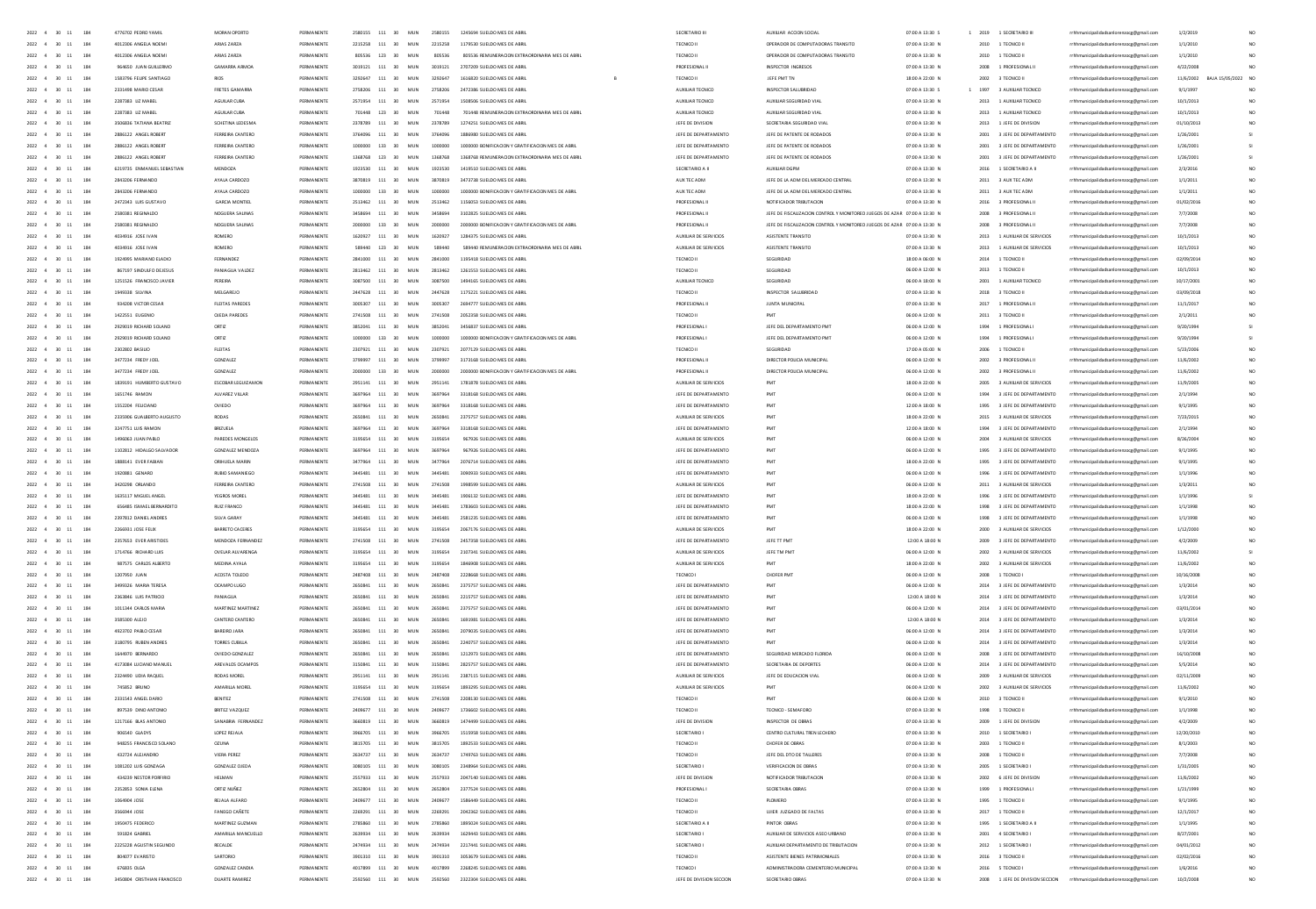| 2022 4 30 11<br>184                                       | 4776702 PEDRO VAMI          | MORAN OPDRTO          | PERMANENTI         | 2580155 | 111<br>30 <sub>1</sub> | MIN | 2580155 | 1245694 SUFLDD MES DE ARRI                       | SECRETARIO II               | AUXILIAR ACCION SOCIA                                                     | 020041330.5     | 2019  | 1 SECRETARIO III                |                                         | 1/2/201    |                    |
|-----------------------------------------------------------|-----------------------------|-----------------------|--------------------|---------|------------------------|-----|---------|--------------------------------------------------|-----------------------------|---------------------------------------------------------------------------|-----------------|-------|---------------------------------|-----------------------------------------|------------|--------------------|
| 2022 4 30 11<br>184                                       | 4012306 ANGELA NOEM         | ARIAS ZARZA           | PERMANENTI         |         | 2215258 111 30         | MUN | 2215258 | 1179530 SUELDO MES DE ABRI                       | TECNICO II                  | OPERADOR DE COMPUTADORAS TRANSITO                                         | 07:00 A 13:30 N |       | 2010 1 TECNICO II               | rrhhmunicipalidadsanlorenzoce@email.com | 1/1/2010   |                    |
| 2022 4 30 11<br>184                                       | 4012306 ANGELA NOEMI        | ARIAS ZARZA           | PERMANENTE         |         | 805536 123 30          | MUN | 805536  | 805536 REMUNERACION EXTRAORDINARIA MES DE ABRIL  | TECNICO II                  | OPERADOR DE COMPUTADORAS TRANSITO                                         | 07:00 A 13:30 N |       | 2010 1 TECNICO II               | rrhhmunicipalidadsanlorenzoce@email.com | 1/1/2010   |                    |
| 2022 4 30 11<br>184                                       | 964650 JUAN GUILLERMO       | GAMARRA ARMOA         | PERMANENTE         |         | 3019121 111 30         | MUN | 3019121 | 2707209 SUELDO MES DE ABRI                       | PROFESIONAL II              | INSPECTOR INGRESOS                                                        | 07:00 A 13:30 N |       | 2008 1 PROFESIONAL II           | rrhhmunicipalidadsanlorenzoce@email.com | 4/22/2008  |                    |
| 2022 4 30 11<br>184                                       | 1583796 FEUPE SANTIAGO      | RIOS                  | PERMANENTE         |         | 3292647 111 30         | MUN | 3292647 | 1616820 SUELDO MES DE ABBIL                      | TECNICO II                  | JEFE PMT TN                                                               | 18:00 A 22:00 N |       | 2002 3 TECNICO II               | rrhhmunicipalidadsanlorenzocg@gmail.com | 11/6/2002  | BAJA 15/05/2022 NO |
| $2022 - 4$<br>184<br>30 11                                | 2331498 MARIO CESAR         | FRETES GAMARRA        | PERMANENTI         |         | 2758206 111 30         | MUN | 2758206 | 2472386 SUELDO MES DE ABRI                       | AUXILIAR TECNICO            | INSPECTOR SALUBRIDAD                                                      | 07:00 A 13:30 S | 1997  | 3 AUXILIAR TECNICO              | rrhhmunicipalidadsanlorenzocg@gmail.com | 9/1/1997   |                    |
| $2022 - 4$<br>30                                          | 2287383 UZ MABEL            | AGUILAR CUBA          | PERMANENTI         | 2571954 | $111\quad 30$          | MUN | 2571954 | 1508506 SUELDO MES DE ABRI                       | AUXILIAR TECNICO            | AUXIUAR SEGURIDAD VIA                                                     | 07:00 A 13:30 N | 2013  | 1 AUXILIAR TECNICO              | rrhhmunicipalidadsanlorenzocg@gmail.com | 10/1/2013  |                    |
|                                                           |                             |                       |                    |         |                        |     |         |                                                  |                             |                                                                           |                 |       |                                 |                                         |            |                    |
| $2022 - 4$<br>184<br>30                                   | 2287383 UZ MABEL            | AGUILAR CUBA          | PERMANENTI         | 701448  | 123 30                 | MUN | 701448  | 701448 REMUNERACION EXTRAORDINARIA MES DE ABRIL  | AUXILIAR TECNICO            | AUXILIAR SEGURIDAD VIAL                                                   | 07:00 A 13:30 N | 2013  | 1 AUXILIAR TECNICO              | rrhhmunicipalidadsanlorenzoog@gmail.com | 10/1/2013  |                    |
| 30                                                        | 3506836 TATIANA BEATRO      | SCHETINA LEDESM       | PERMANENTI         | 2378789 | $111\quad 30$          | MUN | 2378789 | 1274251 SUELDO MES DE ABRI                       | JEFE DE DIVISION            | SECRETARIA SEGURIDAD VIA                                                  | 07:00 A 13:30 N |       | 2013 1 JEFE DE DIVISION         | rrhhmunicipalidadsanlorenzocg@gmail.com | 01/10/2013 |                    |
| 2022 4<br>184                                             | 2886122 ANGEL ROBERT        | FERREIRA CANTERO      | PERMANENTI         | 3764096 | $111\,$<br>30          | MUN | 3764096 | 1886980 SUELDO MES DE ABRI                       | JEFE DE DEPARTAMENTO        | JEFE DE PATENTE DE RODADO                                                 | 07:00 A 13:30 N | 2001  | 3 JEFE DE DEPARTAMENTO          | rrhhmunicipalidadsanlorenzocg@gmail.com | 1/26/2001  |                    |
| 2022                                                      | 2886122 ANGEL ROBER         | FERREIRA CANTER       | PERMANENT          |         | 133<br>30              | MUN | 1000000 | 1000000 BONIFICACION Y GRATIFICACION MES DE ABRI | JEFE DE DEPARTAMENTO        | JEFE DE PATENTE DE RODADO                                                 | 07:00 A 13:30 N |       | 2001 3 JEFE DE DEPARTAMENTO     | rrhhmunicipalidadsanlorenzocg@gmail.com | 1/26/2001  |                    |
| $2022 - 4$<br>$\overline{30}$<br>184                      | 2886122 ANGEL ROBERT        | FERREIRA CANTERO      | PERMANENTI         | 1368768 | 123<br>30              | MUN | 1368768 | 1368768 REMUNERACION EXTRAORDINARIA MES DE ABRI  | JEFE DE DEPARTAMENTO        | JEFE DE PATENTE DE RODADO                                                 | 07:00 A 13:30 N | 2001  | 3 JEFE DE DEPARTAMENTO          | rrhhmunicipalidadsanlorenzocg@gmail.com | 1/26/2001  |                    |
| 2022 4<br>$\infty$<br>184                                 | 6219735 ENMANUEL SEBASTIAN  | MENDOZA               | PERMANENTI         | 1923530 | $111\quad 30$          | MUN | 1923530 | 1419510 SUELDO MES DE ABRI                       | SECRETARIO A II             | AUXILIAR DGPM                                                             | 07:00 A 13:30 N | 2016  | 1 SECRETARIO A II               | rrhhmunicipalidadsanlorenzocg@gmail.com | 2/3/2016   | NO <sub>1</sub>    |
| 184                                                       | 2843206 FERNANDO            | AYALA CARDOZO         | PERMANENTI         |         | 111 30                 | MUN |         |                                                  | AUX TEC ADM                 | JEFE DE LA ADM DEL MERCADO CENTRA                                         | 07:00 A 13:30 N |       | 2011 3 AUX TEC ADM              |                                         | 1/1/2011   | $\mathbf{M}$       |
| 2022 4<br>30                                              |                             |                       |                    | 3870819 |                        |     | 3870819 | 3473738 SUELDO MES DE ABRI                       |                             |                                                                           |                 |       |                                 | rrhhmunicipalidadsanlorenzoog@gmail.com |            |                    |
| 2022 4<br>$\infty$<br>184                                 | 2843206 FERNANDO            | AYALA CARDOZO         | PERMANENTI         |         | 133 30                 | MUN | 1000000 | 1000000 BONIFICACION Y GRATIFICACION MES DE ABRI | AUX TEC ADM                 | JEFE DE LA ADM DEL MERCADO CENTRA                                         | 07:00 A 13:30 N | 2011  | 3 AUX TEC ADM                   | rrhhmunicipalidadsanlorenzocg@gmail.com | 1/1/2011   | NO <sub>1</sub>    |
| 184<br>2022 4<br>30                                       | 2472343 ILIN GIRTAVO        | <b>GARCIA MONTIFI</b> | PERMANENTI         | 2513462 | 111 30                 | MIN | 2513462 | 1156053 SUELDO MES DE ABRI                       | PROFESIONAL II              | NOTIFICADOR TRIBUTACIÓN                                                   | 07:00 A 13:30 N |       | 2016 3 PROFESIONAL II           | rrhhmunicipalidadsanlorenzocg@gmail.com | 01/02/2016 | NO <sub>1</sub>    |
| 2022 4<br>184<br>30                                       | 2580381 REGINALDO           | NOGUERA SALINAS       | PERMANENTE         | 3458694 | 111 30                 | MUN | 3458694 | 3102825 SUELDO MES DE ABRIL                      | PROFESIONAL II              | JEFE DE FISCAUZACION CONTROL Y MONITOREO JUEGOS DE AZAR 07:00 A 13:30 N   |                 |       | 2008 3 PROFESIONAL II           | rrhhmunicipalidadsanlorenzocg@gmail.com | 7/7/2008   | NO <sub>1</sub>    |
| 184<br>2022 4<br>30                                       | 2580381 BEGINAIDO           | NOSUERA SAUNAS        | PERMANENTI         | 2000000 | $133 - 30$             | MIN | 2000000 | 2000000 BONIFICACION Y GRATIFICACION MES DE ARRI | PROFESIONAL III             | IFFE DE FISCAUZACIÓN CONTROL Y MONITOREO LUEGOS DE AZAR - 07:00 A 13:30 N |                 |       | 2008 3 PROFESIONAL II           | rrhhmunicipalidadsanlorenzocg@gmail.com | 7/7/2008   | NO <sub>1</sub>    |
| 2022 4<br>184<br>30                                       | 4034916 JOSE IVAN           | ROMERO                | PERMANENTE         | 1620927 | 111 30                 | MUN | 1620927 | 1284375 SUELDO MES DE ABRIL                      | AUXILIAR DE SERVICIOS       | ASISTENTE TRANSITO                                                        | 07:00 A 13:30 N |       | 2013 1 AUXILIAR DE SERVICIOS    | rrhhmunicipalidadsanlorenzocg@gmail.com | 10/1/2013  | NO <sub>1</sub>    |
| 2022 4<br>30 11<br>184                                    | 4034916 JOSE IVAN           | ROMERO                | PERMANENTE         | 589440  | 123 30                 | MUN | 589440  | 589440 REMUNERACION EXTRAORDINARIA MES DE ABRIL  | AUXILIAR DE SERVICIOS       | ASISTENTE TRANSITO                                                        | 07:00 A 13:30 N |       | 2013 1 AUXILIAR DE SERVICIOS    | rrhhmunicipalidadsanlorenzoce@email.com | 10/1/2013  | NO <sub>1</sub>    |
|                                                           |                             |                       |                    |         |                        |     |         |                                                  |                             |                                                                           |                 |       |                                 |                                         |            |                    |
| 184<br>2022 4<br>30 11                                    | 1924995 MARIANO ELADIO      | FERNANDEZ             | PERMANENTE         |         | 111 30                 | MUN | 2841000 | 1195418 SUELDO MES DE ABRI                       | TECNICO I                   | SEGURIDAD                                                                 | 18:00 A 06:00 N | 2014  | 1 TECNICO II                    | rrhhmunicipalidadsanlorenzocg@gmail.com | 02/09/2014 | NO <sub>1</sub>    |
| 2022 4<br>30 11<br>184                                    | 867197 SINDULFO DEJESUS     | PANIAGUA VALDEZ       | PERMANENTE         | 2813462 | 111 30                 | MUN | 2813462 | 1261553 SUELDO MES DE ABRI                       | TECNICO II                  | SEGURIDAD                                                                 | 06:00 A 12:00 N | 2013  | 1 TECNICO II                    | rrhhmunicipalidadsanlorenzoce@email.com | 10/1/2013  | NO <sub>1</sub>    |
| 2022 4<br>184<br>30 11                                    | 1251526 FRANCISCO JAVIER    | PEREIRA               | PERMANENTI         |         | 111 30                 | MUN | 3087500 | 1494165 SUELDO MES DE ABRI                       | AUXILIAR TECNICO            | SEGURIDAD                                                                 | 06:00 A 18:00 N | 2001  | 1 AUXILIAR TECNICO              | rrhhmunicipalidadsanlorenzocg@gmail.com | 10/17/2001 | NO <sub>1</sub>    |
| 2022<br>$30 - 11$<br>184                                  | 1949338 SILVINA             | MELGAREJO             | PERMANENTI         |         | 111 30                 | MUN | 2447628 | 1175221 SUELDO MES DE ABRI                       | TECNICO I                   | INSPECTOR SALUBRIDAD                                                      | 07:00 A 13:30 N | 2018  | 3 TECNICO II                    | rrhhmunicipalidadsanlorenzocg@gmail.com | 03/09/2018 | NO <sub>1</sub>    |
| 184<br>2022 4<br>30 11                                    | 934208 VICTOR CESAR         | FLEITAS PAREDES       | PERMANENTI         |         | 111 30                 | MUN | 3005307 | 2694777 SUELDO MES DE ABRI                       | PROFESIONAL II              | <b>JUNTA MUNICIPAL</b>                                                    | 07:00 A 13:30 N | 2017  | 1 PROFESIONAL II                | rrhhmunicipalidadsanlorenzocg@gmail.com | 11/1/2017  | NO <sub>1</sub>    |
| 2022<br>30                                                | 1422551 EUGENIC             | OJEDA PAREDE          |                    |         | $111\,$<br>30          | MUN | 2741508 |                                                  | TECNICO I                   |                                                                           | 06:00 A 12:00 N |       |                                 |                                         | 2/1/2011   |                    |
|                                                           |                             |                       |                    |         |                        |     |         |                                                  |                             |                                                                           |                 | 2011  | 3 TECNICO II                    | rrhhmunicipalidadsanlorenzocg@gmail.com |            |                    |
| 2022<br>184                                               | 2929019 RICHARD SOLANO      | ORTIZ                 |                    |         | 111<br>30              | MUN | 385204  |                                                  | PROFESIONAL                 | JEFE DEL DEPARTAMENTO PM                                                  | 06:00 A 12:00 N |       | 1 PROFESIONAL                   | rrhhmunicipalidadsanlorenzocg@gmail.com | 9/20/199   |                    |
| $2022 - 4$<br>$\infty$<br>184                             | 2929019 RICHARD SOLANO      | ORTIZ                 | <b>DEPARANEMEN</b> |         | 133<br>30              | MUN | 100000  | 1000000 BONIFICACION Y GRATIFICACION MES DE ABRI | PROFESIONAL                 | JEFE DEL DEPARTAMENTO PM                                                  | 06:00 A 12:00 N |       | 1 PROFESIONAL                   | inicipalidadsanlorenzocg@gmail.com      | 9/20/1994  |                    |
| $2022 - 4$<br>30<br>184                                   | 2302802 BASILIC             | FLEITAS               |                    | 230792  | 111<br>30              | MUN |         |                                                  | TECNICO I                   |                                                                           | 17:00 A 05:00 N |       | 1 TECNICO II                    | rrhhmunicipalidadsanlorenzocg@gmail.com | 5/23/2006  | NO                 |
| $2022 \quad 4 \quad 30 \quad 11$<br>184                   | 3477234 FREDY JOEL          | GONZALEZ              | <b>DEPARANEMEN</b> |         | 111 30                 | MUN | 379999  | 3173168 SUELDO MES DE ABRI                       | PROFESIONAL II              | DIRECTOR POLICIA MUNICIPA                                                 | 06:00 A 12:00 N |       | 3 PROFESIONAL II                | rrhhmunicipalidadsanlorenzocg@gmail.com | 11/6/2002  | NO                 |
| 2022 4 30 11<br>184                                       | 3477734 FREDV IOFL          | GONZAIEZ              | PERMANENTI         | 2000000 | $133 - 30$             | MIN | zooppo  | 2000000 BONIFICACION Y GRATIFICACION MES DE ABRI | PROFESIONAL II              | DIRECTOR POUGA MUNICIPA                                                   | 0600 A 1200 N   | zonz. | 3 PROFESIONAL II                | rrhhmunicipalidadsanlorenzocg@gmail.com | 11/6/2002  | NO <sub>1</sub>    |
| $2022 - 4$<br>30<br>184                                   | 1839191 HUMBERTO GUSTAVO    | ESCOBAR LEGUIZAMO     | PERMANENTI         | 2951141 | 111 30                 | MUN | 2951141 | 1781878 SUELDO MES DE ABR                        | AUXILIAR DE SERVICIOS       |                                                                           | 18:00 A 22:00 N | 2005  | 3 AUXILIAR DE SERVICIOS         |                                         | 11/9/2005  | NO                 |
|                                                           |                             |                       |                    |         |                        |     |         |                                                  |                             |                                                                           |                 |       |                                 | rrhhmunicipalidadsanlorenzocg@gmail.com |            |                    |
| 2022 4 30 11<br>184                                       | 1651746 RAMON               | AIVAREZ VIII AR       | PERMANENTI         | 2697964 | $111 - 30$             | MIN | 3697964 | 3318168 SUELDO MES DE ABRI                       | <b>IFFF DE DEPARTAMENTO</b> | PMT                                                                       | 06:00 A 12:00 N | 1994  | 3 JEEF DE DEPARTAMENTO          | rrhhmunicipalidadsanlorenzocg@gmail.com | 2/1/1994   | NO <sub>1</sub>    |
| 2022 4 30 11<br>184                                       | 1552204 FEUCIANO            | OVIEDO                | PERMANENTE         | 3697964 | 111 30                 | MUN | 3697964 | 3318168 SUELDO MES DE ABRIL                      | JEFE DE DEPARTAMENTO        | PMT                                                                       | 12:00 A 18:00 N |       | 1995 3 JEFE DE DEPARTAMENTO     | rrhhmunicipalidadsanlorenzocg@gmail.com | 9/1/1995   | NO <sub>1</sub>    |
| 2022 4 30 11<br>184                                       | 2335906 GUALBERTO AUGUSTO   | RODAS                 | PERMANENTE         | 2650841 | 111 30                 | MUN | 2650841 | 2375757 SUELDO MES DE ABRIL                      | AUXILIAR DE SERVICIOS       | PMT                                                                       | 18:00 A 22:00 N |       | 2015 3 AUXILIAR DE SERVICIOS    | rrhhmunicipalidadsanlorenzoce@email.com | 7/23/2015  | NO <sub>1</sub>    |
| 2022 4 30 11<br>184                                       | 3247751 LUIS RAMON          | BRIZUELA              | PERMANENTI         | 3697964 | 111 30                 | MUN | 3697964 | 3318168 SUELDO MES DE ABRIL                      | JEFE DE DEPARTAMENTO        | PMT                                                                       | 12:00 A 18:00 N | 1994  | 3 JEFE DE DEPARTAMENTO          | rrhhmunicipalidadsanlorenzoce@email.com | 2/1/1994   | NO <sub>1</sub>    |
| 2022 4 30 11<br>184                                       | 1496063 JUAN PABLO          | PAREDES MONGELOS      | PERMANENTE         | 3195654 | 111 30                 | MUN | 3195654 | 967926 SUELDO MES DE ABRIL                       | AUXILIAR DE SERVICIOS       | PMT                                                                       | 06:00 A 12:00 N |       | 2004 3 AUXILIAR DE SERVICIOS    | rrhhmunicipalidadsanlorenzoce@email.com | 8/26/2004  | NO <sub>1</sub>    |
| 2022 4 30 11<br>184                                       | 1102812 HIDALGO SALVADOR    | GONZALEZ MENDOZA      | PERMANENTI         |         | 111 30                 | MUN | 3697964 | 967926 SUELDO MES DE ABRIL                       | JEFE DE DEPARTAMENTO        | PMT                                                                       | 06:00 A 12:00 N |       | 1995 3 JEFE DE DEPARTAMENTO     | rrhhmunicipalidadsanlorenzocg@gmail.com | 9/1/1995   |                    |
|                                                           |                             |                       |                    |         |                        |     |         |                                                  |                             |                                                                           |                 |       |                                 |                                         |            |                    |
| 2022 4<br>30 11<br>184                                    | 1888141 EVER FABIAN         | ORIHUELA MARIN        | PERMANENTI         | 3477964 | 111 30                 | MUN | 3477954 | 2076714 SUELDO MES DE ABBIL                      | JEFE DE DEPARTAMENTO        | PMT                                                                       | 18:00 A 22:00 N |       | 1995 3 JEFE DE DEPARTAMENTO     | rrhhmunicipalidadsanlorenzoce@email.com | 9/1/1995   | NO <sub>1</sub>    |
| $2022 - 4$<br>30 11<br>184                                | 1920881 GENARD              | RUBIO SAMANIEGO       | PERMANENTI         | 3445481 | 111 30                 | MUN | 3445481 | 3090933 SUELDO MES DE ABRIL                      | JEFE DE DEPARTAMENTO        | PMT                                                                       | 06:00 A 12:00 N |       | 1996 3 JEFE DE DEPARTAMENTO     | rrhhmunicipalidadsanlorenzocg@gmail.com | 1/1/1996   |                    |
| $2022 - 4$<br>30 11<br>184                                | 3420298 ORLANDO             | FERREIRA CANTERO      | PERMANENTI         |         | 111 30                 | MUN | 2741508 | 1998599 SUELDO MES DE ABRI                       | AUXILIAR DE SERVICIOS       |                                                                           | 06:00 A 12:00 N |       | 2011 3 AUXILIAR DE SERVICIOS    | rrhhmunicipalidadsanlorenzocg@gmail.com | 1/3/2011   |                    |
| 2022 4<br>30                                              | 1635117 MIGUEL ANGE         | YEGROS MORE           | PERMANENT          |         | 111<br>30              | MUN | 344548  | 1906132 SUELDO MES DE ABRI                       | JEFE DE DEPARTAMENTO        |                                                                           | 18:00 A 22:00 N | 1996  | 3 JEFE DE DEPARTAMENTO          | rrhhmunicipalidadsanlorenzocg@gmail.com | 1/1/1996   |                    |
| 2022 4<br>30<br>184                                       | 656485 ISMAEL BERNARDITO    | RUIZ FRANCO           | PERMANENTI         |         | 111<br>30              | MUN | 3445481 | 1783603 SUELDO MES DE ABRI                       | JEFE DE DEPARTAMENTO        |                                                                           | 18:00 A 22:00 N | 1998  | 3 JEFE DE DEPARTAMENTO          | rrhhmunicipalidadsanlorenzoce@email.com | 1/1/1998   |                    |
| 2022 4<br>30<br>184                                       | 2397812 DANIEL ANDRES       | SILVA GARAY           | PERMANENT          |         | 111<br>30              | MUN | 344548  | 2581235 SUELDO MES DE ABRI                       | JEFE DE DEPARTAMENTO        |                                                                           | 06:00 A 12:00 N | 1998  | 3 JEFE DE DEPARTAMENTO          | rrhhmunicipalidadsanlorenzocg@gmail.com | 1/1/1998   |                    |
|                                                           |                             |                       |                    |         |                        |     |         |                                                  |                             |                                                                           |                 |       |                                 |                                         |            |                    |
| 2022 4<br>30<br>184                                       | 2266931 JOSE FEUX           | BARRETO CACERES       | PERMANENTI         | 3195654 | 111<br>30              | MUN | 3195654 | 2067176 SUELDO MES DE ABRI                       | AUXILIAR DE SERVICIOS       | PMT                                                                       | 18:00 A 22:00 N | 2000  | 3 AUXILIAR DE SERVICIOS         | rrhhmunicipalidadsanlorenzocg@gmail.com | 1/12/2000  |                    |
| 2022 4<br>30<br>184                                       | 2357653 EVER ARISTIDES      | MENDOZA FERNANDE      | PERMANENT          | 2741508 | 111<br>30              | MUN | 2741508 | 2457358 SUELDO MES DE ABRI                       | JEFE DE DEPARTAMENTO        | JEFE TT PM                                                                | 12:00 A 18:00 N | 2009  | 3 JEFE DE DEPARTAMENT           | rrhhmunicipalidadsanlorenzocg@gmail.com | 4/2/200    |                    |
| $2022 - 4$<br>30<br>184                                   | 1714766 RICHARD LUIS        | OVELAR ALVARENGA      | PERMANENTI         | 2106654 | 111<br>30              | MUN | 3195654 | 2107341 SUELDO MES DE ABRI                       | AUXILIAR DE SERVICIOS       | JEFE TM PM                                                                | 06:00 A 12:00 N | 2002  | 3 AUXILIAR DE SERVICIOS         | rrhhmunicipalidadsanlorenzocg@gmail.com | 11/6/2002  |                    |
| 2022 4 30 11<br>184                                       | 987575 CARLOS ALBERTO       | MEDINA AYALA          | PERMANENTI         | 3195654 | 111<br>30              | MUN | 3195654 | 1846908 SUELDO MES DE ABRI                       | AUXILIAR DE SERVICIOS       | PMT                                                                       | 18:00 A 22:00 N | 2002  | 3 AUXILIAR DE SERVICIOS         | rrhhmunicipalidadsanlorenzocg@gmail.com | 11/6/2002  | NO <sub>1</sub>    |
| 2022 4 30 11<br>184                                       | 1207950 UJAN                | ACOSTA TOLEDO         | PERMANENTI         | 2487408 | 111 30                 | MIN | 2487408 | 2228668 SUELDO MES DE ABRI                       | TECNICO I                   | CHOFER PMT                                                                | 06:00 A 12:00 N |       | 2008 1 TECNICO I                | rrhhmunicipalidadsanlorenzocg@gmail.com | 10/16/2008 | NO <sub>1</sub>    |
| 2022 4 30 11<br>184                                       | 3499326 MARIA TERESA        | OCAMPO LUGO           | PERMANENTI         | 2650841 | 111<br>30 <sup>2</sup> | MUN | 2650841 | 2325252 SUELDO MES DE ABRI                       | JEFE DE DEPARTAMENTO        | PMT                                                                       | 06:00 A 12:00 N | 2014  | 3 JEFE DE DEPARTAMENTO          | rrhhmunicipalidadsanlorenzocg@gmail.com | 1/3/2014   | NO <sub>1</sub>    |
|                                                           |                             |                       |                    | 3450941 |                        |     |         |                                                  |                             |                                                                           |                 |       |                                 |                                         |            |                    |
| 2022 4<br>184<br>30 11                                    | 2363846 LUIS PATRICIO       | PANIAGUA              | PERMANENTI         |         | 111 30                 | MUN | 2650841 | 2215757 SUELDO MES DE ABRI                       | JEFE DE DEPARTAMENTO        | PMT                                                                       | 12:00 A 18:00 N | 2014  | 3 JEFE DE DEPARTAMENTO          | rrhhmunicipalidadsanlorenzocg@gmail.com | 1/3/2014   | NO <sub>1</sub>    |
| 2022 4<br>30 11<br>184                                    | 1011344 CARLOS MARIA        | MARTINEZ MARTINEZ     | PERMANENTI         | 2650841 | 111 30                 | MUN | 2650841 | 2375757 SUELDO MES DE ABRIL                      | JEFE DE DEPARTAMENTO        | PMT                                                                       | 06:00 A 12:00 N | 2014  | 3 JEFE DE DEPARTAMENTO          | rrhhmunicipalidadsanlorenzocg@gmail.com | 03/01/2014 | NO.                |
| 2022 4<br>184<br>30 11                                    | 3585300 ALEJO               | CANTERO CANTERO       | PERMANENTI         | 2650841 | 111<br>30              | MUN | 2650841 | 1691981 SUELDO MES DE ABRI                       | JEFE DE DEPARTAMENTO        | PMT                                                                       | 12:00 A 18:00 N | 2014  | 3 JEFE DE DEPARTAMENTO          | rrhhmunicipalidadsanlorenzocg@gmail.com | 1/3/2014   | NO <sub>1</sub>    |
| 2022 4<br>30 11<br>184                                    | 4923702 PABLO CESAR         | BAREIRO JARA          | PERMANENTI         | 2650841 | 111 30                 | MUN | 2650841 | 2079035 SUELDO MES DE ABRI                       | JEFE DE DEPARTAMENTO        | PMT                                                                       | 06:00 A 12:00 N | 2014  | 3 JEFE DE DEPARTAMENTO          | rrhhmunicipalidadsanlorenzoce@email.com | 1/3/2014   | NO <sub>1</sub>    |
| $2022 - 4$<br>184<br>30 11                                | 3180795 RUBEN ANDRES        | TORRES CUBILLA        | PERMANENTI         | 2650841 | 111 30                 | MUN | 2650841 | 2240757 SUELDO MES DE ABRI                       | JEFE DE DEPARTAMENTO        | PMT                                                                       | 06:00 A 12:00 N | 2014  | 3 JEFE DE DEPARTAMENTO          | rrhhmunicipalidadsanlorenzocg@gmail.com | 1/3/2014   | NO <sub>1</sub>    |
| 2022 4<br>184<br>30 11                                    | 1644970 BERNARDO            | OVIEDO GONZALEZ       | PERMANENTI         |         | 111<br>30              | MUN | 265084  | 1212973 SUELDO MES DE ABRI                       | JEFE DE DEPARTAMENTO        | SEGURIDAD MERCADO FLORID                                                  | 06:00 A 12:00 N | 2008  | 3 JEFE DE DEPARTAMENTO          | rrhhmunicipalidadsanlorenzocg@gmail.com | 16/10/2008 |                    |
| $2022 - 4$<br>184<br>30 11                                | 4173084 LUCIANO MANUEL      | AREVALOS OCAMPOS      | PERMANENTI         | 3150841 | 111<br>30              | MUN | 3150841 | 2825757 SUELDO MES DE ABRIL                      | JEFE DE DEPARTAMENTO        | SECRETARIA DE DEPORTES                                                    | 06:00 A 12:00 N | 2014  | 3 JEFE DE DEPARTAMENTO          | rrhhmunicipalidadsanlorenzocg@gmail.com | 5/5/2014   | NO <sub>1</sub>    |
| 2022 4<br>184                                             |                             |                       |                    |         | 111                    |     |         |                                                  |                             |                                                                           |                 |       |                                 |                                         |            |                    |
| 30 11                                                     | 2324490 LIDIA RAQUE         | RODAS MORE            | PERMANENTI         | 2951141 | 30                     | MUN | 2951141 | 2387115 SUELDO MES DE ABRI                       | AUXILIAR DE SERVICIOS       | JEFE DE EDUCACION VIAI                                                    | 06:00 A 12:00 N | 2009  | 3 AUXILIAR DE SERVICIOS         | rrhhmunicipalidadsanlorenzocg@gmail.com | 02/11/2009 |                    |
| 2022                                                      | 745852 BRUNO                | AMARILLA MORE         |                    |         | 111<br>30              | MUN |         |                                                  | AUXILIAR DE SERVICIOS       | PMT                                                                       | 06:00 A 12:00 N |       | 3 AUXILIAR DE SERVICIOS         | rrhhmunicipalidadsanlorenzoog@gmail.com | 11/6/2002  |                    |
| 2022 4<br>30                                              | 2331543 ANGEL DAR           | BENITEZ               | PERMANENTI         |         | 111<br>30              | MUN | 2741508 | 2208130 SUELDO MES DE ABRI                       | TECNICO I                   | PMT                                                                       | 06:00 A 12:00 N | 2010  | 3 TECNICO II                    | rrhhmunicipalidadsanlorenzocg@gmail.com | 9/1/2010   |                    |
| 2022<br>184                                               | 897539 DINO ANTO            | BRITEZ VAZQUE         |                    |         | 111<br>30              |     |         |                                                  | <b>TECNICO</b>              | TECNICO - SEMAFOR                                                         | 07:00 A 13:30 N |       | 1 TECNICO I                     | rrhhmunicipalidadsanlorenzocg@gmail.com | 1/1/199    |                    |
| 2022 4<br>30<br>184                                       | 1217166 BLAS ANTON          | SANABRIA FERNANDE     | PERMANENTI         |         | 111<br>30              | MUN |         | 1474499 SUELDO MES DE ARRI                       | JEFE DE DIVISII             |                                                                           | 07:00 A 13:30 N |       | 1 JEFE DE DIVISIO               | rrhhmunicipalidadsanlorenzocg@gmail.com | 4/2/200    | NO.                |
| $2022 \quad 4 \quad 30 \quad 11$<br>184                   | 906540 GLADYS               | LOPEZ REJALA          | PERMANENTI         | 3966705 | 111<br>30              | MUN | 3966705 | 1515958 SUELDO MES DE ARRI                       | SECRETARIO                  | CENTRO CULTURAL TREN LECHERO                                              | 07:00 A 13:30 N | 2010  | 1 SECRETARIO                    | rrhhmunicipalidadsanlore                | 12/20/2010 | NO.                |
| 2022 4<br>$\infty$<br>184                                 | 948255 FRANCISCO SOLANI     |                       | PERMANENTI         | 3815705 | 111<br>30              | MUN | 381570  | 1892533 SUELDO MES DE ARRI                       | TECNICO I                   | CHOFER DE OBRA                                                            |                 |       | 1 TECNICO II                    |                                         |            | NO.                |
|                                                           |                             | OZUNA                 |                    |         |                        |     |         |                                                  |                             |                                                                           | 07:00 A 13:30 N |       |                                 | rrhhmunicipalidadsanlorenzocg@gmail.com | 8/1/2003   |                    |
| 2022 4 30 11<br>184                                       | 432724 ALEJANDRO            | VIERA PEREZ           | PERMANENTI         | 2634737 | $111\quad 30$          | MUN | 2634737 | 1749763 SUELDO MES DE ABRI                       | TECNICO I                   | JEFE DEL DTO DE TALLERES                                                  | 07:00 A 13:30 N | 2008  | 1 TECNICO II                    | rrhhmunicipalidadsanlo                  | 7/7/2008   | NO.                |
| 184<br>2022 4 30 11                                       | 1081202 U.IS GONZAGA        | GONZAIEZ OIEDA        | PERMANENTI         |         | 3080105 111 30         | MIN | 3080105 | 2348964 SUFLDO MES DE ARRI                       | SECRETARIO                  | VERIFICACION DE OBRAS                                                     | 07:00 A 13:30 N |       | 2005 1 SECRETARIO I             | rrhhmunicipalidadsanlorenzoce@email.com | 1/31/2005  | NO <sub>1</sub>    |
| 2022 4 30 11<br>184                                       | 434239 NESTOR PORFIBIO      | HEIMAN                | PERMANENTI         | 2557933 | 111 30                 | MUN | 2557933 | 2047140 SUFLDO MES DE ARRI                       | JEFE DE DIVISIO             | NOTIFICADOR TRIBUTACION                                                   | 07:00 A 13:30 N |       | 2002 6 JEFE DE DIVISION         | rrhhmunicipalidadsanlor                 | 11/6/2002  | NO.                |
| 2022 4 30 11<br>184                                       | 2352853 SONIA FIENA         | ORTIZ NUÑEZ           | PERMANENTI         | 2652804 | 111 30                 | MIN | 2652804 | 2322524 SUFLDO MES DE ARRIL                      | PROFESIONAL                 | SECRETARIA ORRAS                                                          | 07:00 A 13:30 N |       | 1999 1 PROFESIONALL             | rrhhmunicipalidadsanlorenzocg@gmail.com | 1/21/1999  | NO <sub>1</sub>    |
| 2022 4 30 11<br>184                                       | 1064904 JOSE                | REJALA ALFARD         | PERMANENTE         |         | 2409677 111 30         | MUN | 2409677 | 1586449 SUELDO MES DE ABRIL                      | TECNICO II                  | <b>PLOMERO</b>                                                            | 07:00 A 13:30 N |       | 1995 1 TECNICO II               | rrhhmunicipalidadsanlorenzoce@email.com | 9/1/1995   | NO <sub>1</sub>    |
| 2022 4 30 11<br>184                                       | 3566944 JOSE                | <b>FANEGO CAÑETE</b>  | PERMANENTE         | 2269291 | 111 30                 | MUN | 2269291 | 2042362 SUELDO MES DE ABBIL                      | TECNICO II                  | UJIER JUZGADO DE FALTAS                                                   | 07:00 A 13:30 N |       | 2017 1 TECNICO II               | rrhhmunicipalidadsanlorenzocg@gmail.com | 12/1/2017  | NO <sub>1</sub>    |
|                                                           |                             |                       |                    |         |                        |     |         |                                                  |                             |                                                                           |                 |       |                                 |                                         |            |                    |
| 2022 4 30 11<br>184                                       | 1950475 FEDERICO            | MARTINEZ GUZMAN       | PERMANENTE         |         | 2785860 111 30         | MUN | 2785860 | 1895024 SUELDO MES DE ABRIL                      | SECRETARIO A II             | PINTOR OBRAS                                                              | 07:00 A 13:30 N |       | 1995 1 SECRETARIO A II          | rrhhmunicipalidadsanlorenzoce@email.com | 1/1/1995   | NO.                |
| 2022 4 30 11<br>184                                       | 591824 GABRIEL              | AMARILLA MANCUELLO    | PERMANENTE         | 2639934 | 111 30                 | MUN | 2639934 | 1629443 SUELDO MES DE ABRIL                      | SECRETARIO I                | AUXILIAR DE SERVICIOS ASEO URBANO                                         | 07:00 A 13:30 N |       | 2001 4 SECRETARIO I             | rrhhmunicipalidadsanlorenzocg@gmail.com | 8/27/2001  | NO.                |
| $2022 - 4$<br>184<br>30 11                                | 2225228 AGUSTIN SEGUNDO     | RECALDE               | PERMANENTI         | 2474934 | 111 30                 | MUN | 2474934 | 2217441 SUELDO MES DE ABRI                       | SECRETARIO                  | AUXIUAR DEPARTAMENTO DE TRIBUTACION                                       | 07:00 A 13:30 N |       | 2012 1 SECRETARIO               | rrhhmunicipalidadsanlorenzoog@gmail.com | 04/01/201  |                    |
| 2022 4 30 11<br>184                                       | 804077 EVARISTO             | SARTORIO              | PERMANENTE         | 3901310 | $111 - 30$             | MUN | 3901310 | 3053679 SUELDO MES DE ABRIL                      | TECNICO II                  | ASISTENTE BIENES PATRIMONIALES                                            | 07:00 A 13:30 N |       | 2016 3 TECNICO II               | rrhhmunicipalidadsanlorenzocg@gmail.com | 02/02/2016 |                    |
| 2022 4 30 11<br>184                                       | 676835 OLGA                 | GONZALEZ CANDIA       | PERMANENTI         |         | 4017899 111 30         | MUN | 4017899 | 2268245 SUELDO MES DE ABRIL                      | TECNICO                     | ADMINISTRADORA CEMENTERIO MUNICIPAL                                       | 07:00 A 13:30 N |       | 2016 5 TECNICO I                | rrhhmunicipalidadsanlorenzocg@gmail.com | 1/6/2016   |                    |
| $2022\quad \  \, 4\quad \  \  \, 30\quad \  \, 11$<br>184 | 3450804 CRISTHIAN FRANCISCO | DUARTE RAMIREZ        | PERMANENT          |         | 2592560 111 30         | MUN | 2592560 | 2322304 SUELDO MES DE ABRI                       | JEFE DE DIVISION SECCION    | SECRETARIO OBRAS                                                          | 07:00 A 13:30 N |       | 2008 1 JEFE DE DIVISION SECCION | rrhhmunicipalidadsanlorenzocg@gmail.com | 10/2/2008  |                    |
|                                                           |                             |                       |                    |         |                        |     |         |                                                  |                             |                                                                           |                 |       |                                 |                                         |            |                    |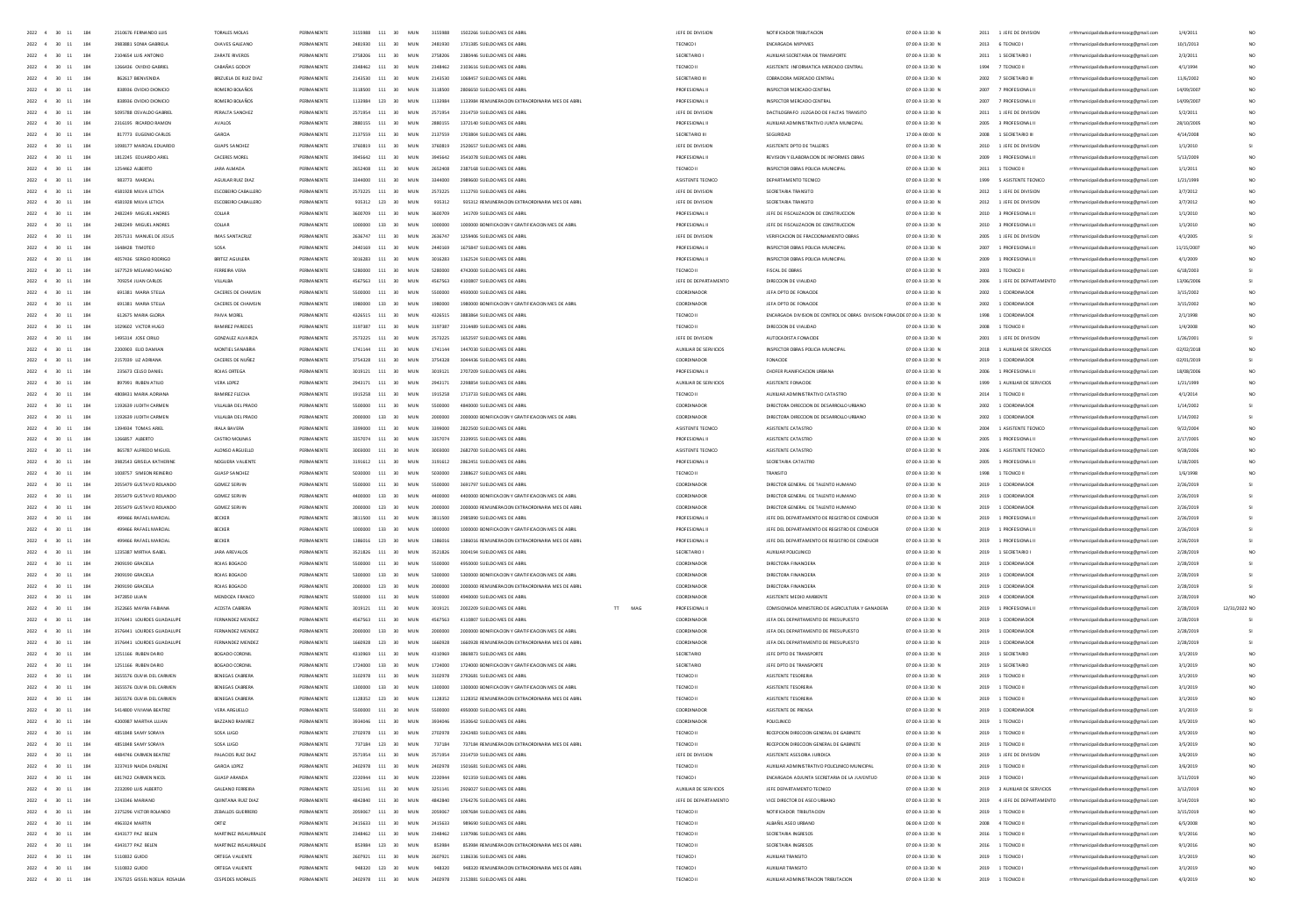| $2022 - 4$<br>$30 - 11$<br>184                                    | 2510676 FERNANDO LUIS                          | <b>TORALES MOLAS</b>               | PERMANENTI               |         | 111            | MUN                      | 3155988  | 1502266 SUELDO MES DE ABR                         | JEFE DE DIVISION        | NOTIFICADOR TRIBUTACION                                                  | 07:00 A 13:30 M                    | 2011 | 1 JEFE DE DIVISION               | rrhhmunicipalidadsanlorenzocg@gmail.com                                            | 1/4/201    |               |
|-------------------------------------------------------------------|------------------------------------------------|------------------------------------|--------------------------|---------|----------------|--------------------------|----------|---------------------------------------------------|-------------------------|--------------------------------------------------------------------------|------------------------------------|------|----------------------------------|------------------------------------------------------------------------------------|------------|---------------|
| 2022<br>4<br>$30 - 11$<br>184                                     | 3983881 SONIA GABRIEL                          | <b>CHAVES GALEANO</b>              |                          |         | $111\,$        | MUN                      |          |                                                   |                         |                                                                          | 07:00 A 13:30 M                    | 2013 | 6 TECNICO                        |                                                                                    | 10/1/2013  |               |
|                                                                   |                                                |                                    | PERMANENTS               |         |                | 20 <sup>2</sup><br>MIN   | 2758206  | 2380446 SUELDO MES DE ARE                         |                         |                                                                          |                                    |      |                                  | rhhmunicipalidadsanlorenzocg@gmail.com                                             |            |               |
| $2022 \qquad 4 \qquad 30 \qquad 11$<br>184                        | 2104654 LUIS ANTONI                            | ZARATE RIVEROS                     |                          |         | 2758206 111    |                          |          |                                                   | SECRETARIO              | AUXILIAR SECRETARIA DE TRANSPORT                                         | 07:00 A 13:30 N                    | 2011 | 1 SECRETARIO                     | nzocg@gmail.co                                                                     | 2/3/201    |               |
| 2022<br>4<br>$30 - 11$<br>184                                     | 1266436 OVIDIO GABRIE                          | CABAÑAS GODO                       |                          |         | 111            | MUN                      |          | 2103616 SUELDO MES DE ABR                         | TECNICO II              | ASISTENTE INFORMATICA MERCADO CENTRA                                     | 07:00 A 13:30 N                    | 1994 | 7 TECNICO II                     | rrhhmunicipalidadsanlorenzocg@gmail.com                                            | 4/1/195    |               |
| 2022 4 30 11<br>184                                               | <b>862617 RENVENIDA</b>                        | BRIZUELA DE RUIZ DIA               | <b>DCDMAN CMTC</b>       |         | 2143530 111    | 30 <sub>2</sub><br>MIN   | 2143530  | 1009407 SHELDO MES DE ARE                         | SECRETARIO III          | CORRADORA MERCADO CENTR                                                  | 07:00 A 13:30 N                    | 2002 | 7 SECRETARIO III                 | rhhmunicipalidadsanlorenzocg@gmail.e                                               | 11/6/200   |               |
| 2022 4 30 11<br>184                                               | 838936 OVIDIO DIONICIO                         | BOMERO BOLAROS                     | PERMANENTE               |         | 3118500 111 30 | MIN                      | 3118500  | 2806650 SUELDO MES DE ABR                         | PROFESIONAL L           | INSPECTOR MERCADO CENTRA                                                 | 07:00 A 13:30 N                    | 2007 | 7 PROFESIONAL II                 | rrhhmunicipalidadsanlorenzocg@gmail.com                                            | 14/09/2003 |               |
| 2022 4 30 11<br>184                                               | 838936 OVIDIO DIONICIO                         | ROMERO ROLAÑOS                     | PERMANENTE               |         | 1133984 123 30 | MIN                      | 1133984  | 1133984 BEMUNERACION EXTRAORDINARIA MES DE ARRI   | PROFESIONAL I           | INSPECTOR MERCADO CENTRA                                                 | 07:00 A 13:30 N                    |      | 2007 7 PROFESIONAL II            | rrhhmunicipalidadsanlorenzocg@gmail.com                                            | 14/09/2003 |               |
| 184<br>2022 4 30 11                                               | 5095788 OSVALDO GARRIEL                        | PERAITA SANCHEZ                    | PERMANENTE               |         | 2571954 111 30 | MIN                      | 2571954  | 2314759 SUFLDD MES DE ARR                         | JEFE DE DIVISION        | DACTIOSRAEO JUZGADO DE FAITAS TRANSITO                                   | 07:00 A 13:30 N                    |      | 2011 1 JEFE DE DIVISION          | rrhhmunicipalidadsanlorenzocg@gmail.com                                            | 5/2/201    |               |
| 2022 4 30 11<br>184                                               | 2316195 BICARDO RAMON                          | <b>AVAIDS</b>                      | PERMANENTE               |         | 2880155 111 30 | MIN                      | 2880155  | 1372140 SUELDO MES DE ARRI                        | PROFESIONAL L           | AUXILIAR ADMINISTRATIVO JUNTA MUNICIPAL                                  | 07:00 A 13:30 N                    |      | 2005 - 3 PROFESIONAL III         | rrhhmunicipalidadsanlorenzocg@gmail.com                                            | 28/10/2005 |               |
| 2022 4 30 11<br>184                                               | 817773 EUGENIO CARLOS                          | GARCIA                             | PERMANENTE               |         | 2137559 111 30 | MUN                      | 2137559  | 1703804 SUELDO MES DE ABRIL                       | SECRETARIO III          | SEGURIDAD                                                                | 17:00 A 00:00 N                    |      | 2008 1 SECRETARIO III            | rrhhmunicipalidadsanlorenzocg@gmail.com                                            | 4/14/2008  |               |
|                                                                   |                                                |                                    |                          |         |                |                          |          |                                                   |                         |                                                                          |                                    |      |                                  |                                                                                    |            |               |
| 2022 4 30 11<br>184                                               | 1098177 MARCIAL EDUARDO                        | GUAPS SANCHEZ                      | PERMANENTE               |         | 3760819 111 30 | MIN                      | 2760910  | 2520657 SUELDO MES DE ABRIL                       | <b>IFFF DE DIVISION</b> | ASISTENTE DPTD DE TALLERES                                               | 07:00 A 13:30 N                    |      | 2010 1 LEFF DE DIVISION          | rrhhmunicipalidadsanlorenzocg@gmail.com                                            | 1/1/2010   |               |
| 2022 4 30 11<br>184                                               | 1812245 EDUARDO ARIEL                          | CACERES MOREL                      | PERMANENTE               |         | 3945642 111 30 | MUN                      | 3945642  | 3541078 SUELDO MES DE ABRIL                       | PROFESIONAL II          | REVISION Y ELABORACION DE INFORMES OBRAS                                 | 07:00 A 13:30 N                    |      | 2009 1 PROFESIONAL II            | rrhhmunicipalidadsanlorenzoce@email.com                                            | 5/13/2009  |               |
| 184<br>2022 4 30 11                                               | 1254462 ALBERTO                                | JARA ALMADA                        | PERMANENTE               |         | 2652408 111 30 | MIN                      | 2652408  | 2387168 SUFLDO MES DE ABRIL                       | TECNICO II              | INSPECTOR OBRAS POLICIA MUNICIPAL                                        | 07:00 A 13:30 N                    |      | 2011 1 TECNICO II                | rrhhmunicipalidadsanlorenzoce@email.com                                            | 1/1/2011   |               |
| 184<br>2022 4 30 11                                               | 983773 MARCIAL                                 | AGUILAR RUIZ DIAZ                  | PERMANENTE               |         | 3344000 111 30 | MUN                      | 3344000  | 2989600 SUELDO MES DE ABRIL                       | ASISTENTE TECNICO       | DEPARTAMENTO TECNICO                                                     | 07:00 A 13:30 N                    |      | 1999 5 ASISTENTE TECNICO         | rrhhmunicipalidadsanlorenzocg@gmail.com                                            | 1/21/1999  |               |
| 184<br>2022 4 30 11                                               | 4581928 MILVA LETICIA                          | ESCOBEIRO CABALLERO                | PERMANENTE               |         |                | 2573225 111 30 MUN       | 2573225  | 1112793 SUELDO MES DE ABRIL                       | JEFE DE DIVISION        | SECRETARIA TRANSITO                                                      | 07:00 A 13:30 N                    |      | 2012 1 JEFE DE DIVISION          | rrhhmunicipalidadsanlorenzoce@email.com                                            | 3/7/2012   |               |
| 184<br>2022 4<br>30<br>11                                         | 4581928 MILVA LETICIA                          | ESCOBEIRO CABALLERO                | PERMANENTE               |         | 935312 123 30  | MUN                      | 935312   | 935312 REMUNERACION EXTRAORDINARIA MES DE ABRI    | JEFE DE DIVISION        | SECRETARIA TRANSITO                                                      | 07:00 A 13:30 N                    |      | 2012 1 JEFE DE DIVISION          | rrhhmunicipalidadsanlorenzocg@gmail.com                                            | 3/7/2012   |               |
|                                                                   |                                                |                                    |                          |         |                |                          |          |                                                   |                         |                                                                          |                                    |      |                                  |                                                                                    |            |               |
| 184<br>2022 4<br>30<br>11                                         | 2482249 MIGUEL ANDRES                          | COLLAR                             | PERMANENTE               |         | 3600709 111 30 | MUN                      | 3600709  | 141709 SUELDO MES DE ABRIL                        | PROFESIONAL II          | JEFE DE FISCAUZACION DE CONSTRUCCION                                     | 07:00 A 13:30 N                    |      | 2010 3 PROFESIONAL II            | rrhhmunicipalidadsanlorenzocg@gmail.com                                            | 1/1/2010   |               |
| 2022 4<br>184<br>30<br>11                                         | 2482249 MIGUEL ANDRES                          | COLLAR                             | PERMANENTE               |         | 1000000 133 30 | MUN                      | 1000000  | 1000000 BONIFICACION Y GRATIFICACION MES DE ABRIL | PROFESIONAL II          | JEFE DE FISCALIZACION DE CONSTRUCCION                                    | 07:00 A 13:30 N                    |      | 2010 3 PROFESIONAL II            | rrhhmunicipalidadsanlorenzoog@gmail.com                                            | 1/1/2010   |               |
| 184<br>2022 4<br>30                                               | 2057131 MANUEL DE JESUS                        | IMAS SANTACRUZ                     | PERMANENTE               |         | 111 30         | MUN                      | 2636747  | 1259406 SUELDO MES DE ABRI                        | JEFE DE DIVISION        | VERIFICACION DE FRACCIONAMIENTO OBRAS                                    | 07:00 A 13:30 N                    | 2005 | 1 JEFE DE DIVISION               | rrhhmunicipalidadsanlorenzocg@gmail.com                                            | 4/1/200    |               |
| 2022<br>184                                                       | 1648428 TIMOTEC                                | SOSA                               | PERMANENTE               |         | 111 30         | MUN                      | 2440165  | 1675847 SUELDO MES DE ABR                         | PROFESIONAL I           | INSPECTOR OBRAS POLICIA MUNICIPA                                         | 07:00 A 13:30 N                    | 2007 | 1 PROFESIONAL II                 | rrhhmunicipalidadsanlorenzocg@gmail.com                                            | 11/15/200  |               |
| 2022<br>184                                                       | 4057436 SERGIO RODRIGO                         | <b>BRITEZ AGUILERA</b>             | PERMANENTE               |         | 3016283 111 30 | MUN                      | 3016283  | 1162524 SUELDO MES DE ABRI                        | PROFESIONAL             | INSPECTOR OBRAS POLICIA MUNICIPA                                         | 07:00 A 13:30 N                    | 2009 | 1 PROFESIONAL                    | rrhhmunicipalidadsanlorenzocg@gmail.com                                            | 4/1/200    |               |
| 2022<br>184                                                       | 1677529 MELANIO MAGNO                          | FERREIRA VERA                      | PERMANENTE               |         | 111            | 30<br>MUN                |          | 4742000 SUELDO MES DE ABRI                        | TECNICO II              | FISCAL DE OBRAS                                                          | 07:00 A 13:30 N                    | 2003 | 1 TECNICO II                     | rrhhmunicipalidadsanlorenzocg@gmail.com                                            | 6/18/200   |               |
|                                                                   |                                                |                                    |                          |         |                |                          |          |                                                   |                         |                                                                          |                                    |      |                                  |                                                                                    |            |               |
| 2022<br>184                                                       | 709254 JUAN CARLOS                             | VILLALBA                           | PERMANENTE               |         | 4567563 111    | 30<br>MUN                | 4567563  | 4100807 SUELDO MES DE ABR                         | JEFE DE DEPARTAMENTO    | DIRECCION DE VIAUDAD                                                     | 07:00 A 13:30 N                    | 2006 | 1 JEFE DE DEPARTAMENTO           | rrhhmunicipalidadsanlorenzocg@gmail.com                                            | 13/06/200  |               |
| 2022 4<br>30<br>184                                               | 691381 MARIA STELLA                            | CACERES DE CHAMSIN                 | PERMANENTE               |         | 5500000 111 30 | MUN                      | 5500000  | 4930000 SUELDO MES DE ABRI                        | COORDINADOR             | JEFA DPTO DE FONACIDI                                                    | 07:00 A 13:30 N                    | 2002 | 1 COORDINADOR                    | rrhhmunicipalidadsanlorenzocg@gmail.com                                            | 3/15/2002  |               |
| 2022<br>184                                                       | 691381 MARIA STELLA                            | CACERES DE CHAMSIN                 | PERMANENTE               |         | 133            | 30<br>MUN                |          | 1980000 BONIFICACION Y GRATIFICACION MES DE ABR   | COORDINADOR             | JEFA DPTO DE FONACIDI                                                    | 07:00 A 13:30 N                    | 2002 | 1 COORDINADOR                    | rrhhmunicipalidadsanlorenzocg@gmail.com                                            | 3/15/200   |               |
| 2022<br>$\infty$<br>184                                           | 612675 MARIA GLORIA                            | PAIVA MOREL                        | PERMANENTE               |         | 4326515 111 30 | MUN                      | 4326515  | 3883864 SUELDO MES DE ABRI                        | TECNICO II              | ENCARGADA DIVISION DE CONTROL DE OBRAS DIVISION FONACIDE 07:00 A 13:30 N |                                    | 1998 | 1 COORDINADOR                    | rrhhmunicipalidadsanlorenzocg@gmail.com                                            | 2/1/199    |               |
| 184<br>2022 4<br>20 <sub>1</sub><br>$\ddot{\phantom{a}}$          | 1029602 VICTOR HUGO                            | RAMIREZ PAREDES                    | PERMANENTE               |         | 3197387 111 30 | MUN                      | 3197387  | 2314489 SUELDO MES DE ABRI                        | TECNICO II              | DIRECCION DE VIALIDAD                                                    | 07:00 A 13:30 N                    | 2008 | 1 TECNICO II                     | rrhhmunicipalidadsanlorenzocg@gmail.com                                            | 1/4/2008   |               |
| 2022 4<br>184<br>30<br>11                                         | 1495314 JOSE CIRILO                            | GONZALEZ ALVARIZA                  | PERMANENTE               |         | 2573225 111 30 | MUN                      | 2573225  | 1652597 SUELDO MES DE ABRIL                       | JEFE DE DIVISION        | AUTOCADISTA FONACIDE                                                     | 07:00 A 13:30 N                    |      | 2001 1 JEFE DE DIVISION          | rrhhmunicipalidadsanlorenzocg@gmail.com                                            | 1/26/2001  |               |
|                                                                   |                                                |                                    |                          |         |                |                          |          |                                                   |                         |                                                                          |                                    |      |                                  |                                                                                    |            |               |
| 184<br>2022 4<br>30 <sup>o</sup>                                  | 2200903 FUO DAMIAN                             | MONTIFI SANARRIA                   | PERMANENTE               |         | 1741144 111 30 | MIN                      | 1741144  | 1447030 SUFLDO MES DE ARRI                        | AUXILIAR DE SERVICIOS   | INSPECTOR OBRAS POLICIA MUNICIPA                                         | 07:00 A 13:30 N                    |      | 2018 1 AUXILIAR DE SERVICIOS     | rrhhmunicipalidadsanlorenzocg@gmail.com                                            | 02/02/2018 |               |
| 2022 4<br>184<br>30<br>11                                         | 2157039 UZ ADRIANA                             | CACERES DE NUÑEZ                   | PERMANENTE               |         | 3754328 111 30 | MUN                      | 3754328  | 3044436 SUELDO MES DE ABRIL                       | COORDINADOR             | FONACIDE                                                                 | 07:00 A 13:30 N                    |      | 2019 1 COORDINADOR               | rrhhmunicipalidadsanlorenzocg@gmail.com                                            | 02/01/2019 |               |
| 2022 4<br>184<br>$30 -$<br>11                                     | 235673 CELSO DANIEL                            | ROJAS ORTEGA                       | PERMANENTE               |         |                | 3019121 111 30 MUN       | 3019121  | 2707209 SUELDO MES DE ABRIL                       | PROFESIONAL II          | CHOFER PLANIFICACION URBANA                                              | 07:00 A 13:30 N                    |      | 2006 1 PROFESIONAL II            | rrhhmunicipalidadsanlorenzoce@email.com                                            | 18/08/2006 |               |
| 2022 4<br>184<br>30<br>11                                         | 897991 RUBEN ATILIO                            | VERA LOPEZ                         | PERMANENTE               |         | 2943171 111 30 | MUN                      | 2943171  | 2298854 SUELDO MES DE ABRIL                       | AUXILIAR DE SERVICIOS   | ASISTENTE FONACIDE                                                       | 07:00 A 13:30 N                    | 1999 | 1 AUXILIAR DE SERVICIOS          | rrhhmunicipalidadsanlorenzoog@gmail.com                                            | 1/21/1999  |               |
| 2022 4<br>184<br>20<br>11                                         | 4808431 MARIA ADRIANA                          | RAMIREZ FLECHA                     | PERMANENTE               |         | 1915258 111 30 | MUN                      | 1915258  | 1713733 SUELDO MES DE ABRIL                       | TECNICO II              | AUXIUAR ADMINISTRATIVO CATASTRO                                          | 07:00 A 13:30 N                    | 2014 | 1 TECNICO II                     | rrhhmunicipalidadsanlorenzoce@email.com                                            | 4/1/2014   |               |
| 184<br>2022 4<br>30<br>11                                         | 1192639 JUDITH CARMEN                          | VILLALBA DEL PRADO                 | PERMANENTE               |         | 5500000 111 30 | MUN                      | 5500000  | 4840000 SUELDO MES DE ABRIL                       | COORDINADOR             | DIRECTORA DIRECCION DE DESARROLLO URBANO                                 | 07:00 A 13:30 N                    | 2002 | 1 COORDINADOR                    | rrhhmunicipalidadsanlorenzocg@gmail.com                                            | 1/14/2002  |               |
| 184                                                               |                                                |                                    |                          |         |                |                          |          |                                                   |                         |                                                                          |                                    |      |                                  |                                                                                    |            |               |
| 2022 4<br>30                                                      | 1192639 JUDITH CARMED                          | VILLALBA DEL PRADO                 | PERMANENTE               |         | 133 30         | MUN                      | 2000000  | 2000000 BONIFICACION Y GRATIFICACION MES DE ABRIL | COORDINADOR             | DIRECTORA DIRECCION DE DESARROLLO URBANO                                 | 07:00 A 13:30 N                    | 2002 | 1 COORDINADOR                    | rrhhmunicipalidadsanlorenzocg@gmail.com                                            | 1/14/2002  |               |
| 184<br>2022 4<br>30<br>11                                         | 1394934 TOMAS ARIEL                            | <b>IRALA BAVERA</b>                | PERMANENTE               |         | 111 30         | MUN                      | 3399000  | 2822500 SUELDO MES DE ABRIL                       | ASISTENTE TECNICO       | ASISTENTE CATASTRO                                                       | 07:00 A 13:30 N                    | 2004 | 1 ASISTENTE TECNICO              | rrhhmunicipalidadsanlorenzocg@gmail.com                                            | 9/22/2004  |               |
| 184<br>2022 4<br>30<br>11                                         | 1266857 ALBERTO                                | CASTRO MOUNAS                      | PERMANENTE               |         | 111 30         | MUN                      | 3357074  | 2339955 SUELDO MES DE ABRI                        | PROFESIONAL II          | ASISTENTE CATASTRO                                                       | 07:00 A 13:30 N                    | 2005 | 1 PROFESIONAL II                 | rrhhmunicipalidadsanlorenzocg@gmail.com                                            | 2/17/2005  |               |
| 184<br>2022<br>30                                                 | 865787 ALFREDO MIGUEL                          | ALONSO ARGUELLI                    |                          |         | 111            | MUN                      |          |                                                   | ASISTENTE TECNICO       | ASISTENTE CATASTRO                                                       | 07:00 A 13:30 N                    | 2006 | 1 ASISTENTE TECNICO              | rrhhmunicipalidadsanlorenzocg@gmail.com                                            | 9/28/2006  |               |
| 184<br>2022 4<br>30                                               | 3982543 GRISELA KATHERINE                      | NOGUERA VALIENTI                   | PERMANENTE               | 3191612 | 111 30         | MUN                      | 3191612  | 2862451 SUELDO MES DE ABRIL                       | PROFESIONAL II          | SECRETARIA CATASTRO                                                      | 07:00 A 13:30 N                    | 2005 | 1 PROFESIONAL II                 | rrhhmunicipalidadsanlorenzocg@gmail.com                                            | 1/18/2005  |               |
| 184<br>2022                                                       |                                                | <b>GUASP SANCHEZ</b>               |                          |         | $111\,$        | MUN                      |          |                                                   | TECNICO II              |                                                                          | 07:00 A 13:30 N                    | 1998 | 1 TECNICO II                     | rrhhmunicipalidadsanlorenzocg@gmail.com                                            | 1/6/199    |               |
| 2022                                                              | 2055479 GUSTAVO ROLANDO                        | <b>GOMEZ SERVII</b>                |                          |         | 111            | 30<br>MUN                |          | 3691797 SUELDO MES DE AI                          |                         |                                                                          |                                    |      |                                  |                                                                                    |            |               |
| 184                                                               |                                                |                                    |                          |         |                |                          |          |                                                   |                         | DIRECTOR GENERAL DE TALENTO HUMANI                                       | 07:00 A 13:30 N                    | 2019 | 1 COORDINADOR                    | rrhhmunicipalidadsanlorenzocg@gmail.com                                            | 2/26/20    |               |
| 2022<br>$\overline{4}$<br>$20 -$<br>184                           | 2055479 GUSTAVO ROLANDO                        | GOMEZ SERVIN                       | <b>DEDMANENTE</b>        |         | $133 - 30$     | MIN                      | ASODODE  | 4400000 BONIFICACION Y GRATIFICACION MES DE ABR   | COORDINADOR             | DIRECTOR GENERAL DE TALENTO HUMANO                                       | 07:00 A 13:30 N                    | 2019 | 1 COORDINADOR                    | rhhmunicipalidadsanlorenzocg@gmail.com                                             | 2/26/201   |               |
| 2022<br>184                                                       | 2055479 GUSTAVO ROLANDO                        | <b>GOMEZ SERVI</b>                 | PERMANENTE               |         | 123 30         | MUN                      | $\infty$ | 2000000 REMUNERACION EXTRAORDINARIA MES DE ABRI   | COORDINADO              | DIRECTOR GENERAL DE TALENTO HUMANI                                       | 07:00 A 13:30 N                    | 2019 | 1 COORDINADO                     | rrhhmunicipalidadsanlorenzocg@gmail.com                                            | 2/26/20    |               |
| 2022 4 30 11<br>184                                               | 499466 RAFAEL MARCIAL                          | BECKER                             | PERMANENTS               | 2011500 | 111 30         | MIN                      | 3811500  | 2985890 SUFLDO MES DE AR                          | PROFESIONAL I           | JEFE DEL DEPARTAMENTO DE REGISTRO DE CONDUCIR                            | 07:00 A 13:30 N                    | 2019 | 1 PROFESIONAL                    | rhhmunicipalidadsanlorenzocg@gmail.com                                             | 2/26/201   |               |
| 2022 4 30 11<br>184                                               | 499466 RAFAEL MARCIAL                          | BECKER                             | PERMANENTE               | 1000000 | 133 30         | MIN                      | 1000000  | 1000000 BONIFICACION Y GRATIFICACION MES DE ABRI  | PROFESIONAL II          | JEEF DEL DEPARTAMENTO DE REGISTRO DE CONDUCIR                            | 07:00 A 13:30 N                    | 2019 | 1 PROFESIONAL II                 | rrhhmunicipalidadsanlorenzocg@gmail.c                                              | 2/26/2019  |               |
| 2022 4 30 11<br>184                                               | 499466 RAFAEL MARCIA                           | BECKER                             | <b>DCDMAN CMTC</b>       |         | 123 30         | MIN                      | 1206016  | 1386016 REMUNERACION EXTRAORDINARIA MES DE ABR    | PROFESIONAL I           | JEFE DEL DEPARTAMENTO DE REGISTRO DE CONDUCIR                            | 07:00 A 13:30 N                    | 2019 | 1 PROFESIONAL                    | nicipalidadsanlorenzocg@gmail.com                                                  | 2/26/201   |               |
|                                                                   | 1235387 MIRTHA ISABEL                          | <b>JARA AREVAILS</b>               | PERMANENTE               |         |                | MIN                      | 3521826  | 3004194 SUFLOO MES OF ARRIV                       | SECRETARIO              | AUXILIAR POLICUNICO                                                      | 07:00 A 13:30 N                    |      |                                  |                                                                                    | 2/28/2019  |               |
| 2022 4 30 11<br>184                                               |                                                |                                    |                          |         | 3521826 111 30 |                          |          |                                                   |                         |                                                                          |                                    | 2019 | 1 SECRETARIO I                   | rrhhmunicipalidadsanlorenzocg@gmail.c                                              |            |               |
| 2022 4 30 11<br>184                                               | 2909190 GRACIELA                               | ROIAS ROSADO                       | PERMANENTE               |         |                | 5500000 111 30 MIN       | 5500000  | 4950000 SUELDO MES DE ABRIL                       | COORDINADOR             | DIRECTORA FINANCIERA                                                     | 07:00 A 13:30 N                    |      | 2019 1 COORDINADOR               | rrhhmunicipalidadsanlorenzocg@gmail.com                                            | 2/28/2019  |               |
| 2022 4 30 11<br>184                                               | 2909190 GRACIELA                               | ROJAS BOGADO                       | PERMANENTE               |         |                | 5300000 133 30 MUN       | 5300000  | 5300000 BONIFICACION Y GRATIFICACION MES DE ABRI  | COORDINADOR             | DIRECTORA FINANCIERA                                                     | 07:00 A 13:30 N                    |      | 2019 1 COORDINADOR               | rrhhmunicipalidadsanlorenzoce@email.com                                            | 2/28/2019  |               |
| 2022 4 30 11<br>184                                               | 2909190 GRACIELA                               | ROIAS ROSADO                       | PERMANENTE               |         | 2000000 123 30 | MIN                      | zonono   | 2000000 BEMUNERACIÓN EXTRAORDINARIA MES DE ARRI   | COORDINADOR             | DIRECTORA FINANCIERA                                                     | 07:00 A 13:30 N                    |      | 2019 1 COORDINADOR               | rrhhmunicipalidadsanlorenzocg@gmail.com                                            | 2/28/2019  |               |
| 2022 4 30 11<br>184                                               | 3472850 UUAN                                   | MENDOZA FRANCO                     | PERMANENTE               |         |                | 5500000 111 30 MUN       | ssonnon  | 4940000 SUELDO MES DE ABRIL                       | COORDINADOR             | ASISTENTE MEDIO AMBIENTE                                                 | 07:00 A 13:30 N                    |      | 2019 4 COORDINADOR               | rrhhmunicipalidadsanlorenzoce@email.com                                            | 2/28/2019  |               |
| 2022 4 30 11<br>184                                               | 3522665 MAYRA FABIANA                          | ACOSTA CABRERA                     | PERMANENTE               |         |                | 3019121 111 30 MUN       | 3019121  | 2002209 SUELDO MES DE ARRIL<br>T<br>MAG           | PROFESIONAL II          | COMISIONADA MINISTERIO DE AGRICULTURA Y GANADERA                         | 07:00 A 13:30 N                    |      | 2019 1 PROFESIONAL II            | rrhhmunicipalidadsanlorenzoce@email.com                                            | 2/28/2019  | 12/31/2022 NO |
| 2022 4 30 11<br>184                                               | 3576441 LOURDES GUADALUPE                      | FERNANDEZ MENDEZ                   | PERMANENTE               |         |                | 4567563 111 30 MUN       | 4567563  | 4110807 SUELDO MES DE ABRIL                       | COORDINADOR             | JEFA DEL DEPARTAMENTO DE PRESUPUESTO                                     | 07:00 A 13:30 N                    |      | 2019 1 COORDINADOR               | rrhhmunicipalidadsanlorenzoce@email.com                                            | 2/28/2019  |               |
| 2022 4 30 11<br>184                                               |                                                |                                    |                          |         |                | MIN                      | 2000000  |                                                   |                         | JEFA DEL DEPARTAMENTO DE PRESUPUESTO                                     | 07:00 A 13:30 N                    |      |                                  |                                                                                    |            |               |
|                                                                   | 3576441 LOURDES GUADALUPE                      | FERNANDEZ MENDEZ                   | PERMANENTE               |         | 2000000 133 30 |                          |          | 2000000 BONIFICACION Y GRATIFICACION MES DE ABRIL | COORDINADOR             |                                                                          |                                    |      | 2019 1 COORDINADOR               | rrhhmunicipalidadsanlorenzoce@email.com                                            | 2/28/2019  |               |
| 2022 4 30 11<br>184                                               | 3576441 LOURDES GUADALUPE                      | FERNANDEZ MENDEZ                   | PERMANENTE               |         | 1660928 123 30 | MUN                      | 1660928  | 1660928 REMUNERACION EXTRAORDINARIA MES DE ABRIL  | COORDINADOR             | JEFA DEL DEPARTAMENTO DE PRESUPUESTO                                     | 07:00 A 13:30 N                    |      | 2019 1 COORDINADOR               | rrhhmunicipalidadsanlorenzocg@gmail.com                                            | 2/28/2019  |               |
| 2022 4<br>$30 - 11$<br>184                                        | 1251166 RUBEN DARIO                            | BOGADO CORONIL                     | PERMANENTE               |         | 111 30         | MUN                      | 4310965  | 3869873 SUELDO MES DE ABRIL                       | SECRETARIO              | JEFE DPTO DE TRANSPORTE                                                  | 07:00 A 13:30 N                    |      | 2019 1 SECRETARIO                | rrhhmunicipalidadsanlorenzocg@gmail.com                                            | 3/1/201    |               |
| 2022 4 30 11<br>184                                               | 1251166 RUBEN DARIO                            | BOGADO CORONIL                     | PERMANENTE               |         | 1724000 133 30 | MUN                      | 1724000  | 1724000 BONIFICACION Y GRATIFICACION MES DE ABRIL | SECRETARIO              | JEFE DPTO DE TRANSPORTE                                                  | 07:00 A 13:30 N                    |      | 2019 1 SECRETARIO                | rrhhmunicipalidadsanlorenzocg@gmail.com                                            | 3/1/2019   |               |
| 2022 4<br>30<br>184<br>11                                         | 3655576 OLIVIA DEL CARMEN                      | BENEGAS CABRER                     | PERMANENTE               |         | 111 30         | <b>MUN</b>               | 3102978  | 2792681 SUELDO MES DE ABRIL                       | TECNICO II              | ASISTENTE TESORERIA                                                      | 07:00 A 13:30 N                    |      | 2019 1 TECNICO II                | rrhhmunicipalidadsanlorenzocg@gmail.com                                            | 3/1/201    |               |
| $2022 - 4$<br>$30$<br>184                                         | 3655576 OLIVIA DEL CARMEN                      | BENEGAS CABRER                     | PERMANENT                |         | 133            | 30<br>MUN                |          | 1300000 BONIFICACION Y GRATIFICACION MES DE ABR   | TECNICO II              | ASISTENTE TESORERIA                                                      | 07:00 A 13:30 N                    |      | 2019 1 TECNICO II                | rrhhmunicipalidadsanlorenzocg@gmail.com                                            | 3/1/201    |               |
| 2022 4<br>30<br>184<br>11                                         | 3655576 OLIVIA DEL CARMEN                      | BENEGAS CABRER                     | PERMANENTE               |         | 123            | 30<br><b>MUN</b>         | 1128352  | 1128352 REMUNERACION EXTRAORDINARIA MES DE ABRI   | TECNICO II              | ASISTENTE TESORERIA                                                      | 07:00 A 13:30 N                    |      | 2019 1 TECNICO II                | rrhhmunicipalidadsanlorenzocg@gmail.com                                            | 3/1/201    |               |
|                                                                   |                                                |                                    |                          |         |                |                          |          |                                                   |                         |                                                                          |                                    |      |                                  |                                                                                    |            |               |
| $2022 - 4$<br>$30$<br>184                                         | 5414800 VIVIANA BEATRIZ                        | VERA ARGUELLO                      | PERMANENT                |         | 111            | 30<br>MUN                | 5500000  | 4950000 SUELDO MES DE ABRI                        | COORDINADO              | ASISTENTE DE PRENSA                                                      | 07:00 A 13:30 N                    | 2019 | 1 COORDINADO                     | rrhhmunicipalidadsanlorenzocg@gmail.com                                            | 3/1/201    |               |
| 2022 4<br>30<br>11<br>184                                         | 4200987 MARTHA LUJAN                           | BAZZANO RAMIREZ                    | PERMANENTI               |         | $111\,$        | 30<br>MUN                | 3934046  | 3530642 SUELDO MES DE ABR                         | COORDINADO              | POUCUNICO                                                                | 07:00 A 13:30 N                    |      | 2019 1 TECNICO                   | rrhhmunicipalidadsanlorenzocg@gmail.com                                            | 3/5/201    |               |
| 2022 4 30 11<br>184                                               | 4851848 SAMY SORAYA                            | SOSA LUGO                          | PERMANENTE               |         | 2702978 111 30 | <b>MUN</b>               | 2702978  | 2242483 SUELDO MES DE ABRIL                       | TECNICO II              | RECEPCION DIRECCION GENERAL DE GABINETI                                  | 07:00 A 13:30 N                    |      | 2019 1 TECNICO II                | rrhhmunicipalidadsanlorenzocg@gmail.com                                            | 3/5/201    |               |
| 2022 4<br>30<br>184                                               | 4851848 SAMY SORAYA                            | SOSA LUGO                          | PERMANENTI               | 737184  | 123            | 30<br>MUN                | 737184   | 737184 REMUNERACION EXTRAORDINARIA MES DE ABRI    | TECNICO II              | RECEPCION DIRECCION GENERAL DE GABINET                                   | 07:00 A 13:30 N                    |      | 2019 1 TECNICO II                | rrhhmunicipalidadsanlorenzocg@gmail.com                                            | 3/5/201    |               |
| 2022 4 30 11<br>184                                               | 4484746 CARMEN BEATRIZ                         | PALACIOS RUIZ DIAZ                 | PERMANENTE               | 2571954 | 111 30         | <b>MUN</b>               | 2571954  | 2314759 SUELDO MES DE ABRI                        | JEFE DE DIVISION        | ASISTENTE ASESORIA JURIDICA                                              | 07:00 A 13:30 N                    |      | 2019 1 JEFE DE DIVISION          | rrhhmunicipalidadsanlorenzocg@gmail.com                                            | 3/6/201    |               |
| 2022 4 30 11<br>184                                               | 3237419 NAIDA DARIENI                          | GARCIA LOPEZ                       | PERMANENTE               |         | 2402928 111 30 | MIN                      | 2402978  | 1501681, SUELDO MES DE ABRI                       | TECNICO II              | ALIXILIAR ADMINISTRATIVO POLICI NICO MUNICIPAL                           | 07:00 A 13:30 N                    |      | 2019 1 TECNICO II                | rrhhmunicipalidadsanlorenzocg@gmail.com                                            | 3/6/2019   |               |
| 2022 4 30<br>11<br>184                                            | 6817422 CARMEN NICOL                           | GUASP ARANDA                       | PERMANENTE               | 2220944 | 111            | 30<br>MUN                | 2220944  | 921359 SUELDO MES DE ABRI                         | TECNICO I               | ENCARGADA ADJUNTA SECRETARIA DE LA JUVENTUC                              | 07:00 A 13:30 N                    |      | 2019 3 TECNICO                   |                                                                                    | 3/11/2019  |               |
|                                                                   |                                                |                                    |                          |         |                |                          |          |                                                   |                         |                                                                          |                                    |      |                                  | rrhhmunicipalidadsanlorenzocg@gmail.com                                            |            |               |
| 2022 4 30 11<br>184                                               | 2232090 UUS ALBERTO                            | GALFANO FERREIRA                   | PERMANENTE               |         | 3251141 111 30 | MIN                      | 3251141  | 2926027 SUELDO MES DE ARRI                        | ALDREIAR DE SERVICIOS   | <b>IFFE DEPARTAMENTO TECNICO</b>                                         | 07:00 A 13:30 N                    |      | 2019 3 AUXILIAR DE SERVICIOS     | rrhhmunicipalidadsanlorenzocg@gmail.com                                            | 3/12/2019  |               |
| 2022 4 30 11<br>184                                               | 1243346 MARIANO                                | <b>OUINTANA RUIZ DIAZ</b>          | PERMANENTE               |         | 4842840 111 30 | MUN                      | 4842840  | 1764276 SUELDO MES DE ABRIL                       | JEFE DE DEPARTAMENTO    | VICE DIRECTOR DE ASEO URBANC                                             | 07:00 A 13:30 N                    |      | 2019 4 JEFE DE DEPARTAMENTO      | rrhhmunicipalidadsanlorenzoog@gmail.com                                            | 3/14/2019  |               |
| 2022 4 30 11<br>184                                               | 2375296 VICTOR ROLANDO                         | ZEBALLOS GUERRERO                  | PERMANENTE               | 2059067 | 111 30         | MUN                      | 2059067  | 1097684 SUELDO MES DE ABRIL                       | TECNICO II              | NOTIFICADOR TRIBUTACION                                                  | 07:00 A 13:30 N                    |      | 2019 1 TECNICO II                | rrhhmunicipalidadsanlorenzoce@email.com                                            | 3/15/2019  |               |
| 2022 4 30 11<br>184                                               | 4963324 MARTIN                                 | ORTIZ                              | PERMANENTE               | 2415633 | 111 30         | MUN                      | 2415633  | 989690 SUELDO MES DE ABRIL                        | TECNICO II              | ALBAÑIL ASEO URBANO                                                      | 06:00 A 12:00 N                    |      | 2008 4 TECNICO II                | rrhhmunicipalidadsanlorenzocg@gmail.com                                            | 6/5/2008   |               |
|                                                                   |                                                |                                    |                          |         |                |                          |          |                                                   | TECNICO II              | SECRETARIA INGRESOS                                                      | 07:00 A 13:30 N                    |      | 2016 1 TECNICO II                | rrhhmunicipalidadsanlorenzoce@email.com                                            | 9/1/2016   |               |
| 2022 4 30 11<br>184                                               | 4343177 PAZ BELEN                              | MARTINEZ INSAURRALDE               | PERMANENTE               | 538887  | 111 30         | MUN                      | 2348462  | 1197986 SUELDO MES DE ABRIL                       |                         |                                                                          |                                    |      |                                  |                                                                                    |            |               |
|                                                                   |                                                |                                    |                          |         |                |                          |          |                                                   |                         |                                                                          |                                    |      |                                  |                                                                                    |            |               |
| 184<br>2022 4<br>30 11                                            | 4343177 PAZ BELEN                              | MARTINEZ INSAURRALDE               | PERMANENTE               | 853984  | 123 30         | MUN                      | 853984   | 853984 REMUNERACION EXTRAORDINARIA MES DE ABRIL   | TECNICO II              | SECRETARIA INGRESOS                                                      | 07:00 A 13:30 N                    |      | 2016 1 TECNICO II                | rrhhmunicipalidadsanlorenzocg@gmail.com                                            | 9/1/2016   |               |
| 2022 4 30 11<br>184                                               | 5110832 GUIDO                                  | ORTEGA VAUENTE                     | PERMANENTE               |         |                | 2607921 111 30 MUN       | 2607921  | 1186336 SUELDO MES DE ABRIL                       | TECNICO I               | AUXIUAR TRANSITO                                                         | 07:00 A 13:30 N                    |      | 2019 1 TECNICO I                 | rrhhmunicipalidadsanlorenzoce@email.com                                            | 3/1/2019   |               |
| $2022 \qquad 4 \qquad 30 \qquad 11$<br>184<br>2022 4 30 11<br>184 | 5110832 GUIDO<br>3767325 GISSEL NOELIA ROSALBA | ORTEGA VAUENTE<br>CESPEDES MORALES | PERMANENTE<br>PERMANENTE | 2402978 | 111 30         | 948320 123 30 MUN<br>MUN | 948320   | 948320 REMUNERACION EXTRAORDINARIA MES DE ABRIL   | TECNICO I<br>ECNICO II  | AUXIUAR TRANSITO<br>AUXIUAR ADMINISTRACION TRIBUTACION                   | 07:00 A 13:30 N<br>07:00 A 13:30 N | 2019 | 2019 1 TECNICO I<br>1 TECNICO II | rrhhmunicipalidadsanlorenzocg@gmail.com<br>rrhhmunicipalidadsanlorenzocg@gmail.com | 3/1/2019   |               |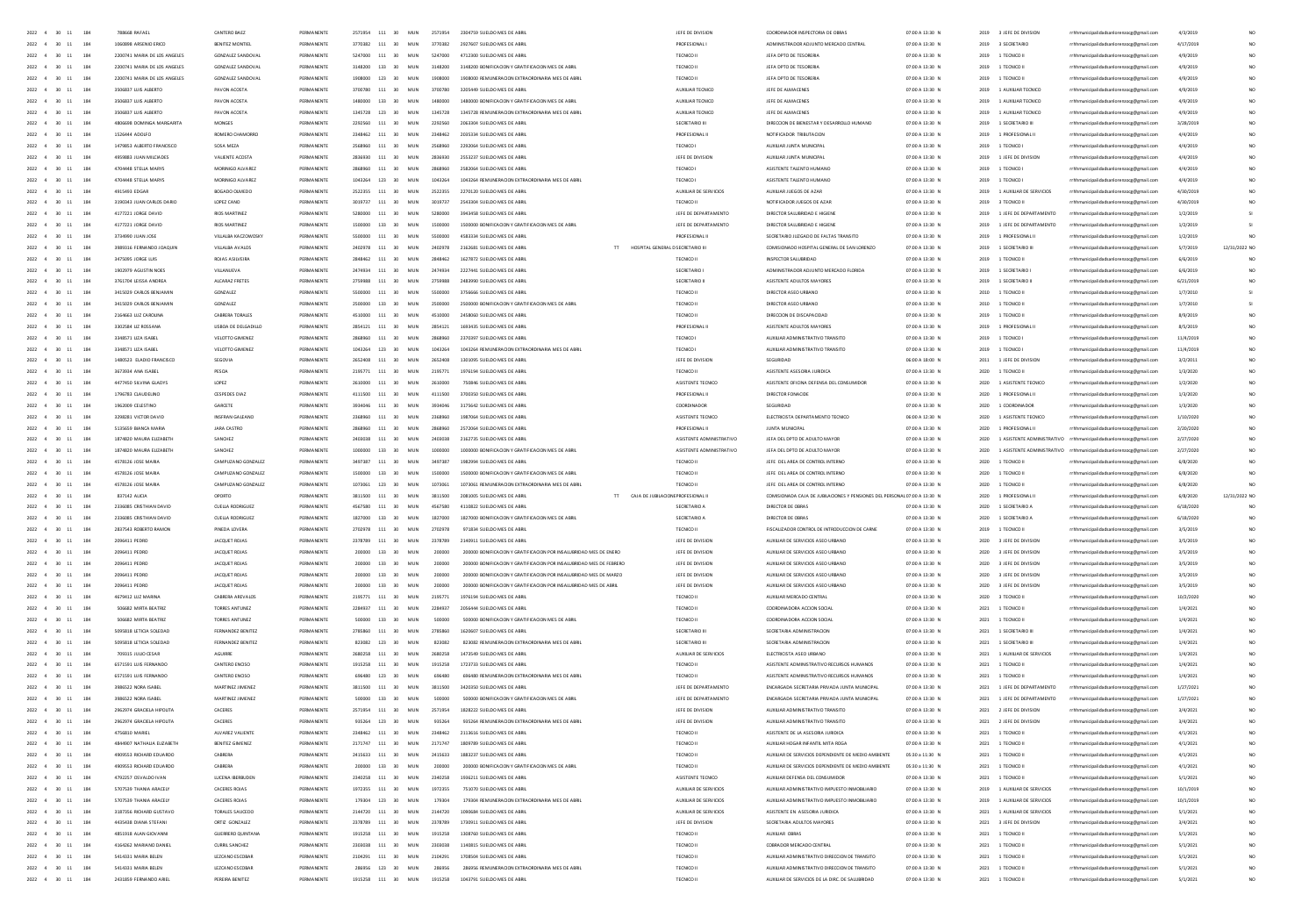| $2022 \quad 4 \quad 30 \quad 11$<br>184        | 788668 RAFAE                                       | CANTERO BAE                        | PERMANENT                | 2571954     | 111                                     | MUN      | 2571954           | 2304759 SUELDO MES DE ABR                                                     | JEFE DE DIVISION         | OR INSPECTORIA DE OBI                                                                            | 07:00 A 13:30                      | 2019 | 3 JEFE DE DIVISION                     | ipalidadsanlorenzocg@gmail.com                                                     | 4/3/2019             |               |
|------------------------------------------------|----------------------------------------------------|------------------------------------|--------------------------|-------------|-----------------------------------------|----------|-------------------|-------------------------------------------------------------------------------|--------------------------|--------------------------------------------------------------------------------------------------|------------------------------------|------|----------------------------------------|------------------------------------------------------------------------------------|----------------------|---------------|
| $2022$ 4 30 11<br>184                          |                                                    |                                    |                          |             | 111                                     | MU       |                   |                                                                               |                          |                                                                                                  | 07:00 A 13:30                      | 2019 | 3 SECRETARIO                           | nzocg@gmail.com                                                                    | 4/17/201             |               |
| 2022 4 30 11<br>184                            | 2200741 MARIA DE LOS ANGELES                       | GONZALEZ SANDOVA                   | <b>DEDMAN ENT</b>        | 5242000     | 111<br>20                               | MU       | 5247000           | 4712300 SUELDO MES DE AB                                                      | TECNICO II               | JEFA DPTO DE TESORERI                                                                            | 07:00 A 13:30 N                    | 2019 | 1 TECNICO II                           | ocg@gmail                                                                          | 4/9/201              |               |
| 2022<br>30<br>184                              | 2200741 MARIA DE LOS ANGELES                       | GONZALEZ SANDOVA                   |                          |             | 133                                     | MU       | 3148200           | 3148200 BONIFICACION Y GRATIFICACION MES DE ABI                               | TECNICO II               | JEFA DPTO DE TESORER                                                                             | 07:00 A 13:30 N                    | 2019 | 1 TECNICO II                           | rrhhmunicipalidadsanlorenzocg@gmail.com                                            | 4/9/201              |               |
| 2022 4 30 11<br>184                            | 2200741 MARIA DE LOS ANGELES                       | GONZALEZ SANDOVA                   | PERMANENTS               | 1908000     | 123<br>30 <sup>2</sup>                  | MID      | 1908000           |                                                                               | TECNICO II               | JEFA DPTO DE TESORERIA                                                                           | 07:00 A 13:30 N                    |      | 1 TECNICO II                           | rrhhmunicipalidadsanlorenzocg@gm                                                   |                      |               |
| 2022 4 30 11<br>184                            | 3506837 ILIIS ALBERTO                              | PAVON ACOSTA                       | PERMANENTE               | 3700780 111 |                                         | MIN      |                   | 1908000 REMUNERACION EXTRAORDINARIA MES DE ABRI                               | ALIXU IAR TECNICO        |                                                                                                  | 07:00 A 13:30 N                    | 2019 | 2019 1 AUXILIAR TECNICO                |                                                                                    | 4/9/2019             |               |
|                                                |                                                    |                                    |                          |             | 30 <sub>1</sub>                         |          | 3700780           | 3205449 SUELDO MES DE ARRI                                                    |                          | IFFE DE AIMACENES                                                                                |                                    |      |                                        | rrhhmunicipalidadsanlorenzocg@gmail.com                                            | 4/9/2019             |               |
| 2022 4 30 11<br>184                            | 3506837 LUIS ALBERTO                               | PAVON ACOSTA                       | PERMANENTE               |             | 1480000 133<br>30                       | MUN      | 1480000           | 1480000 BONIFICACION Y GRATIFICACION MES DE ABRIL                             | AUXILIAR TECNICO         | JEFE DE AUMACENES                                                                                | 07:00 A 13:30 N                    |      | 2019 1 AUXILIAR TECNICO                | rrhhmunicipalidadsanlorenzocg@gmail.com                                            | 4/9/2019             |               |
| 2022 4 30 11<br>184                            | 3506837 ILIIS ALBERTO                              | PAVON ACOSTA                       | PERMANENTE               |             | 1345728 123 30                          | MIN      | 1345728           | 1345728 BEMUNERACION EXTRAORDINARIA MES DE ARRI                               | ALIXUM R TECNICO         | JEEF DE AIMACENES                                                                                | 07:00 A 13:30 N                    |      | 2019 1 AUXILIAR TECNICO                | rrhhmunicipalidadsanlorenzocg@gmail.com                                            | 4/9/2019             |               |
| 2022 4 30 11<br>184                            | 4806698 DOMINGA MARGARITA                          | MONGES                             | PERMANENTE               | 2292560 111 | 30                                      | MUN      | 2292560           | 2063304 SUELDO MES DE ABRI                                                    | SECRETARIO III           | DIRECCION DE BIENESTAR Y DESARROLLO HUMANO                                                       | 07:00 A 13:30 N                    |      | 2019 1 SECRETARIO III                  | rrhhmunicipalidadsanlorenzoce@email.com                                            | 3/28/2019            |               |
| 2022 4 30 11<br>184                            | 1526444 ADOLFO                                     | ROMERO CHAMORRO                    | PERMANENTE               | 2348462 111 | 30                                      | MUN      | 2348462           | 2035334 SUFLDO MES DE ARRI                                                    | PROFESIONAL II           | NOTIFICADOR TRIBUTACION                                                                          | 07:00 A 13:30 N                    |      | 2019 1 PROFESIONAL II                  | rrhhmunicipalidadsanlorenzoce@email.com                                            | 4/4/2019             |               |
| 2022 4 30 11<br>184                            | 1479853 ALBERTO FRANCISCO                          | SOSA MEZA                          | PERMANENTE               |             | 2568960 111 30                          | MUN      | 2568960           | 2292064 SUELDO MES DE ABRIL                                                   | TECNICO I                | AUXIUAR JUNTA MUNICIPAL                                                                          | 07:00 A 13:30 N                    |      | 2019 1 TECNICO                         | rrhhmunicipalidadsanlorenzoce@email.com                                            | 4/4/2019             |               |
| 2022 4 30 11<br>184                            | 4959883 JUAN MILCIADES                             | VALIENTE ACOSTA                    | PERMANENTE               |             | 2836930 111 30                          | MUN      | 2836930           | 2553237 SUFLDO MES DE ARRI                                                    | JEFE DE DIVISION         | AUXILIAR JUNTA MUNICIPAL                                                                         | 07:00 A 13:30 N                    |      | 2019 1 JEFE DE DIVISION                | rrhhmunicipalidadsanlorenzocg@gmail.com                                            | 4/4/2019             |               |
| 184<br>2022 4 30<br>11                         | 4704448 STELLA MARYS                               | MORINIGO ALVAREZ                   | PERMANENTE               |             | 2868960 111<br>30                       | MUN      | 2868960           | 2582064 SUELDO MES DE ABRI                                                    | TECNICO                  | ASISTENTE TALENTO HUMANO                                                                         | 07:00 A 13:30 N                    |      | 2019 1 TECNICO                         | rrhhmunicipalidadsanlorenzocg@gmail.com                                            | 4/4/2019             |               |
| 184<br>2022<br>30                              | 4704448 STELLA MARY                                | MORINIGO ALVAREZ                   | PERMANENTI               |             | 123<br>30                               | MUN      | 1043264           | 1043264 REMUNERACION EXTRAORDINARIA MES DE ABRI                               | <b>TECNICO</b>           | ASISTENTE TALENTO HUMANO                                                                         | 07:00 A 13:30 N                    | 2019 | 1 TECNICO                              | rrhhmunicipalidadsanlorenzocg@gmail.com                                            | 4/4/2019             |               |
|                                                |                                                    |                                    |                          |             |                                         |          |                   |                                                                               |                          |                                                                                                  |                                    |      |                                        |                                                                                    |                      |               |
| $2022 - 4$<br>184<br>30                        | 4915493 EDGAR                                      | BOGADO OLMEDO                      | PERMANENTE               | 2522355     | 111<br>30                               | MUN      | 2522355           | 2270120 SUELDO MES DE ABRI                                                    | AUXILIAR DE SERVICIOS    | AUXIUAR JUEGOS DE AZAR                                                                           | 07:00 A 13:30 N                    |      | 2019 1 AUXILIAR DE SERVICIOS           | rrhhmunicipalidadsanlorenzocg@gmail.com                                            | 4/30/2019            |               |
| 184<br>2022<br>30                              | 3190343 JUAN CARLOS DARIO                          | LOPEZ CANO                         | PERMANENT                |             | 111<br>30                               | MUN      | 3019737           | 2543304 SUELDO MES DE ABRI                                                    | TECNICO II               | NOTIFICADOR JUEGOS DE AZAR                                                                       | 07:00 A 13:30 M                    |      | 2019 3 TECNICO I                       | rrhhmunicipalidadsanlorenzocg@gmail.com                                            | 4/30/2019            |               |
| 2022<br>184                                    | 4177221 JORGE DAVID                                | <b>RIOS MARTINEZ</b>               | PERMANENTI               |             | 111<br>30                               | MU       | 5280000           | 3943458 SUELDO MES DE ABRI                                                    | JEFE DE DEPARTAMENTO     | DIRECTOR SALUBRIDAD E HIGIEN                                                                     | 07:00 A 13:30 N                    | 2019 | 1 JEFE DE DEPARTAMENTO                 | rrhhmunicipalidadsanlorenzocg@gmail.com                                            | 1/2/2019             |               |
| 2022<br>184<br>30                              | 4177221 JORGE DAVID                                | <b>RIOS MARTINEZ</b>               | PERMANENT                |             | 133<br>30                               | MU)      | 1500000           | 1500000 BONIFICACION Y GRATIFICACION MES DE ABR                               | JEFE DE DEPARTAMENTO     | DIRECTOR SALUBRIDAD E HIGIEN                                                                     | 07:00 A 13:30 M                    |      | 2019 1 JEFE DE DEPARTAMENTO            | rrhhmunicipalidadsanlorenzocg@gmail.com                                            | 1/2/201              |               |
| 2022<br>30<br>184                              | 3734990 JUAN JOSE                                  | VILLALBA KACZOWOSK                 | PERMANENTI               |             | 111<br>30                               | MU       | 5500000           | 4583334 SUELDO MES DE ABRI                                                    | PROFESIONAL              | SECRETARIO JUZGADO DE FALTAS TRANSITO                                                            | 07:00 A 13:30 N                    | 2019 | 1 PROFESIONAL                          | rrhhmunicipalidadsanlorenzocg@gmail.com                                            | 1/2/2019             |               |
| 2022 4<br>30<br>184                            | 3989316 FERNANDO JOAQUIN                           | VILLALBA AVALOS                    | PERMANENTE               |             | 2402978 111<br>30                       | MUN      | 2402978           | TT HOSPITAL GENERAL D SECRETARIO III<br>2162681 SUELDO MES DE ABRI            |                          | COMISIONADO HOSPITAL GENERAL DE SAN LORENZO                                                      | 07:00 A 13:30 N                    |      | 2019 1 SECRETARIO III                  | rrhhmunicipalidadsanlorenzocg@gmail.com                                            | 5/7/2019             | 12/31/2022 NO |
| 184<br>2022 4<br>$-30$<br>11                   | 3475095 JORGE LUIS                                 | ROIAS ASILVEIRA                    | PERMANENTS               | 7848462     | 111 30                                  | MIN      | 2848462           | 1622822 SUELDO MES DE ABRI                                                    | TECNICO II               | INSPECTOR SAILIBRIDAD                                                                            | 07:00 A 13:30 N                    |      | 2019 1 TECNICO II                      | rrhhmunicipalidadsanlorenzocg@gmail.com                                            | 6/6/2019             |               |
| 2022 4<br>30<br>184                            | 1902979 AGUSTIN NOES                               | VILLANUEVA                         | PERMANENTE               | 2474934     | 111<br>30                               | MUN      | 2474934           | 2227441 SUELDO MES DE ABRI                                                    | SECRETARIO               | ADMINISTRADOR ADJUNTO MERCADO FLORIDA                                                            | 07:00 A 13:30 N                    |      | 2019 1 SECRETARIO                      | rrhhmunicipalidadsanlorenzocg@gmail.com                                            | 6/6/2019             |               |
| 184<br>2022 4<br>$-30$<br>$\ddot{\phantom{a}}$ | 3761704 LEISSA ANDREA                              | AICARAZ FRETES                     | PERMANENTE               | 2750099     | 111 30                                  | MIN      | 2759988           | 2483990 SUELDO MES DE ABRI                                                    | SECRETARIO               | ASISTENTE ADULTOS MAYORES                                                                        | 07:00 A 13:30 N                    |      | 2019 1 SECRETARIO II                   |                                                                                    | 6/21/2019            |               |
|                                                |                                                    |                                    |                          |             |                                         |          |                   |                                                                               |                          |                                                                                                  |                                    |      |                                        | rrhhmunicipalidadsanlorenzocg@gmail.com                                            |                      |               |
| 2022 4 30<br>184                               | 3415029 CARLOS BENJAMIN                            | GONZALEZ                           | PERMANENTE               | 5500000     | 111 30                                  | MUN      | 5500000           | 3756666 SUELDO MES DE ABRIL                                                   | TECNICO II               | DIRECTOR ASEO URBANO                                                                             | 07:00 A 13:30 N                    |      | 2010 1 TECNICO II                      | rrhhmunicipalidadsanlorenzocg@gmail.com                                            | 1/7/2010             |               |
| $\rightarrow$<br>184<br>2022 4                 | 3415029 CARLOS RENIAMIN                            | GONZAIEZ                           | PERMANENTE               | 2500000     | $133 - 30$                              | MIN      | 2500000           | 2500000 BONIFICACION Y GRATIFICACION MES DE ARRI                              | TECNICO II               | DIRECTOR ASED URRANO                                                                             | 07:00 A 13:30 N                    |      | 2010 1 TECNICO II                      | rrhhmunicipalidadsanlorenzocg@gmail.com                                            | 1/7/2010             |               |
| 2022 4<br>30<br>184                            | 2164663 LUZ CAROUNA                                | CABRERA TORALES                    | PERMANENTE               | 4510000     | 111 30                                  | MUN      | 4510000           | 2458060 SUELDO MES DE ABRI                                                    | TECNICO II               | DIRECCION DE DISCAPACIDAD                                                                        | 07:00 A 13:30 N                    |      | 2019 1 TECNICO II                      | rrhhmunicipalidadsanlorenzocg@gmail.com                                            | 8/9/2019             |               |
| 2022 4 30<br>184                               | 3302584 UZ ROSSAN/                                 | LISBOA DE DELGADILLO               | PERMANENTE               | 2854121     | 111 30                                  | MUN      | 2854121           | 1693435 SUELDO MES DE ABRI                                                    | PROFESIONAL II           | ASISTENTE ADULTOS MAYORES                                                                        | 07:00 A 13:30 N                    | 2019 | 1 PROFESIONAL II                       | rrhhmunicipalidadsanlorenzocg@gmail.com                                            | 8/5/2019             |               |
| 184<br>2022 4<br>30                            | 3348571 UZA ISABEL                                 | VELOTTO GIMENEZ                    | PERMANENTE               |             | 111<br>30                               | MUN      | 2868960           | 2370397 SUELDO MES DE ABRIL                                                   | TECNICO I                | AUXIUAR ADMINISTRATIVO TRANSITO                                                                  | 07:00 A 13:30 N                    | 2019 | 1 TECNICO I                            | rrhhmunicipalidadsanlorenzocg@gmail.com                                            | 11/4/2019            |               |
| 184<br>2022 4<br>30                            | 3348571 UZA ISABEL                                 | VELOTTO GIMENEZ                    | PERMANENTE               | 1043264     | 123<br>30                               | MUN      | 1043264           | 1043264 REMUNERACION EXTRAORDINARIA MES DE ABRIL                              | TECNICO I                | AUXILIAR ADMINISTRATIVO TRANSITO                                                                 | 07:00 A 13:30 N                    | 2019 | 1 TECNICO I                            | rrhhmunicipalidadsanlorenzocg@gmail.com                                            | 11/4/2019            |               |
| 184<br>2022 4<br>30                            | 1480523 ELADIO FRANCISCO                           | SEGOVM                             | PERMANENTE               |             | 111<br>30                               | MUN      | 2652408           | 1301095 SUELDO MES DE ABRI                                                    | JEFE DE DIVISION         | SEGURIDAD                                                                                        | 06:00 A 18:00 N                    | 2011 | 1 JEFE DE DIVISION                     | rrhhmunicipalidadsanlorenzocg@gmail.com                                            | 3/2/2011             |               |
| 184<br>2022<br>30                              | 3673934 ANA ISABE                                  | PESCA                              |                          |             | 111<br>30                               | MU       |                   |                                                                               | TECNICO II               | ASISTENTE ASESORIA JURIDICA                                                                      | 07:00 A 13:30 M                    | 2020 | 1 TECNICO II                           |                                                                                    | 1/3/2020             |               |
|                                                |                                                    |                                    |                          |             |                                         |          |                   |                                                                               |                          |                                                                                                  |                                    |      |                                        | rrhhmunicipalidadsanlorenzocg@gmail.com                                            |                      |               |
| 184<br>2022<br>30<br>$\overline{4}$            | 4477450 SILVINA GLADYS                             | LOPEZ                              | PERMANENTE               |             | 111<br>30                               | MUN      | 2610000           | 750846 SUELDO MES DE ABRI                                                     | ASISTENTE TECNICO        | ASISTENTE OFICINA DEFENSA DEL CONSUMIDOR                                                         | 07:00 A 13:30 N                    | 2020 | 1 ASISTENTE TECNICO                    | rrhhmunicipalidadsanlorenzocg@gmail.com                                            | 1/2/2020             |               |
| 184<br>2022<br>30                              | 1796783 CLAUDEUNC                                  | <b>CESPEDES DIAZ</b>               |                          |             | 111                                     | MU       |                   |                                                                               | PROFESIONAL              |                                                                                                  | 07:00 A 13:30 N                    | 2020 | 1 PROFESIONAL II                       | rrhhmunicipalidadsanlorenzocg@gmail.com                                            | 1/3/202              |               |
| 2022<br>30<br>184                              | 1962009 CELESTING                                  | GARCETE                            |                          |             | 111<br>30                               | MU       | sas.              | 3175642 SUELDO MES DE ABR                                                     |                          |                                                                                                  | 07:00 A 13:30 N                    | 2020 |                                        | ipalidadsanlorenzocg@gmail.com                                                     | 1/3/202              |               |
| 2022 4 30<br>184                               | 3298281 VICTOR DAVID                               | INSERAN GALEANO                    | PERMANENTS               |             | 111<br>30                               | MUN      | 2368960           | 1987064 SUELDO MES DE ABRI                                                    | ASISTENTE TECNICO        | ELECTRICISTA DEPARTAMENTO TECNICO                                                                | 06:00 A 12:30 N                    | 2020 | 1 ASISTENTE TECNICO                    | icipalidadsanlorenzocg@gmail.com                                                   | 1/10/2020            |               |
| 2022 4<br>30<br>184                            | 5135659 BIANCA MARL                                | JARA CASTRO                        | PERMANENTI               |             | 111<br>30                               | MU       | 786               | 2572064 SUELDO MES DE ABR                                                     | PROFESIONAL              | <b>JUNTA MUNICIPA</b>                                                                            | 07:00 A 13:30 N                    | 2020 | 1 PROFESIONAL                          | palidadsanlorenzoog@gmail.com                                                      | 2/20/202             |               |
| 2022 4 30 11<br>184                            | 1874820 MAURA EUZABETH                             | SANCHEZ                            | PERMANENTE               |             | 111<br>30                               | MUN      | 2403038           | 2162735 SUELDO MES DE ABRI                                                    | ASISTENTE ADMINISTRATIVO | JEFA DEL DPTO DE ADULTO MAYOR                                                                    | 07:00 A 13:30 N                    | 2020 |                                        | 1 ASISTENTE ADMINISTRATIVO rrhhmunicipalidadsanlorenzocg@gmail.com                 | 2/27/2020            |               |
|                                                |                                                    |                                    |                          |             |                                         |          |                   |                                                                               |                          |                                                                                                  |                                    |      |                                        |                                                                                    |                      |               |
| 184<br>2022 4 30 11                            |                                                    | SANCHEZ                            | PERMANENTE               | 1000000     | $133 - 30$                              | MIN      | 1000000           | 1000000 BONIFICACION Y GRATIFICACION MES DE ARRI                              | ASISTENTE ADMINISTRATIVO | JEEA DEL DRTO DE ADULTO MAYOR                                                                    | 07:00 A 13:30 N                    |      |                                        | 2020 1 ASISTENTE ADMINISTRATIVO rrhhmunicipalidadsanlorenzoce@email.com            | 2/27/2020            |               |
|                                                | 1874820 MAURA EUZABETH                             |                                    |                          |             |                                         |          |                   |                                                                               |                          |                                                                                                  |                                    |      |                                        |                                                                                    |                      |               |
| 184<br>2022 4 30 11                            | 4578126 JOSE MARIA                                 | CAMPUZANO GONZALEZ                 | PERMANENTE               | 3497387     | $-111$<br>30 <sup>2</sup>               | MUN      | 3497387           | 1982994 SUELDO MES DE ARRI                                                    | TECNICO II               | JEFE DEL AREA DE CONTROL INTERNO                                                                 | 07:00 A 13:30 N                    | 2020 | 1 TECNICO II                           | rhhmunicipalidadsanlorenzocg@gmail.c                                               | 6/8/202              |               |
| 2022 4 30 11<br>184                            | 4578126 IOSE MARIA                                 | CAMPLIZANO GONZALEZ                | PERMANENTE               | 1500000     | $133 - 30$                              | MIN      | 1500000           | 1500000 BONIFICACION Y GRATIFICACION MES DE ARRI                              | TECNICO II               | IFFE DELAREA DE CONTROL INTERNO                                                                  | 07:00 A 13:30 N                    |      | 2020 1 TECNICO II                      | rrhhmunicipalidadsanlorenzocg@gmail.com                                            | 6/8/2020             |               |
| 2022 4 30 11<br>184                            | 4578126 JOSE MARIA                                 | CAMPUZANO GONZALEZ                 | PERMANENTE               |             | 1073061 123 30                          | MUN      | 1073061           | 1073061 REMUNERACION EXTRAORDINARIA MES DE ABRIL                              | TECNICO II               | JEFE DEL AREA DE CONTROL INTERNO                                                                 | 07:00 A 13:30 N                    |      | 2020 1 TECNICO II                      | rrhhmunicipalidadsanlorenzoce@email.com                                            | 6/8/2020             |               |
| $2022 \quad 4 \quad 30 \quad 11$<br>184        | 837142 AUCIA                                       | OPORTO                             | PERMANENTE               |             | 3811500 111 30                          | MUN      | 3811500           | 2081005 SUELDO MES DE ABRIL<br>TT CAJA DE JUBLACIONE PROFESIONAL I            |                          | COMISIONADA CAJA DE JUBILACIONES Y PENSIONES DEL PERSONALO7:00 A 13:30 N                         |                                    |      | 2020 1 PROFESIONAL II                  | rrhhmunicipalidadsanlorenzocg@gmail.com                                            | 6/8/2020             | 12/31/2022 NO |
| 2022 4 30 11<br>184                            | 2336085 CRISTHIAN DAVID                            | CUELLA RODRIGUEZ                   | PERMANENTE               |             | 4567580 111 30                          | MUN      | 4567580           | 4110822 SUELDO MES DE ABRI                                                    | SECRETARIO A             | DIRECTOR DE OBRAS                                                                                | 07:00 A 13:30 N                    |      | 2020 1 SECRETARIO A                    | rrhhmunicipalidadsanlorenzoce@email.com                                            | 6/18/2020            |               |
| $2022 \quad 4 \quad 30 \quad 11$<br>184        | 2336085 CRISTHIAN DAVID                            | CUELLA RODRIGUEZ                   | PERMANENTE               |             | 1827000 133 30                          | MUN      | 1827000           | 1827000 BONIFICACION Y GRATIFICACION MES DE ABRIL                             | SECRETARIO A             | DIRECTOR DE OBRAS                                                                                | 07:00 A 13:30 N                    |      | 2020 1 SECRETARIO A                    | rrhhmunicipalidadsanlorenzocg@gmail.com                                            | 6/18/2020            |               |
| 2022 4 30 11<br>184                            | 2837543 ROBERTO RAMON                              | PINEDA LOVERA                      | PERMANENTE               | 2702978     | 111<br>30                               | MUN      | 2702978           | 971834 SUELDO MES DE ABRIL                                                    | TECNICO II               | FISCALIZADOR CONTROL DE INTRODUCCION DE CARNE                                                    | 07:00 A 13:30 N                    |      | 2019 1 TECNICO II                      | rrhhmunicipalidadsanlorenzocg@gmail.com                                            | 3/5/2019             |               |
| 2022 4<br>184<br>30 11                         | 2096411 PEDRO                                      |                                    | PERMANENTE               | 2378789     | 111<br>30                               | MUN      | 2378789           | 2140911 SUELDO MES DE ABRI                                                    |                          |                                                                                                  |                                    |      |                                        |                                                                                    |                      |               |
|                                                |                                                    | JACQUET ROJAS                      |                          |             |                                         |          |                   |                                                                               | JEFE DE DIVISION         | AUXILIAR DE SERVICIOS ASEO URBANO                                                                | 07:00 A 13:30 N                    |      | 2020 3 JEFE DE DIVISION                | rrhhmunicipalidadsanlorenzocg@gmail.com                                            | 3/5/2019             |               |
| 2022 4<br>30<br>184<br>11                      | 2096411 PEDRO                                      | JACQUET ROJAS                      | PERMANENTI               |             | 133<br>30                               | MUN      | 200000            | 200000 BONIFICACION Y GRATIFICACION POR INSALUBRIDAD MES DE ENERC             | JEFE DE DIVISION         | AUXILIAR DE SERVICIOS ASEO URBANO                                                                | 07:00 A 13:30 N                    |      | 2020 3 JEFE DE DIVISION                | rrhhmunicipalidadsanlorenzocg@gmail.com                                            | 3/5/2019             |               |
| 2022<br>30<br>184                              | 2096411 PEDRC                                      | JACQUET ROJAS                      | PERMANENT                |             | 133                                     | MU       |                   | 200000 BONIFICACION Y GRATIFICACION POR INSALUBRIDAD MES DE FEBRERO           | JEFE DE DIVISION         | AUXILIAR DE SERVICIOS ASEO URBANO                                                                | 07:00 A 13:30 N                    |      | 2020 3 JEFE DE DIVISION                | rrhhmunicipalidadsanlorenzocg@gmail.com                                            | 3/5/2019             |               |
| 2022 4<br>30<br>184                            | 2096411 PEDRO                                      | JACQUET ROJAS                      | PERMANENT                |             | 133<br>30                               | MU       |                   | 200000 BONIFICACION Y GRATIFICACION POR INSALUBRIDAD MES DE MARZO             | JEFE DE DIVISION         | AUXILIAR DE SERVICIOS ASEO URBANO                                                                | 07:00 A 13:30 N                    |      | 2020 3 JEFE DE DIVISION                | rrhhmunicipalidadsanlorenzocg@gmail.com                                            | 3/5/2019             |               |
| 2022<br>30<br>184                              | 2096411 PEDRC                                      | JACQUET ROJAS                      | PERMANENT                |             | 133                                     | MU       |                   | 200000 BONIFICACION Y GRATIFICACION POR INSALUBRIDAD MES DE ABRI              | JEFE DE DIVISION         | AUXILIAR DE SERVICIOS ASEO URBAN                                                                 | 07:00 A 13:30 N                    |      | 2020 3 JEFE DE DIVISION                | rrhhmunicipalidadsanlorenzocg@gmail.com                                            | 3/5/2019             |               |
| 2022 4<br>30<br>184                            | 4679412 LUZ MARINA                                 | CABRERA AREVALOS                   | PERMANENT                | 2105221     | 111<br>30                               | MUN      | 2195771           | 1976194 SUELDO MES DE ABRI                                                    | TECNICO II               | AUXILIAR MERCADO CENTRA                                                                          | 07:00 A 13:30 N                    |      | 2020 3 TECNICO II                      | rrhhmunicipalidadsanlorenzocg@gmail.com                                            | 10/2/2020            |               |
| 2022 4 30 11<br>184                            | SO6682 MIRTA BEATRIZ                               | TORRES ANTUNEZ                     | PERMANENTI               | 2284937     | 111<br>30                               | MUN      | 2284937           | 2056444 SUELDO MES DE ABRI                                                    | TECNICO II               | COORDINADORA ACCION SOCIA                                                                        | 07:00 A 13:30 N                    |      | 2021 1 TECNICO II                      | rrhhmunicipalidadsanlorenzocg@gmail.com                                            | 1/4/2021             |               |
| 2022<br>30<br>184                              | 506682 MIRTA BEATRIZ                               | TORRES ANTUNEZ                     | PERMANENT                |             | 133<br>30                               | MU)      |                   | 500000 BONIFICACION Y GRATIFICACION MES DE ABF                                | TECNICO II               | COORDINADORA ACCION SOCIA                                                                        | 07:00 A 13:30 N                    |      | 2021 1 TECNICO II                      | rrhhmunicipalidadsanlorenzocg@gmail.com                                            | 1/4/2021             |               |
| $2022 - 4$<br>$30 - 11$<br>184                 | 5095818 LETICIA SOLEDAD                            | FERNANDEZ BENITEZ                  | PERMANENTI               | 2785860     | $-111$<br>30                            | MUN      | 2785860           | 1620607 SUFLDO MES DE ABBL                                                    | SECRETARIO               | SECRETARIA ADMINISTRACION                                                                        | 07:00 A 13:30 N                    |      | 2021 1 SECRETARIO III                  | rrhhmunicipalidadsanlorenzocg@gmail.com                                            | 1/4/2021             |               |
| 2022 4 30 11<br>184                            | SORSR18 IFTICIA SOLEDAD                            | FERNANDEZ RENITEZ                  | PERMANENTS               | 823082      | 123<br>30 <sub>1</sub>                  | MIN      | 823082            | 823082 BEMUNERACION EXTRAORDINARIA MES DE ARRI                                | SECRETARIO III           | SECRETARIA ADMINISTRACION                                                                        | 07:00 A 13:30 N                    |      | 2021 1 SECRETARIO III                  | rrhhmunicipalidadsanlorenzocg@gmail.com                                            | 1/4/2021             |               |
| 2022 4<br>30 11<br>184                         | 709315 JUUO CESAR                                  | AGUIRRE                            | PERMANENTE               | 3680258     | 111<br>30                               | MUN      | 2680258           | 1473549 SUELDO MES DE ABRI                                                    | AUXILIAR DE SERVICIOS    | ELECTRICISTA ASED URBANO                                                                         | 07:00 A 13:30 N                    |      | 2021 1 AUXILIAR DE SERVICIOS           | rrhhmunicipalidadsanlorenzoog@gmail.com                                            | 1/4/2021             |               |
|                                                |                                                    |                                    |                          |             |                                         |          |                   |                                                                               |                          |                                                                                                  |                                    |      |                                        |                                                                                    |                      |               |
| 2022 4 30 11<br>184                            | 6571591 LUIS FERNANDO                              | CANTERO ENCISO                     | PERMANENTE               | 1915258     | 111<br>30                               | MUN      | 1915258           | 1723733 SUELDO MES DE ABRI                                                    | TECNICO II               | ASISTENTE ADMINISTRATIVO RECURSOS HUMANOS                                                        | 07:00 A 13:30 N                    |      | 2021 1 TECNICO II                      | rrhhmunicipalidadsanlorenzocg@gmail.com                                            | 1/4/2021             |               |
| 2022 4 30 11<br>184                            | 6571591 LUIS FERNANDO                              | CANTERO ENCISO                     | PERMANENTE               | 696480      | 123<br>30                               | MUN      | 696480            | 696480 REMUNERACION EXTRAORDINARIA MES DE ABRIL                               | TECNICO II               | ASISTENTE ADMINISTRATIVO RECURSOS HUMANOS                                                        | 07:00 A 13:30 N                    |      | 2021 1 TECNICO II                      | rrhhmunicipalidadsanlorenzoce@email.com                                            | 1/4/2021             |               |
| $2022 - 4$<br>30 11<br>184                     | 3986522 NORA ISABEL                                | MARTINEZ JIMENEZ                   | PERMANENTE               | 3811500     | 111<br>30                               | MUN      | 3811500           | 3420350 SUELDO MES DE ABRIL                                                   | JEFE DE DEPARTAMENTO     | ENCARGADA SECRETARIA PRIVADA JUNTA MUNICIPAL                                                     | 07:00 A 13:30 N                    |      | 2021 1 JEFE DE DEPARTAMENTO            | rrhhmunicipalidadsanlorenzocg@gmail.com                                            | 1/27/2021            |               |
| 2022 4 30 11<br>184                            | 3986522 NORA ISABEL                                | MARTINEZ JIMENEZ                   | PERMANENTE               | sonon       | 133<br>30 <sub>2</sub>                  | MUN      | sonono            | 500000 BONIFICACION Y GRATIFICACION MES DE ABRIL                              | JEFE DE DEPARTAMENTO     | ENCARGADA SECRETARIA PRIVADA JUNTA MUNICIPAL                                                     | 07:00 A 13:30 N                    |      | 2021 1 JEFE DE DEPARTAMENTO            | rrhhmunicipalidadsanlorenzoce@email.com                                            | 1/27/2021            |               |
| 184<br>$2022 - 4$<br>30                        | 2962974 GRACIELA HIPOUTA                           | CACERES                            | PERMANENTE               | 2571954     | 111<br>30                               | MUN      | 2571954           | 1828222 SUELDO MES DE ABRIL                                                   | JEFE DE DIVISION         | AUXIUAR ADMINISTRATIVO TRANSITO                                                                  | 07:00 A 13:30 N                    | 2021 | 2 JEFE DE DIVISION                     | rrhhmunicipalidadsanlorenzocg@gmail.com                                            | 3/4/2021             |               |
| 2022<br>184<br>30                              | 2962974 GRACIELA HIPOUTA                           | CACERES                            | PERMANENTI               |             | 123                                     | MU       | 935264            | 935264 REMUNERACION EXTRAORDINARIA MES DE ABRI                                | JEFE DE DIVISION         | AUXIUAR ADMINISTRATIVO TRANSITO                                                                  | 07:00 A 13:30 N                    | 2021 | 2 JEFE DE DIVISION                     | rrhhmunicipalidadsanlorenzocg@gmail.com                                            | 3/4/2021             |               |
| 2022<br>184<br>30                              | 4756810 MARIE                                      | ALVAREZ VALIENT                    | PERMANENT                |             | 111                                     | MU       |                   |                                                                               | TECNICO II               | ASISTENTE DE LA ASESORIA JURIDICA                                                                | 07:00 A 13:30 M                    | 2021 | 1 TECNICO II                           | rrhhmunicipalidadsanlorenzocg@gmail.com                                            | 4/1/2021             |               |
| 2022<br>184<br>30                              | 4844907 NATHAUA ELIZABET                           | BENITEZ GIMENEZ                    | PERMANENT                |             | 111<br>30                               | MUN      | 2171747           | 1809789 SUELDO MES DE ABRI                                                    | TECNICO II               | AUXIUAR HOGAR INFANTIL MITA ROGA                                                                 | 07:00 A 13:30 N                    | 2021 | 1 TECNICO II                           | rrhhmunicipalidadsanlorenzocg@gmail.com                                            | 4/1/2021             |               |
|                                                |                                                    |                                    |                          |             |                                         |          |                   |                                                                               |                          |                                                                                                  |                                    |      |                                        |                                                                                    |                      |               |
| 2022<br>184<br>2022 4<br>30<br>184             | 4909553 RICHARD EDUARDO<br>4909553 RICHARD EDUARDO | CABRERA<br>CABRERA                 | PERMANENT<br>PERMANENT   |             | 111<br>133                              | MU<br>MU |                   | 1883237 SUELDO MES DE ABR                                                     | TECNICO II<br>TECNICO II | AUXIUAR DE SERVICIOS DEPENDIENTE DE MEDIO AMBIENTE                                               | 05:30 a 11:30 M<br>05:30 a 11:30 N | 2021 | 1 TECNICO II<br>1 TECNICO II           | rrhhmunicipalidadsanlorenzocg@gmail.com                                            | 4/1/2021             |               |
|                                                |                                                    |                                    |                          |             |                                         |          |                   | 200000 BONIFICACION Y GRATIFICACION MES DE ABI                                |                          | AUXIUAR DE SERVICIOS DEPENDIENTE DE MEDIO AMBIENTI                                               |                                    | 2021 |                                        | rhhmunicipalidadsanlorenzocg@gmail.com                                             | 4/1/202              |               |
| 184                                            | 4792257 OSVALDO IVA                                | LUCENA IBERBUD                     | PERMANENT                |             | 111                                     | MU       |                   |                                                                               | ASISTENTE TECNIC         | AUXILIAR DEFENSA DEL CONSUMIDO                                                                   | 07:00 A 13:30 N                    | 2021 | 1 TECNICO I                            | rhhmunicipalidadsanlorenzocg@gmail.com                                             | 5/1/202              |               |
| 2022 4 30<br>184                               | 5707539 THANIA ARACELY                             | CACERES ROJAS                      | PERMANENTI               | 1077255     | 111<br>30                               | MU)      | 1972355           | 751070 SUELDO MES DE AB                                                       | AUXILIAR DE SERVICIOS    | AUXILIAR ADMINISTRATIVO IMPUESTO INMOBILIARIO                                                    | 07:00 A 13:30 N                    | 2019 | 1 AUXILIAR DE SERVICIOS                | sicipalidadsanlorenzoog@gmail.com                                                  | 10/1/201             |               |
| 2022 4 30 11<br>184                            | 5707539 THANIA ARACELY                             | CACERES ROJAS                      | PERMANENTS               | 179304      | 123<br>30 <sup>°</sup>                  | MIN      | 179304            | 179304 BEMUNERACIÓN EXTRAORDINARIA MES DE ARRI                                | AUDITIAR DE SERVICIO     | AUXILIAR ADMINISTRATIVO IMPUESTO INMORILIARIO                                                    | 07:00 A 13:30 N                    | 2019 | 1 AUXILIAR DE SERVICIOS                | rrhhmunicipalidadsanlorenzocg@gmail.                                               | 10/1/2019            |               |
| 184<br>2022 4 30 11                            | 3187356 RICHARD GUSTAVO                            | TORALES SALICEDO                   | PERMANENTE               | 2144720 111 | 30 <sub>1</sub>                         | MIN      | 2144720           | 1090684 SUELDO MES DE ABRI                                                    | ALDREIAR DE SERVICIOS    | ASISTENTE EN ASESORIA HIRIDICA                                                                   | 07:00 A 13:30 N                    |      | 2021 1 AUXILIAR DE SERVICIOS           | rrhhmunicipalidadsanlorenzocg@gmail.com                                            | 5/1/2021             |               |
| 184<br>2022 4 30 11                            | 4435438 DIANA STEEANI                              | ORTIZ GONZALEZ                     | PERMANENTS               | 2378789     | $-111$<br>30 <sup>°</sup>               | MIN      | 2378789           | 1730911 SUELDO MES DE ARRI                                                    | JEFE DE DIVISION         | SECRETARIA ADULTOS MAYORES                                                                       | 07:00 A 13:30 N                    |      | 2021 3 JEFE DE DIVISION                | erbinausiekeitienheten alor<br>nzocg@gmail.c                                       | 3/4/2021             |               |
| 2022 4 30 11<br>184                            | 4851918 ALAN GIOVANNI                              | <b>GUERRERO QUINTANA</b>           | PERMANENTE               |             | 1915258 111<br>30                       | MUN      | 1915258           | 1308760 SUELDO MES DE ABRI                                                    | TECNICO II               | AUXIUAR OBRAS                                                                                    | 07:00 A 13:30 N                    |      | 2021 1 TECNICO II                      | rrhhmunicipalidadsanlorenzocg@gmail.com                                            | 5/1/2021             |               |
| 2022 4 30 11<br>184                            | 4164262 MARIANO DANIEL                             | CURRIL SANCHEZ                     | PERMANENTE               |             | 2303038 111<br>30                       | MUN      | 2303038           | 1140815 SUELDO MES DE ABRI                                                    | TECNICO II               | COBRADOR MERCADO CENTRAL                                                                         | 07:00 A 13:30 N                    |      | 2021 1 TECNICO II                      | rrhhmunicipalidadsanlorenzoce@email.com                                            | 5/1/2021             |               |
|                                                |                                                    |                                    |                          |             |                                         |          |                   |                                                                               |                          |                                                                                                  |                                    |      |                                        |                                                                                    |                      |               |
| 2022 4 30 11<br>184                            | 5414331 MARIA BELEN                                | LEZCANO ESCOBAR                    | PERMANENTE               |             | 2104291 111 30                          | MUN      | 2104291           | 1708504 SUELDO MES DE ABRI                                                    | TECNICO II               | AUXIUAR ADMINISTRATIVO DIRECCION DE TRANSITO                                                     | 07:00 A 13:30 N                    |      | 2021 1 TECNICO II                      | rrhhmunicipalidadsanlorenzocg@gmail.com                                            | 5/1/2021             |               |
| 2022 4 30 11<br>184<br>2022 4 30 11<br>184     | 5414331 MARIA BELEN<br>2431859 FERNANDO ARIEL      | LEZCANO ESCOBAR<br>PEREIRA BENITEZ | PERMANENTE<br>PERMANENTE |             | 286956 123 30 MUN<br>1915258 111 30 MUN |          | 286956<br>1915258 | 286956 REMUNERACION EXTRAORDINARIA MES DE ABRIL<br>1043791 SUELDO MES DE ABRI | TECNICO II<br>TECNICO II | AUXILIAR ADMINISTRATIVO DIRECCION DE TRANSITO<br>AUXILIAR DE SERVICIOS DE LA DIRC. DE SALUBRIDAD | 07:00 A 13:30 N<br>07:00 A 13:30 N |      | 2021 1 TECNICO II<br>2021 1 TECNICO II | rrhhmunicipalidadsanlorenzoce@email.com<br>rrhhmunicipalidadsanlorenzocg@gmail.com | 5/1/2021<br>5/1/2021 |               |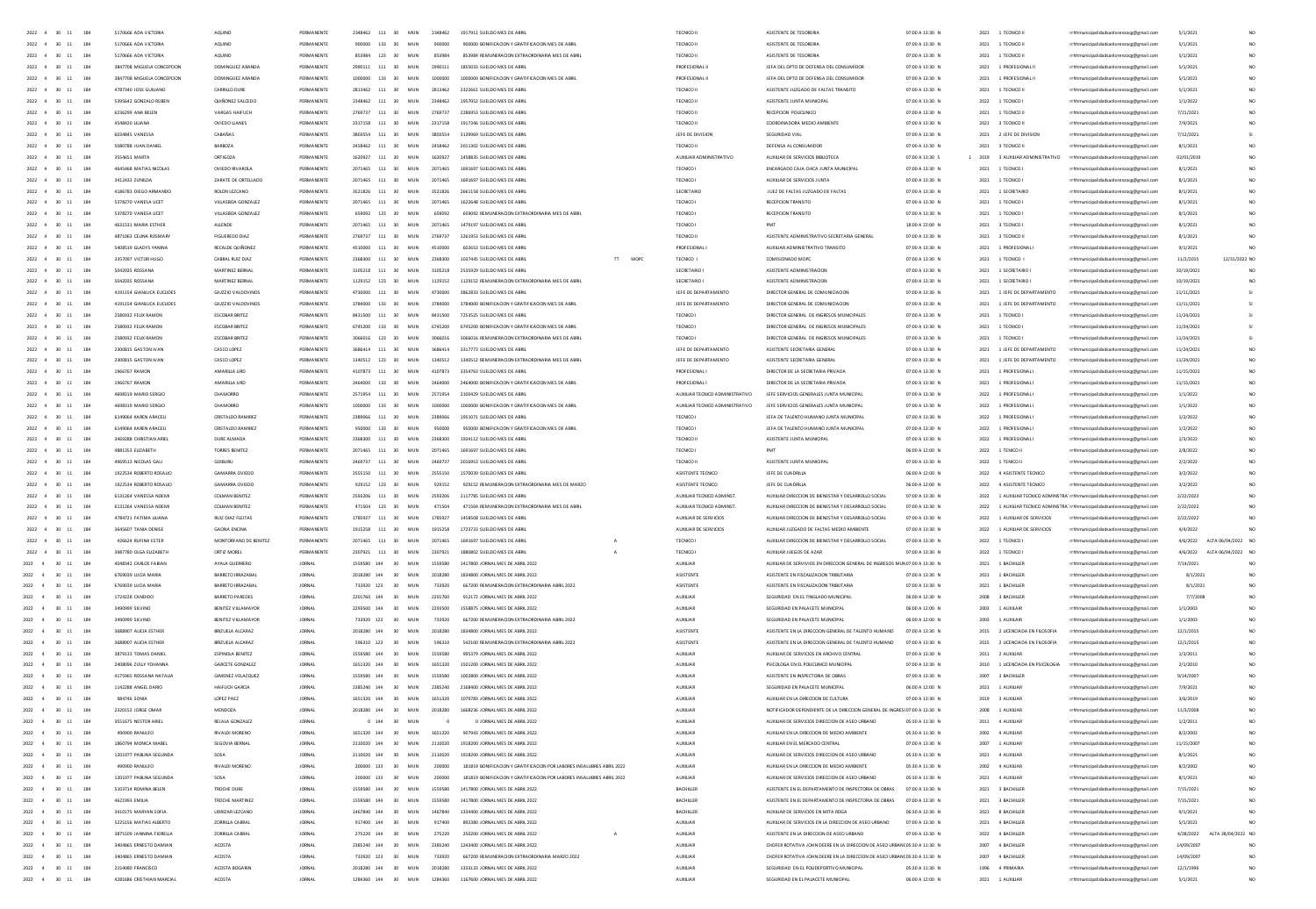| 2022 4<br>$30 - 11$<br>184                                        | 5170666 ADA VICTORI                              | AQUINO                                 | PERMANENT                     | 2348462  | 111                        | MUN                                 | 2348462            | 1917911 SUELDO MES DE ABI                                             | TECNICO I                       | ASISTENTE DE TESORERI                                                     | 07:00 A 13:30 N                    | 2021 | 1 TECNICO II                                      | rrhhmunicipalidadsanlorenzocg@gmail.com                                            | 5/1/2021                 |                    |
|-------------------------------------------------------------------|--------------------------------------------------|----------------------------------------|-------------------------------|----------|----------------------------|-------------------------------------|--------------------|-----------------------------------------------------------------------|---------------------------------|---------------------------------------------------------------------------|------------------------------------|------|---------------------------------------------------|------------------------------------------------------------------------------------|--------------------------|--------------------|
| $2022 \quad 4 \quad 30 \quad 11$<br>184                           | 5170666 ADA VICTORI                              | AQUIN                                  | PERMA                         |          | 133                        | MUN                                 |                    | 900000 BONIFICACION Y GRATIFICACION MES DE AB                         |                                 |                                                                           | 07:00 A 13:30 N                    | 2021 | 1 TECNICO II                                      | icipalidadsanlorenzocg@gmail.com                                                   | 5/1/202                  |                    |
| 2022 4 30 11<br>184                                               | 5170666 ADA VICTORI                              | AQUINO                                 | PERMANENTE                    | 052004   | 123                        | 20 <sup>o</sup><br>MUN              | 853984             | 853984 REMUNERACION EXTRAORDINARIA MES DE ABR                         | TECNICO I                       | ASISTENTE DE TESORERI                                                     | 07:00 A 13:30 N                    | 2021 | 1 TECNICO II                                      | <b>icipalidadianion</b><br>ocg@gmail.com                                           | 5/1/202                  | NO                 |
| 2022<br>30<br>$\overline{11}$<br>184                              | 3847708 MIGUELA CONCEPCION                       | DOMINGUEZ ARAND                        | PERMANENT                     |          | 111                        | MU                                  |                    |                                                                       | PROFESIONAL                     | JEFA DEL DPTO DE DEFENSA DEL CONS                                         | 07:00 A 13:30 N                    | 2021 | 1 PROFESIONAL                                     | sicipalidadsanlorenzocg@gmail.com                                                  | 5/1/202                  | NO.                |
| 2022 4 30 11<br>184                                               | 3847708 MIGUELA CONCEPCION                       | DOMINGUEZ ARANDA                       | PERMANENTS                    | 1000000  | 133                        | 30 <sup>2</sup><br>MUN              | toppoon            | 1000000 BONIFICACION Y GRATIFICACION MES DE ABR                       | PROFESIONAL                     | JEFA DEL DPTO DE DEFENSA DEL CONSUMIDO                                    | 07:00 A 13:30 N                    | 2021 | 1 PROFESIONAL                                     | municipalidadsanlorenzocg@gmail.com                                                | 5/1/202                  | NO                 |
| 184<br>2022 4 30 11                                               | 4787340 IOSE GUILLAND                            | CARRILLO DURE                          | PERMANENTE                    |          | 2813462 111                | MIN<br>30 <sub>2</sub>              | 2813462            | 2322661 SUFLDD MES DE ARRI                                            | TECNICO II                      | ASISTENTE ILIZIGADO DE FALTAS TRANSITO                                    | 07:00 A 13:30 N                    |      | 2021 1 TECNICO II                                 | rrhhmunicipalidadsanlorenzocg@gmail.com                                            | 5/1/2021                 | NO.                |
| 2022 4 30 11<br>184                                               | 5395642 GONZALO RUBEN                            | <b>QUIÑONEZ SALCEDO</b>                | PERMANENTE                    |          | 2348462 111 30             | MUN                                 | 2348462            | 1957052 SUELDO MES DE ABRI                                            | TECNICO II                      | ASISTENTE JUNTA MUNICIPA                                                  | 07:00 A 13:30 N                    |      | 2022 1 TECNICO                                    | rrhhmunicipalidadsanlorenzocg@gmail.com                                            | 1/1/2022                 | NO.                |
| 2022 4 30 11<br>184                                               | 6236299 ANA REIEN                                | VARGAS HAIFLICH                        | PERMANENTE                    |          | 2769232 111 30             | MIN                                 | 2769737            | 2286953 SUELDO MES DE ABRI                                            | TECNICO II                      | <b>BECERDON ROUCUMICO</b>                                                 | 07:00 A 13:30 N                    |      | 2021 1 TECNICO II                                 | rrhhmunicipalidadsanlorenzocg@gmail.com                                            | 7/21/2021                | NO.                |
| 2022 4 30 11<br>184                                               | 4548420 ULIANA                                   | OVIEDO LIANES                          | PERMANENTE                    |          | 2317158 111 30             | MUN                                 | 2317158            | 1917346 SUELDO MES DE ABRI                                            | TECNICO II                      | COORDINADORA MEDIO AMBIENTE                                               | 07:00 A 13:30 N                    |      | 2021 3 TECNICO II                                 | rrhhmunicipalidadsanlorenzoce@email.com                                            | 7/9/2021                 | NO.                |
| 2022 4 30 11<br>184                                               | 6034845 VANESSA                                  | CABARAS                                | PERMANENTE                    |          | 3803554 111 30             | MUN                                 | 3803554            | 3139969 SUELDO MES DE ABRI                                            | JEFE DE DIVISION                | SEGURIDAD VIAL                                                            | 07:00 A 13:30 N                    |      | 2021 2 JEFE DE DIVISION                           | rrhhmunicipalidadsanlorenzoce@email.com                                            | 7/12/2021                |                    |
| 2022 4 30 11<br>184                                               | 5080788 JUAN DANIEL                              | BARBOZA                                | PERMANENTE                    |          | 2458462 111 30             | MUN                                 | 2458462            | 2011302 SUELDO MES DE ABRI                                            | TECNICO II                      | DEFENSA AL CONSUMIDOR                                                     | 07:00 A 13:30 N                    |      | 2021 3 TECNICO II                                 | rrhhmunicipalidadsanlorenzoce@email.com                                            | 8/1/2021                 | NO <sub>1</sub>    |
| 184<br>2022 4 30 11                                               | 3554651 MARTA                                    | ORTIGOZA                               | PERMANENTE                    |          | 1620927 111 30             | MUN                                 | 1620927            | 1458835 SUELDO MES DE ABRI                                            | AUXILIAR ADMINISTRATIVO         | AUXIUAR DE SERVICIOS BIBLIOTECA                                           | 07:00 A 13:30 S                    |      | 1 2019 3 AUXILIAR ADMINISTRATIVO                  | rrhhmunicipalidadsanlorenzoce@email.com                                            | 02/01/2019               | NO.                |
| 184<br>2022 4 30 11                                               | 4645468 MATIAS NICOLAS                           | OVIEDO RIVAROLA                        | PERMANENTE                    |          | 2071465 111 30             | MUN                                 | 2071465            | 1691697 SUELDO MES DE ABRI                                            | TECNICO I                       | ENCARGADO CAJA CHICA JUNTA MUNICIPAL                                      | 07:00 A 13:30 N                    | 2021 | 1 TECNICO I                                       | rrhhmunicipalidadsanlorenzocg@gmail.com                                            | 8/1/2021                 |                    |
| 2022 4<br>184<br>30<br>$11$                                       | 3412433 ZUNILDA                                  | ZARATE DE ORTELLADO                    | PERMANENTE                    |          | 2071465 111 30             | MUN                                 | 2071465            | 1691697 SUELDO MES DE ABRI                                            | TECNICO                         | AUXIUAR DE SERVICIOS JUNTA                                                | 07:00 A 13:30 N                    | 2021 | 1 TECNICO I                                       | rrhhmunicipalidadsanlorenzocg@gmail.com                                            | 8/1/2021                 |                    |
| 184<br>2022 4 30<br>$11$                                          | 4186783 DIEGO ARMANDO                            | ROLON LEZCANO                          | PERMANENTE                    |          | 3521826 111 30             | MUN                                 | 3521826            | 2661158 SUELDO MES DE ABRI                                            | SECRETARIO                      | JUEZ DE FALTAS JUZGADO DE FALTAS                                          | 07:00 A 13:30 N                    |      | 2021 1 SECRETARIO                                 | rrhhmunicipalidadsanlorenzocg@gmail.com                                            | 8/1/2021                 |                    |
| 184<br>2022 4<br>30<br>11                                         | 5378270 VANESA LICET                             | VILLASBOA GONZALEZ                     | PERMANENT                     |          | 111 30                     | MUN                                 | 2071465            | 1622648 SUELDO MES DE ABRI                                            | TECNICO                         | RECEPCION TRANSITO                                                        | 07:00 A 13:30 N                    |      | 2021 1 TECNICO I                                  | rrhhmunicipalidadsanlorenzocg@gmail.com                                            | 8/1/2021                 |                    |
| $2022 - 4$<br>184                                                 | 5378270 VANESA LICET                             | VILLASBOA GONZALEZ                     | PERMANENT                     |          | 123                        | 30<br>MUN                           | 659092             | 659092 REMUNERACION EXTRAORDINARIA MES DE ABRI                        | TECNICO                         | RECEPCION TRANSIT                                                         | 07:00 A 13:30 N                    | 2021 | 1 TECNICO I                                       | rrhhmunicipalidadsanlorenzocg@gmail.com                                            | 8/1/2021                 |                    |
| 184<br>$2022 - 4$<br>30<br>$11\,$                                 | 4631531 MARIA ESTHER                             | ALLENDE                                | PERMANENT                     |          | 111 30                     | MUN                                 | 2071465            | 1479197 SUELDO MES DE ABRI                                            | TECNICO                         | PMT                                                                       | 18:00 A 22:00 N                    |      | 2021 3 TECNICO I                                  | rrhhmunicipalidadsanlorenzocg@gmail.com                                            | 8/1/2021                 |                    |
| 2022<br>184                                                       | 4871063 CEUNA ROSMAR                             | <b>FIGUEREDO DIAZ</b>                  | PERMANENT                     |          | 111                        | 30<br>MUN                           | 2769737            | 2261953 SUELDO MES DE ABRI                                            | TECNICO I                       | ASISTENTE ADMINISTRATIVO SECRETARIA GENERA                                | 07:00 A 13:30 N                    | 2021 | 3 TECNICO II                                      | rrhhmunicipalidadsanlorenzocg@gmail.com                                            | 8/1/2021                 |                    |
| 2022 4<br>30<br>11<br>184                                         | 5408519 GLADYS YANINA                            | RECALDE QUIÑONEZ                       | PERMANENTS                    |          | 4510000 111                | 30<br>MUN                           | 4510000            | 602653 SUELDO MES DE ABRI                                             | PROFESIONAL                     | AUXILIAR ADMINISTRATIVO TRANSITO                                          | 07:00 A 13:30 N                    |      | 2021 1 PROFESIONAL                                | rrhhmunicipalidadsanlorenzocg@gmail.com                                            | 9/1/2021                 |                    |
| 184<br>2022 4<br>30 <sub>1</sub><br>11                            | 3357097 VICTOR HUGO                              | CABRAL RUIZ DIAZ                       | PERMANENTE                    |          | 2368300 111 30             | MUN                                 | 2368300            | MOPC<br>1037445 SUELDO MES DE ABRI<br>$\mathbb{H}$                    | TECNICO I                       | COMISIONADO MOPO                                                          | 07:00 A 13:30 N                    |      | 2021 1 TECNICO                                    | rrhhmunicipalidadsanlorenzocg@gmail.com                                            | 11/2/2015                | 12/31/2022 NO      |
| 2022 4<br>30<br>184                                               | 5042035 ROSSANA                                  | MARTINEZ BERNA                         | PERMANENTE                    |          | 3105218 111 30             | MUN                                 | 3105218            | 2535929 SUELDO MES DE ABRI                                            | SECRETARIO                      | ASISTENTE ADMINISTRACION                                                  | 07:00 A 13:30 N                    |      |                                                   |                                                                                    |                          | <b>MO</b>          |
| 184<br>2022 4<br>30 <sub>1</sub><br>11                            | S042035 ROSSANA                                  | MARTINEZ RERNAL                        | PERMANENTE                    |          | 1129152 123 30             | MUN                                 | 1129152            | 1129152 REMUNERACION EXTRAORDINARIA MES DE ABRIL                      | SECRETARIOL                     | ASISTENTE ADMINISTRACION                                                  | 07:00 A 13:30 N                    |      | 2021 1 SECRETARIO<br>2021 1 SECRETARIO            | rrhhmunicipalidadsanlorenzocg@gmail.com                                            | 10/19/2021<br>10/19/2021 | NO.                |
| 2022 4<br>184                                                     | 4191154 GIANLICA EUCLIDES                        | GIUZZIO VALDOVINOS                     | PERMANENTE                    |          | 4730000 111 30             | MUN                                 | 4730000            | 3862833 SUELDO MES DE ABRIL                                           | JEFE DE DEPARTAMENTO            | DIRECTOR GENERAL DE COMUNICIACION                                         | 07:00 A 13:30 N                    |      | 2021 1 JEFE DE DEPARTAMENTO                       | rrhhmunicipalidadsanlorenzoog@gmail.com                                            | 11/11/2021               |                    |
| 30<br>11<br>184                                                   | 4191154 GIANUICA FUCUDES                         | GILDZIO VALDOVINO                      | PERMANENTE                    |          |                            |                                     |                    |                                                                       | <b>IFFF DE DEPARTAMENTO</b>     | DIRECTOR GENERAL DE COMUNICIACIÓN                                         | 02:00 A 13:30 N                    |      |                                                   | rrhhmunicipalidadsanlorenzocg@gmail.com                                            |                          |                    |
| 2022 4<br>$-30$<br>11                                             |                                                  |                                        |                               |          | 3784000 133 30             | MUN                                 | 3784000            | 3784000 BONIFICACION Y GRATIFICACION MES DE ABRI                      |                                 |                                                                           |                                    |      | 2021 1 JEFE DE DEPARTAMENTO                       | rrhhmunicipalidadsanlorenzocg@gmail.com                                            | 11/11/2021               |                    |
| 2022 4<br>184<br>30<br>11                                         | 2580932 FEUX RAMON                               | ESCOBAR BRITEZ                         | PERMANENTE                    |          | 8431500 111 30             | MUN                                 | 8431500            | 7253525 SUELDO MES DE ABRIL                                           | TECNICO I                       | DIRECTOR GENERAL DE INGRESOS MUNICIPALES                                  | 07:00 A 13:30 N                    |      | 2021 1 TECNICO                                    | rrhhmunicipalidadsanlorenzocg@gmail.com                                            | 11/24/2021               |                    |
| 2022 4<br>$-30$<br>184<br>11                                      | 2580932 FEUX RAMON                               | <b>ESCOBAR BRITEZ</b>                  | PERMANENTE                    |          | 6745200 133 30             | MUN                                 | 6745200            | 6745200 BONIFICACION Y GRATIFICACION MES DE ABRIL                     | TECNICO I                       | DIRECTOR GENERAL DE INGRESOS MUNICIPALES                                  | 07:00 A 13:30 N                    |      | 2021 1 TECNICO                                    | rrhhmunicipalidadsanlorenzoce@email.com                                            | 11/24/2021               |                    |
| 184<br>2022 4<br>30<br>11                                         | 2580932 FELIX RAMON                              | <b>ESCOBAR BRITEZ</b>                  | PERMANENTE                    | 3066016  | 123 30                     | MUN                                 | 3066016            | 3056016 REMUNERACION EXTRAORDINARIA MES DE ABRIL                      | TECNICO I                       | DIRECTOR GENERAL DE INGRESOS MUNICIPALES                                  | 07:00 A 13:30 N                    | 2021 | 1 TECNICO I                                       | rrhhmunicipalidadsanlorenzocg@gmail.com                                            | 11/24/2021               |                    |
| 2022 4<br>30 <sub>1</sub><br>184<br>11                            | 2300815 GASTON IVAN                              | CASCO LOPEZ                            | PERMANENTE                    | 3585414  | 111 30                     | MUN                                 | 3585414            | 3317773 SUELDO MES DE ABRIL                                           | JEFE DE DEPARTAMENTO            | ASISTENTE SECRETARIA GENERAL                                              | 07:00 A 13:30 N                    |      | 2021 1 JEFE DE DEPARTAMENTO                       | rrhhmunicipalidadsanlorenzoce@email.com                                            | 11/24/2021               | NO <sub>1</sub>    |
| 184<br>2022 4<br>30<br>11                                         | 2300815 GASTON IVAN                              | CASCO LOPEZ                            | PERMANENTE                    | 1340512  | 123 30                     | MUN                                 | 1340512            | 1340512 REMUNERACION EXTRAORDINARIA MES DE ABRIL                      | JEFE DE DEPARTAMENTO            | ASISTENTE SECRETARIA GENERAL                                              | 07:00 A 13:30 N                    | 2021 | 1 JEFE DE DEPARTAMENTO                            | rrhhmunicipalidadsanlorenzocg@gmail.com                                            | 11/24/2021               | NO <sub>1</sub>    |
| 184<br>2022 4<br>30<br>11                                         | 1966767 RAMON                                    | AMARILLA LIRD                          | PERMANENTE                    |          | 111 30                     | MUN                                 | 4107873            | 3354763 SUELDO MES DE ABRIL                                           | PROFESIONAL                     | DIRECTOR DE LA SECRETARIA PRIVADA                                         | 07:00 A 13:30 N                    | 2021 | 1 PROFESIONAL                                     | rrhhmunicipalidadsanlorenzocg@gmail.com                                            | 11/15/2021               | NO.                |
| 184<br>2022 4<br>30<br>11                                         | 1966767 RAMON                                    | AMARILLA LIRD                          | PERMANENTE                    |          | 133 30                     | MUN                                 | 2464000            | 2464000 BONIFICACION Y GRATIFICACION MES DE ABRI                      | <b>PROFESIONALI</b>             | DIRECTOR DE LA SECRETARIA PRIVADA                                         | 07:00 A 13:30 N                    | 2021 | 1 PROFESIONAL I                                   | rrhhmunicipalidadsanlorenzocg@gmail.com                                            | 11/15/2021               | NO.                |
| 184<br>2022 4<br>30<br>11                                         | 4698319 MARIO SERGIO                             | CHAMORRO                               | PERMANENTE                    |          | 111                        | MUN<br>30                           | 2571954            | 2100429 SUELDO MES DE ABRI                                            | AUXILIAR TECNICO ADMINISTRATIVO | JEFE SERVICIOS GENERALES JUNTA MUNICIPAL                                  | 07:00 A 13:30 N                    | 2022 | 1 PROFESIONAL                                     | rrhhmunicipalidadsanlorenzocg@gmail.com                                            | 1/1/2022                 | NO.                |
| 184<br>2022<br>30                                                 | 4698319 MARIO SERGI                              |                                        |                               |          | 133                        |                                     |                    | 1000000 BONIFICACION Y GRATIFICACION MES DE ABR                       | AUXILIAR TECNICO ADMINISTRATIVO | JEFE SERVICIOS GENERALES JUNTA MUNICIPAL                                  | 07:00 A 13:30 N                    | 2022 | 1 PROFESIONAL                                     | rrhhmunicipalidadsanlorenzocg@gmail.com                                            | 1/1/2022                 | NO                 |
| 2022<br>4<br>30<br>184                                            | 6149064 KAREN ARACELI                            | CRISTALDO RAMIRE                       | PERMANENTS                    |          | 111                        | 30<br>MUN                           |                    | 1951071 SUELDO MES DE ABR                                             | TECNIC                          | JEFA DE TALENTO HUMANO JUNTA MUNICIPA                                     | 07:00 A 13:30 N                    | 2022 |                                                   | rrhhmunicipalidadsanlorenzocg@gmail.com                                            | 1/2/202                  | NO.                |
| 184                                                               | 6149064 KAREN ARACELI                            | <b>CRISTALDO RAMIRE</b>                |                               |          | 133                        | 30<br>MU                            |                    | 950000 BONIFICACION Y GRATIFICACION MES DE ABR                        | TECNICO                         | JEFA DE TALENTO HUMANO JUNTA MUNICIPA                                     | 07:00 A 13:30 N                    | 2022 | 1 PROFESIONAL                                     | rrhhmunicipalidadsanlorenzoog@gmail.com                                            | 1/2/202                  | NO                 |
| 2022 4 30<br>$\overline{11}$<br>184                               | 3469288 CHRISTIAN ARIE                           | DURE ALMADA                            | PERMANENTS                    |          | 111                        | 30<br>MUN                           | 2368300            | 1934112 SUELDO MES DE ABR                                             | TECNICO I                       | ASISTENTE JUNTA MUNICIPA                                                  | 07:00 A 13:30 N                    | 2022 | 1 PROFESIONAL                                     | sicipalidadsanlorenzocg@gmail.com                                                  | 1/3/202                  | NO.                |
| 2022 4 30 11<br>184                                               | ARRI353 FLIZARETH                                | TORRES RENITEZ                         | PERMANENTE                    | 2071465  | 111 30                     | MIN                                 | 2071465            | 1691697 SUELDO MES DE ARRI                                            | TECNICO                         |                                                                           | 06:00 A 12:00 N                    | 2022 | 1 TENICO II                                       | rrhhmunicipalidadsanlorenzocg@gmail.com                                            | 2/8/2022                 | NO                 |
| 2022 4 30 11<br>184                                               | 4969513 NICOLAS GAL                              | GOIBURU                                | PERMANENTS                    |          | 111                        | 30<br>MUN                           | 2460721            | 2016953 SUELDO MES DE ABRI                                            | TECNICO I                       | ASISTENTE JUNTA MUNICIPA                                                  | 07:00 A 13:30 N                    | 2022 | 1 TENICO I                                        | icipalidadsanlorenzocg@gmail.com                                                   | 2/2/202                  | NO                 |
| 2022 4 30 11<br>184                                               | 1922534 BORERTO BOSAUC                           | GAMARRA OVEDO                          | PERMANENTE                    | accessor | 111 30                     | MIN                                 | 2555150            | 1570039 SUELDO MES DE ABRI                                            | ASISTENTE TECNICO               | <b>IFFF DE CHADRILA</b>                                                   | 06:00 A 12:00 N                    |      | 2022 4 ASISTENTE TECNICO                          | rrhhmunicipalidadsanlorenzocg@gmail.com                                            | 3/2/2022                 | NO                 |
| 2022 4 30 11<br>184                                               | 1922534 BORERTO BOSAUC                           | GAMARRA OVEDO                          | PERMANENTE                    |          | 929152 123 30              | MIN                                 | 929152             | 929152 BEMUNERACIÓN EXTRAOROINARIA MES DE MARZO                       | <b>ASISTENTE TECNICO</b>        | JEFF DE CHADRULA                                                          | 06:00 A 12:00 N                    |      | 2022 4 ASISTENTE TECNICO                          | rrhhmunicipalidadsanlorenzocg@gmail.com                                            | 3/2/2022                 | NO                 |
| 2022 4 30 11<br>184                                               | 6131264 VANESSA NOEMI                            | <b>COLMAN BENITEZ</b>                  | PERMANENTE                    |          | 2593206 111 30             | MUN                                 | 2593206            | 2117785 SUELDO MES DE ABRIL                                           | AUXILIAR TECNICO ADMINST.       | AUXIUAR DIRECCION DE BIENESTAR Y DESARROLLO SOCIAL                        | 07:00 A 13:30 N                    |      |                                                   | 2022 1 AUXILIAR TECNICO ADMINSTRA' rrhhmunicipalidadsanlorenzoce@email.com         | 2/22/2022                | NO <sub>1</sub>    |
| 2022 4 30 11<br>184                                               | 6131264 VANESSA NOEMI                            | <b>COLMAN BENITEZ</b>                  | PERMANENTE                    |          | 471504 123 30              | MUN                                 | 471504             | 471504 REMUNERACION EXTRAORDINARIA MES DE ABRIL                       | AUXILIAR TECNICO ADMINST        | AUXIUAR DIRECCION DE BIENESTAR Y DESARROLLO SOCIAL                        | 07:00 A 13:30 N                    |      |                                                   | 2022 1 AUXILIAR TECNICO ADMINSTRA' rrhhmunicipalidadsanlorenzoce@email.com         | 2/22/2022                | NO <sub>1</sub>    |
| 2022 4 30 11<br>184                                               | 4784721 FATIMA LILIANA                           | RUIZ DIAZ FLEITAS                      | PERMANENTE                    | 1785927  | 111 30                     | MUN                                 | 1785927            | 1458508 SUELDO MES DE ABRIL                                           | AUXILIAR DE SERVICIOS           | AUXIUAR DIRECCION DE BIENESTAR Y DESARROLLO SOCIAL                        | 07:00 A 13:30 N                    |      | 2022 1 AUXILIAR DE SERVICIOS                      | rrhhmunicipalidadsanlorenzoce@email.com                                            | 2/22/2022                | NO.                |
| $2022\quad \  \, 4\quad \  \  30\quad \  11$<br>184               | 3645607 TANIA DENISE                             | <b>GAONA ENCINA</b>                    | PERMANENTE                    |          | 1915258 111 30             | MUN                                 | 1915258            | 1723733 SUELDO MES DE ABRI                                            | AUXILIAR DE SERVICIOS           | AUXIUAR JUZGADO DE FALTAS MEDIO AMBIENTE                                  | 07:00 A 13:30 N                    |      | 2022 1 AUXILIAR DE SERVICIOS                      | rrhhmunicipalidadsanlorenzocg@gmail.com                                            | 4/4/2022                 |                    |
| 2022 4 30 11<br>184                                               | 426624 RUFINA ESTER                              | MONTORFANO DE BENITEZ                  | PERMANENTE                    | 2071465  | 111 30                     | MUN                                 | 2071465            | 1691697 SUELDO MES DE ABRI                                            | TECNICO I                       | AUXIUAR DIRECCION DE BIENESTAR Y DESARROLLO SOCIAL                        | 07:00 A 13:30 N                    | 2022 | 1 TECNICO I                                       | rrhhmunicipalidadsanlorenzoce@email.com                                            | 4/6/2022                 | ALTA 06/04/2022 NO |
| 2022 4 30 11<br>184                                               | 3987780 OLGA ELIZABETH                           | ORTIZ MOREL                            | PERMANENTE                    |          | 2307921 111 30             | MUN                                 | 2307921            | 1880802 SUELDO MES DE ABRIL                                           | TECNICO I                       | AUXIUAR JUEGOS DE AZAR                                                    | 07:00 A 13:30 N                    |      | 2022 1 TECNICO I                                  | rrhhmunicipalidadsanlorenzocg@gmail.com                                            | 4/6/2022                 | ALTA 06/04/2022 NO |
| 2022 4<br>184<br>30 11                                            | 4048342 CARLOS FABIAN                            | AYALA GUERRERO                         | <b>JORNAL</b>                 |          | 1559580 144                | 30<br>MUN                           | 1559580            | 1417800 JORNAL MES DE ABRIL 2022                                      | AUXUAR                          | AUXILIAR DE SERVIVIOS EN DIRECCION GENERAL DE INGRESOS MUNO7:00 A 13:30 N |                                    |      | 2021 1 BACHILLER                                  | rrhhmunicipalidadsanlorenzocg@gmail.com                                            | 7/14/2021                |                    |
| 2022<br>184<br>30<br>$11\,$                                       | 6769039 LUCIA MARIA                              | BARRETO IRRAZABA                       | JORNA                         |          | 2018280 144                | 30<br>MUN                           | 2018280            | 1834800 JORNAL MES DE ABRIL 2022                                      | ASISTENTE                       | ASISTENTE EN FISCALIZACION TRIBUTARIA                                     | 07:00 A 13:30 N                    | 2021 | 1 BACHILLER                                       | rrhhmunicipalidadsanlorenzocg@gmail.com                                            | 8/1/2021                 |                    |
| 2022<br>184<br>30<br>11                                           | 6769039 LUCIA MARIA                              | BARRETO IRRAZABA                       | <b>JORNAL</b>                 |          | 733920 123                 | 30<br>MUN                           | 733920             | 667200 REMUNERACION EXTRAORDINARIA ABRIL 2022                         | ASISTENTE                       | ASISTENTE EN FISCAUZACION TRIBUTARIA                                      | 07:00 A 13:30 N                    |      | 2021 1 BACHILLER                                  | rrhhmunicipalidadsanlorenzocg@gmail.com                                            | 8/1/2021                 |                    |
| 2022<br>184<br>30<br>$11\,$                                       | 1724228 CANDIDO                                  | BARRETO PAREDES                        | JORNA                         |          | 2201760 144                | 30<br>MUN                           | 2201760            | 912172 JORNAL MES DE ABRIL 2022                                       | AUXILIAR                        | SEGURIDAD EN EL TINGLADO MUNICIPA                                         | 06:00 A 12:30 N                    |      | 2008 3 BACHILLER                                  | rrhhmunicipalidadsanlorenzoog@gmail.com                                            | 7/7/200                  |                    |
| 2022<br>30<br>184                                                 | 3490999 SILVINO                                  | BENITEZ VILLAMAYO                      | JORNA                         |          | 2293500 144                | 30<br>MUN                           | 2293500            | 1558875 JORNAL MES DE ABRIL 2022                                      | AUXILIAR                        | SEGURIDAD EN PALACETE MUNICIPAL                                           | 06:00 A 12:00 N                    |      | 2003 1 AUXILAIR                                   | rrhhmunicipalidadsanlorenzoog@gmail.com                                            | 1/1/2003                 | NO <sub>1</sub>    |
| 2022<br>184<br>30                                                 | 3490999 SILVINO                                  | BENITEZ VILLAMAYO                      | <b>JORNA</b>                  |          | 733920 123                 | MUN                                 | 733920             | 667200 REMUNERACION EXTRAORDINARIA ABRIL 2022                         | AUXUA                           | SEGURIDAD EN PALACETE MUNICIPAL                                           | 06:00 A 12:00 N                    |      | 2003 1 AUXILAIR                                   | rrhhmunicipalidadsanlorenzocg@gmail.com                                            | 1/1/2003                 |                    |
| 2022<br>30<br>184                                                 | 3688907 AUGA ESTHER                              | BRIZUELA ALCARAZ                       | JORNA                         |          | 2018280 144                | 30<br>MUN                           | 2018280            | 1834800 JORNAL MES DE ABRIL 2022                                      | ASISTENTI                       | ASISTENTE EN LA DIRECCION GENERAL DE TALENTO HUMANO                       | 07:00 A 13:30 N                    |      | 2015 2 LICENCIADA EN FILOSOFIA                    | rrhhmunicipalidadsanlorenzoog@gmail.com                                            | 12/1/2019                | NO.                |
| 2022 4<br>$30 - 11$<br>184                                        | 3688907 AUGA ESTHER                              | BRIZUELA ALCARAZ                       | JORNA                         |          | 596310 123                 | 30<br>MUN                           | 596310             | 542100 REMUNERACION EXTRAORDINARIA ABRIL 2022                         | ASISTENTE                       | ASISTENTE EN LA DIRECCION GENERAL DE TALENTO HUMANO                       | 07:00 A 13:30 N                    |      |                                                   |                                                                                    | 12/1/2015                | NO.                |
| $2022 - 4$<br>184<br>$30 - 11$                                    | 3879133 TOMAS DANIEL                             | <b>FSPINOLA RENITEZ</b>                | <b>IORNAL</b>                 |          | 1559580 144                | MIN<br>30 <sub>1</sub>              | 1559580            | 995329 IORNAL MES DE ARRIL 2022                                       | <b>ALDREIAR</b>                 | AUXIUAR DE SERVICIOS EN ARCHIVO CENTRAL                                   | 07:00 A 13:30 N                    |      | 2015 2 LICENCIADA EN FILOSOFIA<br>2011 2 AUXILIAR | rrhhmunicipalidadsanlorenzocg@gmail.com<br>rrhhmunicipalidadsanlorenzocg@gmail.com | 1/3/2011                 | NO.                |
|                                                                   |                                                  |                                        |                               |          |                            |                                     |                    |                                                                       |                                 |                                                                           |                                    |      |                                                   |                                                                                    |                          | NO <sub>1</sub>    |
| 2022 4<br>$\infty$<br>11<br>184<br>$2022 - 4$<br>184<br>$30 - 11$ | 2408096 ZULLY YOHANNA<br>4175965 BOSSANA NATALIA | GARCETE GONZALEZ<br>GIMENEZ VELAZOLIEZ | <b>JORNA</b><br><b>IORNAL</b> |          | 1651320 144<br>1559580 144 | 30<br>MUN<br>MIN<br>30 <sub>1</sub> | 1651320<br>1559580 | 1501200 JORNAL MES DE ABRIL 2022<br>1002800 IORNAL MES DE ARRIL 2022  | AUXUAR<br>4100148               | PSICOLOGA EN EL POLICUNICO MUNICIPAL<br>ASISTENTE EN INSPECTORIA DE ORRAS | 07:00 A 13:30 N<br>07:00 A 13:30 N | 2010 | 1 LICENCIADA EN PSICOLOGIA<br>2007 3 RACHILLER    | rrhhmunicipalidadsanlorenzocg@gmail.com                                            | 2/1/2010<br>9/14/2007    | NO.                |
|                                                                   |                                                  |                                        |                               |          |                            |                                     |                    |                                                                       |                                 |                                                                           |                                    |      |                                                   | rrhhmunicipalidadsanlorenzoog@gmail.com                                            |                          |                    |
| 2022 4<br>184<br>30 11                                            | 1142288 ANGEL DARIO                              | HAIFUCH GARCIA                         | <b>JORNAL</b>                 |          | 2385240 144                | MUN<br>30                           | 2385240            | 2168400 JORNAL MES DE ABRIL 2022                                      | AUXILIAR                        | SEGURIDAD EN PALACETE MUNICIPAL                                           | 06:00 A 12:00 N                    |      | 2021 1 AUXILIAR                                   | rrhhmunicipalidadsanlorenzocg@gmail.com                                            | 7/9/2021                 | NO.                |
| $2022 - 4$<br>184<br>$30 - 11$                                    | 984746 SONIA                                     | LOPEZ PAEZ                             | <b>IORNAL</b>                 |          | 1651320 144                | MIN<br>30 <sub>1</sub>              | 1651320            | 1079783 IORNAL MES DE ARRIL 2022                                      | 4100148                         | AUXILIAR EN LA DIRECCIÓN DE CULTURA                                       | 07:00 A 13:30 N                    |      | 2019 3 AUXULAR                                    | rrhhmunicipalidadsanlorenzocg@gmail.com                                            | 3/6/2019                 | NO.                |
| 2022 4<br>184<br>30 11                                            | 2320152 JORGE OMAR                               | MENDOZA                                | <b>JORNAL</b>                 |          | 2018280 144                | MUN<br>30 <sub>1</sub>              | 2018280            | 1668236 JORNAL MES DE ABRIL 2022                                      | AUXILIAR                        | NOTIFICADOR DEPENDIENTE DE LA DIRECCIÓN GENERAL DE INGRES(07:00 A 13:30 N |                                    |      | 2008 1 AUXILIAR                                   | rrhhmunicipalidadsanlorenzocg@gmail.com                                            | 11/3/2008                | NO.                |
| 184<br>$2022 - 4$<br>$30 - 11$                                    | 3551675 NESTOR ARIEL                             | REJALA GONZALEZ                        | <b>JORNAL</b>                 |          | 0.144                      | 30 <sub>2</sub><br>MUN              | $\Omega$           | 0 JORNAL MES DE ABRIL 2022                                            | AUXILIAR                        | AUXILIAR DE SERVICIOS DIRECCION DE ASEO URBANO                            | 05:30 A 11:30 N                    |      | 2011 4 AUXILIAR                                   | rrhhmunicipalidadsanlorenzocg@gmail.com                                            | 1/2/2011                 | NO.                |
| 184<br>2022 4<br>30<br>11                                         | 490900 RANULFO                                   | <b>RIVALDI MORENO</b>                  | <b>JORNAL</b>                 |          | 1651320 144                | 30<br>MUN                           | 1651320            | 907943 JORNAL MES DE ABRIL 2022                                       | AUXILIAR                        | AUXIUAR EN LA DIRECCION DE MEDIO AMBIENTE                                 | 05:30 A 11:30 N                    | 2002 | 4 AUXILIAR                                        | rrhhmunicipalidadsanlorenzocg@gmail.com                                            | 8/2/2002                 | NO.                |
| 184<br>$2022 - 4$<br>30<br>11                                     | 1860794 MONICA MABEL                             | SEGOVIA BERNAL                         | <b>JORNAL</b>                 |          | 2110020 144                | 30<br>MUN                           | 2110020            | 1918200 JORNAL MES DE ABRIL 2022                                      | AUXILIAR                        | AUXILIAR EN EL MERCADO CENTRAL                                            | 07:00 A 13:30 N                    | 2007 | 1 AUXILIAR                                        | rrhhmunicipalidadsanlorenzocg@gmail.com                                            | 11/15/2007               | NO.                |
| $2022 - 4$<br>184<br>30<br>11                                     | 1201977 PABUNA SEGUNDA                           | SOSA                                   | <b>JORNAL</b>                 |          | 2110020 144                | MUN<br>30                           | 2110020            | 1918200 JORNAL MES DE ABRIL 2022                                      | AUXILIAR                        | AUXIUAR DE SERVICIOS DIRECCION DE ASEO URBANO                             | 05:30 A 11:30 N                    | 2021 | 4 AUXILIAR                                        | rrhhmunicipalidadsanlorenzocg@gmail.com                                            | 8/1/2021                 | NO.                |
| 2022<br>184                                                       | 490900 RANULFO                                   | <b>RIVALDI MORENO</b>                  | JORNA                         |          | 200000 133                 | MUN                                 | 200000             | 181819 BONIFICACION Y GRATIFICACION POR LABORES INSALUBRES ABRIL 2022 | AUXILIAR                        | AUXILIAR EN LA DIRECCION DE MEDIO AMBIENTE                                | 05:30 A 11:30 N                    | 2002 | 4 AUXILIAR                                        | rrhhmunicipalidadsanlorenzocg@gmail.com                                            | 8/2/2002                 |                    |
| $2022 - 4$<br>184<br>30<br>11                                     | 1201977 PABLINA SEGUND                           | SOSA                                   | <b>JORNAL</b>                 |          | 200000 133                 | MUN<br>30                           | 200000             | 181819 BONIFICACION Y GRATIFICACION POR LABORES INSALUERES ABRIL 2022 | AUXILIAR                        | AUXIUAR DE SERVICIOS DIRECCION DE ASEO URBANO                             | 05:30 A 11:30 N                    | 2021 | 4 AUXILIAR                                        | rrhhmunicipalidadsanlorenzocg@gmail.com                                            | 8/1/2021                 |                    |
| 2022<br>184                                                       | 5103714 ROMINA BELER                             | TROCHE DURE                            | JORNA                         |          | 144                        | MUN                                 | 1559580            | 1417800 JORNAL MES DE ABRIL 2022                                      | BACHILLER                       | ASISTENTE EN EL DEPARTAMENTO DE INSPECTORIA DE OBRAS                      | 07:00 A 13:30 N                    | 2021 | 3 BACHILLER                                       | rrhhmunicipalidadsanlorenzocg@gmail.com                                            | 7/15/2021                |                    |
| 2022<br>184                                                       | 4621993 EMIL                                     |                                        | <b>JORNA</b>                  |          | 1559580 144                | MU                                  |                    |                                                                       | BACHILLE                        | ASISTENTE EN EL DEPARTAMENTO DE INSPECTORIA DE OBRA                       | 07:00 A 13:30 N                    | 2021 | 3 BACHILLER                                       | rrhhmunicipalidadsanlorenzocg@gmail.com                                            | 7/15/202                 |                    |
| 2022<br>184                                                       | 3410175 MARYAN SOFIA                             | UDRIZAR LEZCANO                        | JORNA                         |          | 1467840 144                | 30<br>MUN                           | 1467840            | 1334400 JORNAL MES DE ABRIL 2022                                      | BACHILLE                        |                                                                           | 06:30 A 12:30 N                    | 2021 | <b>8 BACHILLER</b>                                | municipalidadsanlorenzocg@gmail.com                                                | 9/1/202                  |                    |
| 2022<br>184                                                       | 5225156 MATIAS ALBERTO                           | ZORRILLA CABRA                         |                               |          | 917400 144                 | MU                                  | 917400             | 892380 JORNAL MES DE ABRIL 2022                                       | AUXILIAR                        | UAR DE SERVICIOS EN LA DIRECCION DE ASEO URBA                             | 07:00 A 13:30 N                    | 2021 | 4 BACHILLER                                       | sicipalidadsanlorenzocg@gmail.com                                                  | 5/1/202                  |                    |
| $2022 - 4$<br>$\infty$<br>184                                     | 3875109 JANNINA FIORELLA                         | ZORRILLA CABRA                         | JORNA                         |          | 275220 144                 | 30<br>MUN                           | 275220             | 250200 JORNAL MES DE ABRIL 2022                                       | AUXILIAR                        |                                                                           | 07:00 A 13:30 N                    | 2022 | 4 BACHILLER                                       | rrhhmunicipalidadsanlorenzocg@gmail.com                                            | 4/28/2022                | ALTA 28/04/2022 NO |
| 2022 4<br>30 <sub>1</sub><br>11<br>184                            | 3404865 FRNESTO DAMIAN                           | ACOSTA                                 | <b>IORNAL</b>                 |          | 2385240 144                | 30 <sub>1</sub><br>MIN              | 2385240            | 1243400 IORNAL MES DE ARRIL 2022                                      | 4100148                         | CHOFER ROTATIVA JOHN DEERE EN LA DIRECCION DE ASEO URBANCOS:30 A 11:30 N  |                                    |      | 2007 4 RACHILLER                                  | rrhhmunicipalidadsanlorenzocg@gmail.com                                            | 14/09/2003               |                    |
| $2022 - 4$<br>$30 -$<br>11<br>184                                 | 3404865 ERNESTO DAMIAN                           | ACOSTA                                 | JORNA                         |          | 733920 123                 | 30<br>MUN                           | 733920             | 667200 REMUNERACION EXTRAORDINARIA MARZO 2022                         | <b>AUXILIAR</b>                 | CHOFER ROTATIVA JOHN DEERE EN LA DIRECCION DE ASEO URBANCOS:30 A 11:30 N  |                                    |      | 2007 4 BACHILLER                                  | rhhmunicipalidadsanlorenzocg@gmail.com                                             |                          | NO.                |
| 2022 4 30 11<br>184                                               |                                                  |                                        |                               |          |                            |                                     |                    |                                                                       |                                 |                                                                           |                                    |      |                                                   |                                                                                    |                          |                    |
|                                                                   | 2154080 FRANCISCO                                | ACOSTA ROGARIA                         | <b>IORNAL</b>                 |          | 2018280 144 30             | MIN                                 | 2018280            | 1333133 IORNAL MES DE ARRIL 2022                                      | 4100148                         | SEGURDAD, EN EL POUDEPORTIVO MUNICIPAL                                    | 05/30 A 11/30 N                    |      | 1996 4 PRIMARIA                                   | rrhhmunicipalidadsanlorenzocg@gmail.com                                            | 12/1/1996                | NO <sub>1</sub>    |
| 2022 4 30 11<br>184                                               | 4281686 CRISTHIAN MARCIAL                        | ACOSTA                                 | <b>IORNAL</b>                 |          | 1284360 144 30             | MUN                                 | 1284360            | 1167600 JORNAL MES DE ABRIL 2022                                      | <b>AUXILIAR</b>                 | SEGURIDAD EN EL PALACETE MUNICIPAL                                        | 06:00 A 12:00 N                    |      | 2021 1 AUXILIAR                                   | rrhhmunicipalidadsanlorenzoce@email.com                                            | 5/1/2021                 | NO.                |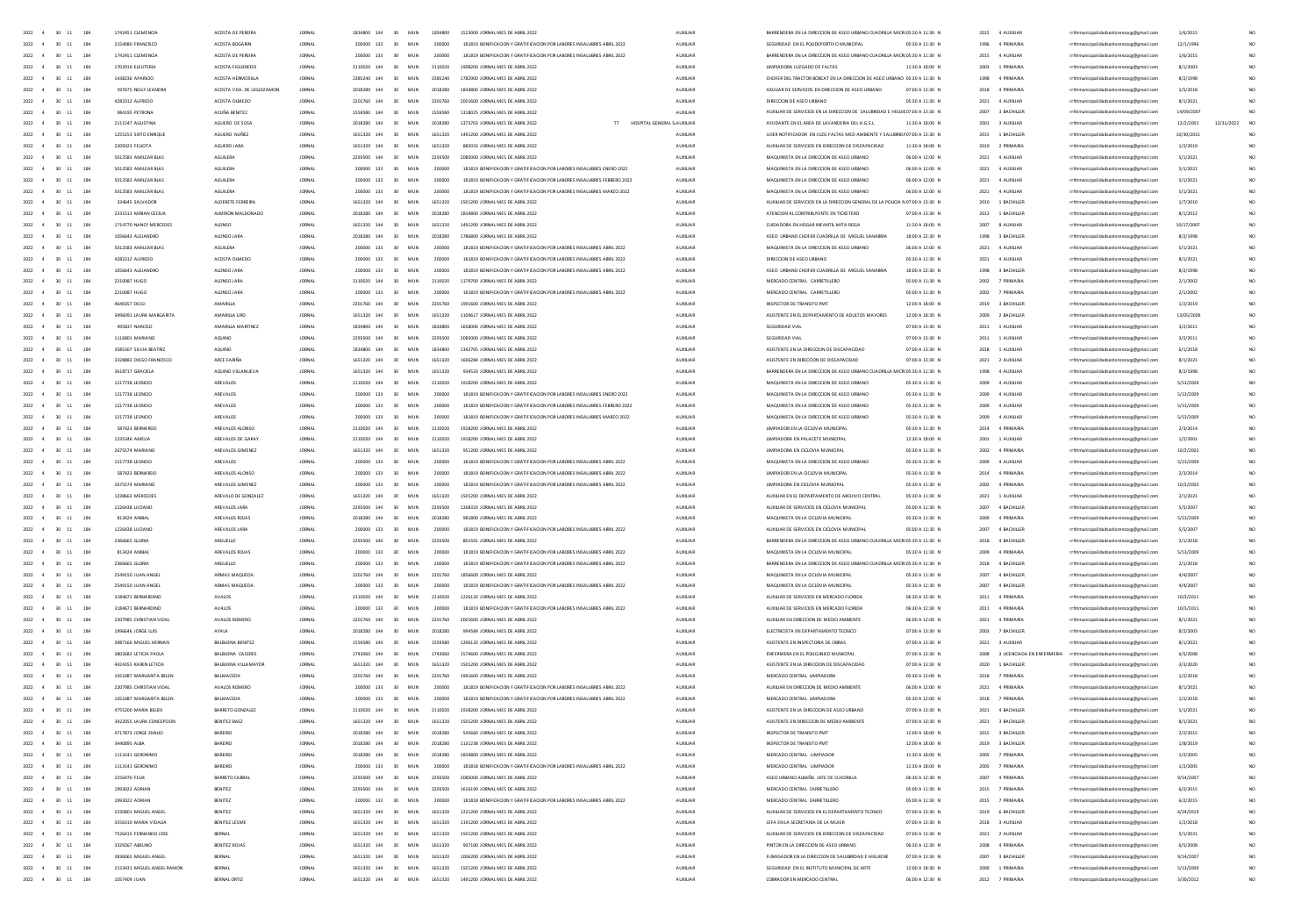| 2022 4<br>30 11<br>184                     | 1742451 CLEMENCH           | ACOSTA DE PEREIRA         | <b>JORNAL</b> | 1834800 144 | 30<br>MUN              | 1834800 | 1523000 IORNAL MES DE ARRIL 2023                                         | <b>AUXILIAR</b> | BARRENDERA EN LA DIRECCION DE ASEO URBANO CUADRILLA MICROS:30 A 11:30 f     |                 | 2015 4 AUXILIAR     | rrhhmunicinalidadsanlorenzore@email.com                                 | 1/6/2015   |            |                 |
|--------------------------------------------|----------------------------|---------------------------|---------------|-------------|------------------------|---------|--------------------------------------------------------------------------|-----------------|-----------------------------------------------------------------------------|-----------------|---------------------|-------------------------------------------------------------------------|------------|------------|-----------------|
| 2022 4<br>30 11 184                        | 2154080 FRANCISCO          | ACOSTA BOGARIN            | <b>JORNAL</b> | 200000 133  | 30<br>MUN              | 200000  | 181819 BONIFICACION Y GRATIFICACION POR LABORES INSALUBRES ABRIL 2022    | AUXILIAR        | SEGURIDAD EN EL POUDEPORTIVO MUNICIPAL                                      | 05:30 A 11:30 N | 1996 4 PRIMARIA     | rrhhmunicipalidadsanlorenzocg@gmail.com                                 | 12/1/1996  |            |                 |
| 30 11 184<br>2022                          | 1742451 CLEMENCIA          | ACOSTA DE PEREIRA         | <b>JORNAL</b> | 200000 133  | 30<br>MUN              | 200000  | 181819 BONIFICACION Y GRATIFICACION POR LABORES INSALUBRES ABRIL 2022    | AUXILIAR        | BARRENDERA EN LA DIRECCIÓN DE ASEO URBANO CUADRILLA MICROS:30 A 11:30 N     |                 | 2015 4 AUXILIAR     | rrhhmunicipalidadsanlorenzocg@gmail.com                                 | 1/6/2015   |            |                 |
| 2022<br>30 11 184<br>4                     | 1702919 ELEUTERIA          | ACOSTA FIGUEREDO          | <b>JORNAL</b> | 2110020 144 | 30 <sup>°</sup><br>MUN | 2110020 | 1908200 JORNAL MES DE ABRIL 2022                                         | AUXILIAR        | UMPIADORA JUZGADO DE FALTAS                                                 | 11:30 A 18:00 N | 2003 1 PRIMARIA     | rrhhmunicipalidadsanlorenzocg@gmail.com                                 | 8/1/2003   |            | NO.             |
| 2022<br>30 11 184                          | 1438236 APARICIO           | ACOSTA HERMOSILIA         | <b>JORNAL</b> | 2385240 144 | 30<br>MUN              | 2385240 | 1782900 JORNAL MES DE ABRIL 2022                                         | AUXILIAR        | CHOFER DEL TRACTOR BOBCAT EN LA DIRECCIÓN DE ASEO URBANO 05:30 A 11:30 N    |                 | 1998<br>4 PRIMARIA  | rrhhmunicipalidadsanlorenzocg@gmail.com                                 | 8/2/1998   |            |                 |
| 2022<br>30<br>$11\,$<br>184                | 597675 NELLY LEANDR        | ACOSTA VDA. DE LEGUIZAMON | <b>JORNA</b>  | 2018280 144 | 30<br>MUN              | 2018280 | 1834800 JORNAL MES DE ABRIL 2022                                         | AUXILIAR        | AXULIAR DE SERVICIOS EN DIRECCION DE ASEO URBANO                            | 07:00 A 13:30 f | 2018<br>4 PRIMARIA  | rrhhmunicipalidadsanlorenzocg@gmail.com                                 | 1/5/2018   |            |                 |
| 2022<br>30<br>11<br>184                    | 4282312 ALFREDO            | ACOSTA OLMEDO             |               | 2201760 144 | 30                     | 2201760 | 2001600 JORNAL MES DE ABRIL 2022                                         | AUXILIAR        | DIRECCION DE ASEO URBANO                                                    | 05:30 A 11:30 N | 2021<br>4 AUXILIAR  | rrhhmunicipalidadsanlorenzocg@gmail.com                                 | 8/1/2021   |            |                 |
|                                            |                            |                           |               |             |                        |         |                                                                          |                 |                                                                             |                 |                     |                                                                         |            |            |                 |
| 2022<br>$11\,$<br>184<br>30                | 984195 PETRONA             | ACUÑA BENITEZ             | <b>JORNA</b>  | 1559580 144 | 30<br>MUN              | 1559580 | 1318025 JORNAL MES DE ABRIL 2022                                         | AUXILIA         | AUXIUAR DE SERVICIOS EN LA DIRECCIÓN DE SALUBRIDAD E HIGUIEO7:00 A 13:30 1  |                 | 2007<br>3 BACHILLER | rrhhmunicipalidadsanlorenzocg@gmail.com                                 | 14/09/200  |            |                 |
| 2022<br>30<br>$11\,$<br>184                | 2111547 AGUSTINA           | AGUERO DE SOS             |               | 2018280 144 | 30                     | 2018280 | 1373703 JORNAL MES DE ABRIL 2022<br>HOSPITAL GENERAL S AUXILIAR          |                 | AYUDANTE EN EL AREA DE LAVANDERIA DEL H.G.S.L                               | 11:30 A 18:00 N | 2001<br>3 AUXILIAR  | rrhhmunicipalidadsanlorenzocg@gmail.com                                 | 12/2/2001  | 12/31/2022 | NO <sub>1</sub> |
| 2022<br>$30 - 11$<br>184                   | 1255253 SIXTO ENRIQUE      | AGUERO NUÑEZ              | <b>JORNA</b>  | 1651320 144 | 30<br>MUN              | 1651320 | 1491200 JORNAL MES DE ABRIL 2022                                         | AUXILIAR        | UJIER NOTIFICADOR EN JUZG FALTAS MED AMBIENTE Y SALUBRIDAD7:00 A 13:30 N    |                 | 2015 1 BACHILLER    | rrhhmunicipalidadsanlorenzocg@gmail.com                                 | 10/30/2019 |            |                 |
| 2022<br>30<br>11<br>184                    | 2209323 FEUCITA            | AGUERO JAR                |               | 1651320 144 | 30                     | 1651320 | 882033 JORNAL MES DE ABRIL 2022                                          | AUXILIA         | AUXILIAR DE SERVICIOS EN DIRECCION DE DISCAPACIDAD                          | 11:30 A 18:00 f | 2019<br>2 PRIMARIA  | rrhhmunicipalidadsanlorenzocg@gmail.com                                 | 1/2/2019   |            |                 |
| 2022<br>$30\quad 11$<br>184                | 5012583 AMILCAR BLAS       | AGUILERA                  | <b>JORNA</b>  | 2293500 144 | 30<br>MUN              | 2293500 | 2085000 JORNAL MES DE ABRIL 2022                                         | AUXILIAR        | MAQUINISTA EN LA DIRECCION DE ASEO URBANO                                   | 06:00 A 12:00 N | 2021<br>4 AUXILIAR  | rrhhmunicipalidadsanlorenzocg@gmail.com                                 | 5/1/2021   |            | NO <sub>1</sub> |
| 2022<br>$30 - 11$<br>184                   | 5012583 AMILCAR BLAS       | <b>AGUIERA</b>            | <b>IORNAL</b> | 200000 133  | 30<br>MIN              | 200000  | 181819 BONIFICACION Y GRATIFICACION POR LABORES INSALUBRES ENERO 2022    | <b>ALDOLLAR</b> | MAQUINISTA EN LA DIRECCIÓN DE ASEO URBANO                                   | 0600 A 1200 N   | 2021 4 AUXILIAR     | rrhhmunicipalidadsanlorenzocg@gmail.com                                 | 5/1/2021   |            | $\mathbf{M}$    |
| 2022<br>184<br>$30 - 11$                   | 5012583 AMILCAR RIAS       | <b>AGUIFRA</b>            | <b>IORNAL</b> | 200000 133  | 30 <sub>2</sub><br>MIN | 200000  | 181819 BONIFICACION Y GRATIFICACION POR LARORES INSAILIRRES FERRERO 2022 | <b>ALDREIAR</b> | MADUNISTA EN LA DIRECCIÓN DE ASEO URRANO                                    | 0600 A 1200 N   | 2021 4 4 100 148    | rrhhmunicipalidadsanlorenzocg@gmail.com                                 | 5/1/2021   |            | NO.             |
| 184<br>2022<br>30 11                       | 5012583 AMILCAR BLAS       | <b>AGUIERA</b>            | <b>IORNAL</b> | 200000 133  | 30<br>MIN              | 200000  | 181819 BONIFICACION Y GRATIFICACION POR LABORES INSALUBRES MARZO 2022    | ALDOIDAR        | MAQUINISTA EN LA DIRECCIÓN DE ASEO URBANO                                   | 0600 A 1200 N   | 2021 4 4 100 148    |                                                                         |            |            | $\mathbf{M}$    |
|                                            |                            |                           |               |             |                        |         |                                                                          |                 |                                                                             |                 |                     | rrhhmunicipalidadsanlorenzocg@gmail.com                                 | 5/1/2021   |            |                 |
| 2022<br>184<br>30 11                       | 334645 SAIVADOR            | AIDERETE FERREIRA         | <b>IORNAL</b> | 1651320 144 | 30 <sub>2</sub><br>MIN | 1651320 | 1501200 IORNAL MES DE ARRIL 2022                                         | <b>ALDREIAR</b> | AUXILIAR DE SERVICIOS EN LA DIRECCIÓN GENERAL DE LA POLICIA MOZOD A 13:30 N |                 | 2010 1 RACHILLER    | rrhhmunicipalidadsanlorenzocg@gmail.com                                 | 1/7/2010   |            | NO.             |
| 2022<br>30 11<br>184<br>$\mathbf{A}$       | 2331513 MIRIAN CEOLIA      | AUMIRON MALDONADO         | <b>JORNAL</b> | 2018280 144 | 30<br>MUN              | 2018280 | 1834800 JORNAL MES DE ABRIL 2022                                         | AUXILIAR        | ATENCION AL CONTRIBUYENTE EN TICKETERO                                      | 07:00 A 13:30 N | 2012 1 BACHILLER    | rrhhmunicipalidadsanlorenzocg@gmail.com                                 | 8/1/2012   |            | NO.             |
| 2022<br>$30 - 11$<br>184                   | 1714770 NANCY MERCEDES     | ALONSO                    | <b>IORNAL</b> | 1651320 144 | 30 <sup>2</sup><br>MIN | 1651320 | 1491200 IORNAL MES DE ARRIL 2022                                         | ALCOHAR         | CUDADORA EN HOGAR INFANTIL MITA ROGA                                        | 11:30 A 18:00 N | 2007 8 4100148      | rrhhmunicipalidadsanlorenzocg@gmail.com                                 | 10/17/200  |            | NO.             |
| 2022<br>30 11<br>184<br>$\mathbf{A}$       | 1056643 ALEJANDRO          | ALONSO JARA               | <b>JORNAL</b> | 2018280 144 | 30<br>MUN              | 2018280 | 1786800 JORNAL MES DE ABRIL 2022                                         | <b>AUXILIAR</b> | ASED URBANO CHOFER CUADRILLA DE MIGUEL SANABRIA                             | 18:00 A 22:30 N | 1998 3 BACHILLER    | rrhhmunicipalidadsanlorenzocg@gmail.com                                 | 8/2/1998   |            | NO.             |
| 2022<br>30 11<br>184                       | 5012583 AMILCAR BLAS       | <b>AGUILERA</b>           | <b>JORNAL</b> | 200000 133  | 30<br>MUN              | 200000  | 181819 BONIFICACION Y GRATIFICACION POR LABORES INSALUERES ABRIL 2022    | <b>AUXILIAR</b> | MAQUINISTA EN LA DIRECCIÓN DE ASEO URBANO                                   | 06:00 A 12:00 N | 2021 4 AUXILIAR     | rrhhmunicipalidadsanlorenzoce@email.com                                 | 5/1/2021   |            | NO.             |
| 184<br>2022<br>30 11                       | 4282312 ALFREDO            | ACOSTA OLMEDO             | <b>JORNAL</b> | 200000 133  | 30<br>MUN              | 200000  | 181819 BONIFICACION Y GRATIFICACION POR LABORES INSALUERES ABRIL 2022    | AUXILIAR        | DIRECCION DE ASEO URBANO                                                    | 05:30 A 11:30 N | 2021 4 AUXILIAR     | rrhhmunicipalidadsanlorenzocg@gmail.com                                 | 8/1/2021   |            | NO <sub>1</sub> |
| 2022<br>30 11<br>184                       | 1056643 ALEJANDRO          | ALONSO JARA               | <b>IORNAL</b> | 200000 133  | 30<br>MUN              | 200000  | 181819 BONIFICACION Y GRATIFICACION POR LABORES INSALUBRES ABRIL 2022    | <b>AUXILIAR</b> | ASED URBANO CHOFER CUADRILLA DE MIGUEL SANABRIA                             | 18:00 A 22:30 N | 1998<br>3 BACHILLER | rrhhmunicipalidadsanlorenzoce@email.com                                 | 8/2/1998   |            | NO.             |
|                                            |                            |                           |               |             |                        |         |                                                                          |                 |                                                                             |                 |                     |                                                                         |            |            | NO <sub>1</sub> |
| 184<br>2022<br>$30 - 11$                   | 2210087 HUGO               | ALONSO JARA               | <b>JORNAL</b> | 2110020 144 | 30<br>MUN              | 2110020 | 1179700 JORNAL MES DE ABRIL 2022                                         | AUXILIAR        | MERCADO CENTRAL CARRETILLERO                                                | 05:00 A 11:30 N | 2002<br>7 PRIMARIA  | rrhhmunicipalidadsanlorenzocg@gmail.com                                 | 2/1/2002   |            |                 |
| 184<br>2022<br>30 11                       | 2210087 HUGO               | ALONSO JARA               | <b>JORNAL</b> | 200000 133  | 30<br>MUN              | 200000  | 181819 BONIFICACIÓN Y GRATIFICACIÓN POR LABORES INSALUBRES ABRIL 2022    | <b>AUXILIAR</b> | MERCADO CENTRAL CARRETILLERO                                                | 05:00 A 11:30 N | 2002<br>7 PRIMARIA  | rrhhmunicipalidadsanlorenzocg@gmail.com                                 | 2/1/2002   |            | NO.             |
| 184<br>2022<br>$30 - 11$                   | 4640357 DELSI              | AMARILLA                  | <b>JORNAL</b> | 2201760 144 | 30<br>MUN              | 2201760 | 1991600 JORNAL MES DE ABRIL 2022                                         | AUXILIAR        | INSPECTOR DE TRANSITO PMT                                                   | 12:00 A 18:00 N | 2019<br>3 BACHILLER | rrhhmunicipalidadsanlorenzocg@gmail.com                                 | 1/2/2019   |            | NO.             |
| 184<br>2022<br>30 11                       | 3496091 LAURA MARGARITA    | AMARILLA LIRD             | <b>JORNAL</b> | 1651320 144 | 30<br>MUN              | 1651320 | 1109617 JORNAL MES DE ABRIL 2022                                         | <b>AUXILIAR</b> | ASISTENTE EN EL DEPARTAMENTO DE ADULTOS MAYORES                             | 12:00 A 18:30 N | 2009<br>2 BACHILLER | rrhhmunicipalidadsanlorenzocg@gmail.com                                 | 13/05/200  |            | NO.             |
| $30\quad 11$<br>184<br>2022                |                            | AMARILLA MARTINE          | <b>JORNAL</b> | 1834800 144 | 30<br>MUN              | 1834800 | 1658000 JORNAL MES DE ABRIL 2022                                         | AUXILIAR        | SEGURIDAD VIAL                                                              | 07:00 A 13:30 N | 2011<br>1 AUXILIAR  | rrhhmunicipalidadsanlorenzocg@gmail.com                                 | 3/2/2011   |            | NO              |
| 2022<br>30<br>11<br>184                    | 1116801 MARIANO            | AQUINO                    |               | 2293500 144 |                        |         | 000 JORNAL MES DE ABRIL 2022                                             |                 |                                                                             | 07:00 A 13:30 N | 2011                | unicipalidadsanlorenzocg@gmail.com                                      | 3/2/2011   |            | NO              |
| $30\quad 11$<br>184<br>2022                | 3585307 SILVIA BEATRIZ     | AQUINO                    | <b>JORNAL</b> | 1834800 144 | 30<br>MUN              | 1834800 | 1342705 JORNAL MES DE ABRIL 2022                                         | AUXILIAR        | ASISTENTE EN LA DIRECCIÓN DE DISCAPACIDAD                                   | 07:00 A 13:30 N | 2018<br>1 AUXILIA   |                                                                         | 6/1/2018   |            | NO              |
|                                            |                            |                           |               |             |                        |         |                                                                          |                 |                                                                             |                 |                     | rrhhmunicipalidadsanlorenzocg@gmail.com                                 |            |            |                 |
| 2022<br>$30\quad 11$<br>184                | 3328883 DIEG               | ARCE FARIÑA               |               | 1651320 144 | 30<br>MUN              |         | 1606284 JORNAL MES DE ABRIL 2022                                         | AUXILIA         |                                                                             | 07:00 A 13:30 N | 2021                | nicipalidadsanlorenzocg@gmail.com                                       | 8/1/2021   |            | NO              |
| 2022<br>$30\quad 11$<br>184                | 3618717 GRACIELA           | AQUINO VILLANUEV.         |               | 1651320 144 | 30<br>MUN              | 1651320 | 934533 IORNAL MES DE ARRIL 2022                                          | ALCOHOL:        | BARRENDERA EN LA DIRECCIÓN DE ASEO URBANO CUADRILLA MICROS:30 A 11:30 N     |                 | 4 AUXILIA           | icipalidadsanlorenzocg@gmail.con                                        | 8/2/1998   |            | NO              |
| 2022<br>$30\quad 11$<br>184                | 1217738 LEONCIC            | AREVALO                   |               | 2110020 144 | 30<br>MUN              |         |                                                                          |                 | MAQUINISTA EN LA DIRECCION DE ASEO URBANO                                   | 35:30 A 11:30 N |                     | icipalidadsanlorenzocg@gmail.com                                        | 5/13/200   |            | NO              |
| 2022<br>$30 - 11$<br>184                   | 1217738 LEONCIC            | AREVALOS                  |               | 200000 133  | 30 <sup>2</sup><br>MUN |         | 181819 BONIFICACION Y GRATIFICACION POR LABORES INSALUERES ENERO 202     | AUXILIAR        | MAQUINISTA EN LA DIRECCION DE ASEO URBANO                                   | 05:30 A 11:30 N | 2009<br>4 AUXILIA   | icipalidadsanlorenzocg@gmail.com                                        | 5/13/2005  |            | NO              |
| 2022 4<br>$30 - 11$<br>184                 | 1217738 LEONCIO            | AREVAIOS                  | <b>JORNAL</b> | 200000 133  | 30<br>MUN              | 200000  | 181819 BONIFICACION Y GRATIFICACION POR LABORES INSALUBRES FEBRERO 2022  | ALCOHOL:        | MAQUINISTA EN LA DIRECCIÓN DE ASEO URRANO                                   | 05:30 A 11:30 N | 2009<br>4 AUXUAR    | nicipalidadsanlorenzocg@gmail.com                                       | 5/13/2005  |            | NO              |
| 2022 4 30 11 184                           | 1217738 IFONDO             | AREVAILS                  | <b>IORNAL</b> | 200000 133  | 30 <sub>1</sub><br>MIN | 200000  | 181819 BONIFICACION Y GRATIFICACION POR LARORES INSAILIRRES MARZO 2022   | ALCOHAR         | MADUNISTA EN LA DIRECCIÓN DE ASEO URRANO                                    | 05/30 A 11/30 N | 2009 4 4 100 148    | rrhhmunicipalidadsanlorenzoce@email.com                                 | 5/13/2009  |            | NO.             |
| $30 - 11$<br>2022 4<br>184                 | 587423 BERNARDO            | AREVAIOS AIONSO           | <b>JORNAL</b> | 2110020 144 | 30<br>MUN              | 2110020 | 1918200 IORNAL MES DE ARRIL 2022                                         | ALCOHOL:        | <b>IMPIADOR EN LA CICLOVIA MUNICIPAL</b>                                    | 05:30 A 11:30 N | 2014 4 PRIMARIA     | nicipalidadsanlorenzocg@gmail.com                                       | 2/3/2014   |            | NO              |
|                                            |                            |                           |               |             |                        |         |                                                                          |                 |                                                                             |                 |                     |                                                                         |            |            |                 |
| $2022 - 4$<br>30 11<br>184                 | 1235346 AMFIIA             | AREVAIOS DE GARAY         | <b>IORNAL</b> | 2110020 144 | 30 <sub>1</sub><br>MIN | 2110020 | 1918200 IORNAL MES DE ARRIL 2022                                         | ALDOIDAR        | <b>IIMPIADORA EN PALACETE MUNICIPAL</b>                                     | 12:30 A 18:00 N | 2001 1.4100148      | rrhhmunicipalidadsanlorenzoce@email.com                                 | 1/2/2001   |            | NO.             |
| 2022 4 30 11<br>184                        | 2675574 MARIANO            | AREVALOS GIMENEZ          | <b>JORNAL</b> | 1651320 144 | 30 <sup>°</sup><br>MUN | 1651320 | 951200 JORNAL MES DE ABRIL 2022                                          | AUXILIAR        | UMPIADORA EN CICLOVIA MUNICIPAL                                             | 05:30 A 11:30 N | 2002 4 PRIMARIA     | rrhhmunicipalidadsanlorenzoce@email.com                                 | 10/2/2002  |            | NO.             |
| $2022 - 4$<br>30 11<br>184                 | 1217738 IFONDO             | AREVAILS                  | <b>IORNAL</b> | 200000 133  | 30 <sub>1</sub><br>MIN | 200000  | 181819 BONIFICACION Y GRATIFICACION POR LARORES INSAILIRRES ARRIL 2022   | ALDOIDAR        | MADUNISTA EN LA DIRECCIÓN DE ASEO URRANO                                    | 05/30 A 11/30 N | 2009 4 4 100 148    | rrhhmunicipalidadsanlorenzoce@email.com                                 | 5/13/2009  |            | NO.             |
| 2022 4<br>30 11<br>184                     | 587423 BERNARDO            | AREVALOS ALONSO           | <b>JORNAL</b> | 200000 133  | 30<br>MUN              | 200000  | 181819 BONIFICACION Y GRATIFICACION POR LABORES INSALUERES ABRIL 2022    | AUXILIAR        | UMPIADOR EN LA CICLOVIA MUNICIPAL                                           | 05:30 A 11:30 N | 2014 4 PRIMARIA     | rrhhmunicipalidadsanlorenzoce@email.com                                 | 2/3/2014   |            | NO.             |
| 2022 4 30 11 184                           | 2675574 MARIANO            | AREVALOS GIMENEZ          | <b>IORNAL</b> | 200000 133  | 30<br>MUN              | 200000  | 181819 BONIFICACION Y GRATIFICACION POR LABORES INSALUBRES ABRIL 2022    | AUXILIAR        | <b>UMPIADORA EN CICLOVIA MUNICIPAL</b>                                      | 05:30 A 11:30 N | 2002 4 PRIMARIA     | rrhhmunicipalidadsanlorenzoce@email.com                                 | 10/2/2002  |            | NO <sub>1</sub> |
| 2022 4<br>30 11 184                        | 1238663 MERCEDES           | AREVALO DE GONZALEZ       | <b>JORNAL</b> | 1651320 144 | 30<br>MUN              | 1651320 | 1501200 JORNAL MES DE ABRIL 2022                                         | AUXILIAR        | AUXILIAR EN EL DEPARTAMENTO DE ARCHIVO CENTRAL                              | 05:30 A 11:30 N | 2021 1 AUXILIAR     | rrhhmunicipalidadsanlorenzocg@gmail.com                                 | 2/1/2021   |            | NO.             |
| 2022 4<br>30 11 184                        | 1226438 LUCIANO            | AREVALOS JARA             | <b>IORNAL</b> | 2293500 144 | 30<br>MUN              | 2293500 | 1268333 JORNAL MES DE ABRIL 2022                                         | AUXILIAR        | AUXIUAR DE SERVICIOS EN CICLOVIA MUNICIPAL                                  | 05:00 A 11:30 N | 2007 4 BACHILLER    | rrhhmunicipalidadsanlorenzoce@email.com                                 | 5/5/2007   |            | NO <sub>1</sub> |
|                                            |                            |                           |               |             |                        |         |                                                                          |                 |                                                                             |                 |                     |                                                                         |            |            |                 |
| 2022 4<br>30 11 184                        | 813424 ANIBAL              | AREVALOS ROJAS            | <b>JORNAL</b> | 2018280 144 | 30 <sup>°</sup><br>MUN | 2018280 | 981800 JORNAL MES DE ABRIL 2022                                          | AUXILIAR        | MAQUINISTA EN LA CICLOVIA MUNICIPAL                                         | 05:30 A 11:30 N | 2009 4 PRIMARIA     | rrhhmunicipalidadsanlorenzocg@gmail.com                                 | 5/13/2009  |            | NO.             |
| 2022<br>30 11 184<br>$\overline{4}$        | 1226438 LUCIANO            | AREVALOS JARA             | <b>JORNAL</b> | 200000 133  | 30<br>MUN              | 200000  | 181819 BONIFICACION Y GRATIFICACION POR LABORES INSALUBRES ABRIL 2022    | <b>AUXILIAR</b> | AUXILIAR DE SERVICIOS EN CICLOVIA MUNICIPAL                                 | 05:00 A 11:30 N | 2007 4 BACHILLER    | rrhhmunicipalidadsanlorenzocg@gmail.com                                 | 5/5/2007   |            |                 |
| 2022 4<br>$30 - 11$<br>184                 | 2366665 GLORIA             | ARGUELLO                  | <b>JORNAL</b> | 2293500 144 | 30 <sup>°</sup><br>MUN | 2293500 | 801591 JORNAL MES DE ABRIL 2022                                          | AUXILIAR        | BARRENDERA EN LA DIRECCION DE ASEO URBANO CUADRILLA MICROS:30 A 11:30 N     |                 | 2018 4 BACHILLER    | rrhhmunicipalidadsanlorenzocg@gmail.com                                 | 2/1/2018   |            | NO <sub>1</sub> |
| 2022<br>$30 - 11$<br>184                   | 813424 ANIBA               | AREVALOS ROJA:            | <b>JORNAL</b> | 200000 133  | 30 <sup>2</sup><br>MUN | 200000  | 181819 BONIFICACION Y GRATIFICACION POR LABORES INSALUBRES ABRIL 2022    | <b>AUXILIAR</b> | MAQUINISTA EN LA CICLOVIA MUNICIPAL                                         | 05:30 A 11:30 N | 2009 4 PRIMARIA     | rrhhmunicipalidadsanlorenzocg@gmail.com                                 | 5/13/2009  |            |                 |
| 2022<br>$30\quad 11$<br>184                | 2366665 GLORIA             | ARGUELLO                  | <b>JORNA</b>  | 200000 133  | 30<br>MUN              | 200000  | 181819 BONIFICACION Y GRATIFICACION POR LABORES INSALUERES ABRIL 2022    | AUXILIAR        | BARRENDERA EN LA DIRECCION DE ASEO URBANO CUADRILLA MICROS:30 A 11:30 f     |                 | 2018 4 BACHILLER    | rrhhmunicipalidadsanlorenzocg@gmail.com                                 | 2/1/2018   |            |                 |
| 2022<br>$30 - 11$<br>184                   | 2549150 JUAN ANGEL         | ARMAS MAQUEDA             |               | 2201760 144 | 30<br>MUN              | 2201760 | 1856600 JORNAL MES DE ABRIL 2022                                         | AUXILIAR        | MAQUINISTA EN LA CICLOVIA MUNICIPAL                                         | 05:30 A 11:30 N | 2007 4 BACHILLER    | rrhhmunicipalidadsanlorenzocg@gmail.com                                 | 4/4/2007   |            | NO <sub>1</sub> |
| 2022<br>$30 - 11$<br>184                   | 2549150 JUAN ANGEL         | ARMAS MAQUEDA             | <b>JORNAL</b> | 200000 133  | 30<br>MUN              | 200000  | 181819 BONIFICACION Y GRATIFICACION POR LABORES INSALUBRES ABRIL 2022    | AUXILIAR        | MAQUINISTA EN LA CICLOVIA MUNICIPAL                                         | 05:30 A 11:30 N | 2007 4 BACHILLER    | rrhhmunicipalidadsanlorenzocg@gmail.com                                 | 4/4/2007   |            |                 |
| 2022<br>$30 - 11$<br>184                   | 3184671 BERNARDING         | AVALOS                    |               | 2110020 144 | 30<br>MUN              | 2110020 | 1226133 JORNAL MES DE ABRIL 2022                                         | AUXILIAR        | AUXILIAR DE SERVICIOS EN MERCADO FLORIDA                                    | 06:30 A 12:30 N | 2011 4 PRIMARIA     | rrhhmunicipalidadsanlorenzocg@gmail.com                                 | 10/3/2011  |            | NO <sub>1</sub> |
| 2022<br>184                                |                            |                           |               |             |                        |         |                                                                          |                 |                                                                             |                 |                     |                                                                         |            |            | NO <sub>1</sub> |
| $30 - 11$                                  | 3184671 BERNARDING         | AVALOS                    | <b>JORNA</b>  | 200000 133  | 30<br>MUN              | 200000  | 181819 BONIFICACION Y GRATIFICACION POR LABORES INSALUBRES ABRIL 2022    | AUXILIAR        | AUXILIAR DE SERVICIOS EN MERCADO FLORIDA                                    | 06:30 A 12:30 N | 2011 4 PRIMARIA     | rrhhmunicipalidadsanlorenzocg@gmail.com                                 | 10/3/2011  |            |                 |
| 2022<br>$30\quad 11$<br>184                | 2207985 CHRISTIAN VIDA     | AVALOS ROMERO             |               | 2201760 144 | 30<br>MUN              | 2201760 | 2001600 JORNAL MES DE ABRIL 2022                                         | AUXILIAR        | AUXILIAR EN DIRECCION DE MEDIO AMBIENT                                      | 06:00 A 12:00 N | 2021 4 PRIMARIA     | rrhhmunicipalidadsanlorenzocg@gmail.com                                 | 8/1/2021   |            | NO <sub>1</sub> |
| 2022<br>$30 - 11$<br>184                   | 1996646 JORGE LUIS         | AYALA                     | <b>JORNA</b>  | 2018280 144 | 30<br>MUN              | 2018280 | 994584 JORNAL MES DE ABRIL 2022                                          | AUXILIAR        | ELECTRICISTA EN DEPARTAMENTO TECNICO                                        | 07:00 A 13:30 N | 2003 7 BACHILLER    | rrhhmunicipalidadsanlorenzocg@gmail.com                                 | 8/2/2003   |            | NO <sub>1</sub> |
| 2022<br>30 11<br>184                       | 3987166 MIGUEL HERNAN      | BALBUENA BENITEZ          | <b>JORNAL</b> | 1559580 144 | 30<br>MUN              | 1559580 | 1206133 JORNAL MES DE ABRIL 2022                                         | AUXILIAR        | ASISTENTE EN INSPECTORIA DE OBRAS                                           | 07:00 A 13:30 N | 2021 3 AUXILIAR     | rrhhmunicipalidadsanlorenzocg@gmail.com                                 | 8/1/2021   |            | $\mathbf{M}$    |
| 2022<br>184<br>$\overline{A}$<br>$30 - 11$ | 3802682 IFTICIA PAOLA      | <b>BALBUENA CACERES</b>   | <b>IORNAL</b> | 1743060 144 | MIN<br>30 <sub>1</sub> | 1743060 | 1574600 IORNAL MES DE ARRIL 2022                                         | <b>ALDREIAR</b> | ENFERMERA EN EL POLICUNICO MUNICIPAL                                        | 07:00 A 13:30 N |                     | 2008 3 LICENCIADA EN ENFERMERIA rrhhmunicipalidadsanlorenzocg@gmail.com | 6/5/2008   |            | NO.             |
| 2022<br>30 11<br>184                       | 4424355 KAREN LETICIA      | BALBUENA VILLAMAYOR       | <b>IORNAL</b> | 1651320 144 | 30<br>MUN              | 1651320 | 1501200 JORNAL MES DE ABRIL 2022                                         | AUXILIAR        | ASISTENTE EN LA DIRECCIÓN DE DISCAPACIDAD                                   | 07:00 A 13:30 N | 2020 1 BACHILLER    | rrhhmunicipalidadsanlorenzocg@gmail.com                                 | 3/3/2020   |            | $\mathbf{M}$    |
| 2022<br>$30 - 11$<br>184                   | 1051087 MARGARITA REIEN    | <b>BALMAGEDA</b>          | <b>IORNAL</b> | 2201260 144 | MIN<br>30 <sub>1</sub> | 2201260 | 1991600 IORNAL MES DE ARRIL 2022                                         | <b>ALDREIAR</b> | MERCADO CENTRAL LIMPIADORA                                                  | 05:30 A 12:00 N | 2018 7 PRIMARIA     | rrhhmunicipalidadsanlorenzocg@gmail.com                                 | 1/2/2018   |            | NO.             |
| 2022<br>30 11<br>184<br>$\mathbf{A}$       | 2207985 CHRISTIAN VIDAL    | AVALOS ROMERO             | <b>JORNAL</b> | 200000 133  | 30<br>MUN              | 200000  | 181819 BONIFICACION Y GRATIFICACION POR LABORES INSALUERES ABRIL 2022    | AUXILIAR        | AUXIUAR EN DIRECCION DE MEDIO AMBIENTE                                      | 06:00 A 12:00 N | 2021 4 PRIMARIA     |                                                                         | 8/1/2021   |            | NO.             |
|                                            |                            |                           |               |             |                        |         |                                                                          |                 |                                                                             |                 |                     | rrhhmunicipalidadsanlorenzocg@gmail.com                                 |            |            |                 |
| 2022<br>184<br>$30 - 11$                   | 1051087 MARGARITA REIEN    | <b>BALMAGEDA</b>          | <b>IORNAL</b> | 200000 133  | MIN<br>30 <sub>1</sub> | 200000  | 181819 BONIFICACION Y GRATIFICACION POR LARORES INSAILIRRES ARRIL 2023   | <b>ALDREIAR</b> | MERCADO CENTRAL LIMPIADORA                                                  | 05:30 A 12:00 N | 2018 7 PRIMARIA     | rrhhmunicipalidadsanlorenzocg@gmail.com                                 | 1/2/2018   |            | NO.             |
| 2022<br>30 11<br>184<br>$\mathbf{A}$       | 4755200 MARIA BELEN        | BARRETO GONZALEZ          | <b>JORNAL</b> | 2110020 144 | 30<br>MUN              | 2110020 | 1918200 JORNAL MES DE ABRIL 2022                                         | AUXILIAR        | ASISTENTE EN LA DIRECCIÓN DE ASEO URBANO                                    | 07:00 A 13:30 N | 2021 4 BACHILLER    | rrhhmunicipalidadsanlorenzocg@gmail.com                                 | 5/1/2021   |            | NO.             |
| 2022<br>30 11<br>184<br>$\mathbf{A}$       | 3422055 LAURA CONCEPCION   | BENITEZ BAEZ              | <b>JORNAL</b> | 1651320 144 | 30<br>MUN              | 1651320 | 1501200 JORNAL MES DE ABRIL 2022                                         | AUXILIAR        | ASISTENTE EN DIRECCION DE MEDIO AMBIENTE                                    | 07:00 A 13:30 N | 2021 3 BACHILLER    | rrhhmunicipalidadsanlorenzoce@email.com                                 | 8/1/2021   |            | NO.             |
| 184<br>2022<br>30 11                       | 4717873 JORGE EMILIO       | BAREIRO                   | <b>JORNAL</b> | 2018280 144 | 30<br>MUN              | 2018280 | 545660 JORNAL MES DE ABRIL 2022                                          | AUXILIAR        | INSPECTOR DE TRANSITO PMT                                                   | 12:00 A 18:00 N | 2015 3 BACHILLER    | rrhhmunicipalidadsanlorenzocg@gmail.com                                 | 2/2/2015   |            | NO <sub>1</sub> |
| 2022<br>30 11<br>184                       | 3440895 ALBA               | BAREIRO                   | <b>JORNAL</b> | 2018280 144 | 30<br>MUN              | 2018280 | 1131238 JORNAL MES DE ABRIL 2022                                         | AUXILIAR        | INSPECTOR DE TRANSITO PMT                                                   | 12:00 A 18:00 N | 2019 3 BACHILLER    | rrhhmunicipalidadsanlorenzoce@email.com                                 | 1/8/2019   |            | NO <sub>1</sub> |
| 184<br>2022<br>30 11                       | 1113141 GERONIMO           | BAREIRO                   | <b>JORNAL</b> | 2018280 144 | 30<br>MUN              | 2018280 | 1834800 JORNAL MES DE ABRIL 2022                                         | AUXILIAR        | MERCADO CENTRAL LIMPIADOR                                                   | 11:30 A 18:00 N | 2005 7 PRIMARIA     | rrhhmunicipalidadsanlorenzocg@gmail.com                                 | 1/2/2005   |            | NO <sub>1</sub> |
| 184                                        |                            |                           |               |             |                        |         |                                                                          |                 |                                                                             |                 |                     |                                                                         |            |            | NO <sub>1</sub> |
| 2022<br>30 11                              | 1113141 GERONIMO           | BAREIRO                   | <b>JORNAL</b> | 200000 133  | 30<br>MUN              | 200000  | 181818 BONIFICACION Y GRATIFICACION POR LABORES INSALUERES ABRIL 2022    | AUXILIAR        | MERCADO CENTRAL LIMPIADOR                                                   | 11:30 A 18:00 N | 2005<br>7 PRIMARIA  | rrhhmunicipalidadsanlorenzocg@gmail.com                                 | 1/2/2005   |            |                 |
| 184<br>2022<br>30 11                       | 2256470 FEUX               | BARRETO CABRA             | <b>JORNAL</b> | 2293500 144 | 30<br>MUN              | 2293500 | 2085000 JORNAL MES DE ABRIL 2022                                         | AUXILIAR        | ASEO URBANO ALBAÑIL JEFE DE CUADRILLA                                       | 06:30 A 12:30 N | 2007 4 PRIMARIA     | rrhhmunicipalidadsanlorenzocg@gmail.com                                 | 9/14/2007  |            | NO <sub>1</sub> |
| 184<br>2022<br>30 11                       | 1993022 ADRIAN             | BENITEZ                   | <b>JORNAL</b> | 2293500 144 | 30<br>MUN              | 2293500 | 1616199 JORNAL MES DE ABRIL 2022                                         | AUXILIAR        | MERCADO CENTRAL CARRETILLERO                                                | 05:00 A 11:30 N | 2015 7 PRIMARIA     | rrhhmunicipalidadsanlorenzocg@gmail.com                                 | 6/2/2015   |            | NO <sub>1</sub> |
| 184<br>2022<br>30<br>$\mathbf{11}$         | 1993022 ADRIAN             | BENITEZ                   | <b>JORNAL</b> | 200000 133  | MUN                    |         | 181818 BONIFICACION Y GRATIFICACION POR LABORES INSALUBRES ABRIL 2022    | AUXILIAR        | MERCADO CENTRAL CARRETILLERO                                                | 05:00 A 11:30 N | 2015<br>7 PRIMARIA  | rrhhmunicipalidadsanlorenzocg@gmail.com                                 | 6/2/2015   |            |                 |
| 2022<br>30<br>184                          | 2220801 MIGUEL ANGE        | BENITEZ                   |               | 1651320 144 |                        |         |                                                                          | AUXILIA         | AUXIUAR DE SERVICIOS EN EL DEPARTAMENTO TECNICO                             | 07:00 A 13:30 N | 2019<br>6 BACHILLER | rrhhmunicipalidadsanlorenzocg@gmail.com                                 | 4/24/2015  |            | NO              |
| 184<br>2022<br>30<br>$\mathbf{11}$         | 3556310 MARIA VIDALIA      | BENITEZ LESM              | <b>JORNAL</b> | 1651320 144 | 30<br>MUN              | 1651320 | 1191200 JORNAL MES DE ABRIL 2022                                         | AUXILIAR        | JEFA EN LA SECRETARIA DE LA MUJE                                            | 07:00 A 13:30 N | 2018 3 AUXILIAI     | rrhhmunicipalidadsanlorenzocg@gmail.com                                 | 1/2/2018   |            |                 |
| 2022<br>30<br>$\,$ 11 $\,$<br>184          | 7526415 FERNANDO JOS       | BERN                      |               | 1651320 144 | MUN                    | 1651320 |                                                                          | AUXILIA         | AUXILIAR DE SERVICIOS EN DIRECCION DE DISCAPACIDA                           | 07:00 A 13:30 N | 2021<br>2 AUXILIA   | rrhhmunicipalidadsanlorenzocg@gmail.com                                 | 5/1/2021   |            | NO              |
| 2022<br>$30 - 11$<br>184                   | 3329267 ABELIN             | <b>RENITEZ ROIA</b>       |               | 1651320 144 | 30 <sub>1</sub><br>MUN | 1651320 | 907100 IORNAL MES DE ARRIL 2023                                          | ALDO 1A         |                                                                             | 06:30 A 12:30 N | 2008<br>4 PRIMARIA  |                                                                         | 6/5/2008   |            | NO              |
|                                            |                            |                           |               |             |                        |         |                                                                          |                 |                                                                             |                 |                     | nicipalidadsanlorenzocg@gmail.com                                       |            |            |                 |
| 2022<br>$30\quad 11$<br>184                | 3836065 MIGUEL ANGE        | BERNA                     |               | 1651320 144 |                        |         |                                                                          |                 | FUMIGADOR EN LA DIRECCIÓN DE SALUBRIDAD E HIGUIENE                          | 07:00 A 13:30 N | 3 BACHILLE          | rrhhmunicipalidadsanlorenzocg@gmail.com                                 | 9/14/200   |            | NO <sub>1</sub> |
| $2022\qquad 4\qquad 30\quad 11$<br>184     | 2123431 MIGUEL ANGEL RAMON | <b>RERNAI</b>             |               | 1651320 144 | 30<br>MUN              | 1651320 | 1501200 JORNAL MES DE ABRIL 2022                                         | ALCOHOL:        | SEGURIDAD EN EL INSTITUTO MUNICIPAL DE ARTE                                 | 12:00 A 18:30 N | 2009 1 PRIMARIA     | rrhhmunicipalidadsanlorenzocg@gmail.com                                 | 5/13/2005  |            |                 |
| $2022$ 4 30 11 184                         | 1057409 JUAN               | <b>BERNAL ORTIZ</b>       |               | 1651320 144 | 30 MIN                 | 1651320 | 1491200 IORNAL MES DE ARRIL 2022                                         | ALCOHOL:        | CORRADOR EN MERCADO CENTRAL                                                 | 06:00 A 12:30 N | 2012 7 PRIMARIA     | rrhhmunicipalidadsanlorenzoce@email.com                                 | 3/30/2012  |            | NO <sub>1</sub> |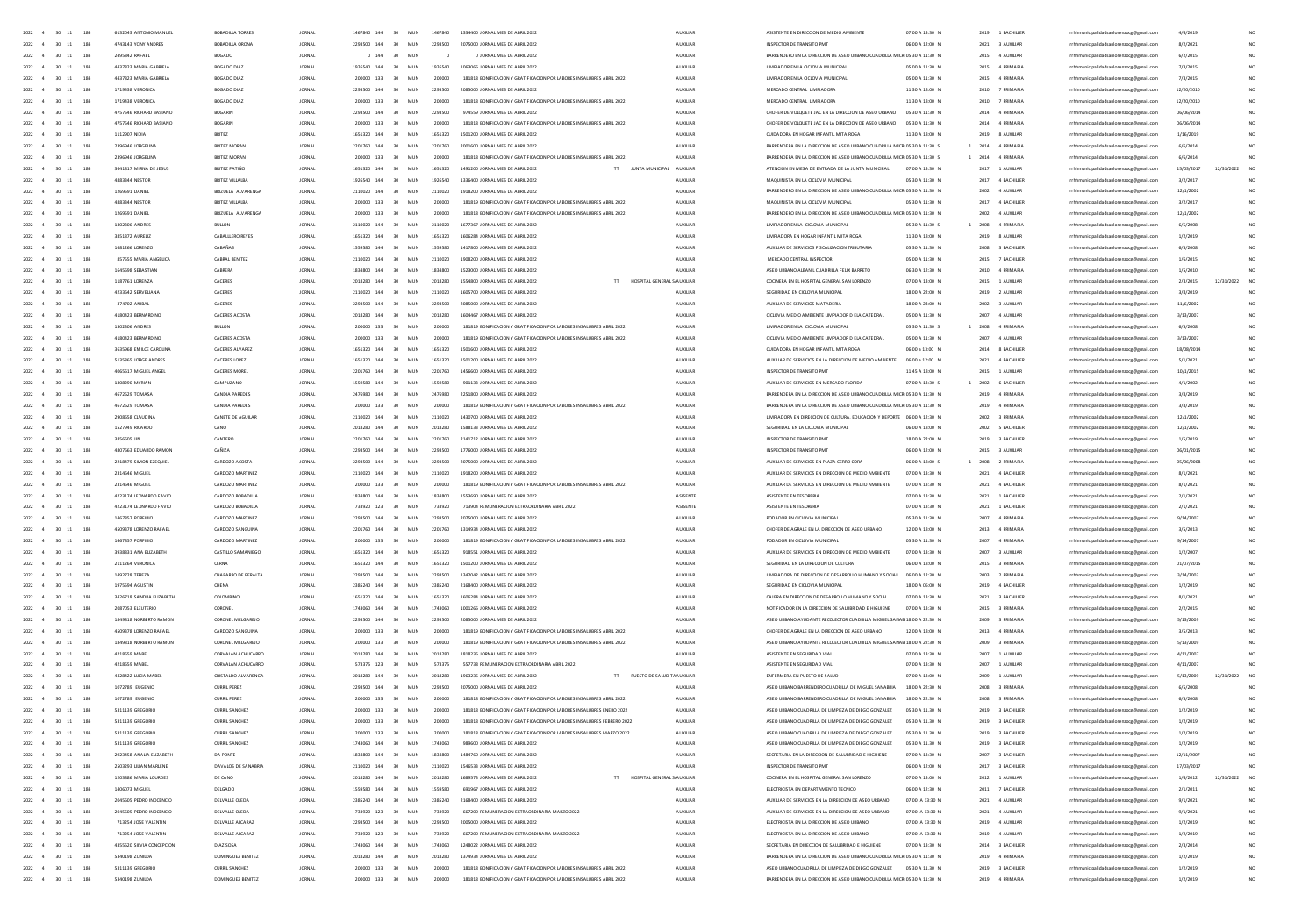|                                            | 6132043 ANTONIO MANUEL              | BOBADILLA TORRE                            | <b>JORNAL</b>                  | 1467840 144              | 30<br>MUN              | 1467840          | 1334400 JORNAL MES DE ABRIL 2022                                                                                                               | AUXILIAR                           | ASISTENTE EN DIRECCION DE MEDIO AMBIENT                                                                                                       | 07:00 A 13:30 M | 2019<br>1 BACHILLER                 | rrhhmunicipalidadsanlorenzocg@gmail.com                                            | 4/4/2019             |            |                 |
|--------------------------------------------|-------------------------------------|--------------------------------------------|--------------------------------|--------------------------|------------------------|------------------|------------------------------------------------------------------------------------------------------------------------------------------------|------------------------------------|-----------------------------------------------------------------------------------------------------------------------------------------------|-----------------|-------------------------------------|------------------------------------------------------------------------------------|----------------------|------------|-----------------|
| 2022<br>$30 - 11$<br>184                   | 4743143 YONY ANDRES                 | BOBADILLA ORON                             | <b>JORNAL</b>                  | 2293500 144              | MUN                    |                  | 5000 JORNAL MES DE ABRIL 2022                                                                                                                  |                                    |                                                                                                                                               | 06:00 A 12:00 f | 2021<br>3 AUXILIAR                  | nzocg@gmail.com                                                                    | 8/2/202              |            |                 |
| 2022<br>$30 - 11$<br>184                   | 2495842 RAFAE                       | BOGADO                                     |                                | 0.144                    | 30<br>MUN              |                  | 0 JORNAL MES DE ABRIL 2022                                                                                                                     | AUXILIAR                           | BARRENDERO EN LA DIRECCIÓN DE ASEO URBANO CUADRILLA MICROS:30 A 11:30 N                                                                       |                 | 2015<br>4 AUXILIA                   | zocg@gmail.com                                                                     | 6/2/2015             |            |                 |
| 2022<br>30<br>$_{\rm 11}$<br>184           | 4437823 MARIA GABRIE                | BOGADO DIAZ                                |                                | 1926540 144              | $\mathbf{a}$<br>MU     |                  | 1066 JORNAL MES DE ABRIL 2022                                                                                                                  |                                    |                                                                                                                                               | 05:00 A 11:30 M | 2015                                | icipalidadsanlorenzocg@gmail.com                                                   | 7/3/2015             |            |                 |
| 2022<br>$\overline{4}$<br>$30 - 11$<br>184 | 4437823 MARIA GABRIELA              | BOGADO DIAZ                                | <b>JORNAL</b>                  | 200000 133               | 30 <sup>2</sup><br>MIN |                  | 181818 BONIFICACION Y GRATIFICACION POR LABORES INSALUERES ABRIL 2022                                                                          | <b>AUXILIAR</b>                    | <b>UMPIADOR EN LA CICLOVIA MUNICIPA</b>                                                                                                       | 05:00 A 11:30 N | 2015<br>4 PRIMARIA                  | zocg@gmail.com                                                                     | 7/3/2015             |            |                 |
| $2022 - 4$<br>30 11<br>184                 | 1719438 VERONICA                    | BOSADO DIAZ                                | <b>IORNAL</b>                  | 2293500 144              | 30 <sub>0</sub><br>MIN | 2293500          | 2085000 IORNAL MES DE ARRIL 2022                                                                                                               | <b>ALDREIAR</b>                    | MERCADO CENTRAL LIMPIADORA                                                                                                                    | 11:30 A 18:00 N | 2010<br>7 PRIMARIA                  |                                                                                    | 12/20/2010           |            | NO.             |
|                                            |                                     |                                            |                                |                          |                        |                  |                                                                                                                                                |                                    |                                                                                                                                               |                 |                                     | rrhhmunicipalidadsanlorenzocg@gmail.com                                            |                      |            |                 |
| 2022 4<br>$30 - 11$<br>184                 | 1719438 VERONICA                    | BOGADO DIAZ                                | <b>JORNAL</b>                  | 200000 133               | 30<br>MUN              | 200000           | 181818 BONIFICACION Y GRATIFICACION POR LABORES INSALUBRES ABRIL 2022                                                                          | AUXILIAR                           | MERCADO CENTRAL LIMPIADORA                                                                                                                    | 11:30 A 18:00 N | 2010<br>7 PRIMARIA                  | rrhhmunicipalidadsanlorenzoce@email.com                                            | 12/20/2010           |            | NO.             |
| $2022 - 4$<br>30 11<br>184                 | 4757546 RICHARD RASIANO             | <b>BOGARIN</b>                             | <b>IORNAL</b>                  | 2293500 144              | 30 <sub>0</sub><br>MIN | 2293500          | 974559 IORNAL MES DE ARRIL 2022                                                                                                                | <b>ALDREIAR</b>                    | CHOEFR DE VOLOUETE LAC EN LA DIRECCIÓN DE ASEO URRANO                                                                                         | 05/30 A 11/30 N | 4 PRIMARIA<br>2014                  | rrhhmunicipalidadsanlorenzoce@email.com                                            | 06/06/2014           |            |                 |
| 2022 4<br>$30 - 11$<br>184                 | 4757546 RICHARD BASIANO             | BOGARIN                                    | <b>JORNAL</b>                  | 200000 133               | 30<br>MUN              | 200000           | 181818 BONIFICACION Y GRATIFICACION POR LABORES INSALUBRES ABRIL 2022                                                                          | AUXILIAR                           | CHOFER DE VOLQUETE JAC EN LA DIRECCION DE ASEO URBANO 05:30 A 11:30 N                                                                         |                 | 2014<br>4 PRIMARIA                  | rrhhmunicipalidadsanlorenzoce@email.com                                            | 06/06/2014           |            |                 |
| 2022 4<br>30 11<br>184                     | 1112907 NIDIA                       | BRITEZ                                     | <b>JORNAL</b>                  | 1651320 144              | 30<br>MUN              | 1651320          | 1501200 JORNAL MES DE ABRIL 2022                                                                                                               | <b>AUXILIAR</b>                    | CUIDADORA EN HOGAR INFANTIL MITA ROGA                                                                                                         | 11:30 A 18:00 N | 2019<br>8 AUXILIAR                  | rrhhmunicipalidadsanlorenzoce@email.com                                            | 1/16/2019            |            |                 |
| 2022 4<br>$30 - 11$<br>184                 | 2396946 JORGELINA                   | BRITEZ MORAN                               | <b>JORNAL</b>                  | 2201760 144              | 30<br>MUN              | 2201760          | 2001600 JORNAL MES DE ABRIL 2022                                                                                                               | AUXILIAR                           | BARRENDERA EN LA DIRECCION DE ASEO URBANO CUADRILLA MICROS:30 A 11:30 S                                                                       | $\mathbf{1}$    | 2014<br>4 PRIMARIA                  | rrhhmunicipalidadsanlorenzoce@email.com                                            | 6/6/2014             |            |                 |
| $2022 - 4$<br>$30 - 11$<br>184             | 2395946 IORGELINA                   | <b>BRITEZ MORAN</b>                        | <b>IORNAL</b>                  | 200000 133               | 30<br>MIN              | 200000           | 181818 BONIFICACION Y GRATIFICACION POR LABORES INSALUBRES ABRIL 2022                                                                          | AUXILIAR                           | BARRENDERA EN LA DIRECCIÓN DE ASEO URBANO CUADRILLA MICROS:30 A 11:30 S                                                                       |                 | $1 - 2014$<br>4 PRIMARIA            | rrhhmunicipalidadsanlorenzocg@gmail.com                                            | 6/6/2014             |            |                 |
|                                            |                                     |                                            |                                | 1651320 144              | 30                     |                  |                                                                                                                                                |                                    |                                                                                                                                               |                 |                                     |                                                                                    |                      |            |                 |
| 2022<br>$30 - 11$<br>184                   | 3641817 MIRNA DE JESUS              | BRITEZ PATIÑO                              | <b>JORNAL</b>                  |                          | MUN                    | 1651320          | TT JUNTA MUNICIPAL<br>1491200 JORNAL MES DE ABRIL 2022                                                                                         | AUXILIAR                           | ATENCION EN MESA DE ENTRADA DE LA JUNTA MUNICIPAL                                                                                             | 07:00 A 13:30 N | 2017<br>1 AUXILIAR                  | rrhhmunicipalidadsanlorenzocg@gmail.com                                            | 15/03/2017           | 12/31/2022 | NO <sub>1</sub> |
| 2022<br>30<br>$11\,$<br>184                | 4883344 NESTO                       | BRITEZ VILLALBA                            | <b>JORNAL</b>                  | 1926540 144              | 30<br>MUN              | 1926540          | 1336400 JORNAL MES DE ABRIL 2022                                                                                                               | AUXILIAR                           | MAQUINISTA EN LA CICLOVIA MUNICIPAL                                                                                                           | 05:30 A 11:30 M | 2017<br>4 BACHILLER                 | rrhhmunicipalidadsanlorenzocg@gmail.com                                            | 3/2/2017             |            |                 |
| $\overline{11}$<br>184<br>2022<br>30       | 1269591 DANIEL                      | BRIZUELA ALVARENGA                         | <b>JORNAL</b>                  | 2110020 144              | 30<br>MUN              | 2110020          | 1918200 JORNAL MES DE ABRIL 2022                                                                                                               | <b>AUXILIAR</b>                    | BARRENDERO EN LA DIRECCIÓN DE ASEO URBANO CUADRILLA MICROS:30 A 11:30 N                                                                       |                 | 2002<br>4 AUXIUAR                   | rrhhmunicipalidadsanlorenzocg@gmail.com                                            | 12/1/2002            |            |                 |
| 2022<br>30<br>$11\,$                       | 4883344 NESTO                       | <b>BRITEZ VILLALBA</b>                     | <b>JORNAL</b>                  | 200000 133               | 30<br>MUN              | 200000           | 181819 BONIFICACION Y GRATIFICACION POR LABORES INSALUBRES ABRIL 202                                                                           | AUXILIAR                           | MAQUINISTA EN LA CICLOVIA MUNICIPAL                                                                                                           | 05:30 A 11:30 M | 2017<br>4 BACHILLER                 | rrhhmunicipalidadsanlorenzocg@gmail.com                                            | 3/2/2017             |            |                 |
| 2022<br>$\overline{11}$<br>184             | 1269591 DANIE                       | BRIZUELA ALVARENG.                         |                                | 200000 133               | 30                     |                  | 181818 BONIFICACION Y GRATIFICACION POR LABORES INSALUBRES ABRIL 202                                                                           | AUXILIAR                           | BARRENDERO EN LA DIRECCION DE ASEO URBANO CUADRILLA MICROS:30 A 11:30 M                                                                       |                 | 2002<br>4 AUXILIAR                  | rrhhmunicipalidadsanlorenzocg@gmail.com                                            | 12/1/200             |            |                 |
| 2022<br>$11\,$<br>30                       | 1302306 ANDRE                       | <b>BULLON</b>                              | <b>JORNAL</b>                  | 2110020 144              | 30<br>MUN              | 2110020          | 1677367 JORNAL MES DE ABRIL 2022                                                                                                               | AUXILIAR                           | UMPIADOR EN LA CICLOVIA MUNICIPAL                                                                                                             | 05:30 A 11:30 S | 2008<br>4 PRIMARL                   | rrhhmunicipalidadsanlorenzocg@gmail.com                                            | 6/5/2008             |            |                 |
| 2022<br>30<br>11<br>184                    |                                     |                                            |                                |                          |                        |                  |                                                                                                                                                |                                    |                                                                                                                                               |                 | 2019                                |                                                                                    |                      |            |                 |
|                                            | 3851872 AURELIZ                     | CABALLLERO REYE                            | JORNAL                         | 1651320 144              | 30<br>MUN              | 1651320          | 1606284 JORNAL MES DE ABRIL 2022                                                                                                               | AUXUAR                             | UMPIADORA EN HOGAR INFANTIL MITA ROGA                                                                                                         | 11:30 A 18:00 N | 8 AUXILIAR                          | rrhhmunicipalidadsanlorenzocg@gmail.com                                            | 1/2/2019             |            |                 |
| 2022<br>$30 - 11$<br>184                   | 1681266 LORENZO                     | CABAÑAS                                    | <b>JORNAL</b>                  | 1559580 144              | 30<br>MUN              | 1559580          | 1417800 JORNAL MES DE ABRIL 2022                                                                                                               | AUXUAR                             | AUXILIAR DE SERVICIOS FISCALIZACION TRIBUTARIA                                                                                                | 05:30 A 11:30 N | 2008<br>3 BACHILLER                 | rrhhmunicipalidadsanlorenzocg@gmail.com                                            | 6/5/2008             |            | NO <sub>1</sub> |
| 184<br>2022<br>30 11                       | <b>R57555 MARIA ANGELICA</b>        | CARRAI RENITEZ                             | <b>JORNAL</b>                  | 2110020 144              | 30<br>MUN              | 2110020          | 1908200 JORNAL MES DE ABRIL 2022                                                                                                               | 4100148                            | MERCADO CENTRAL INSPECTOR                                                                                                                     | 05:00 A 11:30 N | 2015<br><b>7 RACHILLER</b>          | rrhhmunicipalidadsanlorenzoog@gmail.com                                            | 1/6/2015             |            |                 |
| 2022<br>$\infty$<br>$-11$<br>184           | 1645698 SEBASTIAN                   | CABRERA                                    | <b>JORNAL</b>                  | 1834800 144              | 30<br>MUN              | 1834800          | 1523000 JORNAL MES DE ABRIL 2022                                                                                                               | AUXUAR                             | ASEO URBANO ALBAÑIL CUADRILLA FELIX BARRETO                                                                                                   | 06:30 A 12:30 N | 2010<br>4 PRIMARIA                  | rrhhmunicipalidadsanlorenzocg@gmail.com                                            | 1/5/2010             |            |                 |
| 2022<br>184<br>30 11                       | 1187761 IOBENZA                     | CACERES                                    | <b>IORNAL</b>                  | 2018280 144              | 30<br>MIN              | 2018280          | 1554800 IORNAL MES DE ARRIL 2022<br>HOSPITAL GENERAL S AUXILIAR<br>T                                                                           |                                    | COCINERA EN EL HOSPITAL GENERAL SAN LORENZO                                                                                                   | 02:00 A 13:00 N | 2015 1 AUXUJAR                      | rrhhmunicipalidadsanlorenzocg@gmail.com                                            | 2/3/2015             | 12/31/2022 | NO <sub>1</sub> |
| 2022<br>$30 - 11$<br>184                   | 4233642 SERVELIANA                  | CACERES                                    | <b>JORNAL</b>                  | 2110020 144              | 30<br>MUN              | 2110020          | 1605700 JORNAL MES DE ABRIL 2022                                                                                                               | AUXILIAR                           | SEGURIDAD EN CICLOVIA MUNICIPAL                                                                                                               | 18:00 A 22:00 N | 2019 2 AUXILIAR                     | rrhhmunicipalidadsanlorenzocg@gmail.com                                            | 3/8/2019             |            | NO <sub>1</sub> |
|                                            |                                     |                                            |                                |                          |                        |                  |                                                                                                                                                |                                    |                                                                                                                                               |                 |                                     |                                                                                    |                      |            |                 |
| 2022<br>$30 - 11$<br>184                   | 374702 ANIRAI                       | CACERES                                    | <b>IORNAL</b>                  | 2293500 144              | 30 <sup>2</sup><br>MIN | 2293500          | 2085000 IORNAL MES DE ARRIL 2022                                                                                                               | <b>ALDREIAR</b>                    | AUXILIAR DE SERVICIOS MATADERIA                                                                                                               | 18:00 A 23:00 N | zonz<br>3 AUXUAR                    | rrhhmunicipalidadsanlorenzocg@gmail.com                                            | 11/6/2002            |            | NO.             |
| 2022<br>$30 - 11$<br>184                   | 4180423 BERNARDING                  | CACERES ACOSTA                             | <b>JORNAL</b>                  | 2018280 144              | 30<br>MUN              | 2018280          | 1604467 JORNAL MES DE ABRIL 2022                                                                                                               | AUXILIAR                           | OCLOVIA MEDIO AMBIENTE LIMPIADOR D ELA CATEDRAL                                                                                               | 05:00 A 11:30 N | 2007<br>4 AUXIUAR                   | rrhhmunicipalidadsanlorenzocg@gmail.com                                            | 3/13/2007            |            | NO.             |
| 2022<br>30 11<br>184                       | 1302306 ANDRES                      | BULLON                                     | <b>JORNAL</b>                  | 200000 133               | 30<br>MUN              | 200000           | 181819 BONIFICACION Y GRATIFICACION POR LABORES INSALUBRES ABRIL 2022                                                                          | AUXILIAR                           | UMPIADOR EN LA CICLOVIA MUNICIPAL                                                                                                             | 05:30 A 11:30 S | 2008<br>4 PRIMARIA                  | rrhhmunicipalidadsanlorenzocg@gmail.com                                            | 6/5/2008             |            | NO.             |
| 184<br>2022<br>30 11                       | 4180423 BERNARDING                  | CACERES ACOSTA                             | <b>JORNAL</b>                  | 200000 133               | 30<br>MUN              | 200000           | 181819 BONIFICACION Y GRATIFICACION POR LABORES INSALUBRES ABRIL 2022                                                                          | AUXILIAR                           | OCLOVIA MEDIO AMBIENTE LIMPIADOR D ELA CATEDRAL                                                                                               | 05:00 A 11:30 N | 2007<br>4 AUXILIAR                  | rrhhmunicipalidadsanlorenzocg@gmail.com                                            | 3/13/2007            |            | NO <sub>1</sub> |
| 184<br>2022<br>30 11                       | 3635968 EMILCE CAROLINA             | CACERES ALVAREZ                            | <b>JORNAL</b>                  | 1651320 144              | 30<br>MUN              | 1651320          | 1501600 JORNAL MES DE ABRIL 2022                                                                                                               | AUXILIAR                           | CUIDADORA EN HOGAR INFANTIL MITA ROGA                                                                                                         | 06:00 a 13:00 N | 2014<br>8 BACHILLER                 | rrhhmunicipalidadsanlorenzocg@gmail.com                                            | 18/08/2014           |            | NO.             |
| 184<br>2022<br>$30 - 11$                   | 5135865 JORGE ANDRES                | CACERES LOPEZ                              | <b>JORNAL</b>                  | 1651320 144              | 30<br>MUN              | 1651320          | 1501200 JORNAL MES DE ABRIL 2022                                                                                                               | <b>AUXILIAR</b>                    | AUXIUAR DE SERVICIOS EN LA DIRECCIÓN DE MEDIO AMBIENTE                                                                                        | 06:00 a 12:00 N | 2021<br>4 BACHILLER                 |                                                                                    |                      |            | NO <sub>1</sub> |
|                                            |                                     |                                            |                                |                          |                        |                  |                                                                                                                                                |                                    |                                                                                                                                               |                 |                                     | rrhhmunicipalidadsanlorenzocg@gmail.com                                            | 5/1/2021             |            |                 |
| 184<br>2022<br>30<br>$11\,$                | 4065617 MIGUEL ANGE                 | CACERES MOREL                              | <b>JORNAL</b>                  | 2201760 144              | 30<br>MUN              | 2201760          | 1456600 JORNAL MES DE ABRIL 2022                                                                                                               | AUXILIAR                           | INSPECTOR DE TRANSITO PM                                                                                                                      | 11:45 A 18:00 f | 2015<br>1 AUXILIAR                  | rrhhmunicipalidadsanlorenzocg@gmail.com                                            | 10/1/2019            |            |                 |
| 2022<br>184<br>30 11                       | 1308290 MYRIAN                      | CAMPUZANO                                  | <b>JORNAL</b>                  | 1559580 144              | 30<br>MUN              | 1559580          | 901133 JORNAL MES DE ABRIL 2022                                                                                                                | AUXILIAR                           | AUXIUAR DE SERVICIOS EN MERCADO FLORIDA                                                                                                       | 07:00 A 13:30 S | 2002<br><b>6 BACHILLER</b>          | rrhhmunicipalidadsanlorenzocg@gmail.com                                            | 4/1/2002             |            | NO <sub>1</sub> |
| 2022<br>184<br>30<br>$11\,$                | 4672629 TOMAS/                      | CANDIA PAREDE:                             | <b>JORNAL</b>                  |                          |                        |                  | 2251800 JORNAL MES DE ABRIL 2022                                                                                                               | AUXILIAR                           | BARRENDERA EN LA DIRECCION DE ASEO URBANO CUADRILLA MICROS:30 A 11:30 f                                                                       |                 | 2019                                | rrhhmunicipalidadsanlorenzocg@gmail.com                                            | 3/8/2019             |            |                 |
| 2022<br>$30 - 11$<br>184                   | 4672629 TOMAS/                      |                                            |                                | 133                      | 30<br>MUN              |                  | 181819 BONIFICACION Y GRATIFICACION POR LABORES INSALUBRES ABRIL 2022                                                                          | AUXILIAR                           | RA EN LA DIRECCIÓN DE ASEO URBANO CUADRILLA MICROS:30 A 11:30 1                                                                               |                 | 2019                                | rrhhmunicipalidadsanlorenzocg@gmail.com                                            | 3/8/2019             |            | NO <sub>1</sub> |
| 2022<br>$\overline{4}$<br>$30 - 11$<br>184 | 2908658 CLAUDINA                    | CANETE DE AGUILAR                          | <b>JORNAL</b>                  | 2110020 144              | 30<br>MUN              | 2110020          | 1430700 JORNAL MES DE ABRIL 2022                                                                                                               | <b>AUXILIAR</b>                    | UMPIADORA EN DIRECCIÓN DE CULTURA, EDUCACIÓN Y DEPORTE 06:00 A 12:30 N                                                                        |                 | 2002<br>2 001144.017                | icipalidadsanlorenzocg@gmail.com                                                   | 12/1/2002            |            | NO              |
| 2022<br>184                                | 1527949 RICARDO                     | CANO                                       |                                | 2018280 144              | 30<br>MU               | 2018280          | 1588133 JORNAL MES DE ABRIL 2022                                                                                                               | AUXILIAR                           |                                                                                                                                               | 06:00 A 18:00 N | 2002                                |                                                                                    |                      |            | NO.             |
| $30 - 11$                                  |                                     |                                            |                                |                          |                        |                  |                                                                                                                                                |                                    | SEGURIDAD EN LA CICLOVIA MUNICIPA                                                                                                             |                 |                                     | icipalidadsanlorenzocg@gmail.com                                                   | 12/1/2002            |            |                 |
| 2022<br>$\overline{4}$<br>$30 - 11$<br>184 | 3856605 JIM                         | CANTERO                                    | <b>JORNAL</b>                  | 2201760 144              | 30<br>MUN              | 2201260          | 2141712 JORNAL MES DE ABRIL 2022                                                                                                               | 4100148                            | INSPECTOR DE TRANSITO PM                                                                                                                      | 1800 A 2200 N   | 2019<br>3 RACHILLER                 | icipalidadsanlorenzocg@gmail.com                                                   | 1/5/2019             |            | NO              |
| $2022 - 4$<br>30 11<br>184                 | 4807663 FDUARDO RAMON               | CAÑIZA                                     | <b>IORNAL</b>                  | 2293500 144              | 30 <sub>2</sub><br>MIN | 2293500          | 1776000 IORNAL MES DE ARRIL 2022                                                                                                               | 4100148                            | INSPECTOR DE TRANSITO PM                                                                                                                      | 0600 A 1200 N   | 2015<br>3 AUXUIAR                   | rrhhmunicipalidadsanlorenzocg@gmail.com                                            | 06/01/2015           |            | NO.             |
| $30 - 11$<br>184<br>2022<br>$\overline{4}$ | 2218479 SIMON EZEQUIEL              | CARDOZO ACOSTA                             | <b>JORNAL</b>                  | 2293500 144              | 30<br>MIN              | 2293500          | 2075000 IORNAL MES DE ARRIL 2022                                                                                                               | 4100148                            | AUXILIAR DE SERVICIOS EN PLAZA CERRO CORA                                                                                                     | 0600 4.1800 5   | zone<br>2 PRIMARIZ                  | rrhhmunicipalidadsanlorenzocg@gmail.com                                            | 05/06/2008           |            | NO.             |
| $2022 - 4$<br>$30 - 11$<br>184             | 2314646 MIGUEL                      | CARDOZO MARTINEZ                           | <b>IORNAL</b>                  | 2110020 144              | 30 <sup>2</sup><br>MIN | 2110020          | 1918200 IORNAL MES DE ARRIL 2022                                                                                                               | <b>ALDREIAR</b>                    | AUXILIAR DE SERVICIOS EN DIRECCION DE MEDIO AMBIENTE                                                                                          | 02:00 A 13:30 N | 2021<br>4 RACHILLER                 | rrhhmunicipalidadsanlorenzocg@gmail.com                                            | 8/1/2021             |            | NO.             |
| 2022 4<br>30 11<br>184                     | 2314646 MIGUEL                      | CARDOZO MARTINEZ                           | <b>JORNAL</b>                  | 200000 133               | 30<br>MUN              | 200000           | 181819 BONIFICACION Y GRATIFICACION POR LABORES INSALUBRES ABRIL 2022                                                                          | AUXILIAR                           | AUXIUAR DE SERVICIOS EN DIRECCION DE MEDIO AMBIENTE                                                                                           | 07:00 A 13:30 N | 2021<br>4 BACHILLER                 | rrhhmunicipalidadsanlorenzoce@email.com                                            | 8/1/2021             |            | NO.             |
| 2022 4<br>$30 \t 11$<br>184                |                                     |                                            |                                |                          |                        |                  |                                                                                                                                                |                                    |                                                                                                                                               |                 |                                     |                                                                                    |                      |            |                 |
|                                            |                                     |                                            |                                |                          |                        |                  |                                                                                                                                                |                                    |                                                                                                                                               |                 |                                     |                                                                                    |                      |            |                 |
|                                            | 4223174 LEONARDO FAVIO              | CARDOZO BOBADILLA                          | <b>IORNAL</b>                  | 1834800 144              | 30<br>MIN              | 1834800          | 1553690 JORNAL MES DE ABRIL 2022                                                                                                               | ASISENTE                           | ASISTENTE EN TESORERIA                                                                                                                        | 07:00 A 13:30 N | 2021<br>1 BACHILLER                 | rrhhmunicipalidadsanlorenzocg@gmail.com                                            | 2/1/2021             |            | NO <sub>1</sub> |
| 2022 4<br>30 11<br>184                     | 4223174 LEONARDO FAVIO              | CARDOZO BOBADILLA                          | <b>IORNAL</b>                  | 733920 123               | 30<br>MUN              | 733920           | 713904 REMUNERACION EXTRAORDINARIA ABRIL 2022                                                                                                  | ASISENTE                           | ASISTENTE EN TESORERIA                                                                                                                        | 07:00 A 13:30 N | 2021<br>1 BACHILLER                 | rrhhmunicipalidadsanlorenzoce@email.com                                            | 2/1/2021             |            | NO.             |
| $2022 - 4$<br>30 11<br>184                 | 1467857 PORFIRIO                    | CARDOZO MARTINEZ                           | <b>JORNAL</b>                  | 2293500 144              | 30<br>MUN              | 2293500          | 2075000 JORNAL MES DE ABRIL 2022                                                                                                               | AUXILIAR                           | PODADOR EN CICLOVIA MUNICIPAL                                                                                                                 | 05:30 A 11:30 N | 2007<br>4 PRIMARIA                  | rrhhmunicipalidadsanlorenzocg@gmail.com                                            | 9/14/2007            |            | NO.             |
| $30 \t 11$<br>2022<br>184<br>$-4$          | 4509378 LORENZO RAFAEL              | CARDOZO SANGUINA                           | <b>JORNAL</b>                  | 2201760 144              | 30<br>MUN              | 2201760          | 1314934 JORNAL MES DE ABRIL 2022                                                                                                               | <b>AUXILIAR</b>                    | CHOFER DE AGRALE EN LA DIRECCION DE ASEO URBANO                                                                                               | 12:00 A 18:00 N | 2013<br>4 PRIMARIA                  | rrhhmunicipalidadsanlorenzocg@gmail.com                                            | 3/5/2013             |            |                 |
| 2022<br>184                                | 1467857 PORFIRIO                    |                                            | <b>JORNAL</b>                  |                          | 30<br>MUN              | 200000           |                                                                                                                                                |                                    |                                                                                                                                               |                 | 2007<br>4 PRIMARIA                  |                                                                                    |                      |            |                 |
| $30 - 11$                                  |                                     | CARDOZO MARTINEZ                           |                                | 200000 133               |                        |                  | 181819 BONIFICACION Y GRATIFICACION POR LABORES INSALUBRES ABRIL 2022                                                                          | AUXILIAR                           | PODADOR EN CICLOVIA MUNICIPAL                                                                                                                 | 05:30 A 11:30 N |                                     | rrhhmunicipalidadsanlorenzocg@gmail.com                                            | 9/14/2007            |            |                 |
| 2022<br>$30 - 11$<br>184                   | 3938831 ANA ELIZABET                | CASTILLO SAMANIEGO                         | <b>JORNAL</b>                  | 1651320 144              | 30<br>MUN              | 1651320          | 918551 JORNAL MES DE ABRIL 2022                                                                                                                | AUXILIAR                           | AUXIUAR DE SERVICIOS EN DIRECCION DE MEDIO AMBIENTE                                                                                           | 07:00 A 13:30 N | 2007<br>3 AUXILIAR                  | rrhhmunicipalidadsanlorenzocg@gmail.com                                            | 1/2/2007             |            |                 |
| 2022<br>$30 - 11$<br>184                   | 2111264 VERONICA                    | CERNA                                      | JORNAL                         | 1651320 144              | 30<br>MUN              | 1651320          | 1501200 JORNAL MES DE ABRIL 2022                                                                                                               | AUXILIAR                           | SEGURIDAD EN LA DIRECCIÓN DE CULTURA                                                                                                          | 06:00 A 18:00 M | 2015<br>3 PRIMARL                   | rrhhmunicipalidadsanlorenzocg@gmail.com                                            | 01/07/2019           |            |                 |
| 2022<br>$30 - 11$<br>184                   | 1492728 TEREZA                      | CHAPARRO DE PERALTA                        | <b>JORNAL</b>                  | 2293500 144              | 30<br>MUN              |                  | 1342042 JORNAL MES DE ABRIL 2022                                                                                                               | AUXILIAR                           | UMPIADORA DE DIRECCION DE DESARROLLO HUMANO Y SOCIAL                                                                                          | 06:00 A 12:30 N | 2003<br>2 PRIMARIA                  | rrhhmunicipalidadsanlorenzocg@gmail.com                                            | 3/14/2003            |            |                 |
| 2022<br>30<br>$\mathbf{11}$                | 1975594 AGUSTIN                     | CHENA                                      | <b>JORNAL</b>                  | 2385240 144              | 30<br>MUN              | 2385240          | 2168400 JORNAL MES DE ABRIL 2022                                                                                                               | AUXILIAR                           | SEGURIDAD EN CICLOVIA MUNICIPAL                                                                                                               | 18:00 A 06:00 M | 2019<br>4 BACHILLER                 | rrhhmunicipalidadsanlorenzocg@gmail.com                                            | 1/2/2019             |            |                 |
| 2022<br>$30 - 11$<br>184                   | 3426718 SANDRA EUZABETI             | COLOMBING                                  | <b>JORNAL</b>                  | 1651320 144              | 30<br>MUN              | 1651320          | 1606284 JORNAL MES DE ABRIL 2022                                                                                                               | <b>AUXILIAR</b>                    | CAJERA EN DIRECCION DE DESARROLLO HUMANO Y SOCIA                                                                                              | 07:00 A 13:30 N | 2021 3 BACHILLER                    | rrhhmunicipalidadsanlorenzocg@gmail.com                                            | 8/1/2021             |            |                 |
| 2022<br>$30 - 11$<br>184                   | 2087053 ELEUTERIO                   | CORONEL                                    | <b>JORNAL</b>                  | 1743060 144              | 30<br>MUN              | 1743060          | 1001266 JORNAL MES DE ABRIL 2022                                                                                                               | AUXUAR                             | NOTIFICADOR EN LA DIRECCIÓN DE SALUBRIDAD E HIGUIENE                                                                                          | 07:00 A 13:30 N | 2015 3 PRIMARIA                     | rrhhmunicipalidadsanlorenzocg@gmail.com                                            | 2/2/2015             |            | NO <sub>1</sub> |
| 2022<br>$30 - 11$<br>184                   | 1849818 NORBERTO RAMON              | CORONEL MELGAREJO                          | <b>JORNAL</b>                  | 2293500 144              | MUN                    | 2293500          |                                                                                                                                                | AUXILIAR                           |                                                                                                                                               |                 | 2009<br>3 PRIMARI                   |                                                                                    |                      |            |                 |
| 184                                        |                                     |                                            |                                |                          | 30                     |                  | 2085000 JORNAL MES DE ABRIL 2022                                                                                                               |                                    | ASEO URBANO AYUDANTE RECOLECTOR CUADRILLA MIGUEL SANAB 18:00 A 22:30 M                                                                        |                 |                                     | rrhhmunicipalidadsanlorenzocg@gmail.com                                            | 5/13/2005            |            | NO <sub>1</sub> |
| 2022<br>$30 - 11$                          | 4509378 LORENZO RAFAEL              | CARDOZO SANGUINA                           | <b>JORNAL</b>                  | 200000 133               | 30<br>MUN              | 200000           | 181819 BONIFICACION Y GRATIFICACION POR LABORES INSALUBRES ABRIL 2022                                                                          | AUXILIAR                           | CHOFER DE AGRALE EN LA DIRECCIÓN DE ASEO URBANO                                                                                               | 12:00 A 18:00 N | 2013 4 PRIMARIA                     | rrhhmunicipalidadsanlorenzocg@gmail.com                                            | 3/5/2013             |            |                 |
| 2022<br>$30 - 11$<br>184                   | 1849818 NORRERTO RAMON              | CORONEL MELGAREIO                          | <b>IORNAL</b>                  | 200000 133               | MIN<br>30 <sub>0</sub> | 200000           | 181819 BONIFICACION Y GRATIFICACION POR LARORES INSAILIBRES ARRIL 2022                                                                         | <b>ALDREIAR</b>                    | ASED URBAND AVUDANTE RECOURTIOR CHADRULA MIGUEL SANAR 18:00 A 22:30 N.                                                                        |                 | enns<br>3 PRIMARIA                  | rrhhmunicipalidadsanlorenzocg@gmail.com                                            | 5/13/2005            |            | MO.             |
| 2022<br>30 11<br>184                       | 4218659 MABEL                       | CORVALAN ACHUCARRO                         | <b>JORNAL</b>                  | 2018280 144              | 30<br>MUN              | 2018280          | 1818236 JORNAL MES DE ABRIL 2022                                                                                                               | AUXILIAR                           | ASISTENTE EN SEGURIDAD VIAL                                                                                                                   | 07:00 A 13:30 N | 2007<br>1 AUXILIAR                  | rrhhmunicipalidadsanlorenzocg@gmail.com                                            | 4/11/2007            |            |                 |
| 2022<br>$30 - 11$<br>184                   | 4218659 MABEL                       | CORVALAN ACHUCARRO                         | <b>JORNAL</b>                  | 573375 123               | MUN<br>30              | 573375           | 557738 REMUNERACION EXTRAORDINARIA ABRIL 2022                                                                                                  | AUXILIAR                           | ASISTENTE EN SEGURIDAD VIAL                                                                                                                   | 07:00 A 13:30 N | 2007<br>1 AUXIUAR                   | rrhhmunicipalidadsanlorenzocg@gmail.com                                            | 4/11/2007            |            |                 |
| 2022<br>$30 - 11$<br>184                   | 4428422 LUCIA MABEL                 | CRISTALDO ALVARENGA                        | <b>JORNAL</b>                  | 2018280 144              | MUN<br>30              | 2018280          | 1963236 JORNAL MES DE ABRIL 2022<br>PUESTO DE SALUD TA AUXILIAR<br>$^{\rm{TT}}$                                                                |                                    | ENFERMERA EN PUESTO DE SALUD                                                                                                                  | 07:00 A 13:00 N | 2009<br>1 AUXILIAR                  | rrhhmunicipalidadsanlorenzoce@email.com                                            | 5/13/2009            | 12/31/2022 | NO <sub>1</sub> |
| 2022<br>$30 - 11$<br>184                   | 1072789 EUGENIO                     | <b>CURRIL PEREZ</b>                        | <b>JORNAL</b>                  | 2293500 144              | MUN<br>30              | 2293500          | 2075000 JORNAL MES DE ABRIL 2022                                                                                                               | AUXILIAR                           | ASEO URBANO BARRENDERO CUADRILLA DE MIGUEL SANABRIA                                                                                           | 18:00 A 22:30 N | 2008<br>3 PRIMARIA                  | rrhhmunicipalidadsanlorenzocg@gmail.com                                            | 6/5/2008             |            |                 |
| 184                                        |                                     |                                            |                                |                          | 30 <sub>0</sub>        | 200000           |                                                                                                                                                |                                    |                                                                                                                                               |                 |                                     |                                                                                    |                      |            |                 |
| 2022<br>30 11                              | 1072789 EUGENIO                     | <b>CURRIL PEREZ</b>                        | <b>JORNAL</b>                  | 200000 133               | MUN                    |                  | 181818 BONIFICACION Y GRATIFICACION POR LABORES INSALUBRES ABRIL 2022                                                                          | <b>AUXILIAR</b>                    | ASEO URBANO BARRENDERO CUADRILLA DE MIGUEL SANABRIA                                                                                           | 18:00 A 22:30 N | 2008<br>3 PRIMARIA                  | rrhhmunicipalidadsanlorenzoce@email.com                                            | 6/5/2008             |            |                 |
| 184<br>2022<br>$30 - 11$                   | 5311139 GREGORIO                    | <b>CURRIL SANCHEZ</b>                      | <b>JORNAL</b>                  | 200000 133               | 30<br>MUN              | 200000           | 181818 BONIFICACION Y GRATIFICACION POR LABORES INSALUBRES ENERO 2022                                                                          | AUXILIAR                           | ASEO URBANO CUADRILLA DE LIMPIEZA DE DIEGO GONZALEZ                                                                                           | 05:30 A 11.30 N | 2019<br>3 BACHILLER                 | rrhhmunicipalidadsanlorenzocg@gmail.com                                            | 1/2/2019             |            |                 |
| 2022<br>184<br>$30 - 11$                   | 5311139 GREGORIO                    | <b>CURRIL SANCHEZ</b>                      | <b>JORNAL</b>                  | 200000 133               | MUN                    | 200000           | 181818 BONIFICACION Y GRATIFICACION POR LABORES INSALUBRES FEBRERO 2022                                                                        | AUXILIAR                           | ASED URBANO CUADRILLA DE LIMPIEZA DE DIEGO GONZALEZ                                                                                           | 05:30 A 11.30 N | 2019<br>3 BACHILLER                 | rrhhmunicipalidadsanlorenzocg@gmail.com                                            | 1/2/2019             |            |                 |
| 184<br>2022<br>30                          | 5311139 GREGORIO                    | CURRIL SANCHEZ                             | <b>JORNAL</b>                  | 200000 133               | MUN                    |                  | 181818 BONIFICACION Y GRATIFICACION POR LABORES INSALUBRES MARZO 2023                                                                          | AUXILIAR                           | ASEO URBANO CUADRILLA DE LIMPIEZA DE DIEGO GONZALEZ                                                                                           | 05:30 A 11.30 M | 2019<br>3 BACHILLE                  | rrhhmunicipalidadsanlorenzocg@gmail.com                                            | 1/2/2019             |            |                 |
| 2022<br>184<br>30<br>11                    | 5311139 GREGORIO                    | <b>CURRIL SANCHEZ</b>                      | <b>JORNAL</b>                  | 1743060 144              | 30<br>MUN              | 1743060          | 989600 JORNAL MES DE ABRIL 2022                                                                                                                | AUXILIAR                           | ASED URBANO CUADRILLA DE UMPIEZA DE DIEGO GONZALEZ                                                                                            | 05:30 A 11.30 N | 2019<br>3 BACHILLER                 | rrhhmunicipalidadsanlorenzocg@gmail.com                                            | 1/2/2019             |            |                 |
| 2022<br>184<br>30                          | 2923458 ANALIA ELIZAE               | DA PONTE                                   |                                | 1834800 144              |                        |                  |                                                                                                                                                | AUXILIAR                           | SECRETARIA EN LA DIRECCION DE SALUBRIDAD E HIGUIENE                                                                                           | 07:00 A 13:30 M | 3 BACHILLE                          | rrhhmunicipalidadsanlorenzoog@gmail.com                                            | 12/11/200            |            |                 |
| 2022<br>30<br>$11\,$<br>184                |                                     | DAVALOS DE SANA                            |                                | 2110020 144              | 30<br>MUN              | 2110020          | 1546533 JORNAL MES DE ABRIL 2022                                                                                                               |                                    |                                                                                                                                               |                 | 201                                 |                                                                                    | 17/03/201            |            |                 |
|                                            | 2503293 LILIAN MARLENI              |                                            |                                |                          |                        |                  |                                                                                                                                                |                                    |                                                                                                                                               | 06:00 A 12:00 N |                                     | rrhhmunicipalidadsanlorenzocg@gmail.com                                            |                      |            |                 |
| 2022<br>30<br>$\overline{11}$<br>184       | 1203886 MARIA LOURDE                | DE CANO                                    |                                | 144                      |                        | 2018280          | HOSPITAL GENERAL S AUXILIAR                                                                                                                    |                                    | COCINERA EN EL HOSPITAL GENERAL SAN LORENZO                                                                                                   | 07:00 A 13:00 N | 2012<br>1 AUXILIA                   | rrhhmunicipalidadsanlorenzocg@gmail.com                                            | 1/4/2012             |            |                 |
| 2022<br>$\overline{4}$<br>30<br>11<br>184  | 1406073 MIGUE                       | DELGADO                                    |                                | 1559580 144              | 30<br>MUN              | 1559580          | 691967 JORNAL MES DE ABRIL 2022                                                                                                                | AUXILIAR                           |                                                                                                                                               | 06:00 A 12:30 N | 2011<br>7 BACHILLER                 | icipalidadsanlorenzocg@gmail.com                                                   | 2/1/201              |            |                 |
| 2022 4<br>$30 - 11$<br>184                 | 2045605 PEDRO INOCENCIO             | DEIVALLE OIEDA                             | <b>JORNAL</b>                  | 2385240 144              | 30 <sup>2</sup><br>MIN | 2385240          | 2168400 IORNAL MES DE ARRIL 2022                                                                                                               | 4100148                            | AUXILIAR DE SERVICIOS EN LA DIRECCIÓN DE ASEO URRANO                                                                                          | 02:00 A 13:30 N | 2021<br>4 AUXUAR                    | rrhhmunicipalidadsanlorenzocg@gmail.com                                            | 9/1/2021             |            |                 |
| $2022 - 4$<br>30 11<br>184                 | 2045605 PEDRO INDERNOO              | DEIVALLE OIFDA                             | <b>IORNAL</b>                  | 733920 123               | 30 <sup>2</sup><br>MIN | 733920           | 667200 BEMUNERACION EXTRAORDINARIA MARZO 2023                                                                                                  | 4100148                            | AUXILIAR DE SERVICIOS EN LA DIRECCIÓN DE ASEO URRANO                                                                                          | 02:00 A 13:30 N | 4 AUXUAR<br>2021                    | rrhhmunicipalidadsanlorenzocg@gmail.com                                            | 9/1/2021             |            |                 |
| 2022<br>$\mathcal{A}$<br>$30 - 11$<br>184  | <b>213254 JOSE VALENTIN</b>         | DEIVALLE ALCARAZ                           | <b>IORNAL</b>                  | 2293500 144              | 30 <sub>0</sub><br>MIN | 2293500          | 2005000 IORNAL MES DE ARRIL 2022                                                                                                               | ALDOITAR                           | FLECTRICISTA EN LA DIRECCIÓN DE ASEO LIBRANO                                                                                                  | 02:00 A 13:30 N | 2019<br>4 AUXUAR                    | rrhhmunicipalidadsanlorenzocg@gmail.com                                            | 1/2/2019             |            |                 |
| 2022 4<br>$30 - 11$<br>184                 | 713254 JOSE VALENTIN                | DELVALLE ALCARAZ                           | <b>JORNAL</b>                  | 733920 123               | 30<br>MUN              | 733920           | 667200 REMUNERACION EXTRAORDINARIA MARZO 2022                                                                                                  | <b>AUXILIAR</b>                    | ELECTRICISTA EN LA DIRECCIÓN DE ASEO URBANO                                                                                                   | 07:00 A 13:30 N | 2019 4 AUXILIAR                     | rrhhmunicipalidadsanlorenzocg@gmail.com                                            | 1/2/2019             |            |                 |
| 2022 4<br>$30 - 11$<br>184                 | 4355620 SILVIA CONCEPCION           | DIAZ SOSA                                  | <b>JORNAL</b>                  | 1743060 144              | 30<br>MUN              | 1743060          | 1248022 JORNAL MES DE ABRIL 2022                                                                                                               | AUXILIAR                           | SECRETARIA EN DIRECCIÓN DE SALUBRIDAD E HIGUIENE                                                                                              | 07:00 A 13:30 N | 2014<br>3 BACHILLER                 | rrhhmunicipalidadsanlorenzoce@email.com                                            | 2/3/2014             |            | NO <sub>1</sub> |
|                                            |                                     |                                            |                                |                          |                        |                  |                                                                                                                                                |                                    |                                                                                                                                               |                 |                                     |                                                                                    |                      |            |                 |
| 2022 4<br>30 11<br>184                     | 5340198 ZUNILDA                     | DOMINGUEZ BENITEZ                          | <b>JORNAL</b>                  | 2018280 144              | 30<br>MUN              | 2018280          | 1374934 JORNAL MES DE ABRIL 2022                                                                                                               | AUXILIAR                           | BARRENDERA EN LA DIRECCIÓN DE ASEO URBANO CUADRILLA MICROS:30 A 11:30 N                                                                       |                 | 2019 4 PRIMARIA                     | rrhhmunicipalidadsanlorenzoce@email.com                                            | 1/2/2019             |            | NO.             |
| 2022 4 30 11 184<br>$2022$ 4 30 11 184     | 5311139 GREGORIO<br>5340198 ZUNILDA | <b>CURRIL SANCHEZ</b><br>DOMINGUEZ BENITEZ | <b>IORNAL</b><br><b>JORNAL</b> | 200000 133<br>200000 133 | 30 MUN<br>30<br>MUN    | 200000<br>200000 | 181818 BONIFICACION Y GRATIFICACION POR LABORES INSALUBRES ABRIL 2022<br>181818 BONIFICACION Y GRATIFICACION POR LABORES INSALUBRES ABRIL 2022 | <b>AUXILIAR</b><br><b>AUXILIAR</b> | ASEO URBANO CUADRILLA DE UMPIEZA DE DIEGO GONZALEZ 05:30 A 11.30 N<br>BARRENDERA EN LA DIRECCIÓN DE ASEO URBANO CUADRILLA MICROS:30 A 11:30 N |                 | 2019 3 BACHILLER<br>2019 4 PRIMARIA | rrhhmunicipalidadsanlorenzoce@email.com<br>rrhhmunicipalidadsanlorenzocg@gmail.com | 1/2/2019<br>1/2/2019 |            |                 |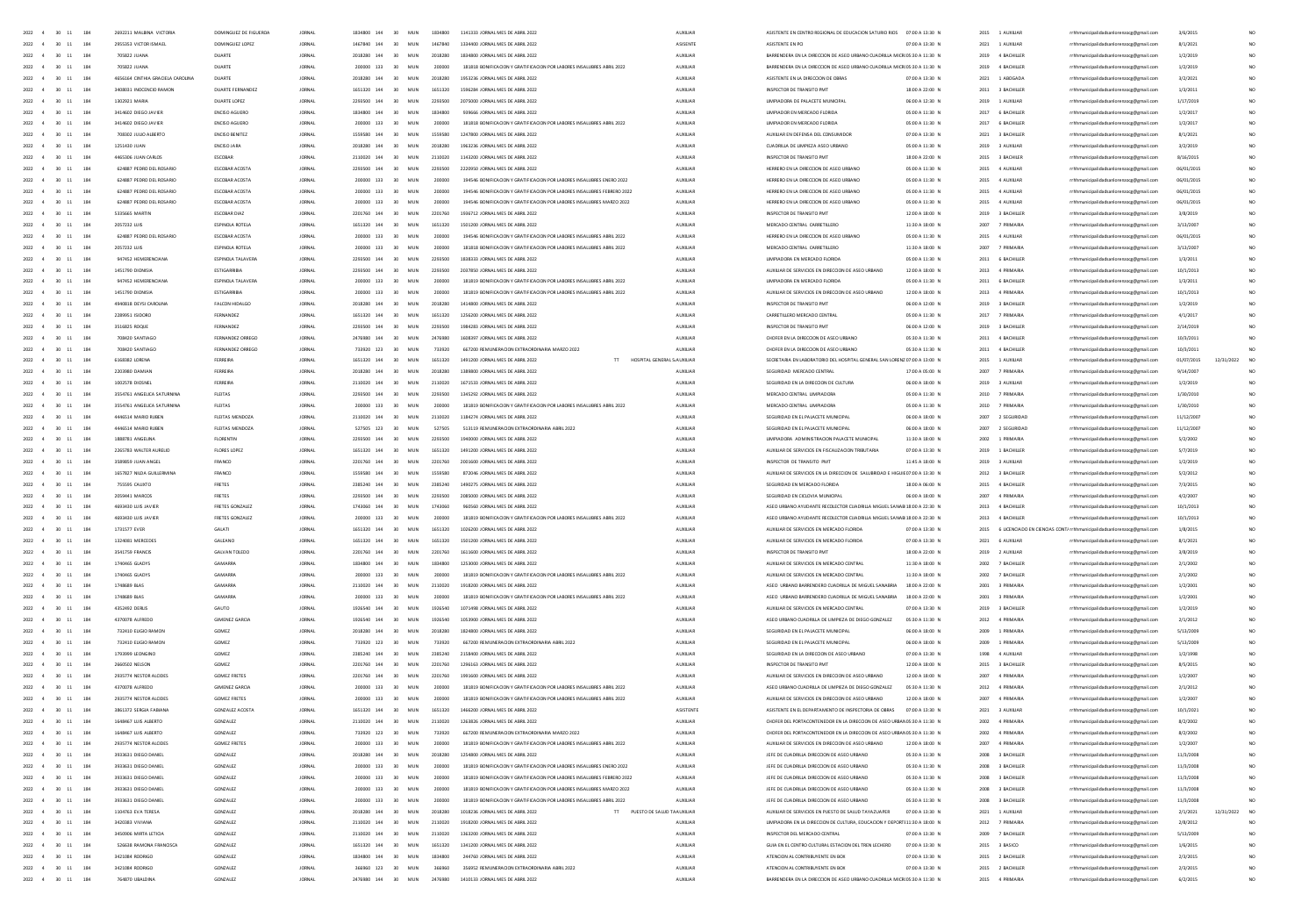|                        | $2022 - 4$<br>30 11   | 184        | 2692211 MALBINA VICTORIA                   | DOMINGUEZ DE FIGUEROA       | <b>JORNAL</b>                  | 1834800 144                         | 30<br>MUN              | 1834800           | 1141333 JORNAL MES DE ABRIL 2022                                                                                                               | <b>AUXILIAR</b>            | ASISTENTE EN CENTRO REGIONAL DE EDUCACION SATURIO RIOS                                                       | 07:00 A 13:30 N                    | 2015 1 AUXILIAR                      |                   | rrhhmunicipalidadsanlorenzocg@gmail.com                                            | 3/6/2015               |                 |
|------------------------|-----------------------|------------|--------------------------------------------|-----------------------------|--------------------------------|-------------------------------------|------------------------|-------------------|------------------------------------------------------------------------------------------------------------------------------------------------|----------------------------|--------------------------------------------------------------------------------------------------------------|------------------------------------|--------------------------------------|-------------------|------------------------------------------------------------------------------------|------------------------|-----------------|
| 2022                   | $30 - 11$             | 184        | 2955353 VICTOR ISMAEL                      | DOMINGUEZ LOPEZ             | <b>JORNAL</b>                  | 1467840 144                         | 30<br>MUN              | 1467840           | 1334400 JORNAL MES DE ABRIL 2022                                                                                                               | ASISENTE                   | ASISTENTE EN PCI                                                                                             | 07:00 A 13:30 M                    | 2021                                 | 1 AUXILIAR        | rrhhmunicipalidadsanlorenzocg@gmail.com                                            | 8/1/2021               |                 |
| 2022                   |                       | 184        | 705822 JUAN                                | DUARTE                      | JORNA                          | 2018280 144                         | MUN                    | 2018280           | 1834800 JORNAL MES DE ABRIL 2022                                                                                                               | AUXILIA                    | BARRENDERA EN LA DIRECCIÓN DE ASEO URBANO CUADRILLA MICROS:30 A 11:30                                        |                                    | 2019                                 | 4 BACHILLER       | rrhhmunicipalidadsanlorenzocg@gmail.com                                            | 1/2/201                |                 |
| 2022                   | 30<br>$11\,$          | 184        | 705822 JUANA                               | DUARTE                      | <b>JORNAL</b>                  | 200000 133                          | MUN                    | 200000            | 181818 BONIFICACION Y GRATIFICACION POR LABORES INSALUBRES ABRIL 2022                                                                          | AUXILIAR                   | BARRENDERA EN LA DIRECCIÓN DE ASEO URBANO CUADRILLA MICROS:30 A 11:30 M                                      |                                    | 2019                                 | 4 BACHILLER       | rrhhmunicipalidadsanlorenzoog@gmail.com                                            | 1/2/2019               |                 |
| 2022                   |                       | 184        | 4656164 CINTHIA GRACIELA CAROLINA          |                             | JORNA                          | 2018280<br>144                      | MU                     |                   |                                                                                                                                                | AUXILIA                    | ASISTENTE EN LA DIRECCIÓN DE OB                                                                              | 07:00 A 13:30 N                    | 2021                                 | 1 ABOGADA         | rrhhmunicipalidadsanlorenzoog@gmail.com                                            | 3/2/202                |                 |
| 2022                   | 30<br>$\sim$          | 184        | 3408031 INOCENCIO RAMON                    | DUARTE FERNANDE             | JORNA                          | 1651320 144                         | 30<br>MUN              | 1651320           | 1596284 JORNAL MES DE ABRIL 2022                                                                                                               | AUXILIAR                   | INSPECTOR DE TRANSITO PM                                                                                     | 18:00 A 22:00 N                    | 2011                                 | 3 BACHILLER       | unicipalidadsanlorenzocg@gmail.com                                                 | 1/3/2011               |                 |
| 2022                   | $\infty$<br>11        | 184        | 1302921 MARIA                              | DUARTE LOPEZ                | <b>JORNAL</b>                  | 2293500 144                         | 30<br>MIN              | 2293500           | 2025000 IORNAL MES DE ARRIL 2022                                                                                                               | ALCOHAR                    | <b>IIMPIADORA DE PAIACETE MUNICIPA</b>                                                                       | 06:00 A 12:30 N                    | 2019                                 | 1.4103148         | rrhhmunicipalidadsanlorenzocg@gmail.com                                            | 1/17/2019              |                 |
| 2022                   | 30<br>11              | 184        | 3414602 DIEGO JAVIER                       | ENGINO AGUERO               | JORNA                          | 1834800 144                         | 30<br>MUN              | 1834800           | 939666 IORNAL MES DE ARRIL 2022                                                                                                                | AUXILIAR                   | <b>IIMPIADOR EN MERCADO FIORDA</b>                                                                           | 05:00 A 11:30 N                    | 2017                                 | 6 BACHILLER       | rrhhmunicipalidadsanlorenzocg@gmail.com                                            | 1/2/2017               |                 |
| 2022 4                 | $30 - 11$             | 184        | 3414602 DIFGO JAVIER                       | ENGINO AGUERO               | <b>JORNAL</b>                  | 200000 133                          | MIN<br>30 <sub>2</sub> | 200000            | 181818 BONIFICACION Y GRATIFICACION POR LARORES INSAILIBRES ARRIL 2022                                                                         | ALCOHAR                    | <b>IIMPIADOR EN MERCADO FIORDA</b>                                                                           | 05:00 A 11:30 N                    | 2017 6 RACHILLER                     |                   | rrhhmunicipalidadsanlorenzoce@email.com                                            | 1/2/2012               |                 |
| 2022 4                 | $30 - 11$             | 184        | 708302 JUUO ALBERTO                        | ENCISO BENITEZ              | <b>JORNAL</b>                  | 1559580 144                         | 30<br>MUN              | 1559580           | 1247800 JORNAL MES DE ABRIL 2022                                                                                                               | <b>AUXILIAR</b>            | AUXIUAR EN DEFENSA DEL CONSUMIDOR                                                                            | 07:00 A 13:30 N                    | 2021 3 BACHILLER                     |                   | rrhhmunicipalidadsanlorenzoce@email.com                                            | 8/1/2021               | NO <sub>1</sub> |
| 2022 4                 | 30 11                 | 184        | 1251430 JUAN                               | ENCISO JARA                 | <b>JORNAL</b>                  | 2018280 144                         | 30<br>MUN              | 2018280           | 1963236 JORNAL MES DE ABRIL 2022                                                                                                               | <b>AUXILIAR</b>            | CUADRILLA DE LIMPIEZA ASEO URBANO                                                                            | 05:00 A 11:30 N                    | 2019 3 AUXILIAR                      |                   | rrhhmunicipalidadsanlorenzoce@email.com                                            | 3/2/2019               | NO.             |
| 2022 4                 | $30 \quad 11$         | 184        | 4465306 JUAN CARLOS                        | ESCOBAR                     | <b>JORNAL</b>                  | 2110020 144                         | 30<br>MUN              | 2110020           | 1143200 JORNAL MES DE ABRIL 2022                                                                                                               | <b>AUXILIAR</b>            | INSPECTOR DE TRANSITO PMT                                                                                    | 18:00 A 22:00 N                    | 2015 3 BACHILER                      |                   | rrhhmunicipalidadsanlorenzoce@email.com                                            | 8/16/2019              | NO <sub>1</sub> |
| 2022<br>$\ddot{ }$     | 30 11                 | 184        | 624887 PEDRO DEL ROSARIO                   | ESCOBAR ACOSTA              | <b>JORNAL</b>                  | 2293500 144                         | 30<br>MUN              | 2293500           | 2220950 JORNAL MES DE ABRIL 2022                                                                                                               | AUXILIAR                   | HERRERO EN LA DIRECCION DE ASEO URBANO                                                                       | 05:00 A 11:30 N                    | 2015 4 AUXILIAR                      |                   | rrhhmunicipalidadsanlorenzocg@gmail.com                                            | 06/01/2015             |                 |
| 2022                   | 30<br>11              | 184        | 624887 PEDRO DEL ROSARIO                   | ESCOBAR ACOSTA              | <b>JORNAL</b>                  | 200000 133                          | 30<br>MUN              | 200000            | 194546 BONIFICACION Y GRATIFICACION POR LABORES INSALUBRES ENERO 2022                                                                          | <b>AUXILIAR</b>            | HERRERO EN LA DIRECCIÓN DE ASEO URBANO                                                                       | 05:00 A 11:30 N                    | 2015 4 AUXILIAR                      |                   | rrhhmunicipalidadsanlorenzocg@gmail.com                                            | 06/01/2015             |                 |
| 2022                   | 30 11                 | 184        | 624887 PEDRO DEL ROSARIO                   | ESCOBAR ACOSTA              | <b>JORNAL</b>                  | 200000 133                          | 30<br>MUN              | 200000            | 194546 BONIFICACION Y GRATIFICACION POR LABORES INSALUERES FEBRERO 2022                                                                        | AUXILIAR                   | HERRERO EN LA DIRECCIÓN DE ASEO URBANO                                                                       | 05:00 A 11:30 N                    | 2015 4 AUXILIAR                      |                   | rrhhmunicipalidadsanlorenzocg@gmail.com                                            | 06/01/2015             |                 |
| 2022                   | 30<br>$11\,$          | 184        | 624887 PEDRO DEL ROSARIO                   | ESCOBAR ACOSTA              | <b>JORNA</b>                   | 200000 133                          | 30<br>MUN              | 200000            | 194546 BONIFICACION Y GRATIFICACION POR LABORES INSALUBRES MARZO 2022                                                                          | AUXILIA                    | HERRERO EN LA DIRECCION DE ASEO URBANO                                                                       | 05:00 A 11:30 M                    | 2015 4 AUXILIAR                      |                   | rrhhmunicipalidadsanlorenzocg@gmail.com                                            | 06/01/2015             |                 |
| 2022                   |                       | 184        | 5335665 MARTIN                             | ESCOBAR DIAZ                | JORNA                          | 2201760 144                         | 30<br>MUN              | 2201760           | 1936712 JORNAL MES DE ABRIL 2022                                                                                                               | AUXILIA                    | INSPECTOR DE TRANSITO PM                                                                                     | 12:00 A 18:00 N                    | 2019                                 | 3 BACHILLEI       | rrhhmunicipalidadsanlorenzocg@gmail.com                                            | 3/8/2019               |                 |
|                        | 30                    | 184        | 2057232 LUIS                               | ESPINOLA ROTELA             | JORNA                          | 1651320 144                         | 30<br>MUN              | 1651320           | 1501200 JORNAL MES DE ABRIL 2022                                                                                                               | AUXILIA                    | MERCADO CENTRAL CARRETILLERO                                                                                 | 11:30 A 18:00 M                    | 2007                                 | 7 PRIMARL         | rrhhmunicipalidadsanlorenzocg@gmail.com                                            | 3/13/200               |                 |
| 2022                   | 30                    | 184        | 624887 PEDRO DEL ROSARIO                   | ESCOBAR ACOSTA              | JORNA                          | 200000 133                          | 30<br>MUN              | 200000            | 194546 BONIFICACION Y GRATIFICACION POR LABORES INSALUBRES ABRIL 2022                                                                          | AUXILIA                    | HERRERO EN LA DIRECCIÓN DE ASEO URBANO                                                                       | 05:00 A 11:30 N                    | 2015 4 AUXILIAR                      |                   | rrhhmunicipalidadsanlorenzocg@gmail.com                                            | 06/01/2019             |                 |
| 2022                   | 30<br>11              | 184        | 2057232 LUIS                               | ESPINOLA ROTELA             | JORNAL                         | 200000 133                          | 30<br>MUN              | 200000            | 181818 BONIFICACION Y GRATIFICACION POR LABORES INSALUBRES ABRIL 2022                                                                          | AUXILIAR                   | MERCADO CENTRAL CARRETILLERO                                                                                 | 11:30 A 18:00 N                    | 2007                                 | <b>7 PRIMARIA</b> | rrhhmunicipalidadsanlorenzocg@gmail.com                                            | 3/13/2007              | NO <sub>1</sub> |
| 2022                   | $-30$<br>11           | 184        | 947452 HEMERENCIANA                        | FSPINOIA TALAVERA           | <b>IORNAL</b>                  | 2293500 144                         | MUN<br>30              | 2293500           | 1838333 IORNAL MES DE ARRIL 2022                                                                                                               | ALCOHAR                    | <b>IIMPIADORA EN MERCADO FIORIDA</b>                                                                         | 05:00 A 11:30 N                    | 2011 6 RACHILLER                     |                   | rrhhmunicipalidadsanlorenzocg@gmail.com                                            | 1/3/2011               | NO <sub>1</sub> |
| 2022                   | $\infty$<br>11        | 184        | 1451790 DIONISIA                           | ESTIGARRIBIA                | <b>JORNAL</b>                  | 2293500 144                         | MUN<br>30              | 2293500           | 2032850 IORNAL MES DE ARRIL 2022                                                                                                               | <b>ALDOLLAR</b>            | AUXIUAR DE SERVICIOS EN DIRECCION DE ASEO URBANO                                                             | 12:00 A 18:00 N                    | 2013 4 PRIMARIA                      |                   | rrhhmunicipalidadsanlorenzocg@gmail.com                                            | 10/1/2013              | NO <sub>1</sub> |
| 2022                   | $-30$<br>11           | 184        | 947452 HEMERENCIANA                        | FSPINOIA TALAVERA           | <b>IORNAL</b>                  | 200000 133                          | 30 <sup>2</sup><br>MIN | 200000            | 181819 BONIFICACION Y GRATIFICACION POR LARORES INSAILIRRES ARRIL 2022                                                                         | ALCOHAR                    | <b>IIMPIADORA EN MERCADO FIORIDA</b>                                                                         | 05:00 A 11:30 N                    | 2011 6 RACHILLER                     |                   | rrhhmunicipalidadsanlorenzocg@gmail.com                                            | 1/3/2011               | NO <sub>1</sub> |
| 2022 4                 | 30<br>11              | 184        | 1451790 DIONISIA                           | ESTIGARRIBIA                | <b>JORNAL</b>                  | 200000 133                          | 30<br>MUN              | 200000            | 181819 BONIFICACION Y GRATIFICACION POR LABORES INSALUERES ABRIL 2022                                                                          | <b>AUXILIAR</b>            | AUXIUAR DE SERVICIOS EN DIRECCION DE ASEO URBANO                                                             | 12:00 A 18:00 N                    | 2013 4 PRIMARIA                      |                   | rrhhmunicipalidadsanlorenzoce@email.com                                            | 10/1/2013              | NO <sub>1</sub> |
| 2022 4                 | $30 - 11$             | 184        | 4940818 DEYSI CAROLINA                     | FALCON HIDALGO              | <b>JORNAL</b>                  | 2018280 144                         | 30<br>MUN              | 2018280           | 1414800 JORNAL MES DE ABRIL 2022                                                                                                               | <b>AUXILIAR</b>            | INSPECTOR DE TRANSITO PMT                                                                                    | 06:00 A 12:00 N                    | 2019 3 BACHILLER                     |                   | rrhhmunicipalidadsanlorenzocg@gmail.com                                            | 1/2/2019               | NO <sub>1</sub> |
| 2022 4                 | 30 11                 | 184        | 2289951 ISIDORO                            | FERNANDEZ                   | <b>JORNAL</b>                  | 1651320 144                         | 30<br>MUN              | 1651320           | 1256200 JORNAL MES DE ABRIL 2022                                                                                                               | <b>AUXILIAR</b>            | CARRETILLERD MERCADO CENTRAL                                                                                 | 05:00 A 11:30 N                    | 2017                                 | 7 PRIMARIA        | rrhhmunicipalidadsanlorenzoce@email.com                                            | 4/1/2017               | NO <sub>1</sub> |
| 2022                   | 30 11                 | 184        | 3516825 ROQUE                              | FERNANDEZ                   | <b>JORNAL</b>                  | 2293500 144                         | 30<br>MUN              | 2293500           | 1984283 JORNAL MES DE ABRIL 2022                                                                                                               | <b>AUXILIAR</b>            | INSPECTOR DE TRANSITO PMT                                                                                    | 06:00 A 12:00 N                    | 2019                                 | 3 BACHILLER       | rrhhmunicipalidadsanlorenzocg@gmail.com                                            | 2/14/2019              | NO <sub>1</sub> |
| 2022                   | 30<br>11              | 184        | 708420 SANTIAGO                            | FERNANDEZ ORREGO            | <b>JORNAL</b>                  | 2476980 144                         | 30<br>MUN              | 2476980           | 1608397 JORNAL MES DE ABRIL 2022                                                                                                               | <b>AUXILIA</b>             | CHOFER EN LA DIRECCION DE ASEO URBANO                                                                        | 05:30 A 11:30 M                    | 2011                                 | 4 BACHILLER       | rrhhmunicipalidadsanlorenzocg@gmail.com                                            | 10/3/2011              |                 |
| 2022                   | $30 - 11$             | 184        | 708420 SANTIAGO                            | FERNANDEZ ORREGO            | <b>JORNAL</b>                  | 733920 123                          | MUN<br>30              | 733920            | 667200 REMUNERACION EXTRAORDINARIA MARZO 2022                                                                                                  | <b>AUXILIAN</b>            | CHOFER EN LA DIRECCION DE ASEO URBANO                                                                        | 05:30 A 11:30 N                    | 2011                                 | 4 BACHILLER       | rrhhmunicipalidadsanlorenzocg@gmail.com                                            | 10/3/2011              |                 |
| 2022                   | 30<br>$11\,$          | 184        | 6168382 LOREN                              | FERREIR                     | JORNA                          | 1651320 144                         | MUN<br>30              | 1651320           | HOSPITAL GENERAL S AUXILIA<br>1491200 JORNAL MES DE ABRIL 2022<br>$\mathbb{H}^+$                                                               |                            | SECRETARIA EN LABORATORIO DEL HOSPITAL GENERAL SAN LORENZ 07:00 A 13:00 M                                    |                                    | 2015                                 | 1 AUXILIAR        | rrhhmunicipalidadsanlorenzocg@gmail.com                                            | 01/07/2015             | 12/31/2022      |
| 2022                   | 30                    | 184        | 2203980 DAMIA                              |                             | <b>JORNA</b>                   | 2018280 144                         | MU                     | 2018              | 800 JORNAL MES DE ABRIL 2022                                                                                                                   |                            | <b>RIDAD MERCADO CENTRA</b>                                                                                  | 17:00 A 05:00 N                    |                                      |                   | municipalidadsanlorenzocg@gmail.com                                                | 9/14/200               |                 |
| 2022                   | 30<br>$11\,$          | 184        | 1002578 DIOSNE                             |                             | JORNA                          | 2110020 144                         | MUN<br>30              | 2110020           | 1671533 JORNAL MES DE ABRIL 2022                                                                                                               | AUXILIA                    | SEGURIDAD EN LA DIRECCIÓN DE CULTURI                                                                         | 06:00 A 18:00 N                    | 2019                                 | 3 AUXILIAR        | rrhhmunicipalidadsanlorenzocg@gmail.com                                            | 1/2/201                |                 |
| 2022                   | $30 - 11$             | 184        | 3554761 ANGELICA SATURNIN                  | FLEITAS                     | <b>JORNA</b>                   | 2293500 144                         | 30<br>MUN              | 22931             | 1345292 JORNAL MES DE ABRIL 2022                                                                                                               | <b>AUXILIA</b>             | MERCADO CENTRAL LIMPIADOR                                                                                    | 05:00 A 11:30 N                    | 2010                                 |                   | nicipalidadsanlorenzocg@gmail.com                                                  | 1/30/2010              | NO              |
| 2022                   | $30 - 11$             | 184        | 3554761 ANGELICA SATURNINA                 | FIFITAS                     | <b>JORNA</b>                   | 200000 133                          | 30<br>MUN              | 200000            | 181819 BONIFICACION Y GRATIFICACION POR LABORES INSALUBRES ABRIL 2022                                                                          | ALDOIDAR                   | MERCADO CENTRAL LIMPIADORA                                                                                   | 05:00 A 11:30 N                    | 2010                                 | 7 PRIMARIA        | unicipalidadsanlorenzocg@gmail.com                                                 | 1/30/2010              | NO              |
| $2022 - 4$             | $30 - 11$             | 184        | 4445514 MARIO RUREN                        | FIFITAS MENDOZA             | <b>IORNAL</b>                  | 2110020 144                         | 30 <sup>2</sup><br>MIN | 2110020           | 1184274 IORNAL MES DE ARRIL 2022                                                                                                               | ALCOHAR                    | SEGURDAD EN EL PALACETE MUNICIPAL                                                                            | 0600 A 1800 N                      | 2007 2. SEGURIDAD                    |                   | rrhhmunicipalidadsanlorenzocg@gmail.com                                            | 11/12/2007             | NO <sub>1</sub> |
| 2022 4                 | $30 - 11$             | 184        | 4445514 MARIO RUREN                        | FIFITAS MENDOZA             | <b>JORNA</b>                   | 527505 123                          | 30<br>MUN              | 527505            | 513119 BEMUNERACIÓN EXTRAORDINARIA ARRII 2022                                                                                                  | ALDOITAR                   | SEGURIDAD EN EL PALACETE MUNICIPAL                                                                           | 0600 A 1800 N                      | <b>SOON</b>                          | 2. SEGURIDAD      |                                                                                    |                        | NO              |
| 2022 4                 | $30 \quad 11$         | 184        | 1888781 ANGELINA                           | FLORENTIN                   | <b>JORNAL</b>                  | 2293500 144                         | 30<br>MUN              | 2293500           | 1940000 JORNAL MES DE ABRIL 2022                                                                                                               | <b>AUXILIAR</b>            | UMPIADORA ADMINISTRACION PALACETE MUNICIPAL                                                                  | 11:30 A 18:00 N                    | 2002 1 PRIMARIA                      |                   | rrhhmunicipalidadsanlorenzocg@gmail.com<br>rrhhmunicipalidadsanlorenzocg@gmail.com | 11/12/2007<br>5/2/2002 |                 |
|                        |                       |            |                                            |                             |                                |                                     |                        |                   |                                                                                                                                                |                            |                                                                                                              |                                    |                                      |                   |                                                                                    |                        | NO <sub>1</sub> |
| 2022 4                 | 30 11                 | 184        | 2265783 WALTER AURELIO                     | FLORES LOPEZ                | <b>JORNAL</b>                  | 1651320 144                         | 30<br>MUN              | 1651320           | 1491200 JORNAL MES DE ABRIL 2022                                                                                                               | <b>AUXILIAR</b>            | AUXIUAR DE SERVICIOS EN FISCALIZACION TRIBUTARIA                                                             | 07:00 A 13:30 N                    | 2019 1 BACHILLER                     |                   | rrhhmunicipalidadsanlorenzoce@email.com                                            | 5/7/2019               | NO <sub>1</sub> |
| 2022 4                 | $30 \quad 11$         | 184        | 3589859 JUAN ANGEL                         | FRANCO                      | <b>JORNAL</b>                  | 2201760 144                         | 30<br>MUN              | 2201760           | 2001600 JORNAL MES DE ABRIL 2022                                                                                                               | AUXILIAR                   | INSPECTOR DE TRANSITO PMT                                                                                    | 11:45 A 18:00 N                    | 2019 3 AUXILIAR                      |                   | rrhhmunicipalidadsanlorenzoce@email.com                                            | 1/2/2019               | NO <sub>1</sub> |
| 2022 4                 | 30 11                 | 184        | 1657827 NILDA GUILLERMINA                  | FRANCO                      | <b>JORNAL</b>                  | 1559580 144                         | 30<br>MUN              | 1559580           | 872046 JORNAL MES DE ABRIL 2022                                                                                                                | AUXILIAR                   | AUXILIAR DE SERVICIOS EN LA DIRECCION DE SALUBRIDAD E HIGUIE07:00 A 13:30 N                                  |                                    | 2012 3 BACHILLER                     |                   | rrhhmunicipalidadsanlorenzocg@gmail.com                                            | 5/2/2012               | NO              |
| 2022<br>$\ddot{a}$     | 30 11                 | 184        | 755595 CAUXTO                              | FRETES                      | <b>JORNAL</b>                  | 2385240 144                         | 30<br>MUN              | 2385240           | 1490275 JORNAL MES DE ABRIL 2022                                                                                                               | AUXILIAR                   | SEGURIDAD EN MERCADO FLORIDA                                                                                 | 18:00 A 06:00 N                    | 2015 4 BACHILLER                     |                   | rrhhmunicipalidadsanlorenzocg@gmail.com                                            | 7/3/2015               |                 |
| 2022                   | $30 - 11$             | 184        | 2059441 MARCOS                             | FRETES                      | JORNA                          | 2293500 144                         | 30<br>MUN              | 2293500           | 2085000 JORNAL MES DE ABRIL 2022                                                                                                               | AUXILIA                    | SEGURIDAD EN CICLOVIA MUNICIPAL                                                                              | 06:00 A 18:00                      | 2007                                 | 4 PRIMARIA        | rrhhmunicipalidadsanlorenzocg@gmail.com                                            | 4/2/2007               |                 |
| 2022                   | $30 - 11$             | 184        | 4693430 LUIS JAVIE                         | FRETES GONZALE              | <b>JORNAL</b>                  | 1743060 144                         | 30<br>MUN              | 1743060           | 960560 JORNAL MES DE ABRIL 2022                                                                                                                | <b>AUXILIAR</b>            | ASED URBANO AYUDANTE RECOLECTOR CUADRILLA MIGUEL SANABI 18:00 A 22:30 N                                      |                                    | 2013 4 BACHILLER                     |                   | rrhhmunicipalidadsanlorenzocg@gmail.com                                            | 10/1/2013              |                 |
| 2022                   | 30<br>$11\,$          |            |                                            |                             |                                |                                     |                        |                   | 181819 BONIFICACION Y GRATIFICACION POR LABORES INSALUERES ABRIL 2022                                                                          | AUXILIA                    | ASEO URBANO AYUDANTE RECOLECTOR CUADRILLA MIGUEL SANABI 18:00 A 22:30                                        |                                    |                                      | 2013 4 BACHILLER  | rrhhmunicipalidadsanlorenzocg@gmail.com                                            | 10/1/2013              |                 |
| 2022                   | 30<br>$11\,$          | 184        | 4693430 LUIS JAVIER                        | FRETES GONZALE              | JORNA                          | 200000 133                          | 30<br>MUN              | 200000            |                                                                                                                                                |                            |                                                                                                              |                                    |                                      |                   |                                                                                    |                        |                 |
| 2022                   | 30<br>$\mathbf{11}$   | 184        | 1731577 EVER                               | GALATI                      | JORNA                          | 1651320 144                         | 30<br>MUN              | 1651320           | 1026200 JORNAL MES DE ABRIL 2022                                                                                                               | AUXILIAR                   | AUXILIAR DE SERVICIOS EN MERCADO FLORIDA                                                                     | 07:00 A 13:30 N                    |                                      |                   | 2015 6 LICENCIADO EN CIENCIAS CONT/ rrhhmunicipalidadsanlorenzocg@gmail.com        | 1/8/2015               | NO              |
| 2022                   |                       | 184        | 1324081 MERCEDE:                           | GALEANO                     | JORNA                          | 1651320 144                         | 30<br>MUN              | 1651320           | 1501200 JORNAL MES DE ABRIL 2022                                                                                                               | AUXILIA                    | AUXILIAR DE SERVICIOS EN MERCADO FLORIO                                                                      | 07:00 A 13:30 N                    | 2021 6 AUXILIAR                      |                   | rrhhmunicipalidadsanlorenzocg@gmail.com                                            | 8/1/2021               |                 |
| 2022                   | 30<br>$11\,$          | 184        | 3541759 FRANCIS                            | <b>GALVAN TOLEDO</b>        | <b>JORNAL</b>                  | 2201760 144                         | 30<br>MUN              | 2201760           | 1611600 JORNAL MES DE ABRIL 2022                                                                                                               | AUXILIAR                   | INSPECTOR DE TRANSITO PM                                                                                     | 18:00 A 22:00 N                    | 2019 2 AUXILIAR                      |                   | rrhhmunicipalidadsanlorenzocg@gmail.com                                            | 3/8/2019               | NO <sub>1</sub> |
| 2022 4                 | $30 - 11$             | 184        | 1740455 GLADYS                             | <b>GAMARRA</b>              | <b>IORNAL</b>                  | 1834800 144                         | 30<br>MUN              | 1834800           | 1253000 JORNAL MES DE ABRIL 2022                                                                                                               | ALDOIDAR                   | AUXIUAR DE SERVICIOS EN MERCADO CENTRAL                                                                      | 11:30 A 18:00 N                    | 2002 7 RACHILLER                     |                   | rrhhmunicipalidadsanlorenzoog@gmail.com                                            | 2/1/2002               | NO <sub>1</sub> |
|                        | $30 - 11$             | 184        | 1740465 GLADYS                             | <b>GAMARRA</b>              | <b>JORNAL</b>                  | 200000 133                          | MUN<br>30              | 200000            | 181819 BONIFICACION Y GRATIFICACION POR LABORES INSALUERES ABRIL 2022                                                                          | <b>AUXILIAR</b>            | AUXIUAR DE SERVICIOS EN MERCADO CENTRAL                                                                      | 11:30 A 18:00 N                    | 2002 7 BACHILLER                     |                   | rrhhmunicipalidadsanlorenzocg@gmail.com                                            | 2/1/2002               | NO <sub>1</sub> |
| 2022                   | $30 - 11$             | 184        | 1748689 RLAS                               | <b>GAMARRA</b>              | <b>IORNAL</b>                  | 2110020 144                         | MIN<br>30 <sub>1</sub> | 2110020           | 1918200 IORNAL MES DE ARRIL 2022                                                                                                               | ALCOHAR                    | ASED URRAND RARRENDERD CHADRILLA DE MIGUEL SANARRIA                                                          | 1800 A 2200 N                      | 2001 3 PRIMARIA                      |                   | rrhhmunicipalidadsanlorenzocg@gmail.com                                            | 1/2/2001               | NO <sub>1</sub> |
| 2022 4                 | $30 - 11$             | 184        | 1748689 BLAS                               | <b>GAMARRA</b>              | <b>JORNAL</b>                  | 200000 133                          | MUN<br>30              | 200000            | 181819 BONIFICACION Y GRATIFICACION POR LABORES INSALUERES ABRIL 2022                                                                          | <b>AUXILIAR</b>            | ASED URBANO BARRENDERO CUADRILLA DE MIGUEL SANABRIA                                                          | 18:00 A 22:00 N                    | 2001 3 PRIMARIA                      |                   | rrhhmunicipalidadsanlorenzocg@gmail.com                                            | 1/2/2001               | NO <sub>1</sub> |
| 2022 4                 | 30 11                 | 184        | 4352492 DERLIS                             | GAUTO                       | <b>JORNAL</b>                  | 1926540 144                         | 30 <sub>1</sub><br>MUN | 1926540           | 1071498 JORNAL MES DE ABRIL 2022                                                                                                               | <b>AUXILIAR</b>            | AUXIUAR DE SERVICIOS EN MERCADO CENTRAL                                                                      | 07:00 A 13:30 N                    | 2019 3 BACHILLER                     |                   | rrhhmunicipalidadsanlorenzoce@email.com                                            | 1/2/2019               | NO <sub>1</sub> |
| 2022 4                 | $30 - 11$             | 184        | 4370078 ALFREDO                            | <b>GIMENEZ GARCIA</b>       | <b>JORNAL</b>                  | 1926540 144                         | MUN<br>30              | 1926540           | 1053900 JORNAL MES DE ABRIL 2022                                                                                                               | <b>AUXILIAR</b>            | ASEO URBANO CUADRILLA DE UMPIEZA DE DIEGO GONZALEZ                                                           | 05:30 A 11:30 N                    | 2012 4 PRIMARIA                      |                   | rrhhmunicipalidadsanlorenzoce@email.com                                            | 2/1/2012               | NO <sub>1</sub> |
| 2022                   | 30 11                 | 184        | 732410 ELIGIO RAMON                        | GOMEZ                       | <b>JORNAL</b>                  | 2018280 144                         | 30<br>MUN              | 2018280           | 1824800 JORNAL MES DE ABRIL 2022                                                                                                               | AUXILIAR                   | SEGURIDAD EN EL PALACETE MUNICIPAL                                                                           | 06:00 A 18:00 N                    | 2009                                 | 1 PRIMARIA        | rrhhmunicipalidadsanlorenzocg@gmail.com                                            | 5/13/2005              | NO <sub>1</sub> |
| 2022                   | 30<br>11              | 184        | 732410 EUGIO RAMO                          | GOMEZ                       | <b>JORNAL</b>                  | 733920 123                          | MUN<br>30              | 733920            | 667200 REMUNERACION EXTRAORDINARIA ABRIL 2022                                                                                                  | AUXILIAR                   | SEGURIDAD EN EL PALACETE MUNICIPAL                                                                           | 06:00 A 18:00 N                    | 2009                                 | 1 PRIMARIA        | rrhhmunicipalidadsanlorenzocg@gmail.com                                            | 5/13/2005              |                 |
| 2022                   |                       | 184        | 1793999 LEONGIN                            | GOME2                       | JORNA                          | 2385240 144                         | MUN                    | 2385240           | 2158400 JORNAL MES DE ABRIL 2022                                                                                                               | AUXILIA                    | SEGURIDAD EN LA DIRECCIÓN DE ASEO URBA                                                                       | 07:00 A 13:30 M                    | 1998                                 | 4 AUXILIA         | rrhhmunicipalidadsanlorenzocg@gmail.com                                            | 1/2/199                |                 |
| 2022                   | 30<br>11              | 184        | 2660502 NELSON                             | GOME2                       | <b>JORNAL</b>                  | 2201760 144                         | MUN<br>30              | 2201760           | 1296163 JORNAL MES DE ABRIL 2022                                                                                                               | <b>AUXILIAR</b>            |                                                                                                              | 12:00 A 18:00 N                    | 2015                                 | 3 BACHILLER       | rrhhmunicipalidadsanlorenzocg@gmail.com                                            | 8/5/2015               |                 |
| 2022                   |                       | 184        | 2935774 NESTOR ALC                         | GOMEZ FRETES                | JORNA                          | 144                                 |                        |                   |                                                                                                                                                | AUXILIA                    | AUXILIAR DE SERVICIOS EN DIRECCION DE ASEO                                                                   | 12:00 A 18:00 N                    |                                      |                   | rrhhmunicipalidadsanlorenzoog@gmail.com                                            | 1/2/200                |                 |
| 2022                   | $\mathfrak{m}$        | 184        | 4370078 ALEREDO                            | <b>GIMENEZ GARCH</b>        | JORNA                          | 200000 133                          | 30 <sub>2</sub><br>MUN | 2000              | 181819 BONIFICACION Y GRATIFICACION POR LABORES INSALUBRES ABRIL 2022                                                                          | AUXILIA                    | ASEO URBANO CUADRILLA DE LIMPIEZA DE DIEGO GONZALEZ                                                          | 05/30 A 11/30 N                    | 2012                                 | 4 PRIMARIA        | municipalidadsanlorenzocg@gmail.com                                                | 2/1/2012               |                 |
| 2022                   |                       | 184        | 2935774 NESTOR ALCIDE                      | GOMEZ FRETES                | JORNA                          | 200000 133                          | MU                     | 200               | 181819 BONIFICACION Y GRATIFICACION POR LABORES INSALUERES ABRIL 2022                                                                          | AUXILIA                    | AUXIUAR DE SERVICIOS EN DIRECCIÓN DE ASEO URE                                                                | 12:00 A 18:00 N                    |                                      |                   | municipalidadsanlorenzocg@gmail.com                                                | 1/2/200                |                 |
| 2022                   | 30<br>$11\,$          | 184        | 3861372 SERGIA FABIANA                     | GONZALEZ ACOSTA             | JORNA                          | 1651320 144                         | 30<br>MUN              | 1651320           | 1466200 JORNAL MES DE ABRIL 2022                                                                                                               | ASISTENTE                  | ASISTENTE EN EL DEPARTAMENTO DE INSPECTORIA DE OBRAS                                                         | 07:00 A 13:30 N                    | 2021                                 | 3 AUXILIAR        | unicipalidadsanlorenzocg@gmail.com                                                 | 10/1/202               |                 |
| 2022 4                 | $30 - 11$             | 184        | 1648467 UUS ALBERTO                        | GONZAIEZ                    | <b>IORNAL</b>                  | 2110020 144                         | MIN<br>30 <sub>1</sub> | 2110020           | 1263826 IORNAL MES DE ARRIL 2022                                                                                                               | <b>ALDREIAR</b>            | CHOFFR DEL PORTACONTENEDOR EN LA DIRECCIÓN DE ASEO URRANOS 30 A 11/30 N.                                     |                                    | 2002 4 PRIMARIA                      |                   | rrhhmunicipalidadsanlorenzocg@gmail.com                                            | 8/2/2002               | NO <sub></sub>  |
| 2022<br>$\mathbf{A}$   | $30 - 11$             | 184        | 1648467 LUIS ALBERTO                       | GONZALEZ                    | <b>JORNAL</b>                  | 733920 123                          | 30<br>MUN              | 733920            | 667200 REMUNERACION EXTRAORDINARIA MARZO 2022                                                                                                  | <b>AUXILIAR</b>            | CHOFER DEL PORTACONTENEDOR EN LA DIRECCIÓN DE ASEO URBANOS:30 A 11:30 N                                      |                                    | 2002 4 PRIMARIA                      |                   | rrhhmunicipalidadsanlorenzoce@email.com                                            | 8/2/2002               | NO <sub>1</sub> |
| 2022                   | 30 11                 | 184        | 2935274 NESTOR AIRIDES                     | GOMEZ ERETES                | <b>IORNAL</b>                  | 200000 133                          | 30 <sup>2</sup><br>MIN | 200000            | 181819 BONIFICACION Y GRATIFICACION POR LARORES INSAILIRRES ARRIL 2022                                                                         | ALCOHAR                    | AUXILIAR DE SERVICIOS EN DIRECCION DE ASEO URRANO                                                            | 12:00 A 18:00 N                    | 2007 4 PRIMARIA                      |                   | rrhhmunicipalidadsanlorenzocg@gmail.com                                            | 1/2/2002               | NO.             |
| 2022<br>$\mathbf{A}$   | $30 \quad 11$         | 184        | 3933631 DIEGO DANIEL                       | GONZALEZ                    | <b>JORNAL</b>                  | 2018280 144                         | 30<br>MUN              | 2018280           | 1254800 IORNAL MES DE ARRIL 2022                                                                                                               | <b>AUXILIAR</b>            | JEFE DE CUADRILLA DIRECCIÓN DE ASEO URBANO                                                                   | 05:30 A 11:30 N                    | 2008 3 BACHILLER                     |                   | rrhhmunicipalidadsanlorenzoce@email.com                                            | 11/3/2008              | NO <sub>1</sub> |
| 2022<br>$\overline{4}$ | 30 11                 | 184        | 3933631 DIEGO DANIEL                       | GONZALEZ                    | <b>JORNAL</b>                  | 200000 133                          | 30<br>MUN              | 200000            | 181819 BONIFICACION Y GRATIFICACION POR LABORES INSALUBRES ENERO 2022                                                                          | AUXILIAR                   | JEFE DE CUADRILLA DIRECCION DE ASEO URBANO                                                                   | 05:30 A 11:30 N                    | 2008 3 BACHILLER                     |                   | rrhhmunicipalidadsanlorenzocg@gmail.com                                            | 11/3/2008              |                 |
| 2022<br>$\Delta$       | 30 11                 | 184        | 3933631 DIEGO DANIE                        | <b>GONZALEZ</b>             | <b>JORNAL</b>                  | 200000 133                          | 30<br>MUN              | 200000            | 181819 BONIFICACION Y GRATIFICACION POR LABORES INSALUBRES FEBRERO 2022                                                                        | <b>AUXILIAR</b>            | JEFE DE CUADRILLA DIRECCIÓN DE ASEO URBANO                                                                   | 05:30 A 11:30 N                    | 2008 3 BACHILLER                     |                   | rrhhmunicipalidadsanlorenzoce@email.com                                            | 11/3/2008              |                 |
| 2022<br>$\ddot{ }$     | 30 11                 | 184        |                                            |                             | <b>JORNAL</b>                  |                                     | 30<br>MUN              | 200000            |                                                                                                                                                | <b>AUXILIAR</b>            |                                                                                                              |                                    |                                      |                   |                                                                                    |                        |                 |
| 2022                   | 30<br>11              | 184        | 3933631 DIEGO DANIE<br>3933631 DIEGO DANIE | <b>GONZALEZ</b><br>GONZALEZ | <b>JORNAL</b>                  | 200000 133<br>200000 133            | 30<br>MUN              | 200000            | 181819 BONIFICACION Y GRATIFICACION POR LABORES INSALUBRES MARZO 2022<br>181819 BONIFICACION Y GRATIFICACION POR LABORES INSALUERES ABRIL 2022 | <b>AUXILIA</b>             | JEFE DE CUADRILLA DIRECCION DE ASEO URBANO<br>JEFE DE CUADRILLA DIRECCIÓN DE ASEO URBANO                     | 05:30 A 11:30 N<br>05:30 A 11:30 N | 2008 3 BACHILLER<br>2008 3 BACHILLER |                   | rrhhmunicipalidadsanlorenzocg@gmail.com                                            | 11/3/2008              |                 |
| 2022                   |                       | 184        | 1104763 EVA TERESA                         | GONZALEZ                    | JORNA                          | 2018280 144                         | 30<br>MUN              | 2018280           | 1018236 JORNAL MES DE ABRIL 2022<br>TT PUESTO DE SALUD TA AUXILIA                                                                              |                            | AUXILIAR DE SERVICIOS EN PUESTO DE SALUD TAYAZUAPER                                                          | 07:00 A 13:30 N                    | 2021                                 | 1 AUXILIAR        | rrhhmunicipalidadsanlorenzocg@gmail.com<br>rrhhmunicipalidadsanlorenzocg@gmail.com | 11/3/2008<br>2/1/2021  | 12/31/2022      |
|                        |                       |            |                                            |                             |                                |                                     |                        |                   |                                                                                                                                                |                            |                                                                                                              |                                    |                                      |                   |                                                                                    |                        |                 |
| 2022<br>2022           | 30<br>$11\,$          | 184        | 3420383 VIVIANA                            | GONZALEZ                    | <b>JORNAL</b>                  | 2110020 144                         | 30<br>MUN              | 2110020           | 1918200 JORNAL MES DE ABRIL 2022                                                                                                               | AUXILIA                    | UMPIADORA EN LA DIRECCIÓN DE CULTURA, EDUCACIÓN Y DEPORTE11:30 A 18:00 M                                     |                                    | 2012 7 PRIMARIA                      |                   | rrhhmunicipalidadsanlorenzocg@gmail.com                                            | 2/8/2012               |                 |
| 2022                   | 30<br>11              | 184<br>184 | 3450906 MIRTA LETICIA                      | GONZALEZ<br>GONZALEZ        | <b>JORNA</b>                   | 2110020 144                         | 30<br>MUN              | 2110020           | 1363200 JORNAL MES DE ABRIL 2022                                                                                                               | AUXILIA<br><b>AUXILIA</b>  | INSPECTOR DEL MERCADO CENTRAL                                                                                | 07:00 A 13:30 N                    | 2009                                 | 7 BACHILLER       | rrhhmunicipalidadsanlorenzocg@gmail.com                                            | 5/13/2005              | NO <sub>1</sub> |
|                        |                       |            | 526638 RAMONA FRANCISCA                    |                             |                                | 1651320 144                         | 30<br>MUN              | 1651320           | 1341200 JORNAL MES DE ABRIL 2022                                                                                                               |                            | GUIA EN EL CENTRO CULTURAL ESTACION DEL TREN LECHERO                                                         | 07:00 A 13:30 N                    | 2015 3 BASICO                        |                   | rrhhmunicipalidadsanlorenzocg@gmail.com                                            | 1/6/2015               |                 |
| 2022<br>$2022 - 4$     | 30                    | 184        | 3421084 RODRIGO                            | GONZALEZ<br>GONZAIEZ        | <b>JORNA</b>                   | 1834800 144                         |                        | 1834800           | 244760 JORNAL MES DE ABRIL 2022                                                                                                                | <b>AUXILIA</b><br>ALDOITAR | ATENCION AL CONTRIBUYENTE EN BOX                                                                             | 07:00 A 13:30 N                    | 2015 2 BACHILLEI                     |                   | rrhhmunicipalidadsanlorenzoog@gmail.com                                            | 2/3/201                | NO <sub>1</sub> |
|                        | 30 11<br>2022 4 30 11 | 184<br>184 | 3421084 RODRIGO<br>764870 LIBALDINA        | GONZAIEZ                    | <b>JORNAL</b><br><b>IORNAL</b> | 366960 123 30<br>2476980 144 30 MUN | MUN                    | 366960<br>2476980 | 356952 REMUNERACION EXTRAORDINARIA ABRIL 2022<br>1410133 IORNAL MES DE ARRIL 2022                                                              | ALDOIDAR                   | ATENCION AL CONTRIBUYENTE EN BOX<br>BARRENDERA EN LA DIRECCIÓN DE ASEO URRANO CUADRU LA MICROS 30 A 11/30 N. | 07:00 A 13:30 N                    | 2015 2 BACHILLER<br>2015 4 PRIMARIA  |                   | rrhhmunicipalidadsanlorenzoog@gmail.com<br>rrhhmunicipalidadsanlorenzoce@email.com | 2/3/2015<br>6/2/2015   | NO              |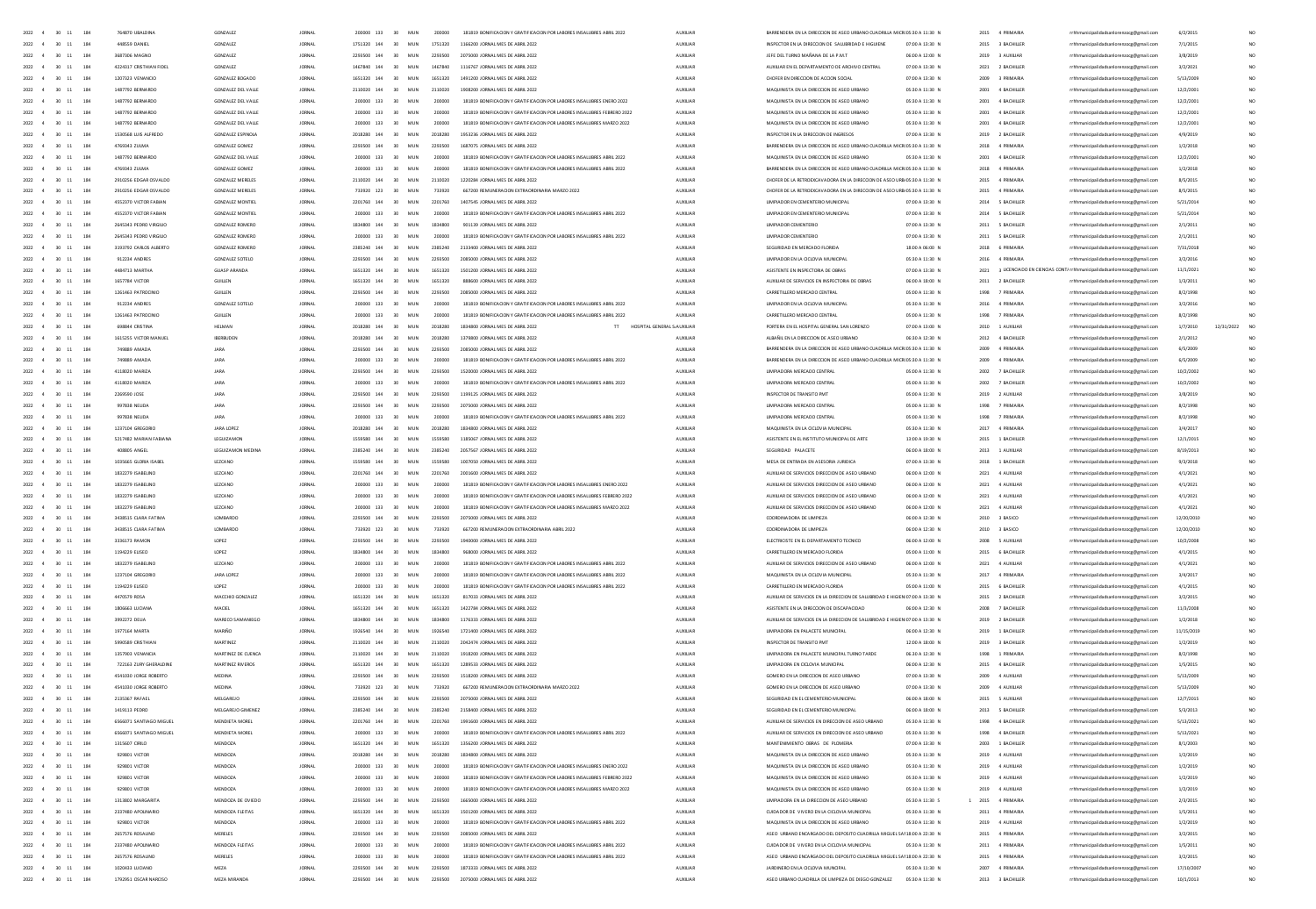| 2022 4                                | $30 - 11$<br>184           | 764870 LIBALDINA        | GONZAIEZ                  | <b>IORNAL</b> | 200000 133  | 30 <sup>°</sup><br>MIN | 200000  | 181819 BONIFICACION Y GRATIFICACION POR LARORES INSAILIRRES ARRIL 2022                | ALDOIDAR        | <b>BARRENDERA EN LA DIRECCIÓN DE ASEO URBANO CUADRILLA MICROS/30 A 11/30</b> |                 |      | 2015 4 PRIMARIA    |                                                                        | 6/2/2015   |                 |
|---------------------------------------|----------------------------|-------------------------|---------------------------|---------------|-------------|------------------------|---------|---------------------------------------------------------------------------------------|-----------------|------------------------------------------------------------------------------|-----------------|------|--------------------|------------------------------------------------------------------------|------------|-----------------|
| 2022 4 30 11                          | 184                        | 448559 DANIEL           | <b>GONZALEZ</b>           | <b>JORNAL</b> | 1751320 144 | 30 MUN                 | 1751320 | 1166200 JORNAL MES DE ABRIL 2022                                                      | ALDOIDAR        | INSPECTOR EN LA DIRECCION DE SALUBRIDAD E HIGUIENE                           | 07:00 A 13:30 N |      | 2015 3 BACHILLER   | rrhhmunicipalidadsanlorenzoce@email.com                                | 7/1/2015   |                 |
| 2022 4 30 11                          | 184                        | 3687306 MAGNO           | GONZALEZ                  | <b>JORNAL</b> | 2293500 144 | 30 <sub>1</sub><br>MUN | 2293500 | 2075000 JORNAL MES DE ABRIL 2022                                                      | AUXILIAR        | JEFE DEL TURNO MAÑANA DE LA P.M.T.                                           | 06:00 A 12:00 N |      | 2019 3 AUXILIAR    | rrhhmunicipalidadsanlorenzoce@email.com                                | 3/8/2019   |                 |
|                                       | 2022 4 30 11 184           | 4224317 CRISTHIAN FIDEL | GONZALEZ                  | <b>JORNAL</b> | 1467840 144 | 30 MUN                 | 1467840 | 1116767 JORNAL MES DE ABRIL 2022                                                      | AUXILIAR        | AUXIUAR EN EL DEPARTAMENTO DE ARCHIVO CENTRAL                                | 07:00 A 13:30 N |      | 2021 2 BACHILLER   | rrhhmunicipalidadsanlorenzoce@email.com                                | 3/2/2021   |                 |
| 2022 4                                | $30 - 11$<br>184           | 1207323 VENANCIO        | GONZALEZ BOGADO           | <b>JORNAL</b> | 1651320 144 | 30 MUN                 | 1651320 | 1491200 JORNAL MES DE ABRIL 2022                                                      | AUXILIAR        | CHOFER EN DIRECCION DE ACCION SOCIAL                                         | 07:00 A 13:30 N |      | 2009 3 PRIMARIA    | rrhhmunicipalidadsanlorenzocg@gmail.com                                | 5/13/2009  |                 |
| 2022 4                                | $30 - 11$<br>184           | 1487792 BERNARDO        | GONZALEZ DEL VALLE        | <b>JORNAL</b> | 2110020 144 | 30 <sup>°</sup><br>MUN | 2110020 | 1908200 JORNAL MES DE ABRIL 2022                                                      | <b>AUXILIAR</b> | MAQUINISTA EN LA DIRECCIÓN DE ASEO URBANO                                    | 05:30 A 11:30 N | 2001 | 4 BACHILLER        | rrhhmunicipalidadsanlorenzocg@gmail.com                                | 12/2/200   |                 |
| $2022 - 4$                            | $30 - 11$<br>184           | 1487792 BERNARDO        | GONZALEZ DEL VALLE        | <b>JORNAL</b> | 200000 133  | 30<br>MUN              | 200000  | 181819 BONIFICACION Y GRATIFICACION POR LABORES INSALUBRES ENERO 2022                 | AUXILIAR        | MAQUINISTA EN LA DIRECCIÓN DE ASEO URBANO                                    | 05:30 A 11:30 N | 2001 | 4 BACHILLE         | rrhhmunicipalidadsanlorenzocg@gmail.com                                | 12/2/200   |                 |
|                                       |                            |                         |                           |               |             |                        |         |                                                                                       |                 |                                                                              |                 |      |                    |                                                                        |            |                 |
| 2022 4                                | $30 - 11$<br>184           | 1487792 BERNARDO        | <b>GONZALEZ DEL VALLE</b> | <b>JORNAL</b> | 200000 133  | 30<br>MUN              | 200000  | 181819 BONIFICACION Y GRATIFICACION POR LABORES INSALUBRES FEBRERO 2022               | <b>AUXILIAR</b> | MAQUINISTA EN LA DIRECCIÓN DE ASEO URBANO                                    | 05:30 A 11:30 N | 2001 | 4 BACHILLER        | rrhhmunicipalidadsanlorenzocg@gmail.com                                | 12/2/200   |                 |
| $2022 - 4$                            | $\mathbf{11}$<br>184<br>30 | 1487792 BERNARDO        | GONZALEZ DEL VALLE        | <b>JORNAL</b> | 200000 133  | 30<br>MUN              | 200000  | 181819 BONIFICACION Y GRATIFICACION POR LABORES INSALUERES MARZO 2022                 | AUXILIAR        | MAQUINISTA EN LA DIRECCIÓN DE ASEO URBANO                                    | 05:30 A 11:30 N | 2001 | 4 BACHILLE         | rrhhmunicipalidadsanlorenzocg@gmail.com                                | 12/2/200   |                 |
| 2022<br>4                             | $30 - 11$<br>184           | 1530568 LUIS ALFREDO    | <b>GONZALEZ ESPINOLA</b>  |               | 2018280 144 | 30<br><b>MUN</b>       | 2018280 | 1953236 JORNAL MES DE ABRIL 2022                                                      | AUXILIAR        | INSPECTOR EN LA DIRECCION DE INGRESOS                                        | 07:00 A 13:30 N |      | 2019 2 BACHILLER   | rrhhmunicipalidadsanlorenzocg@gmail.com                                | 4/9/2019   |                 |
| $2022 - 4$                            | $30 - 11$<br>184           | 4769343 ZUUM            | GONZALEZ GOMEZ            | <b>JORNA</b>  | 2293500 144 | 30<br>MUN              | 2293500 | 1687075 JORNAL MES DE ABRIL 2022                                                      | AUXILIAR        | BARRENDERA EN LA DIRECCIÓN DE ASEO URBANO CUADRILLA MICROS:30 A 11:30 N      |                 | 2018 | 4 PRIMARIA         | rrhhmunicipalidadsanlorenzocg@gmail.com                                | 1/2/2018   |                 |
| 2022 4                                | $30 - 11$<br>184           | 1487792 BERNARDO        | GONZALEZ DEL VALLE        | <b>JORNA</b>  | 200000 133  | 30<br><b>MUN</b>       | 200000  | 181819 BONIFICACION Y GRATIFICACION POR LABORES INSALUBRES ABRIL 2022                 | <b>AUXILIAR</b> | MAQUINISTA EN LA DIRECCIÓN DE ASEO URBANO                                    | 05:30 A 11:30 N | 2001 | 4 BACHILLER        | rrhhmunicipalidadsanlorenzocg@gmail.com                                | 12/2/200   |                 |
| 2022 4                                | $30 \t11$<br>184           | 4769343 ZULMA           | GONZALEZ GOMEZ            | <b>JORNAL</b> | 200000 133  | 30<br>MUN              | 200000  | 181819 BONIFICACION Y GRATIFICACION POR LABORES INSALUBRES ABRIL 2022                 | AUXILIAR        | BARRENDERA EN LA DIRECCIÓN DE ASEO URBANO CUADRILLA MICROSS30 A 11:30 N      |                 |      | 2018 4 PRIMARIA    | rrhhmunicipalidadsanlorenzocg@gmail.com                                | 1/2/2018   | NO <sub>1</sub> |
| 2022 4                                | $30 - 11$<br>184           | 2910256 EDGAR OSVALDO   | <b>GONZALEZ MERELES</b>   | <b>IORNAL</b> | 2110020 144 | MIN<br>30 <sup>°</sup> | 2110020 | 1220284 IORNAL MES DE ARRIL 2022                                                      | <b>ALDOUAR</b>  | CHOFER DE LA RETROEXCAVADORA EN LA DIRECCION DE ASEO URB/05:30 A 11:30 N     |                 |      | 2015 4 PRIMARIA    | rrhhmunicipalidadsanlorenzocg@gmail.com                                | 8/5/2015   | NO <sub>1</sub> |
| $2022 - 4$                            | $30 - 11$<br>184           | 2910256 EDGAR OSVALDO   | <b>GONZALEZ MERELES</b>   | <b>JORNAL</b> | 733920 123  | 30 <sup>°</sup><br>MUN | 733920  | 667200 REMUNERACION EXTRAORDINARIA MARZO 2022                                         | AUXILIAR        | CHOFER DE LA RETROEXCAVADORA EN LA DIRECCIÓN DE ASEO URB/05:30 A 11:30 N     |                 |      | 2015 4 PRIMARIA    |                                                                        | 8/5/2015   | NO <sub>1</sub> |
|                                       |                            |                         |                           |               |             |                        |         |                                                                                       |                 |                                                                              |                 |      |                    | rrhhmunicipalidadsanlorenzocg@gmail.com                                |            |                 |
| 2022 4                                | 30 11<br>184               | 4552370 VICTOR FARIAN   | GONZAIEZ MONTIFI          | <b>IORNAL</b> | 2201260 144 | MIN<br>30 <sup>°</sup> | 2201260 | 1407545 IORNAL MES DE ARRIL 2022                                                      | <b>ALDOUAR</b>  | <b>IIMPIADOR EN CEMENTERIO MUNICIPAL</b>                                     | 02:00 A 13:30 N |      | 2014 S RACHILLER   | rrhhmunicipalidadsanlorenzocg@gmail.com                                | 5/21/2014  | NO <sub>1</sub> |
| 2022 4                                | $30 \t11$<br>184           | 4552370 VICTOR FABIAN   | <b>GONZALEZ MONTIEL</b>   | <b>JORNAL</b> | 200000 133  | MUN<br>30              | 200000  | 181819 BONIFICACION Y GRATIFICACION POR LABORES INSALUBRES ABRIL 2022                 | <b>AUXUAR</b>   | UMPIADOR EN CEMENTERIO MUNICIPAL                                             | 07:00 A 13:30 N |      | 2014 5 BACHILLER   | rrhhmunicipalidadsanlorenzocg@gmail.com                                | 5/21/2014  | NO <sub>1</sub> |
| 2022 4                                | $30 - 11$<br>184           | 2645343 PEDRO VIRGIUO   | <b>GONZALEZ ROMERO</b>    | <b>JORNAL</b> | 1834800 144 | MUN<br>30              | 1834800 | 901139 JORNAL MES DE ABRIL 2022                                                       | <b>AUXUAR</b>   | <b>UMPIADOR CEMENTERIO</b>                                                   | 07:00 A 13:30 N |      | 2011 5 BACHILLER   | rrhhmunicipalidadsanlorenzocg@gmail.com                                | 2/1/2011   | NO <sub>1</sub> |
| 2022 4                                | $30 - 11$<br>184           | 2645343 PEDRO VIRGIUO   | <b>GONZALEZ ROMERO</b>    | <b>JORNAL</b> | 200000 133  | MUN<br>30              | 200000  | 181819 BONIFICACION Y GRATIFICACION POR LABORES INSALUBRES ABRIL 2022                 | <b>AUXUAR</b>   | <b>UMPIADOR CEMENTERIO</b>                                                   | 07:00 A 13:30 N |      | 2011 5 BACHILLER   | rrhhmunicipalidadsanlorenzoce@email.com                                | 2/1/2011   | NO <sub>1</sub> |
| 2022 4                                | $30 - 11$<br>184           | 3193792 CARLOS ALBERTO  | <b>GONZALEZ ROMERO</b>    | <b>JORNAL</b> | 2385240 144 | 30<br>MUN              | 2385240 | 2133400 JORNAL MES DE ABRIL 2022                                                      | AUXILIAR        | SEGURIDAD EN MERCADO FLORIDA                                                 | 18:00 A 06:00 N |      | 2018 6 PRIMARIA    | rrhhmunicipalidadsanlorenzocg@gmail.com                                | 7/31/2018  | NO <sub>1</sub> |
| 2022 4                                | $30 - 11$<br>184           | 912234 ANDRES           | <b>GONZALEZ SOTELO</b>    | <b>JORNAL</b> | 2293500 144 | 30<br>MUN              | 2293500 | 2085000 JORNAL MES DE ABRIL 2022                                                      | <b>AUXUAR</b>   | UMPIADOR EN LA CICLOVIA MUNICIPAL                                            | 05:30 A 11:30 N | 2016 | 4 PRIMARIA         | rrhhmunicipalidadsanlorenzocg@gmail.com                                | 3/2/2016   | NO <sub>1</sub> |
| 2022 4                                | 184<br>$30 - 11$           | 4484713 MARTHA          | <b>GUASP ARANDA</b>       | <b>JORNAL</b> | 1651320 144 | 30<br>MUN              | 1651320 | 1501200 JORNAL MES DE ABRIL 2022                                                      | AUXILIAR        | ASISTENTE EN INSPECTORIA DE OBRAS                                            | 07:00 A 13:30 N | 2021 |                    | 3 LICENCIADO EN CIENCIAS CONT/ rrhhmunicipalidadsanlorenzocg@gmail.com | 11/1/2021  | NO <sub>1</sub> |
| 2022 4                                | $30 - 11$<br>184           |                         |                           | <b>JORNAL</b> | 1651320 144 |                        | 1651320 |                                                                                       |                 | AUXIUAR DE SERVICIOS EN INSPECTORIA DE OBRAS                                 | 06:00 A 18:00 N | 2011 |                    |                                                                        |            | NO <sub>1</sub> |
|                                       |                            | 1657784 VICTOR          | GUILLEN                   |               |             | 30<br>MUN              |         | 888600 JORNAL MES DE ABRIL 2022                                                       | <b>AUXUAR</b>   |                                                                              |                 |      | 2 BACHILLER        | rrhhmunicipalidadsanlorenzocg@gmail.com                                | 1/3/2011   |                 |
| 2022                                  | $30 - 11$<br>184           |                         | GUILLEN                   | <b>JORNAL</b> |             | MUN                    |         | 2085000 JORNAL MES DE ABRIL 2022                                                      | AUXILIAR        | CARRETILLERO MERCADO CENTRA                                                  | 05:00 A 11:30 N | 1998 | 7 PRIMARIA         | rrhhmunicipalidadsanlorenzocg@gmail.com                                | 8/2/1998   |                 |
| 2022                                  | $30 - 11$<br>184           | 912234 ANDRES           | <b>GONZALEZ SOTELO</b>    | <b>JORNAL</b> | 200000 133  | MUN                    | 200000  | 181819 BONIFICACION Y GRATIFICACION POR LABORES INSALUBRES ABRIL 2022                 | <b>AUXILIAR</b> | UMPIADOR EN LA CICLOVIA MUNICIPAL                                            | 05:30 A 11:30 N | 2016 | 4 PRIMARIA         | rrhhmunicipalidadsanlorenzocg@gmail.com                                | 3/2/2016   | NO <sub>1</sub> |
| $\overline{4}$<br>2022                | $30 - 11$<br>184           | 1261463 PATROCINIC      | <b>GUILLEN</b>            | <b>JORNAL</b> |             | MUN                    |         | 181819 BONIFICACION Y GRATIFICACION POR LABORES INSALUBRES ABRIL 2022                 | AUXILIAR        | CARRETILLERO MERCADO CENTRA                                                  | 05:00 A 11:30 N | 1998 |                    | rrhhmunicipalidadsanlorenzocg@gmail.com                                | 8/2/1998   |                 |
| 2022<br>$\mathbf{A}$                  | $30 - 11$<br>184           | 698844 CRISTINA         | <b>HELMAN</b>             | <b>JORNA</b>  | 2018280 144 | MUN                    | 2018280 | 1834800 JORNAL MES DE ABRIL 2022<br>$\overline{\rm H}$<br>HOSPITAL GENERAL S AUXILIAR |                 | PORTERA EN EL HOSPITAL GENERAL SAN LORENZO                                   | 07:00 A 13:00 N | 2010 | 1 AUXILIAR         | icipalidadsanlorenzocg@gmail.com                                       | 1/7/2010   | NO <sub>1</sub> |
| 2022 4                                | $30 \t11$<br>184           | 1615255 VICTOR MANUEL   | <b>IRERAUDEN</b>          | <b>JORNAL</b> | 2018280 144 | 30 <sup>°</sup><br>MIN | 2018280 | 1379800 IORNAL MES DE ARRIL 2022                                                      | ALCOHOL:        | ALBA SILEN LA DIRECCIÓN DE ASEO URBANO                                       | 06/30 A 12/30 N | 2012 | 4 RACHILLER        | inicipalidadsanlorenzocg@gmail.com                                     | 2/1/2012   |                 |
| 2022 4                                | $30 \t11$<br>184           | 749889 AM4 ha           | JARA                      | <b>JORNA</b>  | 2293500 144 | 30 <sup>°</sup><br>MUN |         | 2085000 IORNAL MES DE ARRIL 2022                                                      | AUXILIAR        | BARRENDERA EN LA DIRECCION DE ASEO URBANO CUADRILLA MICROS:30 A 11:30 N      |                 | 2009 | 4 PRIMARIA         | icipalidadsanlorenzoog@gmail.cor                                       | 6/5/200    |                 |
| 2022 4                                | $30 \t11$<br>184           | 749889 AMADA            | JARA                      | <b>JORNAL</b> | 200000 133  | 30 <sup>°</sup><br>MIN | 200000  | 181819 BONIFICACIÓN Y GRATIFICACIÓN POR LABORES INSALUBRES ABRIL 2022                 | ALCOHOL:        | BARRENDERA EN LA DIRECCIÓN DE ASEO URBANO CUADRILLA MICROS:30 A 11:30 N      |                 | 2009 | 4 PRIMARIA         | unicipalidadsanlorenzocg@gmail.com                                     | 6/5/2009   | NO              |
| 2022 4                                | $30 - 11$<br>184           | 4118020 MARIZA          | <b>JARA</b>               | <b>IORNAL</b> | 2293500 144 | MIN<br>30 <sub>1</sub> | 2293500 | 1520000 IORNAL MES DE ARRIL 2022                                                      | <b>ALDOUAR</b>  | <b>IIMPIADORA MERCADO CENTRAL</b>                                            | 05:00 A 11:30 N |      | 2002 7 RACHILLER   | rrhhmunicipalidadsanlorenzoce@email.com                                | 10/2/200   | NO <sub>1</sub> |
|                                       |                            |                         |                           |               | 200000 133  |                        |         |                                                                                       |                 | <b>IIMPIADORA MERCADO CENTRAL</b>                                            | 05:00 A 11:30 N |      | <b>7 RACHILLER</b> |                                                                        |            |                 |
| $2022 - 4$                            | $30 - 11$<br>184           | 4118020 MARIZA          | JARA                      | <b>IORNAL</b> |             | 30 <sup>°</sup><br>MIN | 200000  | 181819 BONIFICACIÓN Y GRATIFICACIÓN POR LABORES INSALUBRES ABRIL 2022                 | ALCOHOL:        |                                                                              |                 | 2002 |                    | inicipalidadsanlorenzocg@gmail.com                                     | 10/2/2002  | NO <sub>1</sub> |
| 2022 4 30 11                          | 184                        | 2269590 JOSE            | JARA                      | <b>JORNAL</b> | 2293500 144 | 30 MUN                 | 2392500 | 1199125 JORNAL MES DE ABRIL 2022                                                      | <b>AUXUAR</b>   | INSPECTOR DE TRANSITO PMT                                                    | 05:00 A 11:30 N |      | 2019 2 AUXILIAR    | rrhhmunicipalidadsanlorenzocg@gmail.com                                | 3/8/2019   | NO <sub>1</sub> |
|                                       | 2022 4 30 11 184           | 997838 NEUDA            | JARA                      | <b>JORNAL</b> | 2293500 144 | 30 MUN                 | 2293500 | 2075000 JORNAL MES DE ABRIL 2022                                                      | <b>AUXUAR</b>   | <b>UMPIADORA MERCADO CENTRAL</b>                                             | 05:00 A 11:30 N |      | 1998 7 PRIMARIA    | rrhhmunicipalidadsanlorenzoce@email.com                                | 8/2/1998   |                 |
| $2022 \qquad 4 \qquad 30 \quad \  11$ | 184                        | 997838 NEUDA            | JARA                      | <b>JORNAL</b> | 200000 133  | 30 MUN                 | 200000  | 181819 BONIFICACION Y GRATIFICACION POR LABORES INSALUERES ABRIL 2022                 | AUXILIAR        | <b>UMPIADORA MERCADO CENTRAL</b>                                             | 05:00 A 11:30 N |      | 1998 7 PRIMARIA    | rrhhmunicipalidadsanlorenzocg@gmail.com                                | 8/2/1998   |                 |
|                                       | 2022 4 30 11 184           | 1237104 GREGORIO        | JARA LOPEZ                | <b>JORNAL</b> | 2018280 144 | 30 MUN                 | 2018280 | 1834800 JORNAL MES DE ABRIL 2022                                                      | <b>AUXILIAR</b> | MAQUINISTA EN LA CICLOVIA MUNICIPAL                                          | 05:30 A 11:30 N |      | 2017 4 PRIMARIA    | rrhhmunicipalidadsanlorenzoce@email.com                                | 3/4/2017   |                 |
| $2022 \qquad 4 \qquad 30 \quad \  11$ | 184                        | 5217482 MARIAN FABIANA  | LEGUIZAMON                | <b>JORNAL</b> | 1559580 144 | 30 MUN                 | 1559580 | 1185067 JORNAL MES DE ABRIL 2022                                                      | AUXILIAR        | ASISTENTE EN EL INSTITUTO MUNICIPAL DE ARTE                                  | 13:00 A 19:30 N |      | 2015 1 BACHILLER   | rrhhmunicipalidadsanlorenzocg@gmail.com                                | 12/1/2015  |                 |
| 2022 4                                | $30 - 11$<br>184           | 408805 ANGEL            | LEGUIZAMON MEDINA         | <b>JORNAL</b> | 2385240 144 | 30<br>MUN              | 2385240 | 2057567 JORNAL MES DE ABRIL 2022                                                      | <b>AUXILIAR</b> | SEGURIDAD PALACETE                                                           | 06:00 A 18:00 N |      | 2013 1 AUXILIAR    | rrhhmunicipalidadsanlorenzocg@gmail.com                                | 8/19/201   |                 |
| 2022 4                                | $30 - 11$<br>184           | 1035665 GLORIA ISABEL   | LEZCANO                   | <b>JORNAL</b> | 1559580 144 | 30<br>MUN              | 1559580 | 1007050 JORNAL MES DE ABRIL 2022                                                      | <b>AUXILIAR</b> | MESA DE ENTRADA EN ASESORIA JURIDICA                                         | 07:00 A 13:30 N |      | 2018 1 BACHILLER   | rrhhmunicipalidadsanlorenzocg@gmail.com                                | 9/3/2018   |                 |
|                                       |                            |                         |                           |               |             |                        |         |                                                                                       |                 | AUXILIAR DE SERVICIOS DIRECCIÓN DE ASEO URBANO                               |                 |      |                    |                                                                        |            |                 |
| 2022 4                                | $30 - 11$<br>184           | 1832279 ISABELINO       | LEZCANO                   | <b>JORNAL</b> | 2201760 144 | 30<br>MUN              | 2201760 | 2001600 JORNAL MES DE ABRIL 2022                                                      | <b>AUXILIAR</b> |                                                                              | 06:00 A 12:00 N |      | 2021 4 AUXILIAR    | rrhhmunicipalidadsanlorenzocg@gmail.com                                | 4/1/2021   |                 |
|                                       | $30 - 11$<br>184           | 1832279 ISABELINO       | LEZCANO                   | <b>JORNA</b>  | 200000 133  | 30<br>MUN              | 200000  | 181819 BONIFICACION Y GRATIFICACION POR LABORES INSALUBRES ENERO 2022                 | AUXILIAR        | AUXILIAR DE SERVICIOS DIRECCIÓN DE ASEO URBANO                               | 06:00 A 12:00 N | 2021 | 4 AUXILIAR         | rrhhmunicipalidadsanlorenzocg@gmail.com                                | 4/1/2021   |                 |
| 2022 4                                | $30 - 11$<br>184           | 1832279 ISABELINO       | LEZCANO                   | <b>JORNA</b>  | 200000 133  | 30<br>MUN              |         | 181819 BONIFICACION Y GRATIFICACION POR LABORES INSALUERES FEBRERO 202                | <b>AUXILIAR</b> | AUXILIAR DE SERVICIOS DIRECCION DE ASEO URBANO                               | 06:00 A 12:00 N |      | 2021 4 AUXILIAR    | rrhhmunicipalidadsanlorenzocg@gmail.com                                | 4/1/2021   |                 |
| 2022<br>$\overline{4}$                | $30 - 11$<br>184           | 1832279 ISABELINO       | LEZCANO                   | <b>JORNA</b>  | 200000 133  | 30<br>MUN              | 200000  | 181819 BONIFICACION Y GRATIFICACION POR LABORES INSALUERES MARZO 2022                 | AUXILIAR        | AUXILIAR DE SERVICIOS DIRECCIÓN DE ASEO URBANO                               | 06:00 A 12:00 N | 2021 | 4 AUXILIAR         | rrhhmunicipalidadsanlorenzocg@gmail.com                                | 4/1/2021   |                 |
| 2022 4                                | $30 - 11$<br>184           | 3438515 CLARA FATIMA    | LOMBARDO                  | <b>JORNA</b>  | 2293500 144 | 30<br>MUN              | 2293500 | 2075000 JORNAL MES DE ABRIL 2022                                                      | <b>AUXILIAR</b> | COORDINADORA DE LIMPIEZA                                                     | 06:00 A 12:30 N |      | 2010 3 BASICO      | rrhhmunicipalidadsanlorenzocg@gmail.com                                | 12/20/2010 |                 |
| $2022 - 4$                            | $30 \t11$<br>184           | 3438515 CLARA FATIMA    | LOMBARDO                  | <b>JORNAL</b> | 733920 123  | 30<br>MUN              | 733920  | 667200 REMUNERACION EXTRAORDINARIA ABRIL 2022                                         | AUXILIAR        | COORDINADORA DE LIMPIEZA                                                     | 06:00 A 12:30 N |      | 2010 3 BASICO      | rrhhmunicipalidadsanlorenzocg@gmail.com                                | 12/20/2010 |                 |
| 2022 4                                | $30 - 11$<br>184           | 3336173 RAMO            | LOPEZ                     | <b>JORNA</b>  | 2293500 144 | 30 <sub>o</sub><br>MUN | 2293500 | 1940000 JORNAL MES DE ABRIL 2022                                                      | AUXILIAR        | ELECTRICISTE EN EL DEPARTAMENTO TECNICO                                      | 06:00 A 12:00 N |      | 2008 5 AUXILIAR    | rrhhmunicipalidadsanlorenzocg@gmail.com                                | 10/2/2008  |                 |
| $2022 - 4$                            | 30 11<br>184               | 1194229-FLISEO          | LOPEZ                     | <b>JORNAL</b> | 1834800 144 | 30 <sup>°</sup><br>MUN | 1834800 | 958000 IORNAL MES DE ARRIL 2022                                                       | AUXILIAR        | CARRETILLERO EN MERCADO FIORIDA                                              | 05:00 A 11:00 N |      | 2015 6 BACHILLER   | rrhhmunicipalidadsanlorenzocg@gmail.com                                | 4/1/2015   |                 |
| 2022 4                                | $30 - 11$<br>184           | 1832279 ISABELINO       | LEZCANO                   | <b>JORNAL</b> | 200000 133  | MUN<br>30              | 200000  | 181819 BONIFICACION Y GRATIFICACION POR LABORES INSALUBRES ABRIL 2022                 | AUXILIAR        | AUXIUAR DE SERVICIOS DIRECCION DE ASEO URBANO                                | 06:00 A 12:00 N |      | 2021 4 AUXILIAR    |                                                                        | 4/1/2021   | NO <sub>1</sub> |
|                                       |                            |                         |                           |               |             |                        |         |                                                                                       |                 |                                                                              |                 |      |                    | rrhhmunicipalidadsanlorenzocg@gmail.com                                |            |                 |
| 2022 4                                | $30 - 11$<br>184           | 1237104 GREGORIO        | JARA LOPEZ                | <b>JORNAL</b> | 200000 133  | MUN<br>30 <sub>1</sub> | 200000  | 181819 BONIFICACION Y GRATIFICACION POR LABORES INSALUBRES ABRIL 2022                 | AUXILIAR        | MAQUINISTA EN LA CICLOVIA MUNICIPAL                                          | 05:30 A 11:30 N |      | 2017 4 PRIMARIA    | rrhhmunicipalidadsanlorenzoce@email.com                                | 3/4/2017   | NO <sub>1</sub> |
| 2022 4                                | $30 - 11$<br>184           | 1194229 EUSEO           | LOPEZ                     | <b>JORNAL</b> | 200000 133  | MUN<br>30              | 200000  | 181819 BONIFICACION Y GRATIFICACION POR LABORES INSALUBRES ABRIL 2022                 | AUXILIAR        | CARRETILLERO EN MERCADO FLORIDA                                              | 05:00 A 11:00 N |      | 2015 6 BACHILLER   | rrhhmunicipalidadsanlorenzocg@gmail.com                                | 4/1/2015   | NO <sub>1</sub> |
| 2022 4                                | 30 11<br>184               | 4470579 ROSA            | MACCHIO GONZALEZ          | <b>JORNAL</b> | 1651320 144 | MUN<br>30 <sub>1</sub> | 1651320 | 817033 JORNAL MES DE ABRIL 2022                                                       | <b>AUXILIAR</b> | AUXIUAR DE SERVICIOS EN LA DIRECCION DE SALUBRIDAD E HIGIENIO7:00 A 13:30 N  |                 |      | 2015 2 BACHILLER   | rrhhmunicipalidadsanlorenzoce@email.com                                | 3/2/2015   | NO <sub>1</sub> |
| 2022 4                                | 30 11<br>184               | 1805663 LUCIAN          | MACIEL                    | <b>JORNAL</b> | 1651320 144 | MUN<br>30              | 1651320 | 1422784 JORNAL MES DE ABRIL 2022                                                      | AUXILIAR        | ASISTENTE EN LA DIRECCION DE DISCAPACIDAD                                    | 06:00 A 12:30 N |      | 2008 7 BACHILLER   | rrhhmunicipalidadsanlorenzocg@gmail.com                                | 11/3/2008  | NO <sub>1</sub> |
| 2022 4                                | 30 11<br>184               | 3992272 DEUA            | MARECO SAMANIEGO          | <b>JORNAL</b> | 1834800 144 | MUN<br>30 <sub>1</sub> | 1834800 | 1176333 JORNAL MES DE ABRIL 2022                                                      | <b>AUXILIAR</b> | AUXIUAR DE SERVICIOS EN LA DIRECCION DE SALUBRIDAD E HIGIENIO7:00 A 13:30 N  |                 |      | 2019 2 BACHILLER   | rrhhmunicipalidadsanlorenzoce@email.com                                | 1/2/2018   | NO <sub>1</sub> |
| 2022 4                                | 184<br>$30 - 11$           | 1977164 MARTA           | MARIÑO                    | <b>JORNAL</b> | 1926540 144 | MUN<br>30              | 1926540 | 1721400 JORNAL MES DE ABRIL 2022                                                      | AUXILIAR        | <b>UMPIADORA EN PALACETE MUNICIPAL</b>                                       | 06:00 A 12:30 N |      | 2019 1 BACHILLER   | rrhhmunicipalidadsanlorenzocg@gmail.com                                | 11/15/2015 | NO <sub>1</sub> |
| 2022 4                                | $30 - 11$<br>184           | 5990589 CRISTHIAM       | <b>MARTINEZ</b>           | <b>JORNAL</b> | 2110020 144 | MUN                    |         | 2042474 JORNAL MES DE ABRIL 2022                                                      | <b>AUXUAR</b>   |                                                                              | 12:00 A 18:00 N |      | 2019 3 BACHILLER   | rrhhmunicipalidadsanlorenzocg@gmail.com                                | 1/2/2019   |                 |
| 2022                                  | $11\,$<br>184              | 1357903 VENANCI         | MARTINEZ DE CUENCI        | <b>JORNAL</b> |             | MUN                    |         |                                                                                       | AUXILIAR        | UMPIADORA EN PALACETE MUNICIPAL TURNO TARDE                                  | 06.30 A 12:30 N | 1998 | 1 PRIMARIA         |                                                                        | 8/2/1998   |                 |
| 2022                                  | 11<br>184                  |                         |                           |               | 1651320 144 |                        |         |                                                                                       |                 |                                                                              | 06:00 A 12:30 N | 2015 |                    | rrhhmunicipalidadsanlorenzocg@gmail.com                                |            |                 |
|                                       |                            | 722163 ZURY GHERALDIN   | MARTINEZ RIVEROS          | <b>JORNAL</b> |             | MUN                    | 1651320 | 1289533 JORNAL MES DE ABRIL 2022                                                      | <b>AUXILIAR</b> | <b>UMPIADORA EN CICLOVIA MUNICIPA</b>                                        |                 |      | 4 BACHILLEI        | rrhhmunicipalidadsanlorenzoog@gmail.com                                | 1/5/2015   |                 |
| 2022<br>$\overline{4}$                | $11\,$<br>184              | 4541030 JORGE ROBERTO   | MEDIN                     | <b>JORNAL</b> | 2293500 144 | MUN                    |         |                                                                                       | AUXILIA         | GOMERO EN LA DIRECCIÓN DE ASEO URBAI                                         | 07:00 A 13:30 N | 2009 | 4 AUXILIAR         | rrhhmunicipalidadsanlorenzocg@gmail.com                                | 5/13/2005  |                 |
| 2022 4                                | $30 - 11$<br>184           | 4541030 IORGE ROBERTO   | <b>MEDINA</b>             | <b>JORNA</b>  | 733920 123  | MUN                    |         | 667200 REMUNERACION EXTRAORDINARIA MARZO 2022                                         | ALCOHOL:        | GOMERO EN LA DIRECCIÓN DE ASEO URBANC                                        | 07:00 A 13:30 N | 2009 | 4 AUXILIAR         | icipalidadsanlorenzocg@gmail.com                                       | 5/13/2009  |                 |
| $\overline{4}$                        | $\overline{11}$<br>184     | 2135367 RAFAI           | MELGAREJO                 | <b>JORNA</b>  | 2293500 144 |                        |         |                                                                                       |                 | SEGURIDAD EN EL CEMENTERIO MUNICIPA                                          | 06:00 A 18:00 N | 2015 | 5 AUXILIAR         | rrhhmunicipalidadsanlorenzocg@gmail.com                                | 12/7/2019  |                 |
| 2022 4                                | $30 - 11$<br>184           | 1419113 PEDRO           | MELGAREJO GIMENE          | <b>JORNAL</b> | 2205240 144 | 20 <sup>1</sup><br>MUN |         | 3100400 (ORMA) MCC DC ARRI 2022                                                       | AUXUAR          | SEGURIDAD EN EL CEMENTERIO MUNICIPAL                                         | 06:00 A 18:00 N |      | 2013 5 BACHILLEI   | hhmunicipalidadsanlorenzocg@gmail.cc                                   | 5/3/2013   |                 |
| $2022 - 4$                            | 30 11<br>184               | 6566071 SANTIAGO MIGUEL | MENDIFTA MORE             | <b>IORNAL</b> | 2201760 144 | 30 <sup>°</sup><br>MIN | 2201260 | 1991600 IORNAL MES DE ARRIL 2022                                                      | ALCOHOL:        | AUXILIAR DE SERVICIOS EN DIRECCIÓN DE ASEO URRANO                            | 05/30 A 11/30 N |      | 1998 4 RACHILLER   | rrhhmunicipalidadsanlorenzocg@gmail.com                                | 5/13/202   |                 |
| 2022 4                                | $30 - 11$<br>184           | 6566071 SANTIAGO MIGUEL | MENDIETA MORE             | <b>JORNAL</b> | 200000 133  | MUN<br>30              | 200000  | 181819 BONIFICACION Y GRATIFICACION POR LABORES INSALUBRES ABRIL 2022                 | AUXILIAR        | AUXIUAR DE SERVICIOS EN DIRECCION DE ASEO URBANO                             | 05:30 A 11:30 N |      | 1998 4 BACHILLER   | rrhhmunicipalidadsanlorenzocg@gmail.com                                | 5/13/202   |                 |
| 2022 4                                | $30 - 11$<br>184           | 1315607 0810            | MENDOZA                   | <b>IORNAL</b> | 1651320 144 | 30 <sup>°</sup><br>MIN | 1651320 | 1356200 IORNAL MES DE ARRIL 2022                                                      | ALCOHOL:        | MANTENIMIENTO ORRAS DE PIOMERIA                                              | 02:00 A 13:30 N |      | 2003 1 RACHILLER   |                                                                        | 8/1/2003   |                 |
|                                       |                            |                         |                           |               |             |                        |         |                                                                                       |                 |                                                                              |                 |      |                    | rrhhmunicipalidadsanlorenzocg@gmail.com                                |            |                 |
| 2022 4                                | $30 - 11$<br>184           | 929801 VICTOR           | MENDOZA                   | <b>JORNAL</b> | 2018280 144 | 30 MUN                 | 2018280 | 1834800 JORNAL MES DE ABRIL 2022                                                      | <b>AUXUAR</b>   | MAQUINISTA EN LA DIRECCIÓN DE ASEO URBANO                                    | 05:30 A 11:30 N |      | 2019 4 AUXILIAR    | rrhhmunicipalidadsanlorenzoce@email.com                                | 1/2/2019   |                 |
| 2022 4                                | 30 11<br>184               | 929801 VICTOR           | MENDOZA                   | <b>JORNAL</b> | 200000 133  | 30 MUN                 | 200000  | 181819 BONIFICACION Y GRATIFICACION POR LABORES INSALUERES ENERO 2022                 | <b>AUXILIAR</b> | MAQUINISTA EN LA DIRECCIÓN DE ASEO URBANO                                    | 05:30 A 11:30 N |      | 2019 4 AUXILIAR    | rrhhmunicipalidadsanlorenzoce@email.com                                | 1/2/2019   |                 |
| 2022 4                                | $30 \t11$<br>184           | 929801 VICTOR           | MENDOZA                   | <b>JORNAL</b> | 200000 133  | 30 MUN                 | 200000  | 181819 BONIFICACION Y GRATIFICACION POR LABORES INSALUERES FEBRERO 2022               | AUXILIAR        | MAQUINISTA EN LA DIRECCIÓN DE ASEO URBANO                                    | 05:30 A 11:30 N |      | 2019 4 AUXILIAR    | rrhhmunicipalidadsanlorenzoce@email.com                                | 1/2/2019   |                 |
| 2022 4                                | 30 11<br>184               | 929801 VICTOR           | MENDOZA                   | <b>JORNAL</b> | 200000 133  | 30 MUN                 | 200000  | 181819 BONIFICACION Y GRATIFICACION POR LABORES INSALUBRES MARZO 2022                 | <b>AUXILIAR</b> | MAQUINISTA EN LA DIRECCIÓN DE ASEO URBANO                                    | 05:30 A 11:30 N |      | 2019 4 AUXILIAR    | rrhhmunicipalidadsanlorenzoce@email.com                                | 1/2/2019   |                 |
| 2022 4                                | $30 \t11$<br>184           | 1313802 MARGARITA       | MENDOZA DE OVIEDO         | <b>JORNAL</b> | 2293500 144 | 30<br>MUN              | 2293500 | 1665000 JORNAL MES DE ABRIL 2022                                                      | AUXILIAR        | <b>UMPIADORA EN LA DIRECCIÓN DE ASEO URBANO</b>                              | 05:30 A 11:30 S | 2015 | 4 PRIMARIA         | rrhhmunicipalidadsanlorenzocg@gmail.com                                | 2/3/2015   |                 |
| 2022 4                                | $30 - 11$<br>184           | 2337480 APOUNARI        | MENDOZA FLEITAS           | <b>JORNAL</b> | 1651320 144 | 30<br>MUN              | 1651320 | 1501200 JORNAL MES DE ABRIL 2022                                                      | <b>AUXILIAR</b> | CUIDADOR DE VIVERO EN LA CICLOVIA MUNICIPAL                                  | 05:30 A 11:30 N | 2011 | 4 PRIMARIA         | rrhhmunicipalidadsanlorenzocg@gmail.com                                | 1/5/2011   |                 |
| 2022 4                                | $30 - 11$<br>184           | 929801 VICTOR           | MENDOZA                   | <b>JORNAL</b> | 200000 133  | 30<br>MUN              | 200000  | 181819 BONIFICACION Y GRATIFICACION POR LABORES INSALUBRES ABRIL 2022                 | AUXILIAR        | MAQUINISTA EN LA DIRECCION DE ASEO URBANO                                    | 05:30 A 11:30 N |      | 2019 4 AUXILIAR    | rrhhmunicipalidadsanlorenzocg@gmail.com                                | 1/2/2019   |                 |
|                                       |                            |                         |                           |               |             |                        |         |                                                                                       |                 |                                                                              |                 |      |                    |                                                                        |            |                 |
| 2022 4                                | $30 - 11$<br>184           | 2657576 ROSAUNO         | MERELES                   | <b>JORNAL</b> | 2293500 144 | 30<br>MUN              | 2293500 | 2085000 JORNAL MES DE ABRIL 2022                                                      | <b>AUXILIAR</b> | ASEO URBANO ENCARGADO DEL DEPOSITO CUADRILLA MIGUEL SA/18:00 A 22:30 N       |                 | 2015 | 4 PRIMARIA         | rrhhmunicipalidadsanlorenzocg@gmail.com                                | 3/2/2015   |                 |
| $2022 - 4$                            | $30 - 11$<br>184           | 2337480 APOUNARI        | MENDOZA FLEITAS           | <b>JORNA</b>  | 200000 133  | MUN                    | 200000  | 181819 BONIFICACION Y GRATIFICACION POR LABORES INSALUBRES ABRIL 2022                 | AUXILIAR        | CUIDADOR DE VIVERO EN LA CICLOVIA MUNICIPAL                                  | 05:30 A 11:30 N | 2011 | 4 PRIMARIA         | rrhhmunicipalidadsanlorenzocg@gmail.com                                | 1/5/2011   |                 |
| 2022 4                                | $30 - 11$<br>184           | 2657576 ROSAUNO         | MERELES                   | <b>JORNAL</b> | 200000 133  | 30<br>MUN              | 200000  | 181819 BONIFICACION Y GRATIFICACION POR LABORES INSALUBRES ABRIL 2022                 | AUXILIAR        | ASEO URBANO ENCARGADO DEL DEPOSITO CUADRILLA MIGUEL SA/18:00 A 22:30 N       |                 | 2015 | 4 PRIMARIA         | rrhhmunicipalidadsanlorenzocg@gmail.com                                | 3/2/2015   |                 |
| $2022 \qquad 4 \qquad 30 \quad \  11$ | 184                        | 1020433 LUCIANO         | MEZA                      | <b>JORNA</b>  | 2293500 144 | 30<br>MUN              | 2293500 | 1873333 JORNAL MES DE ABRIL 2022                                                      | AUXILIAR        | JARDINERO EN LA CICLOVIA MUNCIPAL                                            | 05:30 A 11:30 N |      | 2007 4 PRIMARIA    | rrhhmunicipalidadsanlorenzocg@gmail.com                                | 17/10/200  |                 |
| $2022 \qquad 4 \qquad 30 \quad \  11$ | 184                        | 1792951 OSCAR NARCISO   | MEZA MIRANDA              | <b>JORNAL</b> | 2293500 144 | 30 MUN                 | 2293500 | 2075000 JORNAL MES DE ABRIL 2022                                                      | <b>AUXUAR</b>   | ASEO URBANO CUADRILLA DE UMPIEZA DE DIEGO GONZALEZ                           | 05:30 A 11:30 N |      | 2013 3 BACHILLER   | rrhhmunicipalidadsanlorenzocg@gmail.com                                | 10/1/2013  | NO <sub>1</sub> |
|                                       |                            |                         |                           |               |             |                        |         |                                                                                       |                 |                                                                              |                 |      |                    |                                                                        |            |                 |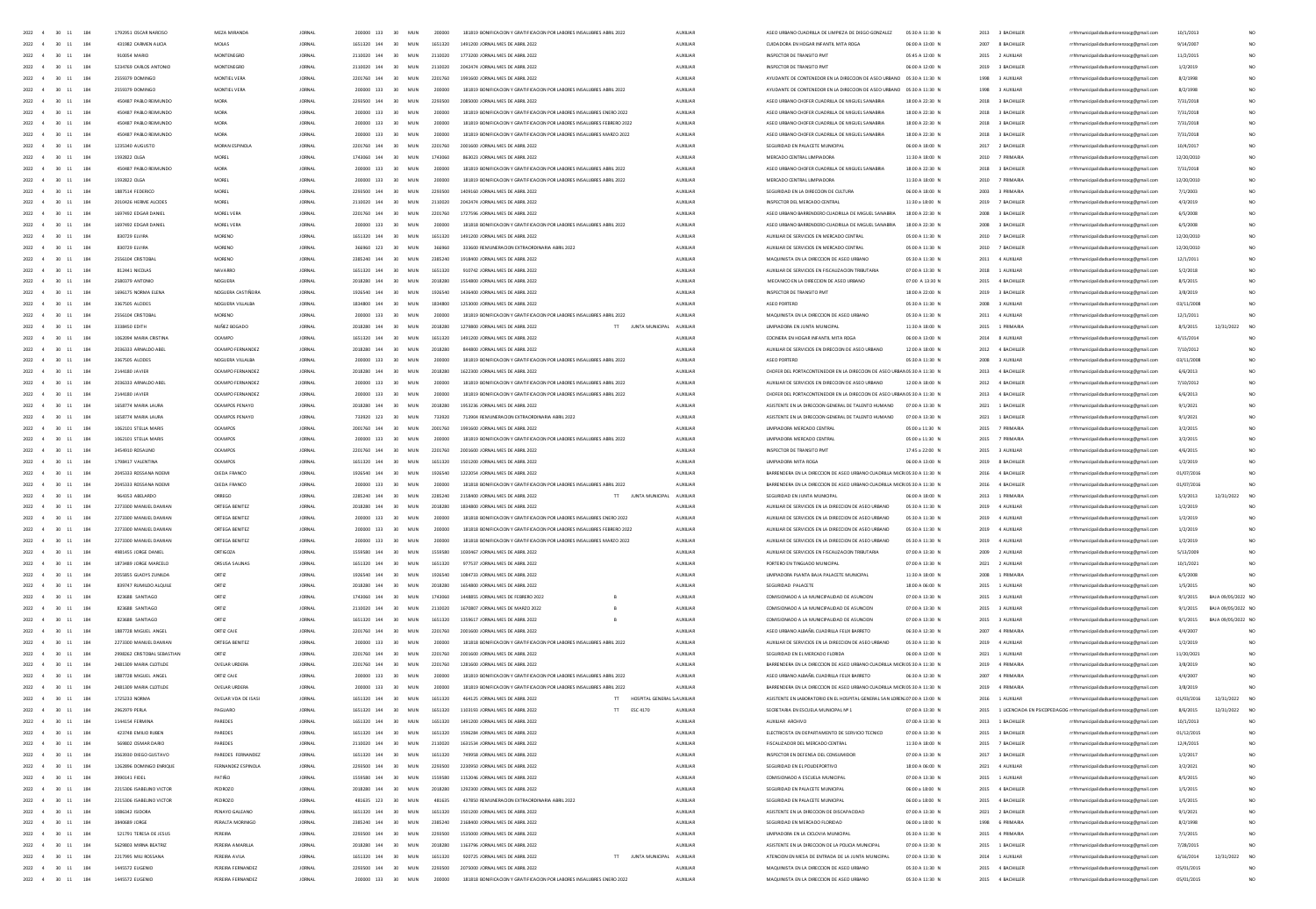|                                            | 1792951 OSCAR NARCISO                           | MF7A MIRANDA                           | <b>IORNAL</b>                  | 200000 133                              | 30 <sub>1</sub><br>MIN | 200000            | 181819 BONIFICACION Y GRATIFICACION POR LARORES INSAILIBRES ARRIL 2022                                    | ALDOHAN              | ASED URBAND CHADRILLA DE UMPIEZA DE DIEGO GONZALEZ                                     | 05:30 A 11:30 N                    | 2013 3 BACHILLER                     |                                                                                    | 10/1/2013                |                               |
|--------------------------------------------|-------------------------------------------------|----------------------------------------|--------------------------------|-----------------------------------------|------------------------|-------------------|-----------------------------------------------------------------------------------------------------------|----------------------|----------------------------------------------------------------------------------------|------------------------------------|--------------------------------------|------------------------------------------------------------------------------------|--------------------------|-------------------------------|
| 2022 4<br>30 11<br>184                     | 431982 CARMEN AUCH                              | MOLAS                                  | <b>JORNAL</b>                  | 1651320 144                             | 30 <sup>°</sup><br>MUN | 1651320           | 1491200 JORNAL MES DE ABRIL 2022                                                                          | <b>AUXILIAR</b>      | CUIDADORA EN HOGAR INFANTIL MITA ROGA                                                  | 06:00 A 13:00 N                    | 2007 8 BACHILLER                     | rrhhmunicipalidadsanlorenzoce@email.com                                            | 9/14/2007                | NO.                           |
| 2022 4 30 11<br>184                        | 910054 MARIO                                    | MONTENEGRO                             | <b>JORNAL</b>                  | 2110020 144                             | 30 <sub>2</sub><br>MUN | 2110020           | 1773200 JORNAL MES DE ABRIL 2022                                                                          | AUXILIAR             | INSPECTOR DE TRANSITO PMT                                                              | 05:45 A 12:00 N                    | 2015 2 AUXILIAR                      | rrhhmunicipalidadsanlorenzoce@email.com                                            | 11/2/2015                | NO.                           |
| 2022 4 30 11 184                           | 5234769 CARLOS ANTONIO                          | MONTENEGRO                             | <b>JORNAL</b>                  | 2110020 144                             | 30<br>MUN              | 2110020           | 2042474 JORNAL MES DE ABRIL 2022                                                                          | AUXUAR               | INSPECTOR DE TRANSITO PMT                                                              | 06:00 A 12:00 N                    | 2019 3 BACHILLER                     | rrhhmunicipalidadsanlorenzoce@email.com                                            | 1/2/2019                 | NO.                           |
| 2022 4<br>30 11 184                        | 2559379 DOMINGO                                 | MONTIEL VERA                           | <b>LORNAL</b>                  | 2201760 144                             | 30 <sub>2</sub><br>MIN | 2201260           | 1991600 JORNAL MES DE ABRIL 2022                                                                          | AUXILIAR             | AYUDANTE DE CONTENEDOR EN LA DIRECCIÓN DE ASEO URBANO 05:30 A 11:30 N                  |                                    | 1998 3 AUXILIAR                      | rrhhmunicipalidadsanlorenzoce@email.com                                            | 8/2/1998                 | NO.                           |
| 30 11 184<br>2022 4                        | 2559379 DOMINGO                                 | MONTIEL VERA                           | <b>JORNAL</b>                  | 200000 133                              | 30<br>MUN              | 200000            | 181819 BONIFICACION Y GRATIFICACION POR LABORES INSALUBRES ABRIL 2022                                     | AUXILIAR             | AYUDANTE DE CONTENEDOR EN LA DIRECCIÓN DE ASEO URBANO 05:30 A 11:30 N                  |                                    | 1998 3 AUXILIAR                      | rrhhmunicipalidadsanlorenzocg@gmail.com                                            | 8/2/1998                 |                               |
| $30 - 11$<br>2022<br>184                   | 450487 PABLO REIMUNDO                           | <b>MORA</b>                            | <b>JORNAL</b>                  | 2293500 144                             | 30<br>MUN              | 2293500           | 2085000 JORNAL MES DE ABRIL 2022                                                                          | <b>AUXILIAR</b>      | ASEO URBANO CHOFER CUADRILLA DE MIGUEL SANABRIA                                        | 18:00 A 22:30 N                    | 2018 3 BACHILLER                     | rrhhmunicipalidadsanlorenzocg@gmail.com                                            | 7/31/2018                |                               |
| $30 - 11$<br>2022<br>184                   | 450487 PABLO REIMUNDO                           | <b>MORA</b>                            | <b>JORNAL</b>                  | 200000 133                              | 30<br>MUN              | 200000            | 181819 BONIFICACION Y GRATIFICACION POR LABORES INSALUBRES ENERO 2022                                     | AUXILIAR             | ASEO URBANO CHOFER CUADRILLA DE MIGUEL SANABRIA                                        | 18:00 A 22:30 N                    | 2018 3 BACHILLER                     | rrhhmunicipalidadsanlorenzoog@gmail.com                                            | 7/31/2018                |                               |
| $11\,$<br>2022<br>30                       | 450487 PABLO REIMUNDO                           | MOR                                    | <b>JORNA</b>                   | 200000 133                              | 30                     | 200000            | 181819 BONIFICACION Y GRATIFICACION POR LABORES INSALUERES FEBRERO 2022                                   | AUXILIAR             | ASEO URBANO CHOFER CUADRILLA DE MIGUEL SANABRIA                                        | 18:00 A 22:30 N                    | 2018 3 BACHILLER                     | rrhhmunicipalidadsanlorenzocg@gmail.com                                            | 7/31/2018                |                               |
| 184                                        |                                                 |                                        |                                |                                         |                        |                   |                                                                                                           |                      |                                                                                        |                                    |                                      |                                                                                    |                          |                               |
| 2022<br>$\mathbf{11}$                      | 450487 PABLO REIMUNDO                           |                                        |                                | 200000 133                              | 30                     |                   | 181819 BONIFICACION Y GRATIFICACION POR LABORES INSALUERES MARZO 202                                      | AUXILIA              | ASEO URBANO CHOFER CUADRILLA DE MIGUEL SANABRU                                         | 18:00 A 22:30 N                    | 2018<br>3 BACHILLER                  | rhhmunicipalidadsanlorenzocg@gmail.com                                             | 7/31/201                 |                               |
| $\mathbf{11}$<br>2022<br>30                | 1235340 AUGUSTO                                 | MORAN ESPINOLA                         | <b>JORNA</b>                   | 2201760 144                             | 30<br>MUN              | 2201760           | 2001600 JORNAL MES DE ABRIL 2022                                                                          | AUXILIAR             | SEGURIDAD EN PALACETE MUNICIPAL                                                        | 06:00 A 18:00 N                    | 2017<br>2 BACHILLER                  | rrhhmunicipalidadsanlorenzocg@gmail.com                                            | 10/4/2017                |                               |
| 2022<br>$\overline{11}$<br>184             | 1592822 OLGA                                    | MORE                                   |                                | 1743060 144                             | 30                     | 1743060           | 863023 JORNAL MES DE ABRIL 2022                                                                           | AUXILIA              | MERCADO CENTRAL LIMPIADOR                                                              | 11:30 A 18:00 N                    | 2010<br>7 PRIMARIA                   | rhhmunicipalidadsanlorenzocg@gmail.com                                             | 12/20/2010               | NO                            |
| 2022<br>$30 - 11$<br>184                   | 450487 PABLO REIMUNDO                           | MORA                                   | <b>IORNA</b>                   | 200000 133                              | 30<br>MIN              | 200000            | 181819 BONIFICACION Y GRATIFICACION POR LABORES INSALUBRES ABRIL 2022                                     | AUXILIAR             | ASED URBAND CHOFER CUADRILLA DE MIGUEL SANABRIA                                        | 18:00 A 22:30 N                    | 2018<br>3 BACHILLER                  | rrhhmunicipalidadsanlorenzocg@gmail.com                                            | 7/31/2018                | NO <sub>1</sub>               |
| 2022<br>30 11<br>184                       | 1592822 OLGA                                    | MORE                                   | <b>IORNAL</b>                  | 200000 133                              | 30<br>MIN              | 200000            | 181819 BONIFICACION Y GRATIFICACION POR LABORES INSALUBRES ABRIL 202                                      | ALDOITAR             | MERCADO CENTRAL UMPIADORA                                                              | 11:30 A 18:00 N                    | 2010 7 PRIMARIA                      | rrhhmunicipalidadsanlorenzocg@gmail.com                                            | 12/20/2010               | NO <sub>1</sub>               |
| 2022<br>$30 - 11$<br>184                   | 1887514 FEDERICO                                | MORE                                   | <b>JORNA</b>                   | 2293500 144                             | 30<br>MUN              | 2293500           | 1409160 JORNAL MES DE ABRIL 2022                                                                          | AUXILIAR             | SEGURIDAD EN LA DIRECCIÓN DE CULTURI                                                   | 06:00 A 18:00 N                    | 2003<br>3 PRIMARIA                   | rrhhmunicipalidadsanlorenzocg@gmail.com                                            | 7/1/2003                 | NO.                           |
| 184<br>2022<br>30 11                       | 2010426 HERME ALCIDES                           | MOREL                                  | <b>IORNAL</b>                  | 2110020 144                             | 30<br>MIN              | 2110020           | 2042474 JORNAL MES DE ABRIL 2022                                                                          | ALDOITAR             | INSPECTOR DEL MERCADO CENTRAL                                                          | 11:30 a 18:00 N                    | 2019 7 BACHILLER                     | rrhhmunicipalidadsanlorenzocg@gmail.com                                            | 4/3/2019                 | NO <sub>1</sub>               |
| 2022<br>$30 - 11$<br>184                   | 1697492 EDGAR DANIEL                            | MOREL VERA                             | <b>JORNAL</b>                  | 2201760 144                             | 30<br>MUN              | 2201760           | 1727596 JORNAL MES DE ABRIL 2022                                                                          | <b>AUXILIAR</b>      | ASED URBANO BARRENDERO CUADRILLA DE MIGUEL SANABRIA                                    | 18:00 A 22:30 N                    | 2008 3 BACHILLER                     | rrhhmunicipalidadsanlorenzocg@gmail.com                                            | 6/5/2008                 | NO.                           |
| 184<br>2022<br>$30 - 11$                   | 1697492 FDGAR DANIEL                            | MOREL VERA                             | <b>IORNAL</b>                  | 200000 133                              | 30 <sup>°</sup><br>MIN | 200000            | 181818 BONIFICACION Y GRATIFICACION POR LARORES INSAILIRRES ARRIL 2022                                    | ALDOITAR             | ASED URBAND BARRENDERD CUADRULA DE MIGUEL SANARRIA                                     | 1800 A 22:30 N                     | 2008 RACHILLER                       | rrhhmunicipalidadsanlorenzocg@gmail.com                                            | 6/5/2008                 | NO <sub>1</sub>               |
| 2022<br>$30 - 11$<br>184                   | 830729 ELVIRA                                   | <b>MORENO</b>                          | <b>JORNAL</b>                  | 1651320 144                             | 30<br>MUN              | 1651320           | 1491200 JORNAL MES DE ABRIL 2022                                                                          | <b>AUXILIAR</b>      | AUXIUAR DE SERVICIOS EN MERCADO CENTRAL                                                | 05:00 A 11:30 N                    | 2010 7 BACHILLER                     | rrhhmunicipalidadsanlorenzocg@gmail.com                                            | 12/20/2010               | NO.                           |
| 2022 4<br>30 11<br>184                     | 830729 ELVIRA                                   | <b>MORENO</b>                          | <b>JORNAL</b>                  | 366960 123                              | 30<br>MUN              | 366960            | 333600 REMUNERACION EXTRAORDINARIA ABRIL 2022                                                             | <b>AUXILIAR</b>      | AUXIUAR DE SERVICIOS EN MERCADO CENTRAL                                                | 05:00 A 11:30 N                    | 2010 7 BACHILLER                     | rrhhmunicipalidadsanlorenzoce@email.com                                            | 12/20/2010               | NO.                           |
| 2022<br>184                                | 2556104 CRISTOBAL                               |                                        | <b>JORNAL</b>                  |                                         | 30                     | 2385240           |                                                                                                           |                      |                                                                                        |                                    |                                      |                                                                                    |                          | NO.                           |
| $30 - 11$                                  |                                                 | MORENO                                 |                                | 2385240 144                             | MUN                    |                   | 1918400 JORNAL MES DE ABRIL 2022                                                                          | AUXILIAR             | MAQUINISTA EN LA DIRECCIÓN DE ASEO URBANO                                              | 05:30 A 11:30 N                    | 2011 4 AUXILIAR                      | rrhhmunicipalidadsanlorenzocg@gmail.com                                            | 12/1/2011                |                               |
| 2022<br>30 11<br>184                       | 812441 NICOLAS                                  | NAVARRO                                | <b>JORNAL</b>                  | 1651320 144                             | 30<br>MUN              | 1651320           | 910742 JORNAL MES DE ABRIL 2022                                                                           | AUXILIAR             | AUXIUAR DE SERVICIOS EN FISCALIZACION TRIBUTARIA                                       | 07:00 A 13:30 N                    | 2018 1 AUXILIAR                      | rrhhmunicipalidadsanlorenzoce@email.com                                            | 5/2/2018                 | NO <sub>1</sub>               |
| 184<br>2022<br>30 11                       | 2580379 ANTONIO                                 | <b>NOGUERA</b>                         | <b>JORNAL</b>                  | 2018280 144                             | 30<br>MUN              | 2018280           | 1554800 JORNAL MES DE ABRIL 2022                                                                          | AUXILIAR             | MECANICO EN LA DIRECCION DE ASEO URBANO                                                | 07:00 A 13:30 N                    | 2015<br>4 BACHILLER                  | rrhhmunicipalidadsanlorenzocg@gmail.com                                            | 8/5/2015                 | NO.                           |
| 184<br>2022<br>$30 - 11$                   | 1696175 NORMA ELENA                             | NOGUERA CASTIÑEIRA                     | <b>JORNAL</b>                  | 1926540 144                             | 30<br>MUN              | 1926540           | 1436400 JORNAL MES DE ABRIL 2022                                                                          | <b>AUXILIAR</b>      | INSPECTOR DE TRANSITO PMT                                                              | 18:00 A 22:00 N                    | 2019<br>3 BACHILLER                  | rrhhmunicipalidadsanlorenzocg@gmail.com                                            | 3/8/2019                 | NO                            |
| 184<br>2022<br>30 11                       | 3367505 ALCIDES                                 | NOGUERA VILLALBA                       | <b>JORNAL</b>                  | 1834800 144                             | 30<br>MUN              | 1834800           | 1253000 JORNAL MES DE ABRIL 2022                                                                          | AUXILIAR             | ASEO PORTERO                                                                           | 05:30 A 11:30 N                    | 2008<br>3 AUXILIAR                   | rrhhmunicipalidadsanlorenzocg@gmail.com                                            | 03/11/2008               | NO.                           |
| 184<br>2022<br>30 11                       | 2556104 CRISTOBAL                               | <b>MORENO</b>                          | <b>JORNAL</b>                  | 200000 133                              | 30<br>MUN              | 200000            | 181819 BONIFICACIÓN Y GRATIFICACIÓN POR LABORES INSALUBRES ABRIL 2022                                     | <b>AUXILIAN</b>      | MAQUINISTA EN LA DIRECCIÓN DE ASEO URBANO                                              | 05:30 A 11:30 N                    | 2011<br>4 AUXILIAR                   | rrhhmunicipalidadsanlorenzocg@gmail.com                                            | 12/1/2011                |                               |
| 184<br>2022<br>30<br>$11\,$                | 3338450 EDITH                                   | NUÑEZ BOGADO                           | <b>JORNAL</b>                  |                                         | 30<br>MUN              |                   | JUNTA MUNICIPAL<br>1279800 JORNAL MES DE ABRIL 2022<br>$\mathbb{H}$                                       | AUXILIA              | ADORA EN JUNTA MUNICIPA                                                                | 11:30 A 18:00 N                    | 2015                                 | rrhhmunicipalidadsanlorenzocg@gmail.com                                            | 8/5/2015                 | 12/31/2022                    |
| 2022<br>$30 - 11$<br>184                   | 1062094 MARIA CRISTIN                           | OCAMP                                  |                                |                                         |                        | 1651320           | 1491200 JORNAL MES DE ABRIL 2022                                                                          |                      | COCINERA EN HOGAR INFANTIL MITA ROG                                                    | 06:00 A 13:00 N                    |                                      | nicipalidadsanlorenzocg@gmail.com                                                  | 4/15/201                 |                               |
| $30 - 11$<br>184<br>2022                   | 2036333 ARNALDO ABE                             | OCAMPO FERNANDEZ                       |                                |                                         | MUN                    |                   | 44800 JORNAL MES DE ABRIL 2022                                                                            | AUXILIA              | AUXILIAR DE SERVICIOS EN DIRECCION DE ASEO URBANO                                      | 12:00 A 18:00 N                    | 2012<br>4 BACHILLER                  | nicipalidadsanlorenzocg@gmail.com                                                  | 7/10/2012                |                               |
| 2022<br>4<br>$30 - 11$<br>184              | 3367505 ALCIDES                                 |                                        |                                | 200000 133                              | 30<br>MUN              |                   | 181819 BONIFICACION Y GRATIFICACION POR LABORES INSALUBRES ABRIL 2022                                     | AUXILIA              |                                                                                        | 05:30 A 11:30 N                    | 3 AUXILIA                            | nicipalidadsanlorenzocg@gmail.com                                                  | 03/11/2008               | NO.                           |
| $\overline{a}$                             |                                                 |                                        |                                | 2018280 144                             | 30 <sup>°</sup><br>MIN | 2018280           | 1622300 IORNAL MES DE ARRIL 2022                                                                          | 4100148              | CHOFER DEL PORTACONTENEDOR EN LA DIRECCIÓN DE ASEO URBANOS:30 A 11:30 N                |                                    | 4 RACHILLER                          |                                                                                    |                          |                               |
| 2022<br>$30 - 11$<br>184                   | 2144180 JAVIER                                  | OCAMPO FERNANDEZ                       |                                |                                         |                        |                   |                                                                                                           |                      |                                                                                        |                                    | 2013                                 | icipalidadsanlorenzocg@gmail.com                                                   | 6/6/2013                 | NO                            |
| 2022<br>$-4$<br>$30 - 11$<br>184           | 2036333 ARNALDO ABE                             | OCAMPO FERNANDEZ                       |                                | 200000 133                              | 30<br>MUN              |                   | 181819 BONIFICACION Y GRATIFICACION POR LABORES INSALUERES ABRIL 2022                                     | <b>AUXILIA</b>       | AUXILIAR DE SERVICIOS EN DIRECCION DE ASEO URBANO                                      | 12:00 A 18:00 N                    | 2012<br>4 BACHILLER                  | icipalidadsanlorenzocg@gmail.com                                                   | 7/10/201                 | NO                            |
| $2022 \qquad 4 \qquad 30 \quad 11$<br>184  | 2144180 JAVIER                                  | OCAMPO FERNANDEZ                       |                                | 200000 133                              | 30 <sup>°</sup><br>MIN | 200000            | 181819 BONIFICACION Y GRATIFICACION POR LABORES INSALUBRES ABRIL 2022                                     | 4100148              | CHOFER DEL PORTACONTENEDOR EN LA DIRECCIÓN DE ASEO URB.                                | <b>MOS-30 A 11-30 N</b>            | 2013<br>4 RACHILLER                  | icipalidadsanlorenzocg@gmail.com                                                   | 6/6/2013                 | NO                            |
| 2022 4 30 11<br>184                        | 1658774 MARIA (ALIRA)                           | OCAMPOS PENAVO                         | <b>IORNAL</b>                  | 2018280 144                             | 30 <sub>1</sub><br>MIN | 2018280           | 1953236 IORNAL MES DE ARRIL 2022                                                                          | 4100148              | ASISTENTE EN LA DIRECCION GENERAL DE TALENTO HUMANO                                    | 07:00 A 13:30 N                    | 2021 1 RACHILLER                     | nicipalidadsanlorenzocg@gmail.com                                                  | 9/1/2021                 | NO.                           |
| 2022 4 30 11<br>184                        | 1658774 MARIA LAURA                             | OCAMPOS PENAYO                         | <b>JORNAL</b>                  | 733920 123                              | 30<br>MUN              | 733920            | 713904 REMUNERACION EXTRAORDINARIA ABRIL 2022                                                             | AUXUAR               | ASISTENTE EN LA DIRECCION GENERAL DE TALENTO HUMANO                                    | 07:00 A 13:30 N                    | 2021 1 BACHILLER                     | rrhhmunicipalidadsanlorenzocg@gmail.com                                            | 9/1/2021                 | NO.                           |
| 2022 4 30 11<br>184                        | 1062101 STELLA MARIS                            | <b>OCAMPOS</b>                         | <b>IORNAL</b>                  | 2001260 144                             | 30 <sup>2</sup><br>MIN | 2001260           | 1991600 IORNAL MES DE ARRIL 2022                                                                          | 4100148              | <b>IIMPIADORA MERCADO CENTRAL</b>                                                      | 05:00 a 11:30 N                    | 2015<br><b>7 PRIMARIA</b>            | nicipalidadsanlorenzocg@gmail.com                                                  | 3/2/2015                 | NO.                           |
| 2022 4 30 11 184                           | 1062101 STELLA MARIS                            | OCAMPOS                                | <b>JORNAL</b>                  | 200000 133                              | 30 <sup>°</sup><br>MUN | 200000            | 181819 BONIFICACION Y GRATIFICACION POR LABORES INSALUERES ABRIL 2022                                     | AUXUAR               | <b>UMPIADORA MERCADO CENTRAL</b>                                                       | 05:00 a 11:30 N                    | 2015 7 PRIMARIA                      | rrhhmunicipalidadsanlorenzoce@email.com                                            | 3/2/2015                 | NO.                           |
| 2022 4 30 11 184                           | 3454910 ROSAUNO                                 | <b>OCAMPOS</b>                         | <b>JORNAL</b>                  | 2201760 144                             | 30 <sub>2</sub><br>MUN | 2201260           | 2001600 JORNAL MES DE ABRIL 2022                                                                          | AUXILIAR             | INSPECTOR DE TRANSITO PMT                                                              | 17:45 a 22:00 N                    | 2015 3 AUXILIAR                      | rrhhmunicipalidadsanlorenzoce@email.com                                            | 4/6/2015                 | NO.                           |
| 2022 4 30 11 184                           | 1798417 VALENTINA                               | OCAMPOS                                | <b>JORNAL</b>                  | 1651320 144                             | 30<br>MUN              | 1651320           | 1501200 JORNAL MES DE ABRIL 2022                                                                          | AUXUAR               | <b>IIMPIADORA MITA ROSA</b>                                                            | 06:00 A 13:00 N                    | 2019 8 BACHILLER                     | rrhhmunicipalidadsanlorenzoce@email.com                                            | 1/2/2019                 | NO.                           |
| 2022 4 30 11 184                           | 2045333 ROSSANA NOEMI                           | <b>OJEDA FRANCO</b>                    | <b>IORNAL</b>                  | 1926540 144                             | 30 <sub>2</sub><br>MUN | 1976540           | 1222054 JORNAL MES DE ABRIL 2022                                                                          | AUXILIAR             | BARRENDERA EN LA DIRECCIÓN DE ASEO URBANO CUADRILLA MICROS:30 A 11:30 N                |                                    | 2016 4 BACHILLER                     | rrhhmunicipalidadsanlorenzoce@email.com                                            | 01/07/2016               |                               |
|                                            |                                                 |                                        |                                |                                         |                        |                   |                                                                                                           |                      |                                                                                        |                                    |                                      |                                                                                    |                          |                               |
| $2022$ 4 30 11 184                         | 2045333 ROSSANA NOEMI                           | <b>OJEDA FRANCO</b>                    | <b>JORNAL</b>                  | 200000 133                              | 30<br>MUN              | 200000            | 181818 BONIFICACION Y GRATIFICACION POR LABORES INSALUBRES ABRIL 2022                                     | AUXILIAR             | BARRENDERA EN LA DIRECCION DE ASEO URBANO CUADRILLA MICROS:30 A 11:30 N                |                                    | 2016 4 BACHILLER                     | rrhhmunicipalidadsanlorenzocg@gmail.com                                            | 01/07/2016               |                               |
| 2022<br>$30 \quad 11$<br>184               | 964353 ABELARDO                                 | ORREGO                                 | <b>JORNAL</b>                  | 2285240 144                             | 30<br>MUN              | 2285240           | $\overline{\rm H}$ .<br>JUNTA MUNICIPAL<br>2158400 JORNAL MES DE ABRIL 2022                               | AUXILIAR             | SEGURIDAD EN JUNTA MUNICIPAL                                                           | 06:00 A 18:00 N                    | 2013 1 PRIMARIA                      | rrhhmunicipalidadsanlorenzocg@gmail.com                                            | 5/3/2013                 | 12/31/2022                    |
| 2022<br>$30 \quad 11$<br>184               | 2273300 MANUEL DAMIAN                           | ORTEGA BENITEZ                         | <b>JORNAL</b>                  | 2018280 144                             | 30 <sub>o</sub><br>MUN | 2018280           | 1834800 JORNAL MES DE ABRIL 2022                                                                          | AUXILIAR             | AUXILIAR DE SERVICIOS EN LA DIRECCIÓN DE ASEO URBANO                                   | 05:30 A 11:30 N                    | 2019 4 AUXILIAR                      | rrhhmunicipalidadsanlorenzocg@gmail.com                                            | 1/2/2019                 |                               |
| 2022<br>$30 \t11$<br>184                   | 2273300 MANUEL DAMIAN                           | ORTEGA BENITEZ                         | <b>JORNAL</b>                  | 200000 133                              | 30<br>MUN              | 200000            | 181818 BONIFICACION Y GRATIFICACION POR LABORES INSALUBRES ENERO 2022                                     | AUXILIAR             | AUXIUAR DE SERVICIOS EN LA DIRECCIÓN DE ASEO URBANO                                    | 05:30 A 11:30 N                    | 2019 4 AUXILIAR                      | rrhhmunicipalidadsanlorenzocg@gmail.com                                            | 1/2/2019                 |                               |
|                                            |                                                 |                                        |                                |                                         |                        |                   | 181818 BONIFICACION Y GRATIFICACION POR LABORES INSALUBRES FEBRERO 2022                                   |                      |                                                                                        |                                    |                                      | rrhhmunicipalidadsanlorenzocg@gmail.com                                            | 1/2/2019                 |                               |
| $30 - 11$<br>184                           | 2273300 MANUEL DAMIAN                           | ORTEGA BENITE                          |                                | 200000 133                              | 30                     |                   |                                                                                                           | AUXILIA              | AUXILIAR DE SERVICIOS EN LA DIRECCIÓN DE ASEO URBANO                                   | 05:30 A 11:30 N                    | 2019<br>4 AUXILIA                    |                                                                                    |                          |                               |
| $30 - 11$<br>2022<br>184                   | 2273300 MANUEL DAMIAN                           | ORTEGA BENITEZ                         | <b>JORNAL</b>                  | 200000 133                              | 30<br>MUN              | 200000            | 181818 BONIFICACION Y GRATIFICACION POR LABORES INSALUBRES MARZO 2022                                     | AUXILIAR             | AUXILIAR DE SERVICIOS EN LA DIRECCION DE ASEO URBANO                                   | 05:30 A 11:30 N                    | 2019 4 AUXILIAR                      | rrhhmunicipalidadsanlorenzocg@gmail.com                                            | 1/2/2019                 |                               |
| $30 - 11$<br>184                           | 4981455 JORGE DANIEL                            | ORTIGOZA                               |                                | 1559580 144                             | 30                     |                   | 1030467 JORNAL MES DE ABRIL 2022                                                                          | AUXILIA              | AUXILIAR DE SERVICIOS EN FISCALIZACIÓN TRIBUTARIA                                      | 07:00 A 13:30 N                    | 2009<br>2 AUXILIA                    | rrhhmunicipalidadsanlorenzocg@gmail.com                                            | 5/13/2005                |                               |
| 2022<br>$30 - 11$<br>184                   |                                                 | ORSUSA SAUNA                           | <b>JORNA</b>                   | 1651320 144                             | 30<br>MUN              | 1651320           |                                                                                                           | AUXILIAN             |                                                                                        |                                    |                                      |                                                                                    |                          |                               |
| 2022<br>$30 - 11$<br>184                   | 1873489 JORGE MARCELO<br>2055855 GLADYS ZUNILDA | ORTIZ                                  | <b>JORNAL</b>                  | 1926540 144                             | 30<br>MUN              | 1926540           | 977537 JORNAL MES DE ABRIL 2022<br>1084733 JORNAL MES DE ABRIL 2022                                       | <b>AUXILIAR</b>      | PORTERO EN TINGLADO MUNICIPA                                                           | 07:00 A 13:30 N<br>11:30 A 18:00 N | 2021 2 AUXILIAR<br>2008 1 PRIMARIA   | rrhhmunicipalidadsanlorenzocg@gmail.com                                            | 10/1/2021                |                               |
|                                            |                                                 |                                        |                                |                                         |                        |                   |                                                                                                           |                      | UMPIADORA PLANTA BAJA PALACETÉ MUNICIPA                                                |                                    |                                      | rrhhmunicipalidadsanlorenzocg@gmail.com                                            | 6/5/2008                 |                               |
| 2022<br>$30 - 11$<br>184                   | 839747 RUMILDO ALQUILE                          | ORTIZ                                  | <b>JORNA</b>                   | 2018280 144                             | 30<br>MUN              | 2018280           | 1654800 JORNAL MES DE ABRIL 2022                                                                          | AUXILIAR             | SEGURIDAD PALACETE                                                                     | 18:00 A 06:00 N                    | 2015 1 AUXILIAR                      | rrhhmunicipalidadsanlorenzocg@gmail.com                                            | 1/5/2015                 |                               |
| 2022<br>$\overline{4}$<br>$30 - 11$<br>184 | 823688 SANTIAGO                                 | ORTIZ                                  | <b>IORNAL</b>                  | 1743060 144                             | 30<br>MIN              | 1743060           | 1448855 JORNAL MES DE FEBRERO 2022                                                                        | AUXUAR               | COMISIONADO A LA MUNICIPALIDAD DE ASUNCION                                             | 07:00 A 13:30 N                    | 2015 3 AUXILIAR                      | rrhhmunicipalidadsanlorenzocg@gmail.com                                            | 9/1/2015                 | BAJA 09/05/2022 NO            |
| $2022 - 4$<br>$30 - 11$<br>184             | <b>R236RR SANTIAGO</b>                          | ORTIZ                                  | <b>IORNAL</b>                  | 2110020 144                             | MIN<br>30 <sub>1</sub> | 2110020           | 1670807 IORNAL MES DE MARZO 2022                                                                          | <b>ALDOHAR</b>       | COMISIONADO A LA MUNICIPALIDAD DE ASUNOON                                              | 07:00 A 13:30 N                    | 2015 3 AUXULAR                       | rrhhmunicipalidadsanlorenzocg@gmail.com                                            | 9/1/2015                 | BAIA 09/05/2022 NO            |
| 2022<br>$30 - 11$<br>184                   | 823688 SANTIAGO                                 | ORTIZ                                  | <b>IORNAL</b>                  | 1651320 144                             | 30 <sup>2</sup><br>MIN | 1651320           | 1359617 IORNAL MES DE ARRIL 2022                                                                          | ALDOHAR              | COMISIONADO A LA MUNICIPALIDAD DE ASUNCION                                             | 02:00 A 13:30 N                    | 2015 3 AUXILIAR                      | rrhhmunicipalidadsanlorenzocg@gmail.com                                            | 9/1/2015                 | BAJA 09/05/2022 NO            |
| 2022<br>$30 - 11$<br>184                   | 1887728 MIGUEL ANGEL                            | ORTIZ CAIF                             | <b>IORNAL</b>                  | 2201760 144                             | MIN<br>30 <sub>1</sub> | 2201260           | 2001600 IORNAL MES DE 4881 2022                                                                           | <b>ALDOHAR</b>       | ASED URBAND ALBA BIL CHADRILLA FEUX BARRETO                                            | 06/30 A 12/30 N                    | 2007 4 PRIMARIA                      | rrhhmunicipalidadsanlorenzocg@gmail.com                                            | 4/4/2007                 | NO <sub>1</sub>               |
| 2022 4<br>30 11<br>184                     | 2273300 MANUEL DAMIAN                           | ORTEGA BENITEZ                         | <b>JORNAL</b>                  | 200000 133                              | MUN<br>30              | 200000            | 181818 BONIFICACION Y GRATIFICACION POR LABORES INSALUERES ABRIL 2022                                     | AUXUAR               | AUXIUAR DE SERVICIOS EN LA DIRECCIÓN DE ASEO URBANO                                    | 05:30 A 11:30 N                    | 2019 4 AUXILIAR                      | rrhhmunicipalidadsanlorenzocg@gmail.com                                            | 1/2/2019                 | NO.                           |
| 2022 4<br>$30 - 11$<br>184                 | 2998262 CRISTOBAL SEBASTIAN                     | ORTIZ                                  | <b>IORNAL</b>                  | 2201760 144                             | MUN<br>30 <sub>1</sub> | 2201260           | 2001600 JORNAL MES DE ABRIL 2022                                                                          | AUXILIAR             | SEGURIDAD EN EL MERCADO FLORIDA                                                        | 06:00 A 12:00 N                    | 2021 1 AUXILIAR                      | rrhhmunicipalidadsanlorenzocg@gmail.com                                            | 11/20/2021               | NO.                           |
| 2022 4<br>$30 - 11$<br>184                 | 2481309 MARIA CLOTILDE                          | OVELAR URDERA                          | <b>IORNAL</b>                  | 2201760 144                             | MUN<br>30              | 2201760           | 1281600 JORNAL MES DE ABRIL 2022                                                                          | <b>AUXILIAR</b>      | BARRENDERA EN LA DIRECCION DE ASEO URBANO CUADRILLA MICROS:30 A 11:30 N                |                                    | 2019 4 PRIMARIA                      | rrhhmunicipalidadsanlorenzoce@email.com                                            | 3/8/2019                 | NO.                           |
| 2022 4<br>30 11<br>184                     | 1887728 MIGUEL ANGEL                            | ORTIZ CAJE                             | <b>JORNAL</b>                  | 200000 133                              | MUN<br>30              | 200000            | 181819 BONIFICACION Y GRATIFICACION POR LABORES INSALUBRES ABRIL 2022                                     | AUXUAR               | ASEO URBANO ALBAÑIL CUADRILLA FELIX BARRETO                                            | 06:30 A 12:30 N                    | 2007<br>4 PRIMARIA                   | rrhhmunicipalidadsanlorenzocg@gmail.com                                            | 4/4/2007                 |                               |
| 2022<br>184<br>30 11                       | 2481309 MARIA CLOTILDE                          | OVELAR URDERA                          | <b>JORNAL</b>                  | 200000 133                              | 30<br>MUN              | 200000            | 181819 BONIFICACION Y GRATIFICACION POR LABORES INSALUBRES ABRIL 2022                                     | AUXILIAR             |                                                                                        |                                    | 2019<br>4 PRIMARIA                   | rrhhmunicipalidadsanlorenzocg@gmail.com                                            | 3/8/2019                 |                               |
|                                            |                                                 |                                        |                                |                                         |                        |                   |                                                                                                           |                      | BARRENDERA EN LA DIRECCION DE ASEO URBANO CUADRILLA MICROS:30 A 11:30 N                |                                    |                                      |                                                                                    |                          |                               |
| 2022 4<br>$30 - 11$<br>184                 | 1725233 NORMA                                   | OVELAR VDA DE ISAS                     | <b>JORNAL</b>                  | 1651320 144                             | 30<br>MUN              | 1651320           | 464125 JORNAL MES DE ABRIL 2022<br>$\mathbf{H}$<br>HOSPITAL GENERAL S AUXILIAR                            |                      | ASISTENTE EN LABORATORIO EN EL HOSPITAL GENERAL SAN LOREN207:00 A 13:00 N              |                                    | 2016 1 AUXILIAR                      | rrhhmunicipalidadsanlorenzocg@gmail.com                                            | 01/03/2016               | 12/31/2022                    |
| 184<br>2022<br>30 11                       | 2962979 PERLA                                   | PAGUARO                                | <b>JORNAL</b>                  | 1651320 144                             | 30<br>MUN              | 1651320           | ESC 4170<br>1103193 JORNAL MES DE ABRIL 2022<br>$^{\rm{TT}}$                                              | AUXILIAR             | SECRETARIA EN ESCUELA MUNICIPAL Nº 1                                                   | 07:00 A 13:30 N                    | 2015                                 | 1 LICENCIADA EN PSICOPEDAGOG rrhhmunicipalidadsanlorenzocg@gmail.com               | 8/6/2015                 | 12/31/2022                    |
| 2022<br>30<br>$11\,$<br>184                | 1144154 FERMINA                                 | PAREDES                                | <b>JORNAL</b>                  | 1651320 144                             | MUN                    | 1651320           | 1491200 JORNAL MES DE ABRIL 2022                                                                          | AUXILIA              | AUXIUAR ARCHIVO                                                                        | 07:00 A 13:30 N                    | 2013<br>1 BACHILLER                  | rrhhmunicipalidadsanlorenzocg@gmail.com                                            | 10/1/2013                |                               |
| 2022<br>$\overline{11}$<br>184             | 423748 EMILIO RUBER                             | PAREDES                                |                                | 1651320 144                             |                        |                   | 1596284 JORNAL MES DE ABRIL 2022                                                                          | AUXILIA              | ELECTRICISTA EN DEPARTAMENTO DE SERVICIO TECNICO                                       | 07:00 A 13:30 N                    | 2015<br>3 BACHILLE                   | nicipalidadsanlorenzocg@gmail.com                                                  | 01/12/2019               |                               |
| 184<br>2022<br>30<br>$11\,$                | 569802 OSMAR DA                                 | <b>PAREDES</b>                         |                                | 2110020 144                             | MUN                    |                   | 1631534 JORNAL MES DE ABRIL 2022                                                                          | AUXILIA              |                                                                                        | 11:30 A 18:00 N                    | 7 BACHILLER<br>2015                  | rrhhmunicipalidadsanlorenzocg@gmail.com                                            | 12/4/2015                |                               |
| 2022<br>30<br>$\overline{11}$<br>184       | 3563930 DIEGO GUSTAVO                           | PAREDES FERNANDE                       |                                | 1651320 144                             |                        |                   | 749958 JORNAL MES DE ABRIL 2022                                                                           | AUXUA                | INSPECTOR EN DEFENSA DEL CONSUMIDO                                                     | 07:00 A 13:30 N                    | 2017                                 | rrhhmunicipalidadsanlorenzocg@gmail.com                                            | 1/2/201                  |                               |
| 2022<br>$-4$<br>$30 - 11$<br>184           | 1262896 DOMINGO ENRIQUE                         | FERNANDEZ ESPINOL                      |                                | 2293500 144                             | 30<br>MUN              | 2293500           | 2230950 JORNAL MES DE ABRIL 2022                                                                          | AUXILIAN             | SEGURIDAD EN EL POLIDEPORTI                                                            | 18:00 A 06:00 N                    | 2021<br>4 AUXILIAR                   | nicipalidadsanlorenzocg@gmail.com                                                  | 3/2/202                  |                               |
| 2022<br>30<br>$\overline{11}$<br>184       | 3990141 FIDE                                    | PATIÑO                                 |                                | 1559580 144                             | 30                     |                   | 1152046 JORNAL MES DE ABRIL 2022                                                                          |                      | COMISIONADO A ESCUELA MUNICIPA                                                         | 07:00 A 13:30 N                    | 2015<br>1 AUXILIA                    | rhhmunicipalidadsanlorenzocg@gmail.com                                             | 8/5/2019                 |                               |
| $2022 - 4$<br>$30 - 11$<br>184             | 2215306 ISABELINO VICTOR                        | PEDROZO                                |                                | 2018280 144                             | 30 <sub>1</sub><br>MUN | 2018280           | 1292300 IORNAL MES DE ARRIL 2022                                                                          | ALCOHOL:             | SEGURIDAD EN PALACETE MUNICIPA                                                         | 06:00 a 18:00 N                    | 2015<br>4 RACHILLER                  | rrhhmunicipalidadsanlorenzoog@gmail.com                                            | 1/5/2019                 | NO                            |
| 2022 4<br>$30 - 11$<br>184                 | 2215306 ISARELINO VICTOR                        | PEDROZO                                | <b>IORNAL</b>                  | 481635 123                              | 30 <sub>1</sub><br>MIN | 481635            | 437850 BEMUNERACION EXTRAORDINARIA ARRII 2022                                                             | <b>ALDOLIAR</b>      | SEGURIDAD EN PALACETE MUNICIPAL                                                        | 0600 a 18:00 N                     | 2015 4 RACHILLER                     | rrhhmunicipalidadsanlorenzocg@gmail.com                                            | 1/5/2015                 | NO.                           |
| 2022 4<br>$30 - 11$<br>184                 | 1086342 ISIDORA                                 | PENAYO GALEANO                         | <b>JORNAL</b>                  | 1651320 144                             | 30<br>MUN              | 1651320           | 1501200 JORNAL MES DE ABRIL 2022                                                                          | AUXUAR               | ASISTENTE EN LA DIRECCION DE DISCAPACIDAD                                              | 07:00 A 13:30 N                    | 2021 2 BACHILLER                     | rrhhmunicipalidadsanlorenzocg@gmail.com                                            | 9/1/2021                 | NO.                           |
| 2022 4<br>30 11<br>184                     | 3840689 IORGE                                   | PERAITA MORINIGO                       | <b>IORNAL</b>                  | 2385240 144                             | 30 <sub>1</sub><br>MIN | 2385240           | 2168400 IORNAL MES DE ARRIL 2022                                                                          | <b>ALDOLIAR</b>      | SEGURIDAD EN MERCADO FLORIDAD                                                          | 0600 a 18:00 N                     | 1998 6 PRIMARIA                      |                                                                                    | 8/2/1998                 | NO <sub>1</sub>               |
|                                            |                                                 |                                        |                                |                                         |                        |                   |                                                                                                           |                      |                                                                                        |                                    |                                      | rrhhmunicipalidadsanlorenzocg@gmail.com                                            |                          |                               |
| 2022 4<br>$30 - 11$<br>184                 | 521791 TERESA DE JESUS                          | PEREIRA                                | <b>JORNAL</b>                  | 2293500 144                             | 30<br>MUN              | 2293500           | 1535000 JORNAL MES DE ABRIL 2022                                                                          | <b>AUXILIAR</b>      | UMPIADORA EN LA CICLOVIA MUNICIPAL                                                     | 05:30 A 11:30 N                    | 2015 4 PRIMARIA                      | rrhhmunicipalidadsanlorenzocg@gmail.com                                            | 7/1/2015                 |                               |
| 2022 4<br>30 11<br>184                     | 5629803 MIRNA BEATRIZ                           | PEREIRA AMARILLA                       | <b>IORNAL</b>                  | 2018280 144                             | 30<br>MUN              | 2018280           | 1163796 JORNAL MES DE ABRIL 2022                                                                          | <b>ALDOLIAR</b>      | ASISTENTE EN LA DIRECCIÓN DE LA POLICIA MUNICIPAL                                      | 07:00 A 13:30 N                    | 2015 1 BACHILLER                     | rrhhmunicipalidadsanlorenzoce@email.com                                            | 7/28/2015                |                               |
| 2022 4 30 11<br>184                        | 2217995 MILI ROSSANA                            | PEREIRA AVILA                          | <b>JORNAL</b>                  | 1651320 144                             | 30 MUN                 | 1651320           | 920725 JORNAL MES DE ABRIL 2022<br>TT JUNTA MUNICIPAL                                                     | AUXUAR               | ATENCION EN MESA DE ENTRADA DE LA JUNTA MUNICIPAL                                      | 07:00 A 13:30 N                    | 2014 1 AUXILIAR                      | rrhhmunicipalidadsanlorenzoce@email.com                                            | 6/16/2014                | 12/31/2022<br>NO <sub>1</sub> |
| 2022 4 30 11 184<br>$2022$ 4 30 11 184     | 1445572 EUGENIO<br>1445572 EUGENIO              | PEREIRA FERNANDEZ<br>PEREIRA FERNANDEZ | <b>LORNAL</b><br><b>JORNAL</b> | 2293500 144 30 MUN<br>200000 133 30 MUN |                        | 2293500<br>200000 | 2075000 JORNAL MES DE ABRIL 2022<br>181818 BONIFICACION Y GRATIFICACION POR LABORES INSALUBRES ENERO 2022 | AUXILIAR<br>AUXILIAR | MAQUINISTA EN LA DIRECCION DE ASEO URBANO<br>MAQUINISTA EN LA DIRECCION DE ASEO URBANO | 05:30 A 11:30 N<br>05:30 A 11:30 N | 2015 4 BACHILLER<br>2015 4 BACHILLER | rrhhmunicipalidadsanlorenzoce@email.com<br>rrhhmunicipalidadsanlorenzocg@gmail.com | 05/01/2015<br>05/01/2015 |                               |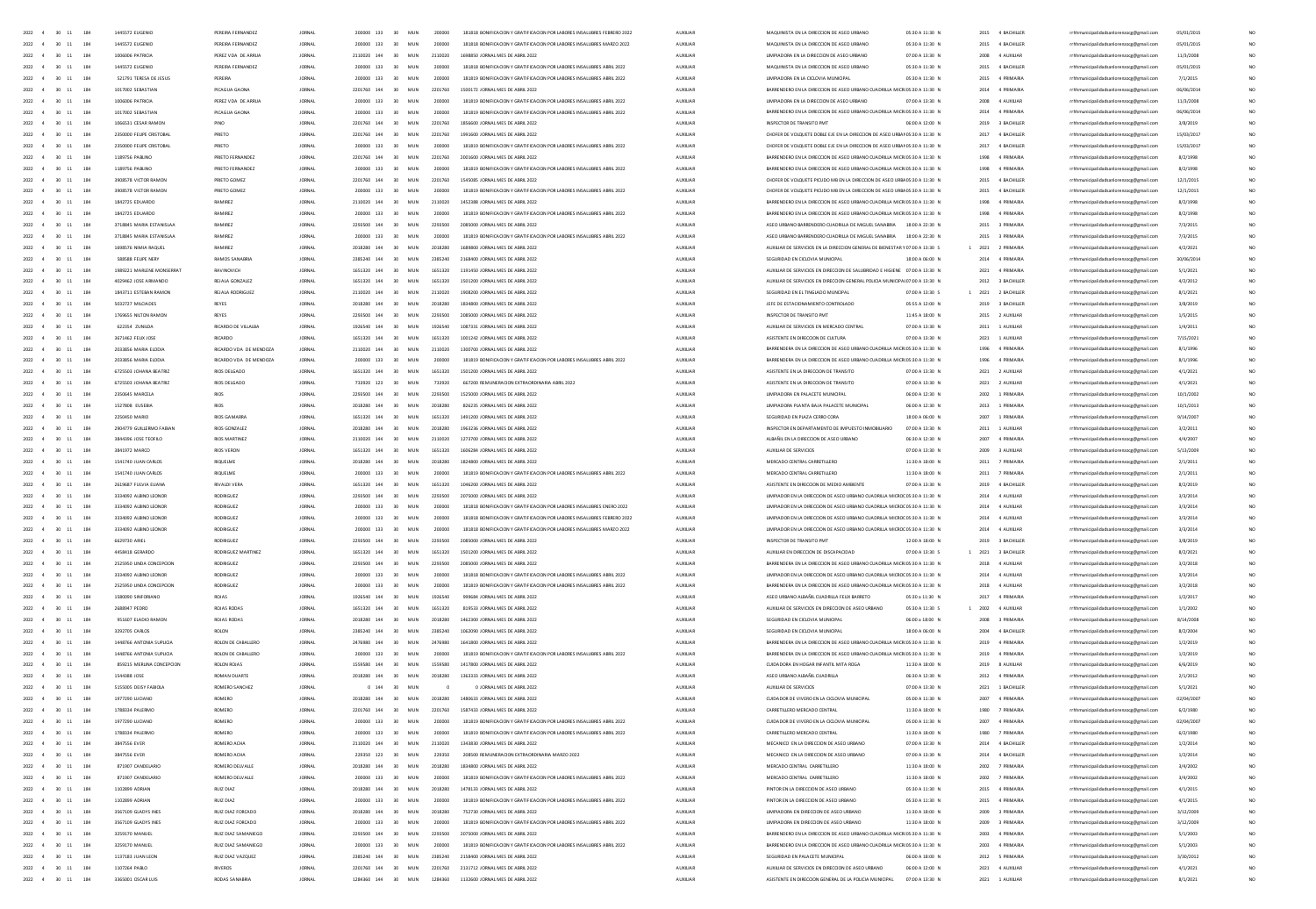| 2022 4<br>$30 \t11$<br>184                                   | 1445572 EUGENIO                    | PEREIRA FERNANDEZ                | <b>JORNAL</b>                  | 200000 133                 | 30                       | MUN           | 200000             | 181818 BONIFICACION Y GRATIFICACION POR LABORES INSALUERES FEBRERO 2022 | <b>AUXILIAR</b>      | MAQUINISTA EN LA DIRECCIÓN DE ASEO URBANO                                                                  | 05:30 A 11:30 N                    |      | 2015 4 BACHILLER                   | rrhhmunicipalidadsanlorenzocg@gmail.com                                            | 05/01/2015           |                 |
|--------------------------------------------------------------|------------------------------------|----------------------------------|--------------------------------|----------------------------|--------------------------|---------------|--------------------|-------------------------------------------------------------------------|----------------------|------------------------------------------------------------------------------------------------------------|------------------------------------|------|------------------------------------|------------------------------------------------------------------------------------|----------------------|-----------------|
| 2022 4<br>30 11<br>184                                       | 1445572 EUGENIO                    | PEREIRA FERNANDEZ                | <b>JORNAL</b>                  | 200000 133                 | 30 <sub>1</sub>          | MUN           | 200000             | 181818 BONIFICACION Y GRATIFICACION POR LABORES INSALUBRES MARZO 2022   | <b>AUXILIAR</b>      | MAQUINISTA EN LA DIRECCION DE ASEO URBANO                                                                  | 05:30 A 11:30 N                    |      | 2015 4 BACHILLER                   | rrhhmunicipalidadsanlorenzoce@email.com                                            | 05/01/2015           | NO.             |
| 2022 4<br>30 11<br>184                                       | 1006006 PATRICIA                   | PEREZ VDA DE ARRUA               | <b>JORNAL</b>                  | 2110020 144                | 30                       | MUN           | 2110020            | 1698850 JORNAL MES DE ABRIL 2022                                        | AUXILIAR             | <b>UMPIADORA EN LA DIRECCIÓN DE ASEO URBANO</b>                                                            | 07:00 A 13:30 N                    |      | 2008 4 AUXILIAR                    | rrhhmunicipalidadsanlorenzocg@gmail.com                                            | 11/3/2008            | NO.             |
| 2022 4<br>30 11<br>184                                       | 1445572 EUGENIO                    | PEREIRA FERNANDEZ                | <b>JORNAL</b>                  | 200000 133                 | 30 <sub>1</sub>          | MUN           | 200000             | 181818 BONIFICACION Y GRATIFICACION POR LABORES INSALUBRES ABRIL 2022   | <b>AUXILIAR</b>      | MAQUINISTA EN LA DIRECCION DE ASEO URBANO                                                                  | 05:30 A 11:30 N                    |      | 2015 4 BACHILLER                   | rrhhmunicipalidadsanlorenzoce@email.com                                            | 05/01/2015           | NO.             |
| $30 - 11$<br>184<br>2022 4                                   | 521791 TERESA DE JESUS             | PEREIRA                          | <b>JORNAL</b>                  | 200000 133                 | 30                       | MUN           | 200000             | 181819 BONIFICACION Y GRATIFICACION POR LABORES INSALUERES ABRIL 2022   | AUXILIAR             | UMPIADORA EN LA CICLOVIA MUNICIPAL                                                                         | 05:30 A 11:30 N                    |      | 2015 4 PRIMARIA                    | rrhhmunicipalidadsanlorenzocg@gmail.com                                            | 7/1/2015             | NO.             |
| 2022 4<br>$30 - 11$<br>184                                   | 1017002 SEBASTIAN                  | PICAGUA GAON                     | <b>JORNAL</b>                  | 2201760 144                | 30                       | MUN           | 2201760            | 1500172 JORNAL MES DE ABRIL 2022                                        | <b>AUXILIAR</b>      | BARRENDERO EN LA DIRECCION DE ASEO URBANO CUADRILLA MICROS:30 A 11:30 N                                    |                                    |      | 2014 4 PRIMARIA                    | rrhhmunicipalidadsanlorenzocg@gmail.com                                            | 06/06/2014           | NO.             |
| 2022                                                         |                                    | PEREZ VDA DE ARRU                | JORNA                          |                            |                          |               |                    | 181819 BONIFICACION Y GRATIFICACION POR LABORES INSALUBRES ABRIL 2022   | AUXILIA              | UMPIADORA EN LA DIRECCIÓN DE ASEO URBAN                                                                    |                                    | 2008 | 4 AUXILIAR                         | rrhhmunicipalidadsanlorenzocg@gmail.com                                            | 11/3/2008            |                 |
| 2022 4<br>$30 - 11$<br>184                                   | 1017002 SEBASTIAN                  | PICAGUA GAON                     | <b>JORNAL</b>                  | 200000 133                 |                          | MUN           | 200000             | 181819 BONIFICACION Y GRATIFICACION POR LABORES INSALUERES ABRIL 2022   | <b>AUXILIAR</b>      | BARRENDERO EN LA DIRECCION DE ASEO URBANO CUADRILLA MICROS:30 A 11:30 N                                    |                                    | 2014 | 4 PRIMARIA                         | rrhhmunicipalidadsanlorenzocg@gmail.com                                            | 06/06/2014           | NO <sub>1</sub> |
| 2022<br>$11\,$<br>184                                        | 1066531 CESAR RAMO                 | PING                             | <b>JORNA</b>                   | 2201760 144                |                          |               |                    |                                                                         | AUXILIA              |                                                                                                            |                                    | 2019 | 3 BACHILLE                         | rrhhmunicipalidadsanlorenzocg@gmail.com                                            | 3/8/2019             | NO              |
| 2022<br>$\overline{a}$<br>$30 - 11$<br>184                   | 2350000 FEUPE CRISTOBA             | PRIETO                           |                                | 2201260 144                | 30 <sub>1</sub>          |               |                    | 00 JORNAL MES DE ABRIL 2022                                             |                      | CHOFER DE VOLQUETE DOBLE EJE EN LA DIRECCIÓN DE ASEO URBANOS:30 A 11:30 N                                  |                                    | 2017 | 4 BACHILLEI                        | municipalidadsanlorenzocg@gmail.com                                                | 15/03/201            | NO.             |
| $\overline{11}$<br>184                                       |                                    |                                  |                                | 200000 133                 |                          |               |                    | 181819 BONIFICACION Y GRATIFICACION POR LABORES INSALUERES ABRIL 202    | AUXILIA              | CHOFER DE VOLQUETE DOBLE EJE EN LA DIRECCION DE ASEO URBANOS:30 A 11:30 f                                  |                                    | 2017 | 4 BACHILLE                         | rrhhmunicipalidadsanlorenzocg@gmail.com                                            | 15/03/201            | NO              |
| 2022<br>$\overline{A}$<br>$30 - 11$<br>184                   | 1189756 PABLIN                     | PRIETO FERNANDE                  |                                | 2201260 144                | 30 <sup>2</sup>          | MUN           |                    | 2001600 JORNAL MES DE ABRIL 202                                         |                      | BARRENDERO EN LA DIRECCION DE ASEO URBANO CUADRILLA MICROS:30 A 11:30 N                                    |                                    | 1998 | 4 PRIMARIA                         | nunicipalidadsanlorenzocg@gmail.com                                                | 8/2/1998             | NO.             |
| 2022 4<br>$30 \t11$<br>184                                   | 1189756 PABUNO                     | PRIFTO FFRNANDEZ                 | <b>IORNAL</b>                  | 200000 133                 | 30 <sup>°</sup>          | MIN           | 200000             | 181819 BONEICACIÓN Y GRATIFICACIÓN POR LABORES INSATURRES ARRIL 2022    | ALCOHOL:             | BARRENDERO EN LA DIRECCIÓN DE ASEO URBANO CUADRULA MICROS 30 A 11:30 N.                                    |                                    |      | 1998 4 PRIMARIA                    | rrhhmunicipalidadsanlorenzocg@gmail.com                                            | 8/2/1998             | NO.             |
| $30 - 11$<br>2022 4<br>184                                   | 3908578 VICTOR RAMON               | PRIFTO GOMEZ                     | <b>IORNAL</b>                  | 2201760 144                | 30 <sub>1</sub>          | MIN           | 2201260            | 1545085 IORNAL MES DE ARRIL 2022                                        | ALCOHOL:             | CHOEFRIDE VOLOUETE PICUDO MR EN LA DIRECCIÓN DE ASEO URRADS 30 A 11:30 N.                                  |                                    |      | 2015 4 RACHILLER                   | rrhhmunicipalidadsanlorenzoce@email.com                                            | 12/1/2015            | NO.             |
| $2022 - 4$<br>$30 - 11$<br>184                               | 3908578 VICTOR RAMON               | PRIETO GOMEZ                     | <b>IORNAL</b>                  | 200000 133                 | 30 <sub>1</sub>          | MIN           | 200000             | 181819 BONEICACIÓN Y GRATIFICACIÓN POR LABORES INSATURRES ARRIL 2022    | ALCOHOL:             | CHOEFRIDE VOLOUETE PICUDO MR EN LA DIRECCIÓN DE ASEO URRADE 30 A 11/30 N                                   |                                    |      | 2015 4 BACHILLER                   | rrhhmunicipalidadsanlorenzocg@gmail.com                                            | 12/1/2015            | NO.             |
| $30 - 11$<br>2022 4<br>184                                   | 1842725 FOLIARDO                   | <b>RAMIREZ</b>                   | <b>IORNAL</b>                  | 2110020 144                | 30 <sub>1</sub>          | MIN           | 2110020            | 1452388 IORNAL MES DE 4881 2022                                         | ALCOHOL:             | BARRENDERO EN LA DIRECCIÓN DE ASEO URBANO CUADRULA MICROS 30 A 11:30 N.                                    |                                    |      | 1998 4 PRIMARIA                    | rrhhmunicipalidadsanlorenzoce@email.com                                            | 8/2/1998             | NO.             |
| 2022 4<br>$30 \t11$<br>184                                   | 1842725 EDUARDO                    | RAMIREZ                          | <b>JORNAL</b>                  | 200000 133                 | 30                       | MUN           | 200000             | 181819 BONIFICACION Y GRATIFICACION POR LABORES INSALUERES ABRIL 2022   | <b>AUXILIAR</b>      | BARRENDERO EN LA DIRECCIÓN DE ASEO URBANO CUADRILLA MICROS:30 A 11:30 N                                    |                                    |      | 1998 4 PRIMARIA                    | rrhhmunicipalidadsanlorenzoce@email.com                                            | 8/2/1998             | NO <sub>1</sub> |
| $2022 - 4$<br>$30 - 11$<br>184                               | 3718845 MARIA ESTANISLAA           | <b>RAMIREZ</b>                   | <b>IORNAL</b>                  | 2293500 144                | 30 <sub>1</sub>          | MIN           | 2202500            | 2085000 IORNAL MES DE ARRIL 2022                                        | ALCOHOL:             | ASED URBAND BARRENDERD CUADRULA DE MIGUEL SANARRIA 18:00 A 22:30 N.                                        |                                    |      | 2015 3 PRIMARIA                    | rrhhmunicinalidadsanlorenzoce@email.com                                            | 7/3/2015             | NO.             |
| 2022 4<br>$30 \t11$<br>184                                   | 3718845 MARIA ESTANISLAA           | RAMIREZ                          | <b>JORNAL</b>                  | 200000 133                 | 30 <sup>°</sup>          | MUN           | zonono             | 181819 BONIFICACION Y GRATIFICACION POR LABORES INSALUERES ABRIL 2022   | <b>AUXILIAR</b>      | ASEO URBANO BARRENDERO CUADRILLA DE MIGUEL SANABRIA 18:00 A 22:30 N                                        |                                    |      | 2015 3 PRIMARIA                    | rrhhmunicipalidadsanlorenzoce@email.com                                            | 7/3/2015             | NO <sub>1</sub> |
| 2022 4<br>30 11<br>184                                       | 1698576 NIMIA RAOUFI               | <b>RAMIREZ</b>                   | <b>IORNAL</b>                  | 2018280 144                | 30 <sub>2</sub>          | MUN           | 2018280            | 1689800 JORNAL MES DE ABRIL 2022                                        | <b>AUXILIAR</b>      | AUXIUAR DE SERVICIOS EN LA DIRECCION GENERAL DE BIENESTAR Y 07:00 A 13:30 S                                |                                    |      | 2021 2 PRIMARIA                    | rrhhmunicipalidadsanlorenzoce@email.com                                            | 4/2/2021             | NO <sub>1</sub> |
| 2022 4<br>$30 - 11$<br>184                                   | <b>SB8588 FEUPE NERY</b>           | RAMOS SANABRIA                   | <b>JORNAL</b>                  | 2385240 144                | 30 <sup>°</sup>          | MUN           | 2385240            | 2168400 JORNAL MES DE ABRIL 2022                                        | <b>AUXILIAR</b>      | SEGURIDAD EN CICLOVIA MUNICIPAL                                                                            | 18:00 A 06:00 N                    |      | 2014 4 PRIMARIA                    | rrhhmunicipalidadsanlorenzocg@gmail.com                                            | 30/06/2014           |                 |
| $2022 - 4$<br>$30 - 11$<br>184                               | 1989221 MARLENE MONSERRAT          | RAVINOVICH                       | <b>JORNAL</b>                  | 1651320 144                | 30                       | MUN           | 1651320            | 1191450 JORNAL MES DE ABRIL 2022                                        | AUXILIAR             | AUXIUAR DE SERVICIOS EN DIRECCION DE SALUBRIDAD E HIGIENE 07:00 A 13:30 N                                  |                                    |      | 2021 4 PRIMARIA                    | rrhhmunicipalidadsanlorenzocg@gmail.com                                            | 5/1/2021             | NO <sub>1</sub> |
| $2022 - 4$<br>$30 - 11$<br>184                               | 4029462 JOSE ARMANDO               | REJALA GONZALEZ                  | <b>JORNAL</b>                  | 1651320 144                | 30 <sup>°</sup>          | MUN           | 1651320            | 1501200 JORNAL MES DE ABRIL 2022                                        | <b>AUXILIAR</b>      | AUXILIAR DE SERVICIOS EN DIRECCION GENERAL POLICIA MUNICIPALO7:00 A 13:30 N                                |                                    |      | 2012 3 BACHILLER                   |                                                                                    |                      |                 |
| $30 - 11$<br>184<br>2022 4                                   | 1843711 ESTEBAN RAMON              |                                  |                                | 2110020 144                | 30                       |               |                    | 1908200 JORNAL MES DE ABRIL 2022                                        | AUXILIA              | SEGURIDAD EN EL TINGLADO MUNCIPAL                                                                          |                                    |      | 2021 2 BACHILLEI                   | rrhhmunicipalidadsanlorenzocg@gmail.com<br>rrhhmunicipalidadsanlorenzocg@gmail.com | 4/2/2012<br>8/1/2021 |                 |
|                                                              |                                    | REJALA RODRIGUEZ                 | <b>JORNAL</b>                  |                            |                          | MUN           | 2110020            |                                                                         |                      |                                                                                                            | 07:00 A 13:30 S                    |      |                                    |                                                                                    |                      |                 |
| 2022 4<br>$30 - 11$<br>184                                   | 5032727 MILCIADES                  | REYES                            | <b>JORNAL</b>                  | 2018280 144                | 30 <sup>°</sup>          | MUN           | 2018280            | 1834800 JORNAL MES DE ABRIL 2022                                        | <b>AUXILIAR</b>      | JEFE DE ESTACIONAMIENTO CONTROLADO                                                                         | 05:55 A 12:00 N                    |      | 2019 3 BACHILLER                   | rrhhmunicipalidadsanlorenzocg@gmail.com                                            | 3/8/2019             |                 |
| $30 - 11$<br>184<br>2022 4                                   | 1769655 NILTON RAMON               | REYES                            | <b>JORNAL</b>                  | 2293500 144                | 30                       | MUN           | 2293500            | 2085000 JORNAL MES DE ABRIL 2022                                        | AUXILIA              | INSPECTOR DE TRANSITO PM                                                                                   | 11:45 A 18:00 N                    |      | 2015 2 AUXILIAR                    | rrhhmunicipalidadsanlorenzocg@gmail.com                                            | 1/5/2015             |                 |
| 2022<br>4<br>$30\quad 11$<br>184                             | 622354 ZUNILDA                     | RICARDO DE VILLALBA              | JORNA                          | 1926540 144                | 30                       | MUN           |                    | 1087331 JORNAL MES DE ABRIL 2022                                        | AUXILIA              | AUXILIAR DE SERVICIOS EN MERCADO CENTRA                                                                    | 07:00 A 13:30 N                    | 2011 | 1 AUXILIAR                         | rrhhmunicipalidadsanlorenzocg@gmail.com                                            | 1/4/2011             | NO <sub>1</sub> |
| 2022 4<br>$30 - 11$<br>184                                   | 3671462 FEUX JOSE                  | <b>RICARDO</b>                   | JORNA                          | 1651320 144                | 30                       | MUN           | 1651320            | 1001242 JORNAL MES DE ABRIL 2022                                        | ALCOHOL:             | ASISTENTE EN DIRECCION DE CULTURA                                                                          | 07:00 A 13:30 N                    |      | 2021 1 AUXILIAR                    | rrhhmunicipalidadsanlorenzocg@gmail.com                                            | 7/15/2021            | NO <sub>1</sub> |
| 2022<br>4<br>$30\quad 11$<br>184                             | 2033856 MARIA ELODIA               | RICARDO VDA DE MENDOZ            | JORNA                          | 2110020 144                | 30                       | MUN           | 2110020            | 1300700 JORNAL MES DE ABRIL 2022                                        | AUXILIA              | BARRENDERA EN LA DIRECCIÓN DE ASEO URBANO CUADRILLA MICROS:30 A 11:30 N                                    |                                    | 1996 | 4 PRIMARIA                         | rrhhmunicipalidadsanlorenzocg@gmail.com                                            | 8/1/1996             | NO <sub>1</sub> |
| 2022 4<br>$30 \t11$<br>184                                   | 2033856 MARIA ELODIA               | RICARDO VDA DE MENDOZA           | JORNA                          | 200000 133                 | 30                       | MUN           | 200000             | 181819 BONIFICACION Y GRATIFICACION POR LABORES INSALUBRES ABRIL 2022   | <b>AUXILIAR</b>      | BARRENDERA EN LA DIRECCIÓN DE ASEO URBANO CUADRILLA MICROS:30 A 11:30 N                                    |                                    | 1996 | 4 PRIMARIA                         | rrhhmunicipalidadsanlorenzocg@gmail.com                                            | 8/1/1996             | NO.             |
| 2022 4<br>$30 - 11$<br>184                                   | 6725503 JOHANA BEATRIZ             | <b>RIOS DELGADO</b>              | <b>JORNAL</b>                  | 1651320 144                | 30 <sup>°</sup>          | MUN           | 1651320            | 1501200 JORNAL MES DE ABRIL 2022                                        | ALCOHOL:             | ASISTENTE EN LA DIRECCIÓN DE TRANSITO                                                                      | 07:00 A 13:30 N                    |      | 2021 2 AUXILIAR                    | rrhhmunicipalidadsanlorenzocg@gmail.com                                            | 4/1/2021             | $\mathbf{M}$    |
| 2022 4<br>$30 - 11$<br>184                                   | 6725503 JOHANA BEATRIZ             | RIOS DELGADO                     | JORNA                          | 733920 123                 | 30                       | MUN           | 733920             | 667200 REMUNERACION EXTRAORDINARIA ABRIL 2022                           | <b>AUXILIAR</b>      | ASISTENTE EN LA DIRECCION DE TRANSITO                                                                      | 07:00 A 13:30 N                    |      | 2021 2 AUXILIAR                    | rrhhmunicipalidadsanlorenzocg@gmail.com                                            | 4/1/2021             | NO <sub>1</sub> |
| 2022 4<br>$30 \t11$<br>184                                   | 2350645 MARCELA                    | <b>RIOS</b>                      | <b>JORNAL</b>                  | 2293500 144                | 30 <sup>°</sup>          | MUN           | 2293500            | 1525000 JORNAL MES DE ABRIL 2022                                        | ALCOHOL:             | UMPIADORA EN PALACETE MUNICIPAL                                                                            | 0600 A 12:30 N                     |      | 2002 1 PRIMARIA                    | rrhhmunicipalidadsanlorenzocg@gmail.com                                            | 10/1/2002            | NO.             |
| 30 11<br>184<br>2022 4                                       | 1527808 EUSEBIA                    | <b>RIOS</b>                      | <b>JORNAL</b>                  | 2018280 144                | 30 <sup>°</sup>          | MUN           | 2018280            | 826235 JORNAL MES DE ABRIL 2022                                         | <b>AUXILIAR</b>      | UMPIADORA PLANTA BAJA PALACETE MUNICIPAL                                                                   | 06:00 A 12:30 N                    |      | 2013 1 PRIMARIA                    | rrhhmunicipalidadsanlorenzocg@gmail.com                                            | 10/1/2013            | NO.             |
| 2022 4<br>$30 \quad 11$<br>184                               | 2250450 MARIO                      | <b>RIOS GAMARRA</b>              | <b>JORNAL</b>                  | 1651320 144                | 30                       | MUN           | 1651320            | 1491200 JORNAL MES DE ABRIL 2022                                        | <b>AUXILIAR</b>      | SEGURIDAD EN PLAZA CERRO CORA                                                                              | 18:00 A 06:00 N                    |      | 2007 1 PRIMARIA                    | rrhhmunicipalidadsanlorenzoce@email.com                                            | 9/14/2007            | NO.             |
| $30 \quad 11$<br>184<br>2022 4                               | 2904779 GUILLERMO FABIAN           | <b>RIOS GONZALEZ</b>             | <b>JORNAL</b>                  | 2018280 144                | 30                       | MUN           | 2018280            | 1963236 JORNAL MES DE ABRIL 2022                                        | <b>AUXILIAR</b>      | INSPECTOR EN DEPARTAMENTO DE IMPUESTO INMOBILIARIO                                                         | 07:00 A 13:30 N                    |      | 2011 1 AUXILIAR                    | rrhhmunicipalidadsanlorenzocg@gmail.com                                            | 3/2/2011             | NO.             |
| 2022 4<br>30 11<br>184                                       | 3844396 JOSE TEOFILO               | <b>RIOS MARTINEZ</b>             | <b>JORNAL</b>                  | 2110020 144                | 30 <sub>2</sub>          | MUN           | 2110020            | 1273700 JORNAL MES DE ABRIL 2022                                        | <b>AUXILIAR</b>      | ALBAÑIL EN LA DIRECCION DE ASEO URBANO                                                                     | 06:30 A 12:30 N                    |      | 2007 4 PRIMARIA                    | rrhhmunicipalidadsanlorenzoce@email.com                                            | 4/4/2007             | NO.             |
|                                                              |                                    |                                  |                                |                            |                          |               |                    |                                                                         |                      |                                                                                                            |                                    |      |                                    |                                                                                    |                      |                 |
| 2022 4<br>$30 - 11$<br>184                                   | 3841972 MARCO                      | RIOS VERON                       | <b>JORNAL</b>                  | 1651320 144                | 30 <sub>2</sub>          | MUN           | 1651320            | 1606284 JORNAL MES DE ABRIL 2022                                        | AUXILIAR             | AUXIUAR DE SERVICIOS                                                                                       | 07:00 A 13:30 N                    |      | 2009 3 AUXILIAR                    | rrhhmunicipalidadsanlorenzocg@gmail.com                                            | 5/13/2009            | NO <sub>1</sub> |
| 2022 4<br>30 11<br>184                                       | 1541740 JUAN CARLOS                | <b>RIQUELME</b>                  | <b>JORNAL</b>                  | 2018280 144                | 30 <sub>2</sub>          | MUN           | 2018280            | 1824800 JORNAL MES DE ABRIL 2022                                        | <b>AUXILIAR</b>      | MERCADO CENTRAL CARRETILLERO                                                                               | 11:30 A 18:00 N                    |      | 2011 7 PRIMARIA                    | rrhhmunicipalidadsanlorenzoce@email.com                                            | 2/1/2011             | NO.             |
| 184<br>2022 4<br>30 11                                       | 1541740 JUAN CARLOS                | RIQUELME                         | <b>JORNAL</b>                  | 200000 133                 | 30 <sub>2</sub>          | MUN           | 200000             | 181819 BONIFICACION Y GRATIFICACION POR LABORES INSALUBRES ABRIL 2022   | AUXILIAR             | MERCADO CENTRAL CARRETILLERO                                                                               | 11:30 A 18:00 N                    |      | 2011 7 PRIMARIA                    | rrhhmunicipalidadsanlorenzocg@gmail.com                                            | 2/1/2011             | NO <sub>1</sub> |
| $30 - 11$<br>184<br>2022                                     | 2619687 FULVIA ELIANA              | <b>RIVALDI VERA</b>              | <b>JORNAL</b>                  | 1651320 144                | 30                       | MUN           | 1651320            | 1046200 JORNAL MES DE ABRIL 2022                                        | AUXILIAR             | ASISTENTE EN DIRECCION DE MEDIO AMBIENTE                                                                   | 07:00 A 13:30 N                    | 2019 | 4 BACHILLER                        | rrhhmunicipalidadsanlorenzocg@gmail.com                                            | 8/2/2019             | NO.             |
| $30 - 11$<br>184<br>2022                                     | 3334092 ALBINO LEONOR              |                                  | <b>JORNAL</b>                  |                            |                          |               |                    | 2075000 JORNAL MES DE ABRIL 2022                                        | AUXILIA              | UMPIADOR EN LA DIRECCIÓN DE ASEO URBANO CUADRILLA MICROCOS:30 A 11:30 N                                    |                                    | 2014 | 4 AUXILIA                          | rrhhmunicipalidadsanlorenzocg@gmail.com                                            | 3/3/2014             | NO              |
| $30 - 11$<br>184<br>2022                                     | 3334092 ALBINO LEONOR              | <b>RODRIGUEZ</b>                 | <b>JORNAL</b>                  | 200000 133                 | 30                       | MUN           | 200000             | 181818 BONIFICACION Y GRATIFICACION POR LABORES INSALUBRES ENERO 2022   | AUXILIAR             | UMPIADOR EN LA DIRECCIÓN DE ASEO URBANO CUADRILLA MICROCOS:30 A 11:30 N                                    |                                    | 2014 | 4 AUXIUAR                          | rrhhmunicipalidadsanlorenzocg@gmail.com                                            | 3/3/2014             | NO.             |
| $30 - 11$<br>184<br>2022                                     | 3334092 ALBINO LEONOR              | RODRIGUEZ                        | <b>JORNA</b>                   |                            |                          |               | 20000              | 181818 BONIFICACION Y GRATIFICACION POR LABORES INSALUERES FEBRERO 2022 | AUXILIA              | UMPIADOR EN LA DIRECCIÓN DE ASEO URBANO CUADRILLA MICROCOS:30 A 11:30 N                                    |                                    | 2014 | 4 AUXILIAR                         | rrhhmunicipalidadsanlorenzocg@gmail.com                                            | 3/3/2014             | NO              |
| 2022<br>$30 - 11$<br>184                                     |                                    | RODRIGUEZ                        |                                | 200000 133                 |                          |               | 200000             | 181818 BONIFICACION Y GRATIFICACION POR LABORES INSALUBRES MARZO 2022   |                      | UMPIADOR EN LA DIRECCIÓN DE ASEO URBANO CUADRILLA MICROCOS:30 A 11:30 N                                    |                                    | 2014 | 4 AUXILIAR                         | sicipalidadsanlorenzocg@gmail.com                                                  | 3/3/2014             | NO <sub>1</sub> |
| $30 - 11$<br>184<br>2022                                     |                                    | RODRIGUEZ                        | JORNA                          |                            |                          |               |                    | 2085000 JORNAL MES DE ABRIL 2022                                        |                      |                                                                                                            | 12:00 A 18:00 N                    | 2019 | 3 BACHILLE                         | rrhhmunicipalidadsanlorenzocg@gmail.com                                            | 3/8/2019             | NO              |
| 2022<br>$\mathbf{A}$<br>$30 - 11$<br>184                     | 4458418 GERARDO                    | RODRIGUEZ MARTINE                |                                | 1651320 144                | 30                       | MUN           | 1651320            | 1501200 JORNAL MES DE ABRIL 2022                                        |                      | AUXIUAR EN DIRECCIÓN DE DISCAPACIDAD                                                                       | 07:00 A 13:30 S                    | 2021 | 3 BACHILLEI                        | cipalidadsanlorenzocg@gmail.com                                                    | 8/2/2021             | NO              |
| 2022 4<br>$30 - 11$<br>184                                   | 2525950 UNDA CONCEPCION            | RODRIGUEZ                        | <b>JORNA</b>                   | 2293500 144                | 30                       | MUN           | 2293500            | 2085000 JORNAL MES DE ABRIL 2022                                        | ALDOIDAR             | BARRENDERA EN LA DIRECCIÓN DE ASEO URBANO CUADRILLA MICROS:30 A 11:30 N                                    |                                    | 2018 | 4 AUXIUAR                          | nicipalidadsanlorenzocg@gmail.com                                                  | 3/2/2018             | NO              |
| 30 11 184<br>2022 4                                          | 3334092 ALBINO LEONOR              | RODRIGUEZ                        | <b>IORNAL</b>                  | 200000 133                 | 30 <sub>1</sub>          | MIN           | 200000             | 181818 BONIFICACION Y GRATIFICACION POR LARORES INSAILIRRES ARRIL 2022  | ALCOHOL:             | <b>HMPIADOR EN LA DIRECCIÓN DE ASEO HRRANO CHADRILLA MICROCOS 30 A 11/30 N</b>                             |                                    |      | 2014 4 4 100 148                   | rrhhmunicipalidadsanlorenzoce@email.com                                            | 3/3/2014             | NO.             |
| $30 - 11$<br>2022 4<br>184                                   | 2525950 UNDA CONCEPCION            | RODRIGUEZ                        | <b>JORNA</b>                   | 200000 133                 | 30 <sub>1</sub>          | MIN           | 200000             | 181819 BONIFICACION Y GRATIFICACION POR LABORES INSALUBRES ABRIL 2022   | ALCOHOL:             | BARRENDERA EN LA DIRECCIÓN DE ASEO URBANO CUADRILLA MICROS:30 A 11:30 N                                    |                                    |      | 2018 4 AUXILIAR                    | inicipalidadsanlorenzocg@gmail.com                                                 | 3/2/2018             | NO              |
| 2022 4 30 11 184                                             | 1580090 SINEORIANO                 | ROIAS                            | <b>IORNAL</b>                  | 1926540 144                | 30 <sub>1</sub>          | MIN           | 1976540            | 999684 IORNAL MES DE ARRIL 2022                                         | ALCOHOL:             | ASED URBAND ALBA BIL CHADRILLA FELIX RABBETO                                                               | 05/30 a 11/30 N                    |      | 2017 4 PRIMARIA                    | rrhhmunicipalidadsanlorenzoce@email.com                                            | 1/2/2017             | NO.             |
| 2022 4 30 11<br>184                                          | 2688947 PEDRO                      | ROJAS RODAS                      | <b>JORNAL</b>                  | 1651320 144                |                          | 30 MUN        | 1651320            | 819533 JORNAL MES DE ABRIL 2022                                         | <b>AUXILIAR</b>      | AUXIUAR DE SERVICIOS EN DIRECCION DE ASEO URBANO                                                           | 05:30 A 11:30 S                    |      | 2002 4 AUXILIAR                    | rrhhmunicipalidadsanlorenzoce@email.com                                            | 1/1/2002             | NO.             |
| 2022 4 30 11<br>184                                          | 951607 FLADIO RAMON                | ROIAS RODAS                      | <b>IORNAL</b>                  | 2018280 144                | 30 <sub>1</sub>          | MIN           | 2018280            | 1462300 IORNAL MES DE ARRIL 2022                                        | ALCOHOL:             | SEGURDAD EN CICLOVIA MUNICIPAL                                                                             | 06:00 a 18:00 N                    |      | 2008 3 PRIMARIA                    | rrhhmunicipalidadsanlorenzoce@email.com                                            | 8/14/2008            | NO.             |
| 2022 4 30 11<br>184                                          | 3292705 CARLOS                     | ROLON                            | <b>JORNAL</b>                  | 2385240 144                | 30                       | MUN           | 2385240            | 1062090 JORNAL MES DE ABRIL 2022                                        | <b>AUXILIAR</b>      | SEGURIDAD EN CICLOVIA MUNICIPAL                                                                            | 18:00 A 06:00 N                    |      | 2004 4 BACHILLER                   | rrhhmunicipalidadsanlorenzoce@email.com                                            | 8/2/2004             | NO.             |
| 2022 4 30 11 184                                             | 1448766 ANTONIA SUPLICIA           | ROLON DE CABALLERO               | <b>IORNAL</b>                  | 2476980 144                |                          | 30 MUN        | 2476980            | 1641800 JORNAL MES DE ABRIL 2022                                        | <b>AUXILIAR</b>      | BARRENDERA EN LA DIRECCIÓN DE ASEO URBANO CUADRILLA MICROS:30 A 11:30 N                                    |                                    |      | 2019 4 PRIMARIA                    | rrhhmunicipalidadsanlorenzoce@email.com                                            | 1/2/2019             | NO <sub>1</sub> |
| 2022 4 30 11 184                                             | 1448766 ANTONIA SUPUCIA            | ROLON DE CABALLERO               | <b>JORNAL</b>                  | 200000 133                 | 30                       | MUN           | 200000             | 181819 BONIFICACION Y GRATIFICACION POR LABORES INSALUBRES ABRIL 2022   | AUXILIAR             | BARRENDERA EN LA DIRECCIÓN DE ASEO URBANO CUADRILLA MICROS:30 A 11:30 N                                    |                                    |      | 2019 4 PRIMARIA                    | rrhhmunicipalidadsanlorenzocg@gmail.com                                            | 1/2/2019             | NO <sub>1</sub> |
| 2022 4 30 11 184                                             | 859215 MERLINA CONCEPCION          | ROLON ROJAS                      | <b>JORNAL</b>                  | 1559580 144                |                          | 30 MUN        | 1559580            | 1417800 JORNAL MES DE ABRIL 2022                                        | <b>AUXILIAR</b>      | CUIDADORA EN HOGAR INFANTIL MITA ROGA                                                                      | 11:30 A 18:00 N                    |      | 2019 8 AUXILIAR                    | rrhhmunicipalidadsanlorenzoce@email.com                                            | 6/6/2019             | NO <sub>1</sub> |
| 184                                                          | 1544388 JOSE                       | ROMAN DUARTS                     | <b>JORNAL</b>                  | 2018280 144                |                          | 30 MUN        | 2018280            |                                                                         | <b>AUXILIAR</b>      |                                                                                                            |                                    |      |                                    |                                                                                    |                      |                 |
| $2022\quad \  \  4\qquad \quad 30\quad \  11$                |                                    |                                  |                                |                            |                          |               |                    | 1363333 JORNAL MES DE ABRIL 2022                                        |                      | ASEO URBANO ALBAÑIL CUADRILLA                                                                              | 06:30 A 12:30 N                    |      | 2012 4 PRIMARIA                    | rrhhmunicipalidadsanlorenzocg@gmail.com                                            | 2/1/2012             |                 |
| $30 - 11$<br>2022 4<br>184                                   | 5155005 DEISY FABIOLA              | ROMERO SANCHE                    | <b>JORNA</b>                   |                            | 0.144<br>30 <sup>°</sup> | MUN           |                    | 0 JORNAL MES DE ABRIL 2022                                              | <b>AUXILIAR</b>      | AUXILIAR DE SERVICIOS                                                                                      | 07:00 A 13:30 N                    |      | 2021 1 BACHILLEI                   | rrhhmunicipalidadsanlorenzocg@gmail.com                                            | 5/1/2021             |                 |
| $2022 - 4$<br>$30 - 11$<br>184                               | 1977290 LUCIANO                    | ROMERO                           | <b>JORNAL</b>                  | 2018280 144                |                          | 30 MUN        | 2018280            | 1480633 JORNAL MES DE ABRIL 2022                                        | <b>AUXILIAR</b>      | CUIDADOR DE VIVERO EN LA CICLOVIA MUNICIPAL                                                                | 05:00 A 11:30 N                    |      | 2007 4 PRIMARIA                    | rrhhmunicipalidadsanlorenzocg@gmail.com                                            | 02/04/2007           |                 |
| $30 - 11$<br>2022 4<br>184                                   | 1788334 PALERMO                    | ROMERO                           | <b>JORNA</b>                   | 2201760 144                | 30                       | MUN           | 2201760            | 1587433 JORNAL MES DE ABRIL 2022                                        | AUXUAR               | CARRETILLERO MERCADO CENTRAL                                                                               | 11:30 A 18:00 N                    |      | 1980 7 PRIMARIA                    | rrhhmunicipalidadsanlorenzocg@gmail.com                                            | 6/2/1980             |                 |
| 2022<br>4<br>$30\quad 11$<br>184                             | 1977290 LUCIANO                    | ROMERO                           | JORNA                          | 200000 133                 | 30                       | MUN           | 200000             | 181819 BONIFICACION Y GRATIFICACION POR LABORES INSALUBRES ABRIL 202    | AUXILIA              | CUIDADOR DE VIVERO EN LA CICLOVIA MUNICIPA                                                                 | 05:00 A 11:30 N                    |      | 2007 4 PRIMARIA                    | rrhhmunicipalidadsanlorenzocg@gmail.com                                            | 02/04/200            | NO <sub>1</sub> |
| 2022 4<br>$30 \t11$<br>184                                   | 1788334 PALERMO                    | ROMERO                           | <b>JORNA</b>                   | 200000 133                 | 30                       | MUN           | 200000             | 181819 BONIFICACION Y GRATIFICACION POR LABORES INSALUERES ABRIL 202    | <b>AUXILIAR</b>      | CARRETILLERO MERCADO CENTRAL                                                                               | 11:30 A 18:00 N                    |      | 1980 7 PRIMARIA                    | rrhhmunicipalidadsanlorenzocg@gmail.com                                            | 6/2/1980             | NO <sub>1</sub> |
| 2022<br>4<br>$30\quad 11$<br>184                             | 3847556 EVER                       | ROMERO ACHA                      | JORNA                          | 2110020 144                | 30                       | MUN           | 2110020            | 1343830 JORNAL MES DE ABRIL 2022                                        | AUXILIA              | MECANICO EN LA DIRECCIÓN DE ASEO URBANO                                                                    | 07:00 A 13:30 N                    |      | 2014 4 BACHILLEI                   | rrhhmunicipalidadsanlorenzocg@gmail.com                                            | 1/2/2014             | NO <sub>1</sub> |
| $2022 - 4$<br>$30 - 11$<br>184                               | 3847556 EVER                       | ROMERO ACHA                      | JORNA                          | 229350 123                 | 30                       | MUN           | 229350             | 208500 REMUNERACION EXTRAORDINARIA MARZO 2022                           | AUXUAR               | MECANICO EN LA DIRECCIÓN DE ASEO URBANO                                                                    | 07:00 A 13:30 N                    |      | 2014 4 BACHILLEI                   | rrhhmunicipalidadsanlorenzocg@gmail.com                                            | 1/2/2014             | NO <sub>1</sub> |
| $2022 - 4$<br>$30 - 11$<br>184                               | 871907 CANDELARIO                  | ROMERO DELVALU                   | <b>JORNAL</b>                  | 2018280 144                | 30                       | MUN           | 2018280            | 1834800 JORNAL MES DE ABRIL 2022                                        | AUXUAR               | MERCADO CENTRAL CARRETILLERO                                                                               | 11:30 A 18:00 N                    |      | 2002 7 PRIMARIA                    | rrhhmunicipalidadsanlorenzocg@gmail.com                                            | 3/4/2002             | $\mathbf{M}$    |
| 2022 4<br>$30 - 11$<br>184                                   | 871907 CANDELARIO                  | ROMERO DELVALLI                  | JORNA                          | 200000 133                 | 30                       | MUN           | 200000             | 181819 BONIFICACION Y GRATIFICACION POR LABORES INSALUBRES ABRIL 2022   | <b>AUXILIAR</b>      | MERCADO CENTRAL CARRETILLERO                                                                               | 11:30 A 18:00 N                    |      | 2002 7 PRIMARIA                    | rrhhmunicipalidadsanlorenzocg@gmail.com                                            | 3/4/2002             | NO.             |
| 2022 4<br>$30 - 11$<br>184                                   | 1102899 ADRIAN                     | RUIZ DIAZ                        | <b>JORNAL</b>                  | 2018280 144                | 30 <sub>1</sub>          | MUN           | 2018280            | 1478133 JORNAL MES DE ABRIL 2022                                        | AUXUAR               | PINTOR EN LA DIRECCIÓN DE ASEO URBANO                                                                      | 05:30 A 11:30 N                    |      | 2015 4 PRIMARIA                    | rrhhmunicipalidadsanlorenzocg@gmail.com                                            | 4/1/2015             | NO.             |
| $30 - 11$<br>2022 4<br>184                                   | 1102899 ADRIAN                     | <b>BUIZ DIAZ</b>                 | <b>IORNAL</b>                  | 200000 133                 | 30 <sub>1</sub>          | MIN           | 200000             | 181819 BONIFICACION Y GRATIFICACION POR LARORES INSAILIRRES ARRIL 2022  | ALCOHOL:             | PINTOR FN LA DIRECTION DE ASED LIBRANO                                                                     | 05/30 A 11/30 N                    |      | 2015 4 PRIMARIA                    | rrhhmunicipalidadsanlorenzocg@gmail.com                                            | 4/1/2015             | NO.             |
| 2022 4<br>$30 \quad 11$<br>184                               | 3567109 GLADYS INES                | RUIZ DIAZ FORCADO                | <b>JORNAL</b>                  | 2018280 144                | 30                       | MUN           | 2018280            | 752730 JORNAL MES DE ABRIL 2022                                         | <b>AUXILIAR</b>      | UMPIADORA EN DIRECCION DE ASEO URBANO                                                                      | 11:30 A 18:00 N                    |      | 2009 3 PRIMARIA                    | rrhhmunicipalidadsanlorenzoce@email.com                                            | 3/12/2009            | NO.             |
| $30 - 11$<br>184<br>2022 4                                   | 3567109 GLADYS INES                | RUIZ DIAZ FORCADO                | <b>JORNAL</b>                  | 200000 133                 | 30                       | MUN           | 200000             | 181819 BONIFICACION Y GRATIFICACION POR LABORES INSALUERES ABRIL 2022   | <b>AUXILIAR</b>      | UMPIADORA EN DIRECCION DE ASEO URBANO                                                                      | 11:30 A 18:00 N                    |      | 2009 3 PRIMARIA                    | rrhhmunicipalidadsanlorenzocg@gmail.com                                            | 3/12/2009            | NO.             |
| 2022 4<br>$30 - 11$<br>184                                   | 3259170 MANUEL                     | RUIZ DIAZ SAMANIEGO              | <b>JORNAL</b>                  | 2293500 144                | 30 <sub>1</sub>          | MUN           | 2293500            | 2075000 JORNAL MES DE ABRIL 2022                                        | <b>AUXILIAR</b>      | BARRENDERO EN LA DIRECCIÓN DE ASEO URBANO CUADRILLA MICROS:30 A 11:30 N                                    |                                    |      | 2003 4 PRIMARIA                    | rrhhmunicipalidadsanlorenzoce@email.com                                            | 5/1/2003             | NO.             |
| 2022 4<br>30 11<br>184                                       | 3259170 MANUEL                     | RUIZ DIAZ SAMANIEGO              | <b>JORNAL</b>                  | 200000 133                 | 30                       | MUN           | 200000             | 181819 BONIFICACION Y GRATIFICACION POR LABORES INSALUBRES ABRIL 2022   | AUXILIAR             | BARRENDERO EN LA DIRECCIÓN DE ASEO URBANO CUADRILLA MICROS:30 A 11:30 N                                    |                                    |      | 2003 4 PRIMARIA                    | rrhhmunicipalidadsanlorenzocg@gmail.com                                            | 5/1/2003             | NO.             |
| 2022 4 30 11<br>184                                          | 1137183 JUAN LEON                  | RUIZ DIAZ VAZQUEZ                | <b>JORNAL</b>                  | 2385240 144                | 30 <sub>1</sub>          | MUN           | 2385240            | 2158400 JORNAL MES DE ABRIL 2022                                        | <b>AUXILIAR</b>      | SEGURIDAD EN PALACETE MUNICIPAL                                                                            | 06:00 A 18:00 N                    |      | 2012 5 PRIMARIA                    | rrhhmunicipalidadsanlorenzoce@email.com                                            | 3/30/2012            | NO.             |
| $2022 \qquad 4 \qquad 30 \quad \  11$<br>184<br>2022 4 30 11 | 1107264 PABLO<br>3365001 OSCAR LUI | <b>RIVEROS</b><br>RODAS SANABRIA | <b>JORNAL</b><br><b>JORNAL</b> | 2201760 144<br>1284360 144 |                          | 30 MUN<br>MUN | 2201760<br>1284360 | 2131712 JORNAL MES DE ABRIL 2022<br>1132600 JORNAL MES DE ABRIL 2022    | AUXILIAR<br>AUXILIAR | AUXILIAR DE SERVICIOS EN DIRECCION DE ASEO URBANO<br>ASISTENTE EN DIRECCION GENERAL DE LA POUCIA MUNICIPAL | 06:00 A 12:00 N<br>07:00 A 13:30 N |      | 2021 4 AUXILIAR<br>2021 1 AUXILIAR | rrhhmunicipalidadsanlorenzocg@gmail.com<br>rrhhmunicipalidadsanlorenzocg@gmail.com | 4/1/2021<br>8/1/2021 | NO.             |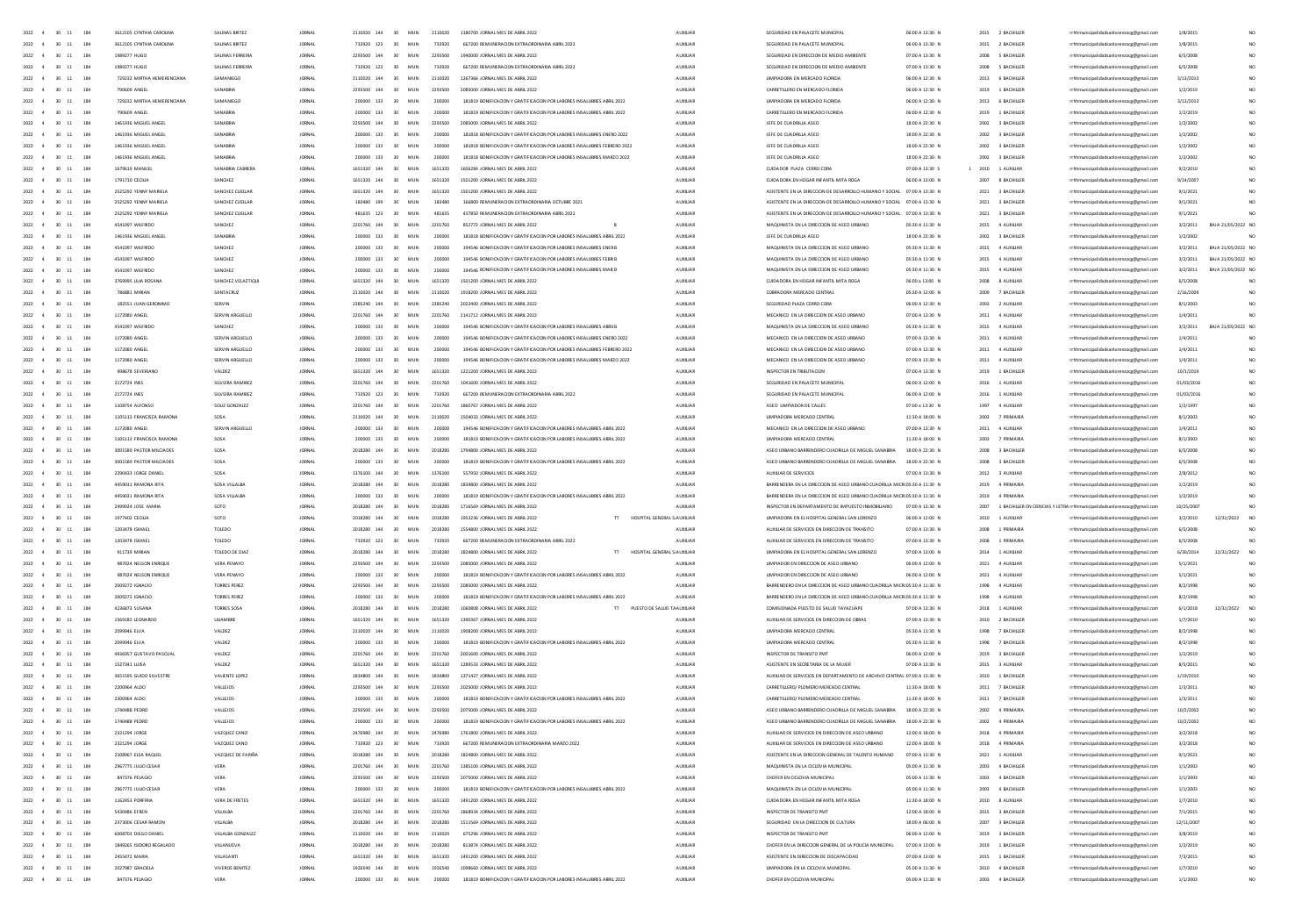| 2022 4<br>30 11<br>184                         | 3612105 CYNTHIA CAROLINA   | SAUNAS BRITEZ       | <b>IORNAL</b> | 2110020 144    | 30 <sub>2</sub><br>MIN | 2110020 | 1180700 IORNAL MES DE ARRIL 202                                                 | <b>ALDOLIAR</b> | SEGURIDAD EN PALACETE MUNICIPA                                           | 06:00 A 13:30 N      |               | 2015 - 2 RACHILLER |                                                                              | 1/8/2019   |                               |
|------------------------------------------------|----------------------------|---------------------|---------------|----------------|------------------------|---------|---------------------------------------------------------------------------------|-----------------|--------------------------------------------------------------------------|----------------------|---------------|--------------------|------------------------------------------------------------------------------|------------|-------------------------------|
| 2022 4<br>$30 \t11$<br>184                     | 3612105 CYNTHIA CARDUNA    | SALINAS BRITEZ      | <b>JORNAL</b> | 733920 123     | 30<br>MUN              | 733920  | 667200 REMUNERACION EXTRAORDINARIA ABRIL 2022                                   | <b>AUXILIAR</b> | SEGURIDAD EN PALACETE MUNICIPA                                           | 06:00 A 13:30 N      |               | 2015 2 BACHILLER   | rrhhmunicipalidadsanlorenzoce@email.com                                      | 1/8/2019   |                               |
| 2022<br>$\mathbf{A}$<br>30 11<br>184           | 1989277 HUGO               | SAUNAS FERREIRA     | <b>JORNAL</b> | 2293500 144    | 30<br><b>MUN</b>       | 2293500 | 1940000 JORNAL MES DE ABRIL 2022                                                | <b>AUXILIAR</b> | SEGURIDAD EN DIRECCION DE MEDIO AMBIENTE                                 | 07:00 A 13:30 N      |               | 2008 5 BACHILLER   | rrhhmunicipalidadsanlorenzoce@email.com                                      | 6/5/2008   | NO <sub>1</sub>               |
| 2022 4<br>30 11<br>184                         | 1989277 HUGO               | SALINAS FERREIRA    | <b>JORNAL</b> | 733920 123     | 30<br>MUN              | 733920  | 667200 REMUNERACION EXTRAORDINARIA ABRIL 2022                                   | AUXILIAR        | SEGURIDAD EN DIRECCION DE MEDIO AMBIENTE                                 | 07:00 A 13:30 N      |               | 2008 5 BACHILLER   | rrhhmunicipalidadsanlorenzoce@email.com                                      | 6/5/2008   | NO <sub>1</sub>               |
| 2022<br>$\overline{4}$<br>30 11<br>184         | 729232 MIRTHA HEMERENCIANA | SAMANIEGO           | <b>JORNAL</b> | 2110020 144    | 30<br>MUN              | 2110020 | 1267366 JORNAL MES DE ABRIL 2022                                                | AUXILIAR        | <b>UMPIADORA EN MERCADO FLORIDA</b>                                      | 06:00 A 12:30 N      |               | 2013 6 BACHILLER   | rrhhmunicipalidadsanlorenzocg@gmail.com                                      | 3/13/2013  |                               |
| 2022<br>$30 \quad 11$<br>184                   | 790609 ANGEL               | SANABRIA            | <b>JORNAL</b> | 2293500 144    | 30<br>MUN              | 2293500 | 2085000 JORNAL MES DE ABRIL 2022                                                | AUXILIAR        | CARRETILLERO EN MERCADO FLORIDA                                          | 06:00 A 12:30 N      |               | 2019 1 BACHILLER   | rrhhmunicipalidadsanlorenzocg@gmail.com                                      | 1/2/2019   |                               |
| 2022<br>30<br>184                              | 729232 MIRTHA HEMERENCIANA | SAMANIEGO           | JORNAL        | 200000 133     | 30                     |         | 181819 BONIFICACION Y GRATIFICACION POR LABORES INSALUBRES ABRIL 202            | AUXILIAR        | <b>UMPIADORA EN MERCADO FLORIDA</b>                                      | 06:00 A 12:30 N      |               | 2013 6 BACHILLER   | rrhhmunicipalidadsanlorenzocg@gmail.com                                      | 3/13/2013  |                               |
|                                                |                            |                     |               |                | MU!                    | 200000  |                                                                                 |                 |                                                                          |                      |               |                    |                                                                              |            |                               |
| 2022<br>184<br>30                              | 790609 ANGEL               | SANABRIA            | <b>JORNAL</b> | 200000 133     | 30<br>MUN              | 200000  | 181819 BONIFICACION Y GRATIFICACION POR LABORES INSALUBRES ABRIL 2022           | AUXILIAR        | CARRETILLERO EN MERCADO FLORIDA                                          | 06:00 A 12:30 N      |               | 2019 1 BACHILLER   | rrhhmunicipalidadsanlorenzocg@gmail.com                                      | 1/2/2019   |                               |
| 2022                                           | 1461936 MIGUEL ANGEL       | SANABRI             | <b>JORNAL</b> | 2293500 144    | 30<br>MUN              | 2293500 | 2085000 JORNAL MES DE ABRIL 2022                                                | AUXILIA         | JEFE DE CUADRILLA ASEC                                                   | 18:00 A 22:30 N      |               | 2002 3 BACHILLER   | rrhhmunicipalidadsanlorenzocg@gmail.com                                      | 1/2/2002   |                               |
| 2022<br>184                                    | 1461936 MIGUEL ANGEL       | SANABRIA            | <b>JORNAL</b> | 200000 133     | 30<br>MU               |         | 181818 BONIFICACION Y GRATIFICACION POR LABORES INSALUBRES ENERO 2022           | AUXUAR          | JEFE DE CUADRILLA ASEC                                                   | 18:00 A 22:30 N      | 2002          | 3 BACHILLER        | rrhhmunicipalidadsanlorenzocg@gmail.com                                      | 1/2/2002   |                               |
| 2022<br>184                                    | 1461936 MIGUEL ANGEL       | SANABRI             | <b>JORNAL</b> | 133            | 30<br>MU)              |         | 181818 BONIFICACION Y GRATIFICACION POR LABORES INSALUBRES FEBRERO 2022         | AUXILIA         | JEFE DE CUADRILLA ASEC                                                   | 18:00 A 22:30 N      | 2002          | 3 BACHILLER        | rrhhmunicipalidadsanlorenzocg@gmail.com                                      | 1/2/2002   |                               |
| 2022<br>30<br>184                              | 1461936 MIGUEL ANGEL       | SANABRIA            | <b>JORNAL</b> | 200000 133     | 30<br>MU               |         | 181818 BONIFICACION Y GRATIFICACION POR LABORES INSALUBRES MARZO 2023           | <b>AUXILIAR</b> | JEFE DE CUADRILLA ASEC                                                   | 18:00 A 22:30 N      | 2002          | 3 BACHILLER        | rrhhmunicipalidadsanlorenzocg@gmail.com                                      | 1/2/2002   | NO <sub>1</sub>               |
| 2022<br>30<br>11<br>184                        | 1679619 MANUEL             | SANARRIA CARRER     | <b>JORNAL</b> | 1651320 144    | 30<br>MUN              | 1651320 | 1606284 JORNAL MES DE ABRIL 2022                                                | AUXILIAR        | CUIDADOR PLAZA CERRO CORA                                                | 07:00 A 13:30 S      | $1\quad 2010$ | 1 AUXILIAR         | rrhhmunicipalidadsanlorenzocg@gmail.com                                      | 9/2/2010   | NO <sub>1</sub>               |
| 184<br>2022<br>30<br>$-11$                     | 1291710 (FOUA              | SANCHEZ             | <b>IORNAL</b> | 1651320 144    | MIN<br>30              | 1651320 | 1501200 JORNAL MES DE ABRIL 2022                                                | <b>ALDREIAR</b> | CUDADORA EN HOSAR INFANTIL MITA ROSA                                     | 0600 A 1300 N        | 2007          | <b>8 RACHILLER</b> | rrhhmunicipalidadsanlorenzocg@gmail.com                                      | 9/14/200   | NO <sub>1</sub>               |
| 2022<br>30<br>11<br>184                        | 2525292 YENNY MARIELA      | SANCHEZ CUELLAP     | <b>JORNAL</b> | 1651320 144    | 30<br>MUN              | 1651320 | 1501200 JORNAL MES DE ABRIL 2022                                                | AUXUAR          | ASISTENTE EN LA DIRECCIÓN DE DESARROLLO HUMANO Y SOCIAL 07:00 A 13:30 N  |                      | 2021          | 3 BACHILLER        |                                                                              |            |                               |
|                                                |                            |                     |               |                |                        |         |                                                                                 |                 |                                                                          |                      |               |                    | rrhhmunicipalidadsanlorenzocg@gmail.com                                      | 9/1/2021   |                               |
| 2022<br>184<br>30<br>$-11$                     | 2525292 YENNY MARIELA      | SANCHEZ CUELLAR     | <b>IORNAL</b> | 183480 199     | MIN<br>30              | 183480  | 166800 BEMUNERACION EXTRAORDINARIA OCTUBBE 2021                                 | <b>ALDREIAR</b> | ASISTENTE EN LA DIRECCIÓN DE DESARROU O HUMANO Y SOCIAL 07:00 A 13:30 N. |                      |               | 2021 3 BACHILLER   | rrhhmunicipalidadsanlorenzocg@gmail.com                                      | 9/1/2021   |                               |
| 2022<br>30 11<br>184                           | 2525292 YENNY MARIELA      | SANCHEZ CUELLAR     | <b>JORNAL</b> | 481635 123     | 30<br>MUN              | 481635  | 437850 REMUNERACION EXTRAORDINARIA ABRIL 2022                                   | AUXILIAR        | ASISTENTE EN LA DIRECCION DE DESARROLLO HUMANO Y SOCIAL 07:00 A 13:30 N  |                      |               | 2021 3 BACHILLER   | rrhhmunicipalidadsanlorenzocg@gmail.com                                      | 9/1/2021   |                               |
| 2022<br>184<br>30<br>$-11$                     | 4541097 WILFRIDO           | SANCHEZ             | <b>JORNAL</b> | 2201760 144    | MUN<br>30              | 2201760 | 852772 JORNAL MES DE ABRIL 2022                                                 | AUXILIAR        | MAQUINISTA EN LA DIRECCIÓN DE ASEO URBANO                                | 05:30 A 11:30 N      |               | 2015 4 AUXILIAR    | rrhhmunicipalidadsanlorenzocg@gmail.com                                      | 3/2/2011   | BAJA 21/05/2022 NO            |
| 2022<br>30 11<br>184                           | 1461936 MIGUEL ANGEL       | SANABRIA            | <b>JORNAL</b> | 200000 133     | 30<br>MUN              | 200000  | 181818 BONIFICACION Y GRATIFICACION POR LABORES INSALUBRES ABRIL 2022           | AUXILIAR        | JEFE DE CUADRILLA ASEO                                                   | 18:00 A 22:30 N      |               | 2002 3 BACHILLER   | rrhhmunicipalidadsanlorenzoce@email.com                                      | 1/2/2002   |                               |
| 184<br>2022<br>30<br>$-4$<br>11                | 4541097 WILFRIDO           | SANCHEZ             | <b>JORNAL</b> | 200000 133     | 30<br>MUN              | 200000  | 194546 BONIFICACION Y GRATIFICACION POR LABORES INSALUBRES ENER B               | AUXILIAR        | MAQUINISTA EN LA DIRECCIÓN DE ASEO URBANO                                | 05:30 A 11:30 N      |               | 2015 4 AUXILIAR    | rrhhmunicipalidadsanlorenzocg@gmail.com                                      | 3/2/2011   | BAJA 21/05/2022 NO            |
| 184<br>2022<br>30<br>11                        | 4541097 WILFRIDO           | SANCHEZ             | <b>JORNAL</b> | 200000 133     | MUN<br>30              | 200000  | 194546 BONIFICACION Y GRATIFICACION POR LABORES INSALUERES FEER E               | <b>AUXILIAR</b> | MAQUINISTA EN LA DIRECCION DE ASEO URBANO                                | 05:30 A 11:30 N      | 2015          | 4 AUXIUAR          | rrhhmunicipalidadsanlorenzocg@gmail.com                                      | 3/2/2011   | BAJA 21/05/2022 NO            |
| 184<br>2022<br>30<br>11<br>$-4$                | 4541097 WILFRIDO           | SANCHEZ             | <b>JORNAL</b> | 200000 133     | 30<br>MUN              | 200000  | 194546 BONIFICACION Y GRATIFICACION POR LABORES INSALUBRES MAR B                | AUXILIAR        | MAQUINISTA EN LA DIRECCIÓN DE ASEO URBANO                                | 05:30 A 11:30 N      |               | 2015 4 AUXILIAR    | rrhhmunicipalidadsanlorenzocg@gmail.com                                      | 3/2/2011   | BAJA 21/05/2022 NO            |
| 184<br>2022<br>30 11                           | 3769995 UUA ROSANA         | SANCHEZ VELAZTIQU   |               | 1651320 144    | 30<br>MUN              | 1651320 |                                                                                 |                 |                                                                          | 06:00 a 13:00 N      |               |                    |                                                                              |            |                               |
|                                                |                            |                     | <b>JORNAL</b> |                |                        |         | 1501200 JORNAL MES DE ABRIL 2022                                                | AUXILIAR        | CUIDADORA EN HOGAR INFANTIL MITA ROGA                                    |                      | 2008          | 8 AUXIUAR          | rrhhmunicipalidadsanlorenzocg@gmail.com                                      | 6/5/2008   |                               |
| 184<br>2022<br>30                              | 786881 MIRIAN              | SANTACRUZ           | JORNAL        |                | 30<br>MUN              | 2110020 | 1918200 JORNAL MES DE ABRIL 2022                                                | AUXILIAR        | COBRADORA MERCADO CENTRA                                                 | 05:30 A 12:00 N      | 2009          | 7 BACHILLER        | rrhhmunicipalidadsanlorenzocg@gmail.com                                      | 2/16/200   |                               |
| 2022<br>30<br>184<br>11                        | 182551 JUAN GERONIMO       | SERVIN              | <b>JORNAL</b> | 2385240<br>144 | MUN<br>30              | 2385240 | 2023400 JORNAL MES DE ABRIL 2022                                                | AUXILIAR        | SEGURIDAD PLAZA CERRO CORA                                               | 06:00 A 12:30 N      | 2003          | 2 AUXILIAI         | rrhhmunicipalidadsanlorenzocg@gmail.com                                      | 8/1/2003   |                               |
| 2022<br>30<br>184                              | 1172080 ANGE               |                     | <b>JORNAL</b> | 144            | MU<br>30               | 2201760 | 2141712 JORNAL MES DE ABRIL 2022                                                | <b>AUXILIA</b>  | MECANICO EN LA DIRECCIÓN DE ASEO URBANO                                  | 07:00 A 13:30 N      | 2011          | 4 AUXILIA          | rrhhmunicipalidadsanlorenzocg@gmail.com                                      | 1/4/2011   |                               |
| 2022<br>30<br>$11\,$<br>184                    | 4541097 WILFRIDO           | SANCHEZ             | <b>JORNA</b>  | 200000 133     | 30<br>MU               |         | 6 BONIFICACION Y GRATIFICACION POR LABORES INSALUBRES ABRILE                    | 4100148         | MAQUINISTA EN LA DIRECCIÓN DE ASEO URBANC                                | 05:30 A 11:30 N      | 2015          | 4 AUXILIA          | sicipalidadsanlorenzocg@gmail.com                                            | 3/2/201    | BAJA 21/05/2022 NO            |
| 2022<br>$30 \quad 11$<br>184                   | 1172080 ANGEL              | SERVIN ARGUEUC      | <b>JORNAL</b> | 200000 133     | 30<br>MIN              |         | 194546 BONIFICACION Y GRATIFICACION POR LABORES INSALUBRES ENERO 2022           | <b>ALDREIAR</b> | MECANICO EN LA DIRECCIÓN DE ASEO URBANO                                  | 07:00 A 13:30 N      | 2011          | 4 AUXU145          | rrhhmunicipalidadsanlorenzocg@gmail.com                                      | 1/4/2011   |                               |
| 2022<br>30 11<br>184                           | 1172080 ANGEL              | SERVIN ARSUELLO     | <b>JORNA</b>  | 200000 133     | 30<br>MIN              |         | 194546 BONIFICACION Y GRATIFICACION POR LABORES INSALUBRES FEBRERO 2022         | 4100148         | MECANICO EN LA DIRECCIÓN DE ASEO URBANO                                  | 07:00 A 13:30 N      | 2011          | 4 AUXILIA          | sicipalidadsanlorenzocg@gmail.com                                            | 1/4/201    |                               |
| 2022 4<br>30 11<br>184                         | 1172080 ANGEL              | SERVIN ARSUELLO     | <b>JORNAL</b> | 200000 133     | 30<br>MIN              | 200000  | 194546 BONIFICACION Y GRATIFICACION POR LABORES INSALUERES MARZO 2022           | 4100148         | MECANICO EN LA DIRECCIÓN DE ASEO URBANO                                  | 07:00 A 13:30 N      | 2011          | 4 AUXU145          | rrhhmunicipalidadsanlorenzocg@gmail.com                                      | 1/4/2011   | NO <sub>1</sub>               |
| $2022 - 4$<br>30 11<br>184                     | 998678 SEVERIANO           | VALDEZ              | <b>IORNAL</b> | 1651320 144    | 30<br>MIN              | 1651320 | 1221200 IORNAL MES DE ARRIL 2022                                                | <b>ALDREIAR</b> | INSPECTOR EN TRIBUTACION                                                 | 07:00 A 13:30 N      |               | 2019 1 RACHILLER   | rrhhmunicipalidadsanlorenzoce@email.com                                      | 10/1/2019  | NO <sub>1</sub>               |
|                                                |                            | SILVEIRA RAMIREZ    |               | 2201760 144    |                        |         | 1041600 IORNAL MES DE ARRIL 2022                                                |                 | SEGURIDAD EN PALACETE MUNICIPA                                           | 0600 A 1200 N        |               |                    |                                                                              |            |                               |
| 2022 4<br>30 11<br>184                         | 2172724 INES               |                     | <b>JORNAL</b> |                | 30<br>MUN              | 2201260 |                                                                                 | 4100148         |                                                                          |                      | 2016          | 1.4100145          | rrhhmunicipalidadsanlorenzocg@gmail.com                                      | 01/03/2016 | NO <sub>1</sub>               |
| 2022 4<br>30 11<br>184                         | 2172724 INES               | SILVEIRA RAMIREZ    | <b>JORNAL</b> | 733920 123     | 30<br>MUN              | 733920  | 667200 REMUNERACION EXTRAORDINARIA ABRIL 2022                                   | AUXILIAR        | SEGURIDAD EN PALACETE MUNICIPAL                                          | 06:00 A 12:00 N      |               | 2016 1 AUXILIAR    | rrhhmunicipalidadsanlorenzocg@gmail.com                                      | 01/03/2016 | NO <sub>1</sub>               |
| 2022 4<br>$30 \t11$<br>184                     | 1108754 ALFONSO            | SOUZ GONZALEZ       | <b>JORNAL</b> | 2201760 144    | 30<br>MUN              | 2201760 | 1860767 JORNAL MES DE ABRIL 2022                                                | AUXILIAR        | ASED UMPIADOR DE CALLES                                                  | 07:00 a 13:30 N      |               | 1997 4 AUXILIAR    | rrhhmunicipalidadsanlorenzoce@email.com                                      | 1/2/1997   | NO <sub>1</sub>               |
| 2022 4<br>30 11<br>184                         | 1105113 FRANCISCA RAMONA   | SOSA                | <b>JORNAL</b> | 2110020 144    | 30<br>MUN              | 2110020 | 1504033 JORNAL MES DE ABRIL 2022                                                | AUXILIAR        | <b>UMPIADORA MERCADO CENTRAI</b>                                         | 11:30 A 18:00 N      |               | 2003 7 PRIMARIA    | rrhhmunicipalidadsanlorenzocg@gmail.com                                      | 8/1/2003   |                               |
| 2022 4<br>30 11<br>184                         | 1172080 ANGEL              | SERVIN ARGUELLO     | <b>JORNAL</b> | 200000 133     | 30<br>MUN              | 200000  | 194546 BONIFICACION Y GRATIFICACION POR LABORES INSALUBRES ABRIL 2022           | <b>AUXILIAR</b> | MECANICO EN LA DIRECCIÓN DE ASEO URBANO                                  | 07:00 A 13:30 N      |               | 2011 4 AUXIUAR     | rrhhmunicipalidadsanlorenzoce@email.com                                      | 1/4/2011   | NO <sub>1</sub>               |
| 2022<br>$30 - 11$<br>$\overline{4}$<br>184     | 1105113 FRANCISCA RAMONA   | SOSA                | <b>JORNAL</b> | 200000 133     | 30<br>MUN              | 200000  | 181819 BONIFICACION Y GRATIFICACION POR LABORES INSALUBRES ABRIL 2022           | AUXILIAR        | <b>UMPIADORA MERCADO CENTRAL</b>                                         | 11:30 A 18:00 N      |               | 2003 7 PRIMARIA    | rrhhmunicipalidadsanlorenzocg@gmail.com                                      | 8/1/2003   |                               |
| 2022<br>184<br>30 11                           | 3001589 PASTOR MILCIADES   | SOSA                | <b>JORNAL</b> | 2018280 144    | 30<br>MUN              | 2018280 | 1794800 JORNAL MES DE ABRIL 2022                                                | <b>AUXILIAR</b> | ASEO URBANO BARRENDERO CUADRILLA DE MIGUEL SANABRIA                      | 18:00 A 22:30 N      |               | 2008 3 BACHILLER   | rrhhmunicipalidadsanlorenzocg@gmail.com                                      | 6/5/2008   |                               |
| 2022<br>30 11<br>184                           | 3001589 PASTOR MILCIADES   | SOSA                | <b>JORNAL</b> | 200000 133     | 30<br>MUN              | 200000  | 181819 BONIFICACION Y GRATIFICACION POR LABORES INSALUBRES ABRIL 2022           | AUXILIAR        | ASEO URBANO BARRENDERO CUADRILLA DE MIGUEL SANABRIA                      | 18:00 A 22:30 N      |               | 2008 3 BACHILLER   | rrhhmunicipalidadsanlorenzocg@gmail.com                                      | 6/5/2008   |                               |
|                                                |                            |                     |               |                |                        |         |                                                                                 |                 |                                                                          |                      |               |                    |                                                                              |            |                               |
| 2022<br>$30 \quad 11$<br>184                   | 2290433 JORGE DANIEL       | SOSA                | <b>JORNAL</b> | 1376100 144    | 30<br>MUN              | 1376100 | 557950 JORNAL MES DE ABRIL 2022                                                 | AUXILIAR        | AUXIUAR DE SERVICIOS                                                     | 07:00 A 13:30 N      |               | 2012 3 AUXILIAR    | rrhhmunicipalidadsanlorenzocg@gmail.com                                      | 2/8/2012   |                               |
| 2022<br>30<br>184<br>$11\,$                    | 4459031 RAMONA RITA        | SOSA VILLALB        | <b>JORNAL</b> | 144            | 30<br>MUN              | 2018280 | 1834800 JORNAL MES DE ABRIL 2022                                                | AUXILIA         | BARRENDERA EN LA DIRECCIÓN DE ASEO URBANO CUADRILLA MICROS:30 A 11:30 N  |                      |               | 2019 4 PRIMARIA    | rrhhmunicipalidadsanlorenzoog@gmail.com                                      | 1/2/2015   |                               |
| 2022<br>30<br>$11\,$<br>184                    | 4459031 RAMONA RITA        | SOSA VILLALB        | <b>JORNAL</b> | 200000 133     | 30<br>MUN              |         | 181819 BONIFICACION Y GRATIFICACION POR LABORES INSALUBRES ABRIL 202            | <b>AUXILIAR</b> | BARRENDERA EN LA DIRECCIÓN DE ASEO URBANO CUADRILLA MICROS:30 A 11:30 N  |                      |               | 2019 4 PRIMARIA    | rrhhmunicipalidadsanlorenzocg@gmail.com                                      | 1/2/2015   |                               |
| 2022<br>30                                     | 2499924 JOSE MARIA         | sora                | JORNAL        | 2018280<br>144 | 30<br>MUN              | 2018280 | 1716569 JORNAL MES DE ABRIL 2022                                                | AUXILIA         | INSPECTOR EN DEPARTAMENTO DE IMPUESTO INMOBILIARIO                       | 07:00 A 13:30 N      |               |                    | 2007 1 BACHILLER EN CIENCIAS Y LETRA rrhhmunicipalidadsanlorenzocg@gmail.com | 10/25/2007 |                               |
| 2022<br>30<br>11<br>184                        | 1977402 CEOUA              | SOTO                | <b>JORNAL</b> | 2018280 144    | 30<br>MUN              | 2018280 | 1953236 JORNAL MES DE ABRIL 2022<br>HOSPITAL GENERAL S AUXILIAR                 |                 | UMPIADORA EN EL HOSPITAL GENERAL SAN LORENZO                             | 06:00 A 12:00 N      |               | 2010 1 AUXILIAR    | rrhhmunicipalidadsanlorenzocg@gmail.com                                      | 3/2/2010   | 12/31/2022                    |
| 2022<br>$30 \quad 11$<br>184                   | 1203478 ISMAEL             | TOLEDO              | <b>IORNAL</b> | 2018280 144    | 30<br>MUN              | 2018280 | 1554800 JORNAL MES DE ABRIL 2022                                                | AUXILIAR        | AUXILIAR DE SERVICIOS EN DIRECCION DE TRANSITO                           | 07:00 A 13:30 N      |               | 2008 1 PRIMARIA    | rrhhmunicipalidadsanlorenzocg@gmail.com                                      | 6/5/2008   |                               |
| 2022<br>30<br>$11\,$<br>184                    | 1203478 ISMAEI             | TOLEDO              | <b>JORNAL</b> | 733920 123     | 30<br>MU)              | 733920  | 667200 REMUNERACION EXTRAORDINARIA ABRIL 2022                                   | <b>AUXILIAR</b> | AUXILIAR DE SERVICIOS EN DIRECCION DE TRANSITO                           | 07:00 A 13:30 N      |               | 2008 1 PRIMARIA    | rrhhmunicipalidadsanlorenzocg@gmail.com                                      | 6/5/2008   |                               |
| 2022<br>$30 \quad 11$<br>184                   | 911739 MIRIAN              | TOLEDO DE DIAZ      | JORNAL        | 2018280 144    | 30<br>MUN              | 2018280 | 1824800 JORNAL MES DE ABRIL 2022<br>HOSPITAL GENERAL S AUXILIAR                 |                 | UMPIADORA EN EL HOSPITAL GENERAL SAN LORENZO                             | 0200 A 13:00 N       |               | 2014 1 AUXILIAR    | rrhhmunicipalidadsanlorenzocg@gmail.com                                      | 6/30/2014  | 12/31/2022<br>NO <sub>1</sub> |
| 2022<br>184<br>$\overline{A}$<br>30 11         | 987024 NELSON ENRIQUE      | VERA PENAYO         | <b>JORNAL</b> | 2293500 144    | MUN<br>30              | 2293500 | 2085000 JORNAL MES DE ABRIL 2022                                                | AUXILIAR        | UMPIADOR EN DIRECCION DE ASEO URBANO                                     | 06:00 A 12:00 N      |               | 2021 4 AUXILIAR    | rrhhmunicipalidadsanlorenzocg@gmail.com                                      | 5/1/2021   |                               |
| 184                                            |                            |                     |               |                |                        |         |                                                                                 |                 |                                                                          |                      |               |                    |                                                                              |            |                               |
| 2022<br>30 11                                  | 987024 NELSON ENRIQUE      | VERA PENAYO         | <b>JORNAL</b> | 200000 133     | MUN<br>30              | 200000  | 181819 BONIFICACION Y GRATIFICACION POR LABORES INSALUBRES ABRIL 2022           | AUXILIAR        | UMPIADOR EN DIRECCION DE ASEO URBANO                                     | 06:00 A 12:00 N      |               | 2021 4 AUXILIAR    | rrhhmunicipalidadsanlorenzoog@gmail.com                                      | 5/1/2021   |                               |
| 2022<br>184<br>30 11                           | 2009272 IGNACIO            | <b>TORRES PEREZ</b> | <b>JORNAL</b> | 2293500 144    | MUN<br>30              | 2293500 | 2085000 JORNAL MES DE ABRIL 2022                                                | AUXILIAR        | BARRENDERO EN LA DIRECCION DE ASEO URBANO CUADRILLA MICROS:30 A 11:30 N  |                      |               | 1998 4 AUXILIAR    | rrhhmunicipalidadsanlorenzocg@gmail.com                                      | 8/2/1998   |                               |
| 2022<br>30 11<br>184                           | 2009272 IGNACIO            | <b>TORRES PEREZ</b> | <b>JORNAL</b> | 200000 133     | MUN<br>30 <sub>2</sub> | 200000  | 181819 BONIFICACION Y GRATIFICACION POR LABORES INSALUBRES ABRIL 2022           | <b>AUXILIAR</b> | BARRENDERO EN LA DIRECCIÓN DE ASEO URBANO CUADRILLA MICROS:30 A 11:30 N  |                      |               | 1998 4 AUXILIAR    | rrhhmunicipalidadsanlorenzoce@email.com                                      | 8/2/1998   |                               |
| 2022<br>184<br>30 11<br>$\overline{4}$         | 4236873 SUSANA             | TORRES SOSA         | <b>JORNAL</b> | 2018280 144    | 30<br>MUN              | 2018280 | 1050808 JORNAL MES DE ABRIL 2022<br>$\mathbf{H}$<br>PUESTO DE SALUD TA AUXILIAR |                 | COMISIONADA PUESTO DE SALUD TAYAZUAPE                                    | 07:00 A 13:30 N      |               | 2018 1 AUXILIAR    | rrhhmunicipalidadsanlorenzocg@gmail.com                                      | 6/1/2018   | 12/31/2022                    |
| 2022<br>30 11<br>184                           | 1569182 LEONARDO           | ULIAMBRE            | <b>JORNAL</b> | 1651320 144    | MUN<br>30 <sub>2</sub> | 1651320 | 1390367 JORNAL MES DE ABRIL 2022                                                | <b>AUXILIAR</b> | AUXIUAR DE SERVICIOS EN DIRECCION DE OBRAS                               | 07:00 A 13:30 N      |               | 2010 2 BACHILLER   | rrhhmunicipalidadsanlorenzoce@email.com                                      | 1/7/2010   |                               |
| 2022<br>184<br>30 11                           | 2099946 ELVA               | VALDEZ              | <b>JORNAL</b> | 2110020 144    | 30<br>MUN              | 2110020 | 1908200 JORNAL MES DE ABRIL 2022                                                | AUXILIAR        | <b>UMPIADORA MERCADO CENTRAI</b>                                         | 05:30 A 11:30 N      | 1998          | 7 BACHILLER        | rrhhmunicipalidadsanlorenzocg@gmail.com                                      | 8/2/1998   |                               |
| 2022<br>184<br>30<br>11                        | 2099946 ELVA               | VALDEZ              | <b>JORNAL</b> | 200000 133     | MU                     |         | 181819 BONIFICACION Y GRATIFICACION POR LABORES INSALUBRES ABRIL 2023           | AUXILIAR        | <b>UMPIADORA MERCADO CENTRAI</b>                                         | 05:30 A 11:30 N      | 1998          | 7 BACHILLER        | rrhhmunicipalidadsanlorenzocg@gmail.com                                      | 8/2/1998   |                               |
| 2022<br>184<br>30                              | 4936957 GUSTAVO PASCUA     | VALDEZ              | <b>JORNAL</b> | 2201760<br>144 |                        | 220176  | 01600 JORNAL MES DE ABRIL 2022                                                  | AUXILIAR        |                                                                          | 06:00 A 12:00 N      | 2019          | 3 BACHILLER        | rrhhmunicipalidadsanlorenzoog@gmail.com                                      | 1/2/2019   |                               |
| 2022<br>30<br>184                              | 1527341 LUISA              |                     | <b>JORNAL</b> | 1651320 144    |                        | 1651320 |                                                                                 |                 |                                                                          | 07:00 A 13:30 N      |               |                    |                                                                              |            |                               |
|                                                |                            | VALDEZ              |               |                | MU                     |         | 1289533 JORNAL MES DE ABRIL 2022                                                | AUXILIAR        | ASISTENTE EN SECRETARIA DE LA MUJER                                      |                      | 2015          | 3 AUXILIA          | rrhhmunicipalidadsanlorenzocg@gmail.com                                      | 8/5/2019   |                               |
| 2022<br>184                                    | 3651595 GUIDO SILVEST      | VALIENTE LOPE       | <b>JORNAL</b> | 1834800<br>144 |                        |         |                                                                                 | AUXILIA         | AUXILIAR DE SERVICIOS EN DEPARTAMENTO DE ARCHIVO CEN                     | TRAL 07:00 A 13:30 N | 2010          | 1 BACHILLE         | rrhhmunicipalidadsanlorenzoog@gmail.com                                      | 1/19/201   |                               |
| 2022<br>30<br>184                              | 2200964 ALDO               | VALLEJO             | <b>JORNA</b>  | 2293500 144    | 30 <sub>0</sub><br>MID | 2293    | 2025000 JORNAL MES DE ABRIL 2022                                                | 4100148         | CARRETILLERO/ PLOMERO MERCADO CENTRA                                     | 11:30 A 18:00 N      | 2011          | 7 BACHILLER        | nicipalidadsanlorenzocg@gmail.com                                            | 1/3/2011   |                               |
| 2022<br>184                                    | 2200964 ALDO               | VALLEJOS            | <b>JORNA</b>  | 200000 133     | MU                     |         | 181819 BONIFICACION Y GRATIFICACION POR LABORES INSALUERES ABRIL 202            | AUXILIA         | CARRETILLERO/ PLOMERO MERCADO CENTRA                                     | 11:30 A 18:00 N      | 2011          | 7 BACHILLE         | rrhhmunicipalidadsanlorenzoog@gmail.com                                      | 1/3/2011   |                               |
| 2022<br>30<br>$-44$<br>184                     | 1740488 PEDRO              | VALLEJOS            | <b>JORNA</b>  | 2293500 144    | 30<br>MU               | 2392500 | 2075000 JORNAL MES DE ABRIL 2022                                                | <b>AUXILIAR</b> | ASEO URBANO BARRENDERO CUADRILLA DE MIGUEL SANABRIA                      | 19:00 A 22:20 N      | 2002          | A DOISANDIA        | rrhhmunicipalidadsanlorenzocg@gmail.co                                       | 10/2/200   |                               |
| 2022<br>$\overline{4}$<br>30 11<br>184         | 1740488 PEDRO              | VALIFICS            | <b>IORNAL</b> | 200000 133     | 30 <sup>2</sup><br>MIN | 200000  | 181819 BONEICACION Y GRATIFICACION POR LARORES INSAILIRRES ARRIL 2022           | 4100148         | ASED URBAND BARRENDERD CHADRILLA DE MIGUEL SANARRIA                      | 18:00 A 22:30 N      | zone.         | 4 PRIMARIA         | rrhhmunicipalidadsanlorenzocg@gmail.com                                      | 10/2/200   |                               |
| 2022 4<br>30 11<br>184                         | 2321294 JORGE              | VAZQUEZ CANO        | <b>JORNAL</b> | 2476980 144    | MUN<br>30              | 2476980 | 1761800 JORNAL MES DE ABRIL 2022                                                | AUXILIAR        | AUXIUAR DE SERVICIOS EN DIRECCIÓN DE ASEO URBANO                         | 12:00 A 18:00 N      |               | 2018 4 PRIMARIA    | rrhhmunicipalidadsanlorenzocg@gmail.com                                      | 3/2/2018   |                               |
| 2022<br>$\overline{A}$<br>$30 - 11$<br>184     | 2321294 IORGE              | VAZOUEZ CANO        | <b>JORNAL</b> | 733920 123     | 30 <sub>2</sub><br>MIN | 733920  | 667200 BEMUNERACION EXTRAORDINARIA MARZO 2022                                   | ALDOHAR         | AUXILIAR DE SERVICIOS EN DIRECCION DE ASEO URRANO                        | 12:00 A 18:00 N      |               | 2018 4 PRIMARIA    | rrhhmunicipalidadsanlorenzocg@gmail.com                                      | 3/2/2018   |                               |
|                                                |                            |                     |               |                |                        |         |                                                                                 |                 |                                                                          |                      |               |                    |                                                                              |            |                               |
| 2022 4<br>184<br>30 11                         | 2108967 ELSA RAQUEL        | VAZQUEZ DE FARIÑA   | <b>JORNAL</b> | 2018280 144    | 30<br>MUN              | 2018280 | 1824800 JORNAL MES DE ABRIL 2022                                                | AUXILIAR        | ASISTENTE EN LA DIRECCION GENERAL DE TALENTO HUMANO                      | 07:00 A 13:30 N      |               | 2021 1 AUXILIAR    | rrhhmunicipalidadsanlorenzoce@email.com                                      | 9/1/2021   | NO <sub>1</sub>               |
| 2022<br>30 11<br>184                           | 2967775 JUUQ CESAR         | VERA                | <b>JORNAL</b> | 2201760 144    | 30<br><b>MUN</b>       | 2201760 | 1385100 JORNAL MES DE ABRIL 2022                                                | <b>AUXILIAR</b> | MAQUINISTA EN LA CICLOVIA MUNICIPA                                       | 05:00 A 11:30 N      |               | 2003 4 BACHILLER   | rrhhmunicipalidadsanlorenzoce@email.com                                      | 1/1/2003   |                               |
| 2022<br>$30 \quad 11$<br>184<br>$\overline{a}$ | 847376 PELAGIO             | VERA                | <b>JORNAL</b> | 2293500 144    | 30<br>MUN              | 2293500 | 2075000 JORNAL MES DE ABRIL 2022                                                | AUXILIAR        | CHOFER EN CICLOVIA MUNICIPAL                                             | 05:00 A 11:30 N      |               | 2003 4 BACHILLER   | rrhhmunicipalidadsanlorenzoce@email.com                                      | 1/1/2003   | NO <sub>1</sub>               |
| 2022<br>30 11<br>184<br>$\mathbf{A}$           | 2967775 JUUQ CESAR         | VERA                | <b>JORNAL</b> | 200000 133     | 30<br>MUN              | 200000  | 181819 BONIFICACION Y GRATIFICACION POR LABORES INSALUERES ABRIL 2022           | <b>AUXILIAR</b> | MAQUINISTA EN LA CICLOVIA MUNICIPAL                                      | 05:00 A 11:30 N      |               | 2003 4 BACHILLER   | rrhhmunicipalidadsanlorenzoce@email.com                                      | 1/1/2003   | NO <sub>1</sub>               |
| 184<br>2022<br>$\overline{4}$<br>30 11         | 1162453 PORFIRIA           | VERA DE FRETES      | <b>JORNAL</b> | 1651320 144    | 30<br>MUN              | 1651320 | 1491200 JORNAL MES DE ABRIL 2022                                                | AUXILIAR        | CUIDADORA EN HOGAR INFANTIL MITA ROGA                                    | 11:30 A 18:00 N      |               | 2010 8 AUXILIAR    | rrhhmunicipalidadsanlorenzocg@gmail.com                                      | 1/7/2010   |                               |
| 2022<br>184<br>30<br>11                        | 5430486 EFREN              | <b>VILLALBA</b>     | <b>JORNAL</b> | 2201760 144    | 30<br>MUN              | 2201760 | 1868934 JORNAL MES DE ABRIL 2022                                                | AUXILIAR        | INSPECTOR DE TRANSITO PM                                                 | 12:00 A 18:00 N      |               | 2015 3 BACHILLER   | rrhhmunicipalidadsanlorenzocg@gmail.com                                      | 7/1/2015   |                               |
| 2022<br>184<br>30<br>11                        | 2373006 CESAR RAMON        | VILLALBA            | <b>JORNAL</b> | 2018280 144    | 30<br>MUN              | 2018280 | 1511569 JORNAL MES DE ABRIL 2022                                                | AUXUAR          | SEGURIDAD EN LA DIRECCION DE CULTURA                                     | 18:00 A 06:00 N      |               | 2007 3 BACHILLER   | rrhhmunicipalidadsanlorenzocg@gmail.com                                      | 12/11/2007 |                               |
| 2022<br>184<br>30                              | 6008703 DIEGO DANIEI       | VILLALBA GONZALEZ   | <b>JORNAL</b> | 2110020 144    | 30<br>MUN              | 2110020 | 675296 JORNAL MES DE ABRIL 2022                                                 | <b>AUXILIAR</b> | INSPECTOR DE TRANSITO PM                                                 | 06:00 A 12:00 N      |               | 2019 3 BACHILLER   | rrhhmunicipalidadsanlorenzocg@gmail.com                                      | 3/8/2019   |                               |
|                                                |                            |                     |               |                |                        |         |                                                                                 |                 |                                                                          |                      |               |                    |                                                                              |            |                               |
| 2022<br>184                                    | 1849265 ISIDORO REGALADO   | VILLANUEVA          | JORNAL        | 2018280 144    | 30<br>MU)              | 2018280 | 813874 JORNAL MES DE ABRIL 2022                                                 | AUXILIA         | CHOFER EN LA DIRECCION GENERAL DE LA POLICIA MUNICIPAL                   | 07:00 A 13:00 N      |               | 2019 1 BACHILLER   | rrhhmunicipalidadsanlorenzocg@gmail.com                                      | 1/2/2015   |                               |
| 2022<br>30<br>184                              | 2455472 MARIA              | VILLASANT           | JORNAL        | 1651320 144    | 30<br>MUN              | 1651320 | 1491200 JORNAL MES DE ABRIL 2022                                                | AUXILIA         | ASISTENTE EN DIRECCION DE DISCAPACIDAD                                   | 07:00 A 13:00 N      |               | 2015 1 BACHILLER   | rrhhmunicipalidadsanlorenzocg@gmail.com                                      | 7/3/2015   |                               |
| $2022 - 4$<br>$30 - 11$<br>184                 | 2027987 GRACIEL            | VIVEROS BENITEZ     | JORNAL        | 1926540 144    | 30<br>MUN              | 1926540 | 1098660 JORNAL MES DE ABRIL 2022                                                | AUXUAR          | UMPIADORA EN LA CICLOVIA MUNICIPAL                                       | 05.00 A 11:30 N      |               | 2010 4 BACHILLER   | rrhhmunicipalidadsanlorenzocg@gmail.com                                      | 1/7/2010   |                               |
| $2022 \qquad 4 \qquad 30 \quad \  11$<br>184   | 847376 PELAGIO             | VERA                | <b>JORNAL</b> | 200000 133     | 30<br>MUN              | 200000  | 181819 BONIFICACION Y GRATIFICACION POR LABORES INSALUBRES ABRIL 2022           | AUXILIAR        | CHOFER EN CICLOVIA MUNICIPAL                                             | 05:00 A 11:30 N      |               | 2003 4 BACHILLER   | rrhhmunicipalidadsanlorenzocg@gmail.com                                      | 1/1/2003   |                               |
|                                                |                            |                     |               |                |                        |         |                                                                                 |                 |                                                                          |                      |               |                    |                                                                              |            |                               |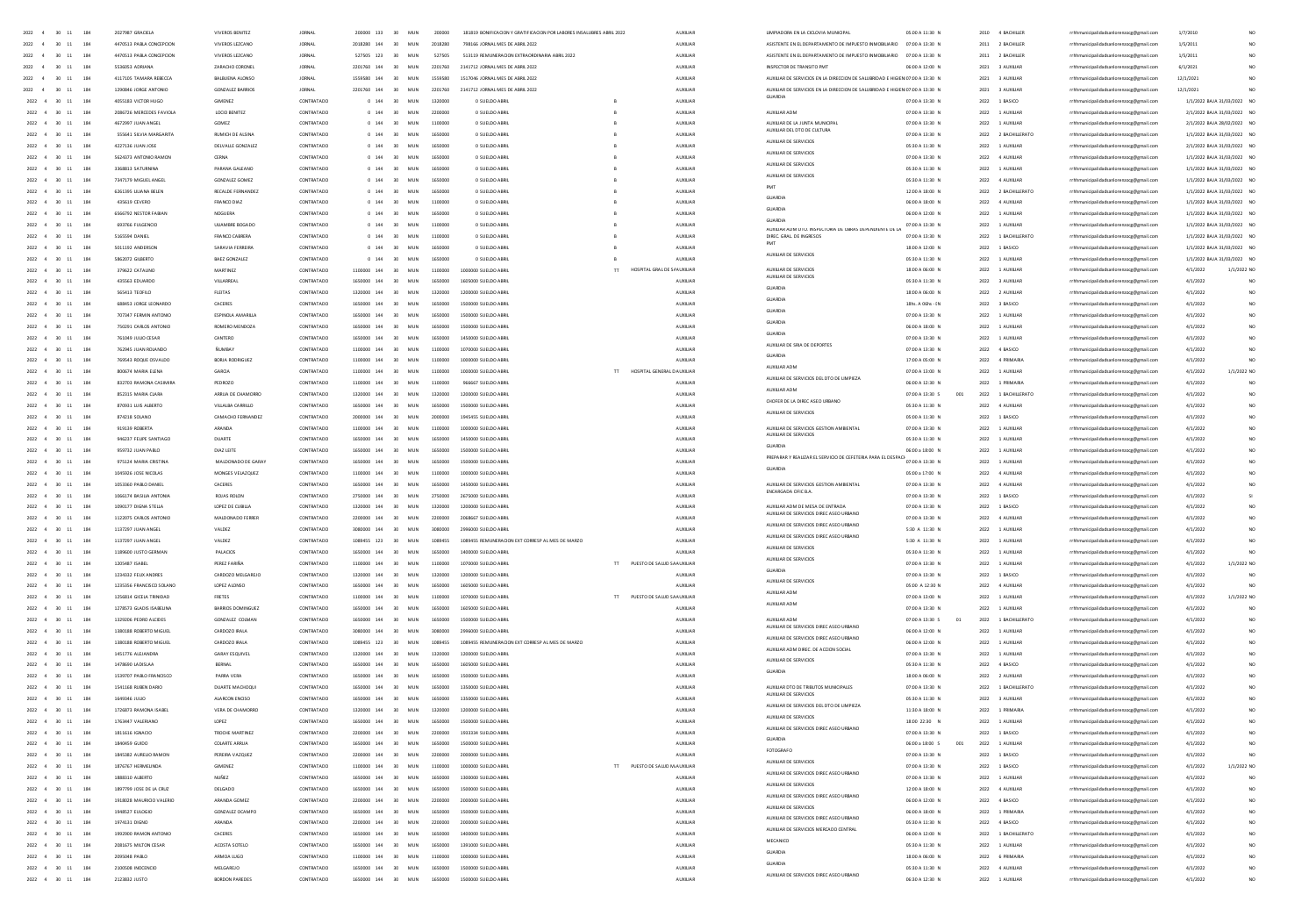| $2022\qquad 4\qquad 30\quad 11$<br>184                       | 2027987 GRACIEL          | VIVEROS BENITEZ         |               | 200000 133 30      | MUN                  |         | 181819 BONIFICACION Y GRATIFICACION POR LABORES INSALUERES ABRIL 2022      |                                |                 |                                                                               | 05.00 A 11:30 M   | 2010 4 BACHILLE     | rrhhmunicipalidadsanlorenzocg@gmail.com | 1/7/201                     |                 |
|--------------------------------------------------------------|--------------------------|-------------------------|---------------|--------------------|----------------------|---------|----------------------------------------------------------------------------|--------------------------------|-----------------|-------------------------------------------------------------------------------|-------------------|---------------------|-----------------------------------------|-----------------------------|-----------------|
| $2022$ 4 30 11 184                                           | 4470513 PABLA CONCEPCIO  | VIVEROS LEZCANO         | <b>JORNAL</b> | 2018280 144 30 MUN |                      | 2018280 | 798166 JORNAL MES DE ABRIL 2022                                            |                                | ALDOLIA         | ASISTENTE EN EL DEPARTAMENTO DE IMPUESTO INMOBILIARIO                         | 07:00 A 13:30 N   | 2011 2 BACHILLER    | rrhhmunicipalidadsanlo                  | 1/5/201                     | NO <sub>1</sub> |
| 2022 4 30 11 184                                             | 4470513 PARLA CONCEPTION | VIVEROS IFZCANO         | <b>IORNAL</b> |                    | 527505 123 30 MIIN   |         | 527505 513119 REMUNERACION EXTRAORDINARIA ARRII 2022                       |                                | ALCOHOL:        | ASISTENTE EN EL DEPARTAMENTO DE IMPLIESTO INMORILIARIO 07:00 A 13:30 N        |                   | 2011 2 RACHILLER    | rrhhmunicinalidadsanlorenzoce@email.com | 1/5/2011                    | NO <sub>1</sub> |
| 2022 4 30 11                                                 |                          | ZARACHO CORONEL         | <b>IORNAL</b> |                    | 2201760 144 30 MUN   |         | 2201760 2141712 JORNAL MES DE ABRIL 2022                                   |                                | ALCOHOL:        | INSPECTOR DE TRANSITO PMT                                                     | 0600 A 1200 N     |                     | rrhhmunicipalidadsanlorenzoce@email.com |                             |                 |
| 184                                                          | 5536053 ADRIANA          |                         |               |                    |                      |         |                                                                            |                                |                 |                                                                               |                   | 2021 3 AUXILIAR     |                                         | 6/1/2021                    | NO <sub>1</sub> |
| 2022 4 30 11<br>184                                          | 4117105 TAMARA REBECCA   | BALBURNA ALONSO         | <b>JORNAL</b> | 1559580 144 30 MUN |                      |         | 1559580 1517046 IORNAL MES DE 4881 2022                                    |                                | ALCOHOL:        | AUXILIAR DE SERVICIOS EN LA DIRECCIÓN DE SAU IRRIDAD E HIGIENIOZOD A 13:30 N. |                   | 2021 3 AUXILIAR     | rrhhmunicinalidadsanlorenzore@email.com | 12/1/202                    | NO              |
| 2022 4 30 11<br>184                                          | 1290846 JORGE ANTONIO    | <b>GONZALEZ BARRIOS</b> | <b>JORNAL</b> |                    | 2201760 144 30 MUN   |         | 2201760 2141712 JORNAL MES DE ABRIL 2022                                   |                                | AUXILIAR        | AUXIUAR DE SERVICIOS EN LA DIRECCIÓN DE SALUBRIDAD E HIGIENIO7:00 A 13:30 N   |                   | 2021 3 AUXILIAR     | rrhhmunicipalidadsanlorenzoce@email.com | 12/1/2021                   |                 |
| 2022 4 30 11<br>184                                          | 4055183 VICTOR HUGO      | <b>GIMENEZ</b>          | CONTRATADO    |                    | 0 144 30 MUN 1320000 |         | 0 SUELDO ABRIL                                                             |                                | <b>AUXILIAR</b> |                                                                               | 07:00 A 13:30 N   | 2022 1 BASICO       | rrhhmunicipalidadsanlorenzoce@email.com | 1/1/2022 BAJA 31/03/2022 NO |                 |
| 2022 4 30 11<br>184                                          | 2086726 MERCEDES FAVIOLA | LOCIO BENITEZ           | CONTRATADO    |                    | 0 144 30 MUN         | 2200000 | 0 SUELDO ABRIL                                                             |                                | AUXILIAR        | AUXIUAR ADM                                                                   | 07:00 A 13:30 N   | 2022 1 AUXILIAR     | rrhhmunicipalidadsanlorenzoce@email.com | 2/1/2022 BAJA 31/03/2022 NO |                 |
| 2022 4 30 11<br>184                                          | 4672997 JUAN ANGEL       | GOMEZ                   | CONTRATADO    |                    | 0 144 30 MUN         | 1100000 | 0 SUELDO ABRIL                                                             |                                | <b>AUXILIAR</b> | AUXIUAR DE LA JUNTA MUNICIPA                                                  | 07:00 A 13:30 N   | 2022 1 AUXILIAR     | rrhhmunicipalidadsanlorenzoce@email.com | 2/1/2022 BAJA 28/02/2022 NO |                 |
| $2022 \quad 4 \quad 30 \quad 11$<br>184                      | 555641 SILVIA MARGARITA  | RUMICH DE ALSINA        | CONTRATADO    |                    | 0 144 30 MUN         | 1650000 | 0 SUELDO ABRIL                                                             |                                | AUXUAR          | XILIAR DEL DTO DE CULTI                                                       | 07:00 A 13:30 N   | 2022 2 BACHILLERATO | rrhhmunicipalidadsanlorenzocg@gmail.com | 1/1/2022 BAJA 31/03/2022 NO |                 |
| 2022 4 30 11<br>184                                          | 4227136 JUAN JOSE        | DELVALLE GONZALEZ       | CONTRATADO    |                    | 0 144 30 MUN         | 1650000 | 0 SUELDO ABRIL                                                             |                                | AUXILIAR        | AUXILIAR DE SERVICIOS                                                         | 05:30 A 11:30 N   | 2022 1 AUXILIAR     | rrhhmunicipalidadsanlorenzoce@email.com | 2/1/2022 BAJA 31/03/2022 NO |                 |
| $2022\quad \  4\quad \  \  30\quad \  11$<br>184             |                          |                         |               |                    | 0 144 30 MUN 1650000 |         |                                                                            |                                |                 | AUXIUAR DE SERVICIOS                                                          |                   |                     | rrhhmunicipalidadsanlorenzocg@gmail.com | 1/1/2022 BAJA 31/03/2022 NO |                 |
|                                                              | 5624373 ANTONIO RAMON    | CERNA                   | CONTRATADO    |                    |                      |         | 0 SUELDO ABRIL                                                             |                                | AUXUAR          | AUXILIAR DE SERVICIOS                                                         | 07:00 A 13:30 N   | 2022 4 AUXILIAR     |                                         |                             |                 |
| $2022 \quad 4 \quad 30 \quad 11$<br>184                      | 3368813 SATURNINA        | PARANA GALEANO          | CONTRATADO    |                    | 0 144 30 MUN 1650000 |         | 0 SUELDO ABRIL                                                             |                                | AUXILIAR        | AUXILIAR DE SERVICIOS                                                         | 05:30 A 11:30 N   | 2022 1 AUXILIAR     | rrhhmunicipalidadsanlorenzocg@gmail.com | 1/1/2022 BAJA 31/03/2022 NO |                 |
| 2022 4 30 11<br>184                                          | 7347179 MIGUEL ANGE      | GONZALEZ GOMEZ          | CONTRATADO    |                    | 0 144 30 MUN         | 1650000 | 0 SUELDO ABRI                                                              |                                | AUXILIAR        |                                                                               | 05:30 A 11:30 N   | 2022 4 AUXILIAR     | rrhhmunicipalidadsanlorenzocg@gmail.com | 1/1/2022 BAJA 31/03/2022 NO |                 |
| 2022 4 30 11<br>184                                          | 6261395 LILIANA BELEN    | RECALDE FERNANDEZ       | CONTRATADO    |                    | 0 144 30 MUN         | 1650000 | 0 SUELDO ABRIL                                                             |                                | AUXILIAR        | <b>GUARDIA</b>                                                                | 12:00 A 18:00 N   | 2022 2 BACHILLERATO | rrhhmunicipalidadsanlorenzocg@gmail.com | 1/1/2022 BAJA 31/03/2022 NO |                 |
| 2022 4 30 11<br>184                                          | 435619 CEVERO            | FRANCO DIAZ             | CONTRATADO    |                    | 0 144 30 MUN 1100000 |         | 0 SUELDO ABRI                                                              |                                | AUXILIAR        |                                                                               | 06:00 A 18:00 N   | 2022 4 AUXILIAR     | rrhhmunicipalidadsanlorenzocg@gmail.com | 1/1/2022 BAJA 31/03/2022 NO |                 |
| $2022$ 4 30 11<br>184                                        | 6566792 NESTOR FABIA     | NOGUERA                 | CONTRATADO    | $0$ 144 30         | MUN                  | 1650000 | 0 SUELDO ABRI                                                              |                                | AUXILIAR        | <b>GLARDIA</b>                                                                | 06:00 A 12:00 M   | 2022 1 AUXILIAR     | rrhhmunicipalidadsanlorenzocg@gmail.com | 1/1/2022 BAJA 31/03/2022 NO |                 |
| 2022 4 30 11<br>184                                          | 693766 FULGENCIO         | UUAMBRE BOGADO          | CONTRATADO    |                    | 0 144 30 MUN         | 1100000 | 0 SUELDO ABRIL                                                             |                                | AUXILIAR        | GUARDIA<br>AUXIUAN ADM DTO, INSPECTORIA DE OBRAS DEPENDIENTE DE L             | 07:00 A 13:30 N   | 2022 1 AUXILIAR     | rrhhmunicipalidadsanlorenzocg@gmail.com | 1/1/2022 BAJA 31/03/2022 NO |                 |
| $2022$ 4 30 11<br>184                                        | 5165594 DANIEL           | FRANCO CABRERA          | CONTRATADO    | $0$ 144 30         | MUN                  |         | 0 SUELDO ABRI                                                              |                                | AUXILIAR        | DIREC. GRAL. DE INGRESOS                                                      | 07:00 A 13:30 N   | 2022 1 BACHILLERATO | rrhhmunicipalidadsanlorenzocg@gmail.com | 1/1/2022 BAJA 31/03/2022 NO |                 |
| $2022 \quad 4 \quad 30 \quad 11$<br>184                      | 5011192 ANDERSON         | SARAVIA FERREIRA        | CONTRATADO    | $0$ 144 30         | MUN                  | 1650000 | 0 SUELDO ABRI                                                              |                                | AUXILIAR        |                                                                               | 18:00 A 12:00 N   | 2022 1 BASICO       | rrhhmunicipalidadsanlorenzoog@gmail.com | 1/1/2022 BAJA 31/03/2022 NO |                 |
| 2022 4 30 11<br>184                                          | 5862072 GILBERTO         | BAEZ GONZALEZ           | CONTRATADO    |                    | 0 144 30 MUN         | 1650000 | 0 SUELDO ABRI                                                              |                                | AUXILIAR        | AUXILIAR DE SERVICIOS                                                         | 05:30 A 11:30 N   | 2022 1 AUXILIAR     | rrhhmunicipalidadsanlorenzocg@gmail.com | 1/1/2022 BAJA 31/03/2022 NO |                 |
| $2022$ 4 30 11                                               | 379622 CATALINO          | MARTINEZ                | CONTRATADO    | 1100000 144 30     | MUN                  | 1100000 | 1000000 SUELDO ABRI                                                        | HOSPITAL GRAL DE S/ AUXILIAR   |                 | <b>AUXILIAR DE SERVICI</b>                                                    | 18:00 A 06:00 N   | 2022 1 AUXILIAR     | rrhhmunicipalidadsanlorenzocg@gmail.com | 4/1/2022                    | $1/1/2022$ NO   |
|                                                              |                          |                         |               |                    |                      |         |                                                                            |                                |                 | AUXILIAR DE SERVICIOS                                                         |                   |                     |                                         |                             |                 |
| $2022 \quad 4 \quad 30 \quad 11$<br>184                      | 435563 EDUARDO           | VILLARREAL              | CONTRATADO    | 1650000 144 30 MUN |                      |         | 1650000 1605000 SUELDO ABRIL                                               |                                | <b>AUXILIAR</b> | GUARDIA                                                                       | 05:30 A 11:30 N   | 2022 3 AUXILIAR     | rrhhmunicipalidadsanlorenzocg@gmail.com | 4/1/2022                    | NO <sub>1</sub> |
| 2022 4 30 11<br>184                                          | 565413 TEOFILD           | FLEITAS                 | CONTRATADO    |                    |                      |         | 1320000 144 30 MUN 1320000 1200000 SUELDO ABRIL                            |                                | <b>ALDOUAR</b>  | GUARDIA                                                                       | 18:00 A 06:00 N   | 2022 2 AUXILIAR     | rrhhmunicipalidadsanlorenzocg@gmail.com | 4/1/2022                    | NO <sub>1</sub> |
| $2022 \quad 4 \quad 30 \quad 11$<br>184                      | 688453 JORGE LEONARDO    | CACERES                 | CONTRATADO    |                    | 1650000 144 30 MUN   |         | 1650000 1500000 SUELDO ABRIL                                               |                                | AUXILIAR        | GUARDIA                                                                       | 18hs. A 06hs - IN | 2022 3 BASICO       | rrhhmunicipalidadsanlorenzocg@gmail.com | 4/1/202                     | NO              |
| 2022 4 30 11<br>184                                          | 707347 FERMIN ANTONIO    | ESPINOLA AMARILLA       | CONTRATADO    |                    | 1650000 144 30 MUN   |         | 1650000 1500000 SUELDO ABRIL                                               |                                | ALCOHOL:        |                                                                               | 07:00 A 13:30 N   | 2022 1 AUXILIAR     | rrhhmunicipalidadsanlorenzocg@gmail.com | 4/1/2022                    | NO <sub>1</sub> |
| 2022 4 30 11<br>184                                          | 750291 CARLOS ANTONIO    | ROMERO MENDOZA          | CONTRATADO    |                    |                      |         | 1650000 144 30 MUN 1650000 1500000 SUFLDO ARRIV                            |                                | ALDOIDAR        | GUARDIA                                                                       | 0600 A 1800 N     | 2022 1 AUXU/AR      | rrhhmunicipalidadsanlorenzocg@gmail.com | 4/1/2022                    | NO <sub>1</sub> |
| 2022 4 30 11<br>184                                          | 761049 JUUO CESAR        | CANTERO                 | CONTRATADO    |                    |                      |         | 1650000 144 30 MUN 1650000 1450000 SUELDO ABRIL                            |                                | AUXILIAR        | GUARDIA                                                                       | 07:00 A 13:30 N   | 2022 1 AUXILIAR     | rrhhmunicipalidadsanlorenzocg@gmail.com | 4/1/2022                    | NO <sub>1</sub> |
| 2022 4 30 11<br>184                                          | 762945 ILIAN ROLANDO     | <b>BUMBAY</b>           | CONTRATADO    |                    |                      |         | 1100000 144 30 MUN 1100000 107000 SUFLDO ARRI                              |                                | ALDOIDAR        | AUXILIAR DE SRIA DE DEPORTES                                                  | 0200 A 13:30 N    | 2022 4 RASICO       | rrhhmunicipalidadsanlorenzocg@gmail.com | 4/1/2022                    | NO <sub>1</sub> |
| 2022 4 30 11<br>184                                          | 769543 ROQUE OSVALDO     | BORJA RODRIGUEZ         | CONTRATADO    |                    |                      |         | 1100000 144 30 MUN 1100000 1000000 SUELDO ABRIL                            |                                | AUXILIAR        | GUARDIA                                                                       | 17:00 A 05:00 N   | 2022 4 PRIMARIA     | rrhhmunicipalidadsanlorenzocg@gmail.com | 4/1/2022                    | NO <sub>1</sub> |
| 2022 4 30 11<br>184                                          | 800674 MARIA ELENA       | GARCIA                  | CONTRATADO    |                    |                      |         | 1100000 144 30 MUN 1100000 1000000 SUELDO ABRIL                            | TT HOSPITAL GENERAL DAUXILIAR  |                 | AUXILIAR ADM                                                                  | 07:00 A 13:00 N   | 2022 1 AUXILIAR     | rrhhmunicipalidadsanlorenzoce@email.com | 4/1/2022                    | 1/1/2022 NO     |
|                                                              |                          |                         |               |                    |                      |         |                                                                            |                                |                 | AUXILIAR DE SERVICIOS DEL DTO DE LIMPIEZ.                                     |                   |                     |                                         |                             |                 |
| 2022 4 30 11<br>184                                          | 832703 RAMONA CASIMIRA   | PEDROZO                 | CONTRATADO    |                    |                      |         | 1100000 144 30 MUN 1100000 966667 SUELDO ABRIL                             |                                | AUXILIAR        | AUXILIAR ADM                                                                  | 06:00 A 12:30 N   | 2022 1 PRIMARIA     | rrhhmunicipalidadsanlorenzoce@email.com | 4/1/2022                    | NO <sub>1</sub> |
| 2022 4 30 11 184                                             | 852315 MARIA CLARA       | ARRUA DE CHAMORRO       | CONTRATADO    |                    |                      |         | 1320000 144 30 MUN 1320000 1200000 SUELDO ABRIL                            |                                | <b>AUXILIAR</b> | CHOFER DE LA DIREC ASED URBANO                                                | 07:00 A 13:30 S   | 2022 1 BACHILLERATO | rrhhmunicipalidadsanlorenzoce@email.com | 4/1/2022                    | NO <sub>1</sub> |
| $2022 \quad 4 \quad 30 \quad 11$<br>184                      | 870931 LUIS ALBERTO      | VILLALBA CARRILLO       | CONTRATADO    |                    |                      |         | 1650000 144 30 MUN 1650000 1500000 SUELDO ABRIL                            |                                | AUXUAR          |                                                                               | 05:30 A 11:30 N   | 2022 4 AUXILIAR     | rrhhmunicipalidadsanlorenzocg@gmail.com | 4/1/2022                    | NO <sub>1</sub> |
| 2022 4 30 11<br>184                                          | 874218 SOLANO            | CAMACHO FERNANDEZ       | CONTRATADO    |                    | 2000000 144 30 MUN   |         | 2000000 1945455 SUELDO ABRIL                                               |                                | AUXUAR          | AUXIUAR DE SERVICIOS                                                          | 05:00 A 11:30 N   | 2022 1 BASICO       | rrhhmunicipalidadsanlorenzocg@gmail.com | 4/1/2022                    | NO <sub>1</sub> |
| 2022 4 30 11<br>184                                          | 919139 ROBERTA           | ARANDA                  | CONTRATADO    |                    |                      |         | 1100000 144 30 MUN 1100000 1000000 SUELDO ABRIL                            |                                | AUXILIAR        | AUXILIAR DE SERVICIOS GESTION AMBIENTAL                                       | 07:00 A 13:30 N   | 2022 1 AUXILIAR     | rrhhmunicipalidadsanlorenzocg@gmail.com | 4/1/2022                    | NO <sub>1</sub> |
| $2022 \quad 4 \quad 30 \quad 11$<br>184                      | 946237 FEUPE SANTIAGO    | DUARTE                  | CONTRATADO    |                    | 1650000 144 30 MUN   |         | 1650000  1450000 SUELDO ABRIL                                              |                                | AUXUAR          | AUXIUAR DE SERVICIOS                                                          | 05:30 A 11:30 N   | 2022 1 AUXILIAR     | rrhhmunicipalidadsanlorenzocg@gmail.com | 4/1/2022                    | NO <sub>1</sub> |
| $2022$ 4 30 11<br>184                                        | 959732 JUAN PABLO        | DIAZ LEITE              | CONTRATADO    | 1650000 144 30 MUN |                      |         | 1650000 1500000 SUELDO ABRI                                                |                                | AUXILIAR        | <b>GLARDIA</b>                                                                | 06:00 a 18:00 N   | 2022 1 AUXILIAR     | rrhhmunicipalidadsanlorenzocg@gmail.com | 4/1/202                     | NO              |
| 2022 4 30 11<br>184                                          | 975124 MARIA CRISTINA    | MALDONADO DE GARAY      | CONTRATADO    | 1650000 144 30 MUN |                      |         | 1650000 1500000 SUELDO ABRIL                                               |                                | AUXUAR          | PREPARAR Y REALIZAR EL SERVICIÓ DE CEFETERIA PARA EL DESPACI                  | 07:00 A 13:30 N   | 2022 1 AUXILIAR     | rrhhmunicipalidadsanlorenzocg@gmail.com | 4/1/2022                    | NO <sub>1</sub> |
|                                                              |                          |                         |               |                    |                      |         |                                                                            |                                |                 | GUARDIA                                                                       |                   |                     |                                         |                             |                 |
| $2022$ 4 30 11<br>184                                        | 1045926 JOSE NICOLAS     | MONGES VELAZQUEZ        | CONTRATADO    | 1100000 144 30 MUN |                      |         | 1100000 1000000 SUELDO ABRI                                                |                                | AUXILIAR        |                                                                               | 05:00 a 17:00 N   | 2022 4 AUXILIAR     | rrhhmunicipalidadsanlorenzocg@gmail.com | 4/1/202                     | NO              |
| $2022$ 4 30 11<br>184                                        | 1053360 PABLO DANIEL     | CACERES                 | CONTRATADO    | 1650000 144 30 MUN |                      |         | 1650000 1450000 SUELDO ABRI                                                |                                | AUXILIAR        | AUXILIAR DE SERVICIOS GESTION AMBIENTAL<br>ENCARGADA OFIC B.A.                | 07:00 A 13:30 N   | 2022 4 AUXILIAR     | rrhhmunicipalidadsanlorenzocg@gmail.com | 4/1/202                     | NO              |
| 2022 4 30 11<br>184                                          | 1066174 BASILIA ANTONIA  | ROJAS ROLON             | CONTRATADO    |                    |                      |         | 2750000 144 30 MUN 2750000 2675000 SUELDO ABR                              |                                | <b>AUXILIAR</b> |                                                                               | 07:00 A 13:30 N   | 2022 1 BASICO       | hmunicipalidadsanlorenzoog@gmail.com    | 4/1/202                     |                 |
| $2022$ 4 30 11<br>184                                        | 1090177 DIGNA STELLA     | LOPEZ DE CUBILLA        | CONTRATADO    | 1320000 144 30 MUN |                      |         | 1320000 1200000 SUELDO ABRIL                                               |                                | AUXILIAR        | <b>AUXILIAR ADM DE MESA DE ENTRADA</b>                                        | 07:00 A 13:30 N   | 2022 1 BASICO       | rrhhmunicipalidadsanlorenzocg@gmail.com | 4/1/202                     | NO              |
| 2022 4 30 11 184                                             | 1122025 CARLOS ANTONIO   | MALDONADO FERRER        | CONTRATADO    |                    |                      |         | 2200000 144 30 MUN 2200000 2058667 SUELDO ABR                              |                                | <b>AUXILIAR</b> | AUXILIAR DE SERVICIOS DIREC ASEO URBANO                                       | 07:00 A 13:30 N   | 2022 4 AUXILIAR     | rrhhmunicipalidadsanlorenzocg@gmail.com | 4/1/2022                    | NO              |
| 2022 4 30 11 184                                             | 1137297 JUAN ANGEL       | VALDEZ                  | CONTRATADO    |                    |                      |         | 3080000 144 30 MUN 3080000 2996000 SUELDO ABRIL                            |                                | AUXILIAR        | AUXIUAR DE SERVICIOS DIREC ASEO URBANO                                        | 5:30 A 11:30 N    | 2022 1 AUXILIAR     | rrhhmunicipalidadsanlorenzocg@gmail.com | 4/1/2022                    | NO              |
| 2022 4 30 11<br>184                                          | 1137297 JUAN ANGEL       | VALDEZ                  | CONTRATADO    |                    | 1089455 123 30 MUN   |         | 1089455 1089455 REMUNERACION EXT CORRESP AL MES DE MARZO                   |                                | AUXILIAR        | AUXILIAR DE SERVICIOS DIREC ASEO URBANO                                       | 5:30 A 11:30 N    | 2022 1 AUXILIAR     | rrhhmunicipalidadsanlorenzoog@gmail.com | 4/1/202                     |                 |
| $2022\quad \  \, 4\quad \  \  30\quad \  11$<br>184          | 1189600 JUSTO GERMAN     | PALACIOS                | CONTRATADO    |                    | 1650000 144 30 MUN   |         | 1650000 1400000 SUELDO ABRIL                                               |                                | ALDOIDAR        | AUXILIAR DE SERVICIOS                                                         | 05:30 A 11:30 N   | 2022 1 AUXILIAR     | rrhhmunicipalidadsanlorenzoog@gmail.com | 4/1/202                     |                 |
| 2022 4 30 11 184                                             | 1205487 ISAREL           | PERFZ FARIÑA            | CONTRATADO    |                    |                      |         | 1100000 144 30 MUN 1100000 1070000 SUFLDO ARRIV                            | TT PUESTO DE SAIUD SA AUXUIA R |                 | AUXILIAR DE SERVICIOS                                                         | 07:00 A 13:30 N   | 2022 1 AUXU/AR      | rrhhmunicipalidadsanlorenzoog@gmail.com | 4/1/2022                    | 1/1/2022 NO     |
| 2022 4 30 11 184                                             | 1234332 FEUX ANDRES      | CARDOZO MELGAREJO       | CONTRATADO    |                    |                      |         | 1320000 144 30 MUN 1320000 1200000 SUELDO ABRIL                            |                                | <b>AUXILIAR</b> | GUARDIA                                                                       | 07:00 A 13:30 N   | 2022 1 BASICO       | rrhhmunicipalidadsanlorenzoce@email.com | 4/1/2022                    |                 |
|                                                              |                          |                         |               |                    |                      |         |                                                                            |                                |                 | AUXILIAR DE SERVICIO                                                          |                   |                     |                                         |                             | NO <sub>1</sub> |
| 2022 4 30 11 184                                             | 1235356 FRANCISCO SOLANO | LOPEZ ALONSO            | CONTRATADO    |                    |                      |         | 1650000 144 30 MUN 1650000 1605000 SUELDO ABRIL                            |                                | ALCOHOL:        | AUXILIAR ADM                                                                  | 05:00 A 12:30 N   | 2022 4 AUXILIAR     | rrhhmunicipalidadsanlorenzoce@email.com | 4/1/202                     | NO <sub>1</sub> |
| 2022 4 30 11 184                                             | 1256814 GICELA TRINIDAD  | FRETES                  | CONTRATADO    |                    |                      |         | 1100000 144 30 MUN 1100000 1070000 SUELDO ABRIL                            | TT PUESTO DE SALUD SA AUXILIAR |                 | AUXILIAR ADM                                                                  | 07:00 A 13:00 N   | 2022 1 AUXILIAR     | rrhhmunicipalidadsanlorenzoce@email.com | 4/1/2022                    | 1/1/2022 NO     |
| 2022 4 30 11 184                                             | 1278573 GLADIS ISABELINA | BARRIOS DOMINGUEZ       | CONTRATADO    |                    |                      |         | 1650000 144 30 MUN 1650000 1605000 SUELDO ABRIL                            |                                | AUXILIAR        |                                                                               | 07:00 A 13:30 N   | 2022 1 AUXILIAR     | rrhhmunicipalidadsanlorenzoce@email.com | 4/1/2022                    | NO <sub>1</sub> |
| 2022 4 30 11 184                                             | 1329206 PEDRO ALCIDES    | GONZALEZ COLMAN         | CONTRATADO    |                    |                      |         | 1650000 144 30 MUN 1650000 1500000 SUELDO ABRIL                            |                                | AUXILIAR        | AUXILIAR ADM                                                                  | 07:00 A 13:30 S   | 2022 1 BACHILLERATO | rrhhmunicipalidadsanlorenzoce@email.com | 4/1/2022                    | NO <sub>1</sub> |
| 2022 4 30 11 184                                             | 1380188 ROBERTO MIGUEL   | CARDOZO IRALA           | CONTRATADO    |                    |                      |         | 3080000 144 30 MUN 3080000 2996000 SUELDO ABRIL                            |                                | AUXILIAR        | UXILIAR DE SERVICIOS DIREC ASEO URBANO                                        | 06:00 A 12:00 N   | 2022 1 AUXILIAR     | rrhhmunicipalidadsanlorenzoce@email.com | 4/1/2022                    | NO <sub>1</sub> |
| $2022\quad 4 \quad 30 \quad 11 \qquad 184$                   | 1380188 ROBERTO MIGUEL   | CARDOZO IRALA           | CONTRATADO    |                    |                      |         | 1089455 123 30 MUN 1089455 1089455 REMUNERACION EXT CORRESP ALMES DE MARZO |                                | AUXUAR          | AUXIUAR DE SERVICIOS DIREC ASEO URBANO                                        | 06:00 A 12:00 N   | 2022 1 AUXILIAR     | rrhhmunicipalidadsanlorenzocg@gmail.com | 4/1/2022                    | NO              |
| $2022\quad \  \, 4\quad \  \  30\quad \  11\qquad \  \, 184$ | 1451776 ALEJANDRA        | GARAY ESQUIVEL          | CONTRATADO    |                    |                      |         | 1320000 144 30 MUN 1320000 1200000 SUELDO ABRIL                            |                                | AUXUAR          | AUXIUAR ADM DIREC. DE ACCION SOCIA                                            | 07:00 A 13:30 N   | 2022 1 AUXILIAR     | rrhhmunicipalidadsanlorenzocg@gmail.com | 4/1/2022                    | NO <sub>1</sub> |
| 2022 4 30 11 184                                             | 1478590 (ADIS) 44        | BERNAL                  | CONTRATADO    |                    |                      |         | 1650000 144 30 MUN 1650000 1605000 SUELDO ABRIL                            |                                | <b>AUXILIAR</b> | AUXILIAR DE SERVICIOS                                                         | 05:30 A 11:30 N   | 2022 4 BASICO       | rrhhmunicipalidadsanlorenzoce@email.com | 4/1/2022                    | NO <sub>1</sub> |
| $2022\quad \  \, 4\quad \  \  30\quad \  11\qquad \  \, 184$ | 1539707 PABLO FRANCISCO  | PARRA VERA              | CONTRATADO    |                    |                      |         | 1650000 144 30 MUN 1650000 1500000 SUELDO ABRIL                            |                                | AUXILIAR        | GUARDIA                                                                       | 18:00 A 06:00 N   | 2022 2 AUXILIAR     | rrhhmunicipalidadsanlorenzocg@gmail.com | 4/1/2022                    | NO.             |
| 2022 4 30 11<br>184                                          | 1541168 RUBEN DARIO      | DUARTE MACHOOUI         | CONTRATADO    |                    |                      |         | 1650000 144 30 MUN 1650000 1350000 SUELDO ABRIL                            |                                | AUXILIAR        | AUXILIAR DTO DE TRIBUTOS MUNICIPALES                                          | 07:00 A 13:30 N   | 2022 1 BACHILLERATO | rrhhmunicipalidadsanlorenzocg@gmail.com | 4/1/2022                    | NO <sub></sub>  |
|                                                              |                          |                         |               |                    |                      |         |                                                                            |                                |                 | AUXILIAR DE SERVICIOS                                                         |                   |                     |                                         |                             |                 |
| 2022 4 30 11<br>184                                          | 1649346 JUUO             | ALARCON ENCISO          | CONTRATADO    |                    |                      |         | 1650000 144 30 MUN 1650000 1350000 SUELDO ABRIL                            |                                | AUXILIAR        | AUXIUAR DE SERVICIOS DEL DTO DE LIMPIEZA                                      | 05:30 A 11:30 N   | 2022 3 AUXILIAR     | rrhhmunicipalidadsanlorenzocg@gmail.com | 4/1/2022                    | NO <sub></sub>  |
| 2022 4 30 11<br>184                                          | 1726873 RAMONA ISABEL    | VERA DE CHAMORRO        | CONTRATADO    |                    |                      |         | 1320000 144 30 MUN 1320000 1200000 SUELDO ABRIL                            |                                | AUXILIAR        | AUXILIAR DE SERVICIOS                                                         | 11:30 A 18:00 N   | 2022 1 PRIMARIA     | rrhhmunicipalidadsanlorenzocg@gmail.com | 4/1/2022                    | NO <sub></sub>  |
| $2022 \quad 4 \quad 30 \quad 11$<br>184                      | 1763447 VALERIANO        | LOPEZ                   | CONTRATADO    |                    | 30 MUN               |         | 1650000 1500000 SUELDO ABRIL                                               |                                | AUXILIAR        |                                                                               | 18:00 22:30 N     | 2022 1 AUXILIAR     | rrhhmunicipalidadsanlorenzocg@gmail.com | 4/1/202                     |                 |
| $2022 \quad 4 \quad 30 \quad 11$<br>184                      | 1811616 IGNACIO          | TROCHE MARTINEZ         | CONTRATADO    |                    | 2200000 144 30 MUN   |         | 2200000 1933334 SUELDO ABRI                                                |                                | AUXILIAR        | AUXIUAR DE SERVICIOS DIREC ASEO URBANO                                        | 07:00 A 13:30 N   | 2022 1 BASICO       | rrhhmunicipalidadsanlorenzocg@gmail.com | 4/1/202                     |                 |
| $2022 \quad 4 \quad 30 \quad 11$<br>184                      | 1840459 GUIDO            | COLARTE ARRUA           | CONTRATADO    |                    | 30 MUN               |         | 1650000 1500000 SUELDO ABRI                                                |                                | AUXILIAR        | GUARDIA                                                                       | 06:00 a 18:00 S   | 2022 1 AUXILIAR     | rrhhmunicipalidadsanlorenzocg@gmail.com | 4/1/202                     |                 |
| $2022 \quad 4 \quad 30 \quad 11$<br>184                      | 1845382 AURELIO RAMON    | PEREIRA VAZQUEZ         | CONTRATADO    | 2200000 144 30 MUN |                      |         | 2200000 2000000 SUELDO ABRI                                                |                                | AUXUAR          | <b>FOTOGRAFO</b>                                                              | 07:00 A 13:30 N   | 2022 1 BASICO       | rrhhmunicipalidadsanlorenzocg@gmail.com | 4/1/202                     |                 |
| $2022 \quad 4 \quad 30 \quad 11$<br>184                      | 1876767 HERMELINDA       | <b>GIMENEZ</b>          | CONTRATADO    | 1100000 144 30 MUN |                      |         | 1100000 1000000 SUELDO ABR                                                 | TT PUESTO DE SALUD M AUXILIAR  |                 | AUXILIAR DE SERVICIOS                                                         | 07:00 A 13:30 N   | 2022 1 BASICO       | rrhhmunicipalidadsanlorenzocg@gmail.com | 4/1/202                     | 1/1/2022 NO     |
| $2022$ 4 30 11                                               |                          | NUÑEZ                   | CONTRATADO    |                    | 30 MUN               |         | 1650000 1300000 SUELDO ABRI                                                |                                |                 | AUXILIAR DE SERVICIOS DIREC ASEO URBANO                                       | 07:00 A 13:30 N   | 2022 1 AUXILIAR     | rrhhmunicipalidadsanlorenzocg@gmail.com |                             |                 |
|                                                              | 1888310 ALBERTO          |                         |               |                    |                      |         |                                                                            |                                | AUXILIAR        | AUXILIAR DE SERVICIOS                                                         |                   |                     |                                         | 4/1/202                     |                 |
| $2022 \quad 4 \quad 30 \quad 11$<br>184                      | 1897799 JOSE DE LA CRUZ  | DELGADO                 | CONTRATADO    | 1650000 144 30 MUN |                      |         | 1650000 1500000 SUELDO ABRIL                                               |                                | AUXILIAR        | AUXILIAR DE SERVICIOS DIREC ASEO URBANO                                       | 12:00 A 18:00 N   | 2022 4 AUXILIAR     | rrhhmunicipalidadsanlorenzocg@gmail.com | 4/1/202                     | NO <sub>1</sub> |
| 2022 4 30 11<br>184                                          | 1918028 MAURICIO VALERIO | ARANDA GOMEZ            | CONTRATADO    |                    | 2200000 144 30 MUN   |         | 2200000 2000000 SUELDO ABRIL                                               |                                | AUXILIAR        | AUXIUAR DE SERVICIOS                                                          | 06:00 A 12:00 N   | 2022 4 BASICO       | rrhhmunicipalidadsanlorenzocg@gmail.com | 4/1/2022                    | NO <sub>1</sub> |
| 2022 4 30 11<br>184                                          | 1948527 FUIDGIO          | GONZAIEZ OCAMPO         | CONTRATADO    |                    | 1650000 144 30 MUN   |         | 1650000 1500000 SUELDO ABRIL                                               |                                | ALDOIDAR        |                                                                               | 06:00 A 18:00 N   | 2022 1 PRIMARIA     | rrhhmunicipalidadsanlorenzocg@gmail.com | 4/1/2022                    | NO <sub>1</sub> |
| $2022 \quad 4 \quad 30 \quad 11$<br>184                      | 1974131 DIGNO            | ARANDA                  | CONTRATADO    | 2200000 144 30 MUN |                      |         | 2200000 2000000 SUELDO ABRI                                                |                                | AUXILIAR        | AUXIUAR DE SERVICIOS DIREC ASED URBANO                                        | 05:30 A 11:30 N   | 2022 4 BASICO       | rrhhmunicipalidadsanlorenzocg@gmail.com | 4/1/202                     | NO.             |
| 2022 4 30 11<br>184                                          | 1992900 BAMON ANTONIO    | CACERES                 | CONTRATADO    |                    |                      |         | 1650000 144 30 MUN 1650000 1400000 SUELDO ABRIL                            |                                | ALDOIDAR        | AUXILIAR DE SERVICIOS MERCADO CENTRAL                                         | 0600 A 1200 N     | 2022 1 RACHILLERATO | rrhhmunicipalidadsanlorenzocg@gmail.com | 4/1/2022                    | NO <sub>1</sub> |
| 2022 4 30 11<br>184                                          | 2081675 MILTON CESAR     | ACOSTA SOTELO           | CONTRATADO    |                    |                      |         | 1650000 144 30 MUN 1650000 1391000 SUELDO ABRIL                            |                                | AUXILIAR        | MECANICO                                                                      | 05:30 A 11:30 N   | 2022 1 AUXILIAR     | rrhhmunicipalidadsanlorenzocg@gmail.com | 4/1/2022                    | NO.             |
| 2022 4 30 11 184                                             | 2095048 PARLO            | ABMOA LUGO              | CONTRATADO    |                    |                      |         | 1100000 144 30 MUN 1100000 1000000 SUELDO ABRIL                            |                                | ALDOIDAR        | GUARDIA                                                                       | 1800 A 0600 N     | 2022 6 PRIMARIA     | rrhhmunicipalidadsanlorenzocg@gmail.com | 4/1/2022                    | NO.             |
| 2022 4 30 11 184                                             | 2100508 INOCENCIO        | MELGAREJO               | CONTRATADO    |                    |                      |         | 1650000 144 30 MUN 1650000 1500000 SUELDO ABRIL                            |                                | AUXILIAR        | GUARDIA                                                                       | 05:30 A 11:30 N   | 2022 4 AUXILIAR     | rrhhmunicipalidadsanlorenzoce@email.com | 4/1/2022                    | NO              |
|                                                              |                          |                         |               |                    |                      |         |                                                                            |                                |                 | AUXILIAR DE SERVICIOS DIREC ASEO URBANO                                       |                   |                     |                                         |                             |                 |
| 2022 4 30 11 184                                             | 2123832 JUSTO            | BORDON PAREDES          | CONTRATADO    |                    |                      |         | 1650000 144 30 MUN 1650000 1500000 SUELDO ABRIL                            |                                | AUXILIAR        |                                                                               | 06:30 A 12:30 N   | 2022 1 AUXILIAR     | rrhhmunicipalidadsanlorenzoce@email.com | 4/1/2022                    |                 |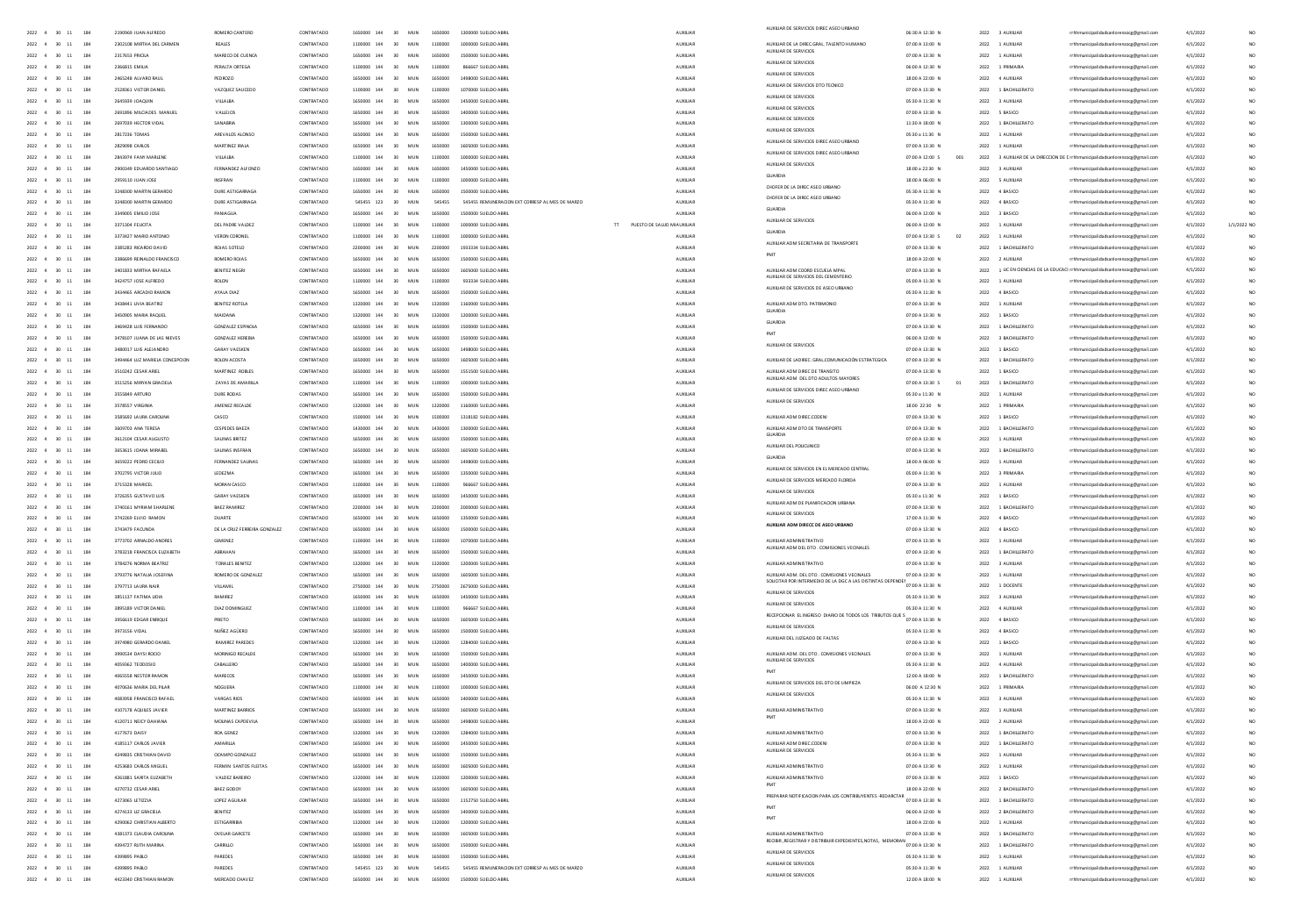|                                                                                            |                                             |                                 |                          |                                                                                                    |                               | AUXILIAR DE SERVICIOS DIREC ASEO URBAN                                              |                                    |                                      |                                                                                    |                      |            |
|--------------------------------------------------------------------------------------------|---------------------------------------------|---------------------------------|--------------------------|----------------------------------------------------------------------------------------------------|-------------------------------|-------------------------------------------------------------------------------------|------------------------------------|--------------------------------------|------------------------------------------------------------------------------------|----------------------|------------|
| $2022 \quad 4 \quad 30 \quad 11 \qquad 184$<br>$2022 \quad 4 \quad 30 \quad 11 \qquad 184$ | 2190969 JUAN ALFREDO                        | ROMERO CANTERO                  | CONTRATADO               | 1650000 144 30 MUN 1650000 1300000 SUELDO ABRIL<br>1100000 144 30 MUN 1100000 1000000 SUELDO ABRIL | AUXILIAR<br>AUXUAR            |                                                                                     | 06:30 A 12:30 N                    | 2022 3 AUXILIAR                      | rrhhmunicipalidadsanlorenzocg@gmail.com                                            | 4/1/2022             |            |
|                                                                                            | 2302108 MIRTHA DEL CARMEN                   | REALES                          | CONTRATADO               |                                                                                                    |                               | AUXILIAR DE LA DIREC.GRAL. TALENTO HUMANO<br>AUXILIAR DE SERVICIOS                  | 07:00 A 13:00 N                    | 2022 1 AUXILIAR                      | rrhhmunicipalidadsanlorenzocg@gmail.com                                            | 4/1/2022             |            |
| 2022 4 30 11 184                                                                           | 2317653 PRICILA                             | MARECO DE CUENCA                | CONTRATADO               | 1650000 144 30 MUN 1650000 1500000 SUELDO ABR                                                      | AUXUAR                        | AUXILIAR DE SERVICIOS                                                               | 07:00 A 13:30 N                    | 2022 1 AUXILIAR                      | rrhhmunicipalidadsanlorenzocg@gmail.com                                            | 4/1/2022             |            |
| 2022 4 30 11 184                                                                           | 2366815 EMILIA                              | PERALTA ORTEGA                  | CONTRATADO               | 1100000 144 30 MUN 1100000 855567 SUELDO ABRIL                                                     | AUXILIAR                      | AUXILIAR DE SERVICIOS                                                               | 06:00 A 12:30 N                    | 2022 1 PRIMARIA                      | rrhhmunicipalidadsanlorenzocg@gmail.com                                            | 4/1/2022             |            |
| $2022$ 4 30 11<br>184                                                                      |                                             | PEDROZO                         | CONTRATADO               | 1650000 144 30 MUN<br>1650000<br>1498000 SUELDO ABR                                                | AUXUAR                        | AUXILIAR DE SERVICIOS DTO TECNICO                                                   | 18:00 A 22:00 N                    | 2022 4 AUXILIAR                      | rrhhmunicipalidadsanlorenzocg@gmail.com                                            | 4/1/2022             |            |
| 2022 4 30 11 184                                                                           | 2528361 VICTOR DANIE                        | VAZQUEZ SAUCEDO                 | CONTRATADO               | 1100000 144 30 MUN 1100000 1070000 SUELDO ABRI                                                     | AUXILIAR                      | AUXILIAR DE SERVICIOS                                                               | 07:00 A 13:30 N                    | 2022 1 BACHILLERATO                  | rrhhmunicipalidadsanlorenzocg@gmail.com                                            | 4/1/2022             |            |
| 2022 4 30 11 184                                                                           | 2645939 IOAOUN                              | VILLAIRA                        | CONTRATADO               | 1650000 144 30 MUN 1650000 1450000 SUELDO ABRIL                                                    | ALCOHOL:                      | AUXILIAR DE SERVICIOS                                                               | 05:30 A 11:30 N                    | 2022 3 AUXULAR                       | rrhhmunicipalidadsanlorenzocg@gmail.com                                            | 4/1/2022             |            |
| 2022 4 30 11<br>184                                                                        | 2691896 MILCIADES MANUE                     | VALLEJOS                        | CONTRATADO               | 1650000 144 30 MUN 1650000 1400000 SUELDO ABRIL                                                    | AUXILIAR                      | AUXILIAR DE SERVICIOS                                                               | 07:00 A 13:30 N                    | 2022 5 BASICO                        | rrhhmunicipalidadsanlorenzocg@gmail.com                                            | 4/1/2022             |            |
| 2022 4 30 11 184                                                                           | <b>2697039 HECTOR VIDAL</b>                 | SANARRIA                        | CONTRATADO               | 1650000 144 30 MUN 1650000 1300000 SUFLDO ARRIV                                                    | ALCOHOL:                      | AUXIUAR DE SERVICIOS                                                                | 11:30 A 18:00 N                    | 2022 1 RACHILLERATO                  | rrhhmunicipalidadsanlorenzoce@email.com                                            | 4/1/2022             |            |
| 2022 4 30 11 184                                                                           | 2817236 TOMAS                               | AREVALOS ALONSO                 | CONTRATADO               | 1650000 144 30 MUN 1650000 1500000 SUELDO ABRIL                                                    | <b>AUXILIAR</b>               | AUXILIAR DE SERVICIOS DIREC ASEO URBANO                                             | 05:30 a 11:30 N                    | 2022 1 AUXILIAR                      | rrhhmunicipalidadsanlorenzoce@email.com                                            | 4/1/2022             |            |
| 2022 4 30 11 184                                                                           | 2829098 CARLOS                              | MARTINEZ IRAJA                  | CONTRATADO               | 1650000 144 30 MUN 1650000 1605000 SUELDO ABRIL                                                    | <b>AUXILIAR</b>               | AUXILIAR DE SERVICIOS DIREC ASEO URBANI                                             | 07:00 A 13:30 N                    | 2022 1 AUXILIAR                      | rrhhmunicipalidadsanlorenzoce@email.com                                            | 4/1/2022             |            |
| 2022 4 30 11 184                                                                           | 2843974 FANY MARLENE                        | <b>VILLALBA</b>                 | CONTRATADO               | 1100000 144 30 MUN 1100000 1000000 SUELDO ABRIL                                                    | <b>AUXILIAR</b>               | AUXILIAR DE SERVICIOS                                                               | 07:00 A 12:00 S<br>001             |                                      | 2022 3 AUXIUAR DE LA DIRECCION DE E rrhhmunicipalidadsanlorenzoce@email.com        | 4/1/2022             |            |
| 2022 4 30 11 184                                                                           | 2900349 EDUARDO SANTIAGO                    | FERNANDEZ ALFONZO               | CONTRATADO               | 1650000 144 30 MUN 1650000 1450000 SUELDO ABRIL                                                    | <b>AUXILIAR</b>               | GUARDIA                                                                             | 18:00 a 22:30 N                    | 2022 3 AUXILIAR                      | rrhhmunicipalidadsanlorenzocg@gmail.com                                            | 4/1/2022             |            |
| 2022 4 30 11 184                                                                           | 2959110 JUAN JOSE                           | INSFRAN                         | CONTRATADO               | 1100000 144 30 MUN 1100000 1000000 SUELDO ABRIL                                                    | AUXILIAR                      | CHOFFR DE LA DIREC ASED LIBRANO                                                     | 18:00 A 06:00 N                    | 2022 5 AUXILIAR                      | rrhhmunicipalidadsanlorenzocg@gmail.com                                            | 4/1/2022             |            |
| $2022$ 4 30 11 184                                                                         | 3248300 MARTIN GERARDO                      | DURE ASTIGARRAGA                | CONTRATADO               | 1650000 144 30 MUN 1650000 1500000 SUELDO ABRIL                                                    | <b>AUXILIAR</b>               | CHOFER DE LA DIREC ASED URBANO                                                      | 05:30 A 11:30 N                    | 2022 4 BASICO                        | rrhhmunicipalidadsanlorenzocg@gmail.com                                            | 4/1/2022             |            |
| $2022$ 4 30 11<br>184                                                                      | 3248300 MARTIN GERARDO                      | DURE ASTIGARRAGA                | CONTRATADO               | 545455 123 30 MUN 545455 545455 REMUNERACION EXT CORRESP AL MES DE MARZO                           | AUXUAR                        | GUARDIA                                                                             | 05:30 A 11:30 N                    | 2022 4 BASICO                        | rrhhmunicipalidadsanlorenzocg@gmail.com                                            | 4/1/2022             |            |
| $2022$ 4 30 11<br>184                                                                      | 3349005 EMILIO JOSE                         | PANIAGUA                        | CONTRATADO               | 1650000 144 30 MUN 1650000 1500000 SUELDO ABRIL                                                    | AUXILIAR                      | AUXILIAR DE SERVICIOS                                                               | 06:00 A 12:00 N                    | 2022 3 BASICO                        | rrhhmunicipalidadsanlorenzocg@gmail.com                                            | 4/1/202              |            |
| $2022$ 4 30 11<br>184                                                                      | 3371304 FEUCITA                             | DEL PADRE VALDEZ                | CONTRATADO               | 30 MUN 1100000 1000000 SUELDO ABRIL                                                                | TT PUESTO DE SALUD M AUXILIAR | <b>GUARDIA</b>                                                                      | 06:00 A 12:00 N                    | 2022 1 AUXILIAR                      | rrhhmunicipalidadsanlorenzocg@gmail.com                                            | 4/1/2022             | /1/2022 NO |
| $2022 - 4 = 30 - 11$<br>184                                                                | 3373427 MARIO ANTONIO                       | <b>VERON CORONEL</b>            | CONTRATADO<br>CONTRATADO | 1100000 144 30 MUN 1100000 1000000 SUELDO ABRIL                                                    | AUXUAR                        | AUXILIAR ADM SECRETARIA DE TRANSPORTE                                               | 07:00 A 13:30 S                    | 2022 1 AUXILIAR                      | rrhhmunicipalidadsanlorenzocg@gmail.com                                            | 4/1/2022             |            |
| 2022 4 30 11<br>184                                                                        | 3385283 RICARDO DAVID                       | ROJAS SOTELO                    |                          | 2200000 144 30 MUN 2200000 1933334 SUELDO ABRIL                                                    | AUXUAR                        |                                                                                     | 07:00 A 13:30 N                    | 2022 1 BACHILLERATO                  | rrhhmunicipalidadsanlorenzocg@gmail.com                                            | 4/1/2022             |            |
| 2022 4 30 11 184                                                                           | 3386699 REINALDO FRANCISCO                  | ROMERO ROJAS                    | CONTRATADO               | 1650000 144 30 MUN 1650000 1500000 SUELDO ABRIL                                                    | AUXILIAR                      |                                                                                     | 18:00 A 22:00 N                    | 2022 2 AUXILIAR                      | rrhhmunicipalidadsanlorenzoog@gmail.com                                            | 4/1/2022             |            |
| 2022 4 30 11<br>184                                                                        | 3401833 MIRTHA RAFAFIA                      | <b>BENITEZ NEGRI</b>            | CONTRATADO               | 1650000 144 30 MUN 1650000 1605000 SUELDO ABRIL                                                    | AUXILIAR                      | AUXILIAR ADM COORD ESCUELA MPAL<br><b>NUXILIAR DE SERVICIOS DEL CEMEI</b>           | 07:00 A 13:30 N                    |                                      | 2022 1 LICEN CIENCIAS DE LA EDUCACI rrhhmunicipalidadsanlorenzocg@gmail.com        | 4/1/2022             |            |
| 2022 4 30 11 184                                                                           | 3424757 JOSE ALFREDO                        | ROLON                           | CONTRATADO               | 1100000 144 30 MUN 1100000 933334 SUELDO ABRIL                                                     | AUXILIAR                      | AUXIUAR DE SERVICIOS DE ASEO URBANI                                                 | 05:00 A 11:30 N                    | 2022 1 AUXILIAR                      | rrhhmunicipalidadsanlorenzoog@gmail.com                                            | 4/1/2022             |            |
| 2022 4 30 11 184                                                                           | 3434465 ARCADIO RAMON                       | AYALA DIAZ                      | CONTRATADO               | 1650000 144 30 MUN 1650000 1500000 SUELDO ABRIL                                                    | AUXUAR                        |                                                                                     | 05:30 A 11:30 N                    | 2022 4 BASICO                        | rrhhmunicipalidadsanlorenzocg@gmail.com                                            | 4/1/2022             |            |
| 2022 4 30 11<br>184                                                                        | 3438441 UVIA BEATRIZ                        | BENITEZ ROTELA                  | CONTRATADO               | 1320000 144 30 MUN 1320000 1160000 SUELDO ABRIL                                                    | AUXILIAR                      | AUXIUAR ADM DTO, PATRIMONIC<br>GUARDIA                                              | 07:00 A 13:30 N                    | 2022 1 AUXILIAR                      | rrhhmunicipalidadsanlorenzoce@email.com                                            | 4/1/2022             |            |
| 2022 4 30 11<br>184                                                                        | 3450905 MARIA RAQUEL                        | MAIDANA                         | CONTRATADO               | 1320000 144 30 MUN 1320000 1200000 SUELDO ABRIL                                                    | AUXUAR                        | GUARDIA                                                                             | 07:00 A 13:30 N                    | 2022 1 BASICO                        | rrhhmunicipalidadsanlorenzocg@gmail.com                                            | 4/1/2022             |            |
| 2022 4 30 11<br>184                                                                        | 3469428 LUIS FERNANDO                       | GONZALEZ ESPINOLA               | CONTRATADO               | 1650000 144 30 MUN 1650000 1500000 SUELDO ABRIL                                                    | AUXILIAR                      | PMT                                                                                 | 07:00 A 13:30 N                    | 2022 1 BACHILLERATO                  | rrhhmunicipalidadsanlorenzocg@gmail.com                                            | 4/1/2022             |            |
| $2022 \quad 4 \quad 30 \quad 11$<br>184                                                    | 3478107 JUANA DE LAS NIEVES                 | <b>GONZALEZ HEREBIA</b>         | CONTRATADO               | 1650000 144 30 MUN<br>1650000<br>1500000 SUELDO ABRI                                               | AUXUAR                        | AUXIUAR DE SERVICIOS                                                                | 06:00 A 12:00 N                    | 2022 3 BACHILLERATO                  | rrhhmunicipalidadsanlorenzocg@gmail.com                                            | 4/1/2022             |            |
| $2022 \quad 4 \quad 30 \quad 11$<br>184                                                    | 3480017 LUIS ALEJANDRO                      | <b>GARAY VAESKEN</b>            | CONTRATADO               | 1650000 144 30 MUN<br>1650000<br>1498000 SUELDO ABRIL                                              | AUXILIAR                      |                                                                                     | 07:00 A 13:30 N                    | 2022 1 BASICO                        | rrhhmunicipalidadsanlorenzocg@gmail.com                                            | 4/1/2022             |            |
| $2022$ 4 30 11<br>184                                                                      | 494464 LUZ MARIELA CONCEPCION               | ROLON ACOSTA                    | CONTRATADO               | 1650000 144 30 MUN<br>1650000<br>1605000 SUELDO ABR                                                | AUXUAR                        | AUXILIAR DE LADIREC. GRAL.COMUNICACIÓN ESTRATEGICA                                  | 07:00 A 13:30 N                    | 2022 1 BACHILLERATI                  | rrhhmunicipalidadsanlorenzocg@gmail.com                                            | 4/1/202              |            |
| $2022 \quad 4 \quad 30 \quad 11$<br>184                                                    | 3510242 CESAR ARIE                          | MARTINEZ ROBLES                 | CONTRATADO               | 1650000 144 30 MUN<br>1650000 1551500 SUELDO ABRI                                                  | AUXILIAR                      | AUXILIAR ADM DIREC DE TRANSITO<br>AUXILIAR ADM DEL DTO ADULTOS MAYORES              | 07:00 A 13:30 N                    | 2022 1 BASICO                        | rrhhmunicipalidadsanlorenzocg@gmail.com                                            | 4/1/2022             |            |
| $2022 - 4 = 30 - 11$<br>184<br>2022 4 30 11 184                                            | 3515256 MIRYAN GRACIEU<br>3555849 ARTURO    | ZAYAS DE AMARILIA<br>DURE RODAS | CONTRATADO<br>CONTRATADO | 1100000 144 30 MUN<br>1100000 1000000 SUELDO ABR                                                   | AUXILIAR<br>ALCOHOL:          | AUXILIAR DE SERVICIOS DIREC ASEO URBANO                                             | 07:00 A 13:30 S<br>05:30 a 11:30 N | 2022 1 BACHILLERATI<br>2022 1 AUXUAR | rrhhmunicipalidadsanlorenzocg@gmail.com                                            | 4/1/202              |            |
|                                                                                            | 3578557 VIRGINIA                            | JIMENEZ RECALDE                 | CONTRATADO               | 1650000 144 30 MUN 1650000 1500000 SUELDO ABRIL<br>1320000 144 30 MUN 1320000 1160000 SUELDO ABRIL | <b>AUXILIAR</b>               | AUXILIAR DE SERVICIOS                                                               | 18:00 22:30 N                      | 2022 1 PRIMARIA                      | rrhhmunicipalidadsanlorenzocg@gmail.com<br>rrhhmunicipalidadsanlorenzocg@gmail.com | 4/1/2022<br>4/1/2022 |            |
| 2022 4 30 11 184<br>2022 4 30 11<br>184                                                    | 3585692 LAURA CAROUNA                       | CASCO                           | CONTRATADO               | 1500000 144 30 MUN 1500000 1318182 SUELDO ABRIL                                                    | AUXUAR                        | AUXIUAR ADM DIREC.CODENI                                                            | 07:00 A 13:30 N                    | 2022 1 BASICO                        | rrhhmunicipalidadsanlorenzoce@email.com                                            | 4/1/2022             |            |
| 2022 4 30 11 184                                                                           | 3609703 ANA TERESA                          | <b>CESPEDES BAEZA</b>           | CONTRATADO               | 1430000 144 30 MUN 1430000 1300000 SUELDO ABRIL                                                    | <b>AUXILIAR</b>               |                                                                                     | 07:00 A 13:30 N                    | 2022 1 BACHILLERATO                  | rrhhmunicipalidadsanlorenzoce@email.com                                            | 4/1/2022             |            |
| 2022 4 30 11<br>184                                                                        | 3612104 CESAR AUGUSTO                       | SALINAS BRITEZ                  | CONTRATADO               | 1650000 144 30 MUN 1650000 1500000 SUELDO ABRIL                                                    | <b>AUXILIAR</b>               | AUXILIAR ADM DTO DE TRANSPORTE                                                      | 07:00 A 13:30 N                    | 2022 1 AUXILIAR                      | rrhhmunicipalidadsanlorenzoce@email.com                                            | 4/1/2022             |            |
| $2022 \quad 4 \quad 30 \quad 11$<br>184                                                    | 3653615 JOANA MIRABEL                       | SALINAS INSFRAN                 | CONTRATADO               | 1650000 144 30 MUN 1650000 1605000 SUELDO ABRIL                                                    | <b>AUXILIAR</b>               | AUXIUAR DEL POLICLINICO                                                             | 07:00 A 13:30 N                    | 2022 1 BACHILLERATO                  | rrhhmunicipalidadsanlorenzoog@gmail.com                                            | 4/1/2022             |            |
| 2022 4 30 11 184                                                                           |                                             | FERNANDEZ SALINAS               | CONTRATADO               | 1650000 144 30 MUN 1650000 1498000 SUELDO ABRIL                                                    |                               |                                                                                     |                                    | 2022 1 AUXILIAR                      |                                                                                    |                      |            |
| 2022 4 30 11<br>184                                                                        | 3659222 PEDRO CECIUO<br>3702795 VICTOR JUUO | LEDEZMA                         | CONTRATADO               | 1650000 144 30 MUN 1650000 1350000 SUELDO ABRIL                                                    | AUXILIAR<br>AUXILIAR          | AUXIUAR DE SERVICIOS EN EL MERCADO CENTRA                                           | 18:00 A 06:00 N<br>05:00 A 11:30 N | 2022 3 PRIMARIA                      | rrhhmunicipalidadsanlorenzocg@gmail.com<br>rrhhmunicipalidadsanlorenzocg@gmail.com | 4/1/2022<br>4/1/2022 |            |
| $2022$ 4 30 11<br>184                                                                      | 3715328 MARICEL                             | MORAN CASCO                     | CONTRATADO               | 1100000 144 30 MUN 1100000 966667 SUELDO ABRIL                                                     | AUXUAR                        | AUXIUAR DE SERVICIOS MERCADO FLORIDA                                                | 07:00 A 13:30 N                    | 2022 1 AUXILIAR                      | rrhhmunicipalidadsanlorenzocg@gmail.com                                            | 4/1/2022             |            |
| $2022 - 4 = 30 - 11$<br>184                                                                | 3726355 GUSTAVO LUIS                        | <b>GARAY VAESKEN</b>            | CONTRATADO               | 1650000 144 30 MUN 1650000 1450000 SUELDO ABRIL                                                    | AUXILIAR                      | AUXILIAR DE SERVICIOS                                                               | 05:30 a 11:30 N                    | 2022 1 BASICO                        | rrhhmunicipalidadsanlorenzocg@gmail.com                                            | 4/1/2022             |            |
| $2022$ 4 30 11<br>184                                                                      | 3740161 MYRIAM SHARLEN                      | BAEZ RAMIREZ                    | CONTRATADO               | 2200000 144 30 MUN 2200000 2000000 SUELDO ABRIL                                                    | AUXUAR                        | AUXIUAR ADM DE PLANIFICACION URBANA                                                 | 07:00 A 13:30 N                    | 2022 1 BACHILLERATO                  | rrhhmunicipalidadsanlorenzocg@gmail.com                                            | 4/1/2022             |            |
| 2022 4 30 11<br>184                                                                        | 3742269 ELVIO RAMON                         | DUARTE                          | CONTRATADO               | 1650000 144 30 MUN 1650000 1350000 SUELDO ABRIL                                                    | AUXILIAR                      | AUXILIAR DE SERVICIOS                                                               | 17:00 A 11:30 N                    | 2022 4 BASICO                        | rrhhmunicipalidadsanlorenzocg@gmail.com                                            | 4/1/2022             |            |
| 2022 4 30 11 184                                                                           | 3743479 FACUNDA                             | DE LA CRUZ FERREIRA GONZALEZ    | CONTRATADO               | 1650000 144 30 MUN 1650000 1500000 SUELDO ABRIL                                                    | ALDOITAR                      | AUXILIAR ADM DIRECC DE ASEO URBANO                                                  | 07:00 A 13:30 N                    | 2022 4 BASICO                        | rrhhmunicipalidadsanlorenzoog@gmail.com                                            | 4/1/2022             |            |
| 2022 4 30 11 184                                                                           | 3773702 ARNALDO ANDRES                      | GIMENEZ                         | CONTRATADO               | 1100000 144 30 MUN 1100000 1070000 SUELDO ABRIL                                                    | AUXILIAR                      | AUXILIAR ADMINISTRATIVO                                                             | 07:00 A 13:30 N                    | 2022 1 AUXILIAR                      | rrhhmunicipalidadsanlorenzocg@gmail.com                                            | 4/1/2022             |            |
| 7022 4 30 11 184                                                                           | 3783218 FRANCISCA FUZARETH                  | <b>ARRAHAN</b>                  | CONTRATADO               | 1650000 144 30 MUN 1650000 1500000 SUELDO ABRIL                                                    | ALDOIDAR                      | AUXILIAR ADM DEL DTO . COMISIONES VECINALES                                         | 07:00 A 13:30 N                    | 2022 1 BACHILLERATO                  | rrhhmunicipalidadsanlorenzocg@gmail.com                                            | 4/1/2022             |            |
| 2022 4 30 11 184                                                                           | 3784276 NORMA BEATRIZ                       | TORALES BENITEZ                 | CONTRATADO               | 1320000 144 30 MUN 1320000 1200000 SUELDO ABRIL                                                    | AUXILIAR                      | AUXIUAR ADMINISTRATIVO                                                              | 07:00 A 13:30 N                    | 2022 3 AUXILIAR                      | rrhhmunicipalidadsanlorenzoce@email.com                                            | 4/1/2022             |            |
| 2022 4 30 11 184                                                                           | 3793776 NATALIA JOSEFINA                    | ROMERO DE GONZALEZ              | CONTRATADO               | 1650000 144 30 MUN 1650000 1605000 SUELDO ABRIL                                                    | AUXILIAR                      | AUXILIAR ADM. DEL DTO . COMISIONES VECINALES                                        | 07:00 A 13:30 N                    | 2022 1 AUXILIAR                      | rrhhmunicipalidadsanlorenzocg@gmail.com                                            | 4/1/2022             |            |
| 2022 4 30 11 184                                                                           | 3797713 LAURA NAIR                          | <b>VILLAMIL</b>                 | CONTRATADO               | 2750000 144 30 MUN 2750000 2675000 SUELDO ABRIL                                                    | AUXILIAR                      | SOUCITAR POR INTERMEDIO DE LA DGC A LAS DISTINTAS DE                                | 07:00 A 13:30 N                    | 2022 1 DOCENTE                       | rrhhmunicipalidadsanlorenzoce@email.com                                            | 4/1/2022             |            |
| 2022 4 30 11 184                                                                           | 3851137 FATIMA LIDIA                        | RAMIREZ                         | CONTRATADO               | 1650000 144 30 MUN 1650000 1450000 SUELDO ABRIL                                                    | AUXILIAR                      | AUXILIAR DE SERVICIOS                                                               | 05:30 A 11:30 N                    | 2022 3 AUXILIAR                      | rrhhmunicipalidadsanlorenzoog@gmail.com                                            | 4/1/2022             |            |
| $2022$ 4 30 11<br>184                                                                      | 3895189 VICTOR DANIEL                       | DIAZ DOMINGUEZ                  | CONTRATADO               | 1100000 144 30 MUN 1100000<br>966667 SUELDO ABRI                                                   | AUXUAR                        | AUXILIAR DE SERVICIOS                                                               | 05:30 A 11:30 N                    | 2022 4 AUXILIAR                      | rrhhmunicipalidadsanlorenzocg@gmail.com                                            | 4/1/2022             |            |
| 2022 4 30 11<br>184                                                                        | 3956619 EDGAR ENRIQUE                       | PRIETO                          | CONTRATADO               | 1650000 144 30 MUN 1650000 1605000 SUELDO ABRIL                                                    | AUXILIAR                      | ---<br>RECEPCIONAR EL INGRESO DIARIO DE TODOS LOS TRIBUTOS QUE S<br>07:00 A 13:30 N |                                    | 2022 4 BASICO                        | rrhhmunicipalidadsanlorenzoog@gmail.com                                            | 4/1/2022             |            |
| $2022$ 4 30 11<br>184                                                                      | 3973156 VIDAL                               | NUÑEZ AGÜERO                    | CONTRATADO               | 1650000 144 30 MUN 1650000<br>1500000 SUELDO ABRIL                                                 | AUXUAR                        | AUXIUAR DE SERVICIOS                                                                | 05:30 A 11:30 N                    | 2022 4 BASICO                        | rrhhmunicipalidadsanlorenzocg@gmail.com                                            | 4/1/2022             |            |
| 2022 4 30 11<br>184                                                                        | 3974980 GERARDO DANIE                       | <b>RAMIREZ PAREDES</b>          | CONTRATADO               | 1320000 144 30 MUN 1320000 1284000 SUELDO ABR                                                      | AUXILIAR                      | AUXIUAR DEL JUZGADO DE FALTAS                                                       | 07:00 A 13:30 N                    | 2022 1 BASICO                        | rrhhmunicipalidadsanlorenzocg@gmail.com                                            | 4/1/2022             |            |
| 2022 4 30 11 184                                                                           | 3990534 DAYSI ROCIO                         | MORINIGO RECALDE                | CONTRATADO               | 1650000 144 30 MUN 1650000 1500000 SUELDO ABRIL                                                    | AUXILIAR                      | AUXILIAR ADM. DEL DTO . COMISIONES VECINALES                                        | 07:00 A 13:30 N                    | 2022 1 AUXILIAR                      | rhhmunicipalidadsanlorenzocg@gmail.com                                             | 4/1/2022             |            |
| $2022 - 4 = 30 - 11$<br>184                                                                | 4059362 TEODOSIO                            | CABALLERO                       | CONTRATADO               | 1650000 144 30 MUN 1650000 1400000 SUELDO ABR                                                      | AUXILIAR                      | AUXILIAR DE SERVICIOS                                                               | 05:30 A 11:30 N                    | 2022 4 AUXILIAR                      | hhmunicipalidadsanlorenzocg@gmail.com                                              | 4/1/2022             |            |
| 2022 4 30 11 184                                                                           | 4065558 NESTOR RAMON                        | <b>MARECOS</b>                  | CONTRATADO               | 1650000 144 30 MUN 1650000 1450000 SUFLDO 488U                                                     | ALCOHOL:                      |                                                                                     | 12:00 A 18:00 N                    | 2022 1 RACHILLERATO                  | rrhhmunicipalidadsanlorenzocg@gmail.com                                            | 4/1/2022             |            |
| 2022 4 30 11 184                                                                           | 4070636 MARIA DEL PILAR                     | NOGUERA                         | CONTRATADO               | 1100000 144 30 MUN 1100000 1000000 SUELDO ABRIL                                                    | <b>AUXILIAR</b>               | AUXILIAR DE SERVICIOS DEL DTO DE LIMPIEZA                                           | 06:00 A 12:30 N                    | 2022 1 PRIMARIA                      | rrhhmunicipalidadsanlorenzoce@email.com                                            | 4/1/2022             |            |
| 2022 4 30 11 184                                                                           | ADRISSR FRANCISCO RAFAEL                    | VARGAS RIOS                     | CONTRATADO               | 1650000 144 30 MUN 1650000 1400000 SUFLDO ARRIV                                                    | ALCOHOL:                      | AUXILIAR DE SERVICIOS                                                               | 05/30 A 11/30 N                    | 2022 3 4100148                       | rrhhmunicipalidadsanlorenzoce@email.com                                            | 4/1/2022             |            |
| 2022 4 30 11 184                                                                           | 4107178 AQUILES JAVIER                      | MARTINEZ BARRIOS                | CONTRATADO               | 1650000 144 30 MUN 1650000 1605000 SUELDO ABRIL                                                    | <b>AUXILIAR</b>               | AUXIUAR ADMINISTRATIVO                                                              | 07:00 A 13:30 N                    | 2022 1 AUXILIAR                      | rrhhmunicipalidadsanlorenzoce@email.com                                            | 4/1/2022             |            |
| 2022 4 30 11 184                                                                           | 4120711 NEICY DAHIANA                       | MOUNAS CAPDEVILA                | CONTRATADO               | 1650000 144 30 MUN 1650000 1498000 SUELDO ABRIL                                                    | AUXILIAR                      |                                                                                     | 18:00 A 22:00 N                    | 2022 2 AUXILIAR                      | rrhhmunicipalidadsanlorenzocg@gmail.com                                            | 4/1/2022             |            |
| $2022$ 4 30 11 184                                                                         | 4177673 DAISY                               | ROA GENEZ                       | CONTRATADO               | 1320000 144 30 MUN 1320000 1284000 SUELDO ABRIL                                                    | <b>AUXILIAR</b>               | AUXIUAR ADMINISTRATIVO                                                              | 07:00 A 13:30 N                    | 2022 1 BACHILLERATO                  | rrhhmunicipalidadsanlorenzocg@gmail.com                                            | 4/1/2022             |            |
| 2022 4 30 11 184                                                                           | 4185117 CARLOS JAVIER                       | AMARILLA                        | CONTRATADO               | 1650000 144 30 MUN 1650000 1450000 SUELDO ABRIL                                                    | AUXILIAR                      | AUXILIAR ADM DIREC.CODEN                                                            | 07:00 A 13:30 N                    | 2022 1 BACHILLERATO                  | rrhhmunicipalidadsanlorenzocg@gmail.com                                            | 4/1/2022             |            |
| 2022 4 30 11 184                                                                           | 4249835 CRISTHIAN DAVID                     | OCAMPO GONZALEZ                 | CONTRATADO               | 1650000 144 30 MUN 1650000 1500000 SUELDO ABRIL                                                    | AUXILIAR                      | AUXIUAR DE SERVICIOS                                                                | 05:30 A 11:30 N                    | 2022 1 AUXILIAR                      | rrhhmunicipalidadsanlorenzocg@gmail.com                                            | 4/1/2022             |            |
| $2022$ 4 30 11<br>184                                                                      | 4253683 CARLOS MIGUEL                       | FERMIN SANTOS FLEITAS           | CONTRATADO               | 1650000 144 30 MUN 1650000 1605000 SUELDO ABRIL                                                    | AUXUAR                        | AUXILIAR ADMINISTRATIVO                                                             | 07:00 A 13:30 N                    | 2022 1 AUXILIAR                      | rrhhmunicipalidadsanlorenzocg@gmail.com                                            | 4/1/2022             |            |
| $2022$ 4 30 11<br>184                                                                      | 4261881 SARITA EUZABETH                     | VALDEZ BAREIRO                  | CONTRATADO               | 30 MUN 1320000 1200000 SUELDO ABRIL<br>1320000 144                                                 | AUXILIAR                      | AUXILIAR ADMINISTRATIVO                                                             | 07:00 A 13:30 N                    | 2022 1 BASICO                        | rrhhmunicipalidadsanlorenzocg@gmail.com                                            | 4/1/2022             |            |
| $2022$ 4 30 11<br>184                                                                      | 4270732 CESAR ARIEL                         | BAEZ GODOY                      | CONTRATADO               | 1650000 144 30 MUN 1650000<br>1605000 SUELDO ABRIL                                                 | AUXUAR                        |                                                                                     | 18:00 A 22:00 N                    | 2022 2 BACHILLERATO                  | rrhhmunicipalidadsanlorenzocg@gmail.com                                            | 4/1/2022             |            |
| $2022 \quad 4 \quad 30 \quad 11$<br>184                                                    | 4273065 LETIZZIA                            | LOPEZ AGUILAR                   | CONTRATADO               | 1650000 144 30 MUN 1650000 1152750 SUELDO ABRIL                                                    | AUXILIAR                      | PREPARAR NOTIFICACION PARA LOS CONTRIBUYENTES -REDARCTAR 07:00 A 13:30 N            |                                    | 2022 1 BACHILLERATO                  | rrhhmunicipalidadsanlorenzocg@gmail.com                                            | 4/1/2022             |            |
| 2022 4 30 11 184                                                                           | 4274133 UZ GRACIELA                         | <b>RENITEZ</b>                  | CONTRATADO               | 1650000 144 30 MUN 1650000 1400000 SUFLDO ARRIV                                                    | ALDOIDAR                      |                                                                                     | 0600 A 1200 N                      | 2022 2 RACHILLERATO                  | rrhhmunicipalidadsanlorenzocg@gmail.com                                            | 4/1/2022             |            |
| 2022 4 30 11<br>184                                                                        | 4290062 CHRISTIAN ALBERTO                   | ESTIGARRIBIA                    | CONTRATADO               | 1320000 144 30 MUN 1320000 1200000 SUELDO ABRIL                                                    | AUXILIAR                      |                                                                                     | 18:00 A 22:00 N                    | 2022 1 AUXILIAR                      | rrhhmunicipalidadsanlorenzocg@gmail.com                                            | 4/1/2022             |            |
| 2022 4 30 11 184                                                                           | 4381373 CLAUDIA CAROUNA                     | <b>OVELAR GARCETE</b>           | CONTRATADO               | 1650000 144 30 MUN 1650000 1605000 SUELDO ABRIL                                                    | AUXILIAR                      | AUXIUAR ADMINISTRATIVO                                                              | 07:00 A 13:30 N                    | 2022 1 BACHILLERATO                  | rrhhmunicipalidadsanlorenzocg@gmail.com                                            | 4/1/2022             |            |
| 2022 4 30 11 184                                                                           | 4394727 RUTH MARINA                         | CARRILLO                        | CONTRATADO               | 1650000 144 30 MUN 1650000 1500000 SUELDO ABRIL                                                    | <b>AUXILIAR</b>               | RECIBIR, REGISTRAR Y DISTRIBUIR EXPEDIENTES, NOTAS, MEMORAN 07:00 A 13:30 N         |                                    | 2022 1 BACHILLERATO                  | rrhhmunicipalidadsanlorenzoce@email.com                                            | 4/1/2022             |            |
| 2022 4 30 11 184                                                                           | 4399895 PABLO                               | PAREDES                         | CONTRATADO               | 1650000 144 30 MUN 1650000 1500000 SUELDO ABRIL                                                    | AUXILIAR                      | AUXILIAR DE SERVICIOS                                                               | 05:30 A 11:30 N                    | 2022 1 AUXILIAR                      | rrhhmunicipalidadsanlorenzoce@email.com                                            | 4/1/2022             |            |
| $2022\quad 4 \quad 30 \quad 11 \qquad 184$                                                 | 4399895 PABLO                               | PAREDES                         | CONTRATADO               | 545455 123 30 M UN 545455 545455 REMUNERACION EXT CORRESP AL MES DE MARZO                          | AUXILIAR                      | AUXILIAR DE SERVICIOS                                                               | 05:30 A 11:30 N                    | 2022 1 AUXILIAR                      | rrhhmunicipalidadsanlorenzocg@gmail.com                                            | 4/1/2022             |            |
| ${\bf 2022\quad \  \  4\quad \  \  {\bf 30\quad \  \  {\bf 11}}\qquad \  {\bf 184}}$       | 4423340 CRISTHIAN RAMON                     | MERCADO CHAVE                   | CONTRATADO               | 1650000 144 30 MUN 1650000 1500000 SUELDO ABRIL                                                    | AUXILIAR                      | AUXILIAR DE SERVICIOS                                                               | 12:00 A 18:00 N                    | 2022 1 AUXILIAR                      | rrhhmunicipalidadsanlorenzocg@gmail.com                                            | 4/1/2022             |            |
|                                                                                            |                                             |                                 |                          |                                                                                                    |                               |                                                                                     |                                    |                                      |                                                                                    |                      |            |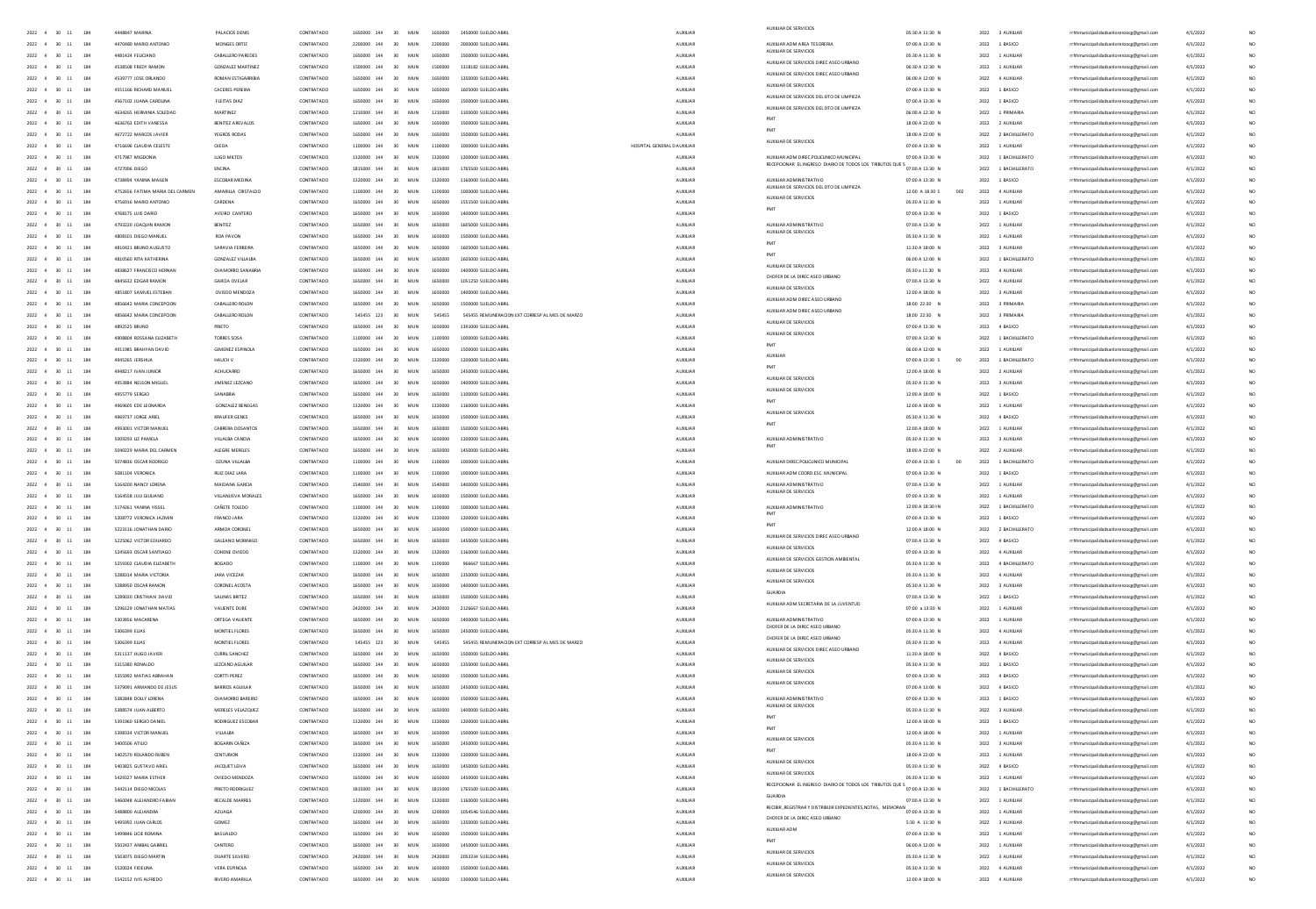|                                                                                                  |                                          |                                        |                          |             |                                                 |         |                                                        |                      | AUXILIAR DE SERVICIOS                                                                             |                                    |                                   |                                         |          |                 |
|--------------------------------------------------------------------------------------------------|------------------------------------------|----------------------------------------|--------------------------|-------------|-------------------------------------------------|---------|--------------------------------------------------------|----------------------|---------------------------------------------------------------------------------------------------|------------------------------------|-----------------------------------|-----------------------------------------|----------|-----------------|
| 2022 4 30 11 184                                                                                 | 4448847 MARINA                           | PALACIOS DENIS                         | CONTRATADO               |             |                                                 |         | 1650000 144 30 MUN 1650000 1450000 SUELDO ABRIL        | AUXILIAR             |                                                                                                   | 05:30 A 11:30 N                    | 2022 3 AUXILIAR                   | rrhhmunicipalidadsanlorenzocg@gmail.com | 4/1/2022 |                 |
| $2022\quad \  \  4\quad \  \  30\quad \  11\quad \  \  \,$<br>184                                | 4470480 MARIO ANTONIC                    | MONGES ORTIZ                           | CONTRATADO               |             | 2200000 144 30 MUN                              |         | 2200000 2000000 SUELDO ABRIL                           | AUXILIAR             | AUXILIAR ADM AREA TESORERIA                                                                       | 07:00 A 13:30 N                    | 2022 1 BASICO                     | rrhhmunicipalidadsanlorenzocg@gmail.com | 4/1/2022 | NO <sub>1</sub> |
| $2022\quad \  \, 4\quad \  \  30\quad \  11$<br>184                                              | 4481424 FEUCIANO                         | CABALLERO PAREDES                      | CONTRATADO               |             |                                                 | 1650000 | 1500000 SUELDO ABRIL                                   | AUXILIAR             | AUXIUAR DE SERVICIOS                                                                              | 05:30 A 11:30 N                    | 2022 1 AUXILIAR                   | rrhhmunicipalidadsanlorenzocg@gmail.com | 4/1/2022 |                 |
| 2022 4 30 11<br>184                                                                              | 4538508 FREDY RAMON                      | <b>GONZALEZ MARTINEZ</b>               | CONTRATADO               | 1500000 144 | 30 MUN                                          | 1500000 | 1318182 SUELDO ABRIL                                   | AUXILIAR             | AUXIUAR DE SERVICIOS DIREC ASED URBANO                                                            | 06:30 A 12:30 N                    | 2022 1 AUXILIAR                   | rrhhmunicipalidadsanlorenzocg@gmail.com | 4/1/2022 | NO <sub>1</sub> |
|                                                                                                  |                                          |                                        |                          |             |                                                 |         |                                                        |                      | AUXIUAR DE SERVICIOS DIREC ASEO URBANO                                                            |                                    |                                   |                                         |          |                 |
| $2022\quad \  \, 4\quad \  \  \, 30\quad \  11$<br>184                                           | 4539777 JOSE ORLANDO                     | ROMAN ESTIGARRIBIA                     | CONTRATADO               |             | 30 MUN                                          | 1650000 | 1350000 SUELDO ABRIL                                   | AUXILIAR             | AUXILIAR DE SERVICIOS                                                                             | 06:00 A 12:00 N                    | 2022 4 AUXILIAR                   | rrhhmunicipalidadsanlorenzoog@gmail.com | 4/1/2022 | NO              |
| $2022\quad \  \  4\quad \  \  30\quad \  11$<br>184                                              | 4551166 RICHARD MANUEL                   | CACERES PEREIRA                        | CONTRATADO               |             | 1650000 144 30 MUN                              | 1650000 |                                                        | AUXILIAR             | AUXIUAR DE SERVICIOS DEL DTO DE LIMPIEZA                                                          | 07:00 A 13:30 N                    | 2022 1 BASICO                     | rrhhmunicipalidadsanlorenzocg@gmail.com | 4/1/2022 |                 |
| 2022 4 30 11<br>184                                                                              | 4567102 JUANA CAROUNA                    | FIFITAS DIAZ                           | CONTRATADO               |             | 1650000 144 30 MIN                              |         | 1650000 1500000 SUFLDO 488U                            | AUXUAR               |                                                                                                   | 07:00 A 13:30 N                    | 2022 1 BASICO                     | rrhhmunicipalidadsanlorenzocg@gmail.com | 4/1/2022 |                 |
| $2022\quad \  \  4\quad \  \  30\quad \  11$<br>184                                              | 4634265 HERMINIA SOLEDAI                 | <b>MARTINEZ</b>                        | CONTRATADO               |             | 1210000 144 30 MUN                              | 1210000 | 1100000 SUELDO ABRIL                                   | AUXILIAR             | AUXIUAR DE SERVICIOS DEL DTO DE LIMPIEZA                                                          | 06:00 A 12:30 N                    | 2022 1 PRIMARIA                   | rrhhmunicipalidadsanlorenzoog@gmail.co  | 4/1/2022 |                 |
| 2022 4 30 11<br>184                                                                              | 4636763 FDITH VANESSA                    | <b>RENITEZ AREVAIOS</b>                | CONTRATADO               |             | 1650000 144 30 MIN                              |         | 1650000 1500000 SUFLDO ARRI                            | <b>ALDOLLAR</b>      | PMT                                                                                               | 18:00 A 22:00 N                    | 2022 2 AUXILIAR                   | rrhhmunicipalidadsanlorenzocg@gmail.com | 4/1/2022 |                 |
| 2022 4 30 11<br>184                                                                              | 4672722 MARCOS JAVIER                    | YEGROS RODAS                           | CONTRATADO               |             | 1650000 144 30 MUN                              |         | 1650000 1500000 SUELDO ABRIL                           | AUXILIAR             | PMT                                                                                               | 18:00 A 22:00 N                    | 2022 2 BACHILLERATO               | rrhhmunicipalidadsanlorenzoog@gmail.com | 4/1/2022 |                 |
|                                                                                                  |                                          |                                        |                          |             |                                                 |         | HOSPITAL GENERAL DIALIXILIAR                           |                      | AUXILIAR DE SERVICIOS                                                                             |                                    |                                   |                                         |          |                 |
| 2022 4 30 11<br>184                                                                              | 4716696 CLAUDIA CELESTE                  | OIFDA                                  | CONTRATADO               |             | 1100000 144 30 MIN                              |         | 1100000 1000000 SUELDO ABBIL                           |                      |                                                                                                   | 02:00 A 13:30 N                    | 2022 1 4100148                    | rrhhmunicipalidadsanlorenzocg@gmail.com | 4/1/2022 |                 |
| 2022 4 30 11<br>184                                                                              | 4717987 MIGDONIA                         | LUGO MILTOS                            | CONTRATADO               |             | 1320000 144 30 MUN                              |         | 1320000  1200000 SUELDO ABRIL                          | AUXILIAR             | AUXIUAR ADM DIREC POUCUNICO MUNICIPAL<br>ECEPCIONAR EL INGRESO DIARIO DE TODOS LOS TRIBUTOS QUE S | 07:00 A 13:30 N                    | 2022 1 BACHILLERATO               | rrhhmunicipalidadsanlorenzoce@email.com | 4/1/2022 |                 |
| 2022 4 30 11<br>184                                                                              | 4727006 DIEGO                            | ENCINA                                 | CONTRATADO               |             | 1815000 144 30 MUN                              |         | 1815000 1765500 SUELDO ABRIL                           | <b>AUXILIAR</b>      |                                                                                                   | 07:00 A 13:30 N                    | 2022 1 BACHILLERATO               | rrhhmunicipalidadsanlorenzoce@email.com | 4/1/2022 |                 |
| $2022\quad \  \, 4\quad \quad \, 30\quad \  \, 11$<br>184                                        | 4738494 YANINA MAILEN                    | ESCOBAR MEDINA                         | CONTRATADO               |             | 1320000 144 30 MUN                              |         | 1320000 1160000 SUELDO ABRIL                           | AUXILIAR             | AUXIUAR ADMINISTRATIVO                                                                            | 07:00 A 13:30 N                    | 2022 1 BASICO                     | rrhhmunicipalidadsanlorenzoog@gmail.com | 4/1/2022 |                 |
| 2022 4 30 11 184                                                                                 | 4752656 FATIMA MARIA DEL CARMEN          | AMARILLA CRISTALDO                     | CONTRATADO               |             | 1100000 144 30 MUN                              |         | 1100000 1000000 SUELDO ABRIL                           | AUXILIAR             | AUXIUAR DE SERVICIOS DEL DTO DE LIMPIEZA                                                          | 12:00 A 18:30 S<br>002             | 2022 4 AUXILIAR                   | rrhhmunicipalidadsanlorenzocg@gmail.com | 4/1/2022 |                 |
| 2022 4 30 11<br>184                                                                              | 4756916 MARIO ANTONIO                    | CARDENA                                | CONTRATADO               |             | 1650000 144 30 MUN                              |         | 1650000 1551500 SUELDO ABRIL                           | AUXUAR               | AUXILIAR DE SERVICIOS                                                                             | 05:30 A 11:30 N                    | 2022 1 AUXILIAR                   | rrhhmunicipalidadsanlorenzoog@gmail.com | 4/1/2022 |                 |
|                                                                                                  |                                          |                                        |                          |             |                                                 |         |                                                        |                      |                                                                                                   |                                    |                                   |                                         |          |                 |
| $2022\quad \  \, 4\quad \  \  30\quad \  11$<br>184                                              | 4768175 LUIS DARIO                       | AVEIRO CANTERO                         | CONTRATADO               |             | 30 MUN                                          | 1650000 | 1400000 SUELDO ABRIL                                   | AUXILIAR             |                                                                                                   | 07:00 A 13:30 N                    | 2022 1 BASICO                     | rrhhmunicipalidadsanlorenzoog@gmail.com | 4/1/2022 |                 |
| 2022 4 30 11<br>184                                                                              | 4793220 JOAQUIN RAMON                    | BENITEZ                                | CONTRATADO               |             | 30 MUN                                          | 1650000 | 1605000 SUELDO ABRIL                                   | AUXUAR               | AUXIUAR ADMINISTRATIVO<br>AUXILIAR DE SERVICIOS                                                   | 07:00 A 13:30 N                    | 2022 1 AUXIUAR                    | rrhhmunicipalidadsanlorenzocg@gmail.com | 4/1/2022 |                 |
| $2022\quad \  \, 4\quad \  \  \, 30\quad \  11$                                                  | 4808101 DIEGO MANUEL                     | ROA PAVON                              | CONTRATADO               |             | 30 MUN                                          | 1650000 | 1500000 SUELDO ABRIL                                   | AUXILIAR             |                                                                                                   | 05:30 A 11:30 N                    | 2022 1 AUXILIA                    | rrhhmunicipalidadsanlorenzocg@gmail.com | 4/1/2022 |                 |
| $2022\quad \  \  4\quad \  \  30\quad \  11$                                                     | 4810421 BRUNO AUGUSTO                    | SARAVIA FERREIR/                       | CONTRATADO               |             | 30 MUN                                          | 1650000 | 1605000 SUELDO ABRIL                                   | AUXILIAR             | PMT                                                                                               | 11:30 A 18:00 N                    | 2022 3 AUXILIAR                   | rrhhmunicipalidadsanlorenzocg@gmail.com | 4/1/2022 |                 |
| $2022\quad \  \, 4\quad \  \  30\quad \  11$<br>184                                              | 4810560 RITA KATHERINA                   | <b>GONZALEZ VILLALBA</b>               | CONTRATADO               |             | 1650000 144 30 MUN                              |         | 1650000 1605000 SUELDO ABRIL                           | AUXILIAR             |                                                                                                   | 06:00 A 12:00 N                    | 2022 1 BACHILLERATO               | rrhhmunicipalidadsanlorenzocg@gmail.com | 4/1/2022 |                 |
| $2022\quad \  \  4\quad \  \  30\quad \  11$                                                     | 4838627 FRANCISCO HERNAI                 | CHAMORRO SANABRI                       | CONTRATADO               | 1650000 144 | 30 MUN                                          | 1650000 | 1400000 SUELDO ABRI                                    | AUXILIAR             | AUXILIAR DE SERVICIOS                                                                             | 05:30 a 11:30 N                    | 2022 4 AUXILIAR                   | rrhhmunicipalidadsanlorenzoog@gmail.co  | 4/1/2022 |                 |
| 2022 4 30 11                                                                                     | 4845632 EDGAR RAMON                      | GARCIA OVELAR                          | CONTRATADO               |             | 1650000 144 30 MIN                              |         | 1650000 1051250 SUELDO ABRIL                           | <b>ALDOLLAR</b>      | CHOFER DE LA DIREC ASED URBANO                                                                    | 07:00 A 13:30 N                    | 2022 4 AUXILIAR                   |                                         |          |                 |
|                                                                                                  |                                          |                                        |                          |             |                                                 |         |                                                        |                      | AUXILIAR DE SERVICIOS                                                                             |                                    |                                   | rrhhmunicipalidadsanlorenzocg@gmail.com | 4/1/2022 |                 |
| 2022 4 30 11<br>184                                                                              | 4851807 SAMUEL ESTEBAN                   | OVIEDO MENDOZA                         | CONTRATADO               |             | 1650000 144 30 MUN                              |         | 1650000  1400000 SUELDO ABRIL                          | <b>AUXILIAR</b>      | AUXILIAR ADM DIREC ASED URBAN                                                                     | 12:00 A 18:00 N                    | 2022 3 AUXILIAR                   | rrhhmunicipalidadsanlorenzocg@gmail.com | 4/1/2022 |                 |
| 2022 4 30 11                                                                                     | 4856642 MARIA CONCEPTION                 | CARALLERO ROLON                        | CONTRATADO               | 1650000 144 | 30 MIN                                          |         | 1650000 1500000 SUFLDO ABBIL                           | ALDOIDAR             |                                                                                                   | 18:00 22:30 N                      | 2022 3 PRIMARIA                   | rrhhmunicipalidadsanlorenzocg@gmail.com | 4/1/2022 |                 |
| 2022 4 30 11<br>184                                                                              | 4856642 MARIA CONCEPCION                 | CABALLERO ROLON                        | CONTRATADO               |             | 545455 123 30 MUN                               |         | 545455 545455 REMUNERACION EXT CORRESP AL MES DE MARZO | <b>AUXUAR</b>        | AUXILIAR ADM DIREC ASED URBAN                                                                     | 18:00 22:30 N                      | 2022 3 PRIMARIA                   | rrhhmunicipalidadsanlorenzoog@gmail.com | 4/1/2022 |                 |
| 2022 4 30 11<br>184                                                                              | 4892525 BRUNO                            | PRIETO                                 | CONTRATADO               | 1650000 144 | 30 MUN                                          |         | 1650000 1391000 SUELDO ABRIL                           | <b>AUXILIAR</b>      | AUXILIAR DE SERVICIOS                                                                             | 07:00 A 13:30 N                    | 2022 4 BASICO                     | rrhhmunicipalidadsanlorenzoce@email.com | 4/1/2022 |                 |
| $2022\quad \  \, 4\quad \  \  \, 30\quad \  11$<br>184                                           | 4908804 ROSSANA ELIZABETH                | TORRES SOSA                            | CONTRATADO               | 1100000 144 | 30 MUN                                          | 1100000 | 1000000 SUELDO ABRIL                                   | AUXILIAR             | AUXIUAR DE SERVICIOS                                                                              | 07:00 A 13:30 N                    | 2022 1 BACHILLERATO               | rrhhmunicipalidadsanlorenzocg@gmail.com | 4/1/2022 |                 |
|                                                                                                  |                                          |                                        |                          |             |                                                 |         |                                                        |                      | PMT                                                                                               |                                    |                                   |                                         |          |                 |
| 2022 4 30 11<br>184                                                                              | 4911985 BRAHYAN DAVID                    | <b>GIMENEZ ESPINOLA</b>                | CONTRATADO               | 1650000 144 | 30 MUN                                          | 1650000 | 1500000 SUELDO ABRIL                                   | AUXILIAR             | <b>ALIXULAR</b>                                                                                   | 06:00 A 12:00 N                    | 2022 1 AUXILIAR                   | rrhhmunicipalidadsanlorenzocg@gmail.com | 4/1/2022 |                 |
| $2022\quad \  \, 4\quad \  \  \, 30\quad \  11$<br>184                                           | 4945265 JERSHUA                          | HAUCH V                                | CONTRATADO               | 1320000 144 | 30 MUN                                          | 1320000 | 1200000 SUELDO ABRIL                                   | AUXILIAR             |                                                                                                   | 07:00 A 13:30 S                    | 2022 1 BACHILLERATO               | rrhhmunicipalidadsanlorenzocg@gmail.com | 4/1/2022 |                 |
| $2022\quad \  \, 4\quad \  \  \, 30\quad \  11$                                                  | 4948217 IVAN JUNIOR                      | ACHUCARRO                              | CONTRATADO               |             |                                                 | 1650000 | 1450000 SUELDO ABRI                                    | AUXILIAR             | PMT                                                                                               | 12:00 A 18:00 N                    | 2022 2 AUXILIAR                   | rrhhmunicipalidadsanlorenzocg@gmail.com | 4/1/2022 |                 |
| 2022 4 30 11<br>184                                                                              | 4953884 NELSON MIGUEL                    | JIMENEZ LEZCANO                        | CONTRATADO               | 1650000 144 | 30 MUN                                          | 1650000 | 1400000 SUELDO ABRIL                                   | AUXILIAR             | AUXILIAR DE SERVICIOS                                                                             | 05:30 A 11:30 N                    | 2022 3 AUXILIAR                   | rrhhmunicipalidadsanlorenzocg@gmail.com | 4/1/2022 |                 |
| $2022\quad \  \, 4\quad \  \  \, 30\quad \  11$<br>184                                           | 4955779 SERGIO                           | SANABRIA                               | CONTRATADO               |             | 30 MUN                                          |         |                                                        | AUXILIAR             | AUXILIAR DE SERVICIOS                                                                             | 12:00 A 18:00 N                    | 2022 1 BASICO                     | rrhhmunicipalidadsanlorenzocg@gmail.com | 4/1/2022 |                 |
| 184                                                                                              |                                          |                                        | CONTRATADO               | 1230000 144 | 30 MUN                                          | 1320000 | 1160000 SUELDO ABRI                                    |                      |                                                                                                   |                                    |                                   |                                         |          |                 |
| $2022\quad \  \  4\quad \  \  30\quad \  11$                                                     | 969605 EDE LEONARD                       | GONZALEZ BENEGA                        |                          |             |                                                 |         |                                                        | AUXILIA              | AUXILIAR DE SERVICIOS                                                                             | 12:00 A 18:00 N                    | 2022 1 AUXILIAR                   | rrhhmunicipalidadsanlorenzoog@gmail.co  | 4/1/2022 |                 |
| $2022\quad \  \, 4\quad \  \  \, 30\quad \  11$<br>184                                           | 4969737 JORGE ARIEL                      | KRAUFER GENES                          | CONTRATADO               |             | 1650000 144 30 MUN                              |         | 1650000 1500000 SUELDO ABRIL                           | AUXILIAR             |                                                                                                   | 05:30 A 11:30 N                    | 2022 4 BASICO                     | rrhhmunicipalidadsanlorenzocg@gmail.co  | 4/1/2022 |                 |
| $2022\quad \  \  4\quad \  \  30\quad \  11$<br>184                                              | 4993001 VICTOR MANUE                     | CABRERA DOSANTOS                       | CONTRATADO               | 1650000 144 | 30 MUN                                          | 1650000 | 1500000 SUELDO ABRI                                    | AUXILIA              |                                                                                                   | 12:00 A 18:00 N                    | 2022 1 AUXILIAR                   | rrhhmunicipalidadsanlorenzocg@gmail.cc  | 4/1/2022 |                 |
| $2022\quad \  \, 4\quad \  \  \, 30\quad \  11$<br>184                                           | SO09293 UZ PAMELA                        | VILLALBA CANDIA                        | CONTRATADO               |             | 1650000 144 30 MIN                              |         | 1650000 1200000 SUELDO ARRI                            | <b>AUXILIAR</b>      | AUXIUAR ADMINISTRATIVO                                                                            | 05:30 A 11:30 N                    | 2022 3 AUXILIAR                   | rrhhmunicipalidadsanlorenzocg@gmail.co  | 4/1/2022 |                 |
| 2022 4 30 11<br>184                                                                              | 5040229 MARIA DEL CARMEN                 | ALEGRE MERELES                         | CONTRATADO               |             | 1650000 144 30 MUN                              |         | 1650000  1450000 SUELDO ABRIL                          | AUXILIAR             |                                                                                                   | 18:00 A 22:00 N                    | 2022 2 AUXILIAR                   | rrhhmunicipalidadsanlorenzocg@gmail.com | 4/1/2022 |                 |
| 2022 4 30 11<br>184                                                                              | 5074836 OSCAR RODRIGO                    | CZUNA VILLAIRA                         | CONTRATADO               |             | 1100000 144 30 MIN                              |         | 1100000 1000000 SUFLDO ARRI                            | <b>ALDOLIAR</b>      | AUXILIAR DIRECTORUCUNICO MUNICIPA                                                                 | 07:00 A 13:30 S                    | 2022 1 RACHILLERATO               | rrhhmunicipalidadsanlorenzocg@gmail.com | 4/1/2022 |                 |
|                                                                                                  |                                          |                                        |                          |             |                                                 |         |                                                        |                      |                                                                                                   |                                    |                                   |                                         |          |                 |
| 2022 4 30 11<br>184                                                                              | 5081104 VERONICA                         | RUIZ DIAZ LARA                         | CONTRATADO               |             | 1100000 144 30 MUN                              |         | 1100000 1000000 SUELDO ABRIL                           | AUXUAR               | AUXIUAR ADM COORD.ESC. MUNICIPA                                                                   | 07:00 A 13:30 N                    | 2022 1 BASICO                     | rrhhmunicipalidadsanlorenzoce@email.com | 4/1/2022 |                 |
| 2022 4 30 11<br>184                                                                              | 5164200 NANCY LORENA                     | MAIDANA GARCIA                         | CONTRATADO               |             |                                                 |         | 1540000 144 30 MUN 1540000 1400000 SUELDO ABRIL        | <b>AUXILIAR</b>      | AUXILIAR ADMINISTRATIVO                                                                           | 07:00 A 13:30 N                    | 2022 1 AUXILIAR                   | rrhhmunicipalidadsanlorenzoce@email.com | 4/1/2022 |                 |
| $2022\quad \  \, 4\quad \  \  30\quad \  11$<br>184                                              | 5164558 JUU GIULIANO                     | VILLANUEVA MORALES                     | CONTRATADO               |             | 1650000 144 30 MUN                              |         | 1650000 1500000 SUELDO ABRIL                           | AUXILIAR             | AUXILIAR DE SERVICIOS                                                                             | 07:00 A 13:30 N                    | 2022 1 AUXILIAR                   | rrhhmunicipalidadsanlorenzoog@gmail.com | 4/1/2022 |                 |
| 2022 4 30 11<br>184                                                                              | 5174261 YANINA YISSEL                    | CAÑETE TOLEDO                          | CONTRATADO               |             |                                                 |         | 1100000 144 30 MUN 1100000 1000000 SUELDO ABRIL        | AUXILIAR             | AUXILIAR ADMINISTRATIVO                                                                           | 12:00 A 18:30 HN                   | 2022 1 BACHILLERATO               | rrhhmunicipalidadsanlorenzocg@gmail.com | 4/1/2022 |                 |
| $2022\quad \  \, 4\quad \  \  \, 30\quad \  11$<br>184                                           | 5208772 VERONICA JAZMIN                  | FRANCO JARA                            | CONTRATADO               |             | 1320000 144 30 MUN                              |         | 1320000 1200000 SUELDO ABRIL                           | <b>AUXILIAR</b>      |                                                                                                   | 07:00 A 13:30 N                    | 2022 1 BASICO                     | rrhhmunicipalidadsanlorenzoog@gmail.com | 4/1/2022 |                 |
| $2022\quad \  \, 4\quad \  \  30\quad \  11$                                                     | 5223116 JONATHAN DARIO                   | ARMOA CORONEL                          | CONTRATADO               |             | 30 MUN                                          |         | 1650000 1500000 SUELDO ABRIL                           | AUXILIAR             | PMT                                                                                               | 12:00 A 18:00 N                    | 2022 2 BACHILLERATO               | rrhhmunicipalidadsanlorenzocg@gmail.com | 4/1/2022 |                 |
|                                                                                                  |                                          |                                        |                          |             |                                                 |         |                                                        |                      | AUXIUAR DE SERVICIOS DIREC ASED URBANO                                                            |                                    |                                   |                                         |          |                 |
| 2022 4 30 11<br>184                                                                              | 5225062 VICTOR EDUARDO                   | GALEANO MORINIGO                       | CONTRATADO               |             | 30 MUN                                          |         | 1650000  1450000 SUELDO ABRIL                          | AUXILIAR             | AUXILIAR DE SERVICIOS                                                                             | 07:00 A 13:30 N                    | 2022 4 BASICO                     | rrhhmunicipalidadsanlorenzoog@gmail.com | 4/1/2022 |                 |
| $2022$ 4 30 11                                                                                   | 5245693 OSCAR SANTIAGO                   | COHENE OVIEDO                          | CONTRATADO               |             | 30 MUN                                          |         | 1320000 1160000 SUELDO ABRIL                           | AUXILIAR             |                                                                                                   | 07:00 A 13:30 N                    | 2022 4 AUXILIAR                   | rrhhmunicipalidadsanlorenzocg@gmail.com | 4/1/2022 |                 |
| $2022\quad \  \  4\quad \  \  30\quad \  11$                                                     | 5259302 CLAUDIA EUZABETH                 | BOGADO                                 | CONTRATADO               |             | 1100000 144 30 MUN                              |         | 1100000 966667 SUELDO ABRIL                            | AUXILIAR             | AUXILIAR DE SERVICIOS GESTION AMBIENTAL                                                           | 05:30 A 11:30 N                    | 2022 4 BACHILLERATO               | rrhhmunicipalidadsanlorenzocg@gmail.com | 4/1/2022 |                 |
| $2022\quad \  4\quad \  \  30\quad \  11$<br>184                                                 | 5288314 MARIA VICTORIA                   | JARA VICEZAR                           | CONTRATADO               |             | 1650000 144 30 MUN                              |         | 1650000 1350000 SUELDO ABRIL                           | AUXILIAR             | AUXILIAR DE SERVICIOS                                                                             | 05:30 A 11:30 $\,$ N               | 2022 4 AUXILIAR                   | rrhhmunicipalidadsanlorenzocg@gmail.com | 4/1/2022 |                 |
| $2022\quad \  4\quad \  \  30\quad \  11$<br>184                                                 | 5288950 OSCAR RAMON                      | CORONEL ACOSTA                         | CONTRATADO               |             | 1650000 144 30 MUN                              |         | 1650000 1400000 SUELDO ABRIL                           | AUXILIAR             | AUXILIAR DE SERVICIOS                                                                             | 05:30 A 11:30 $\,$ N               | 2022 3 AUXILIAR                   | rrhhmunicipalidadsanlorenzocg@gmail.com | 4/1/2022 |                 |
|                                                                                                  |                                          |                                        | CONTRATADO               |             | 1650000 144 30 MUN                              |         | 1650000 1500000 SUELDO ABRIL                           | AUXILIAR             | GUARDIA                                                                                           |                                    |                                   |                                         |          |                 |
| 2022 4 30 11                                                                                     | 5289020 CRISTHIAN DAVID                  | SALINAS BRITEZ                         |                          |             |                                                 |         |                                                        |                      | AUXILIAR ADM SECRETARIA DE LA JUVENTUD                                                            | 07:00 A 13:30 N                    | 2022 1 BASICO                     | rrhhmunicipalidadsanlorenzocg@gmail.com | 4/1/2022 |                 |
| 2022 4 30 11<br>184                                                                              | 5296129 JONATHAN MATIAS                  | VALIENTE DURE                          | CONTRATADO               |             | 2420000 144 30 MUN                              |         | 2420000 2126667 SUELDO ABRIL                           | <b>AUXILIAR</b>      |                                                                                                   | 07:00 a 13:30 N                    | 2022 1 AUXILIAR                   | rrhhmunicipalidadsanlorenzocg@gmail.com | 4/1/2022 |                 |
| 2022 4 30 11                                                                                     | S303856 MACARENA                         | ORTEGA VAUENTE                         | CONTRATADO               |             | 1650000 144 30 MIN                              |         | 1650000 1400000 SUELDO ABRIL                           | ALDOIDAR             | AUXILIAR ADMINISTRATIVO<br>CHOFER DE LA DIREC ASED URBA                                           | 07:00 A 13:30 N                    | 2022 1 AUXILIAR                   | rrhhmunicipalidadsanlorenzocg@gmail.com | 4/1/2022 |                 |
| 2022 4 30 11<br>184                                                                              | 5306399 ELIAS                            | MONTIEL FLORES                         | CONTRATADO               |             | 1650000 144 30 MUN                              |         | 1650000  1450000 SUELDO ABRIL                          | <b>AUXILIAR</b>      |                                                                                                   | 05:30 A 11:30 N                    | 2022 4 AUXILIAR                   | rrhhmunicipalidadsanlorenzocg@gmail.com | 4/1/2022 |                 |
| 2022 4 30 11<br>184                                                                              | 5306399 EUAS                             | MONTIEL FLORES                         | CONTRATADO               |             | 545455 123 30 MUN                               |         | 545455 545455 REMUNERACION EXT CORRESP AL MES DE MARZO | <b>AUXILIAR</b>      | CHOFER DE LA DIREC ASED URBANO                                                                    | 05:30 A 11:30 N                    | 2022 4 AUXILIAR                   | rrhhmunicipalidadsanlorenzoce@email.com | 4/1/2022 |                 |
| $2022\quad \  \, 4\quad \  \  30\quad \  11$<br>184                                              | 5311137 HUGO JAVIER                      | <b>CURRIL SANCHEZ</b>                  | CONTRATADO               |             | 1650000 144 30 MUN                              |         | 1650000 1500000 SUELDO ABRIL                           | AUXILIAR             | AUXILIAR DE SERVICIOS DIREC ASEO URBAN                                                            | 11:30 A 18:00 N                    | 2022 4 BASICO                     | rrhhmunicipalidadsanlorenzocg@gmail.com | 4/1/2022 |                 |
| 184                                                                                              |                                          |                                        |                          |             |                                                 |         |                                                        |                      | AUXILIAR DE SERVICIOS                                                                             |                                    |                                   |                                         |          |                 |
| 2022 4 30 11                                                                                     | 5315380 RONALDO                          | LEZCANO AGUILAR                        | CONTRATADO               |             | 1650000 144 30 MUN                              |         | 1650000 1350000 SUELDO ABRIL                           | AUXILIAR             | AUXILIAR DE SERVICIOS                                                                             | 05:30 A 11:30 N                    | 2022 1 BASICO                     | rrhhmunicipalidadsanlorenzocg@gmail.com | 4/1/2022 |                 |
| 2022 4 30 11<br>184                                                                              | 5355992 MATIAS ABRAHAN                   | <b>CORTTI PEREZ</b>                    | CONTRATADO               |             | 1650000 144 30 MUN                              | 1650000 | 1500000 SUELDO ABRIL                                   | AUXILIAR             | AUXIUAR DE SERVICIOS                                                                              | 07:00 A 13:30 N                    | 2022 4 BASICO                     | rrhhmunicipalidadsanlorenzocg@gmail.com | 4/1/2022 |                 |
| $2022$ 4 30 11<br>184                                                                            | 5379091 ARMANDO DE JESUS                 | <b>BARRIOS AGUILAR</b>                 | CONTRATADO               |             |                                                 | 1650000 | 1450000 SUELDO ABRIL                                   | AUXILIAR             |                                                                                                   | 07:00 A 13:00 $\,$ N               | 2022 4 BASICO                     | rrhhmunicipalidadsanlorenzocg@gmail.com | 4/1/2022 |                 |
| 2022 4 30 11<br>184                                                                              | 5382848 DOLLY LORENA                     | CHAMORRO BAREIRO                       | CONTRATADO               | 1650000 144 | 30 MUN                                          | 1650000 | 1500000 SUELDO ABRIL                                   | <b>AUXUAR</b>        | AUXILIAR ADMINISTRATIVO                                                                           | 07:00 A 13:30 N                    | 2022 1 BASICO                     | rrhhmunicipalidadsanlorenzocg@gmail.com | 4/1/2022 |                 |
| $2022$ 4 30 11<br>184                                                                            | 5388574 JUAN ALBERTO                     | MERELES VELAZQUEZ                      | CONTRATADO               |             | 30 MUN                                          |         |                                                        | AUXILIAR             | AUXILIAR DE SERVICIOS                                                                             | 05:30 A 11:30 N                    | 2022 3 AUXILIA                    | rrhhmunicipalidadsanlorenzoog@gmail.com | 4/1/2022 |                 |
| 2022 4 30 11<br>184                                                                              | 5391960 SERGIO DANIEL                    | RODRIGUEZ ESCOBAR                      | CONTRATADO               |             | 1320000 144 30 MUN                              |         | 1320000 1200000 SUFLDO ARRI                            | AUXILIAR             | PMT                                                                                               | 12:00 A 18:00 N                    | 2022 1 BASICO                     | rrhhmunicipalidadsanlorenzoog@gmail.co  | 4/1/2022 |                 |
| $2022\quad \  \, 4\quad \  \  30\quad \  11$<br>184                                              | <b>S398334 VICTOR MANUEL</b>             | VILLALBA                               | CONTRATADO               |             | 1650000 144 30 MUN                              |         | 1650000 1500000 SUFLDO ARRI                            | <b>AUXUAR</b>        | PMT                                                                                               | 12:00 A 18:00 N                    | 2022 1 AUXILIAR                   | rrhhmunicipalidadsanlorenzocg@gmail.com | 4/1/2022 |                 |
|                                                                                                  |                                          |                                        |                          |             |                                                 |         |                                                        |                      | AUXILIAR DE SERVICIOS                                                                             |                                    |                                   |                                         |          |                 |
| 2022 4 30 11<br>184                                                                              | 5400506 ATILIO                           | BOGARIN CAÑIZA                         | CONTRATADO               |             | 1650000 144 30 MUN                              | 1650000 | 1450000 SUELDO ABRIL                                   | AUXILIAR             |                                                                                                   | 05:30 A 11:30 $\,$ N               | 2022 3 AUXILIAR                   | rrhhmunicipalidadsanlorenzoog@gmail.co  | 4/1/2022 |                 |
| $2022\quad \  \, 4\quad \  \  30\quad \  11$<br>184                                              | 5402570 ROLANDO RUBEN                    | CENTURION                              | CONTRATADO               |             | 1320000 144 30 MIN                              |         | 1320000 1200000 SUFLDO ARRI                            | <b>AUXILIAR</b>      |                                                                                                   | 18:00 A 22:00 N                    | 2022 1 AUXILIAR                   | rrhhmunicipalidadsanlorenzocg@gmail.com | 4/1/2022 |                 |
| 2022 4 30 11<br>184                                                                              | 5403825 GUSTAVO ARIEL                    | JACQUET LEIVA                          | CONTRATADO               |             | 1650000 144 30 MUN                              |         | 1650000 1450000 SUELDO ABRIL                           | <b>AUXILIAR</b>      | AUXILIAR DE SERVICIOS                                                                             | 05:30 A 11:30 N                    | 2022 4 BASICO                     | rrhhmunicipalidadsanlorenzoog@gmail.com | 4/1/2022 |                 |
| 2022 4 30 11<br>184                                                                              | 5429327 MARIA ESTHER                     | OVIEDO MENDOZA                         | CONTRATADO               |             | 1650000 144 30 MIN                              |         | 1650000 1450000 SUFLDO 488U                            | <b>ALDOLIAR</b>      | AUXILIAR DE SERVICIOS                                                                             | 05:30 A 11:30 N                    | 2022 1 AUXILIAR                   | rrhhmunicipalidadsanlorenzocg@gmail.com | 4/1/2022 |                 |
| 2022 4 30 11<br>184                                                                              | 5442114 DIEGO NICOLAS                    | PRIETO RODRIGUEZ                       | CONTRATADO               |             | 1815000 144 30 MUN                              |         | 1815000 1765500 SUELDO ABRIL                           | AUXUAR               | RECEPCIONAR EL INGRESO DIARIO DE TODOS LOS TRIBUTOS QUE S<br>07:00 A 13:30 N                      |                                    | 2022 1 BACHILLERATO               | rrhhmunicipalidadsanlorenzoce@email.com | 4/1/2022 |                 |
|                                                                                                  |                                          |                                        |                          |             |                                                 |         |                                                        |                      |                                                                                                   |                                    |                                   |                                         |          |                 |
| 2022 4 30 11 184                                                                                 | 5460048 ALEJANDRO FABIAN                 | RECALDE MARRES                         | CONTRATADO               |             |                                                 |         | 1320000 144 30 MUN 1320000 1160000 SUELDO ABRIL        | AUXILIAR             | RECIBIR ,REGISTRAR Y DISTRIBUIR EXPEDIENTES, NOTAS, MEMORAN 07:00 A 13:30 N                       | 07:00 A 13:30 N                    | 2022 1 AUXILIAR                   | rrhhmunicipalidadsanlorenzoce@email.com | 4/1/2022 |                 |
|                                                                                                  |                                          | AZUAGA                                 | CONTRATADO               |             |                                                 |         | 1200000 144 30 MUN 1200000 1054546 SUELDO ABRIL        | AUXILIAR             | CHOFER DE LA DIREC ASEO URBAN                                                                     |                                    | 2022 1 AUXILIAR                   | rrhhmunicipalidadsanlorenzocg@gmail.com | 4/1/2022 |                 |
| $2022\quad \  \, 4\quad \quad \, 30\quad \  \, 11$<br>184                                        | 5488800 ALEJANDRA                        |                                        |                          |             |                                                 |         |                                                        | AUXILIAR             |                                                                                                   | 5:30 A 11:30 N                     | 2022 3 AUXILIAR                   | rrhhmunicipalidadsanlorenzocg@gmail.com | 4/1/2022 |                 |
| 2022 4 30 11<br>184                                                                              | 5495992 JUAN CARLOS                      | GOMEZ                                  | CONTRATADO               |             | 1650000 144 30 MUN 1650000 1350000 SUELDO ABRIL |         |                                                        |                      |                                                                                                   |                                    |                                   |                                         |          |                 |
| $2022\quad \  \, 4\quad \quad \, 30\quad \  \, 11$<br>184                                        | 5499846 LICIE ROMINA                     | BASUALDO                               | CONTRATADO               |             |                                                 |         | 1650000 144 30 MUN 1650000 1500000 SUELDO ABRIL        | AUXILIAR             | AUXUIAR ADM                                                                                       | 07:00 A 13:30 N                    | 2022 1 AUXILIAR                   | rrhhmunicipalidadsanlorenzoog@gmail.com | 4/1/2022 |                 |
|                                                                                                  |                                          |                                        |                          |             |                                                 |         |                                                        |                      |                                                                                                   |                                    |                                   |                                         |          |                 |
| $2022\quad \  \, 4\quad \  \  \, 30\quad \  11$<br>184                                           | 5502427 ANIBAL GABRIE                    | CANTERO                                | CONTRATADO               | 1650000 144 | 30 MUN                                          |         | 1650000 1450000 SUELDO ABRIL                           | AUXILIAR             | AUXILIAR DE SERVICIOS                                                                             | 06:00 A 12:00 N                    | 2022 1 AUXILIAR                   | rrhhmunicipalidadsanlorenzocg@gmail.com | 4/1/2022 |                 |
| ${\bf 2022\quad \  \  \, 4\quad \  \  \, {\bf 30\quad \  \  {\bf 11\quad \  \  \  \, {\bf 184}}$ | 5503075 DIEGO MARTIN                     | DUARTE SILVERO                         | CONTRATADO               |             |                                                 |         | 2420000 144 30 MUN 2420000 2053334 SUELDO ABRIL        | <b>AUXILIAR</b>      | AUXILIAR DE SERVICIOS                                                                             | 05:30 A 11:30 N                    | 2022 3 AUXILIAR                   | rrhhmunicipalidadsanlorenzoog@gmail.com | 4/1/2022 |                 |
| $2022$ 4 30 11 184<br>2022 4 30 11 184                                                           | 5520024 FIDELINA<br>5542152 IVIS ALFREDO | VERA ESPINOLA<br><b>RIVERO AMARILI</b> | CONTRATADO<br>CONTRATADO |             | 1650000 144 30 MUN<br>30 MUN                    |         | 1650000 1500000 SUELDO ABRIL                           | AUXILIAR<br>AUXILIAR | AUXILIAR DE SERVICIOS                                                                             | 05:30 A 11:30 N<br>12:00 A 18:00 M | 2022 4 AUXILIAR<br>2022 4 AUXILIA | rrhhmunicipalidadsanlorenzocg@gmail.com | 4/1/2022 |                 |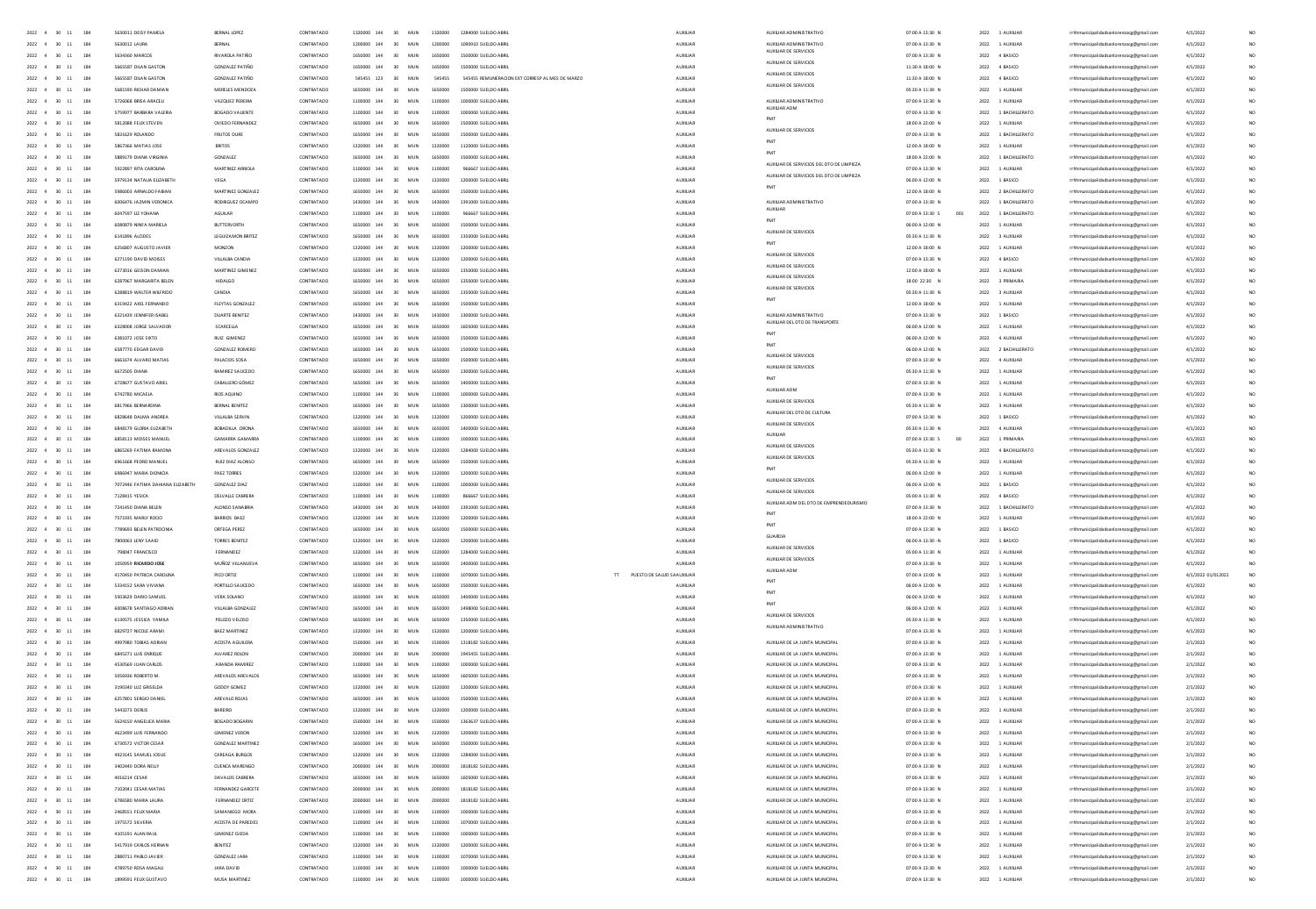| $2022$ 4 30 11                                         | 5630011 DEISY PAMELA             | BERNAL LOPEZ             | CONTRATADO |             | 30                      |         | 1284000 SUELDO ABRI                             | AUXILIAN                   |                                                  | 07:00 A 13:30 N        |      |                     |                                         |                    |                 |
|--------------------------------------------------------|----------------------------------|--------------------------|------------|-------------|-------------------------|---------|-------------------------------------------------|----------------------------|--------------------------------------------------|------------------------|------|---------------------|-----------------------------------------|--------------------|-----------------|
| 184                                                    |                                  |                          |            | 1320000 144 | MUN                     | 1320000 |                                                 |                            | AUXILIAR ADMINISTRATIVO                          |                        | 2022 | 1 AUXILIAR          | rhhmunicipalidadsanlorenzocg@gmail.cc   | 4/1/2022           |                 |
| 2022 4 30 11<br>184                                    | 5630012 1AURA                    | <b>RERNAL</b>            | CONTRATADO | 1200000 144 | MIN<br>30 <sub>1</sub>  | 1200000 | 1090910 SUFLDO ARRI                             | <b>ALCOHAR</b>             | AUXILIAR ADMINISTRATIVO<br>AUXILIAR DE SERVICIOS | 07:00 A 13:30 N        | 2022 | 1.4103148           | rrhhmunicipalidadsanlorenzocg@gmail.com | 4/1/2022           | NO <sub>1</sub> |
| 2022 4 30 11<br>184                                    | 5634360 MARCOS                   | <b>RIVAROLA PATIÑO</b>   | CONTRATADO | 1650000 144 | MUN<br>30 <sub>1</sub>  | 1650000 | 1500000 SUELDO ABRIL                            | AUXUAR                     | AUXILIAR DE SERVICIOS                            | 07:00 A 13:30 N        |      | 2022 4 BASICO       | rrhhmunicipalidadsanlorenzoog@gmail.com | 4/1/2022           | NO.             |
| $2022 - 4$<br>$30 - 11$<br>184                         | SGGSSR7 DILAN GASTON             | GONZAIEZ PATIÑO          | CONTRATADO | 1650000 144 | MIN<br>20 <sub>0</sub>  | 1650000 | 1500000 SUFLDO ARRI                             | <b>ALCOHAR</b>             |                                                  | 11:30 A 18:00 N        |      | 2022 4 RASICO       | rrhhmunicipalidadsanlorenzoog@gmail.com | 4/1/2022           | NO              |
| 2022 4<br>30 11<br>184                                 | 5665587 DILAN GASTON             | <b>GONZALEZ PATIÑO</b>   | CONTRATADO | 545455 123  | MUN<br>30 <sub>1</sub>  | 545455  | 545455 REMUNERACION EXT CORRESP AL MES DE MARZO | AUXUAR                     | AUXILIAR DE SERVICIOS                            | 11:30 A 18:00 N        |      | 2022 4 BASICO       | rrhhmunicipalidadsanlorenzoce@email.com | 4/1/2022           | NO.             |
| 2022 4<br>30 11<br>184                                 | 5681590 RICHAR DAMIAN            | MERELES MENDOZA          | CONTRATADO | 1650000 144 | MUN<br>30 <sub>0</sub>  | 1650000 | 1500000 SUELDO ABRIL                            | AUXILIAR                   | AUXILIAR DE SERVICIOS                            | 05:30 A 11:30 N        |      | 2022 1 AUXILIAR     | rrhhmunicipalidadsanlorenzoce@email.com | 4/1/2022           | NO <sub>1</sub> |
| $2022 - 4$<br>184<br>30 11                             | 5726068 BRISA ARACEU             | VAZQUEZ PEREIRA          | CONTRATADO | 1100000 144 | MUN<br>30               | 1100000 | 1000000 SUELDO ABRI                             | AUXILIAR                   | AUXILIAR ADMINISTRATIVO                          | 07:00 A 13:30 N        |      | 2022 1 AUXILIAR     | rrhhmunicipalidadsanlorenzocg@gmail.com | 4/1/2022           | NO <sub>1</sub> |
| 2022 4<br>$30 - 11$<br>184                             | 5759977 BARBARA VALERIA          | BOGADO VALIENTE          | CONTRATADO | 1100000 144 | MUN<br>30 <sub>0</sub>  | 1100000 | 1000000 SUELDO ABRIL                            | AUXILIAR                   | AUXIUAR ADM                                      | 07:00 A 13:30 N        |      | 2022 1 BACHILLERATO | rrhhmunicipalidadsanlorenzoce@email.com | 4/1/2022           | NO <sub>1</sub> |
|                                                        |                                  |                          |            |             |                         |         |                                                 |                            | PMT                                              |                        |      |                     |                                         |                    | NO <sub>1</sub> |
| $2022 - 4$<br>184<br>30 11                             | 5812088 FEUX STEVEN              | OVIEDO FERNANDEZ         | CONTRATADO | 1650000 144 | MUN<br>30               | 1650000 | 1500000 SUELDO ABRI                             | AUXILIAR                   | AUXIUAR DE SERVICIOS                             | 18:00 A 22:00 N        | 2022 | 1 AUXILIAR          | rrhhmunicipalidadsanlorenzocg@gmail.com | 4/1/2022           |                 |
| 2022<br>184<br>30                                      | 5831629 ROLANDO                  | <b>FRUTOS DURE</b>       | CONTRATADO |             | MUN                     | 1650000 | S00000 SUELDO ABRI                              | AUXILIAR                   | PMT                                              | 07:00 A 13:30 N        | 2022 | 1 BACHILLERATO      | rrhhmunicipalidadsanlorenzocg@gmail.com | 4/1/2022           |                 |
| $2022 - 4$<br>184<br>30 11                             | 5867366 MATIAS JOSE              | BRITOS                   | CONTRATADO | 1320000 144 | MUN                     | 1320000 | 1120000 SUELDO ABRIL                            | AUXILIAR                   |                                                  | 12:00 A 18:00 N        |      | 2022 1 AUXILIAR     | rrhhmunicipalidadsanlorenzocg@gmail.com | 4/1/2022           | NO <sub>1</sub> |
| 2022<br>184<br>30 11                                   | 5889179 DIANA VIRGINIA           | <b>GONZALEZ</b>          | CONTRATADO |             | 144<br>MUN              | 1650000 | S00000 SUELDO ABRI                              | AUXILIAR                   | PMT                                              | 18:00 A 22:00 N        | 2022 | 1 BACHILLERATO      | rrhhmunicipalidadsanlorenzocg@gmail.com | 4/1/2022           |                 |
| 2022<br>184                                            | 5922897 RITA CAROUN              | MARTINEZ ARRIOL          | CONTRATADO |             |                         |         | 667 SUELDO ABR                                  | AUXILIA                    | AUXIUAR DE SERVICIOS DEL DTO DE LIMPIEZA         | 07:00 A 13:30 N        | 2022 | 1 AUXILIAR          | rrhhmunicipalidadsanlorenzoog@gmail.com | 4/1/2022           |                 |
| 2022 4<br>30<br>184                                    | 5979134 NATALIA ELIZABETH        | VEGA                     | CONTRATADO | 1320000 144 | MUN                     | 1320    | 1200000 SUELDO ARRI                             | AUXILIA                    | AUXIUAR DE SERVICIOS DEL DTO DE LIMPIEZA         | 06:00 A 12:00 N        | 2022 | 1 BASICO            | rhhmunicipalidadsanlorenzocg@gmail.com  | 4/1/2022           |                 |
| 184                                                    |                                  |                          |            |             | 144                     |         |                                                 |                            | PMT                                              |                        |      |                     |                                         |                    |                 |
| 2022                                                   | 5986003 ARNALDO FABIA            | MARTINEZ GONZALE         | CONTRATADO |             |                         |         |                                                 | AUXILIA                    |                                                  | 12:00 A 18:00 N        | 2022 | 2 BACHILLERATO      | rrhhmunicipalidadsanlorenzocg@gmail.com | 4/1/2022           |                 |
| 2022 4<br>30<br>184                                    | 6006476 JAZMIN VERONICA          | RODRIGUEZ OCAMPO         | CONTRATADO | 1430000 144 | MU                      | 143000  | 1391000 SUELDO ARRI                             | AUXILIA                    | AUXIUAR ADMINISTRATIVO<br>AUXIUAR                | 07:00 A 13:30 N        | 2022 | 1 BACHILLERATO      | rhhmunicipalidadsanlorenzoog@gmail.com  | 4/1/2022           |                 |
| 2022 4 30 11<br>184                                    | 6047597 UZ YOHANA                | AGUILAR                  | CONTRATADO | 1100000 144 | 30 <sub>1</sub><br>MUN  | 1100000 | 955557 SUFLOO ARRI                              | AUXILIAN                   |                                                  | 07:00 A 13:30 S<br>001 | 2022 | 1 RACHILLERATO      | rhhmunicipalidadsanlorenzocg@gmail.com  | 4/1/2022           |                 |
| 2022 4<br>30<br>184                                    | 6080879 NINFA MARIEU             | <b>BUTTERVORTH</b>       | CONTRATADO | 1650000 144 | 30 <sub>0</sub><br>MU   | 1650    | 1500000 SUFLOO ARRI                             |                            | PMT                                              | 06:00 A 12:00 N        | 2022 | 1 AUXILIAR          | rhhmunicipalidadsanlorenzocg@gmail.com  | 4/1/2022           |                 |
| 2022 4 30 11<br>184                                    | 6141896 ALCIDES                  | LEGUIZAMON BRITEZ        | CONTRATADO | 1650000 144 | 30 <sub>1</sub><br>MUN  | 1650000 | 1350000 SUFLDD ARR                              | AUXILIAN                   | AUXIUAR DE SERVICIOS                             | 05:30 A 11:30 N        | 2022 | 3 AUXILIAR          | rhhmunicipalidadsanlorenzocg@gmail.com  | 4/1/2022           |                 |
| 2022 4 30 11<br>184                                    | 6256807 AUGUSTO JAVIER           | MONZON                   | CONTRATADO | 1320000 144 | MIN<br>30 <sub>1</sub>  | 1320000 | 1200000 SUFLDO ARRI                             | <b>ALDOLIAR</b>            | PM                                               | 12:00 A 18:00 N        | 2022 | 1.4103148           | rrhhmunicipalidadsanlorenzocg@gmail.com | 4/1/2022           |                 |
| 2022 4 30 11<br>184                                    | 6271190 DAVID MOISES             | VILLALBA CANDIA          | CONTRATADO | 1320000 144 | 30<br>MUN               | 1320000 | 1200000 SUELDO ABRIL                            | AUXUAR                     | AUXILIAR DE SERVICIOS                            | 07:00 A 13:30 N        |      | 2022 4 BASICO       | rrhhmunicipalidadsanlorenzoce@email.com | 4/1/2022           |                 |
|                                                        |                                  |                          |            |             |                         |         |                                                 |                            | AUXILIAR DE SERVICIOS                            |                        |      |                     |                                         |                    |                 |
| 2022 4 30 11<br>184                                    | 6273016 GEISON DAMIAN            | MARTINEZ GIMENEZ         | CONTRATADO | 1650000 144 | 30 <sup>2</sup><br>MIN  | 1650000 | 1350000 SUFLDO ARRI                             | <b>ALCOHAR</b>             | AUXIUAR DE SERVICIOS                             | 12:00 A 18:00 N        |      | 2022 1 AUXILIAR     | rrhhmunicipalidadsanlorenzocg@gmail.com | 4/1/2022           |                 |
| 2022 4 30 11<br>184                                    | 6287967 MARGARITA BELEN          | <b>HIDALGO</b>           | CONTRATADO | 1650000 144 | 30<br>MUN               | 1650000 | 1350000 SUELDO ABRIL                            | AUXUAR                     |                                                  | 18:00 22:30 N          |      | 2022 3 PRIMARIA     | rrhhmunicipalidadsanlorenzoce@email.com | 4/1/2022           |                 |
| 2022 4 30 11<br>184                                    | 6288819 WALTER WILFRIDO          | CANDIA                   | CONTRATADO | 1650000 144 | 30 <sub>1</sub><br>MUN  | 1650000 | 1350000 SUELDO ABRIL                            | AUXILIAR                   | AUXILIAR DE SERVICIOS                            | 05:30 A 11:30 N        |      | 2022 3 AUXILIAR     | rrhhmunicipalidadsanlorenzoce@email.com | 4/1/2022           |                 |
| 2022 4 30 11<br>184                                    | 6319422 AXEL FERNANDO            | FLEYTAS GONZALEZ         | CONTRATADO | 1650000 144 | 30<br>MUN               | 1650000 | 1500000 SUELDO ABRIL                            | AUXUAR                     |                                                  | 12:00 A 18:00 N        |      | 2022 1 AUXILIAR     | rrhhmunicipalidadsanlorenzoce@email.com | 4/1/2022           |                 |
| 2022 4 30 11<br>184                                    | 6321439 JENNIFER ISABEL          | <b>DUARTE BENITEZ</b>    | CONTRATADO | 1430000 144 | 30<br><b>MUN</b>        | 1430000 | 1300000 SUELDO ABRIL                            | AUXILIAR                   | AUXILIAR ADMINISTRATIVO                          | 07:00 A 13:30 N        |      | 2022 1 BASICO       | rrhhmunicipalidadsanlorenzoce@email.com | 4/1/2022           |                 |
| 2022 4<br>184<br>30 11                                 | 6328008 JORGE SALVADOR           | SCARCELLA                | CONTRATADO | 1650000 144 | 30<br>MUN               | 1650000 | 1605000 SUELDO ABRIL                            | AUXILIAR                   | AUXILIAR DEL DTO DE TRANSPORT                    | 06:00 A 12:00 N        |      | 2022 1 AUXILIAR     | rrhhmunicipalidadsanlorenzocg@gmail.com | 4/1/2022           |                 |
|                                                        |                                  |                          |            |             |                         |         |                                                 |                            | PM                                               |                        |      |                     |                                         |                    |                 |
| 2022 4<br>184<br>30                                    | 6381072 JOSE SIXTO               | RUIZ GIMENEZ             | CONTRATADO | 1650000 144 | 30<br>MUN               | 1650000 | 1500000 SUELDO ABRIL                            | AUXILIAN                   | PMT                                              | 06:00 A 12:00 N        |      | 2022 4 AUXILIAR     | rrhhmunicipalidadsanlorenzocg@gmail.com | 4/1/2022           |                 |
| 2022 4<br>184<br>30                                    | 6587770 EDGAR DAVID              | <b>GONZALEZ ROMERC</b>   | CONTRATADO | 1650000 144 | 30<br>MUN               | 1650000 | 1500000 SUELDO ABRIL                            | AUXILIAR                   |                                                  | 06:00 A 12:00 N        |      | 2022 2 BACHILLERATO | rrhhmunicipalidadsanlorenzocg@gmail.com | 4/1/2022           |                 |
| 2022 4<br>30                                           | 6661674 ALVARO MATIAS            | PALACIOS SOSA            | CONTRATADO | 1650000 144 | 30<br>MUN               | 1650000 | 1500000 SUELDO ABRI                             | AUXILIAN                   | AUXILIAR DE SERVICIOS                            | 07:00 A 13:30 N        |      | 2022 4 AUXILIAR     | rrhhmunicipalidadsanlorenzocg@gmail.com | 4/1/2022           |                 |
| 2022<br>184                                            | 6672505 DIANA                    | RAMIREZ SAUCEDO          | CONTRATADO | 1650000 144 | 30<br>MUN               | 1650000 | 1300000 SUELDO ABRI                             | AUXILIA                    | AUXIUAR DE SERVICIOS                             | 05:30 A 11:30 N        | 2022 | 1 AUXILIAR          | rrhhmunicipalidadsanlorenzocg@gmail.com | 4/1/2022           |                 |
| 2022 4<br>30                                           | 6728677 GUSTAVO ARIEL            | CABALLERO GÓMEZ          | CONTRATADO | 1650000 144 | 30<br>MUN               | 1650000 | 1400000 SUELDO ABRI                             | AUXILIAN                   | PMT                                              | 07:00 A 13:30 N        | 2022 | 1 AUXILIAR          | rrhhmunicipalidadsanlorenzocg@gmail.com | 4/1/2022           |                 |
| 2022<br>184                                            |                                  |                          |            | 1100000 144 |                         |         |                                                 |                            | AUXIUAR ADM                                      |                        |      |                     |                                         |                    |                 |
|                                                        | 6742780 MICAELA                  | RIOS AQUINO              | CONTRATADO |             | 30<br>MUN               | 1100000 | 1000000 SUELDO ABRI                             | AUXILIA                    | AUXILIAR DE SERVICIOS                            | 07:00 A 13:30 N        | 2022 | 1 AUXILIAR          | rrhhmunicipalidadsanlorenzocg@gmail.com | 4/1/2022           |                 |
| 2022 4<br>$\infty$<br>184                              | 6817966 BERNARDINA               | BERNAL BENITEZ           | CONTRATADO | 1650000 144 | 30<br>MUN               | 1650000 | 1300000 SUELDO ABRI                             | AUXILIA                    | AUXIUAR DEL DTO DE CULTURA                       | 05:30 A 11:30 N        | 2022 | 3 AUXILIAR          | rhhmunicipalidadsanlorenzocg@gmail.com  | 4/1/2022           |                 |
| 2022 4<br>$\infty$<br>184                              | 6828648 DAUMA ANDREA             | VILLALBA SERVIN          | CONTRATADO | 1320000 144 | 30<br>MUN               | 1320000 | 1200000 SUELDO ABRIL                            | AUXILIAR                   |                                                  | 07:00 A 13:30 N        | 2022 | 1 BASICO            | rrhhmunicipalidadsanlorenzocg@gmail.com | 4/1/2022           | NO <sub>1</sub> |
| 2022<br>$\infty$<br>184                                | 6848179 GLORIA EUZABETH          | BOBADILLA ORONA          | CONTRATADO | 1650000 144 | 30<br>MUN               | 1650000 | 1400000 SUELDO ABRI                             | AUXILIA                    | AUXILIAR DE SERVICIOS                            | 05:30 A 11:30 N        | 2022 | 4 AUXILIAR          | rrhhmunicipalidadsanlorenzocg@gmail.com | 4/1/2022           | NO <sub>1</sub> |
| 2022 4<br>$\infty$<br>184                              | 6858113 MOISES MANUEL            | GAMARRA GAMARRA          | CONTRATADO | 1100000 144 | 30<br>MUN               | 1100000 | 1000000 SUELDO ABRIL                            | AUXILIAR                   | AUXIUAR                                          | 07:00 A 13:30 S<br>00  | 2022 | 1 PRIMARIA          | rrhhmunicipalidadsanlorenzocg@gmail.com | 4/1/2022           | NO <sub>1</sub> |
| 184<br>2022 4<br>30                                    | 6865269 FATIMA RAMONA            | AREVAIOS GONZALEZ        | CONTRATADO | 1320000 144 | 30 <sup>2</sup><br>MIN  | 1320000 | 1284000 SUFLDO ARRI                             | <b>ALCOHAR</b>             | AUXILIAR DE SERVICIOS                            | 05:30 A 11:30 N        | 2022 | 4 RACHILLERATO      | rrhhmunicipalidadsanlorenzoog@gmail.com | 4/1/2022           | NO <sub>1</sub> |
| 2022 4<br>$\infty$<br>184                              | 6961668 PEDRO MANUEL             | RUIZ DIAZ ALONSO         | CONTRATADO | 1650000 144 | 30<br>MUN               | 1650000 | 1500000 SUELDO ABRI                             | AUXILIAR                   | AUXIUAR DE SERVICIOS                             | 05:30 A 11:30 N        | 2022 | 1 AUXILIAR          |                                         | 4/1/2022           | NO <sub>1</sub> |
|                                                        |                                  |                          |            |             |                         |         |                                                 |                            | PM                                               |                        |      |                     | rrhhmunicipalidadsanlorenzocg@gmail.com |                    |                 |
| 184<br>2022 4<br>30                                    | 6986947 MARIA DIONICIA           | PAF7 TORRES              | CONTRATADO | 1320000 144 | MIN<br>30 <sub>1</sub>  | 1320000 | 1200000 SUFLDO ARRI                             | <b>ALCOHAR</b>             | AUXILIAR DE SERVICIOS                            | 06:00 A 12:00 N        | 2022 | 1.4103148           | rrhhmunicipalidadsanlorenzoog@gmail.com | 4/1/2022           | NO <sub>1</sub> |
| 2022 4<br>184<br>30                                    | 7072446 FATIMA DAHIANA ELIZABETH | GONZALEZ DIAZ            | CONTRATADO | 1100000 144 | 30<br>MUN               | 1100000 | 1000000 SUELDO ABRIL                            | AUXUAR                     |                                                  | 06:00 A 12:00 N        | 2022 | 1 BASICO            | rrhhmunicipalidadsanlorenzocg@gmail.com | 4/1/2022           | NO <sub>1</sub> |
| 2022 4<br>30<br>184                                    | 7128415 YESICA                   | DELVALLE CABRERA         | CONTRATADO | 1100000 144 | 30<br>MUN               | 1100000 | 866667 SUELDO ABRIL                             | AUXILIAR                   | AUXILIAR DE SERVICIOS                            | 05:00 A 11:30 N        |      | 2022 4 BASICO       | rrhhmunicipalidadsanlorenzoce@email.com | 4/1/2022           | NO <sub>1</sub> |
| 2022 4<br>30 11<br>184                                 | 7241450 DIANA BELEN              | ALONSO SANABRIA          | CONTRATADO | 1430000 144 | 30<br>MUN               | 1430000 | 1391000 SUELDO ABRIL                            | AUXUAR                     | AUXILIAR ADM DEL DTO DE EMPRENDEDURISM           | 07:00 A 13:30 N        | 2022 | 1 BACHILLERATO      | rrhhmunicipalidadsanlorenzocg@gmail.com | 4/1/2022           | NO <sub>1</sub> |
| 2022 4<br>30<br>184                                    | 7571935 MARLY ROOD               | BARRIOS BAEZ             | CONTRATADO | 1320000 144 | 30<br>MUN               | 1320000 | 1200000 SUELDO ABRIL                            | AUXILIAR                   | PM                                               | 18:00 A 22:00 N        | 2022 | 1 AUXIUAR           | rrhhmunicipalidadsanlorenzoce@email.com | 4/1/2022           | NO <sub>1</sub> |
| 184<br>2022 4<br>30                                    | 7789693 BELEN PATROCINIA         | ORTEGA PEREZ             | CONTRATADO | 1650000 144 | MUN<br>30               | 1650000 | 1500000 SUELDO ABRIL                            | AUXILIAR                   | PM                                               | 07:00 A 13:30 N        | 2022 | 1 BASICO            | rrhhmunicipalidadsanlorenzocg@gmail.com | 4/1/2022           | <b>NO</b>       |
|                                                        |                                  |                          |            |             |                         |         |                                                 |                            | GUARDIA                                          |                        |      |                     |                                         |                    |                 |
| 184<br>2022 4<br>30                                    | 7800063 LENY SAAID               | TORRES BENITEZ           | CONTRATADO | 1320000 144 | 30<br>MUN               | 1320000 | 1200000 SUELDO ABRIL                            | AUXILIAR                   | AUXILIAR DE SERVICIOS                            | 06:00 A 13:30 - N      | 2022 | 1 BASICO            | rrhhmunicipalidadsanlorenzoce@email.com | 4/1/2022           | NO <sub>1</sub> |
| 184<br>2022 4<br>30                                    | 798047 FRANCISCO                 | FERNANDEZ                | CONTRATADO | 1320000 144 | MUN<br>30               | 1320000 | 1284000 SUELDO ABRIL                            | AUXILIAR                   | AUXILIAR DE SERVICIOS                            | 05:00 A 11:30 N        | 2022 | 1 AUXILIAR          | rrhhmunicipalidadsanlorenzocg@gmail.com | 4/1/2022           | NO <sub>1</sub> |
| 2022<br>184<br>30                                      | 1050959 RICARDO JOSE             | MUÑOZ VILLANUEVA         | CONTRATADO |             | 144<br>MUN<br>30        | 1650000 | 1400000 SUELDO ABRI                             | AUXILIAN                   |                                                  | 07:00 A 13:30 N        | 2022 | 1 AUXILIAR          | rrhhmunicipalidadsanlorenzocg@gmail.com | 4/1/2022           |                 |
| 184                                                    | 4170450 PATRICIA CAROLIN         | PICO ORTIZ               | CONTRATADO |             |                         | 11000   |                                                 | PUESTO DE SALUD SA AUXILIA | AUXILIAR ADM                                     | 07:00 A 13:00 N        | 2022 | 1 AUXILIAR          | rrhhmunicipalidadsanlorenzocg@gmail.com | 4/1/2022 01/012022 |                 |
| 184<br>2022<br>30                                      | 5334152 SARA VIVIANA             | PORTILLO SAUCEDO         | CONTRATADO |             | 30<br>MUN               | 1650000 | 1500000 SUELDO ABRI                             | AUXILIAR                   | PMT                                              | 06:00 A 12:00 N        | 2022 | 1 AUXILIAR          | rrhhmunicipalidadsanlorenzocg@gmail.com | 4/1/2022           |                 |
| 184                                                    |                                  | VERA SOLANO              | CONTRATADO |             | 30<br>MU                |         |                                                 | AUXILIA                    | PM                                               | 06:00 A 12:00 N        | 2022 | 1 AUXILIA           | rrhhmunicipalidadsanlorenzocg@gmail.com | 4/1/2022           |                 |
|                                                        |                                  |                          |            |             |                         |         |                                                 |                            | PMT                                              |                        |      |                     |                                         |                    |                 |
| 2022<br>30<br>184                                      | 6008678 SANTIAGO ADRIAM          | VILLALBA GONZALEZ        | CONTRATADO | 1650000 144 | 30<br>MUN               | 16500   | 1498000 SUELDO 4881                             | AUXILIA                    | AUXILIAR DE SERVICIOS                            | 06:00 A 12:00 N        | 2022 | 1 AUXILIAR          | nicipalidadsanlorenzocg@gmail.com       | 4/1/2022           | NO <sub>1</sub> |
| 184                                                    | 6130575 JESSICA YAMIL            | PELOZO VELOSO            | CONTRATADO |             | 144<br>30<br>MU         |         |                                                 | AUXILIA                    |                                                  | 05:30 A 11:30 N        | 2022 | 1 AUXILIA           | rrhhmunicipalidadsanlorenzocg@gmail.com | 4/1/2022           | $\overline{M}$  |
| 2022 4<br>30<br>184                                    | 6829727 NICOLE ARAM              | <b>BAEZ MARTINEZ</b>     | CONTRATADO | 1320000 144 | 30<br>MUN               | 1320000 | 1200000 SUFLOO ARRI                             | AUXILIA                    | AUXILIAR ADMINISTRATIVO                          | 07:00 A 13:30 N        | 2022 | 1 AUXILIAR          | icipalidadsanlorenzocg@gmail.com        | 4/1/2022           | <b>NC</b>       |
| $2022 \quad 4 \quad 30 \quad 11$<br>184                | 4997980 TOBIAS ADRIAN            | ACOSTA AGUILERA          | CONTRATADO | 1500000 144 | MUN<br>30               | 1500000 | 1318182 SUFLDD ARRI                             | AUXUAR                     | AUXILIAR DE LA JUNTA MUNICIPA                    | 07:00 A 13:30 N        | 2022 | 1 AUXILIAR          | nicipalidadsanlorenzoog@gmail.com       | 2/1/2022           | NO              |
| 2022 4 30 11<br>184                                    | 6845271 ILIIS ENRIQUE            | AIVAREZ ROLON            | CONTRATADO | 2000000 144 | 30 <sup>°</sup><br>MIN  | 2000000 | 1945455 SUFLDD ARRI                             | <b>ALCOHAR</b>             | AUXILIAR DE LA JUNTA MUNICIPAL                   | 0200 4 13:30 N         |      | 2022 1 AUXILIAR     | rrhhmunicipalidadsanlorenzocg@gmail.com | 2/1/2022           | NO <sub>1</sub> |
| 184<br>2022 4 30 11                                    | 4530569 JUAN CARLOS              | ARANDA RAMIREZ           | CONTRATADO | 1100000 144 | 30<br>MUN               | 1100000 | 1000000 SUFLDO ARRI                             | AUXILIAR                   | AUXIUAR DE LA JUNTA MUNICIPA                     | 07:00 A 13:30 N        | 2022 | 1 AUXILIAR          | unicipalidadsanlorenzocg@gmail.com      | 2/1/2022           | NO              |
| 2022 4 30 11<br>184                                    | <b>M OTRERTA AFRAID</b>          | AREVAIOS AREVAIOS        | CONTRATADO | 1650000 144 | 30 <sup>°</sup><br>MIN  | 1650000 | 1605000 SUFLDO ARRI                             | <b>ALCOHAR</b>             | AUXILIAR DE LA JUNTA MUNICIPAL                   | 0200 4 13:30 N         |      | 2022 1 AUXILIAR     |                                         | 2/1/2022           | NO <sub>1</sub> |
|                                                        |                                  |                          |            |             |                         |         |                                                 |                            |                                                  |                        |      |                     | rhhmunicipalidadsanlorenzocg@gmail.com  |                    |                 |
| 2022 4 30 11<br>184                                    | 3190340 LUZ GRISELDA             | GODDY GOMEZ              | CONTRATADO | 1320000 144 | 30<br>MUN               | 1320000 | 1200000 SUELDO ABRIL                            | AUXUAR                     | AUXIUAR DE LA JUNTA MUNICIPAL                    | 07:00 A 13:30 N        |      | 2022 1 AUXILIAR     | rrhhmunicipalidadsanlorenzoce@email.com | 2/1/2022           | NO <sub>1</sub> |
| 2022 4 30 11<br>184                                    | 6257801 SERGIO DANIEL            | AREVAIO ROIAS            | CONTRATADO | 1650000 144 | 30 <sup>°</sup><br>MIN  | 1650000 | 1500000 SUFLDO ARRI                             | <b>ALCOHAR</b>             | AUXILIAR DE LA JUNTA MUNICIPAL                   | 0200 4 13:30 N         |      | 2022 1 AUXILIAR     | rhhmunicipalidadsanlorenzocg@gmail.com  | 2/1/2022           | NO <sub>1</sub> |
| 2022 4 30 11<br>184                                    | <b>5443273 DERLIS</b>            | BAREIRO                  | CONTRATADO | 1320000 144 | 30<br>MUN               | 1320000 | 1200000 SUELDO ABRIL                            | AUXUAR                     | AUXIUAR DE LA JUNTA MUNICIPA                     | 07:00 A 13:30 N        |      | 2022 1 AUXILIAR     | rrhhmunicipalidadsanlorenzoce@email.com | 2/1/2022           |                 |
| 2022 4 30 11<br>184                                    | 5624150 ANGELICA MARIA           | BOGADO BOGARIN           | CONTRATADO | 1500000 144 | 30<br><b>MUN</b>        | 1500000 | 1363637 SUELDO ABRIL                            | AUXILIAR                   | AUXIUAR DE LA JUNTA MUNICIPA                     | 07:00 A 13:30 N        |      | 2022 1 AUXILIAR     | rrhhmunicipalidadsanlorenzoce@email.com | 2/1/2022           |                 |
| 2022 4 30 11<br>184                                    | 4623499 LUIS FERNANDO            | <b>GIMENEZ VERON</b>     | CONTRATADO | 1320000 144 | 30<br>MUN               | 1320000 | 1200000 SUELDO ABRIL                            | AUXILIAR                   | AUXILIAR DE LA JUNTA MUNICIPA                    | 07:00 A 13:30 N        |      | 2022 1 AUXILIAR     | rrhhmunicipalidadsanlorenzocg@gmail.com | 2/1/2022           |                 |
| 2022 4 30 11<br>184                                    | 6730572 VICTOR CESAR             | <b>GONZALEZ MARTINEZ</b> | CONTRATADO | 1650000 144 | 30<br><b>MUN</b>        | 1650000 | 1500000 SUELDO ABRIL                            | AUXILIAR                   | AUXIUAR DE LA JUNTA MUNICIPA                     | 07:00 A 13:30 N        |      | 2022 1 AUXILIAR     | rrhhmunicipalidadsanlorenzoce@email.com | 2/1/2022           |                 |
|                                                        |                                  |                          |            |             |                         |         |                                                 |                            |                                                  |                        |      |                     |                                         |                    |                 |
| 2022 4 30 11<br>184                                    | 4923145 SAMUELJOSUE              | CAREAGA BURGOS           | CONTRATADO | 1320000 144 | 30<br>MUN               | 1320000 | 1284000 SUELDO ABRIL                            | AUXILIAR                   | AUXILIAR DE LA JUNTA MUNICIPA                    | 07:00 A 13:30 N        |      | 2022 1 AUXILIAR     | rrhhmunicipalidadsanlorenzocg@gmail.com | 2/1/2022           |                 |
| $2022 - 4$<br>30 11<br>184                             | 3402440 DORA NELLY               | <b>CUENCA MARENGO</b>    | CONTRATADO | 2000000 144 | 30<br><b>MUN</b>        | 2000000 | 1818182 SUELDO ABRI                             | AUXUAR                     | AUXIUAR DE LA JUNTA MUNICIPA                     | 07:00 A 13:30 N        |      | 2022 1 AUXILIAR     | rrhhmunicipalidadsanlorenzocg@gmail.com | 2/1/2022           |                 |
| 2022 4 30 11<br>184                                    | 4016214 CESAR                    | DAVALOS CABRERA          | CONTRATADO | 1650000 144 | 30<br>MUN               | 1650000 | 1605000 SUELDO ABRIL                            | AUXILIAR                   | AUXILIAR DE LA JUNTA MUNICIPA                    | 07:00 A 13:30 N        |      | 2022 1 AUXILIAR     | rrhhmunicipalidadsanlorenzocg@gmail.com | 2/1/2022           |                 |
| $2022 - 4$<br>30 11<br>184                             | 7102041 CESAR MATIAS             | FERNANDEZ GARCETE        | CONTRATADO |             | 144<br>30<br><b>MUN</b> | 2000000 | 1818182 SUELDO ABRI                             | AUXILIAN                   | AUXIUAR DE LA JUNTA MUNICIPA                     | 07:00 A 13:30 N        |      | 2022 1 AUXILIAR     | rrhhmunicipalidadsanlorenzocg@gmail.com | 2/1/2022           |                 |
| $2022 - 4$<br>30<br>184                                | 6786580 MARIA LAURA              | FERNANDEZ ORTIZ          | CONTRATADO |             | 30<br>MUN               | 2000000 | 1818182 SUELDO ABRI                             | AUXILIA                    | AUXILIAR DE LA JUNTA MUNICIPA                    | 07:00 A 13:30 N        | 2022 | 1 AUXILIAR          | rrhhmunicipalidadsanlorenzocg@gmail.com | 2/1/2022           |                 |
| 2022 4<br>30<br>184                                    | 2468551 FEUX MARIA               | SAMANIEGO MORA           | CONTRATADO | 1100000 144 | 30<br>MUN               | 1100000 | 1000000 SUELDO ABRI                             | AUXILIA                    | AUXILIAR DE LA JUNTA MUNICIPA                    | 07:00 A 13:30 N        |      | 2022 1 AUXILIAR     | rrhhmunicipalidadsanlorenzocg@gmail.com | 2/1/2022           |                 |
|                                                        |                                  |                          |            |             |                         |         |                                                 |                            |                                                  |                        |      |                     |                                         |                    |                 |
| 2022<br>30<br>184                                      | 1975572 SILVERIA                 | ACOSTA DE PAREDE         | CONTRATADO |             | MUN                     | 1100000 | 1070000 SUELDO ABRI                             | AUXILIA                    | AUXILIAR DE LA JUNTA MUNICIPA                    | 07:00 A 13:30 N        |      | 2022 1 AUXILIAR     | rrhhmunicipalidadsanlorenzocg@gmail.com | 2/1/2022           |                 |
| 2022 4 30<br>11<br>184                                 | 4105191 ALAN RAUL                | <b>GIMENEZ QJEDA</b>     | CONTRATADO | 1100000 144 | 30 <sub>1</sub><br>MUN  | 1100000 | 1000000 SUELDO ABRI                             | AUXILIA                    | AUXILIAR DE LA JUNTA MUNICIPA                    | 07:00 A 13:30 N        |      | 2022 1 AUXILIAR     | rrhhmunicipalidadsanlorenzocg@gmail.com | 2/1/2022           |                 |
| 2022 4 30 11<br>184                                    | 5417919 CARLOS HERNAN            | BENITEZ                  | CONTRATADO | 1320000 144 | 30 <sub>1</sub><br>MUN  | 1320000 | 1200000 SUELDO ABRI                             | AUXILIAR                   | AUXILIAR DE LA JUNTA MUNICIPA                    | 07:00 A 13:30 N        |      | 2022 1 AUXILIAR     | rrhhmunicipalidadsanlorenzocg@gmail.com | 2/1/2022           | NO              |
| 2022 4 30 11<br>184                                    | 2880711 PABLO JAVIER             | GONZALEZ JARA            | CONTRATADO | 1100000 144 | 30<br>MUN               | 1100000 | 1070000 SUELDO ABRI                             | AUXILIA                    | AUXILIAR DE LA JUNTA MUNICIPA                    | 07:00 A 13:30 N        |      | 2022 1 AUXILIAR     | rrhhmunicipalidadsanlorenzocg@gmail.com | 2/1/2022           |                 |
| $2022\quad \  \, 4\quad \  \  \, 30\quad \  11$<br>184 | 4789750 ROSA MAGALI              | JARA DAVID               | CONTRATADO | 1100000 144 | MUN<br>30               | 1100000 | 1000000 SUELDO ABRI                             | AUXILIAR                   | AUXILIAR DE LA JUNTA MUNICIPAL                   | 07:00 A 13:30 N        |      | 2022 1 AUXILIAR     | rrhhmunicipalidadsanlorenzocg@gmail.com | 2/1/2022           |                 |
| $2022\quad \  4\quad \  \  30\quad \  11$<br>184       | 1899591 FEUX GUSTAVO             | MUSA MARTINEZ            | CONTRATADO | 1100000 144 | MIN                     | 1100000 | 1000000 SUFLDO ARRI                             | ALCOHOL:                   | AUXILIAR DE LA JUNTA MUNICIPAL                   | 0200 A 13:30 N         |      | 2022 1 AUXILIAR     | rhhmunicipalidadsanlorenzoce@email.com  | 2/1/2022           |                 |
|                                                        |                                  |                          |            |             |                         |         |                                                 |                            |                                                  |                        |      |                     |                                         |                    |                 |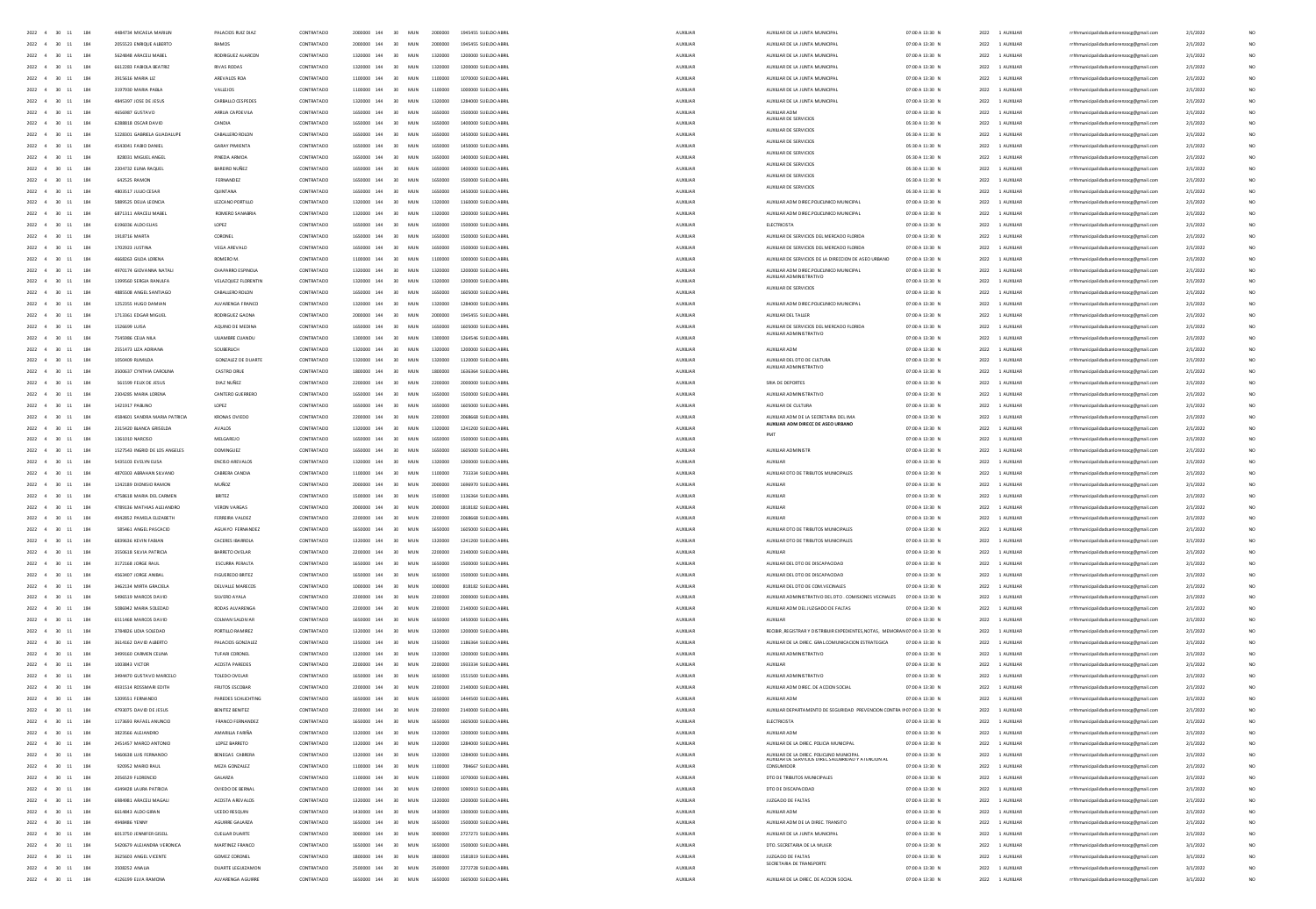| 2022 4 30 11<br>184                                     | 4484734 MICAELA MARIUI                     | PALACIOS RUIZ DIA2      | CONTRATADO | 2000000 144        | 30<br>MUN                     | 2000000 | 1945455 SUELDO ABR                              | AUXILIA         | AUXIUAR DE LA JUNTA MUNICIPA                                                                   | 07:00 A 13:30 M      | 2022 1 AUXILIA  | rrhhmunicipalidadsanlorenzoce@email.com                                            | 2/1/202  |                 |
|---------------------------------------------------------|--------------------------------------------|-------------------------|------------|--------------------|-------------------------------|---------|-------------------------------------------------|-----------------|------------------------------------------------------------------------------------------------|----------------------|-----------------|------------------------------------------------------------------------------------|----------|-----------------|
| $2022$ 4 30 11 184                                      | 2055523 ENRIQUE ALBERTO                    | RAMOS                   | CONTRATADO |                    | 2000000 144 30 MUN            | 2000000 | 1945455 SUELDO ABRI                             | AUXILIA         | AUXILIAR DE LA JUNTA MUNICIPA                                                                  | 07:00 A 13:30 M      | 2022 1 AUXILIA  | rrhhmunicipalidadsanlorenzocg@gmail.com                                            | 2/1/2022 |                 |
| $2022\quad \  \, 4\quad \  \  30\quad \  11$<br>184     | 5624848 ARACELI MABEL                      | RODRIGUEZ ALARCOM       | CONTRATADO |                    | 1320000 144 30 MUN            | 1320000 | 1200000 SUELDO ABRI                             | AUXUA           | AUXILIAR DE LA JUNTA MUNICIPA                                                                  | 07:00 A 13:30 N      | 2022 1 AUXILIAR | rrhhmunicipalidadsanlorenzocg@gmail.com                                            | 2/1/2022 |                 |
| 2022 4 30 11                                            | 6612283 FABIOLA BEATRIZ                    | <b>RIVAS RODAS</b>      | CONTRATADO | 1320000 144        | 30 <sup>2</sup><br><b>MUN</b> | 1320000 | 1200000 SUELDO ABRI                             | AUXILIAR        | AUXIUAR DE LA JUNTA MUNICIPA                                                                   | 07:00 A 13:30 N      | 2022 1 AUXILIA  | rrhhmunicipalidadsanlorenzocg@gmail.com                                            | 2/1/2022 |                 |
| 2022 4 30                                               | 3915616 MARIA UZ                           | AREVALOS ROA            | CONTRATADO | 1100000 144        | 30 <sup>1</sup><br>MUN        | 1100000 | 1070000 SUELDO ABRI                             | AUXILIAR        | AUXILIAR DE LA JUNTA MUNICIPA                                                                  | 07:00 A 13:30 N      | 2022 1 AUXILIAR | rrhhmunicipalidadsanlorenzocg@gmail.com                                            | 2/1/2022 |                 |
| 2022 4 30 11<br>184                                     | 3197930 MARIA PABLA                        | VALLEJOS                | CONTRATADO | 1100000 144        | 30 MUN                        | 1100000 | 1000000 SUELDO ABRI                             | AUXILIAR        | AUXILIAR DE LA JUNTA MUNICIPA                                                                  | 07:00 A 13:30 N      | 2022 1 AUXILIAR | rrhhmunicipalidadsanlorenzocg@gmail.com                                            | 2/1/2022 |                 |
| 2022 4 30 11<br>184                                     | 4845397 JOSE DE JESUS                      | CARBALLO CESPEDES       | CONTRATADO | 1320000 144 30 MUN |                               |         | 1320000  1284000 SUELDO ABRI                    | AUXUAR          | AUXILIAR DE LA JUNTA MUNICIPA                                                                  | 07:00 A 13:30 N      | 2022 1 AUXILIAR | rrhhmunicipalidadsanlorenzocg@gmail.com                                            | 2/1/2022 |                 |
| 2022 4 30 11<br>184                                     | 4656987 GUSTAVO                            | ARRUA CAPDEVILA         | CONTRATADO | 1650000 144        | 30 MUN                        | 1650000 | 1500000 SUELDO ABRI                             | AUXILIAR        | AUXILIAR ADM                                                                                   | 07:00 A 13:30 N      | 2022 1 AUXILIAR | rrhhmunicipalidadsanlorenzocg@gmail.com                                            | 2/1/2022 |                 |
| 2022 4 30 11<br>194                                     | 6288818 OSCAR DAVID                        | CANDIA                  | CONTRATADO | 1650000 144        | 30 MIN                        | 1650000 | 1400000 SUELDO ABRI                             | AUXILIAR        | AUXILIAR DE SERVICIOS                                                                          | 05:30 A 11:30 $\,$ N | 2022 1 AUXILIAR | rrhhmunicipalidadsanlorenzocg@gmail.com                                            | 2/1/2022 |                 |
| 2022 4 30 11<br>184                                     | 5228301 GABRIELA GUADALUPE                 | CARALLERO ROLON         | CONTRATADO |                    | 1650000 144 30 MIN            | 1650000 | 1450000 SUFLDO 4881                             | ALDOITAR        | AUXIUAR DE SERVICIOS                                                                           | 05:30 A 11:30 N      | 2022 1 AUXILIAR | rrhhmunicipalidadsanlorenzocg@gmail.com                                            | 2/1/2022 | NO <sub>1</sub> |
| 2022 4 30 11<br>184                                     | 4543041 FABIO DANIEL                       | <b>GARAY PIMIENTA</b>   | CONTRATADO | 1650000 144        | 30 MUN                        | 1650000 | 1450000 SUELDO ABRI                             | AUXILIAR        | AUXILIAR DE SERVICIOS                                                                          | 05:30 A 11:30 N      | 2022 1 AUXILIAR | rrhhmunicipalidadsanlorenzocg@gmail.com                                            | 2/1/2022 |                 |
| 2022 4 30 11<br>184                                     | 828031 MIGUEL ANGEL                        | PINEDA ARMOA            | CONTRATADO |                    | 1650000 144 30 MUN            |         | 1650000  1400000 SUELDO ABRI                    | AUXUAR          | AUXILIAR DE SERVICIOS                                                                          | 05:30 A 11:30 N      | 2022 1 AUXILIAR | rrhhmunicipalidadsanlorenzocg@gmail.com                                            | 2/1/2022 | NO              |
| 2022 4 30 11<br>184                                     | 2204232 FUNA RAOURI                        | BARFIRD NURFZ           | CONTRATADO |                    | 1650000 144 30 MIN            |         | 1650000 1400000 SUFLDO 488U                     | ALDOITAR        | AUXILIAR DE SERVICIOS                                                                          | 05:30 A 11:30 N      | 2022 1 4100148  | rrhhmunicipalidadsanlorenzocg@gmail.com                                            | 2/1/2022 | NO <sub>1</sub> |
| 2022 4 30 11<br>194                                     | <b>G42525 RAMON</b>                        | FERNANDEZ               | CONTRATADO |                    |                               |         | 1650000 144 30 MUN 1650000 1500000 SUFLDO ARRI  | <b>ALDREIAR</b> | AUXILIAR DE SERVICIOS                                                                          | 05/30 A 11/30 N      | 2022 1 4100148  | rrhhmunicipalidadsanlorenzoog@gmail.com                                            | 2/1/2022 | NO <sub>1</sub> |
| 2022 4 30 11<br>184                                     | 4803517 ILIUO CESAR                        | <b>OUNTANA</b>          | CONTRATADO |                    | 1650000 144 30 MIN            |         | 1650000 1450000 SUFLDO ARRI                     | ALDOITAR        | AUXIUAR DE SERVICIOS                                                                           | 05:30 A 11:30 N      | 2022 1 4100148  | rrhhmunicipalidadsanlorenzocg@gmail.com                                            | 2/1/2022 | NO <sub>1</sub> |
| 2022 4 30 11<br>184                                     | SRR9S2S DEUA LEONCIA                       | <b>IFZCANO PORTILLO</b> | CONTRATADO |                    |                               |         | 1320000 144 30 MUN 1320000 1160000 SUFLDO ARRI  | <b>ALDREIAR</b> | AUXILIAR ADM DIREC POUCUNICO MUNICIPAL                                                         | 07:00 A 13:30 N      | 2022 1 4100148  | rrhhmunicipalidadsanlorenzocg@gmail.com                                            | 2/1/2022 | NO <sub>1</sub> |
| 2022 4 30 11<br>184                                     | 6871311 ARACELI MABEL                      | ROMERO SANABRIA         | CONTRATADO |                    |                               |         | 1320000 144 30 MUN 1320000 1200000 SUELDO ABRIL | AUXILIAR        | AUXIUAR ADM DIREC POUCUNICO MUNICIPAL                                                          | 07:00 A 13:30 N      | 2022 1 AUXILIAR | rrhhmunicipalidadsanlorenzoog@gmail.com                                            | 2/1/2022 | NO.             |
| 2022 4 30 11<br>184                                     | F195036 ALDO FUAS                          | LOPEZ.                  | CONTRATADO |                    |                               |         | 1650000 144 30 MUN 1650000 1500000 SUFLDO ARRI  | 4100148         | <b>FLECTRICISTA</b>                                                                            | 02:00 A 13:30 N      | 2022 1 4100148  |                                                                                    | 2/1/2022 | NO <sub>1</sub> |
| 2022 4 30 11<br>184                                     | 1918716 MARTA                              | CORONEL                 | CONTRATADO |                    |                               |         | 1650000 144 30 MUN 1650000 1500000 SUELDO ABRIL | AUXILIAR        | AUXIUAR DE SERVICIOS DEL MERCADO FLORIDA                                                       | 07:00 A 13:30 N      | 2022 1 AUXILIAR | rrhhmunicipalidadsanlorenzoog@gmail.com                                            | 2/1/2022 | NO.             |
| 2022 4 30 11<br>184                                     | 1702923 JUSTINA                            | VEGA AREVALO            | CONTRATADO |                    |                               |         | 1650000 144 30 MUN 1650000 1500000 SUELDO ABRIL | AUXILIAR        | AUXIUAR DE SERVICIOS DEL MERCADO FLORIDA                                                       | 07:00 A 13:30 N      | 2022 1 AUXILIAR | rrhhmunicipalidadsanlorenzoog@gmail.com<br>rrhhmunicipalidadsanlorenzoce@email.com | 2/1/2022 | NO.             |
| 2022 4 30 11<br>184                                     |                                            |                         |            |                    | 1100000 144 30 MIN            |         | 1000000 SUFLDO ARRI                             | AUXILIAR        | AUXIUAR DE SERVICIOS DE LA DIRECCIÓN DE ASEO URBANO                                            | 07:00 A 13:30 N      | 2022 1 AUXILIAR |                                                                                    |          |                 |
|                                                         | 4668263 GILDA LORENA                       | ROMERO M.               | CONTRATADO |                    |                               | 1100000 |                                                 |                 |                                                                                                |                      |                 | rrhhmunicipalidadsanlorenzoce@email.com                                            | 2/1/2022 | NO.             |
| 2022 4 30 11<br>184                                     | 4970174 GIOVANNA NATALI                    | CHAPARRO ESPINOLA       | CONTRATADO |                    |                               |         | 1320000 144 30 MUN 1320000 1200000 SUELDO ABRIL | AUXILIAR        | AUXIUAR ADM DIREC POUCUNICO MUNICIPAL                                                          | 07:00 A 13:30 N      | 2022 1 AUXILIAR | rrhhmunicipalidadsanlorenzoce@email.com                                            | 2/1/2022 | NO.             |
| 2022 4 30 11<br>184                                     | 1399560 SERGIA RANULFA                     | VELAZQUEZ FLORENTIN     | CONTRATADO |                    | 1320000 144 30 MIN            |         | 1320000  1200000 SUELDO ABRIL                   | AUXILIAR        | AUXIUAR DE SERVICIOS                                                                           | 07:00 A 13:30 N      | 2022 1 AUXILIAR | rrhhmunicipalidadsanlorenzoce@email.com                                            | 2/1/2022 | NO.             |
| 2022 4 30 11<br>184                                     | 4885508 ANGEL SANTIAGO                     | CABALLERO ROLON         | CONTRATADO | 1650000 144        | 30 MUN                        | 1650000 | 1605000 SUELDO ABRI                             | AUXUAR          |                                                                                                | 07:00 A 13:30 N      | 2022 1 AUXILIAR | rrhhmunicipalidadsanlorenzoog@gmail.com                                            | 2/1/2022 | NO.             |
| 2022 4 30 11<br>184                                     | 1252355 HUGO DAMIAN                        | ALVARENGA FRANCO        | CONTRATADO |                    | 1320000 144 30 MUN            |         | 1320000 1284000 SUELDO ABRIL                    | <b>AUXILIAR</b> | AUXIUAR ADM DIREC POUCUNICO MUNICIPAL                                                          | 07:00 A 13:30 N      | 2022 1 AUXILIAR | rrhhmunicipalidadsanlorenzoce@email.com                                            | 2/1/2022 | NO.             |
| $2022 \quad 4 \quad 30 \quad 11$<br>184                 | 1713361 EDGAR MIGUEL                       | RODRIGUEZ GAONA         | CONTRATADO | 2000000 144        | 30 MUN                        | 2000000 | 1945455 SUELDO ABRI                             | AUXILIAR        | AUXIUAR DEL TALLER                                                                             | 07:00 A 13:30 N      | 2022 1 AUXILIAR | rrhhmunicipalidadsanlorenzoog@gmail.com                                            | 2/1/2022 | NO              |
| 2022 4 30 11<br>184                                     | 1526699 LUISA                              | AQUINO DE MEDINA        | CONTRATADO | 1650000 144        | 30 MUN                        | 1650000 | 1605000 SUELDO ABRI                             | AUXUAR          | AUXILIAR DE SERVICIOS DEL MERCADO FLORIDA<br>AUXIUAR ADMINISTRATIVO                            | 07:00 A 13:30 N      | 2022 1 AUXILIAR | rrhhmunicipalidadsanlorenzocg@gmail.com                                            | 2/1/2022 | NO.             |
| 2022 4 30 11                                            | 7545986 CEUA NILA                          | ULIAMBRE CUANDL         | CONTRATADO |                    |                               | 1300000 | 1264546 SUELDO ABRI                             | AUXUAR          |                                                                                                | 07:00 A 13:30 N      | 2022 1 AUXILIA  | rrhhmunicipalidadsanlorenzocg@gmail.com                                            | 2/1/2022 | NO.             |
| 2022 4 30 11<br>184                                     | 2551473 UZA ADRIANA                        | SOUBERLICH              | CONTRATADO | 1320000 144        | 30 MUN                        | 1320000 | 1200000 SUELDO ABRI                             | AUXILIAR        | AUXILIAR ADM                                                                                   | 07:00 A 13:30 N      | 2022 1 AUXILIAR | rrhhmunicipalidadsanlorenzocg@gmail.com                                            | 2/1/2022 | NO.             |
| 2022 4 30 11                                            | 1050409 RUMILDA                            | GONZALEZ DE DUARTE      | CONTRATADO |                    | 30 MUN                        | 1320000 | 1120000 SUELDO ABRI                             | <b>AUXILIAR</b> | AUXILIAR DEL DTO DE CULTUR<br>AUXILIAR ADMINISTRATIVO                                          | 07:00 A 13:30 N      | 2022 1 AUXILIAR | rrhhmunicipalidadsanlorenzocg@gmail.com                                            | 2/1/2022 | NO.             |
| $2022 \quad 4 \quad 30 \quad 11$                        | 3500637 CYNTHIA CAROUNA                    | CASTRO ORU              | CONTRATADO | 1800000 144        | 30 MUN                        |         |                                                 | AUXILIAR        |                                                                                                | 07:00 A 13:30 N      | 2022 1 AUXILIA  | rrhhmunicipalidadsanlorenzocg@gmail.com                                            | 2/1/2022 | NO              |
| 2022 4 30 11                                            | 561599 FEUX DE JESUS                       | DIAZ NUÑEZ              | CONTRATADO |                    | 30 MUN                        | 2200000 | 2000000 SUELDO ABRI                             | AUXUAR          | SRIA DE DEPORTES                                                                               | 07:00 A 13:30 N      | 2022 1 AUXILIAR | rrhhmunicipalidadsanlorenzocg@gmail.com                                            | 2/1/2022 | NO.             |
| $2022 \quad 4 \quad 30 \quad 11$                        | 2304285 MARIA LORENA                       | CANTERO GUERRERO        | CONTRATADO |                    |                               |         |                                                 | AUXUAR          | AUXILIAR ADMINISTRATIVO                                                                        | 07:00 A 13:30 N      | 2022 1 AUXILIAR | rrhhmunicipalidadsanlorenzocg@gmail.com                                            | 2/1/2022 | NO              |
| $2022 \quad 4 \quad 30 \quad 11$<br>184                 | 1421917 PABLINO                            |                         | CONTRATADO | 1650000 144        | 30 MIN                        |         |                                                 | AUXILIAR        | AUXIUAR DE CULTURA                                                                             | 07:00 A 13:30 N      | 2022 1 AUXILIAR | nicipalidadsanlorenzocg@gmail.com                                                  | 2/1/2022 | NO              |
| 2022 4 30 11<br>184                                     | 4584601 SANDRA MARIA PATRICIA              | KRONAS OVIEDO           | CONTRATADO |                    | 2200000 144 30 MIN            | 2200000 | 2058668 SUFLOO ARRI                             | <b>AUXILIAR</b> | AUXIUAR ADM DE LA SECRETARIA DEL IMA<br>AUXIUAR ADM DIRECC DE ASEO URBANO                      | 07:00 A 13:30 N      | 2022 1 AUXILIAR | unicipalidadsanlorenzocg@gmail.com                                                 | 2/1/2022 | NO              |
| $2022 \quad 4 \quad 30 \quad 11$<br>184                 | 2315420 BLANCA GRISELDA                    |                         | CONTRATADO | 1320000 144        | 30 MUN                        | 1320000 |                                                 | AUXILIAR        | PMT                                                                                            | 07:00 A 13:30 N      | 2022 1 AUXILIA  | inicipalidadsanlorenzocg@gmail.com                                                 | 2/1/2022 | NO              |
| 2022 4 30 11<br>184                                     | 1361010 NARCISO                            | MELGAREJO               | CONTRATADO |                    | 1650000 144 30 MIN            | 1650000 | 150000 SUFLOO ARR                               | AUXILIAR        |                                                                                                | 07:00 A 13:30 N      | 2022 1 AUXILIAR | inicipalidadsanlorenzocg@gmail.com                                                 | 2/1/2022 | NO              |
| $2022\quad \  \  4\quad \quad 30\quad \  11$<br>184     | 1527543 INGRID DE LOS ANGELES              | DOMINGUEZ               | CONTRATADO |                    | 1450000 144 20 MIN            | 1650000 | 1405000 SUSIDO ASSI                             | AUXILIAR        | AUXILIAR ADMINISTR                                                                             | 07:00 A 13:30 N      | 2022 1 AUXILIAR | hmunicipalidadsanlorenzocg@gmail.com                                               | 2/1/2022 | NO              |
| 2022 4 30 11<br>184                                     | 5435103 EVELYN ELISA                       | ENCISO AREVALOS         | CONTRATADO |                    | 1320000 144 30 MIN            | 1320000 | 1200000 SUELDO ABRI                             | AUXILIAR        |                                                                                                | 07:00 A 13:30 N      | 2022 1 AUXILIA  | nicipalidadsanlorenzocg@gmail.com                                                  | 2/1/2022 | NO              |
| 2022 4 30 11<br>184                                     | 4870303 ABRAHAN SILVANO                    | CABRERA CANDIA          | CONTRATADO |                    | 1100000 144 30 MUN            | 1100000 | 722224 SUCLING AGOS                             | <b>AUXILIAR</b> | AUXIUAR DTO DE TRIBUTOS MUNICIPALE                                                             | 07:00 A 13:30 N      | 2022 1 AUXILIAR | rrhhmunicipalidadsanlorenzocg@gmail.com                                            | 2/1/2022 | NO              |
| 2022 4 30 11 184                                        | 1242189 DIONISIO RAMON                     | MUÑOZ                   | CONTRATADO |                    | 2000000 144 30 MIN            | 2000000 | 1696920 SUELDO ARRI                             | AUXUAR          | 410014                                                                                         | 07:00 A 13:30 N      | 2022 1 AUXILIAR | rrhhmunicipalidadsanlorenzocg@gmail.com                                            | 2/1/2022 | NO              |
| 2022 4 30 11 184                                        | 4758618 MARIA DEL CARMEN                   | <b>RRITEZ</b>           | CONTRATADO |                    | 1500000 144 30 MIN            | 1500000 | 1136364 SUFLDD ARRU                             | <b>ALDREIAR</b> | <b>AUXUAS</b>                                                                                  | 02:00 A 13:30 N      | 2022 1 AUXILIAR | rrhhmunicipalidadsanlorenzocg@gmail.com                                            | 2/1/2022 | NO              |
| 2022 4 30 11<br>184                                     | 4789136 MATHIAS ALEIANDRO                  | <b>VERON VARGAS</b>     | CONTRATADO |                    | 2000000 144 30 MIN            | 2000000 | 1818182 SUFLDD ARR                              | AUXILIAR        | <b>AUXIUA</b>                                                                                  | 07:00 A 13:30 N      | 2022 1 AUXILIAR | rrhhmunicipalidadsanlorenzocg@gmail.com                                            | 2/1/2022 | NO              |
| 2022 4 30 11 184                                        | 4942852 PAMELA FUZARETH                    | FERREIRA VALDEZ         | CONTRATADO | 2200000 144 30 MIN |                               | 2200000 | 2058668 SUFLDD ARRIL                            | ALDOITAR        | <b>AUXURAS</b>                                                                                 | 0200 A 13:30 N       | 2022 1 AUXILIAR | rrhhmunicipalidadsanlorenzocg@gmail.com                                            | 2/1/2022 | NO              |
| 2022 4 30 11 184                                        | 585461 ANGEL PASCAGIO                      | AGUAYO FERNANDEZ        | CONTRATADO |                    | 1650000 144 30 MIIN           | 1650000 | 1605000 SUFLDO ARRI                             | <b>ALDREIAR</b> | AUXILIAR DTO DE TRIBUTOS MUNICIPALE                                                            | 07:00 A 13:30 N      | 2022 1 4100148  | rrhhmunicipalidadsanlorenzoce@email.com                                            | 2/1/2022 | NO.             |
| 2022 4 30 11<br>184                                     | GRIGGIG KEVIN FARIAN                       | CACERES IRARROLA        | CONTRATADO | 1320000 144 30 MIN |                               | 1320000 | 1241200 SUELDO 4881                             | AUXUAR          | AUXIUAR DTO DE TRIBUTOS MUNICIPALE                                                             | 02:00 A 13:30 N      | 2022 1 AUXILIAR | rrhhmunicipalidadsanlorenzocg@gmail.com                                            | 2/1/2022 | NO              |
| 2022 4 30 11 184                                        | 3550618 SILVIA PATRICIA                    | <b>BARRETO OVEIAR</b>   | CONTRATADO | 2200000 144 30 MIN |                               |         | 2200000 2140000 SUFLDO ARRIV                    | <b>ALDREIAR</b> | <b>AUXUAR</b>                                                                                  | 07:00 A 13:30 N      | 2022 1 4100148  | rrhhmunicipalidadsanlorenzoce@email.com                                            | 2/1/2022 | NO.             |
| 2022 4 30 11 184                                        | 3172168 JORGE RAUL                         | ESCURRA PERALTA         | CONTRATADO |                    | 1650000 144 30 MUN            | 1650000 | 1500000 SUELDO ABRIL                            | AUXILIAR        | AUXIUAR DEL DTO DE DISCAPACIDAD                                                                | 07:00 A 13:30 N      | 2022 1 AUXILIAR | rrhhmunicipalidadsanlorenzoce@email.com                                            | 2/1/2022 | NO.             |
| 2022 4 30 11<br>184                                     | 4563407 JORGE ANIBAL                       | <b>FIGUEREDO BRITEZ</b> | CONTRATADO |                    | 1650000 144 30 MUN            | 1650000 | 1500000 SUELDO ABRIL                            | AUXILIAR        | AUXIUAR DEL DTO DE DISCAPACIDAD                                                                | 07:00 A 13:30 N      | 2022 1 AUXILIAR | rrhhmunicipalidadsanlorenzoce@email.com                                            | 2/1/2022 | NO.             |
| 2022 4 30 11 184                                        | 3462134 MIRTA GRACIELA                     | DEIVALLE MARECOS        | CONTRATADO | 1000000 144 30 MIN |                               | 1000000 | 818182 SUFLDD ARRI                              | <b>ALDREIAR</b> | AUXILIAR DEL DTO DE COM VECINALES                                                              | 02:00 A 13:30 N      | 2022 1 4100148  | rrhhmunicinalidadsanlorenzore@email.com                                            | 2/1/2022 | NO              |
| 2022 4 30 11 184                                        | 5496519 MARCOS DAVID                       | SILVERO AYALA           | CONTRATADO | 2200000 144 30 MUN |                               | 2200000 | 2000000 SUELDO ABRIL                            | AUXILIAR        | AUXIUAR ADMINISTRATIVO DEL DTO . COMISIONES VECINALES                                          | 07:00 A 13:30 N      | 2022 1 AUXILIAR | rrhhmunicipalidadsanlorenzoce@email.com                                            | 2/1/2022 | NO.             |
| 2022 4 30 11<br>184                                     | 5086942 MARIA SOLEDAD                      | RODAS ALVARENGA         | CONTRATADO | 2200000 144 30 MIN |                               |         | 2200000 2140000 SUELDO ABRIL                    | AUXILIAR        | AUXIUAR ADM DEL JUZGADO DE FALTAS                                                              | 07:00 A 13:30 N      | 2022 1 AUXILIAR | rrhhmunicipalidadsanlorenzoce@email.com                                            | 2/1/2022 | NO.             |
| 2022 4 30 11 184                                        | 6511468 MARCOS DAVID                       | COLMAN SALDIVAR         | CONTRATADO | 1650000 144 30 MUN |                               | 1650000 | 1450000 SUELDO ABRIL                            | AUXILIAR        | ALIXULAR                                                                                       | 07:00 A 13:30 N      | 2022 1 AUXILIAR | rrhhmunicipalidadsanlorenzoce@email.com                                            | 2/1/2022 | NO.             |
| 2022 4 30 11 184                                        | 3784826 UDIA SOLEDAD                       | PORTILLO RAMIREZ        | CONTRATADO | 1320000 144 30 MIN |                               | 1320000 | 1200000 SUELDO ABRIL                            | AUXILIAR        | RECIBIR .REGISTRAR Y DISTRIBUIR EXPEDIENTES.NOTAS. MEMORAN 07:00 A 13:30 N                     |                      | 2022 1 AUXILIAR | rrhhmunicipalidadsanlorenzoce@email.com                                            | 2/1/2022 | NO.             |
| 2022 4 30 11 184                                        | 3614162 DAVID ALBERTO                      | PALACIOS GONZALEZ       | CONTRATADO |                    | 1350000 144 30 MUN            | 1350000 | 1186364 SUELDO ABRIL                            | AUXILIAR        | AUXIUAR DE LA DIREC. GRALCOMUNICACIÓN ESTRATEGICA                                              | 07:00 A 13:30 N      | 2022 1 AUXILIAR | rrhhmunicipalidadsanlorenzoog@gmail.com                                            | 2/1/2022 | NO              |
| 2022 4 30 11<br>184                                     | 3499160 CARMEN CEUNA                       | TUFARI CORONEL          | CONTRATADO | 1320000 144        | 30 <sup>2</sup><br>MUN        | 1320000 | 1200000 SUELDO ABRI                             | AUXUAR          | AUXIUAR ADMINISTRATIVO                                                                         | 07:00 A 13:30 N      | 2022 1 AUXILIAR | rrhhmunicipalidadsanlorenzocg@gmail.com                                            | 2/1/2022 | NO.             |
| 2022 4 30 11<br>184                                     | 1003843 VICTOR                             | ACOSTA PAREDES          | CONTRATADO | 2200000 144 30 MIN |                               | 2200000 | 1933334 SUFLDD ARRI                             | AUXILIAR        | <b>AUXUAR</b>                                                                                  | 07:00 A 13:30 N      | 2022 1 AUXILIAR | rrhhmunicipalidadsanlorenzoce@email.com                                            | 2/1/2022 | NO.             |
| 2022 4 30 11<br>184                                     | 3494470 GUSTAVO MARCELO                    | TOLEDO OVELAR           | CONTRATADO |                    | 1650000 144 30 MUN            | 1650000 | 1551500 SUELDO ABRI                             | AUXUAR          | AUXIUAR ADMINISTRATIVO                                                                         | 07:00 A 13:30 N      | 2022 1 AUXILIAR | rrhhmunicipalidadsanlorenzocg@gmail.com                                            | 2/1/2022 | NO.             |
| 2022 4 30 11<br>184                                     | 4931514 ROSSMARI EDITH                     | FRUTOS ESCOBAR          | CONTRATADO | 2200000 144        | 30<br><b>MUN</b>              | 2200000 | 2140000 SUELDO ABRI                             | AUXILIAR        | AUXIUAR ADM DIREC. DE ACCION SOCIAL                                                            | 07:00 A 13:30 N      | 2022 1 AUXILIA  | rrhhmunicipalidadsanlorenzocg@gmail.com                                            | 2/1/2022 |                 |
| 2022 4 30 11<br>184                                     | 5209551 FERNANDO                           | PAREDES SCHLICHTING     | CONTRATADO | 1650000 144        | 30 MUN                        | 1650000 | 1444500 SUELDO ABRI                             | AUXILIAR        | AUXIUAR ADM                                                                                    | 07:00 A 13:30 N      | 2022 1 AUXILIAR | rrhhmunicipalidadsanlorenzocg@gmail.com                                            | 2/1/2022 | NO.             |
| 2022 4 30 11<br>184                                     | 4793075 DAVID DE JESUS                     | BENITEZ BENITEZ         | CONTRATADO | 2200000 144        | 30<br><b>MUN</b>              | 2200000 | 2140000 SUELDO ABRI                             | AUXUAR          | AUXIUAR DEPARTAMENTO DE SEGURIDAD PREVENCION CONTRA IN07:00 A 13:30 N                          |                      | 2022 1 AUXILIA  | rrhhmunicipalidadsanlorenzocg@gmail.com                                            | 2/1/2022 |                 |
| $2022 \quad 4 \quad 30 \quad 11$<br>184                 | 1173693 RAFAEL ANUNCIO                     | FRANCO FERNANDEZ        | CONTRATADO | 1650000 144        | 30<br>MUN                     |         | 1605000 SUELDO ABRI                             | AUXILIAR        | ELECTRICISTA                                                                                   | 07:00 A 13:30 M      | 2022 1 AUXILIA  | rrhhmunicipalidadsanlorenzocg@gmail.com                                            | 2/1/2022 |                 |
| $2022 \quad 4 \quad 30 \quad 11$<br>184                 | 3823566 ALEJANDRO                          | AMARILLA FARIÑA         | CONTRATADO | 1320000 144 30     | MUN                           | 1320000 | 1200000 SUELDO ABRI                             | AUXILIAR        | AUXILIAR ADM                                                                                   | 07:00 A 13:30 N      | 2022 1 AUXILIA  | rrhhmunicipalidadsanlorenzocg@gmail.com                                            | 2/1/2022 |                 |
| 2022 4 30 11<br>184                                     | 2451457 MARCD ANTONIC                      | LOPEZ BARRETO           | CONTRATADO |                    | 30<br>MUN                     | 1320000 | 1284000 SUELDO ABRI                             | AUXILIAR        | AUXIUAR DE LA DIREC. POLICIA MUNICIPAL                                                         | 07:00 A 13:30 M      | 2022 1 AUXILIA  | rrhhmunicipalidadsanlorenzocg@gmail.com                                            | 2/1/2022 |                 |
|                                                         |                                            |                         |            | 1320000 144        | 30                            |         |                                                 |                 |                                                                                                |                      |                 |                                                                                    |          |                 |
| $2022 \quad 4 \quad 30 \quad 11$<br>2022 4 30 11<br>184 | 5460638 LUIS FERNANDO<br>920952 MARIO RAUL | BENEGAS CABRERA         | CONTRATADO |                    | MUN<br>1100000 144 30 MUN     | 1100000 | 1284000 SUELDO ABRI<br>784667 SUELDO ABRI       | AUXILIAR        | AUXIUAR DE LA DIREC. POLICUNO MUNICIPAL<br>AUXIUAR DE SERVICIOS DIREC SALUBRIDAD Y ATENCION AL | 07:00 A 13:30 N      | 2022 1 AUXILIA  | rrhhmunicipalidadsanlorenzocg@gmail.com                                            | 2/1/2022 |                 |
|                                                         |                                            | MEZA GONZALEZ           | CONTRATADO |                    |                               |         |                                                 | AUXILIAR        |                                                                                                | 07:00 A 13:30 N      | 2022 1 AUXILIA  | rrhhmunicipalidadsanlorenzocg@gmail.com                                            | 2/1/2022 |                 |
| $2022 \quad 4 \quad 30 \quad 11$                        | 2056529 FLORENCIO                          | GALARZA                 | CONTRATADO |                    | 30<br>MUN                     |         | 1070000 SUELDO ABRI                             | AUXILIAR        | DTO DE TRIBUTOS MUNICIPALE                                                                     | 07:00 A 13:30 M      | 2022 1 AUXILIA  | rrhhmunicipalidadsanlorenzocg@gmail.com                                            | 2/1/2022 |                 |
| 2022 4 30 11<br>184                                     | 4349428 LAURA PATRICIA                     | OVIEDO DE BERNAL        | CONTRATADO | 1200000 144        | 30<br><b>MUN</b>              | 1200000 | 1090910 SUELDO ABRI                             | AUXILIAR        | DTO DE DISCAPACIDAD                                                                            | 07:00 A 13:30 N      | 2022 1 AUXILIA  | rrhhmunicipalidadsanlorenzocg@gmail.com                                            | 2/1/2022 |                 |
| 2022 4 30 11<br>184                                     | 6984981 ARACELI MAGALI                     | ACOSTA AREVALOS         | CONTRATADO | 1320000 144        | 30 MUN                        | 1320000 | 1200000 SUELDO ABRI                             | AUXILIAR        | JUZGADO DE FALTAS                                                                              | 07:00 A 13:30 N      | 2022 1 AUXILIAR | rrhhmunicipalidadsanlorenzocg@gmail.com                                            | 2/1/2022 |                 |
| 2022 4 30 11<br>184                                     | 6614843 ALDO GIRAN                         | UCEDO RESQUIN           | CONTRATADO |                    | 1430000 144 30 MUN            | 1430000 | 1300000 SUELDO ABRI                             | AUXUAR          | AUXIUAR ADM                                                                                    | 07:00 A 13:30 N      | 2022 1 AUXILIAR | rrhhmunicipalidadsanlorenzocg@gmail.com                                            | 2/1/2022 |                 |
| 2022 4 30 11<br>184                                     | 4948486 YENNY                              | AGUIRRE GALARZA         | CONTRATADO | 1650000 144        | 30<br><b>MUN</b>              | 1650000 | 1500000 SUELDO ABRI                             | AUXILIAR        | AUXILIAR ADM DE LA DIREC. TRANSITO                                                             | 07:00 A 13:30 N      | 2022 1 AUXILIAR | rrhhmunicipalidadsanlorenzocg@gmail.com                                            | 2/1/2022 |                 |
| 2022 4 30 11<br>184                                     | 6013750 JENNIFER GISELL                    | <b>CUELLAR DUARTE</b>   | CONTRATADO | 3000000 144        | 30 MUN                        | 3000000 | 2727273 SUELDO ABRI                             | AUXUAR          | AUXILIAR DE LA JUNTA MUNICIPA                                                                  | 07:00 A 13:30 N      | 2022 1 AUXILIAR | rrhhmunicipalidadsanlorenzocg@gmail.com                                            | 2/1/2022 |                 |
| 2022 4 30 11 184                                        | 5420679 ALEJANDRA VERONICA                 | MARTINEZ FRANCO         | CONTRATADO | 1650000 144        | 30 MIN                        | 1650000 | 1500000 SUFLDO ARRI                             | AUXUAR          | DTO, SECRETARIA DE LA MUJER                                                                    | 07:00 A 13:30 N      | 2022 1 AUXILIAR | rrhhmunicipalidadsanlorenzoog@gmail.com                                            | 3/1/2022 | NO <sub>1</sub> |
| 2022 4 30 11 184                                        | 3625603 ANGEL VICENTE                      | <b>GOMEZ CORONEL</b>    | CONTRATADO | 1800000 144        | 30 MUN                        | 1800000 | 1581819 SUELDO ABRI                             | AUXILIAR        | <b>ILIZGADO DE FALTAS</b><br>SECRETARIA DE TRANSPORTE                                          | 07:00 A 13:30 N      | 2022 1 AUXILIAR | rrhhmunicipalidadsanlorenzocg@gmail.com                                            | 3/1/2022 |                 |
| 2022 4 30 11 184                                        | 3508252 ANALIA                             | DUARTE LEGUIZAMON       | CONTRATADO |                    | 2500000 144 30 MUN 2500000    |         | 2272728 SUELDO ABRI                             | AUXUAR          |                                                                                                | 07:00 A 13:30 N      | 2022 1 AUXILIAR | rrhhmunicipalidadsanlorenzocg@gmail.com                                            | 3/1/2022 | NO <sub>1</sub> |
| $2022$ 4 30 11 184                                      | 4126199 FLVA RAMONA                        | AIVARENGA AGURRE        | CONTRATADO | 1650000 144        | 30 MUN                        | 1650000 | 1605000 SUFLDO ARRI                             | ALCOHOL:        | AUXILIAR DE LA DIREC. DE ACCION SOCIAL                                                         | 02:00 A 13:30 N      | 2022 1 AUXILIAR | rrhhmunicinalidadsanlorenzoce@email.com                                            | 3/1/2022 |                 |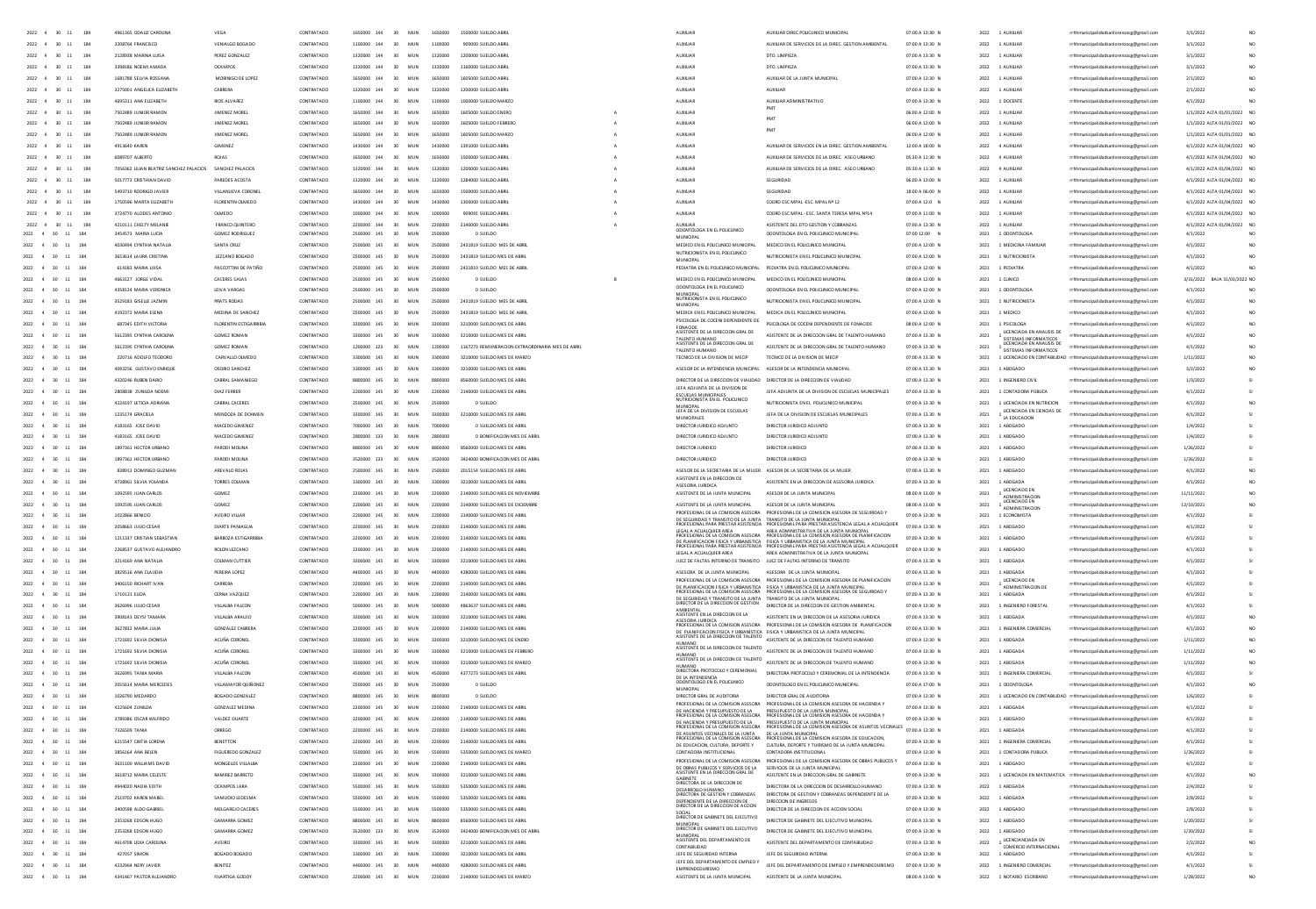| 2022            |                  |                 |                                       |                        | CONTRATAE  |                |                        |         |                                                 |                                                                                                                                                |                                                                                                                                                                                                                    | 07:00 A 13:30 F | 2022 |                                                    |                                                                      |                             |                 |
|-----------------|------------------|-----------------|---------------------------------------|------------------------|------------|----------------|------------------------|---------|-------------------------------------------------|------------------------------------------------------------------------------------------------------------------------------------------------|--------------------------------------------------------------------------------------------------------------------------------------------------------------------------------------------------------------------|-----------------|------|----------------------------------------------------|----------------------------------------------------------------------|-----------------------------|-----------------|
|                 | 2022 4 30 11     | 184             | 3208764 FRANCISCO                     | VENIALGO BOGADO        | CONTRATADO | 1100000 144    | 30 <sup>2</sup><br>MIN | 1100000 | 900000 SUFLOO ARRI                              | ALCOHOL:                                                                                                                                       | AUXILIAR DE SERVICIOS DE LA DIREC GESTION AMBIENTAL                                                                                                                                                                | 07:00 A 13:30 N |      | 2022 1 4100148                                     | rrhhmunicipalidadsanlorenzocg@gmail.com                              | 3/1/2022                    |                 |
|                 | 2022 4 30 11     | 184             | 2128938 MARINA LUISA                  | PEREZ GONZALEZ         | CONTRATADO | 1320000 144    | 30<br>MUN              | 1320000 | 1200000 SUELDO ABRIL                            | <b>AUXILIAR</b>                                                                                                                                | DTO, UMPIEZA                                                                                                                                                                                                       | 07:00 A 13:30 N |      | 2022 1 AUXILIAR                                    | rrhhmunicipalidadsanlorenzoce@email.com                              | 3/1/2022                    |                 |
| 2022            | $30 - 11$        | 184             | 3398186 NOFMLAMADA                    | OCAMPOS                | CONTRATADO | 1320000 144    | 30 <sup>2</sup><br>MIN | 1320000 | 1160000 SUFLDO ARRI                             | ALCOHOL:                                                                                                                                       | DTO UMPIEZA                                                                                                                                                                                                        | 07:00 A 13:30 N |      | 2022 1 4100148                                     | rrhhmunicipalidadsanlorenzoce@email.com                              | 3/1/2022                    | NO <sub>1</sub> |
| $2022 -$        | 30<br>11         | 184             | 1681788 SELVIA ROSSANA                | MORINIGO DE LOPEZ      | CONTRATADO | 1650000 144    | 30<br>MUN              | 1650000 | 1605000 SUELDO ABRIL                            | <b>AUXILIAR</b>                                                                                                                                | AUXIUAR DE LA JUNTA MUNICIPAL                                                                                                                                                                                      | 07:00 A 13:30 N |      | 2022 1 AUXILIAR                                    | rrhhmunicipalidadsanlorenzoce@email.com                              | 2/1/2022                    | NO <sub>1</sub> |
|                 |                  |                 |                                       |                        |            |                |                        |         |                                                 |                                                                                                                                                |                                                                                                                                                                                                                    |                 |      |                                                    |                                                                      |                             |                 |
| 2022            | $-30$            | 184             | 3275001 ANGELICA ELIZABETH            | CABRERA                | CONTRATADO | 1320000 144    | 30<br>MUN              | 1320000 | 1200000 SUELDO ABRIL                            | <b>AUXILIAR</b>                                                                                                                                | <b>AUXILIAR</b>                                                                                                                                                                                                    | 07:00 A 13:30 N | 2022 | 1 AUXILIAR                                         | rrhhmunicipalidadsanlorenzoce@email.com                              | 2/1/2022                    | NO <sub>1</sub> |
| 2022            | 30               | 184             | 4695311 ANA ELIZABETH                 | <b>RIOS ALVAREZ</b>    | CONTRATADO | 1100000 144    | 30<br>MUN              | 1100000 | 1000000 SUELDO MARZO                            | AUXILIAR                                                                                                                                       | AUXILIAR ADMINISTRATIVO                                                                                                                                                                                            | 07:00 A 13:30 N | 2022 | 1 DOCENTE                                          | rrhhmunicipalidadsanlorenzocg@gmail.com                              | 4/1/2022                    |                 |
| $2022 -$        | $\infty$         | 184             | 7502489 JUNIOR RAMON                  | JIMENEZ MOREL          | CONTRATADO | 1650000 144    | 30 <sup>2</sup><br>MUN | 1650000 | 1605000 SUELDO ENERO                            | <b>AUXILIAR</b>                                                                                                                                |                                                                                                                                                                                                                    | 06:00 A 12:00 N | 2022 | 1 AUXILIAR                                         | rrhhmunicipalidadsanlorenzoce@email.com                              | 1/1/2022 ALTA 01/01/2022 NO |                 |
| 2022            | $-30$            | 184             | 7502489 JUNIOR RAMON                  | JIMENEZ MOREL          | CONTRATADO | 1650000 144    | 30 <sub>0</sub><br>MIN | 1650000 | 1605000 SUELDO FEBRERO                          | AUXILIAR                                                                                                                                       | PMT                                                                                                                                                                                                                | 06:00 A 12:00 N | 2022 | 1 AUXILIAR                                         | rrhhmunicipalidadsanlorenzocg@gmail.com                              | 1/1/2022 ALTA 01/01/2022 NO |                 |
| 2022            | 30               | 184             | 7502489 JUNIOR RAMON                  | JIMENEZ MOREL          | CONTRATADO | 1650000 144    | 30<br>MUN              | 1650000 | 1605000 SUELDO MARZO                            | AUXUAR                                                                                                                                         |                                                                                                                                                                                                                    | 06:00 A 12:00 N | 2022 | 1 AUXILIAR                                         | rrhhmunicipalidadsanlorenzocg@gmail.com                              | 1/1/2022 ALTA 01/01/2022 N  |                 |
|                 |                  |                 |                                       |                        |            |                |                        |         |                                                 |                                                                                                                                                |                                                                                                                                                                                                                    |                 |      |                                                    |                                                                      |                             |                 |
| 2022 4          | $-30$<br>11      | 184             | 4913540 KAREN                         | <b>GIMENEZ</b>         | CONTRATADO | 1430000 144    | 30 <sub>1</sub><br>MIN | 1430000 | 1391000 SUELDO ARRI                             | <b>AUXILIAR</b>                                                                                                                                | AUXIUAR DE SERVICIOS EN LA DIREC. GESTION AMBIENTAL                                                                                                                                                                | 12:00 A 18:00 N | 2022 | 4 AUXILIAR                                         | rrhhmunicipalidadsanlorenzoce@email.com                              | 4/1/2022 ALTA 01/04/2022 NO |                 |
| 2022            | 30               | 184             | 6089707 ALBERTO                       | ROJAS                  | CONTRATADO | 1650000 144    | MUN<br>30              | 1650000 | 1500000 SUELDO ABRIL                            | AUXILIAR                                                                                                                                       | AUXILIAR DE SERVICIOS DE LA DIREC. ASEO URBANO                                                                                                                                                                     | 05:30 A 11:30 N | 2022 | 4 AUXILIAR                                         | rrhhmunicipalidadsanlorenzocg@gmail.com                              | 4/1/2022 ALTA 01/04/2022 NO |                 |
| 2022            | 30               | 184             | 7056362 UUAN BEATRIZ SANCHEZ PALACIOS | SANCHEZ PALACIOS       | CONTRATADO | 144<br>1320000 | MUN<br>30              | 1320000 | 1200000 SUELDO ABRI                             | AUXILIAR                                                                                                                                       | AUXIUAR DE SERVICIOS DE LA DIREC. ASEO URBANO                                                                                                                                                                      | 05:30 A 11:30 N | 2022 | 4 AUXILIAR                                         | rrhhmunicipalidadsanlorenzocg@gmail.com                              | 4/1/2022 ALTA 01/04/2022 NO |                 |
|                 | 30               | 184             | 5017773 CRISTHIAN DAVID               |                        | CONTRATADO |                |                        |         |                                                 | AUXILIA                                                                                                                                        |                                                                                                                                                                                                                    | 06:00 A 13:00 N | 2022 | 1 AUXILIA                                          | rrhhmunicipalidadsanlorenzocg@gmail.com                              | 4/1/2022 ALTA 01/04/2022 N  |                 |
|                 |                  |                 |                                       |                        |            |                |                        |         |                                                 |                                                                                                                                                |                                                                                                                                                                                                                    |                 |      |                                                    |                                                                      |                             |                 |
| 2022            | 30               | 184             | 5493710 RODRIGO JAVIER                | VILLANUEVA CORONEI     | CONTRATADO | 144            | MUN<br>30              | 1650000 | 1500000 SUELDO ABRIL                            | AUXILIAR                                                                                                                                       | SEGURIDAD                                                                                                                                                                                                          | 18:00 A 06:00 N | 2022 | 1 AUXILIAR                                         | rrhhmunicipalidadsanlorenzocg@gmail.com                              | 4/1/2022 ALTA 01/04/2022 NO |                 |
| 2022            | 30               | 184             | 1750596 MARTA ELIZABETH               | FLORENTIN OLMEDO       | CONTRATADO |                | MU<br>30               | 143000  | 1300000 SUELDO ABRI                             | AUXILIA                                                                                                                                        | COORD ESC MPAL -ESC. MPAL Nº 12                                                                                                                                                                                    | 07:00 A 12:0 N  | 2022 | 1 AUXILIAR                                         | rrhhmunicipalidadsanlorenzocg@gmail.com                              | 4/1/2022 ALTA 01/04/2022 NO |                 |
|                 | $30 - 11$        | 184             | 3724770 ALCIDES ANTONIC               |                        | CONTRATADO | 144            | 30<br>MU               |         |                                                 |                                                                                                                                                | COORD ESC MPAL - ESC. SANTA TERESA MPAL Nº14                                                                                                                                                                       | 07:00 A 11:00 N | 2022 | 1 AUXILIA                                          | cipalidadsanlorenzocg@gmail.com                                      | 4/1/2022 ALTA 01/04/2022 NO |                 |
| $2022 - 4$      | $30 - 11$        | 184             | 4210111 CHELTY MELANIE                | FRANCO QUINTERO        | CONTRATADO | 144            | MUN<br>30              | 2200000 | 2140000 SUELDO ABRIL                            |                                                                                                                                                | ASISTENTE DEL DTO GESTION Y COBRANZAS                                                                                                                                                                              | 07:00 A 13:30 N | 2022 | 1 AUXILIA                                          | rrhhmunicipalidadsanlorenzocg@gmail.com                              | 4/1/2022 ALTA 01/04/2022 NO |                 |
| 2022            | $4$ 30 11        | 184             | 3454573 MARIA LUCIA                   | <b>GOMEZ RODRIGUEZ</b> | CONTRATADO |                | MUN<br>30              | 250000  | 0 SUELDO                                        | AUXILIAR<br>DDONTOLOGA EN EL POLICLINICO                                                                                                       | <b>COONTOLOGA EN EL POLICLINICO MUNICIPAL</b>                                                                                                                                                                      | 07:00 12:00 N   | 2021 | 1 ODDNTOLOGA                                       | rrhhmunicipalidadsanlorenzocg@gmail.com                              | 4/1/2022                    |                 |
| 2022 4 30       | $11\,$           | 18 <sup>1</sup> | 4030494 CYNTHIA NATALIA               | SANTA CRUZ             | CONTRATADO | 145            | 30<br>MUN              | 2500000 | 2431819 SUELDO MES DE ABRIL                     | MUNICIPAL<br>MEDICO EN EL POLICUNICO MUNICIPA                                                                                                  | MEDICO EN EL POLICUNICO MUNICIPAL                                                                                                                                                                                  | 07:00 A 12:00 N | 2021 | 1 MEDICINA FAMILIA                                 | rrhhmunicipalidadsanlorenzocg@gmail.com                              | 4/1/202                     |                 |
|                 |                  |                 |                                       |                        |            |                |                        |         |                                                 | NUTRICIONISTA EN EL POLICUNICO                                                                                                                 |                                                                                                                                                                                                                    |                 |      |                                                    |                                                                      |                             |                 |
| 2022            | $4 - 30$<br>11   | 18 <sup>1</sup> | 3653614 LAURA CRISTINA                | LEZCANO BOGADO         | CONTRATADO |                | 30<br>MUN              | 2500000 | 2431819 SUELDO MES DE ABRIL                     | MUNICIPAL                                                                                                                                      | NUTRICIONISTA EN EL POLICUNICO MUNICIPA                                                                                                                                                                            | 07:00 A 12:00 N | 2021 | 1 NUTRICIONISTA                                    | rrhhmunicipalidadsanlorenzocg@gmail.com                              | 4/1/2022                    |                 |
| 2022 4 30       |                  |                 | 614183 MARIA LUISA                    | PASCOTTINI DE PATIÑO   | CONTRATADO | 145            | 30                     |         | 2431819 SUELDO MES DE ABRI                      | PEDIATRA EN EL POLICUNICO MUNICIPAL                                                                                                            | PEDIATRA EN EL POLICUNICO MUNICIPA                                                                                                                                                                                 | 07:00 A 12:00 N | 2021 | 1 PEDIATRA                                         | rrhhmunicipalidadsanlorenzocg@gmail.com                              | 4/1/2022                    |                 |
| 2022 4 30       |                  | 184             | 4663127 JORGE VIDAL                   | CACERES SALAS          | CONTRATADO | 145            | 30<br>MUN              | 2500000 | 0 SUELDO                                        | MEDICO EN EL POLICUNICO MUNICIPAL                                                                                                              | MEDICO EN EL POUCUNICO MUNICIPAL                                                                                                                                                                                   | 08:00 A 12:00 N | 2021 | 1 CLINICO                                          | rrhhmunicipalidadsanlorenzocg@gmail.com                              | 3/31/2022 BAJA 31/03/2022 N |                 |
| 2022 4 30       | 11               | 184             | 4358124 MARIA VERONIC                 | LEIVA VARGAS           | CONTRATADO | 2500000 145    | 30<br>MUN              | 2500000 | 0 SUELDO                                        | ODONTOLOGA EN EL POLICUNICO                                                                                                                    | COONTOLOGA EN EL POLICLINICO MUNICIPAL                                                                                                                                                                             | 07:00 A 12:00 N |      | 2021 1 0DONTOLOGA                                  | rrhhmunicipalidadsanlorenzocg@gmail.com                              | 4/1/2022                    |                 |
|                 |                  |                 |                                       |                        |            |                |                        |         |                                                 | MUNICIPAL<br>NUTRICIONISTA EN EL POLICUNICO                                                                                                    |                                                                                                                                                                                                                    |                 |      |                                                    |                                                                      |                             |                 |
| 2022 4 30       | 11               | 18 <sup>1</sup> | 3529183 GISELLE JAZMIN                | PRATS RODAS            | CONTRATADO | 145            | 30<br>MU               | 2500000 | 2431819 SUELDO MES DE ABRI                      | MUNICIPAL                                                                                                                                      | NUTRICIONISTA EN EL POLICUNICO MUNICIPA                                                                                                                                                                            | 07:00 A 12:00 N | 2021 | 1 NUTRICIONIST                                     | rrhhmunicipalidadsanlorenzocg@gmail.com                              | 4/1/202                     |                 |
| 2022 4 30       | 11               | 184             | 4192372 MARIA ELENA                   | MEDINA DE SANCHEZ      | CONTRATADO | 2500000 145    | 30<br>MUN              | 2500000 | 2431819 SUELDO MES DE ABRIL                     | MEDICA EN EL POLICUNICO MUNICIPAL                                                                                                              | MEDICA EN EL POUCLINICO MUNICIPAL                                                                                                                                                                                  | 07:00 A 12:00 N | 2021 | 1 MEDICO                                           | rrhhmunicipalidadsanlorenzocg@gmail.com                              | 4/1/2022                    |                 |
| $2022 - 4 - 30$ | 11               | 184             | 687345 EDITH VICTORIA                 | FLORENTIN ESTIGARRIRIA | CONTRATADO | 3300000 145    | 30 <sub>0</sub><br>MIN | sannon  | 3210000 SUELDO MES DE ABRIL                     | PSICOLOGA DE COCENI DEPENDIENTE DE                                                                                                             | PSICOLOGA DE COCENI DEPENDIENTE DE FONACIDE                                                                                                                                                                        | 0800 A 1200 N   | 2021 | 1.8500.054                                         | rrhhmunicipalidadsanlorenzocg@gmail.com                              | 4/1/2022                    |                 |
| 2022 4 30       | 11               | 18 <sup>1</sup> | 5612395 CYNTHIA CAROLINA              | GOMEZ ROMAN            | CONTRATADO | 2200000<br>145 | 30<br>MUN              | 3300000 | 3210000 SUELDO MES DE ABRI                      | FONACIDE<br>ASISTENTE DE LA DIRECCION GRAL DE                                                                                                  | ASISTENTE DE LA DIRECCION GRAL DE TALENTO HUMANO                                                                                                                                                                   | 07:00 A 13.30 N | 2021 | <b>UCENCIADA EN ANALISIS DE</b>                    | rrhhmunicipalidadsanlorenzocg@gmail.com                              | 4/1/2022                    |                 |
| $2022 - 4 - 30$ | 11               | 184             | 5612395 CYNTHIA CAROUNA               | GOMEZ ROMAN            | CONTRATADO | 1200000 123    | 30 <sub>0</sub><br>MIN | 1200000 |                                                 | TALENTO HUMANO<br>ASISTENTE DE LA DIRECCION GRAL DE                                                                                            | ASISTENTE DE LA DIRECCIÓN GRAL DE TALENTO HUMANO                                                                                                                                                                   | 02:00 A 13:30 N |      | SISTEMAS INFORMATICOS<br>LICENCIADA EN ANALISIS DE |                                                                      |                             |                 |
|                 |                  |                 |                                       |                        |            |                |                        |         | 1167273 REMUNERACION EXTRAORDINARIA MES DE ABRI | TALENTO HUMANO                                                                                                                                 |                                                                                                                                                                                                                    |                 | 2021 | SISTEMAS INFORMATICOS                              | rrhhmunicipalidadsanlorenzocg@gmail.com                              | 4/1/2022                    |                 |
|                 | 2022 4 30 11     | 184             | 220716 ADOLED TEDDORO                 | CARVALLO OLMEDO        | CONTRATADO | 3300000 145    | MIN<br>30 <sub>0</sub> | 3300000 | 3210000 SUFLDO MES DE MARZO                     | TECNICO DE LA DIVISION DE MECIP                                                                                                                | TECNICO DE LA DIVISIÓN DE MECIP                                                                                                                                                                                    | 07:00 A 13:30 N | 2021 |                                                    | 1 LICENCIADO EN CONTABILIDAD rrhhmunicipalidadsanlorenzocg@gmail.com | 1/11/2022                   |                 |
|                 | 2022 4 30 11     | 184             | 4093256 GUSTAVO ENRIQUE               | OSORIO SANCHEZ         | CONTRATADO | 3300000 145    | MUN<br>30              | 3300000 | 3210000 SUELDO MES DE ABRIL                     | ASESOR DE LA INTENDENCIA MUNICIPAL                                                                                                             | ASESOR DE LA INTENDENCIA MUNICIPAL                                                                                                                                                                                 | 07:00 A 13.30 N | 2021 | 1 ABOGADO                                          | rrhhmunicipalidadsanlorenzocg@gmail.com                              | 3/2/2022                    |                 |
| $2022 - 4 = 30$ | 11               | 184             | 4320246 BUREN DARO                    | CARRAI SAMANIEGO       | CONTRATADO | 8800000 145    | MIN<br>30 <sub>0</sub> | 8800000 | 8560000 SUFLDO MES DE ABBL                      | DIRECTOR DE LA DIRECCIÓN DE VIALIDAD DIRECTOR DE LA DIRECCIÓN DE VIALIDAD                                                                      |                                                                                                                                                                                                                    | 07:00 A 13:30 N |      | 2021 1 INGENIERO OVIL                              | rrhhmunicipalidadsanlorenzocg@gmail.com                              | 1/3/2022                    |                 |
|                 | 2022 4 30 11     | 184             | 2808838 ZUNILDA NOEM                  | DIAZ FERRER            | CONTRATADO | 2200000 145    | MUN<br>30              | 2200000 | 2140000 SUELDO MES DE ABRIL                     | JEFA ADJUNTA DE LA DIVISION DE                                                                                                                 | JEFA ADJUNTA DE LA DIVISION DE ESCUELAS MUNICIPALES                                                                                                                                                                | 07:00 A 13.30 N |      | 2021 1 CONTADORA PUBLICA                           | rrhhmunicipalidadsanlorenzocg@gmail.com                              | 4/1/2022                    |                 |
|                 |                  |                 |                                       |                        |            |                |                        |         |                                                 | ESCUELAS MUNICIPALES<br>NUTRICIONISTA EN EL POLICUNICO                                                                                         |                                                                                                                                                                                                                    |                 |      |                                                    |                                                                      |                             |                 |
|                 | 2022 4 30 11     | 184             | 4224197 LETICIA ADRIANA               | CABRAL CACERES         | CONTRATADO | 2500000 145    | MUN<br>30 <sub>2</sub> | 2500000 | 0 SUELDO                                        |                                                                                                                                                | NUTRICIONISTA EN EL POLICUNICO MUNICIPAL                                                                                                                                                                           | 07:00 A 13.30 N | 2021 | 1 UCENCIADA EN NUTRICION                           | rrhhmunicipalidadsanlorenzoce@email.com                              | 4/1/2022                    |                 |
| 2022 4 30       | 11               | 184             | 1235174 GRACIELA                      | MENDOZA DE DOHMEN      | CONTRATADO | 3300000 145    | MUN<br>30              | 3300000 | 3210000 SUELDO MES DE ABRIL                     | MUNICIPAL<br>JEFA DE LA DIVISION DE ESCUELAS<br>MUNICIPALES                                                                                    | JEFA DE LA DIVISION DE ESCUELAS MUNICIPALES                                                                                                                                                                        | 07:00 A 13.30 N | 2021 | LICENCIADA EN CIENCIAS DE<br>LA EDUCACION          | rrhhmunicipalidadsanlorenzocg@gmail.com                              | 4/1/2022                    |                 |
|                 | 2022 4 30 11     | 184             | 4183165 JOSE DAVID                    | MACEDO GIMENEZ         | CONTRATADO | 7000000 145    | MUN<br>30 <sub>2</sub> | zooooo  | 0 SUELDO MES DE ABRIL                           | DIRECTOR JURIDICO ADJUNTO                                                                                                                      | DIRECTOR JURIDICO ADJUNTO                                                                                                                                                                                          | 07:00 A 13.30 N | 2021 | 1 ABOGADO                                          | rrhhmunicipalidadsanlorenzoce@email.com                              | 1/4/2022                    |                 |
|                 | 2022 4 30 11     | 184             | 4183165 JOSE DAVID                    | MACEDO GIMENEZ         | CONTRATADO | 2800000 133    | MIN<br>30 <sub>2</sub> | 2800000 | 0 BONIFICACION MES DE ABRIL                     | DIRECTOR JURIDICO ADJUNTO                                                                                                                      | DIRECTOR JURIDICO ADJUNTO                                                                                                                                                                                          | 07:00 A 13.30 N | 2021 | 1 ABOGADO                                          | rrhhmunicipalidadsanlorenzocg@gmail.com                              | 1/4/2022                    |                 |
|                 |                  | 18 <sup>1</sup> |                                       |                        |            | 8800000 145    |                        |         |                                                 |                                                                                                                                                |                                                                                                                                                                                                                    |                 |      |                                                    |                                                                      | 1/26/2022                   |                 |
| 2022 4 30       | 11               |                 | 1897361 HECTOR URBANO                 | PARODI MOUNA           | CONTRATADO |                | MUN                    | 8800000 | 8560000 SUELDO MES DE ABRI                      | DIRECTOR JURIDICO                                                                                                                              | DIRECTOR JURIDICO                                                                                                                                                                                                  | 07:00 A 13.30 N | 2021 | 1 ABOGADO                                          | rrhhmunicipalidadsanlorenzocg@gmail.com                              |                             |                 |
| 2022 4 30       | 11               | 184             | 1897361 HECTOR URBANC                 | PARODI MOUNA           | CONTRATADO | 3520000 133    | MIN<br>30 <sub>2</sub> | 3520000 | 3424000 BONIFICACION MES DE ABRIL               | DIRECTOR JURIDICO                                                                                                                              | DIRECTOR JURIDICO                                                                                                                                                                                                  | 07:00 A 13.30 N | 2021 | 1 ABOGADO                                          | rrhhmunicipalidadsanlorenzoce@email.com                              | 1/26/2022                   |                 |
|                 | 2022 4 30 11     | 184             | 838913 DOMINGO GUZMAN                 | AREVALO ROJAS          | CONTRATADO | 2500000 145    | 30<br>MUN              | 2500000 | 2015154 SUELDO MES DE ABRIL                     | ASESOR DE LA SECRETARIA DE LA MUJER ASESOR DE LA SECRETARIA DE LA MUJER                                                                        |                                                                                                                                                                                                                    | 07:00 A 13.30 N | 2021 | 1 ABOGADO                                          | rrhhmunicipalidadsanlorenzocg@gmail.com                              | 4/1/2022                    |                 |
| 2022            | 4 30<br>11       | 18 <sup>1</sup> | 4738961 SILVIA YOLANDA                | TORRES COLMAN          | CONTRATADO | 145            | MU                     | 3300000 | 3210000 SUELDO MES DE ABR                       | ASISTENTE EN LA DIRECCION DE                                                                                                                   | ASISTENTE EN LA DIRECCION DE ASESORIA JURIDICA                                                                                                                                                                     | 07:00 A 13.30 N | 2021 | 1 ABOGADA                                          | rrhhmunicipalidadsanlorenzocg@gmail.com                              | 4/1/2022                    |                 |
|                 |                  | 184             |                                       |                        |            | 2200000 145    |                        |         |                                                 | ASESORIA JURIDICA                                                                                                                              |                                                                                                                                                                                                                    |                 | 2021 | LICENCIADO E!                                      |                                                                      |                             |                 |
| 2022 4 30       | 11               |                 | 1092595 JUAN CARLOS                   | GOMEZ                  | CONTRATADO |                | 30<br>MUN              | 2200000 | 2140000 SUELDO MES DE NOVIEMBRE                 | ASISTENTE DE LA JUNTA MUNICIPAL                                                                                                                | ASESOR DE LA JUNTA MUNICIPAL                                                                                                                                                                                       | 08:00 A 13.00 N |      | ADMINISTRACIOI<br>LICENCIADO EN                    | rrhhmunicipalidadsanlorenzocg@gmail.com                              | 11/11/2021                  |                 |
| 2022            | 4 30<br>11       | 18              | 1092595 JUAN CARLOS                   | GOMEZ                  | CONTRATADO | 145<br>2200000 | MUN                    | 2200000 | 2140000 SUELDO MES DE DICIEMBRI                 | ASISTENTE DE LA JUNTA MUNICIPAL                                                                                                                | ASESOR DE LA JUNTA MUNICIPA                                                                                                                                                                                        | 08:00 A 13:00 N | 2021 | <b>ADMINISTRACION</b>                              | rrhhmunicipalidadsanlorenzocg@gmail.com                              | 12/10/2021                  |                 |
| 2022            | 4 30<br>$11\,$   | 18 <sup>1</sup> | 1022866 BENICIO                       | AVEIRO VILLA           | CONTRATADO |                |                        | 2200    | 140000 SUELDO MES DE ABR                        | ROFESIONAL DE LA COMISION ASESOR                                                                                                               | PROFESIONAL DE LA COMISION ASESORA DE SEGURIDAD Y                                                                                                                                                                  | 07:00 A 13:30 N | 2021 | 1 ECONOMISTA                                       | rrhhmunicipalidadsanlorenzocg@gmail.com                              | 4/1/2022                    |                 |
| 2022            |                  | 18 <sup>1</sup> | 2058663 JULIO CESA                    | DIARTE PANIAGU         | CONTRATADO |                |                        |         |                                                 | DE SEGURIDAD Y TRANSITO DE LA JUNTA<br>PROFESIONAL PARA PRESTAR ASISTENCIA                                                                     | TRANSITO DE LA JUNTA MUNICIPAL<br>PROFESIONAL PARA PRESTAR ASISTENCIA LEGAL A ACUALQUIER                                                                                                                           | 07:00 A 13:30 N | 2021 | 1 ABOGADO                                          | nunicipalidadsanlorenzocg@gmail.com                                  | 4/1/202                     |                 |
| 2022            | 4 30<br>$11\,$   | 18              | 1211337 CRISTIAN SEBASTIAN            | BARBOZA ESTIGARRIBL    | CONTRATADO |                |                        | 2200    | 2140000 SUELDO MES DE ABR                       |                                                                                                                                                | LEGAL A ACUALQUIER AREA AREA ADMINISTRATIVA DE LA JUNTA MUNICIPAL<br>PROFESIONAL DE LA COMISION ASESORA PROFESIONAL DE LA COMISION ASESORA DE PLANIFICACION                                                        | 07:00 A 13:30 N | 2021 | 1 ABOGADO                                          | rrhhmunicipalidadsanlorenzocg@gmail.com                              | 4/1/2022                    |                 |
|                 |                  |                 |                                       |                        |            |                |                        |         |                                                 |                                                                                                                                                | DE PLANIFICACION FISICA Y URBANISTICA - FISICA Y URBANISTICA DE LA JUNTA MUNICIPAL<br>PROFESIONAL PARA PRESTAR ASISTENCIA - PROFESIONAL PARA PRESTAR ASISTENCIA LEGAL A ACUALQUIER                                 |                 |      |                                                    |                                                                      |                             |                 |
|                 | 30               | 18              | 2268537 GUSTAVO ALEJANDRO             | ROLON LEZCANO          | CONTRATADO |                |                        | 220     | 140000 SUELDO MES DE ABR                        | LEGAL A ACUALQUIER AREA                                                                                                                        | AREA ADMINISTRATIVA DE LA JUNTA MUNICIPA                                                                                                                                                                           | 07:00 A 13:30 N | 2021 | 1 ABOGADO                                          | nunicipalidadsanlorenzocg@gmail.com                                  | 4/1/202                     |                 |
| 2022            | $4 - 30$<br>11   | 184             | 3214169 ANA NATALI                    | COLMAN CUTTIER         | CONTRATADO | 145            | MIL                    | 220     | 3210000 SUFLDO MES DE ARR                       | JUEZ DE FALTAS INTERINO DE TR                                                                                                                  | JUEZ DE FALTAS INTERINO DE TRANSITO                                                                                                                                                                                | 07:00 A 13.30 N | 2021 | 1 ABOGADA                                          | unicipalidadsanlorenzocg@gmail.com                                   | 4/1/202                     |                 |
| 2022            | 30               | 18              | 3829516 ANA CLAUDI                    | PEREIRA LOPE           | CONTRATADO |                |                        |         |                                                 | ASESORA DE LA JUNTA MUNICIPAL                                                                                                                  | ASESORA DE LA JUNTA MUNICIPA                                                                                                                                                                                       | 07:00 A 13.30 N | 2021 | 1 ABOGADA                                          | nunicipalidadsanlorenzocg@gmail.com                                  | 4/1/202                     |                 |
| 2022            | $4 - 30$<br>11   | 18              | 3406150 RICHART IVA                   | CARRERA                | CONTRATADO | 145            | 30 <sub>0</sub><br>MIL | 2206    | 2140000 SUELDO MES DE ABR                       |                                                                                                                                                | PROFESIONAL DE LA COMISION ASESORA PROFESIONAL DE LA COMISION ASESORA DE PLANIFICACION                                                                                                                             | 07:00 A 13.30 N | 2021 | LICENCIADO EN                                      | municipalidadsanlorenzocg@gmail.com                                  | 4/1/202                     |                 |
|                 |                  |                 |                                       |                        |            |                | MID                    | 2200000 |                                                 |                                                                                                                                                | DE PLANIFICACION FISICA Y URBANISTICA - FISICA Y URBANISTICA DE LA JUNTA MUNICIPAL<br>PROFESIONAL DE LA COMISION ASESORA - PROFESIONAL DE LA COMISION ASESORA DE SEGURIDAD Y                                       | 07:00 A 13.30 N |      | ADMINISTRACION DE                                  |                                                                      |                             |                 |
| 2022 4 30       |                  | 11 184          | 1710121 ELIDA                         | CERNA VAZQUEZ          | CONTRATADO | 2200000 145    | 30                     |         | 2140000 SUELDO MES DE ABRI                      | DE SEGURIDAD Y TRANSITO DE LA JUNTA TRANSITO DE LA JUNTA MUNICIPAL<br>DIRECTOR DE LA DIRECCION DE GESTION DE CONTERNA DE LA DIRECTORIA DE CEST |                                                                                                                                                                                                                    |                 | 2021 | 1 ABOGAD                                           | rrhhmunicipalidadsanlorenzocg@gmail.com                              | 4/1/2022                    |                 |
|                 | 2022 4 30 11 184 |                 | 3626996 JULIO CESAR                   | VIII ALBA FALCON       | CONTRATADO | 5000000 145    | 30 <sup>2</sup><br>MIN | sonono  | 4863637 SUELDO MES DE ARRI                      |                                                                                                                                                | DIRECTOR DE LA DIRECCION DE GESTION AMBIENTAL                                                                                                                                                                      | 02:00 A 13:30 N | 2021 | 1 INGENIERO FORESTA                                | rrhhmunicipalidadsanlorenzocg@gmail.com                              | 4/1/2022                    |                 |
| 2022            | $4 - 30$         | $11\quad184$    | 3908143 DEYSI TAMAR                   | VILLALBA ARAUJO        | CONTRATADO | 2200000<br>145 | 30<br>MU               | 2200000 | 3210000 SUELDO MES DE ABRI                      | AMBIENTAL<br>ASISTENTE EN LA DIRECCION DE LA                                                                                                   | ASISTENTE EN LA DIRECCION DE LA ASESORIA JURIDICA                                                                                                                                                                  | 07:00 A 13:30 N | 2021 | 1 ABOGAD                                           | rrhhmunicipalidadsanlorenzocg@gmail.com                              | 4/1/2022                    |                 |
|                 | 2022 4 30 11 184 |                 | 3627832 MARIA JUUA                    | GONZAIEZ CARRERA       | CONTRATADO | 2200000 145    | 30 <sup>2</sup><br>MIN | 2200000 | 2140000 SUFLDO MES DE ABRIL                     |                                                                                                                                                | ASESORIA JURIDICA<br>PROFESIONAL DE LA COMISION ASESORA PROFESIONAL DE LA COMISION ASESORA DE PLANIFICACION                                                                                                        | 07:00 A 13:30 N | 2021 | 1 INGENIERA COMERCIAL                              | unicipalidadsanlorenzocg@gmail.com                                   | 4/1/2022                    |                 |
|                 | 2022 4 30 11 184 |                 | 1721692 SILVIA DIONISIA               | ACURA CORONEL          | CONTRATADO | 3300000 145    | MIN<br>30 <sub>0</sub> | 3300000 | 3210000 SUFLDO MES DE ENERO                     |                                                                                                                                                | DE PLANIFICACION FISICA Y URBANISTICA FISICA Y URBANISTICA DE LA JUNTA MUNICIPAL<br>ASISTENTE DE LA DIRECCION DE TALENTO ACICTEME DE LA DIBECCION DE TALENTO ULILLA<br>ASISTENTE DE LA DIRECCIÓN DE TALENTO HUMANO | 07:00 A 13:30 N | 2021 | 1.4805404                                          | rrhhmunicipalidadsanlorenzocg@gmail.com                              | 1/11/2022                   |                 |
|                 |                  |                 |                                       |                        |            |                |                        |         |                                                 |                                                                                                                                                |                                                                                                                                                                                                                    |                 |      |                                                    |                                                                      |                             |                 |
|                 | 2022 4 30 11 184 |                 | 1721692 SILVIA DIONISIA               | ACURA CORONEL          | CONTRATADO | 3300000 145    | 30 <sup>2</sup><br>MIN | sannon  | 3210000 SUFLDO MES DE FEBRERO                   |                                                                                                                                                | HUMANO<br>ASISTENTE DE LA DIRECCION DE TALENTO<br>ASISTENTE DE LA DIRECCION DE TALENTO                                                                                                                             | 07:00 A 13:30 N | 2021 | 1 ABOGADA                                          | rrhhmunicipalidadsanlorenzocg@gmail.com                              | 1/11/2022                   |                 |
|                 | 2022 4 30 11 184 |                 | 1721692 SILVIA DIONISIA               | ACURA CORONEL          | CONTRATADO | 3300000 145    | 30 <sub>0</sub><br>MIN | 3300000 | 3210000 SUFLDO MES DE MARZO                     |                                                                                                                                                | HUMANO<br>ASISTENTE DE LA DIRECCION DE TALENTO<br>ASISTENTE DE LA DIRECCION DE TALENTO                                                                                                                             | 07:00 A 13:30 N | 2021 | 1.4805404                                          | rrhhmunicipalidadsanlorenzoce@email.com                              | 1/11/2022                   |                 |
|                 | 2022 4 30 11 184 |                 | 3626995 TANIA MARIA                   | VILLALBA FALCON        | CONTRATADO | 4500000 145    | 30<br>MUN              | 4500000 | 4377273 SUELDO MES DE ABRIL                     | HUMANO<br>DIRECTORA PROTOCOLO Y CEREMONIAL                                                                                                     | DIRECTORA PROTOCOLO Y CEREMONIAL DE LA INTENDENCIA                                                                                                                                                                 | 07:00 A 13:30 N | 2021 | 1 INGENIERA COMERCIAL                              | rrhhmunicipalidadsanlorenzoce@email.com                              | 4/1/2022                    |                 |
|                 | 2022 4 30 11 184 |                 | 2055614 MARIA MERCEDES                | VILLAMAYOR QUIÑONEZ    | CONTRATADO | 2500000 145    | 30<br>MUN              | 2500000 | 0 SUELDO                                        | DE LA INTENDENCIA<br>ODONTOLOGO EN EL POLICLINICO                                                                                              | ODONTOLOGO EN EL POLICLINICO MUNICIPAL                                                                                                                                                                             | 07:00 A 17:00 N | 2021 | 1 ODDNTOLOGA                                       | rrhhmunicipalidadsanlorenzoce@email.com                              | 4/1/2022                    |                 |
|                 |                  |                 |                                       |                        |            |                |                        |         |                                                 | MUNICIPAL                                                                                                                                      |                                                                                                                                                                                                                    |                 |      |                                                    |                                                                      |                             |                 |
|                 | 2022 4 30 11 184 |                 | 1026790 MEDARDO                       | BOGADO GONZALEZ        | CONTRATADO | 8800000 145    | 30<br>MUN              | 8800000 | 0 SUELDO                                        | DIRECTOR GRAL DE AUDITORIA                                                                                                                     | DIRECTOR GRAL DE AUDITORIA                                                                                                                                                                                         | 07:00 A 13:30 N | 2021 |                                                    | 1 UCENCIADO EN CONTABILIDAD rrhhmunicipalidadsanlorenzoce@email.com  | 1/6/2022                    |                 |
|                 | 2022 4 30 11 184 |                 | 4225604 ZUNILDA                       | <b>GONZALEZ MEDINA</b> | CONTRATADO | 2200000 145    | 30<br>MUN              | 2200000 | 2140000 SUELDO MES DE ABRIL                     |                                                                                                                                                | PROFESIONAL DE LA COMISION ASESORA PROFESIONAL DE LA COMISION ASESORA DE HACIENDA Y                                                                                                                                | 07:00 A 13:30 N | 2021 | 1 ABOGADA                                          | rrhhmunicipalidadsanlorenzoce@email.com                              | 4/1/2022                    |                 |
|                 | 2022 4 30 11 184 |                 | 3789386 OSCAR WILFRIDO                | VALDEZ DUARTE          | CONTRATADO | 2200000 145    | 30 <sub>1</sub><br>MIN | 2200000 | 2140000 SUELDO MES DE ABBI                      | DE HACIENDA Y PRESUPUESTO DE LA<br>PROFESIONAL DE LA COMISION ASESORA                                                                          | PRESUPUESTO DE LA JUNTA MUNICIPAL<br>PROFESIONAL DE LA COMISION ASESORA DE HACIENDA Y                                                                                                                              | 07:00 A 13:30 N | 2021 | 1 ABOGADO                                          | rrhhmunicipalidadsanlorenzocg@gmail.com                              | 4/1/2022                    |                 |
|                 | 2022 4 30 11 184 |                 | 7326509 TANIA                         | ORREGO                 | CONTRATADO | 2200000 145    | 30<br>MUN              | 2200000 | 2140000 SUELDO MES DE ABRIL                     | DE HACIENDA Y PRESUPUESTO DE LA<br>PROFESIONAL DE LA COMISION ASESOF                                                                           | FINAL SCHOOL DE LA JUNTA MUNICIPAL<br>PRESUPUESTO DE LA JUNTA MUNICIPAL<br>PROFESIONAL DE LA COMISION ASESORA DE ASUNTOS VECINALES 07:00 A 13:30 N                                                                 |                 | 2021 | 1 ABOGADA                                          | rrhhmunicipalidadsanlorenzoce@email.com                              | 4/1/2022                    |                 |
|                 |                  |                 |                                       |                        |            |                |                        |         |                                                 | DE ASUNTOS VECINALES DE LA JUNTA<br>PROFESIONAL DE LA COMISION ASESORI                                                                         | DE LA JUNTA MUNICIPAL<br>PROFESIONAL DE LA COMISION ASESORA DE EDUCACION,                                                                                                                                          |                 |      |                                                    |                                                                      |                             |                 |
|                 | 2022 4 30 11 184 |                 | 6215547 CINTIA LORENA                 | BENETTON               | CONTRATADO | 2200000 145    | 30 <sub>0</sub><br>MIN | 2200000 | 2140000 SUELDO MES DE ABRIL                     | DE EDUCACIÓN, CULTURA, DEPORTE Y                                                                                                               | CULTURA, DEPORTE Y TUIRISMO DE LA JUNTA MUNICIPAL                                                                                                                                                                  | 07:00 A 13:30 N | 2021 | 1 INGENIERA COMERCIAL                              | rrhhmunicipalidadsanlorenzoce@email.com                              | 4/1/2022                    |                 |
|                 |                  |                 |                                       |                        |            |                |                        |         | 5350000 SUELDO MES DE MARZO                     | CONTADORA INSTITUCIONAL                                                                                                                        | CONTADORA INSTITUCIONAL                                                                                                                                                                                            | 07:00 A 13:30 N | 2021 | 1 CONTADORA PUBLICA                                | rrhhmunicipalidadsanlorenzocg@gmail.com                              | 1/26/2022                   |                 |
|                 | 2022 4 30 11 184 |                 | 3856164 ANA BELEN                     | FIGUEREDO GONZALEZ     | CONTRATADO | 5500000 145    | 30<br>MUN              | 5500000 |                                                 |                                                                                                                                                |                                                                                                                                                                                                                    |                 |      |                                                    |                                                                      |                             |                 |
|                 | 2022 4 30 11 184 |                 | 3631100 WILLIAMS DAVID                | MONGELOS VILLALBA      | CONTRATADO | 2200000 145    | 30<br>MUN              | 2200000 | 2140000 SUELDO MES DE ABRIL                     | PROFESIONAL DE LA COMISION ASESORA                                                                                                             | PROFESIONAL DE LA COMISION ASESORA DE OBRAS PUBLICOS Y                                                                                                                                                             | 07:00 A 13:30 N | 2021 | 1 ABOGADO                                          | rrhhmunicipalidadsanlorenzocg@gmail.com                              | 4/1/2022                    |                 |
|                 |                  |                 |                                       |                        |            |                |                        |         |                                                 | DE OBRAS PUBLICOS Y SERVICIOS DE LA<br>ASISTENTE EN LA DIRECCION GRAL DE                                                                       | SERVICIOS DE LA JUNTA MUNICIPA                                                                                                                                                                                     |                 |      |                                                    |                                                                      |                             |                 |
|                 | 2022 4 30 11 184 |                 | 3618712 MARIA CELESTE                 | RAMIREZ BARRETO        | CONTRATADO | 3300000 145    | 30<br>MUN              | 3300000 | 3210000 SUELDO MES DE ABRIL                     |                                                                                                                                                | ASISTENTE EN LA DIRECCION GRAL DE GABINETE                                                                                                                                                                         | 07:00 A 13:30 N | 2021 |                                                    | 1 LICENCIADA EN MATEMATICA rrhhmunicipalidadsanlorenzocg@gmail.com   | 4/1/2022                    |                 |
|                 | 2022 4 30 11 184 |                 | 4944020 NADIA EDITH                   | OCAMPOS JARA           | CONTRATADO | 5500000 145    | 30<br>MUN              | 5500000 | 5350000 SUELDO MES DE ABRIL                     | GABINETE<br>DIRECTORA DE LA DIRECCION DE                                                                                                       | DIRECTORA DE LA DIRECCIÓN DE DESARROLLO HUMANO                                                                                                                                                                     | 07:00 A 13:30 N | 2022 | 1 ABOGADA                                          | rrhhmunicipalidadsanlorenzocg@gmail.com                              | 2/4/2022                    |                 |
| 2022 4 30       | 11               | 18 <sup>1</sup> | 2519702 KAREN MABEL                   | SAMUDIO LEDESM         | CONTRATADO | 5500000 145    | 30                     | 5500000 | 5350000 SUELDO MES DE ABRIL                     | DESARROLLO HUMANO<br>DIRECTORA DE GESTION Y COBRANZAS                                                                                          | DIRECTORA DE GESTION Y COBRANZAS DEPENDIENTE DE LA<br>DIRECCION DE INGRESOS                                                                                                                                        | 07:00 A 13:30 N | 2022 | 1 ABOGADA                                          | rrhhmunicipalidadsanlorenzocg@gmail.com                              | 2/8/202                     |                 |
| 2022 4 30       | $11 - 18$        |                 | 3400598 ALDO GABRIEL                  | MELGAREJO CACERES      | CONTRATADO | 5500000 145    | 30<br>MUN              | 5500000 | 5350000 SUELDO MES DE ABRIL                     | DEPENDIENTE DE LA DIRECCION DE<br>DIRECTOR DE LA DIRECCION DE ACCION                                                                           | DIRECTOR DE LA DIRECCION DE ACCION SOCIAL                                                                                                                                                                          | 07:00 A 13:30 N | 2022 | 1 ABOGADO                                          | rrhhmunicipalidadsanlorenzocg@gmail.com                              | 2/8/2022                    |                 |
|                 | 4 30<br>11       |                 | 2353268 EDSON HUGO                    | GAMARRA GOMEZ          | CONTRATADO |                | 30<br>MUN              | 8800000 | 8560000 SUELDO MES DE ABRI                      | SOCIAL<br>DIRECTOR DE GABINETE DEL EJECUTIVO                                                                                                   | DIRECTOR DE GABINETE DEL EJECUTIVO MUNICIPAL                                                                                                                                                                       | 07:00 A 13:30 N | 2022 | 1 ABOGADO                                          |                                                                      | 1/20/2022                   |                 |
|                 |                  |                 |                                       |                        |            |                |                        |         |                                                 |                                                                                                                                                |                                                                                                                                                                                                                    |                 |      |                                                    | rrhhmunicipalidadsanlorenzocg@gmail.com                              |                             |                 |
|                 | 30               |                 | 2353268 EDSON HUGO                    | GAMARRA GOME           | CONTRATADO | 3520000 133    | 30                     | 3520000 | 3424000 BONIFICACION MES DE ABRIL               | MUNICIPAL<br>DIRECTOR DE GABINETE DEL EJECUTIVO                                                                                                | DIRECTOR DE GABINETE DEL EJECUTIVO MUNICIPA                                                                                                                                                                        | 07:00 A 13:30 N | 2022 | 1 ABOGADO                                          | rrhhmunicipalidadsanlorenzocg@gmail.com                              | 1/20/202                    |                 |
| 2022 4 30       |                  | 184             | 4614708 UDIA CAROUN                   | AVEIRO                 | CONTRATADO | 3300000 145    | 30<br>MUN              | 3300000 | 3210000 SUELDO MES DE ABR                       | MUNICIPAL<br>ASISTENTE DEL DEPARTAMENTO DE<br>CONTABILIDAD                                                                                     | ASISTENTE DEL DEPARTAMENTO DE CONTABILIDAD                                                                                                                                                                         | 07:00 A 13:30 N | 2022 | 1 LICENCIANCIADA EN<br>COMERCIO INTERNACIONAL      | hmunicipalidadsanlorenzocg@gmail.com                                 | 2/2/202                     |                 |
| $2022 - 4 = 30$ |                  |                 | 427057 SIMON                          | BOGADO BOGADO          | CONTRATADO |                |                        | 3300000 | 3210000 SUELDO MES DE ABR                       | JEFE DE SEGURIDAD INTERN                                                                                                                       | JEFE DE SEGURIDAD INTERNA                                                                                                                                                                                          | 07:00 A 13:30 N | 2022 | 1 ABOGADO                                          | rrhhmunicipalidadsanlorenzocg@gmail.com                              | 4/1/202                     |                 |
|                 | 2022 4 30 11 184 |                 | 4232964 NERY JAVIER                   | BENITEZ                | CONTRATADO | 4400000 145    | 30<br>MUN              | 4400000 | 4280000 SUELDO MES DE ABRI                      | JEFE DEL DEPARTAMENTO DE EMPLEO Y                                                                                                              | JEFE DEL DEPARTAMENTO DE EMPLEO Y EMPRENDEDURISMO                                                                                                                                                                  | 07:00 A 13:30 N | 2022 | 1 INGENIERO COMERCIAL                              | rrhhmunicipalidadsanlorenzocg@gmail.com                              | 4/1/202                     |                 |
|                 | 2022 4 30 11 184 |                 | 4341467 PASTOR ALEJANDRO              | FILARTIGA GODOY        | CONTRATADO | 2200000 145    | 30<br>MUN              | 2200000 | 2140000 SUELDO MES DE MARZO                     | EMPRENDEDURISMO<br>ASISTENTE DE LA JUNTA MUNICIPAL                                                                                             | ASISTENTE DE LA JUNTA MUNICIPAL                                                                                                                                                                                    | 08:00 A 13:00 N |      | 2022 1 NOTARIO ESCRIBANO                           | rrhhmunicipalidadsanlorenzocg@gmail.com                              | 1/28/202                    |                 |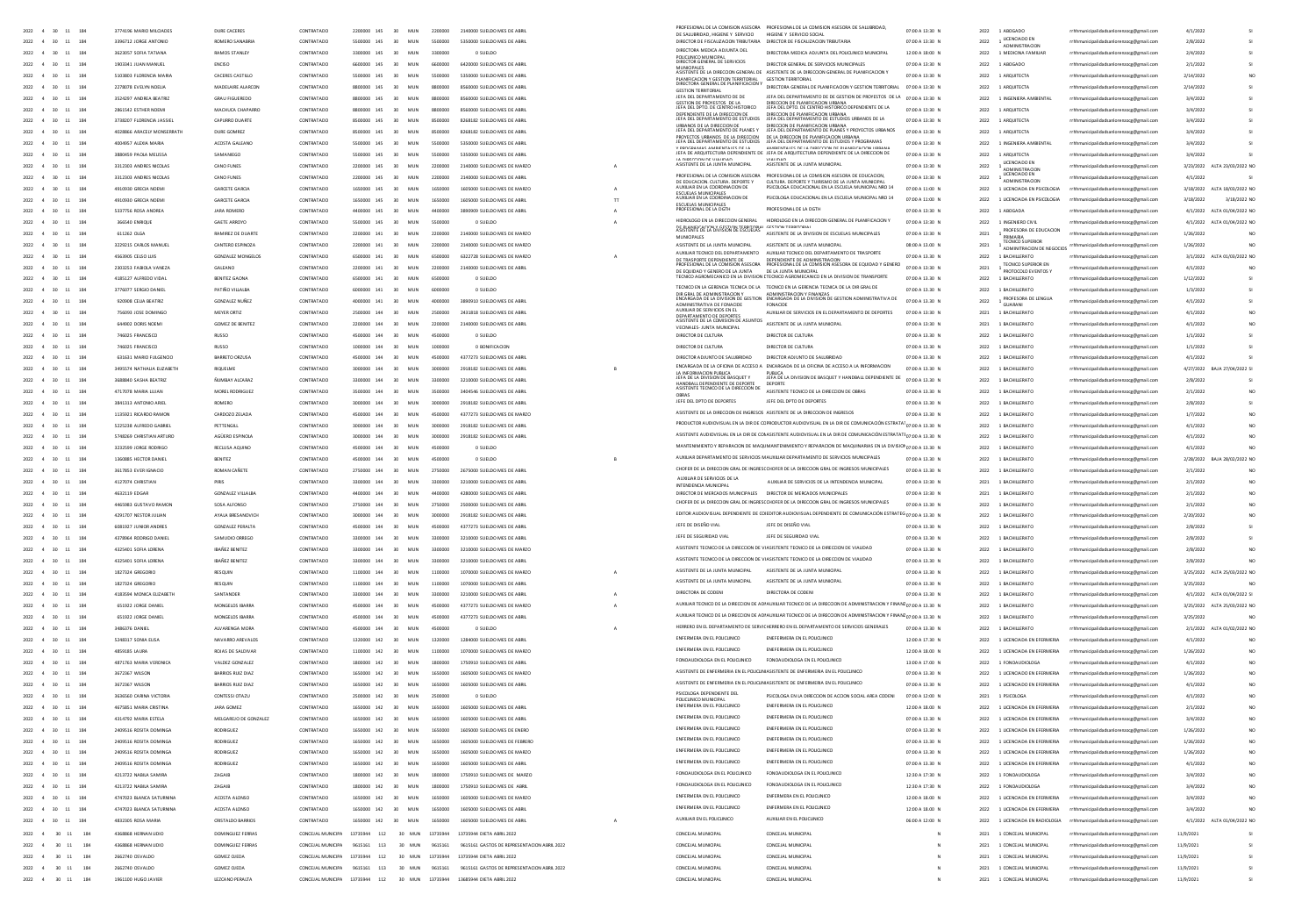|                                               |                                 |                         |                                      |              |                                  |          |                                                                          | PROFESIONAL DE LA COMISION ASESORA                                                                                                                               | PROFESIONAL DE LA COMISIÓN ASESORA DE SALLIBRIDAD                                                                                                                                                                     |                 |                     |                                                                                            |                                                                    |                                 |                 |
|-----------------------------------------------|---------------------------------|-------------------------|--------------------------------------|--------------|----------------------------------|----------|--------------------------------------------------------------------------|------------------------------------------------------------------------------------------------------------------------------------------------------------------|-----------------------------------------------------------------------------------------------------------------------------------------------------------------------------------------------------------------------|-----------------|---------------------|--------------------------------------------------------------------------------------------|--------------------------------------------------------------------|---------------------------------|-----------------|
| $2022$ 4 30 11 184                            | 3774196 MARIO MILCIADES         | DURE CACERES            | CONTRATADO                           | 2200000 145  | 30<br>MUN                        | 2200000  | 2140000 SUELDO MES DE ABR                                                | DE SALUBRIDAD. HIGIENE Y SERVICIO                                                                                                                                | HIGIENE Y SERVICIO SOCIAL                                                                                                                                                                                             | 0200 A 13:30 N  |                     | 1 ABOGADO                                                                                  | nicipalidadsanlorenzocg@gmail.cor                                  | 4/1/202                         |                 |
| 2022 4 30 11 184                              | 3396712 IORGE ANTONIO           | ROMERO SANARRIA         | CONTRATADO                           | 5500000 145  | 30 MIN                           | ssonno   | 5350000 SUFLDO MES DE ABRIL                                              |                                                                                                                                                                  | DIRECTOR DE FISCALIZACIÓN TRIBUTARIA DIRECTOR DE FISCAUZACIÓN TRIBUTARIA                                                                                                                                              | 02:00 A 13:30 N | 2022                | $\footnotesize \begin{array}{c} 1 \text{ UCENCIADO EN} \\ \text{ADMMISTRACIO} \end{array}$ | rrhhmunicipalidadsanlorenzoce@email.com                            | 2/8/2022                        |                 |
| 2022 4 30 11 184                              | 3623057 SOFIA TATIANA           | RAMOS STANLEY           | CONTRATADO                           | 3300000 145  | 30 <sup>°</sup><br>MIN           | sannon   | 0.SUFIDO                                                                 | DIRECTORA MEDICA ADILINTA DEL                                                                                                                                    | DIRECTORA MEDICA ADJUNTA DEL POUCUNICO MUNICIPAL                                                                                                                                                                      | 12:00 A 18:00 N | 2022                | 1 MEDICINA FAMILIAR                                                                        | rrhhmunicipalidadsanlorenzocg@gmail.com                            | 2/4/2022                        |                 |
|                                               |                                 |                         |                                      |              |                                  |          |                                                                          | POLICUNICO MUNICIPAL<br>DIRECTOR GENERAL DE SERVICIOS                                                                                                            |                                                                                                                                                                                                                       |                 |                     |                                                                                            |                                                                    |                                 |                 |
| 2022 4 30 11 184                              | 1903341 JUAN MANUEL             | ENCISO                  | CONTRATADO                           | 6600000 145  | 30 MUN                           | 6600000  | 6420000 SUELDO MES DE ABRIL                                              |                                                                                                                                                                  | DIRECTOR GENERAL DE SERVICIOS MUNICIPALES                                                                                                                                                                             | 07:00 A 13:30 N |                     | 2022 1 ABOGADO                                                                             | rrhhmunicipalidadsanlorenzoce@email.com                            | 2/1/2022                        |                 |
| 2022 4 30 11 184                              | 5103803 FLORENCIA MARIA         | CACERES CASTILLO        | CONTRATADO                           | 5500000 145  | 30 MIN                           | 5500000  | 5350000 SUFLDO MES DE ABRIL                                              |                                                                                                                                                                  | MUNICIPALES<br>ASISTENTE DE LA DIRECCION GENERAL DE ASISTENTE DE LA DIRECCION GENERAL DE PLANIFICACION Y<br>GESTION TERRITORIAL                                                                                       | 02:00 A 13:30 N |                     | 2022 1 ARQUITECTA                                                                          | rrhhmunicipalidadsanlorenzoce@email.com                            | 2/14/2022                       |                 |
| 2022 4 30 11 184                              | 2278078 EVELYN NOELIA           | MADEIAIRE ALARCON       | CONTRATADO                           | 8800000 145  | 30 <sup>2</sup><br>MUN           |          | 8560000 SUELDO MES DE ABRI                                               | PLANIFICACION Y GESTION TERRITORIAL<br>DIRECTORA GENERAL DE PLANIFICACION Y                                                                                      | DIRECTORA GENERAL DE PLANIFICACION Y GESTION TERRITORIAL 07:00 A 13:30 N                                                                                                                                              |                 | 2022                | 1 ABOUTECTA                                                                                | rrhhmunicipalidadsanlorenzocg@gmail.com                            | 2/14/2022                       |                 |
| 2022 4 30 11 184                              | 3524297 ANDREA BEATRO           | <b>GRAU FIGUEREDO</b>   | CONTRATADO                           | 8800000 145  | 30 <sup>2</sup><br>MUN           |          | 8560000 SUELDO MES DE ABRIL                                              | <b>GESTION TERRITORIAL</b><br>JEFA DEL DEPARTAMENTO DE DE                                                                                                        | JEFA DEL DEPARTAMENTO DE DE GESTION DE PROYESTOS DE LA 07:00 A 13:30 N                                                                                                                                                |                 |                     | 2022 1 INGENIERA AMBIENTAL                                                                 |                                                                    | 3/4/2022                        |                 |
|                                               |                                 |                         |                                      |              |                                  |          |                                                                          | GESTION DE PROVESTOS DE LA<br>JEFA DEL DPTO, DE CENTRO HISTORICO                                                                                                 | NIRECTION DE PLANIFICACIÓN LIRRANA<br>JEFA DEL DPTO, DE CENTRO HISTORICO DEPENDIENTE DE LA                                                                                                                            |                 |                     |                                                                                            | rrhhmunicipalidadsanlorenzocg@gmail.com                            |                                 |                 |
| 2022 4 30<br>$11 - 184$                       | 2861542 ESTHER NOEM             | MACHUCA CHAPARR         | CONTRATADO                           |              | 30                               |          | 8560000 SUELDO MES DE ABRI                                               |                                                                                                                                                                  |                                                                                                                                                                                                                       | 07:00 A 13:30 N | 2022                | 1 ARQUITECTA                                                                               | rrhhmunicipalidadsanlorenzocg@gmail.com                            | 3/4/202                         |                 |
| 2022 4 30 11 184                              | 3738207 FLORENCIA JASSIE        | CAPURRO DUARTE          | CONTRATADO                           | economic 145 | 30 <sup>2</sup><br>MIN           |          | 8268182 SUFLDO MES DE ABBL                                               | <b>NEBENNIENTE NE IA NIBEANIAN NE</b><br>JEFA DEL DEPARTAMENTO DE ESTUDIOS                                                                                       | NOCITION DE DIAMIEICACION HODAMA<br>JEFA DEL DEPARTAMENTO DE ESTUDIOS URBANOS DE LA                                                                                                                                   | 02:00 A 13:30 N |                     | 2022 1 ARQUITECTA                                                                          | rrhhmunicipalidadsanlorenzocg@gmail.com                            | 3/4/2022                        |                 |
| 2022 4 30 11 184                              | 4028866 ARACEIY MONSERRATE      | DURE GOMBEZ             | CONTRATADO                           | 8500000 145  | 30 MIN                           | esonono  | 8268182 SUELDO MES DE ABRIL                                              | <b>URBANCE DE LA DIRECCIÓN DE</b><br>JEFA DEL DEPARTAMENTO DE PLANES Y                                                                                           | NIBERTIPM DE BLAMIER ACTON LIBBAMA<br>JEFA DEL DEPARTAMENTO DE PLANES Y PROYECTOS URBANOS                                                                                                                             | 02:00 A 13:30 N |                     | 2022 1 AROUTECTA                                                                           | rrhhmunicipalidadsanlorenzocg@gmail.com                            | 3/4/2022                        |                 |
|                                               |                                 |                         |                                      |              |                                  |          |                                                                          | PROVECTOS LIBRANOS, DE LA DIRECCIÓN<br>LEFA DEL DEPARTAMENTO DE ESTUDIOS                                                                                         | DE LA DIRECCION DE PLANIFICACION LIBRANA<br>JEFA DEL DEPARTAMENTO DE ESTUDIOS Y PROGRAMAS                                                                                                                             |                 |                     |                                                                                            |                                                                    |                                 |                 |
| 11 184<br>2022 4 30                           | 4004957 ALEXIA MARIA            | ACOSTA GALFANO          | CONTRATADO                           | 5500000 145  | 30 <sup>2</sup><br>MIN           | ssoong   | 5350000 SUFLDO MES DE ABBI                                               |                                                                                                                                                                  |                                                                                                                                                                                                                       | 02:00 A 13:30 N |                     | 2022 1 INGENIERA AMBIENTAL                                                                 | rrhhmunicipalidadsanlorenzoog@gmail.com                            | 3/4/2022                        |                 |
| 2022 4 30 11 184                              | 3880459 PAOLA MEUSSA            | SAMANIFGO               | CONTRATADO                           | 145 00000    | 30 <sub>1</sub><br>MIN           | ssonong  | 5350000 SUFLDO MES DE ABRIL                                              |                                                                                                                                                                  | V PROGRAMAS AMBIENTALES DE LA MARIENTALES DE LA DIRECCIÓN DE PLANIFICACIÓN LIBRAN<br>JEFA DE ARQUITECTURA DEPENDIENTE DE JEFA DE ARQUITECTURA DEPENDIENTE DE LA DIRECCIÓN D                                           | 02:00 A 13:30 N |                     | 2022 1 ABOUTECTA                                                                           | rrhhmunicinalidadsanlorenzore@email.com                            | 3/4/2022                        |                 |
| 2022 4 30 11 184                              | 3312303 ANDRES NICOLAS          | CANO FUNES              | CONTRATADO                           | 2200000 145  | 30 <sub>1</sub><br>MUN           | 2200000  | 2140000 SUELDO MES DE MARZO                                              | <b>IA NISCONDA DE VIALIDAD</b><br>ASISTENTE DE LA ILINTA MUNICIPAL                                                                                               | MALINAR<br>ASISTENTE DE LA JUNTA MUNICIPA                                                                                                                                                                             | 07:00 A 13:30 N | 2022                | <b>LICENCIADO EN</b>                                                                       | rrhhmunicipalidadsanlorenzoce@email.com                            | 3/23/2022 ALTA 23/03/2022 NO    |                 |
|                                               |                                 |                         |                                      |              |                                  |          |                                                                          |                                                                                                                                                                  |                                                                                                                                                                                                                       |                 |                     | ADMINISTRACI<br>LICENCIADO EN                                                              |                                                                    |                                 |                 |
| 2022 4 30 11 184                              | 3312303 ANDRES NICOLAS          | CANO FUNES              | CONTRATADO                           | 2200000 145  | 30 <sup>°</sup><br>MUN           | 2200000  | 2140000 SUELDO MES DE ABRIL                                              | PROFESIONAL DE LA COMISION ASESORA                                                                                                                               | PROFESIONAL DE LA COMISIÓN ASESORA DE EDUCACIÓN                                                                                                                                                                       | 07:00 A 13:30 N | 2022                | <b>ADMINISTRACION</b>                                                                      | rrhhmunicipalidadsanlorenzoce@email.com                            | 4/1/2022                        |                 |
| 184<br>2022 4 30 11                           | 4910930 GRECIA NOEM             | GARCETE GARCIA          | CONTRATADO                           | 1650000 145  | 30<br>MUN                        | 1650000  | 1605000 SUELDO MES DE MARZO                                              | DE EDUCACIÓN CULTURA DEPORTE                                                                                                                                     | CULTURA DEPORTE Y TURISMO DE LA JUNTA MUNICIPAL<br>PSICOLOGA EDUCACIONAL EN LA ESCUELA MUNICIPAL NRO 14                                                                                                               | 07:00 A 11:00 N | 2022                | 1 LICENCIADA EN PSICOLOGIA                                                                 | rrhhmunicipalidadsanlorenzocg@gmail.com                            | 3/18/2022 ALTA 18/03/2022 NO    |                 |
| 11<br>2022<br>30                              | 4910930 GRECIA NOEM             | GARCETE GARCH           | CONTRATADO                           |              | MUN                              |          | 1605000 SUELDO MES DE ABRI                                               | <b>CONTRACTAL INTERATES</b><br>AUXILIAR EN LA COORDINACION DE                                                                                                    | PSICOLOGA EDUCACIONAL EN LA ESCUELA MUNICIPAL NRO 14                                                                                                                                                                  | 07:00 A 11:00 N | 2022                | 1 LICENCIADA EN PSICOLOGIA                                                                 | nicipalidadsanlorenzoce@email.com                                  | 3/18/2022<br>3/18/2022 N        |                 |
|                                               |                                 |                         |                                      |              |                                  |          |                                                                          |                                                                                                                                                                  |                                                                                                                                                                                                                       |                 |                     |                                                                                            |                                                                    |                                 |                 |
| 2022 4 30<br>11 184                           | 5337756 ROSA ANDREA             | JARA ROMERO             | CONTRATADO                           | 4400000 145  | 30 <sub>o</sub>                  |          | 09 SUELDO MES DE ABR                                                     | PROFESIONAL DE LA DGTH                                                                                                                                           | PROFESIONAL DE LA DGTH                                                                                                                                                                                                | 07:00 A 13:30 N | 2022                | 1 ABDGAD/                                                                                  | nicipalidadsanlorenzocg@gmail.com                                  | 4/1/2022<br>ALTA 01/04/2022 NO  |                 |
| 2022<br>$\overline{4}$<br>30<br>11<br>184     | 366540 ENRIQUE                  | GAETE ARROYO            | CONTRATADO                           |              |                                  |          |                                                                          | HIDROLOGO EN LA DIRECCION GENERAL                                                                                                                                | HIDROLOGO EN LA DIRECCION GENERAL DE PLANIFICACION Y                                                                                                                                                                  | 07:00 A 13:30 N | 2022                | 1 INGENIERO CIVIL                                                                          | unicipalidadsanlorenzocg@gmail.com                                 | 4/1/2022<br>ALTA 01/04/2022 NO  |                 |
| 2022 4 30<br>11 184                           | 611262 OLGA                     | RAMIREZ DE DUARTE       | CONTRATADO                           | 2200000 141  | 30<br>MUN                        | 2200000  | 2140000 SUELDO MES DE MARZO                                              | DE PLANIFICACION Y GESTION TERRITORIAL                                                                                                                           | CESTION TERRIT<br>ASISTENTE DE LA DIVISION DE ESCUELAS MUNICIPALES                                                                                                                                                    | 07:00 A 13:30 N |                     | PROFESORA DE EDUCACIÓN                                                                     | rrhhmunicipalidadsanlorenzocg@gmail.com                            | 1/26/2022                       |                 |
|                                               |                                 |                         |                                      |              |                                  |          |                                                                          | MUNICIPALES                                                                                                                                                      |                                                                                                                                                                                                                       |                 | $\bf 2021$          | PRIMARIA<br>TECNICO SUPERIOR                                                               |                                                                    |                                 |                 |
| 2022 4 30 11 184                              | 3229215 CARLOS MANUEL           | CANTERO ESPINOZA        | CONTRATADO                           | 2200000 141  | 30 <sup>°</sup><br>MIN           | 2200000  | 2140000 SUFLDO MES DE MARZO                                              | ASISTENTE DE LA JUNTA MUNICIPAL                                                                                                                                  | ASISTENTE DE LA JUNTA MUNICIPAL                                                                                                                                                                                       | 0800 A 1300 N   | 2021                |                                                                                            | municipalidadsanlorenzocg@gmail.com                                | 1/26/2022                       |                 |
| 2022 4 30 11 184                              | ASS390S CRISO LUIS              | GONZAIEZ MONGFIOS       | CONTRATADO                           | 6500000 141  | 30 <sub>1</sub><br>MIN           | ssonno   | 6322228 SUFLDD MES DE MARZO                                              |                                                                                                                                                                  | AUXILIAR TECNICO DEL DEPARTAMENTO AUXILIAR TECNICO DEL DEPARTAMENTO DE TRASPORTE                                                                                                                                      | 02:00 A 13:30 N | 2022                | 1 RACHILLERATO                                                                             | rrhhmunicipalidadsanlorenzoce@email.com                            | 3/1/2022 ALTA 01/03/2022 NO     |                 |
| 2022 4 30 11 184                              | 2303253 FABIOLA VANEZA          | GALEANO                 | CONTRATADO                           | 2200000 141  | 30<br>MUN                        | 2200000  | 2140000 SUELDO MES DE ABRIL                                              |                                                                                                                                                                  | AUXIUAN TELMINI DE PROTECTION DE CONTENERACIÓN DE EN EN UN A EL CONTENERACIÓN DE EN EN EN EN EN EN EN EN EN EN<br>DE TRASPORTE DEPENDIENTE DE PROFESIONAL DE LA COMISION ASESORA DE EQUIDAD Y GENERO D'7:00 A 13:30 N |                 | 2021                | <b>TECNICO SUPERIOR EN</b>                                                                 | rrhhmunicipalidadsanlorenzoce@email.com                            | 4/1/2022                        |                 |
|                                               |                                 |                         |                                      |              |                                  |          |                                                                          | DE EQUIDAD Y GENERO DE LA JUNTA                                                                                                                                  | The EST<br>DE LA JUNTA MUNICIPAL<br>"TECNICO AGROMECANICO EN LA DIVISION DE TRANSPORTE                                                                                                                                |                 |                     | PROTOCOLO EVENTOS                                                                          |                                                                    |                                 |                 |
| 2022 4 30 11 184                              | 4185127 ALEREDO VIDAL           | BENITEZ GAONA           | CONTRATADO                           | 6500000 141  | 30 <sub>1</sub><br>MIN           | 6500000  | 0. SUFLDD                                                                |                                                                                                                                                                  |                                                                                                                                                                                                                       | 02:00 A 13:30 N | 2022                | 1 BACHILLERATO                                                                             | rrhhmunicipalidadsanlorenzocg@gmail.com                            | 1/12/2022                       |                 |
| 2022 4 30<br>11 184                           | 3776077 SERGIO DANIE            | PATIÑO VILLALBA         | CONTRATADO                           | 6000000 141  | 30<br>MUN                        | 6000000  | 0 SUELDO                                                                 |                                                                                                                                                                  | TECNICO EN LA GERENCIA TECNICA DE LA TECNICO EN LA GERENCIA TECNICA DE LA DIR GRAL DE                                                                                                                                 | 07:00 A 13.30 N | 2022                | 1 BACHILLERATO                                                                             | rrhhmunicipalidadsanlorenzocg@gmail.com                            | 1/3/2022                        |                 |
| 11 184<br>2022 4 30                           | 920908 CEUA BEATRIZ             | GONZALEZ NUÑEZ          | CONTRATADO                           | 4000000 141  | 30<br><b>MUN</b>                 | 4000000  | 3890910 SUELDO MES DE ABRIL                                              |                                                                                                                                                                  | DIR GRAL DE ADMINISTRACION Y ADMINISTRACION Y FINANZAS<br>ENCARGADA DE LA DIVISION DE GESTION ENCARGADA DE LA DIVISION DE GESTION ADMINISTRATIVA DE                                                                   | 07:00 A 13.30 N | 2022                | PROFESORA DE LENGUA                                                                        | rrhhmunicipalidadsanlorenzocg@gmail.com                            | 4/1/2022                        |                 |
|                                               |                                 |                         |                                      |              |                                  |          |                                                                          | ADMINISTRATIVA DE FONACIDE<br>AUXILIAR DE SERVICIOS EN EL                                                                                                        | FONACIDE                                                                                                                                                                                                              |                 |                     | GUARANI                                                                                    |                                                                    |                                 |                 |
| 2022 4 30<br>$11 \qquad 184$                  | 756093 JOSE DOMING              | MEYER ORTIZ             | CONTRATADO                           | 2500000 144  | 30<br>MUN                        | 2500000  | 2431818 SUELDO MES DE ABRI                                               |                                                                                                                                                                  | AUXILIAR DE SERVICIOS EN EL DEPARTAMENTO DE DEPORTES                                                                                                                                                                  | 07:00 A 13:30 N | 2021                | 1 BACHILLERATO                                                                             | rrhhmunicipalidadsanlorenzocg@gmail.com                            | 4/1/202                         |                 |
| $2022 - 4 - 30$<br>11 184                     | 644902 DORIS NOEM               | <b>GOMEZ DE BENITEZ</b> | CONTRATADO                           | 2200000 144  | 30<br>MIN                        | 2200000  | 2140000 SUELDO MES DE ABRI                                               | DEPARTAMENTO DE DEPORTES MUNIUM DE JANTIMAS EN EL COMPRETAMENTO DE LA COMISION DE ASUNTOS<br>ASISTENTE DE LA COMISION DE ASUNTOS ASISTENTE DE LA JUNTA MUNICIPAL |                                                                                                                                                                                                                       | 07:00 A 13:30 N | 2021                | 1 BACHILLERATO                                                                             | rrhhmunicipalidadsanlorenzocg@gmail.com                            | 4/1/2022                        |                 |
| 2022 4 30<br>11 184                           | 746025 FRANCISCO                | RUSSO                   | CONTRATADO                           | 4500000 144  | 30<br>MUN                        | 4500000  | 0 SUELDO                                                                 | VECINALES-JUNTA MUNICIPAL<br>DIRECTOR DE CULTURA                                                                                                                 | DIRECTOR DE CULTURA                                                                                                                                                                                                   | 07:00 A 13.30 N | 2022                | 1 BACHILLERATO                                                                             | rrhhmunicipalidadsanlorenzocg@gmail.com                            | 1/1/2022                        |                 |
|                                               |                                 |                         |                                      |              |                                  |          |                                                                          |                                                                                                                                                                  |                                                                                                                                                                                                                       |                 |                     |                                                                                            |                                                                    |                                 |                 |
| $2022 - 4 - 30$<br>11 184                     | 745025 FRANCISCO                | <b>BLISSO</b>           | CONTRATADO                           | 1000000 144  | 30 <sup>2</sup><br>MIN           | 1000000  | 0 BONEICAGON                                                             | DIRECTOR DE CULTURA                                                                                                                                              | DIRECTOR DE CULTURA                                                                                                                                                                                                   | 0200 A 13 30 N  |                     | 2022 1 BACHILLERATO                                                                        | rrhhmunicipalidadsanlorenzocg@gmail.com                            | 1/1/2022                        |                 |
| 2022 4 30 11 184                              | <b>ODIGS1 MARIO FUGENCO</b>     | BARRETO ORZUSA          | CONTRATADO                           | 4500000 144  | 30 <sup>2</sup><br>MIN           | 4500000  | 4377273 SUELDO MES DE ABRIL                                              | DIRECTOR ADJUNTO DE SALURRIDAD                                                                                                                                   | DIRECTOR ADJUNTO DE SALURRIDAD                                                                                                                                                                                        | 07:00 A 13:30 N |                     | 2022 1 RACHILLERATO                                                                        | rrhhmunicinalidadsanlorenzore@email.com                            | 4/1/2022                        |                 |
| 2022 4 30<br>11<br>184                        | 3495574 NATHAUA EUZABETH        | <b>RIQUELME</b>         | CONTRATADO                           | 3000000 144  | 30 <sup>2</sup><br>MUN           | annono   | 2918182 SUELDO MES DE ABRIL                                              |                                                                                                                                                                  | ENCARGADA DE LA OFICINA DE ACCESO A ENCARGADA DE LA OFICINA DE ACCESO A LA INFORMACION                                                                                                                                | 0200 A 13 30 N  |                     | 2022 1 BACHILLERATO                                                                        | rrhhmunicipalidadsanlorenzoce@email.com                            | 4/27/2022 BAJA 27/04/2022 SI    |                 |
|                                               |                                 |                         |                                      |              |                                  |          |                                                                          | LA INFORMACION PUBLICA<br>JEFA DE LA DIVISION DE BASQUET Y                                                                                                       | PUBLICA<br>JEFA DE LA DIVISION DE BASQUET Y HANDBALL DEPENDIENTE DE                                                                                                                                                   |                 |                     |                                                                                            |                                                                    |                                 |                 |
| 2022 4 30<br>11 184                           | 3688840 SASHA BEATRIZ           | <b>NUMBAY ALCARAZ</b>   | CONTRATADO                           | 3300000 144  | 30 <sup>2</sup><br>MUN           | 3300000  | 3210000 SUELDO MES DE ABRIL                                              |                                                                                                                                                                  |                                                                                                                                                                                                                       | 07:00 A 13.30 N |                     | 2022 1 BACHILLERATO                                                                        | rrhhmunicipalidadsanlorenzoce@email.com                            | 2/8/2022                        |                 |
| 184<br>2022 4<br>11<br>30                     | 4717078 MARIA LUJAN             | MOREL RODRIGUEZ         | CONTRATADO                           | 3500000 144  | 30<br>MUN                        | 3500000  | 3404546 SUELDO MES DE ABRIL                                              | HANDBALL DEPENDIENTE DE DEPORTE<br>ASISTENTE TECNICO DE LA DIRECCION DE                                                                                          | ASISTENTE TECNICO DE LA DIRECCION DE OBRAS                                                                                                                                                                            | 07:00 A 13.30 N | 2022                | 1 BACHILLERATO                                                                             | rrhhmunicipalidadsanlorenzocg@gmail.com                            | 2/1/2022                        |                 |
| 11<br>184<br>2022<br>30                       | 3841313 ANTONIO ARIE            | ROMERO                  | CONTRATADO                           |              | MUN                              |          | 2918182 SUELDO MES DE ABR                                                | OBRAS<br>JEFE DEL DPTO DE DEPORTES                                                                                                                               | JEFE DEL DPTO DE DEPORTES                                                                                                                                                                                             | 07:00 A 13.30 N | 2022                | 1 BACHILLERATO                                                                             | nicipalidadsanlorenzoce@email.com                                  | 2/8/2022                        |                 |
|                                               |                                 |                         |                                      |              |                                  |          |                                                                          |                                                                                                                                                                  | ASISTENTE DE LA DIRECCION DE INGRESOS ASISTENTE DE LA DIRECCION DE INGRESOS                                                                                                                                           |                 |                     |                                                                                            |                                                                    |                                 |                 |
| 184<br>2022<br>30<br>11                       | 1135921 RICARDO RAMON           | CARDOZO ZELADA          | CONTRATADO                           |              | 30<br>MUN                        | 4500000  | 4377273 SUELDO MES DE MARZO                                              |                                                                                                                                                                  |                                                                                                                                                                                                                       | 07:00 A 13.30 N | 2022                | 1 BACHILLERATO                                                                             | rrhhmunicipalidadsanlorenzocg@gmail.com                            | 1/7/2022                        |                 |
| 2022<br>$\overline{4}$<br>30<br>11 184        | 5225238 ALFREDO GABRIE          | PETTENGIL               | CONTRATADO                           | 3000000 144  | 30<br>MUN                        |          | 2918182 SUELDO MES DE ABR                                                |                                                                                                                                                                  | PRODUCTOR AUDIOVISUAL EN LA DIR DE COPRODUCTOR AUDIOVISUAL EN LA DIR DE COMUNICACIÓN ESTRATAT <sub>O 7 00 A 13 30</sub> N                                                                                             |                 | 2022                | 1 BACHILLERATO                                                                             | icipalidadsanlorenzocg@gmail.com                                   | 4/1/2022                        |                 |
| 2022 4 30 11 184                              | <b>EZAPTED CURRETIAN ARTHRO</b> | AGÜERO ESPINOLA         | CONTRATADO                           | 2000000 144  | 30<br>MUN                        | 2000000  | 2918182 SUELDO MES DE ABRI                                               |                                                                                                                                                                  | ASISTENTE AUDIOVISUAL EN LA DIR DE CONASISTENTE AUDIOVISUAL EN LA DIR DE COMUNICACIÓN ESTRATATI 07:00 A 13.30 N                                                                                                       |                 | 2022                | 1 BACHILLERATO                                                                             | rrhhmunicipalidadsanlorenzocg@gmail.com                            | 4/1/2022                        |                 |
|                                               |                                 |                         |                                      |              |                                  |          |                                                                          |                                                                                                                                                                  | MANTENIMIENTO Y REPARACION DE MAQUIMANTENIMIENTO Y REPARACION DE MAQUINARIAS EN LA DIVISION 27 DO A 12 20 AL                                                                                                          |                 |                     |                                                                                            |                                                                    |                                 |                 |
| 2022 4 30 11 184                              | 3232599 IORGE RODRIGO           | RECUISA ADUNC           | CONTRATADO                           | 4500000 144  | 30 <sup>°</sup><br>MIN           | esonono  | 0.SUFIDO                                                                 |                                                                                                                                                                  |                                                                                                                                                                                                                       |                 |                     | 2022 1 BACHILLERATO                                                                        | rrhhmunicipalidadsanlorenzoce@email.com                            | 4/1/2022                        |                 |
| 2022 4 30 11 184                              | 1360885 HECTOR DANIEL           | <b>BENITEZ</b>          | CONTRATADO                           | 4500000 144  | 30 <sup>°</sup><br>MIN           | 4500000  | 0.SUFIDO                                                                 |                                                                                                                                                                  | AUXILIAR DEPARTAMENTO DE SERVICIOS MAUXILIAR DEPARTAMENTO DE SERVICIOS MUNICIPALES                                                                                                                                    | 02:00 A 13:30 N | 2022                | 1 RACHILLERATO                                                                             | rrhhmunicipalidadsanlorenzocg@gmail.com                            | 2/28/2022 BAIA 28/02/2022 NO    |                 |
| 2022 4 30 11 184                              | 3617853 EVER IGNACIO            | ROMAN CAÑETE            | CONTRATADO                           | 2750000 144  | 30 MUN                           | 2750000  | 2675000 SUELDO MES DE ABRIL                                              |                                                                                                                                                                  | CHOFER DE LA DIRECCION GRAL DE INGRESCOHOFER DE LA DIRECCION GRAL DE INGRESOS MUNICIPALES                                                                                                                             | 07:00 A 13.30 N |                     | 2022 1 BACHILLERATO                                                                        | rrhhmunicipalidadsanlorenzoce@email.com                            | 2/1/2022                        |                 |
|                                               |                                 |                         |                                      |              |                                  |          |                                                                          | AUXIUAR DE SERVICIOS DE LA                                                                                                                                       |                                                                                                                                                                                                                       |                 |                     |                                                                                            |                                                                    |                                 |                 |
| 2022 4 30 11 184                              | 4127074 CHRISTIAN               | PIRIS                   | CONTRATADO                           | 3300000 144  | 30 MIN                           | 3300000  | 3210000 SUELDO MES DE ABRIL                                              | INTENDENCIA MUNICIPAL                                                                                                                                            | AUXILIAR DE SERVICIOS DE LA INTENDENCIA MUNICIPAL                                                                                                                                                                     | 07:00 A 13:30 N |                     | 2021 1 BACHILLERATO                                                                        | rrhhmunicipalidadsanlorenzocg@gmail.com                            | 2/1/2022                        |                 |
| 2022 4 30 11 184                              | 4632119 FDGAR                   | <b>GONZALEZ VILLALB</b> | CONTRATADO                           | 4400000 144  | 30 MIN                           | 4400000  | 4280000 SUFLDO MES DE ABRIL                                              | DIRECTOR DE MERCADOS MUNICIPALES DIRECTOR DE MERCADOS MUNICIPALES                                                                                                |                                                                                                                                                                                                                       | 07:00 A 13:30 N |                     | 2021 1 BACHILLERATO                                                                        | rrhhmunicipalidadsanlorenzoce@email.com                            | 2/1/2022                        |                 |
| 2022 4 30 11 184                              | 4465983 GUSTAVO RAMON           | SOSA ALFONSO            | CONTRATADO                           | 2750000 144  | 30 MUN                           | 2750000  | 2500000 SUELDO MES DE ABRIL                                              |                                                                                                                                                                  | CHOFER DE LA DIRECCION GRAL DE INGRESCOHOFER DE LA DIRECCION GRAL DE INGRESOS MUNICIPALES                                                                                                                             | 07:00 A 13.30 N |                     | 2022 1 BACHILLERATO                                                                        | rrhhmunicipalidadsanlorenzocg@gmail.com                            | 2/1/2022                        |                 |
|                                               |                                 |                         |                                      |              |                                  |          |                                                                          |                                                                                                                                                                  | EDITOR AUDIOVISUAL DEPENDIENTE DE COIEDITOR AUDIOVISUAL DEPENDIENTE DE COMUNICACIÓN ESTRATEG 07:00 A 13.30 N                                                                                                          |                 |                     |                                                                                            |                                                                    |                                 |                 |
| $2022$ 4 30 11 184                            | 4291707 NESTOR JULIAN           | AYALA BRESANOVICH       | CONTRATADO                           |              | 30                               |          | 2918182 SUELDO MES DE ABRI                                               |                                                                                                                                                                  |                                                                                                                                                                                                                       |                 | 2022                | 1 BACHILLERATO                                                                             | rrhhmunicipalidadsanlorenzocg@gmail.com                            | 2/20/2022                       |                 |
| 2022 4 30 11 184                              | 6081927 JUNIOR ANDRES           | <b>GONZALEZ PERALTA</b> | CONTRATADO                           | ALC: 000000  | 30 <sub>1</sub><br>MIN           |          | 4377273 SUELDO MES DE ABRI                                               | JEFE DE DISEÑO VIAL                                                                                                                                              | JEFE DE DISEÑO VIAL                                                                                                                                                                                                   | 07:00 A 13.30 N |                     | 2022 1 BACHILLERATO                                                                        | rrhhmunicipalidadsanlorenzocg@gmail.com                            | 2/8/2022                        |                 |
| $2022 - 4 - 30$<br>11 184                     | 4378964 RODRIGO DANIE           | SAMUDIO ORREGO          | CONTRATADO                           | 144 00000    | 30<br>MUN                        |          | 3210000 SUELDO MES DE ABRI                                               | JEFE DE SEGURIDAD VIAL                                                                                                                                           | JEFE DE SEGURIDAD VIAL                                                                                                                                                                                                | 07:00 A 13.30 N |                     | 2022 1 BACHILLERATO                                                                        | rrhhmunicipalidadsanlorenzocg@gmail.com                            | 2/8/2022                        |                 |
|                                               |                                 |                         |                                      |              |                                  |          |                                                                          |                                                                                                                                                                  | ASISTENTE TECNICO DE LA DIRECCIÓN DE VIASISTENTE TECNICO DE LA DIRECCIÓN DE VIALIDAD                                                                                                                                  |                 |                     |                                                                                            |                                                                    |                                 |                 |
| 2022 4 30<br>11 184                           | 4325401 SOFIA LORENA            | IRAÑEZ RENITEZ          | CONTRATADO                           | 3300000 144  | 30 <sub>1</sub><br>MIN           | sannon   | 3210000 SUFLDO MES DE MARZO                                              |                                                                                                                                                                  |                                                                                                                                                                                                                       | 02:00 A 13:30 N |                     | 2022 1 BACHILLERATO                                                                        | rrhhmunicipalidadsanlorenzocg@gmail.com                            | 2/8/2022                        |                 |
| 2022 4 30 11 184                              | 4325401 SOFIA LORENA            | <b>IBAÑEZ BENITEZ</b>   | CONTRATADO                           | 2200000 144  | 30<br>MUN                        | 2200000  | 3210000 SUELDO MES DE ABRIL                                              |                                                                                                                                                                  | ASISTENTE TECNICO DE LA DIRECCION DE VIASISTENTE TECNICO DE LA DIRECCION DE VIALIDAD                                                                                                                                  | 07:00 A 13.30 N |                     | 2022 1 BACHILLERATO                                                                        | rrhhmunicipalidadsanlorenzoce@email.com                            | 2/8/2022                        |                 |
| 2022 4 30 11 184                              | 1827324 GREGORIO                | <b>RESOUN</b>           | CONTRATADO                           | 1100000 144  | MIN<br>30 <sub>1</sub>           | 1100000  | 102000 SUELDO MES DE MARZO                                               | ASISTENTE DE LA JUNTA MUNICIPAL                                                                                                                                  | ASISTENTE DE LA JUNTA MUNICIP.                                                                                                                                                                                        | 02:00 A 13:30 N |                     | 2022 1 RACHILLERATO                                                                        | rrhhmunicipalidadsanlorenzoce@email.com                            | 3/25/2022 ALTA 25/03/2022 NO    |                 |
|                                               |                                 |                         |                                      |              |                                  |          |                                                                          | ASISTENTE DE LA JUNTA MUNICIPAL                                                                                                                                  |                                                                                                                                                                                                                       |                 |                     |                                                                                            |                                                                    |                                 |                 |
| 2022 4 30 11 184                              | 1827324 GREGORIO                | RESQUIN                 | CONTRATADO                           | 1100000 144  | 30 <sup>°</sup><br>MUN           | 1100000  | 1070000 SUELDO MES DE ABRIL                                              |                                                                                                                                                                  |                                                                                                                                                                                                                       |                 |                     |                                                                                            | rrhhmunicipalidadsanlorenzoce@email.com                            | 3/25/2022                       |                 |
| 2022 4 30 11 184                              | 4183594 MONICA EUZABETH         | SANTANDER               |                                      |              |                                  |          |                                                                          |                                                                                                                                                                  | ASISTENTE DE LA JUNTA MUNICIPAL                                                                                                                                                                                       | 07:00 A 13.30 N | 2022 1 BACHILLERATO |                                                                                            |                                                                    |                                 |                 |
| 30<br>11                                      | 651922 JORGE DANIE              |                         | CONTRATADO                           | 3300000 144  | 30<br>MUN                        | 3300000  | 3210000 SUELDO MES DE ABRIL                                              | DIRECTORA DE CODENI                                                                                                                                              | DIRECTORA DE CODENI                                                                                                                                                                                                   | 07:00 A 13.30 N | 2022                | 1 BACHILLERATO                                                                             | rrhhmunicipalidadsanlorenzocg@gmail.com                            | 4/1/2022 ALTA 01/04/2022 SI     |                 |
| $2022 - 4$<br>11<br>30                        |                                 | MONGELOS IBARR          | CONTRATADO                           |              | MUN                              |          | 4377273 SUELDO MES DE MARZO                                              |                                                                                                                                                                  |                                                                                                                                                                                                                       |                 | 2022                | 1 BACHILLERATO                                                                             | nicipalidadsanlorenzoce#email.com                                  | 3/25/2022<br>ALTA 25/03/2022 NO |                 |
|                                               |                                 |                         |                                      |              |                                  |          |                                                                          |                                                                                                                                                                  | AUXILIAR TECNICO DE LA DIRECCIÓN DE ADIAUXILIAR TECNICO DE LA DIRECCIÓN DE ADMINISTRACIÓN Y FINANZO7:00 A 13.30 N                                                                                                     |                 |                     |                                                                                            |                                                                    |                                 |                 |
|                                               | 651922 JORGE DANIE              | MONGELOS IBARRA         | CONTRATADO                           |              | MUN                              |          | 4377273 SUELDO MES DE ABRI                                               |                                                                                                                                                                  | AUXILIAR TECNICO DE LA DIRECCION DE ADIAUXILIAR TECNICO DE LA DIRECCION DE ADMINISTRACION Y FINANZ 07:00 A 13.30 N                                                                                                    |                 | 2022                | 1 BACHILLERATO                                                                             | rrhhmunicipalidadsanlorenzoce@email.com                            | 3/25/2022                       |                 |
| 2022 4<br>30<br>11 184                        | 3486376 DANIEL                  | ALVARENGA MORA          | CONTRATADO                           | 4500000 144  |                                  |          | 0 SUELDO                                                                 |                                                                                                                                                                  | HERRERO EN EL DEPARTAMENTO DE SERVICHERRERO EN EL DEPARTAMENTO DE SERVICIOS GENERALES                                                                                                                                 | 07:00 A 13.30 N | 2022                | 1 BACHILLERATO                                                                             | rrhhmunicipalidadsanlorenzocg@gmail.com                            | 2/1/2022 ALTA 01/02/2022 NO     |                 |
| 2022 4 30 11 184                              | 5248317 SONIA ELISA             | MAMARRO AREVALOR        | CONTRATADO                           | 1230000 142  | 20 <sub>1</sub><br><b>BALLIN</b> | 1230000  | 1284000 SUELDO MES DE ABRI                                               | ENFERMERA EN EL POLICLINICO                                                                                                                                      | ENEFERMERA EN EL POLICUNICO                                                                                                                                                                                           | 12:00 A 17.30 N | 2022                | 1 LICENCIADA EN EFERMERIA                                                                  | rrhhmunicipalidadsanlorenzocg@gmail.com                            | 4/1/2022                        |                 |
|                                               |                                 |                         |                                      | 1100000 142  | 20 <sub>1</sub><br><b>BALLIN</b> |          |                                                                          | ENFERMERA EN EL POLICLINICO                                                                                                                                      | ENEFERMERA EN EL POUCLINICO                                                                                                                                                                                           |                 |                     |                                                                                            |                                                                    |                                 |                 |
| $2022 - 4 = 30$<br>11 184                     | 4859185 (ALBA                   | ROIAS DE SALDIVAR       | CONTRATADO                           |              |                                  |          | 107000 SUELDO MES DE MARZO                                               |                                                                                                                                                                  |                                                                                                                                                                                                                       | 12:00 A 18:00 N | 2022                | 1 UCENCIADA EN FEERMERIA                                                                   | rrhhmunicipalidadsanlorenzoce@email.com                            | 1/26/2022                       |                 |
| 2022 4 30 11 184                              | 4871763 MARIA VERONICA          | VALDEZ GONZALEZ         | CONTRATADO                           | 1800000 142  | MIN<br>30 <sup>°</sup>           | secondo  | 1750910 SUFLDO MES DE ARRI                                               | FONDAUDIOLOGA EN EL POLICUNICO                                                                                                                                   | FONDAUDIOLOGA EN EL POLICUNICO                                                                                                                                                                                        | 13:00 A 17:00 N | 2022                | 1.50MB/JUNOLOGA                                                                            | rrhhmunicipalidadsanlorenzoce@email.com                            | 4/1/2022                        |                 |
| 2022 4 30 11 184                              | 3672367 WILSON                  | BARRIOS RUIZ DIAZ       | CONTRATADO                           | 1650000 142  | 30<br>MUN                        | 1650000  | 1605000 SUELDO MES DE MARZO                                              |                                                                                                                                                                  | ASISTENTE DE ENFERMERIA EN EL POUCUNIASISTENTE DE ENFERMERIA EN EL POUCUNICO                                                                                                                                          | 07:00 A 13.30 N | 2022                | 1 LICENCIADO EN EFERMERIA                                                                  | rrhhmunicipalidadsanlorenzoce@email.com                            | 1/26/2022                       |                 |
| 2022 4 30 11 184                              | 3672367 WILSON                  |                         |                                      | 1650000 142  | 30 <sub>1</sub><br>MIN           | 1650000  | 1605000 SUELDO MES DE ABRIL                                              |                                                                                                                                                                  | ASISTENTE DE ENFERMERIA EN EL POUCUNIASISTENTE DE ENFERMERIA EN EL POUCUNICO                                                                                                                                          |                 | 2022                |                                                                                            |                                                                    |                                 |                 |
|                                               |                                 | BARRIOS RUIZ DIAZ       | CONTRATADO                           |              |                                  |          |                                                                          |                                                                                                                                                                  |                                                                                                                                                                                                                       | 07:00 A 13.30 N |                     | 1 LICENCIADO EN EFERMERIA                                                                  | rrhhmunicipalidadsanlorenzocg@gmail.com                            | 4/1/2022                        |                 |
| 2022 4 30 11 184                              | 3636560 CARINA VICTORIA         | CONTESSI OTAZU          | CONTRATADO                           | 2500000 142  | 30 <sub>1</sub><br>MIN           | 2500000  | 0. SUFLDD                                                                | PSICOLOGA DEPENDIENTE DEL<br>POUCUNICO MUNICIPAL                                                                                                                 | PSICOLOGA EN LA DIRECCIÓN DE ACCIÓN SOCIAL AREA CODENI                                                                                                                                                                | 07:00 A 12:00 N | 2021                | 1 PSICOLOGA                                                                                | rrhhmunicipalidadsanlorenzoce@email.com                            | 4/1/2022                        |                 |
| 2022 4 30<br>11 184                           | 4675851 MARIA CRISTINA          | JARA GOMEZ              | CONTRATADO                           | 1650000 142  | 30<br><b>MUN</b>                 | 1650000  | 1605000 SUELDO MES DE ABRIL                                              | ENFERMERA EN EL POUCLINICO                                                                                                                                       | ENEFERMERA EN EL POLICUNICO                                                                                                                                                                                           | 12:00 A 18:00 N | 2022                | 1 LICENCIADA EN EFERMERIA                                                                  | rrhhmunicipalidadsanlorenzoce@email.com                            | 2/1/2022                        |                 |
|                                               |                                 |                         |                                      |              |                                  |          |                                                                          | ENFERMERA EN EL POLICLINICO                                                                                                                                      | ENEFERMERA EN EL POLICUNICO                                                                                                                                                                                           |                 |                     |                                                                                            |                                                                    |                                 |                 |
| 2022 4 30<br>$11\quad184$                     | 4314792 MARIA ESTELA            | MELGAREJO DE GONZALEZ   | CONTRATADO                           | 1650000 142  | 30<br>MUN                        | 1650000  | 1605000 SUELDO MES DE ABRI                                               |                                                                                                                                                                  |                                                                                                                                                                                                                       | 07:00 A 13.30 N | 2022                | 1 LICENCIADA EN EFERMERIA                                                                  | rrhhmunicipalidadsanlorenzocg@gmail.com                            | 3/4/2022                        |                 |
| $2022 - 4$<br>$11 \qquad 184$                 | 2409516 ROSITA DOMINGA          | RODRIGUEZ               | CONTRATADO                           |              | MUN                              | 1650000  | 1605000 SUELDO MES DE ENERO                                              | ENFERMERA EN EL POLICLINICO                                                                                                                                      | ENEFERMERA EN EL POLICLINICO                                                                                                                                                                                          | 07:00 A 13.30 N | 2022                | 1 LICENCIADA EN EFERMERIA                                                                  | rrhhmunicipalidadsanlorenzocg@gmail.com                            | 1/26/202                        |                 |
| $2022 - 4 - 30$<br>11 184                     | 2409516 ROSITA DOMINGA          | RODRIGUEZ               | CONTRATADO                           | 1650000 142  | 30<br><b>MUN</b>                 | 1650000  | 1605000 SUELDO MES DE FEBRER                                             | ENFERMERA EN EL POLICLINICO                                                                                                                                      | ENEFERMERA EN EL POLICLINICO                                                                                                                                                                                          | 07:00 A 13.30 N | 2022                | 1 LICENCIADA EN EFERMERIA                                                                  | rrhhmunicipalidadsanlorenzocg@gmail.com                            | 1/26/2022                       |                 |
| $2022 - 4 - 30$<br>11 184                     | 2409516 BOSITA DOMINGA          | BODBIGLIEZ              | CONTRATADO                           | 1650000 142  | 30 <sup>2</sup><br>MIN           | 1650000  | 1605000 SUFLDO MES DE MARZO                                              | ENFERMERA EN EL POLICLINICO                                                                                                                                      | ENEFERMERA EN EL POLICLINICO                                                                                                                                                                                          | 0200 A 13 30 N  |                     |                                                                                            |                                                                    |                                 |                 |
|                                               |                                 |                         |                                      |              |                                  |          |                                                                          |                                                                                                                                                                  |                                                                                                                                                                                                                       |                 | 2022                |                                                                                            | 1 LICENCIADA EN EFERMERIA rrhhmunicipalidadsanlorenzocg@gmail.com  | 1/26/2022                       |                 |
| $2022 - 4 = 30$<br>11 184                     | 2409516 ROSITA DOMINGA          | RODRIGUEZ               | CONTRATADO                           | 1650000 142  | 30<br>MUN                        | 1650000  | 1605000 SUELDO MES DE ABRIL                                              | ENFERMERA EN EL POUCLINICO                                                                                                                                       | ENEFERMERA EN EL POLICLINICO                                                                                                                                                                                          | 07:00 A 13.30 N | 2022                |                                                                                            | 1 LICENCIADA EN EFERMERIA rrhhmunicipalidadsanlorenzoce@email.com  | 4/1/2022                        | <b>MO</b>       |
| 11 184<br>$2022 - 4 - 30$                     | 4213722 NARIA SAMIRA            | <b>ZAGAIR</b>           | CONTRATADO                           | 1800000 142  | MIN<br>30 <sub>1</sub>           | 1800000  | 1750910 SUFLDO MES DE MARZO                                              | FONDAUDIOLOGA EN EL POLICUNICO                                                                                                                                   | FONDAUDIOLOGA EN EL POLICUNICO                                                                                                                                                                                        | 12:30 A 17:30 N | 2022                | 1 FONDALIDIOLOGA                                                                           | rrhhmunicipalidadsanlorenzoce@email.com                            | 3/4/2022                        | NO <sub>1</sub> |
| 2022 4 30<br>11 184                           | 4213722 NARIA SAMIRA            |                         |                                      | 1800000 142  | 30 <sup>°</sup>                  | 1800000  |                                                                          | FONDAUDIOLOGA EN EL POLICUNICO                                                                                                                                   | FONDAUDIOLOGA EN EL POUCUNICO                                                                                                                                                                                         |                 |                     |                                                                                            |                                                                    | 3/4/2022                        | NO <sub>1</sub> |
|                                               |                                 | ZAGAIB                  | CONTRATADO                           |              | MUN                              |          | 1750910 SUELDO MES DE ABRIL                                              |                                                                                                                                                                  |                                                                                                                                                                                                                       | 12:30 A 17:30 N | 2022                | 1 FONDAUDIOLOGA                                                                            | rrhhmunicipalidadsanlorenzoce@email.com                            |                                 |                 |
| 184<br>2022 4<br>30<br>11                     | 4747023 BLANCA SATURNINA        | ACOSTA ALONSO           | CONTRATADO                           | 1650000 142  | <b>MUN</b><br>30                 | 1650000  | 1605000 SUELDO MES DE MARZO                                              | ENFERMERA EN EL POLICUNICO                                                                                                                                       | ENFERMERA EN EL POLICUNICO                                                                                                                                                                                            | 12:00 A 18.00 N | 2022                | 1 LICENCIADA EN EFERMERIA                                                                  | rrhhmunicipalidadsanlorenzoog@gmail.com                            | 3/4/2022                        |                 |
| 184<br>11<br>2022 4<br>30                     | 4747023 BLANCA SATURNINA        | ACOSTA ALONSO           | CONTRATADO                           | 1650000 142  | 30<br>MUN                        | 1650000  | 1605000 SUELDO MES DE ABRIL                                              | ENFERMERA EN EL POLICI NICO                                                                                                                                      | ENFERMERA EN EL POLICUNICO                                                                                                                                                                                            | 12:00 A 18.00 N | 2022                | 1 LICENCIADA EN EFERMERIA                                                                  | rrhhmunicipalidadsanlorenzocg@gmail.com                            | 3/4/2022                        |                 |
| 184<br>2022                                   | 4832305 ROSA MARIA              | CRISTALDO BARRIO        | CONTRATADO                           |              | MUN                              | 1650000  | 1605000 SUELDO MES DE ABRI                                               | AUXILIAR EN EL POUCUNICO                                                                                                                                         | AUXILIAR EN EL POLICUNICO                                                                                                                                                                                             | 06:00 A 12:00 N | 2022                |                                                                                            | 1 LICENCIADA EN RADIOLOGIA rrhhmunicipalidadsanlorenzoce@email.com | 4/1/2022 ALTA 01/04/2022 NO     |                 |
|                                               |                                 |                         |                                      |              |                                  |          |                                                                          |                                                                                                                                                                  |                                                                                                                                                                                                                       |                 |                     |                                                                                            |                                                                    |                                 |                 |
| 2022<br>$\overline{A}$<br>$30 - 11$<br>184    | 4368868 HERNAN LIDIO            | DOMINGUEZ FERRA         | CONCEJAL MUNICIPA                    | 1272044 117  | 30 MIN                           | 13735944 | 13735944 DIETA ABRIL 2022                                                | CONCEJAL MUNICIPAL                                                                                                                                               | CONCEJAL MUNICIPAL                                                                                                                                                                                                    |                 | 2021                | 1 CONCEJAL MUNICIPAL                                                                       | rrhhmunicipalidadsanlorenzocg@gmail.com                            | 11/9/2021                       |                 |
| $30 - 11$<br>184<br>$2022 - 4$                | 4368868 HERNAN LIDIO            | DOMINGLEZ FERRAS        | CONCEIAL MUNICIPAL                   | 9615161 113  | 30 MIN                           | 9615161  | 9615161 GASTOS DE REPRESENTACION ARRIL 2022                              | CONCEIAL MUNICIPAL                                                                                                                                               | CONCEIAL MUNICIPAL                                                                                                                                                                                                    |                 | 2021                | 1 CONCEIAL MUNICIPAL                                                                       |                                                                    | 11/9/2021                       |                 |
|                                               |                                 |                         |                                      |              |                                  |          |                                                                          |                                                                                                                                                                  |                                                                                                                                                                                                                       |                 |                     |                                                                                            | rrhhmunicipalidadsanlorenzocg@gmail.com                            |                                 |                 |
| $30 - 11$<br>$2022 - 4$<br>184                | 2662740 OSVALDO                 | GOMEZ OJEDA             | CONCEIAL MUNICIPA 13735944 112       |              |                                  |          | 30 MIIN 13735944 13735944 DIFTA ARRI 2022                                | CONCEJAL MUNICIPAL                                                                                                                                               | CONCEJAL MUNICIPAL                                                                                                                                                                                                    |                 | 2021                | 1 CONCEIAL MUNICIPAL                                                                       | rrhhmunicipalidadsanlorenzoog@gmail.com                            | 11/9/2021                       |                 |
| 2022 4 30 11<br>184                           | 2662740 OSVALDO                 | GOMEZ OJEDA             | CONCEJAL MUNICIPA 9615161 113 30 MUN |              |                                  |          | 9615161 9615161 GASTOS DE REPRESENTACION ABRIL 2022                      | CONCEJAL MUNICIPAL                                                                                                                                               | CONCEJAL MUNICIPAL                                                                                                                                                                                                    |                 | 2021                | 1 CONCEJAL MUNICIPAL                                                                       | rrhhmunicipalidadsanlorenzocg@gmail.com                            | 11/9/2021                       |                 |
| $2022 \qquad 4 \qquad 30 \quad 11 \qquad 184$ | 1961100 HUGO JAVIER             | LEZCANO PERALTA         |                                      |              |                                  |          | CONCEJAL MUNICIPA 13735944 112 30 MUN 13735944 13685944 DIETA ABRIL 2022 | CONCEJAL MUNICIPAL                                                                                                                                               | CONCEJAL MUNICIPAL                                                                                                                                                                                                    |                 |                     | 2021 1 CONCEJAL MUNICIPAL                                                                  | rrhhmunicipalidadsanlorenzoce@email.com                            | 11/9/2021                       |                 |